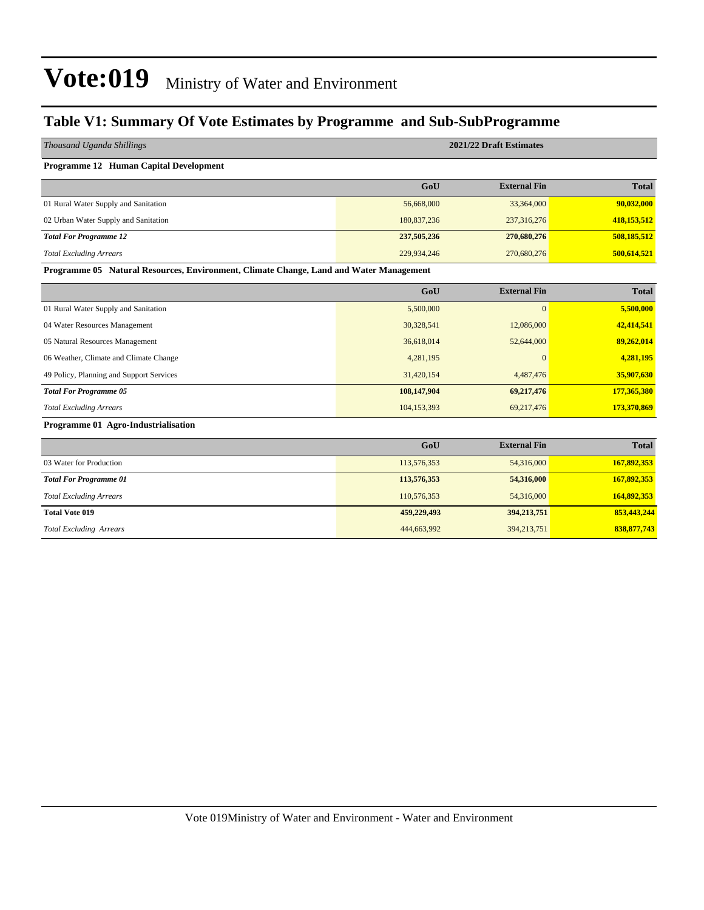### **Table V1: Summary Of Vote Estimates by Programme and Sub-SubProgramme**

| 2021/22 Draft Estimates                                                                |                     |               |  |  |  |  |
|----------------------------------------------------------------------------------------|---------------------|---------------|--|--|--|--|
|                                                                                        |                     |               |  |  |  |  |
| GoU                                                                                    | <b>External Fin</b> | <b>Total</b>  |  |  |  |  |
| 56,668,000                                                                             | 33,364,000          | 90,032,000    |  |  |  |  |
| 180,837,236                                                                            | 237,316,276         | 418,153,512   |  |  |  |  |
| 237,505,236                                                                            | 270,680,276         | 508,185,512   |  |  |  |  |
| 229,934,246                                                                            | 270,680,276         | 500,614,521   |  |  |  |  |
| Programme 05 Natural Resources, Environment, Climate Change, Land and Water Management |                     |               |  |  |  |  |
| GoU                                                                                    | <b>External Fin</b> | <b>Total</b>  |  |  |  |  |
| 5,500,000                                                                              | $\overline{0}$      | 5,500,000     |  |  |  |  |
| 30,328,541                                                                             | 12,086,000          | 42,414,541    |  |  |  |  |
| 36,618,014                                                                             | 52,644,000          | 89,262,014    |  |  |  |  |
| 4,281,195                                                                              | $\theta$            | 4,281,195     |  |  |  |  |
| 31,420,154                                                                             | 4,487,476           | 35,907,630    |  |  |  |  |
| 108,147,904                                                                            | 69,217,476          | 177,365,380   |  |  |  |  |
| 104,153,393                                                                            | 69,217,476          | 173,370,869   |  |  |  |  |
|                                                                                        |                     |               |  |  |  |  |
| GoU                                                                                    | <b>External Fin</b> | <b>Total</b>  |  |  |  |  |
| 113,576,353                                                                            | 54,316,000          | 167,892,353   |  |  |  |  |
| 113,576,353                                                                            | 54,316,000          | 167,892,353   |  |  |  |  |
| 110,576,353                                                                            | 54,316,000          | 164,892,353   |  |  |  |  |
| 459,229,493                                                                            | 394,213,751         | 853,443,244   |  |  |  |  |
| 444,663,992                                                                            | 394,213,751         | 838, 877, 743 |  |  |  |  |
|                                                                                        |                     |               |  |  |  |  |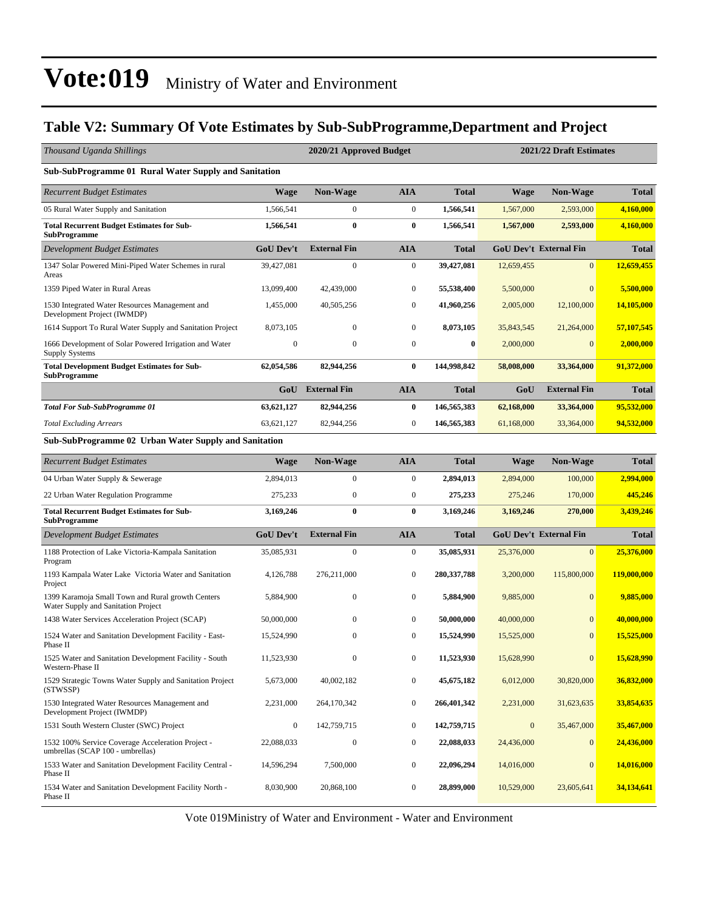### **Table V2: Summary Of Vote Estimates by Sub-SubProgramme,Department and Project**

| Thousand Uganda Shillings                                                                |                  | 2021/22 Draft Estimates<br>2020/21 Approved Budget |                  |               |              |                               |              |
|------------------------------------------------------------------------------------------|------------------|----------------------------------------------------|------------------|---------------|--------------|-------------------------------|--------------|
| <b>Sub-SubProgramme 01 Rural Water Supply and Sanitation</b>                             |                  |                                                    |                  |               |              |                               |              |
| <b>Recurrent Budget Estimates</b>                                                        | <b>Wage</b>      | <b>Non-Wage</b>                                    | <b>AIA</b>       | <b>Total</b>  | <b>Wage</b>  | <b>Non-Wage</b>               | <b>Total</b> |
| 05 Rural Water Supply and Sanitation                                                     | 1.566.541        | $\mathbf{0}$                                       | $\boldsymbol{0}$ | 1,566,541     | 1,567,000    | 2,593,000                     | 4,160,000    |
| <b>Total Recurrent Budget Estimates for Sub-</b><br><b>SubProgramme</b>                  | 1,566,541        | $\bf{0}$                                           | $\bf{0}$         | 1,566,541     | 1,567,000    | 2,593,000                     | 4,160,000    |
| Development Budget Estimates                                                             | <b>GoU Dev't</b> | <b>External Fin</b>                                | <b>AIA</b>       | <b>Total</b>  |              | <b>GoU Dev't External Fin</b> | <b>Total</b> |
| 1347 Solar Powered Mini-Piped Water Schemes in rural<br>Areas                            | 39,427,081       | $\boldsymbol{0}$                                   | $\boldsymbol{0}$ | 39,427,081    | 12,659,455   | $\vert 0 \vert$               | 12,659,455   |
| 1359 Piped Water in Rural Areas                                                          | 13,099,400       | 42,439,000                                         | $\boldsymbol{0}$ | 55,538,400    | 5,500,000    | $\overline{0}$                | 5,500,000    |
| 1530 Integrated Water Resources Management and<br>Development Project (IWMDP)            | 1,455,000        | 40,505,256                                         | $\bf{0}$         | 41,960,256    | 2,005,000    | 12,100,000                    | 14,105,000   |
| 1614 Support To Rural Water Supply and Sanitation Project                                | 8,073,105        | $\mathbf{0}$                                       | $\boldsymbol{0}$ | 8,073,105     | 35,843,545   | 21,264,000                    | 57,107,545   |
| 1666 Development of Solar Powered Irrigation and Water<br><b>Supply Systems</b>          | $\boldsymbol{0}$ | $\boldsymbol{0}$                                   | $\boldsymbol{0}$ | $\bf{0}$      | 2,000,000    | $\overline{0}$                | 2,000,000    |
| <b>Total Development Budget Estimates for Sub-</b><br><b>SubProgramme</b>                | 62,054,586       | 82,944,256                                         | $\bf{0}$         | 144,998,842   | 58,008,000   | 33,364,000                    | 91,372,000   |
|                                                                                          | GoU              | <b>External Fin</b>                                | <b>AIA</b>       | <b>Total</b>  | GoU          | <b>External Fin</b>           | <b>Total</b> |
| <b>Total For Sub-SubProgramme 01</b>                                                     | 63,621,127       | 82,944,256                                         | $\bf{0}$         | 146,565,383   | 62,168,000   | 33,364,000                    | 95,532,000   |
| <b>Total Excluding Arrears</b>                                                           | 63, 621, 127     | 82,944,256                                         | $\boldsymbol{0}$ | 146,565,383   | 61,168,000   | 33,364,000                    | 94,532,000   |
| <b>Sub-SubProgramme 02 Urban Water Supply and Sanitation</b>                             |                  |                                                    |                  |               |              |                               |              |
| <b>Recurrent Budget Estimates</b>                                                        | <b>Wage</b>      | <b>Non-Wage</b>                                    | <b>AIA</b>       | <b>Total</b>  | <b>Wage</b>  | <b>Non-Wage</b>               | <b>Total</b> |
| 04 Urban Water Supply & Sewerage                                                         | 2,894,013        | $\mathbf{0}$                                       | $\boldsymbol{0}$ | 2,894,013     | 2,894,000    | 100,000                       | 2,994,000    |
| 22 Urban Water Regulation Programme                                                      | 275,233          | $\boldsymbol{0}$                                   | $\boldsymbol{0}$ | 275,233       | 275,246      | 170,000                       | 445,246      |
| <b>Total Recurrent Budget Estimates for Sub-</b><br><b>SubProgramme</b>                  | 3,169,246        | $\bf{0}$                                           | $\bf{0}$         | 3,169,246     | 3,169,246    | 270,000                       | 3,439,246    |
| <b>Development Budget Estimates</b>                                                      | <b>GoU Dev't</b> | <b>External Fin</b>                                | <b>AIA</b>       | <b>Total</b>  |              | <b>GoU Dev't External Fin</b> | <b>Total</b> |
| 1188 Protection of Lake Victoria-Kampala Sanitation<br>Program                           | 35,085,931       | $\boldsymbol{0}$                                   | $\boldsymbol{0}$ | 35,085,931    | 25,376,000   | $\mathbf{0}$                  | 25,376,000   |
| 1193 Kampala Water Lake Victoria Water and Sanitation<br>Project                         | 4,126,788        | 276,211,000                                        | $\mathbf{0}$     | 280, 337, 788 | 3,200,000    | 115,800,000                   | 119,000,000  |
| 1399 Karamoja Small Town and Rural growth Centers<br>Water Supply and Sanitation Project | 5,884,900        | $\mathbf{0}$                                       | $\boldsymbol{0}$ | 5,884,900     | 9,885,000    | $\overline{0}$                | 9,885,000    |
| 1438 Water Services Acceleration Project (SCAP)                                          | 50,000,000       | $\mathbf{0}$                                       | $\mathbf{0}$     | 50,000,000    | 40,000,000   | $\overline{0}$                | 40,000,000   |
| 1524 Water and Sanitation Development Facility - East-<br>Phase II                       | 15,524,990       | 0                                                  | $\boldsymbol{0}$ | 15,524,990    | 15,525,000   | $\mathbf{0}$                  | 15,525,000   |
| 1525 Water and Sanitation Development Facility - South<br>Western-Phase II               | 11,523,930       | $\boldsymbol{0}$                                   | $\boldsymbol{0}$ | 11,523,930    | 15,628,990   | $\boldsymbol{0}$              | 15,628,990   |
| 1529 Strategic Towns Water Supply and Sanitation Project<br>(STWSSP)                     | 5,673,000        | 40,002,182                                         | $\boldsymbol{0}$ | 45,675,182    | 6,012,000    | 30,820,000                    | 36,832,000   |
| 1530 Integrated Water Resources Management and<br>Development Project (IWMDP)            | 2,231,000        | 264,170,342                                        | $\boldsymbol{0}$ | 266,401,342   | 2,231,000    | 31,623,635                    | 33,854,635   |
| 1531 South Western Cluster (SWC) Project                                                 | $\boldsymbol{0}$ | 142,759,715                                        | $\boldsymbol{0}$ | 142,759,715   | $\mathbf{0}$ | 35,467,000                    | 35,467,000   |
| 1532 100% Service Coverage Acceleration Project -<br>umbrellas (SCAP 100 - umbrellas)    | 22,088,033       | $\boldsymbol{0}$                                   | $\boldsymbol{0}$ | 22,088,033    | 24,436,000   | $\mathbf{0}$                  | 24,436,000   |
| 1533 Water and Sanitation Development Facility Central -<br>Phase II                     | 14,596,294       | 7,500,000                                          | $\boldsymbol{0}$ | 22,096,294    | 14,016,000   | $\boldsymbol{0}$              | 14,016,000   |
| 1534 Water and Sanitation Development Facility North -<br>Phase II                       | 8,030,900        | 20,868,100                                         | $\boldsymbol{0}$ | 28,899,000    | 10,529,000   | 23,605,641                    | 34,134,641   |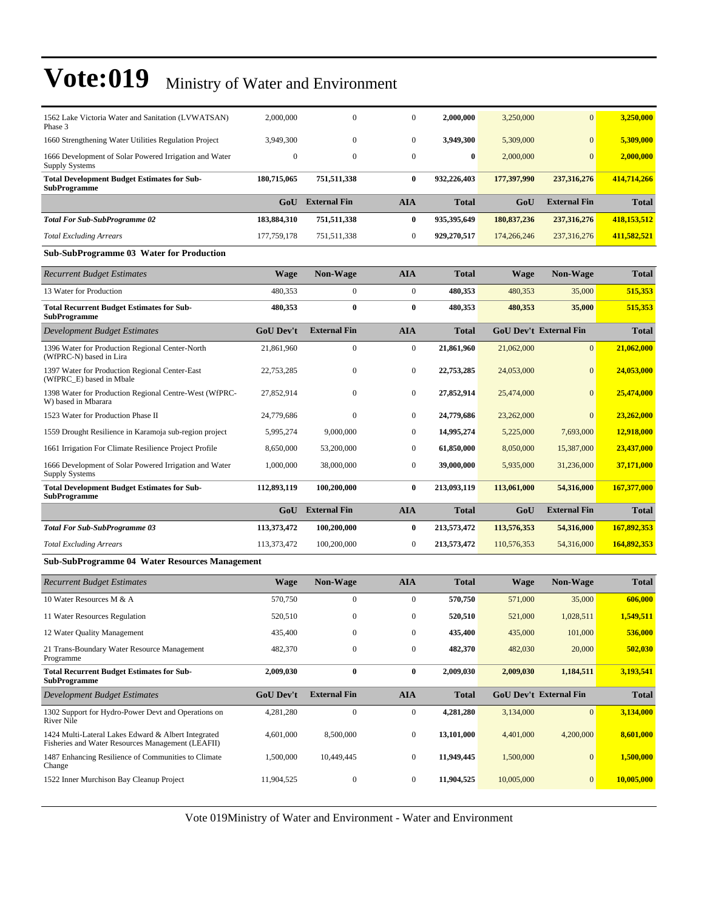| 1562 Lake Victoria Water and Sanitation (LVWATSAN)<br>Phase 3                                            | 2,000,000        | $\mathbf{0}$            | $\boldsymbol{0}$ | 2,000,000    | 3,250,000   | $\bf{0}$                      | 3,250,000    |
|----------------------------------------------------------------------------------------------------------|------------------|-------------------------|------------------|--------------|-------------|-------------------------------|--------------|
| 1660 Strengthening Water Utilities Regulation Project                                                    | 3,949,300        | $\boldsymbol{0}$        | $\boldsymbol{0}$ | 3,949,300    | 5,309,000   | $\bf{0}$                      | 5,309,000    |
| 1666 Development of Solar Powered Irrigation and Water<br><b>Supply Systems</b>                          | $\boldsymbol{0}$ | $\boldsymbol{0}$        | $\boldsymbol{0}$ | $\bf{0}$     | 2,000,000   | $\overline{0}$                | 2,000,000    |
| <b>Total Development Budget Estimates for Sub-</b><br><b>SubProgramme</b>                                | 180,715,065      | 751,511,338             | $\bf{0}$         | 932,226,403  | 177,397,990 | 237,316,276                   | 414,714,266  |
|                                                                                                          |                  | GoU External Fin        | <b>AIA</b>       | <b>Total</b> | GoU         | <b>External Fin</b>           | <b>Total</b> |
| <b>Total For Sub-SubProgramme 02</b>                                                                     | 183,884,310      | 751,511,338             | $\bf{0}$         | 935,395,649  | 180,837,236 | 237,316,276                   | 418,153,512  |
| <b>Total Excluding Arrears</b>                                                                           | 177,759,178      | 751,511,338             | $\boldsymbol{0}$ | 929,270,517  | 174,266,246 | 237,316,276                   | 411,582,521  |
| <b>Sub-SubProgramme 03 Water for Production</b>                                                          |                  |                         |                  |              |             |                               |              |
| <b>Recurrent Budget Estimates</b>                                                                        | Wage             | Non-Wage                | <b>AIA</b>       | <b>Total</b> | <b>Wage</b> | <b>Non-Wage</b>               | <b>Total</b> |
| 13 Water for Production                                                                                  | 480,353          | $\boldsymbol{0}$        | $\boldsymbol{0}$ | 480,353      | 480,353     | 35,000                        | 515,353      |
| <b>Total Recurrent Budget Estimates for Sub-</b><br>SubProgramme                                         | 480,353          | $\bf{0}$                | $\bf{0}$         | 480,353      | 480,353     | 35,000                        | 515,353      |
| Development Budget Estimates                                                                             | <b>GoU Dev't</b> | <b>External Fin</b>     | <b>AIA</b>       | <b>Total</b> |             | <b>GoU Dev't External Fin</b> | <b>Total</b> |
| 1396 Water for Production Regional Center-North<br>(WfPRC-N) based in Lira                               | 21,861,960       | $\boldsymbol{0}$        | $\boldsymbol{0}$ | 21,861,960   | 21,062,000  | $\mathbf{0}$                  | 21,062,000   |
| 1397 Water for Production Regional Center-East<br>(WfPRC E) based in Mbale                               | 22,753,285       | $\boldsymbol{0}$        | $\boldsymbol{0}$ | 22,753,285   | 24,053,000  | $\bf{0}$                      | 24,053,000   |
| 1398 Water for Production Regional Centre-West (WfPRC-<br>W) based in Mbarara                            | 27,852,914       | $\boldsymbol{0}$        | $\boldsymbol{0}$ | 27,852,914   | 25,474,000  | $\overline{0}$                | 25,474,000   |
| 1523 Water for Production Phase II                                                                       | 24,779,686       | $\boldsymbol{0}$        | $\boldsymbol{0}$ | 24,779,686   | 23,262,000  | $\overline{0}$                | 23,262,000   |
| 1559 Drought Resilience in Karamoja sub-region project                                                   | 5,995,274        | 9,000,000               | $\boldsymbol{0}$ | 14,995,274   | 5,225,000   | 7,693,000                     | 12,918,000   |
| 1661 Irrigation For Climate Resilience Project Profile                                                   | 8,650,000        | 53,200,000              | $\boldsymbol{0}$ | 61,850,000   | 8,050,000   | 15,387,000                    | 23,437,000   |
| 1666 Development of Solar Powered Irrigation and Water<br><b>Supply Systems</b>                          | 1,000,000        | 38,000,000              | $\boldsymbol{0}$ | 39,000,000   | 5,935,000   | 31,236,000                    | 37,171,000   |
| <b>Total Development Budget Estimates for Sub-</b><br><b>SubProgramme</b>                                | 112,893,119      | 100,200,000             | $\bf{0}$         | 213,093,119  | 113,061,000 | 54,316,000                    | 167,377,000  |
|                                                                                                          |                  | <b>GoU</b> External Fin | <b>AIA</b>       | <b>Total</b> | GoU         | <b>External Fin</b>           | <b>Total</b> |
| <b>Total For Sub-SubProgramme 03</b>                                                                     | 113,373,472      | 100,200,000             | 0                | 213,573,472  | 113,576,353 | 54,316,000                    | 167,892,353  |
| <b>Total Excluding Arrears</b>                                                                           | 113,373,472      | 100,200,000             | 0                | 213,573,472  | 110,576,353 | 54,316,000                    | 164,892,353  |
| Sub-SubProgramme 04 Water Resources Management                                                           |                  |                         |                  |              |             |                               |              |
| <b>Recurrent Budget Estimates</b>                                                                        | <b>Wage</b>      | Non-Wage                | <b>AIA</b>       | <b>Total</b> | <b>Wage</b> | Non-Wage                      | <b>Total</b> |
| 10 Water Resources M & A                                                                                 | 570,750          | $\boldsymbol{0}$        | $\boldsymbol{0}$ | 570,750      | 571,000     | 35,000                        | 606,000      |
| 11 Water Resources Regulation                                                                            | 520,510          | $\boldsymbol{0}$        | $\boldsymbol{0}$ | 520,510      | 521,000     | 1,028,511                     | 1,549,511    |
| 12 Water Quality Management                                                                              | 435,400          | $\boldsymbol{0}$        | $\boldsymbol{0}$ | 435,400      | 435,000     | 101,000                       | 536,000      |
| 21 Trans-Boundary Water Resource Management<br>Programme                                                 | 482,370          | $\boldsymbol{0}$        | $\boldsymbol{0}$ | 482,370      | 482,030     | 20,000                        | 502,030      |
| <b>Total Recurrent Budget Estimates for Sub-</b><br><b>SubProgramme</b>                                  | 2,009,030        | 0                       | $\boldsymbol{0}$ | 2,009,030    | 2,009,030   | 1,184,511                     | 3,193,541    |
| <b>Development Budget Estimates</b>                                                                      | GoU Dev't        | <b>External Fin</b>     | <b>AIA</b>       | <b>Total</b> |             | <b>GoU Dev't External Fin</b> | <b>Total</b> |
| 1302 Support for Hydro-Power Devt and Operations on<br>River Nile                                        | 4,281,280        | $\boldsymbol{0}$        | $\boldsymbol{0}$ | 4,281,280    | 3,134,000   | $\boldsymbol{0}$              | 3,134,000    |
| 1424 Multi-Lateral Lakes Edward & Albert Integrated<br>Fisheries and Water Resources Management (LEAFII) | 4,601,000        | 8,500,000               | $\boldsymbol{0}$ | 13,101,000   | 4,401,000   | 4,200,000                     | 8,601,000    |
| 1487 Enhancing Resilience of Communities to Climate<br>Change                                            | 1,500,000        | 10,449,445              | $\boldsymbol{0}$ | 11,949,445   | 1,500,000   | $\boldsymbol{0}$              | 1,500,000    |
| 1522 Inner Murchison Bay Cleanup Project                                                                 | 11,904,525       | $\boldsymbol{0}$        | $\boldsymbol{0}$ | 11,904,525   | 10,005,000  | $\mathbf{0}$                  | 10,005,000   |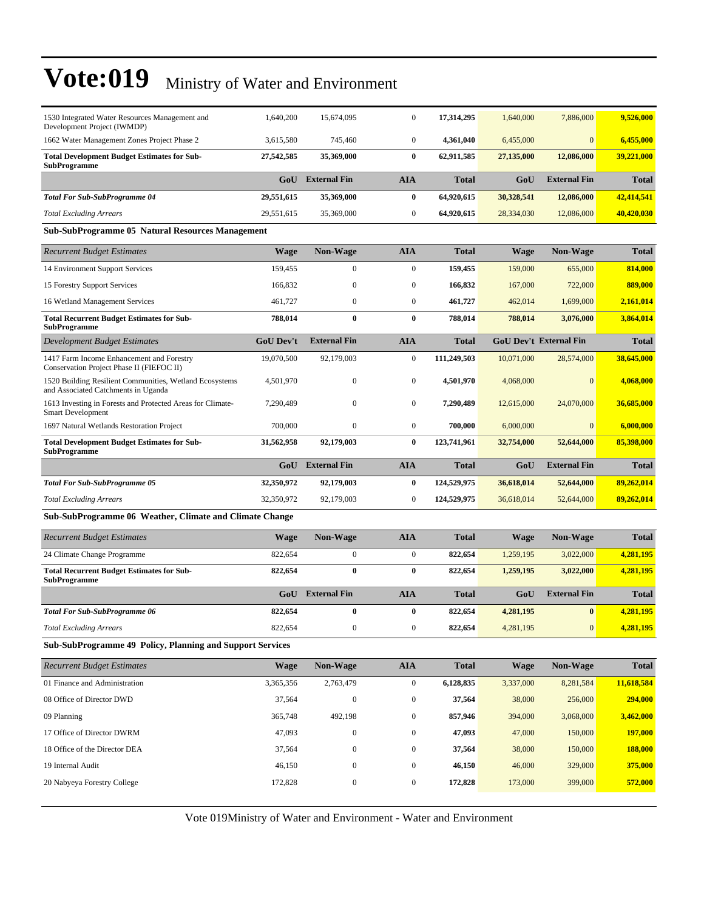| 1530 Integrated Water Resources Management and                                                 | 1,640,200        | 15,674,095          | $\mathbf{0}$     | 17,314,295   | 1,640,000  | 7,886,000                     | 9,526,000    |
|------------------------------------------------------------------------------------------------|------------------|---------------------|------------------|--------------|------------|-------------------------------|--------------|
| Development Project (IWMDP)<br>1662 Water Management Zones Project Phase 2                     | 3,615,580        | 745,460             | $\boldsymbol{0}$ | 4,361,040    | 6,455,000  | $\mathbf{0}$                  | 6,455,000    |
| <b>Total Development Budget Estimates for Sub-</b>                                             | 27,542,585       | 35,369,000          | $\bf{0}$         | 62,911,585   | 27,135,000 | 12,086,000                    | 39,221,000   |
| <b>SubProgramme</b>                                                                            |                  |                     |                  |              |            |                               |              |
|                                                                                                | GoU              | <b>External Fin</b> | <b>AIA</b>       | <b>Total</b> | GoU        | <b>External Fin</b>           | <b>Total</b> |
| <b>Total For Sub-SubProgramme 04</b>                                                           | 29,551,615       | 35,369,000          | $\bf{0}$         | 64,920,615   | 30,328,541 | 12,086,000                    | 42,414,541   |
| <b>Total Excluding Arrears</b>                                                                 | 29,551,615       | 35,369,000          | $\boldsymbol{0}$ | 64,920,615   | 28,334,030 | 12,086,000                    | 40,420,030   |
| <b>Sub-SubProgramme 05 Natural Resources Management</b>                                        |                  |                     |                  |              |            |                               |              |
| <b>Recurrent Budget Estimates</b>                                                              | <b>Wage</b>      | Non-Wage            | <b>AIA</b>       | <b>Total</b> | Wage       | <b>Non-Wage</b>               | <b>Total</b> |
| 14 Environment Support Services                                                                | 159,455          | $\mathbf{0}$        | $\overline{0}$   | 159,455      | 159,000    | 655,000                       | 814,000      |
| 15 Forestry Support Services                                                                   | 166,832          | $\boldsymbol{0}$    | $\boldsymbol{0}$ | 166,832      | 167,000    | 722,000                       | 889,000      |
| 16 Wetland Management Services                                                                 | 461,727          | $\mathbf{0}$        | $\boldsymbol{0}$ | 461,727      | 462,014    | 1,699,000                     | 2,161,014    |
| <b>Total Recurrent Budget Estimates for Sub-</b><br><b>SubProgramme</b>                        | 788,014          | $\bf{0}$            | 0                | 788,014      | 788,014    | 3,076,000                     | 3,864,014    |
| Development Budget Estimates                                                                   | <b>GoU</b> Dev't | <b>External Fin</b> | <b>AIA</b>       | Total        |            | <b>GoU Dev't External Fin</b> | <b>Total</b> |
| 1417 Farm Income Enhancement and Forestry<br>Conservation Project Phase II (FIEFOC II)         | 19,070,500       | 92,179,003          | $\boldsymbol{0}$ | 111,249,503  | 10,071,000 | 28,574,000                    | 38,645,000   |
| 1520 Building Resilient Communities, Wetland Ecosystems<br>and Associated Catchments in Uganda | 4,501,970        | $\mathbf{0}$        | 0                | 4,501,970    | 4,068,000  | $\Omega$                      | 4,068,000    |
| 1613 Investing in Forests and Protected Areas for Climate-<br><b>Smart Development</b>         | 7,290,489        | $\mathbf{0}$        | $\mathbf{0}$     | 7,290,489    | 12,615,000 | 24,070,000                    | 36,685,000   |
| 1697 Natural Wetlands Restoration Project                                                      | 700,000          | $\mathbf{0}$        | $\boldsymbol{0}$ | 700,000      | 6,000,000  | $\mathbf{0}$                  | 6,000,000    |
| <b>Total Development Budget Estimates for Sub-</b><br><b>SubProgramme</b>                      | 31,562,958       | 92,179,003          | 0                | 123,741,961  | 32,754,000 | 52,644,000                    | 85,398,000   |
|                                                                                                | GoU              | <b>External Fin</b> | AIA              | <b>Total</b> | GoU        | <b>External Fin</b>           | <b>Total</b> |
| <b>Total For Sub-SubProgramme 05</b>                                                           | 32,350,972       | 92,179,003          | $\bf{0}$         | 124,529,975  | 36,618,014 | 52,644,000                    | 89,262,014   |
| <b>Total Excluding Arrears</b>                                                                 | 32,350,972       | 92,179,003          | $\boldsymbol{0}$ | 124,529,975  | 36,618,014 | 52,644,000                    | 89,262,014   |
| Sub-SubProgramme 06 Weather, Climate and Climate Change                                        |                  |                     |                  |              |            |                               |              |
| <b>Recurrent Budget Estimates</b>                                                              | <b>Wage</b>      | <b>Non-Wage</b>     | AIA              | <b>Total</b> | Wage       | <b>Non-Wage</b>               | <b>Total</b> |
| 24 Climate Change Programme                                                                    | 822,654          | $\mathbf{0}$        | $\overline{0}$   | 822,654      | 1,259,195  | 3,022,000                     | 4,281,195    |
| <b>Total Recurrent Budget Estimates for Sub-</b><br><b>SubProgramme</b>                        | 822,654          | $\bf{0}$            | 0                | 822,654      | 1,259,195  | 3,022,000                     | 4,281,195    |
|                                                                                                | GoU              | <b>External Fin</b> | <b>AIA</b>       | <b>Total</b> | GoU        | <b>External Fin</b>           | <b>Total</b> |
| <b>Total For Sub-SubProgramme 06</b>                                                           | 822,654          | $\bf{0}$            | $\bf{0}$         | 822,654      | 4,281,195  | $\bf{0}$                      | 4,281,195    |
| <b>Total Excluding Arrears</b>                                                                 | 822,654          | $\boldsymbol{0}$    | $\boldsymbol{0}$ | 822,654      | 4,281,195  | $\boldsymbol{0}$              | 4,281,195    |
| Sub-SubProgramme 49 Policy, Planning and Support Services                                      |                  |                     |                  |              |            |                               |              |
| <b>Recurrent Budget Estimates</b>                                                              | <b>Wage</b>      | Non-Wage            | <b>AIA</b>       | <b>Total</b> | Wage       | Non-Wage                      | <b>Total</b> |
| 01 Finance and Administration                                                                  | 3,365,356        | 2,763,479           | $\boldsymbol{0}$ | 6,128,835    | 3,337,000  | 8,281,584                     | 11,618,584   |
| 08 Office of Director DWD                                                                      | 37,564           | $\boldsymbol{0}$    | $\boldsymbol{0}$ | 37,564       | 38,000     | 256,000                       | 294,000      |
| 09 Planning                                                                                    | 365,748          | 492,198             | $\boldsymbol{0}$ | 857,946      | 394,000    | 3,068,000                     | 3,462,000    |
| 17 Office of Director DWRM                                                                     | 47,093           | $\boldsymbol{0}$    | $\boldsymbol{0}$ | 47,093       | 47,000     | 150,000                       | 197,000      |
| 18 Office of the Director DEA                                                                  | 37,564           | $\boldsymbol{0}$    | $\boldsymbol{0}$ | 37,564       | 38,000     | 150,000                       | 188,000      |
| 19 Internal Audit                                                                              | 46,150           | $\boldsymbol{0}$    | $\boldsymbol{0}$ | 46,150       | 46,000     | 329,000                       | 375,000      |

Vote 019Ministry of Water and Environment - Water and Environment

20 Nabyeya Forestry College 172,828 0 0 **172,828** 173,000 399,000 **572,000**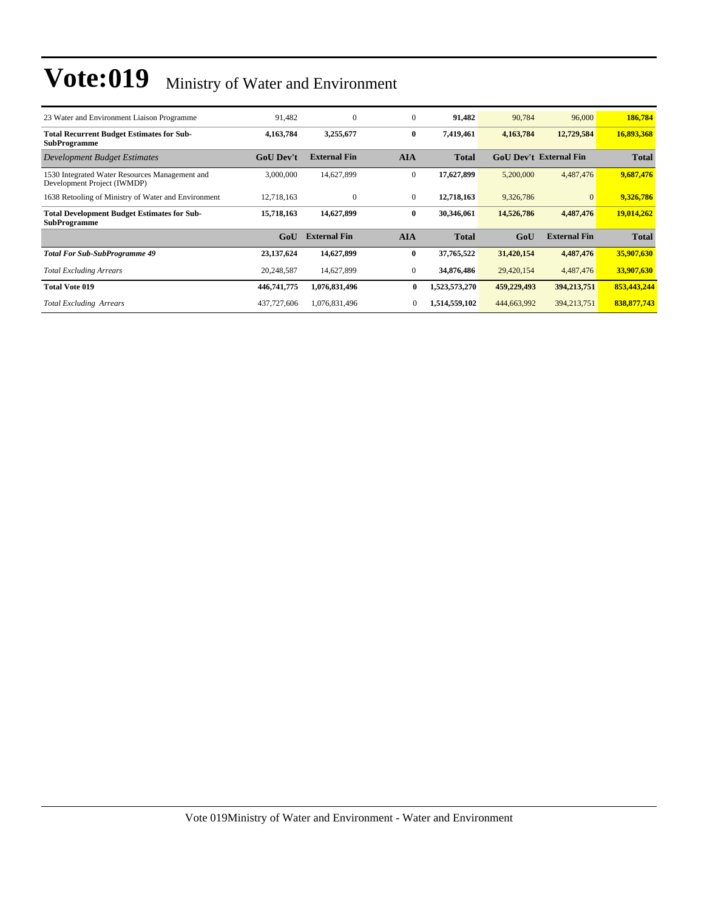| 23 Water and Environment Liaison Programme                                    | 91,482           | $\mathbf{0}$        | $\overline{0}$ | 91,482        | 90,784      | 96,000                        | 186,784      |
|-------------------------------------------------------------------------------|------------------|---------------------|----------------|---------------|-------------|-------------------------------|--------------|
| <b>Total Recurrent Budget Estimates for Sub-</b><br><b>SubProgramme</b>       | 4,163,784        | 3,255,677           | $\bf{0}$       | 7,419,461     | 4,163,784   | 12,729,584                    | 16,893,368   |
| Development Budget Estimates                                                  | <b>GoU</b> Dev't | <b>External Fin</b> | <b>AIA</b>     | <b>Total</b>  |             | <b>GoU Dev't External Fin</b> | <b>Total</b> |
| 1530 Integrated Water Resources Management and<br>Development Project (IWMDP) | 3,000,000        | 14,627,899          | $\mathbf{0}$   | 17,627,899    | 5,200,000   | 4,487,476                     | 9,687,476    |
| 1638 Retooling of Ministry of Water and Environment                           | 12,718,163       | $\Omega$            | $\mathbf{0}$   | 12,718,163    | 9,326,786   |                               | 9,326,786    |
| <b>Total Development Budget Estimates for Sub-</b><br><b>SubProgramme</b>     | 15,718,163       | 14,627,899          | $\bf{0}$       | 30,346,061    | 14,526,786  | 4,487,476                     | 19,014,262   |
|                                                                               | GoU              | <b>External Fin</b> | <b>AIA</b>     | <b>Total</b>  | GoU         | <b>External Fin</b>           | <b>Total</b> |
| <b>Total For Sub-SubProgramme 49</b>                                          | 23,137,624       | 14,627,899          | $\bf{0}$       | 37,765,522    | 31,420,154  | 4,487,476                     | 35,907,630   |
| <b>Total Excluding Arrears</b>                                                | 20,248,587       | 14,627,899          | $\mathbf{0}$   | 34,876,486    | 29,420,154  | 4,487,476                     | 33,907,630   |
| <b>Total Vote 019</b>                                                         | 446,741,775      | 1,076,831,496       | 0              | 1,523,573,270 | 459,229,493 | 394,213,751                   | 853,443,244  |
| <b>Total Excluding Arrears</b>                                                | 437,727,606      | 1,076,831,496       | 0              | 1,514,559,102 | 444,663,992 | 394, 213, 751                 | 838,877,743  |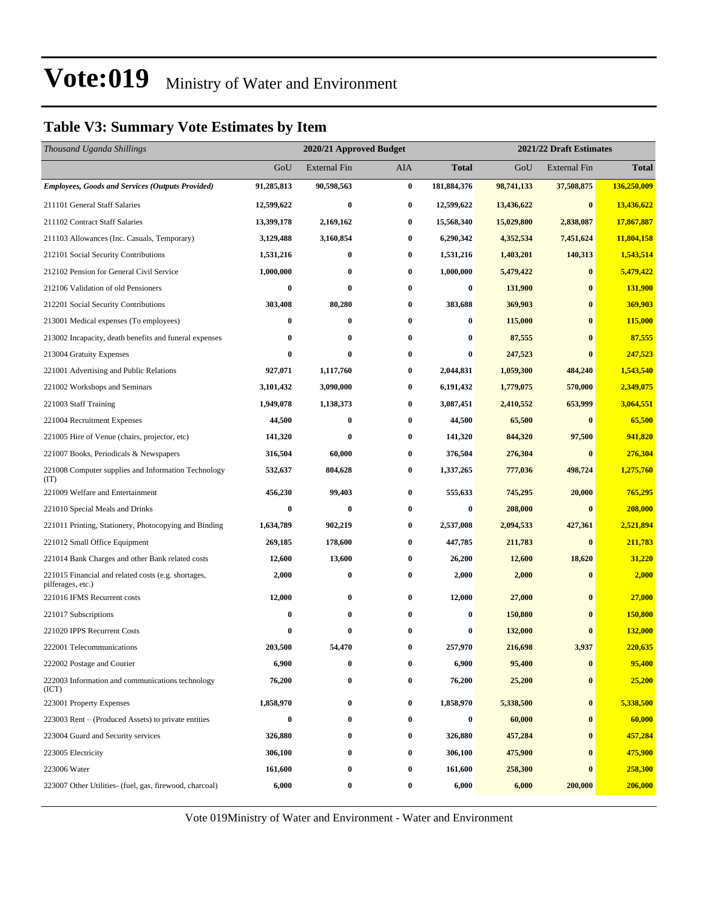### **Table V3: Summary Vote Estimates by Item**

| Thousand Uganda Shillings                                                |                  | 2020/21 Approved Budget |                  | 2021/22 Draft Estimates |            |                     |              |
|--------------------------------------------------------------------------|------------------|-------------------------|------------------|-------------------------|------------|---------------------|--------------|
|                                                                          | GoU              | <b>External Fin</b>     | AIA              | <b>Total</b>            | GoU        | <b>External Fin</b> | <b>Total</b> |
| <b>Employees, Goods and Services (Outputs Provided)</b>                  | 91,285,813       | 90,598,563              | $\bf{0}$         | 181,884,376             | 98,741,133 | 37,508,875          | 136,250,009  |
| 211101 General Staff Salaries                                            | 12,599,622       | $\bf{0}$                | $\bf{0}$         | 12,599,622              | 13,436,622 | $\boldsymbol{0}$    | 13,436,622   |
| 211102 Contract Staff Salaries                                           | 13,399,178       | 2,169,162               | $\bf{0}$         | 15,568,340              | 15,029,800 | 2,838,087           | 17,867,887   |
| 211103 Allowances (Inc. Casuals, Temporary)                              | 3,129,488        | 3,160,854               | $\bf{0}$         | 6,290,342               | 4,352,534  | 7,451,624           | 11,804,158   |
| 212101 Social Security Contributions                                     | 1,531,216        | $\bf{0}$                | $\bf{0}$         | 1,531,216               | 1,403,201  | 140,313             | 1,543,514    |
| 212102 Pension for General Civil Service                                 | 1,000,000        | $\bf{0}$                | $\bf{0}$         | 1,000,000               | 5,479,422  | $\bf{0}$            | 5,479,422    |
| 212106 Validation of old Pensioners                                      | $\bf{0}$         | $\bf{0}$                | $\bf{0}$         | $\boldsymbol{0}$        | 131,900    | $\bf{0}$            | 131,900      |
| 212201 Social Security Contributions                                     | 303,408          | 80,280                  | $\bf{0}$         | 383,688                 | 369,903    | $\bf{0}$            | 369,903      |
| 213001 Medical expenses (To employees)                                   | $\bf{0}$         | $\bf{0}$                | $\bf{0}$         | 0                       | 115,000    | $\bf{0}$            | 115,000      |
| 213002 Incapacity, death benefits and funeral expenses                   | $\bf{0}$         | 0                       | $\bf{0}$         | 0                       | 87,555     | $\bf{0}$            | 87,555       |
| 213004 Gratuity Expenses                                                 | $\bf{0}$         | $\bf{0}$                | $\bf{0}$         | $\bf{0}$                | 247,523    | $\bf{0}$            | 247,523      |
| 221001 Advertising and Public Relations                                  | 927,071          | 1,117,760               | $\bf{0}$         | 2,044,831               | 1,059,300  | 484,240             | 1,543,540    |
| 221002 Workshops and Seminars                                            | 3,101,432        | 3,090,000               | $\bf{0}$         | 6,191,432               | 1,779,075  | 570,000             | 2,349,075    |
| 221003 Staff Training                                                    | 1,949,078        | 1,138,373               | $\bf{0}$         | 3,087,451               | 2,410,552  | 653,999             | 3,064,551    |
| 221004 Recruitment Expenses                                              | 44,500           | $\bf{0}$                | $\bf{0}$         | 44,500                  | 65,500     | $\bf{0}$            | 65,500       |
| 221005 Hire of Venue (chairs, projector, etc)                            | 141,320          | $\bf{0}$                | $\bf{0}$         | 141,320                 | 844,320    | 97,500              | 941,820      |
| 221007 Books, Periodicals & Newspapers                                   | 316,504          | 60,000                  | $\bf{0}$         | 376,504                 | 276,304    | $\bf{0}$            | 276,304      |
| 221008 Computer supplies and Information Technology<br>(TT)              | 532,637          | 804,628                 | $\bf{0}$         | 1,337,265               | 777,036    | 498,724             | 1,275,760    |
| 221009 Welfare and Entertainment                                         | 456,230          | 99,403                  | $\bf{0}$         | 555,633                 | 745,295    | 20,000              | 765,295      |
| 221010 Special Meals and Drinks                                          | $\bf{0}$         | $\bf{0}$                | 0                | $\boldsymbol{0}$        | 208,000    | $\bf{0}$            | 208,000      |
| 221011 Printing, Stationery, Photocopying and Binding                    | 1,634,789        | 902,219                 | 0                | 2,537,008               | 2,094,533  | 427,361             | 2,521,894    |
| 221012 Small Office Equipment                                            | 269,185          | 178,600                 | 0                | 447,785                 | 211,783    | $\bf{0}$            | 211,783      |
| 221014 Bank Charges and other Bank related costs                         | 12,600           | 13,600                  | 0                | 26,200                  | 12,600     | 18,620              | 31,220       |
| 221015 Financial and related costs (e.g. shortages,<br>pilferages, etc.) | 2,000            | $\bf{0}$                | $\bf{0}$         | 2,000                   | 2,000      | $\bf{0}$            | 2,000        |
| 221016 IFMS Recurrent costs                                              | 12,000           | $\bf{0}$                | $\bf{0}$         | 12,000                  | 27,000     | $\bf{0}$            | 27,000       |
| 221017 Subscriptions                                                     | $\bf{0}$         | $\bf{0}$                | 0                | $\boldsymbol{0}$        | 150,800    | $\bf{0}$            | 150,800      |
| 221020 IPPS Recurrent Costs                                              | $\boldsymbol{0}$ | 0                       | 0                | $\bf{0}$                | 132,000    | $\bf{0}$            | 132,000      |
| 222001 Telecommunications                                                | 203,500          | 54,470                  | $\bf{0}$         | 257,970                 | 216,698    | 3,937               | 220,635      |
| 222002 Postage and Courier                                               | 6,900            | $\bf{0}$                | $\bf{0}$         | 6,900                   | 95,400     | $\bf{0}$            | 95,400       |
| 222003 Information and communications technology<br>(ICT)                | 76,200           | $\bf{0}$                | 0                | 76,200                  | 25,200     | $\bf{0}$            | 25,200       |
| 223001 Property Expenses                                                 | 1,858,970        | $\bf{0}$                | $\bf{0}$         | 1,858,970               | 5,338,500  | $\boldsymbol{0}$    | 5,338,500    |
| 223003 Rent – (Produced Assets) to private entities                      | $\bf{0}$         | $\bf{0}$                | 0                | 0                       | 60,000     | $\bf{0}$            | 60,000       |
| 223004 Guard and Security services                                       | 326,880          | $\bf{0}$                | $\boldsymbol{0}$ | 326,880                 | 457,284    | $\bf{0}$            | 457,284      |
| 223005 Electricity                                                       | 306,100          | $\bf{0}$                | $\bf{0}$         | 306,100                 | 475,900    | $\bf{0}$            | 475,900      |
| 223006 Water                                                             | 161,600          | $\bf{0}$                | $\bf{0}$         | 161,600                 | 258,300    | $\bf{0}$            | 258,300      |
| 223007 Other Utilities- (fuel, gas, firewood, charcoal)                  | 6,000            | $\bf{0}$                | $\boldsymbol{0}$ | 6,000                   | 6,000      | 200,000             | 206,000      |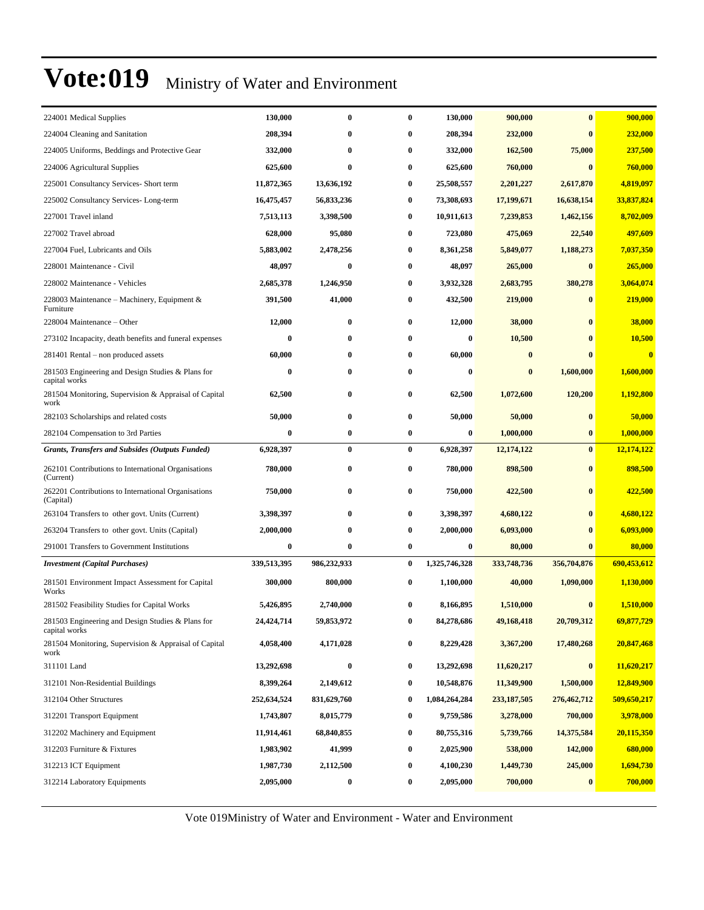| 224001 Medical Supplies                                            | 130,000          | $\bf{0}$     | 0        | 130,000       | 900,000       | $\bf{0}$     | 900,000     |
|--------------------------------------------------------------------|------------------|--------------|----------|---------------|---------------|--------------|-------------|
| 224004 Cleaning and Sanitation                                     | 208,394          | 0            | 0        | 208,394       | 232,000       | $\bf{0}$     | 232,000     |
| 224005 Uniforms, Beddings and Protective Gear                      | 332,000          | $\mathbf{0}$ | 0        | 332,000       | 162,500       | 75,000       | 237,500     |
| 224006 Agricultural Supplies                                       | 625,600          | $\bf{0}$     | 0        | 625,600       | 760,000       | $\mathbf{0}$ | 760,000     |
| 225001 Consultancy Services- Short term                            | 11,872,365       | 13,636,192   | 0        | 25,508,557    | 2,201,227     | 2,617,870    | 4,819,097   |
| 225002 Consultancy Services-Long-term                              | 16,475,457       | 56,833,236   | 0        | 73,308,693    | 17,199,671    | 16,638,154   | 33,837,824  |
| 227001 Travel inland                                               | 7,513,113        | 3,398,500    | 0        | 10,911,613    | 7,239,853     | 1,462,156    | 8,702,009   |
| 227002 Travel abroad                                               | 628,000          | 95,080       | 0        | 723,080       | 475,069       | 22,540       | 497,609     |
| 227004 Fuel, Lubricants and Oils                                   | 5,883,002        | 2,478,256    | 0        | 8,361,258     | 5,849,077     | 1,188,273    | 7,037,350   |
| 228001 Maintenance - Civil                                         | 48,097           | $\bf{0}$     | 0        | 48,097        | 265,000       | $\mathbf{0}$ | 265,000     |
| 228002 Maintenance - Vehicles                                      | 2,685,378        | 1,246,950    | 0        | 3,932,328     | 2,683,795     | 380,278      | 3,064,074   |
| 228003 Maintenance – Machinery, Equipment $\&$<br>Furniture        | 391,500          | 41,000       | 0        | 432,500       | 219,000       | $\bf{0}$     | 219,000     |
| 228004 Maintenance – Other                                         | 12,000           | $\bf{0}$     | 0        | 12,000        | 38,000        | $\bf{0}$     | 38,000      |
| 273102 Incapacity, death benefits and funeral expenses             | $\bf{0}$         | $\bf{0}$     | 0        | 0             | 10,500        | $\mathbf{0}$ | 10,500      |
| 281401 Rental – non produced assets                                | 60,000           | $\bf{0}$     | 0        | 60,000        | $\bf{0}$      | $\bf{0}$     | $\bf{0}$    |
| 281503 Engineering and Design Studies & Plans for<br>capital works | $\bf{0}$         | $\bf{0}$     | 0        | 0             | $\bf{0}$      | 1,600,000    | 1,600,000   |
| 281504 Monitoring, Supervision & Appraisal of Capital<br>work      | 62,500           | $\bf{0}$     | 0        | 62,500        | 1,072,600     | 120,200      | 1,192,800   |
| 282103 Scholarships and related costs                              | 50,000           | $\bf{0}$     | 0        | 50,000        | 50,000        | $\bf{0}$     | 50,000      |
| 282104 Compensation to 3rd Parties                                 | $\bf{0}$         | $\bf{0}$     | 0        | 0             | 1,000,000     | $\bf{0}$     | 1,000,000   |
| <b>Grants, Transfers and Subsides (Outputs Funded)</b>             | 6,928,397        | $\bf{0}$     | $\bf{0}$ | 6,928,397     | 12,174,122    | $\bf{0}$     | 12,174,122  |
| 262101 Contributions to International Organisations<br>(Current)   | 780,000          | $\bf{0}$     | 0        | 780,000       | 898,500       | $\bf{0}$     | 898,500     |
| 262201 Contributions to International Organisations<br>(Capital)   | 750,000          | $\bf{0}$     | 0        | 750,000       | 422,500       | $\bf{0}$     | 422,500     |
| 263104 Transfers to other govt. Units (Current)                    | 3,398,397        | $\bf{0}$     | 0        | 3,398,397     | 4,680,122     | $\bf{0}$     | 4,680,122   |
| 263204 Transfers to other govt. Units (Capital)                    | 2,000,000        | $\bf{0}$     | 0        | 2,000,000     | 6,093,000     | $\mathbf{0}$ | 6,093,000   |
| 291001 Transfers to Government Institutions                        | $\boldsymbol{0}$ | $\bf{0}$     | 0        | $\bf{0}$      | 80,000        | $\bf{0}$     | 80,000      |
| <b>Investment</b> (Capital Purchases)                              | 339,513,395      | 986,232,933  | 0        | 1,325,746,328 | 333,748,736   | 356,704,876  | 690,453,612 |
| 281501 Environment Impact Assessment for Capital<br>Works          | 300,000          | 800,000      | 0        | 1,100,000     | 40,000        | 1,090,000    | 1,130,000   |
| 281502 Feasibility Studies for Capital Works                       | 5,426,895        | 2,740,000    | 0        | 8,166,895     | 1,510,000     | $\mathbf 0$  | 1,510,000   |
| 281503 Engineering and Design Studies & Plans for<br>capital works | 24,424,714       | 59,853,972   |          | 84,278,686    | 49,168,418    | 20,709,312   | 69,877,729  |
| 281504 Monitoring, Supervision & Appraisal of Capital<br>work      | 4,058,400        | 4,171,028    | 0        | 8,229,428     | 3,367,200     | 17,480,268   | 20,847,468  |
| 311101 Land                                                        | 13,292,698       | $\bf{0}$     | 0        | 13,292,698    | 11,620,217    | $\bf{0}$     | 11,620,217  |
| 312101 Non-Residential Buildings                                   | 8,399,264        | 2,149,612    | 0        | 10,548,876    | 11,349,900    | 1,500,000    | 12,849,900  |
| 312104 Other Structures                                            | 252,634,524      | 831,629,760  | 0        | 1,084,264,284 | 233, 187, 505 | 276,462,712  | 509,650,217 |
| 312201 Transport Equipment                                         | 1,743,807        | 8,015,779    | 0        | 9,759,586     | 3,278,000     | 700,000      | 3,978,000   |
| 312202 Machinery and Equipment                                     | 11,914,461       | 68,840,855   | 0        | 80,755,316    | 5,739,766     | 14,375,584   | 20,115,350  |
| 312203 Furniture & Fixtures                                        | 1,983,902        | 41,999       | 0        | 2,025,900     | 538,000       | 142,000      | 680,000     |
| 312213 ICT Equipment                                               | 1,987,730        | 2,112,500    | 0        | 4,100,230     | 1,449,730     | 245,000      | 1,694,730   |
| 312214 Laboratory Equipments                                       | 2,095,000        | $\bf{0}$     | 0        | 2,095,000     | 700,000       | $\bf{0}$     | 700,000     |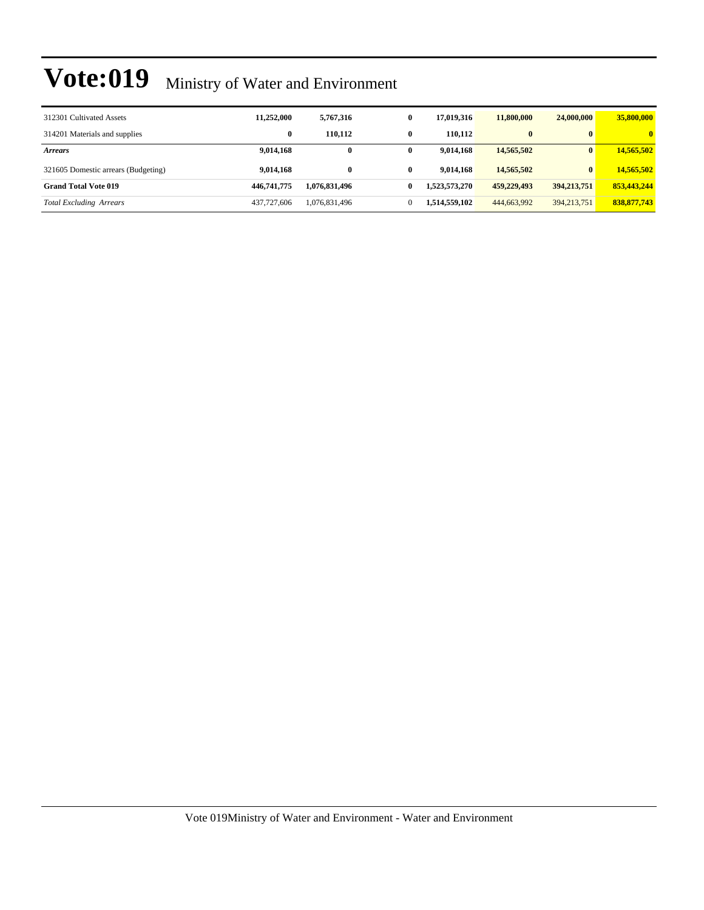| 312301 Cultivated Assets            | 11,252,000  | 5,767,316     | $\bf{0}$ | 17.019.316    | 11,800,000  | 24,000,000    | 35,800,000   |
|-------------------------------------|-------------|---------------|----------|---------------|-------------|---------------|--------------|
| 314201 Materials and supplies       | $\bf{0}$    | 110.112       | 0        | 110.112       | $\bf{0}$    | $\mathbf{0}$  | $\mathbf{0}$ |
| <b>Arrears</b>                      | 9,014,168   | $\bf{0}$      | 0        | 9.014.168     | 14,565,502  | $\mathbf{0}$  | 14,565,502   |
| 321605 Domestic arrears (Budgeting) | 9,014,168   | 0             | 0        | 9.014.168     | 14,565,502  | $\mathbf{0}$  | 14,565,502   |
| <b>Grand Total Vote 019</b>         | 446,741,775 | 1.076.831.496 | 0        | 1,523,573,270 | 459,229,493 | 394,213,751   | 853,443,244  |
| <b>Total Excluding Arrears</b>      | 437,727,606 | 1,076,831,496 |          | 1,514,559,102 | 444,663,992 | 394, 213, 751 | 838,877,743  |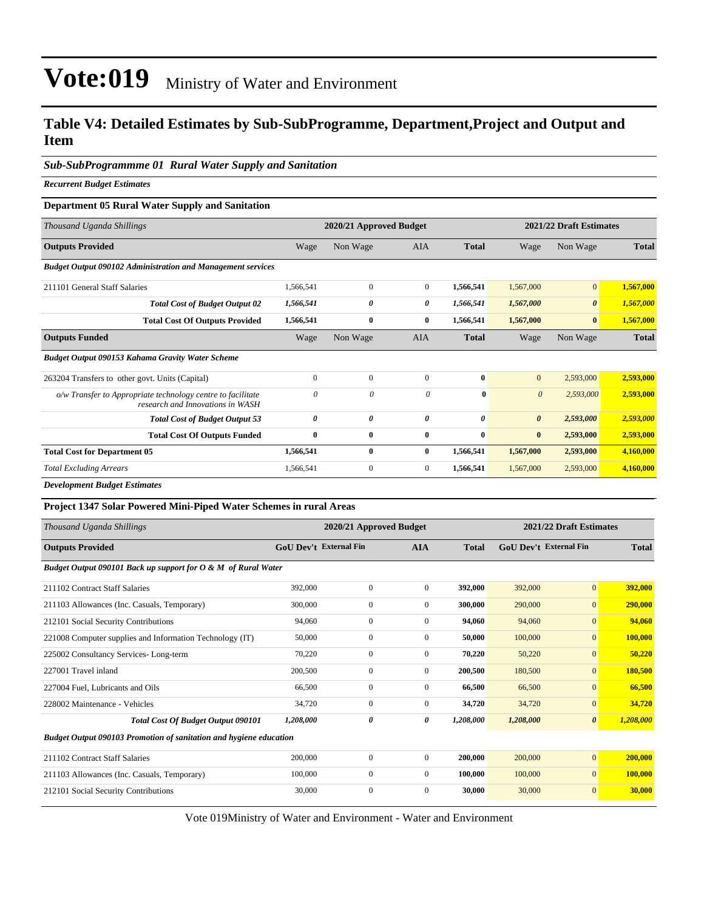#### **Table V4: Detailed Estimates by Sub-SubProgramme, Department,Project and Output and Item**

#### *Sub-SubProgrammme 01 Rural Water Supply and Sanitation*

*Recurrent Budget Estimates*

#### **Department 05 Rural Water Supply and Sanitation**

| Thousand Uganda Shillings                                                                       |              | 2020/21 Approved Budget |                |                       |                       | 2021/22 Draft Estimates |              |
|-------------------------------------------------------------------------------------------------|--------------|-------------------------|----------------|-----------------------|-----------------------|-------------------------|--------------|
| <b>Outputs Provided</b>                                                                         | Wage         | Non Wage                | <b>AIA</b>     | <b>Total</b>          | Wage                  | Non Wage                | <b>Total</b> |
| <b>Budget Output 090102 Administration and Management services</b>                              |              |                         |                |                       |                       |                         |              |
| 211101 General Staff Salaries                                                                   | 1.566.541    | $\Omega$                | $\overline{0}$ | 1.566.541             | 1,567,000             | $\overline{0}$          | 1,567,000    |
| <b>Total Cost of Budget Output 02</b>                                                           | 1,566,541    | 0                       | 0              | 1,566,541             | 1,567,000             | $\boldsymbol{\theta}$   | 1,567,000    |
| <b>Total Cost Of Outputs Provided</b>                                                           | 1,566,541    | $\bf{0}$                | $\bf{0}$       | 1,566,541             | 1,567,000             | $\bf{0}$                | 1,567,000    |
| <b>Outputs Funded</b>                                                                           | Wage         | Non Wage                | <b>AIA</b>     | <b>Total</b>          | Wage                  | Non Wage                | <b>Total</b> |
| Budget Output 090153 Kahama Gravity Water Scheme                                                |              |                         |                |                       |                       |                         |              |
| 263204 Transfers to other govt. Units (Capital)                                                 | $\mathbf{0}$ | $\mathbf{0}$            | $\Omega$       | $\bf{0}$              | $\mathbf{0}$          | 2,593,000               | 2,593,000    |
| o/w Transfer to Appropriate technology centre to facilitate<br>research and Innovations in WASH | $\theta$     | 0                       | $\theta$       | $\mathbf{0}$          | $\theta$              | 2,593,000               | 2,593,000    |
| <b>Total Cost of Budget Output 53</b>                                                           | 0            | 0                       | $\theta$       | $\boldsymbol{\theta}$ | $\boldsymbol{\theta}$ | 2,593,000               | 2,593,000    |
| <b>Total Cost Of Outputs Funded</b>                                                             | $\bf{0}$     | $\bf{0}$                | $\bf{0}$       | $\bf{0}$              | $\bf{0}$              | 2,593,000               | 2,593,000    |
| <b>Total Cost for Department 05</b>                                                             | 1,566,541    | $\bf{0}$                | $\bf{0}$       | 1,566,541             | 1,567,000             | 2,593,000               | 4,160,000    |
| <b>Total Excluding Arrears</b>                                                                  | 1,566,541    | $\mathbf{0}$            | $\overline{0}$ | 1,566,541             | 1,567,000             | 2,593,000               | 4,160,000    |
|                                                                                                 |              |                         |                |                       |                       |                         |              |

*Development Budget Estimates*

| <b>Project 1347 Solar Powered Mini-Piped Water Schemes in rural Areas</b> |                               |                         |                |              |                         |                       |           |
|---------------------------------------------------------------------------|-------------------------------|-------------------------|----------------|--------------|-------------------------|-----------------------|-----------|
| Thousand Uganda Shillings                                                 |                               | 2020/21 Approved Budget |                |              | 2021/22 Draft Estimates |                       |           |
| <b>Outputs Provided</b>                                                   | <b>GoU Dev't External Fin</b> |                         | <b>AIA</b>     | <b>Total</b> | GoU Dev't External Fin  | <b>Total</b>          |           |
| Budget Output 090101 Back up support for O & M of Rural Water             |                               |                         |                |              |                         |                       |           |
| 211102 Contract Staff Salaries                                            | 392,000                       | $\overline{0}$          | $\overline{0}$ | 392,000      | 392,000                 | $\overline{0}$        | 392,000   |
| 211103 Allowances (Inc. Casuals, Temporary)                               | 300,000                       | $\overline{0}$          | $\overline{0}$ | 300,000      | 290,000                 | $\overline{0}$        | 290,000   |
| 212101 Social Security Contributions                                      | 94,060                        | $\boldsymbol{0}$        | $\Omega$       | 94,060       | 94,060                  | $\mathbf{0}$          | 94,060    |
| 221008 Computer supplies and Information Technology (IT)                  | 50,000                        | $\boldsymbol{0}$        | $\Omega$       | 50,000       | 100,000                 | $\mathbf{0}$          | 100,000   |
| 225002 Consultancy Services-Long-term                                     | 70,220                        | $\overline{0}$          | $\Omega$       | 70,220       | 50,220                  | $\mathbf{0}$          | 50,220    |
| 227001 Travel inland                                                      | 200,500                       | $\overline{0}$          | $\mathbf{0}$   | 200,500      | 180,500                 | $\mathbf{0}$          | 180,500   |
| 227004 Fuel, Lubricants and Oils                                          | 66,500                        | $\overline{0}$          | $\Omega$       | 66,500       | 66,500                  | $\mathbf{0}$          | 66,500    |
| 228002 Maintenance - Vehicles                                             | 34,720                        | $\overline{0}$          | $\mathbf{0}$   | 34,720       | 34,720                  | $\mathbf{0}$          | 34,720    |
| <b>Total Cost Of Budget Output 090101</b>                                 | 1,208,000                     | 0                       | 0              | 1,208,000    | 1,208,000               | $\boldsymbol{\theta}$ | 1,208,000 |
| Budget Output 090103 Promotion of sanitation and hygiene education        |                               |                         |                |              |                         |                       |           |
| 211102 Contract Staff Salaries                                            | 200,000                       | $\overline{0}$          | $\mathbf{0}$   | 200,000      | 200,000                 | $\overline{0}$        | 200,000   |
| 211103 Allowances (Inc. Casuals, Temporary)                               | 100,000                       | $\overline{0}$          | $\overline{0}$ | 100,000      | 100,000                 | $\mathbf{0}$          | 100,000   |
| 212101 Social Security Contributions                                      | 30,000                        | $\mathbf{0}$            | $\overline{0}$ | 30,000       | 30,000                  | $\mathbf{0}$          | 30,000    |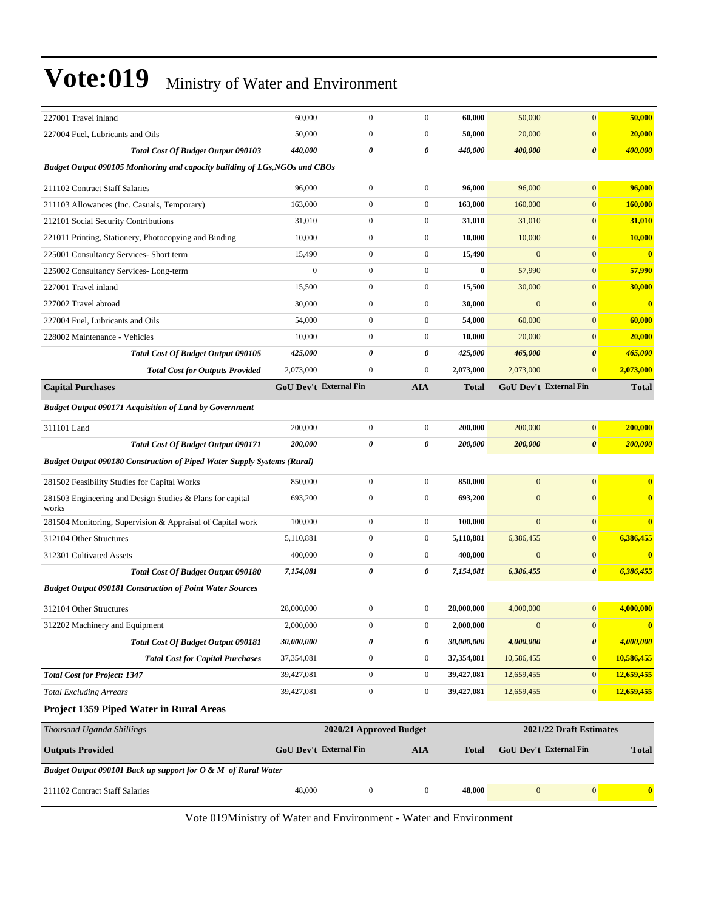| 227001 Travel inland                                                           | 60,000                        | $\boldsymbol{0}$        | $\boldsymbol{0}$ | 60,000       | 50,000           | $\overline{0}$                | 50,000       |
|--------------------------------------------------------------------------------|-------------------------------|-------------------------|------------------|--------------|------------------|-------------------------------|--------------|
| 227004 Fuel, Lubricants and Oils                                               | 50,000                        | $\boldsymbol{0}$        | $\boldsymbol{0}$ | 50,000       | 20,000           | $\overline{0}$                | 20,000       |
| <b>Total Cost Of Budget Output 090103</b>                                      | 440,000                       | 0                       | 0                | 440,000      | 400,000          | 0                             | 400,000      |
| Budget Output 090105 Monitoring and capacity building of LGs, NGOs and CBOs    |                               |                         |                  |              |                  |                               |              |
| 211102 Contract Staff Salaries                                                 | 96,000                        | $\boldsymbol{0}$        | $\boldsymbol{0}$ | 96,000       | 96,000           | $\overline{0}$                | 96,000       |
| 211103 Allowances (Inc. Casuals, Temporary)                                    | 163,000                       | $\boldsymbol{0}$        | $\boldsymbol{0}$ | 163,000      | 160,000          | $\overline{0}$                | 160,000      |
| 212101 Social Security Contributions                                           | 31,010                        | $\boldsymbol{0}$        | $\boldsymbol{0}$ | 31,010       | 31,010           | $\mathbf{0}$                  | 31,010       |
| 221011 Printing, Stationery, Photocopying and Binding                          | 10,000                        | $\boldsymbol{0}$        | $\boldsymbol{0}$ | 10,000       | 10,000           | $\overline{0}$                | 10,000       |
| 225001 Consultancy Services- Short term                                        | 15,490                        | $\mathbf{0}$            | $\boldsymbol{0}$ | 15,490       | $\mathbf{0}$     | $\overline{0}$                | $\bf{0}$     |
| 225002 Consultancy Services-Long-term                                          | $\mathbf{0}$                  | $\mathbf{0}$            | $\boldsymbol{0}$ | $\bf{0}$     | 57,990           | $\mathbf{0}$                  | 57,990       |
| 227001 Travel inland                                                           | 15,500                        | $\boldsymbol{0}$        | $\boldsymbol{0}$ | 15,500       | 30,000           | $\overline{0}$                | 30,000       |
| 227002 Travel abroad                                                           | 30,000                        | $\boldsymbol{0}$        | $\boldsymbol{0}$ | 30,000       | $\mathbf{0}$     | $\overline{0}$                | $\bf{0}$     |
| 227004 Fuel, Lubricants and Oils                                               | 54,000                        | $\boldsymbol{0}$        | $\boldsymbol{0}$ | 54,000       | 60,000           | $\overline{0}$                | 60,000       |
| 228002 Maintenance - Vehicles                                                  | 10,000                        | $\mathbf{0}$            | $\boldsymbol{0}$ | 10,000       | 20,000           | $\overline{0}$                | 20,000       |
| <b>Total Cost Of Budget Output 090105</b>                                      | 425,000                       | 0                       | 0                | 425,000      | 465,000          | $\boldsymbol{\theta}$         | 465,000      |
| <b>Total Cost for Outputs Provided</b>                                         | 2,073,000                     | $\boldsymbol{0}$        | $\boldsymbol{0}$ | 2,073,000    | 2,073,000        | $\overline{0}$                | 2,073,000    |
| <b>Capital Purchases</b>                                                       | <b>GoU Dev't External Fin</b> |                         | AIA              | <b>Total</b> |                  | <b>GoU Dev't External Fin</b> | <b>Total</b> |
| <b>Budget Output 090171 Acquisition of Land by Government</b>                  |                               |                         |                  |              |                  |                               |              |
| 311101 Land                                                                    | 200,000                       | $\boldsymbol{0}$        | $\boldsymbol{0}$ | 200,000      | 200,000          | $\overline{0}$                | 200,000      |
| <b>Total Cost Of Budget Output 090171</b>                                      | 200,000                       | 0                       | 0                | 200,000      | 200,000          | 0                             | 200,000      |
| <b>Budget Output 090180 Construction of Piped Water Supply Systems (Rural)</b> |                               |                         |                  |              |                  |                               |              |
| 281502 Feasibility Studies for Capital Works                                   | 850,000                       | $\mathbf{0}$            | $\boldsymbol{0}$ | 850,000      | $\mathbf{0}$     | $\overline{0}$                | $\bf{0}$     |
| 281503 Engineering and Design Studies & Plans for capital<br>works             | 693,200                       | $\boldsymbol{0}$        | $\boldsymbol{0}$ | 693,200      | $\overline{0}$   | $\Omega$                      | $\mathbf{0}$ |
| 281504 Monitoring, Supervision & Appraisal of Capital work                     | 100,000                       | $\boldsymbol{0}$        | $\boldsymbol{0}$ | 100,000      | $\mathbf{0}$     | $\overline{0}$                | $\bf{0}$     |
| 312104 Other Structures                                                        | 5,110,881                     | $\boldsymbol{0}$        | $\boldsymbol{0}$ | 5,110,881    | 6,386,455        | $\overline{0}$                | 6,386,455    |
| 312301 Cultivated Assets                                                       | 400,000                       | $\mathbf{0}$            | $\mathbf{0}$     | 400,000      | $\mathbf{0}$     | $\overline{0}$                | $\mathbf{0}$ |
| Total Cost Of Budget Output 090180                                             | 7,154,081                     | $\pmb{\theta}$          | 0                | 7,154,081    | 6,386,455        | 0                             | 6,386,455    |
| <b>Budget Output 090181 Construction of Point Water Sources</b>                |                               |                         |                  |              |                  |                               |              |
| 312104 Other Structures                                                        | 28,000,000                    | $\mathbf{0}$            | $\boldsymbol{0}$ | 28,000,000   | 4,000,000        | $\overline{0}$                | 4,000,000    |
| 312202 Machinery and Equipment                                                 | 2,000,000                     | $\boldsymbol{0}$        | $\boldsymbol{0}$ | 2,000,000    | $\mathbf{0}$     | $\vert 0 \vert$               | $\bf{0}$     |
| <b>Total Cost Of Budget Output 090181</b>                                      | 30,000,000                    | $\pmb{\theta}$          | 0                | 30,000,000   | 4,000,000        | 0                             | 4,000,000    |
| <b>Total Cost for Capital Purchases</b>                                        | 37,354,081                    | $\boldsymbol{0}$        | $\boldsymbol{0}$ | 37,354,081   | 10,586,455       | $\boldsymbol{0}$              | 10,586,455   |
| <b>Total Cost for Project: 1347</b>                                            | 39,427,081                    | $\boldsymbol{0}$        | $\boldsymbol{0}$ | 39,427,081   | 12,659,455       | $\mathbf{0}$                  | 12,659,455   |
| <b>Total Excluding Arrears</b>                                                 | 39,427,081                    | $\boldsymbol{0}$        | $\boldsymbol{0}$ | 39,427,081   | 12,659,455       | $\boldsymbol{0}$              | 12,659,455   |
| Project 1359 Piped Water in Rural Areas                                        |                               |                         |                  |              |                  |                               |              |
| Thousand Uganda Shillings                                                      |                               | 2020/21 Approved Budget |                  |              |                  | 2021/22 Draft Estimates       |              |
| <b>Outputs Provided</b>                                                        | <b>GoU Dev't External Fin</b> |                         | <b>AIA</b>       | <b>Total</b> |                  | <b>GoU Dev't External Fin</b> | <b>Total</b> |
| Budget Output 090101 Back up support for O & M of Rural Water                  |                               |                         |                  |              |                  |                               |              |
| 211102 Contract Staff Salaries                                                 | 48,000                        | $\boldsymbol{0}$        | $\boldsymbol{0}$ | 48,000       | $\boldsymbol{0}$ | 0                             | $\bf{0}$     |
|                                                                                |                               |                         |                  |              |                  |                               |              |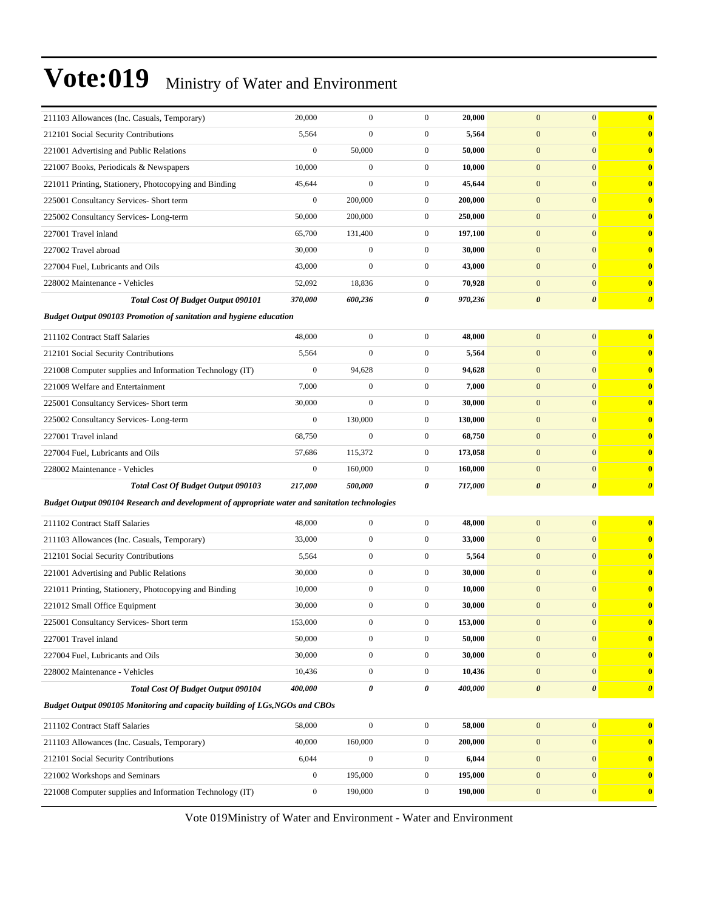| 211103 Allowances (Inc. Casuals, Temporary)                                                    | 20,000           | $\mathbf{0}$     | $\mathbf{0}$     | 20,000  | $\mathbf{0}$          | $\mathbf{0}$          | $\bf{0}$              |
|------------------------------------------------------------------------------------------------|------------------|------------------|------------------|---------|-----------------------|-----------------------|-----------------------|
| 212101 Social Security Contributions                                                           | 5,564            | $\overline{0}$   | $\boldsymbol{0}$ | 5,564   | $\boldsymbol{0}$      | $\mathbf{0}$          | $\bf{0}$              |
| 221001 Advertising and Public Relations                                                        | $\boldsymbol{0}$ | 50,000           | $\boldsymbol{0}$ | 50,000  | $\boldsymbol{0}$      | $\boldsymbol{0}$      | $\bf{0}$              |
| 221007 Books, Periodicals & Newspapers                                                         | 10,000           | $\boldsymbol{0}$ | $\boldsymbol{0}$ | 10,000  | $\boldsymbol{0}$      | $\mathbf{0}$          | $\bf{0}$              |
| 221011 Printing, Stationery, Photocopying and Binding                                          | 45,644           | $\mathbf{0}$     | $\boldsymbol{0}$ | 45,644  | $\mathbf{0}$          | $\mathbf{0}$          | $\bf{0}$              |
| 225001 Consultancy Services- Short term                                                        | $\boldsymbol{0}$ | 200,000          | $\boldsymbol{0}$ | 200,000 | $\mathbf{0}$          | $\mathbf{0}$          | $\bf{0}$              |
| 225002 Consultancy Services-Long-term                                                          | 50,000           | 200,000          | $\boldsymbol{0}$ | 250,000 | $\boldsymbol{0}$      | $\overline{0}$        | $\bf{0}$              |
| 227001 Travel inland                                                                           | 65,700           | 131,400          | $\boldsymbol{0}$ | 197,100 | $\boldsymbol{0}$      | $\boldsymbol{0}$      | $\bf{0}$              |
| 227002 Travel abroad                                                                           | 30,000           | $\boldsymbol{0}$ | $\boldsymbol{0}$ | 30,000  | $\boldsymbol{0}$      | $\mathbf{0}$          | $\bf{0}$              |
| 227004 Fuel, Lubricants and Oils                                                               | 43,000           | $\boldsymbol{0}$ | $\boldsymbol{0}$ | 43,000  | $\mathbf{0}$          | $\mathbf{0}$          | $\bf{0}$              |
| 228002 Maintenance - Vehicles                                                                  | 52,092           | 18,836           | 0                | 70,928  | $\mathbf{0}$          | $\mathbf{0}$          | $\bf{0}$              |
| <b>Total Cost Of Budget Output 090101</b>                                                      | 370,000          | 600,236          | 0                | 970,236 | $\boldsymbol{\theta}$ | $\boldsymbol{\theta}$ | $\boldsymbol{\theta}$ |
| <b>Budget Output 090103 Promotion of sanitation and hygiene education</b>                      |                  |                  |                  |         |                       |                       |                       |
| 211102 Contract Staff Salaries                                                                 | 48,000           | $\boldsymbol{0}$ | $\boldsymbol{0}$ | 48,000  | $\boldsymbol{0}$      | $\boldsymbol{0}$      | $\bf{0}$              |
| 212101 Social Security Contributions                                                           | 5,564            | $\overline{0}$   | $\boldsymbol{0}$ | 5,564   | $\boldsymbol{0}$      | $\mathbf{0}$          | $\bf{0}$              |
| 221008 Computer supplies and Information Technology (IT)                                       | $\boldsymbol{0}$ | 94,628           | $\boldsymbol{0}$ | 94,628  | $\boldsymbol{0}$      | $\mathbf{0}$          | $\bf{0}$              |
| 221009 Welfare and Entertainment                                                               | 7,000            | $\boldsymbol{0}$ | $\boldsymbol{0}$ | 7,000   | $\boldsymbol{0}$      | $\mathbf{0}$          | $\bf{0}$              |
| 225001 Consultancy Services- Short term                                                        | 30,000           | $\overline{0}$   | $\boldsymbol{0}$ | 30,000  | $\mathbf{0}$          | $\overline{0}$        | $\bf{0}$              |
| 225002 Consultancy Services-Long-term                                                          | $\boldsymbol{0}$ | 130,000          | $\boldsymbol{0}$ | 130,000 | $\mathbf{0}$          | $\mathbf{0}$          | $\bf{0}$              |
| 227001 Travel inland                                                                           | 68,750           | $\mathbf 0$      | $\boldsymbol{0}$ | 68,750  | $\boldsymbol{0}$      | $\mathbf{0}$          | $\bf{0}$              |
| 227004 Fuel, Lubricants and Oils                                                               | 57,686           | 115,372          | $\boldsymbol{0}$ | 173,058 | $\boldsymbol{0}$      | $\mathbf{0}$          | $\bf{0}$              |
| 228002 Maintenance - Vehicles                                                                  | $\boldsymbol{0}$ | 160,000          | $\boldsymbol{0}$ | 160,000 | $\mathbf{0}$          | $\mathbf{0}$          | $\bf{0}$              |
| <b>Total Cost Of Budget Output 090103</b>                                                      | 217,000          | 500,000          | 0                | 717,000 | $\boldsymbol{\theta}$ | $\boldsymbol{\theta}$ | $\boldsymbol{\theta}$ |
| Budget Output 090104 Research and development of appropriate water and sanitation technologies |                  |                  |                  |         |                       |                       |                       |
| 211102 Contract Staff Salaries                                                                 | 48,000           | $\boldsymbol{0}$ | $\boldsymbol{0}$ | 48,000  | $\boldsymbol{0}$      | $\mathbf{0}$          | $\bf{0}$              |
| 211103 Allowances (Inc. Casuals, Temporary)                                                    | 33,000           | $\boldsymbol{0}$ | $\boldsymbol{0}$ | 33,000  | $\boldsymbol{0}$      | $\mathbf{0}$          | $\bf{0}$              |
| 212101 Social Security Contributions                                                           | 5,564            | $\mathbf{0}$     | $\boldsymbol{0}$ | 5,564   | $\mathbf{0}$          | $\mathbf{0}$          | $\bf{0}$              |
| 221001 Advertising and Public Relations                                                        | 30,000           | $\boldsymbol{0}$ | $\boldsymbol{0}$ | 30,000  | $\mathbf{0}$          | $\mathbf{0}$          | 0                     |
| 221011 Printing, Stationery, Photocopying and Binding                                          | 10,000           | $\boldsymbol{0}$ | $\boldsymbol{0}$ | 10,000  | $\mathbf{0}$          | $\mathbf{0}$          | $\bf{0}$              |
| 221012 Small Office Equipment                                                                  | 30,000           | $\boldsymbol{0}$ | $\boldsymbol{0}$ | 30,000  | $\mathbf{0}$          | $\mathbf{0}$          | $\bf{0}$              |
| 225001 Consultancy Services- Short term                                                        | 153,000          | $\boldsymbol{0}$ | 0                | 153,000 | $\boldsymbol{0}$      | $\boldsymbol{0}$      | 0                     |
| 227001 Travel inland                                                                           | 50,000           | $\boldsymbol{0}$ | $\boldsymbol{0}$ | 50,000  | $\boldsymbol{0}$      | $\boldsymbol{0}$      | $\bf{0}$              |
| 227004 Fuel, Lubricants and Oils                                                               | 30,000           | $\boldsymbol{0}$ | $\boldsymbol{0}$ | 30,000  | $\boldsymbol{0}$      | $\mathbf{0}$          | $\bf{0}$              |
| 228002 Maintenance - Vehicles                                                                  | 10,436           | $\boldsymbol{0}$ | $\boldsymbol{0}$ | 10,436  | $\boldsymbol{0}$      | $\mathbf{0}$          | $\bf{0}$              |
| Total Cost Of Budget Output 090104                                                             | 400,000          | 0                | 0                | 400,000 | $\pmb{\theta}$        | $\boldsymbol{\theta}$ | $\boldsymbol{\theta}$ |
| Budget Output 090105 Monitoring and capacity building of LGs, NGOs and CBOs                    |                  |                  |                  |         |                       |                       |                       |
| 211102 Contract Staff Salaries                                                                 | 58,000           | $\boldsymbol{0}$ | $\boldsymbol{0}$ | 58,000  | $\boldsymbol{0}$      | $\mathbf{0}$          | $\bf{0}$              |
| 211103 Allowances (Inc. Casuals, Temporary)                                                    | 40,000           | 160,000          | $\boldsymbol{0}$ | 200,000 | $\boldsymbol{0}$      | $\mathbf{0}$          | $\bf{0}$              |
| 212101 Social Security Contributions                                                           | 6,044            | $\overline{0}$   | 0                | 6,044   | $\boldsymbol{0}$      | $\mathbf{0}$          | $\bf{0}$              |
| 221002 Workshops and Seminars                                                                  | $\boldsymbol{0}$ | 195,000          | $\boldsymbol{0}$ | 195,000 | $\boldsymbol{0}$      | $\mathbf{0}$          | $\bf{0}$              |
| 221008 Computer supplies and Information Technology (IT)                                       | $\boldsymbol{0}$ | 190,000          | $\boldsymbol{0}$ | 190,000 | $\boldsymbol{0}$      | $\mathbf{0}$          | $\bf{0}$              |
|                                                                                                |                  |                  |                  |         |                       |                       |                       |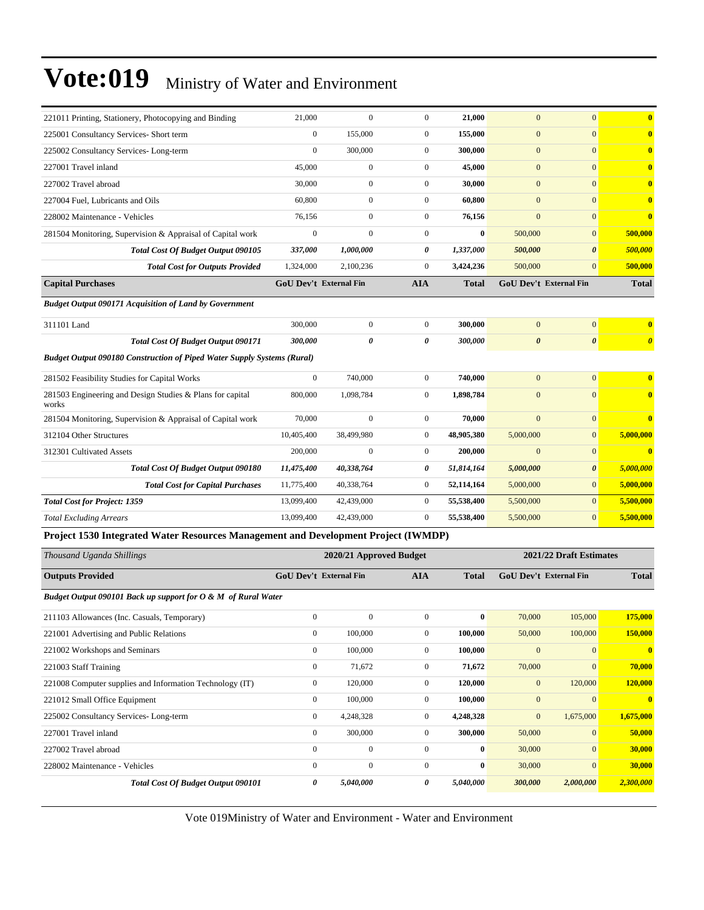| 221011 Printing, Stationery, Photocopying and Binding                              | 21,000                 | $\boldsymbol{0}$        | $\boldsymbol{0}$ | 21,000       | $\mathbf{0}$          | $\mathbf{0}$            | $\bf{0}$                |
|------------------------------------------------------------------------------------|------------------------|-------------------------|------------------|--------------|-----------------------|-------------------------|-------------------------|
| 225001 Consultancy Services- Short term                                            | $\boldsymbol{0}$       | 155,000                 | $\boldsymbol{0}$ | 155,000      | $\boldsymbol{0}$      | $\mathbf{0}$            | $\mathbf{0}$            |
| 225002 Consultancy Services-Long-term                                              | $\boldsymbol{0}$       | 300,000                 | $\boldsymbol{0}$ | 300,000      | $\mathbf{0}$          | $\overline{0}$          | $\mathbf{0}$            |
| 227001 Travel inland                                                               | 45,000                 | $\boldsymbol{0}$        | $\boldsymbol{0}$ | 45,000       | $\mathbf{0}$          | $\mathbf{0}$            | $\mathbf{0}$            |
| 227002 Travel abroad                                                               | 30,000                 | $\boldsymbol{0}$        | $\boldsymbol{0}$ | 30,000       | $\mathbf{0}$          | $\mathbf{0}$            | $\overline{\mathbf{0}}$ |
| 227004 Fuel, Lubricants and Oils                                                   | 60,800                 | $\boldsymbol{0}$        | $\boldsymbol{0}$ | 60,800       | $\mathbf{0}$          | $\mathbf{0}$            | $\bf{0}$                |
| 228002 Maintenance - Vehicles                                                      | 76,156                 | $\boldsymbol{0}$        | $\boldsymbol{0}$ | 76,156       | $\mathbf{0}$          | $\mathbf{0}$            | $\overline{\mathbf{0}}$ |
| 281504 Monitoring, Supervision & Appraisal of Capital work                         | $\boldsymbol{0}$       | $\boldsymbol{0}$        | $\boldsymbol{0}$ | $\bf{0}$     | 500,000               | $\mathbf{0}$            | 500,000                 |
| <b>Total Cost Of Budget Output 090105</b>                                          | 337,000                | 1,000,000               | 0                | 1,337,000    | 500,000               | $\boldsymbol{\theta}$   | 500,000                 |
| <b>Total Cost for Outputs Provided</b>                                             | 1,324,000              | 2,100,236               | $\boldsymbol{0}$ | 3,424,236    | 500,000               | $\mathbf{0}$            | 500,000                 |
| <b>Capital Purchases</b>                                                           | GoU Dev't External Fin |                         | <b>AIA</b>       | <b>Total</b> |                       | GoU Dev't External Fin  | <b>Total</b>            |
| <b>Budget Output 090171 Acquisition of Land by Government</b>                      |                        |                         |                  |              |                       |                         |                         |
| 311101 Land                                                                        | 300,000                | $\boldsymbol{0}$        | $\boldsymbol{0}$ | 300,000      | $\mathbf{0}$          | $\boldsymbol{0}$        | $\bf{0}$                |
| <b>Total Cost Of Budget Output 090171</b>                                          | 300,000                | 0                       | 0                | 300,000      | $\boldsymbol{\theta}$ | $\pmb{\theta}$          | $\boldsymbol{\theta}$   |
| <b>Budget Output 090180 Construction of Piped Water Supply Systems (Rural)</b>     |                        |                         |                  |              |                       |                         |                         |
| 281502 Feasibility Studies for Capital Works                                       | $\boldsymbol{0}$       | 740,000                 | $\boldsymbol{0}$ | 740,000      | $\mathbf{0}$          | $\mathbf{0}$            | $\overline{\mathbf{0}}$ |
| 281503 Engineering and Design Studies & Plans for capital<br>works                 | 800,000                | 1,098,784               | $\boldsymbol{0}$ | 1,898,784    | $\mathbf{0}$          | $\mathbf{0}$            | $\mathbf{0}$            |
| 281504 Monitoring, Supervision & Appraisal of Capital work                         | 70,000                 | $\boldsymbol{0}$        | $\boldsymbol{0}$ | 70,000       | $\mathbf{0}$          | $\mathbf{0}$            | $\overline{\mathbf{0}}$ |
| 312104 Other Structures                                                            | 10,405,400             | 38,499,980              | $\boldsymbol{0}$ | 48,905,380   | 5,000,000             | $\mathbf{0}$            | 5,000,000               |
| 312301 Cultivated Assets                                                           | 200,000                | $\boldsymbol{0}$        | $\boldsymbol{0}$ | 200,000      | $\mathbf{0}$          | $\mathbf{0}$            | $\overline{\mathbf{0}}$ |
| <b>Total Cost Of Budget Output 090180</b>                                          | 11,475,400             | 40,338,764              | 0                | 51,814,164   | 5,000,000             | $\boldsymbol{\theta}$   | 5,000,000               |
| <b>Total Cost for Capital Purchases</b>                                            | 11,775,400             | 40,338,764              | $\boldsymbol{0}$ | 52,114,164   | 5,000,000             | $\mathbf{0}$            | 5,000,000               |
| <b>Total Cost for Project: 1359</b>                                                | 13,099,400             | 42,439,000              | $\mathbf{0}$     | 55,538,400   | 5,500,000             | $\overline{0}$          | 5,500,000               |
| <b>Total Excluding Arrears</b>                                                     | 13,099,400             | 42,439,000              | $\boldsymbol{0}$ | 55,538,400   | 5,500,000             | $\mathbf{0}$            | 5,500,000               |
| Project 1530 Integrated Water Resources Management and Development Project (IWMDP) |                        |                         |                  |              |                       |                         |                         |
| Thousand Uganda Shillings                                                          |                        | 2020/21 Approved Budget |                  |              |                       | 2021/22 Draft Estimates |                         |
| <b>Outputs Provided</b>                                                            | GoU Dev't External Fin |                         | <b>AIA</b>       | <b>Total</b> |                       | GoU Dev't External Fin  | <b>Total</b>            |
| Budget Output 090101 Back up support for O & M of Rural Water                      |                        |                         |                  |              |                       |                         |                         |
| 211103 Allowances (Inc. Casuals, Temporary)                                        | $\mathbf{0}$           | $\mathbf{0}$            | $\boldsymbol{0}$ | $\bf{0}$     | 70,000                | 105,000                 | 175,000                 |
| 221001 Advertising and Public Relations                                            | $\mathbf{0}$           | 100,000                 | $\boldsymbol{0}$ | 100,000      | 50,000                | 100,000                 | 150,000                 |
| 221002 Workshops and Seminars                                                      | $\boldsymbol{0}$       | 100,000                 | $\boldsymbol{0}$ | 100,000      | $\boldsymbol{0}$      | $\boldsymbol{0}$        | $\bf{0}$                |
| 221003 Staff Training                                                              | $\boldsymbol{0}$       | 71,672                  | $\boldsymbol{0}$ | 71,672       | 70,000                | $\boldsymbol{0}$        | 70,000                  |
| 221008 Computer supplies and Information Technology (IT)                           | $\boldsymbol{0}$       | 120,000                 | $\boldsymbol{0}$ | 120,000      | $\boldsymbol{0}$      | 120,000                 | 120,000                 |
| 221012 Small Office Equipment                                                      | $\mathbf{0}$           | 100,000                 | $\boldsymbol{0}$ | 100,000      | $\boldsymbol{0}$      | $\boldsymbol{0}$        | $\bf{0}$                |
| 225002 Consultancy Services-Long-term                                              | $\boldsymbol{0}$       | 4,248,328               | $\boldsymbol{0}$ | 4,248,328    | $\boldsymbol{0}$      | 1,675,000               | 1,675,000               |
| 227001 Travel inland                                                               | $\overline{0}$         | 300,000                 | $\boldsymbol{0}$ | 300,000      | 50,000                | $\mathbf{0}$            | 50,000                  |
| 227002 Travel abroad                                                               | $\boldsymbol{0}$       | $\boldsymbol{0}$        | $\boldsymbol{0}$ | $\bf{0}$     | 30,000                | $\boldsymbol{0}$        | 30,000                  |
| 228002 Maintenance - Vehicles                                                      | $\boldsymbol{0}$       | $\boldsymbol{0}$        | $\boldsymbol{0}$ | $\bf{0}$     | 30,000                | $\mathbf{0}$            | 30,000                  |
| Total Cost Of Budget Output 090101                                                 | 0                      | 5,040,000               | 0                | 5,040,000    | 300,000               | 2,000,000               | 2,300,000               |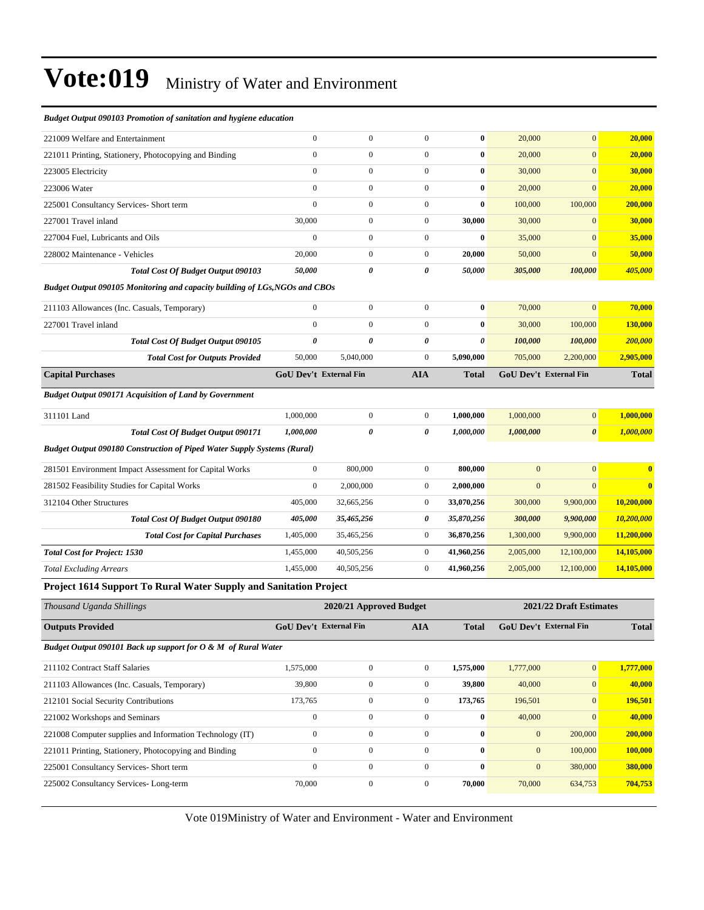| Budget Output 090103 Promotion of sanitation and hygiene education          |                               |                         |                       |                       |                |                         |              |
|-----------------------------------------------------------------------------|-------------------------------|-------------------------|-----------------------|-----------------------|----------------|-------------------------|--------------|
| 221009 Welfare and Entertainment                                            | $\Omega$                      | $\boldsymbol{0}$        | $\boldsymbol{0}$      | $\bf{0}$              | 20,000         | $\mathbf{0}$            | 20,000       |
| 221011 Printing, Stationery, Photocopying and Binding                       | $\mathbf{0}$                  | $\overline{0}$          | $\overline{0}$        | $\bf{0}$              | 20,000         | $\overline{0}$          | 20,000       |
| 223005 Electricity                                                          | $\mathbf{0}$                  | $\overline{0}$          | $\overline{0}$        | $\bf{0}$              | 30,000         | $\mathbf{0}$            | 30,000       |
| 223006 Water                                                                | $\overline{0}$                | $\overline{0}$          | $\boldsymbol{0}$      | $\bf{0}$              | 20,000         | $\overline{0}$          | 20,000       |
| 225001 Consultancy Services- Short term                                     | $\mathbf{0}$                  | $\overline{0}$          | $\overline{0}$        | $\bf{0}$              | 100,000        | 100,000                 | 200,000      |
| 227001 Travel inland                                                        | 30,000                        | $\overline{0}$          | $\boldsymbol{0}$      | 30,000                | 30,000         | $\mathbf{0}$            | 30,000       |
| 227004 Fuel, Lubricants and Oils                                            | $\mathbf{0}$                  | $\overline{0}$          | $\boldsymbol{0}$      | $\bf{0}$              | 35,000         | $\mathbf{0}$            | 35,000       |
| 228002 Maintenance - Vehicles                                               | 20,000                        | $\boldsymbol{0}$        | $\boldsymbol{0}$      | 20,000                | 50,000         | $\mathbf{0}$            | 50,000       |
| <b>Total Cost Of Budget Output 090103</b>                                   | 50,000                        | 0                       | 0                     | 50,000                | 305,000        | 100,000                 | 405,000      |
| Budget Output 090105 Monitoring and capacity building of LGs, NGOs and CBOs |                               |                         |                       |                       |                |                         |              |
| 211103 Allowances (Inc. Casuals, Temporary)                                 | $\mathbf{0}$                  | $\boldsymbol{0}$        | $\boldsymbol{0}$      | $\bf{0}$              | 70,000         | $\mathbf{0}$            | 70,000       |
| 227001 Travel inland                                                        | $\overline{0}$                | $\overline{0}$          | $\overline{0}$        | $\bf{0}$              | 30,000         | 100,000                 | 130,000      |
| Total Cost Of Budget Output 090105                                          | $\boldsymbol{\theta}$         | $\theta$                | $\theta$              | $\boldsymbol{\theta}$ | 100,000        | 100,000                 | 200,000      |
| <b>Total Cost for Outputs Provided</b>                                      | 50,000                        | 5,040,000               | $\boldsymbol{0}$      | 5,090,000             | 705,000        | 2,200,000               | 2,905,000    |
| <b>Capital Purchases</b>                                                    | <b>GoU Dev't External Fin</b> |                         | <b>AIA</b>            | Total                 |                | GoU Dev't External Fin  | <b>Total</b> |
| <b>Budget Output 090171 Acquisition of Land by Government</b>               |                               |                         |                       |                       |                |                         |              |
| 311101 Land                                                                 | 1,000,000                     | $\mathbf{0}$            | $\boldsymbol{0}$      | 1,000,000             | 1,000,000      | $\mathbf{0}$            | 1,000,000    |
| <b>Total Cost Of Budget Output 090171</b>                                   | 1,000,000                     | $\theta$                | $\boldsymbol{\theta}$ | 1,000,000             | 1,000,000      | $\boldsymbol{\theta}$   | 1,000,000    |
| Budget Output 090180 Construction of Piped Water Supply Systems (Rural)     |                               |                         |                       |                       |                |                         |              |
| 281501 Environment Impact Assessment for Capital Works                      | $\mathbf{0}$                  | 800,000                 | $\mathbf{0}$          | 800,000               | $\overline{0}$ | $\mathbf{0}$            | $\bf{0}$     |
| 281502 Feasibility Studies for Capital Works                                | $\mathbf{0}$                  | 2,000,000               | $\boldsymbol{0}$      | 2,000,000             | $\overline{0}$ | $\Omega$                |              |
| 312104 Other Structures                                                     | 405,000                       | 32,665,256              | $\boldsymbol{0}$      | 33,070,256            | 300,000        | 9,900,000               | 10,200,000   |
| Total Cost Of Budget Output 090180                                          | 405,000                       | 35,465,256              | 0                     | 35,870,256            | 300,000        | 9,900,000               | 10,200,000   |
| <b>Total Cost for Capital Purchases</b>                                     | 1,405,000                     | 35,465,256              | $\mathbf{0}$          | 36,870,256            | 1,300,000      | 9,900,000               | 11,200,000   |
| <b>Total Cost for Project: 1530</b>                                         | 1,455,000                     | 40,505,256              | $\mathbf{0}$          | 41,960,256            | 2,005,000      | 12,100,000              | 14,105,000   |
| <b>Total Excluding Arrears</b>                                              | 1,455,000                     | 40,505,256              | $\boldsymbol{0}$      | 41,960,256            | 2,005,000      | 12,100,000              | 14,105,000   |
| <b>Project 1614 Support To Rural Water Supply and Sanitation Project</b>    |                               |                         |                       |                       |                |                         |              |
| Thousand Uganda Shillings                                                   |                               | 2020/21 Approved Budget |                       |                       |                | 2021/22 Draft Estimates |              |
| <b>Outputs Provided</b>                                                     | GoU Dev't External Fin        |                         | <b>AIA</b>            | <b>Total</b>          |                | GoU Dev't External Fin  | <b>Total</b> |
| Budget Output 090101 Back up support for O & M of Rural Water               |                               |                         |                       |                       |                |                         |              |
| 211102 Contract Staff Salaries                                              | 1,575,000                     | $\boldsymbol{0}$        | $\boldsymbol{0}$      | 1,575,000             | 1,777,000      | $\mathbf{0}$            | 1,777,000    |
| 211103 Allowances (Inc. Casuals, Temporary)                                 | 39,800                        | $\boldsymbol{0}$        | $\boldsymbol{0}$      | 39,800                | 40,000         | $\boldsymbol{0}$        | 40,000       |
| 212101 Social Security Contributions                                        | 173,765                       | $\overline{0}$          | $\mathbf{0}$          | 173,765               | 196,501        | $\mathbf{0}$            | 196,501      |

Vote 019Ministry of Water and Environment - Water and Environment

221002 Workshops and Seminars 0 0 0 **0** 40,000 0 **40,000** 221008 Computer supplies and Information Technology (IT) 0 0 0 **0** 0 200,000 **200,000** 221011 Printing, Stationery, Photocopying and Binding 0 0 0 **0** 0 100,000 **100,000** 225001 Consultancy Services- Short term 0 0 0 **0** 0 380,000 **380,000** 225002 Consultancy Services- Long-term 70,000 0 0 **70,000** 70,000 634,753 **704,753**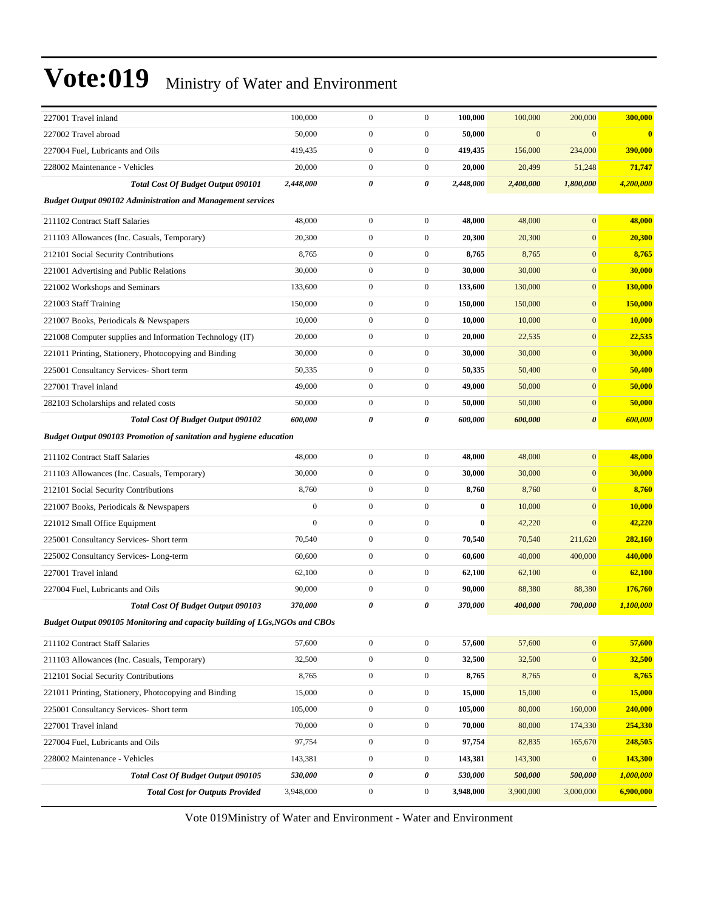| $\boldsymbol{0}$<br>$\boldsymbol{0}$<br>227002 Travel abroad<br>50,000<br>50,000<br>$\mathbf{0}$<br>$\mathbf{0}$<br>$\bf{0}$<br>$\boldsymbol{0}$<br>$\boldsymbol{0}$<br>419,435<br>419,435<br>234,000<br>390,000<br>227004 Fuel, Lubricants and Oils<br>156,000<br>$\boldsymbol{0}$<br>20,000<br>$\boldsymbol{0}$<br>20,000<br>20,499<br>51,248<br>71,747<br>228002 Maintenance - Vehicles<br>0<br>2,448,000<br>0<br>2,448,000<br>2,400,000<br>4,200,000<br><b>Total Cost Of Budget Output 090101</b><br>1,800,000<br><b>Budget Output 090102 Administration and Management services</b><br>48,000<br>$\boldsymbol{0}$<br>$\mathbf{0}$<br>211102 Contract Staff Salaries<br>$\boldsymbol{0}$<br>48,000<br>48,000<br>48,000<br>$\boldsymbol{0}$<br>$\boldsymbol{0}$<br>$\mathbf{0}$<br>20,300<br>20,300<br>20,300<br>20,300<br>211103 Allowances (Inc. Casuals, Temporary)<br>$\boldsymbol{0}$<br>$\boldsymbol{0}$<br>8,765<br>8,765<br>$\mathbf{0}$<br>8,765<br>212101 Social Security Contributions<br>8,765<br>30,000<br>30,000<br>$\boldsymbol{0}$<br>$\boldsymbol{0}$<br>30,000<br>30,000<br>$\mathbf{0}$<br>221001 Advertising and Public Relations<br>$\boldsymbol{0}$<br>133,600<br>$\boldsymbol{0}$<br>133,600<br>130,000<br>$\mathbf{0}$<br>130,000<br>221002 Workshops and Seminars<br>$\boldsymbol{0}$<br>$\mathbf{0}$<br>221003 Staff Training<br>150,000<br>$\boldsymbol{0}$<br>150,000<br>150,000<br>150,000<br>$\boldsymbol{0}$<br>$\boldsymbol{0}$<br>221007 Books, Periodicals & Newspapers<br>10,000<br>10,000<br>10,000<br>$\mathbf{0}$<br>10,000<br>$\boldsymbol{0}$<br>$\boldsymbol{0}$<br>20,000<br>20,000<br>22,535<br>$\mathbf{0}$<br>22,535<br>221008 Computer supplies and Information Technology (IT)<br>30,000<br>30,000<br>$\boldsymbol{0}$<br>$\boldsymbol{0}$<br>30,000<br>30,000<br>$\mathbf{0}$<br>221011 Printing, Stationery, Photocopying and Binding<br>50,335<br>$\boldsymbol{0}$<br>$\boldsymbol{0}$<br>50,335<br>$\mathbf{0}$<br>50,400<br>225001 Consultancy Services- Short term<br>50,400<br>$\boldsymbol{0}$<br>227001 Travel inland<br>49,000<br>$\boldsymbol{0}$<br>49,000<br>50,000<br>$\mathbf{0}$<br>50,000<br>$\boldsymbol{0}$<br>$\boldsymbol{0}$<br>50,000<br>50,000<br>50,000<br>50,000<br>$\mathbf{0}$<br>282103 Scholarships and related costs<br>0<br>$\boldsymbol{\theta}$<br>600,000<br>0<br>600,000<br>600,000<br>600,000<br><b>Total Cost Of Budget Output 090102</b><br><b>Budget Output 090103 Promotion of sanitation and hygiene education</b><br>$\boldsymbol{0}$<br>$\boldsymbol{0}$<br>$\boldsymbol{0}$<br>48,000<br>48,000<br>48,000<br>48,000<br>211102 Contract Staff Salaries<br>$\boldsymbol{0}$<br>30,000<br>$\boldsymbol{0}$<br>30,000<br>30,000<br>$\mathbf{0}$<br>30,000<br>211103 Allowances (Inc. Casuals, Temporary)<br>8,760<br>$\boldsymbol{0}$<br>$\mathbf{0}$<br>$\boldsymbol{0}$<br>8,760<br>8,760<br>212101 Social Security Contributions<br>8,760<br>$\overline{0}$<br>$\boldsymbol{0}$<br>$\boldsymbol{0}$<br>$\bf{0}$<br>$\mathbf{0}$<br>10,000<br>221007 Books, Periodicals & Newspapers<br>10,000<br>$\mathbf{0}$<br>$\boldsymbol{0}$<br>$\boldsymbol{0}$<br>$\bf{0}$<br>42,220<br>$\mathbf{0}$<br>42,220<br>221012 Small Office Equipment<br>70,540<br>$\boldsymbol{0}$<br>$\boldsymbol{0}$<br>70,540<br>70,540<br>282,160<br>211,620<br>225001 Consultancy Services- Short term<br>$\boldsymbol{0}$<br>60,600<br>$\boldsymbol{0}$<br>60,600<br>400,000<br>440,000<br>225002 Consultancy Services-Long-term<br>40,000<br>227001 Travel inland<br>62,100<br>$\boldsymbol{0}$<br>$\boldsymbol{0}$<br>62,100<br>62,100<br>62,100<br>$\mathbf{0}$<br>$\boldsymbol{0}$<br>90,000<br>$\boldsymbol{0}$<br>90,000<br>88,380<br>227004 Fuel, Lubricants and Oils<br>88,380<br>176,760<br>0<br>370,000<br>1,100,000<br><b>Total Cost Of Budget Output 090103</b><br>370,000<br>0<br>400,000<br>700,000<br>Budget Output 090105 Monitoring and capacity building of LGs, NGOs and CBOs<br>$\boldsymbol{0}$<br>$\boldsymbol{0}$<br>$\mathbf{0}$<br>57,600<br>57,600<br>57,600<br>57,600<br>211102 Contract Staff Salaries<br>$\boldsymbol{0}$<br>211103 Allowances (Inc. Casuals, Temporary)<br>32,500<br>$\boldsymbol{0}$<br>32,500<br>32,500<br>$\boldsymbol{0}$<br>32,500<br>8,765<br>$\boldsymbol{0}$<br>$\boldsymbol{0}$<br>8,765<br>$\mathbf{0}$<br>8,765<br>212101 Social Security Contributions<br>8,765<br>$\boldsymbol{0}$<br>$\boldsymbol{0}$<br>221011 Printing, Stationery, Photocopying and Binding<br>15,000<br>15,000<br>15,000<br>$\mathbf{0}$<br>15,000<br>105,000<br>$\boldsymbol{0}$<br>$\boldsymbol{0}$<br>105,000<br>80,000<br>160,000<br>240,000<br>225001 Consultancy Services- Short term<br>$\boldsymbol{0}$<br>70,000<br>$\boldsymbol{0}$<br>70,000<br>80,000<br>174,330<br>254,330<br>227001 Travel inland<br>97,754<br>$\boldsymbol{0}$<br>$\overline{0}$<br>97,754<br>165,670<br>248,505<br>227004 Fuel, Lubricants and Oils<br>82,835<br>143,381<br>$\boldsymbol{0}$<br>$\boldsymbol{0}$<br>143,381<br>143,300<br>143,300<br>228002 Maintenance - Vehicles<br>$\mathbf{0}$<br>$\pmb{\theta}$<br>0<br>Total Cost Of Budget Output 090105<br>530,000<br>530,000<br>500,000<br>500,000<br>1,000,000<br><b>Total Cost for Outputs Provided</b><br>3,948,000<br>$\boldsymbol{0}$<br>$\boldsymbol{0}$<br>3,948,000<br>3,900,000<br>3,000,000<br>6,900,000 | 227001 Travel inland | 100,000 | $\mathbf{0}$ | $\boldsymbol{0}$ | 100,000 | 100,000 | 200,000 | 300,000 |
|-------------------------------------------------------------------------------------------------------------------------------------------------------------------------------------------------------------------------------------------------------------------------------------------------------------------------------------------------------------------------------------------------------------------------------------------------------------------------------------------------------------------------------------------------------------------------------------------------------------------------------------------------------------------------------------------------------------------------------------------------------------------------------------------------------------------------------------------------------------------------------------------------------------------------------------------------------------------------------------------------------------------------------------------------------------------------------------------------------------------------------------------------------------------------------------------------------------------------------------------------------------------------------------------------------------------------------------------------------------------------------------------------------------------------------------------------------------------------------------------------------------------------------------------------------------------------------------------------------------------------------------------------------------------------------------------------------------------------------------------------------------------------------------------------------------------------------------------------------------------------------------------------------------------------------------------------------------------------------------------------------------------------------------------------------------------------------------------------------------------------------------------------------------------------------------------------------------------------------------------------------------------------------------------------------------------------------------------------------------------------------------------------------------------------------------------------------------------------------------------------------------------------------------------------------------------------------------------------------------------------------------------------------------------------------------------------------------------------------------------------------------------------------------------------------------------------------------------------------------------------------------------------------------------------------------------------------------------------------------------------------------------------------------------------------------------------------------------------------------------------------------------------------------------------------------------------------------------------------------------------------------------------------------------------------------------------------------------------------------------------------------------------------------------------------------------------------------------------------------------------------------------------------------------------------------------------------------------------------------------------------------------------------------------------------------------------------------------------------------------------------------------------------------------------------------------------------------------------------------------------------------------------------------------------------------------------------------------------------------------------------------------------------------------------------------------------------------------------------------------------------------------------------------------------------------------------------------------------------------------------------------------------------------------------------------------------------------------------------------------------------------------------------------------------------------------------------------------------------------------------------------------------------------------------------------------------------------------------------------------------------------------------------------------------------------------------------------------------------------------------------------------------------------------------------------------------------------------------------------------------------------------------------------------------------------------------------------------------------------------------------------------------------------------------------------------------------------------------------------------------------------------------------------------------------------------------------------------------------------------------------------------------------------------------------------------------------------------------------------------|----------------------|---------|--------------|------------------|---------|---------|---------|---------|
|                                                                                                                                                                                                                                                                                                                                                                                                                                                                                                                                                                                                                                                                                                                                                                                                                                                                                                                                                                                                                                                                                                                                                                                                                                                                                                                                                                                                                                                                                                                                                                                                                                                                                                                                                                                                                                                                                                                                                                                                                                                                                                                                                                                                                                                                                                                                                                                                                                                                                                                                                                                                                                                                                                                                                                                                                                                                                                                                                                                                                                                                                                                                                                                                                                                                                                                                                                                                                                                                                                                                                                                                                                                                                                                                                                                                                                                                                                                                                                                                                                                                                                                                                                                                                                                                                                                                                                                                                                                                                                                                                                                                                                                                                                                                                                                                                                                                                                                                                                                                                                                                                                                                                                                                                                                                                                                                                                   |                      |         |              |                  |         |         |         |         |
|                                                                                                                                                                                                                                                                                                                                                                                                                                                                                                                                                                                                                                                                                                                                                                                                                                                                                                                                                                                                                                                                                                                                                                                                                                                                                                                                                                                                                                                                                                                                                                                                                                                                                                                                                                                                                                                                                                                                                                                                                                                                                                                                                                                                                                                                                                                                                                                                                                                                                                                                                                                                                                                                                                                                                                                                                                                                                                                                                                                                                                                                                                                                                                                                                                                                                                                                                                                                                                                                                                                                                                                                                                                                                                                                                                                                                                                                                                                                                                                                                                                                                                                                                                                                                                                                                                                                                                                                                                                                                                                                                                                                                                                                                                                                                                                                                                                                                                                                                                                                                                                                                                                                                                                                                                                                                                                                                                   |                      |         |              |                  |         |         |         |         |
|                                                                                                                                                                                                                                                                                                                                                                                                                                                                                                                                                                                                                                                                                                                                                                                                                                                                                                                                                                                                                                                                                                                                                                                                                                                                                                                                                                                                                                                                                                                                                                                                                                                                                                                                                                                                                                                                                                                                                                                                                                                                                                                                                                                                                                                                                                                                                                                                                                                                                                                                                                                                                                                                                                                                                                                                                                                                                                                                                                                                                                                                                                                                                                                                                                                                                                                                                                                                                                                                                                                                                                                                                                                                                                                                                                                                                                                                                                                                                                                                                                                                                                                                                                                                                                                                                                                                                                                                                                                                                                                                                                                                                                                                                                                                                                                                                                                                                                                                                                                                                                                                                                                                                                                                                                                                                                                                                                   |                      |         |              |                  |         |         |         |         |
|                                                                                                                                                                                                                                                                                                                                                                                                                                                                                                                                                                                                                                                                                                                                                                                                                                                                                                                                                                                                                                                                                                                                                                                                                                                                                                                                                                                                                                                                                                                                                                                                                                                                                                                                                                                                                                                                                                                                                                                                                                                                                                                                                                                                                                                                                                                                                                                                                                                                                                                                                                                                                                                                                                                                                                                                                                                                                                                                                                                                                                                                                                                                                                                                                                                                                                                                                                                                                                                                                                                                                                                                                                                                                                                                                                                                                                                                                                                                                                                                                                                                                                                                                                                                                                                                                                                                                                                                                                                                                                                                                                                                                                                                                                                                                                                                                                                                                                                                                                                                                                                                                                                                                                                                                                                                                                                                                                   |                      |         |              |                  |         |         |         |         |
|                                                                                                                                                                                                                                                                                                                                                                                                                                                                                                                                                                                                                                                                                                                                                                                                                                                                                                                                                                                                                                                                                                                                                                                                                                                                                                                                                                                                                                                                                                                                                                                                                                                                                                                                                                                                                                                                                                                                                                                                                                                                                                                                                                                                                                                                                                                                                                                                                                                                                                                                                                                                                                                                                                                                                                                                                                                                                                                                                                                                                                                                                                                                                                                                                                                                                                                                                                                                                                                                                                                                                                                                                                                                                                                                                                                                                                                                                                                                                                                                                                                                                                                                                                                                                                                                                                                                                                                                                                                                                                                                                                                                                                                                                                                                                                                                                                                                                                                                                                                                                                                                                                                                                                                                                                                                                                                                                                   |                      |         |              |                  |         |         |         |         |
|                                                                                                                                                                                                                                                                                                                                                                                                                                                                                                                                                                                                                                                                                                                                                                                                                                                                                                                                                                                                                                                                                                                                                                                                                                                                                                                                                                                                                                                                                                                                                                                                                                                                                                                                                                                                                                                                                                                                                                                                                                                                                                                                                                                                                                                                                                                                                                                                                                                                                                                                                                                                                                                                                                                                                                                                                                                                                                                                                                                                                                                                                                                                                                                                                                                                                                                                                                                                                                                                                                                                                                                                                                                                                                                                                                                                                                                                                                                                                                                                                                                                                                                                                                                                                                                                                                                                                                                                                                                                                                                                                                                                                                                                                                                                                                                                                                                                                                                                                                                                                                                                                                                                                                                                                                                                                                                                                                   |                      |         |              |                  |         |         |         |         |
|                                                                                                                                                                                                                                                                                                                                                                                                                                                                                                                                                                                                                                                                                                                                                                                                                                                                                                                                                                                                                                                                                                                                                                                                                                                                                                                                                                                                                                                                                                                                                                                                                                                                                                                                                                                                                                                                                                                                                                                                                                                                                                                                                                                                                                                                                                                                                                                                                                                                                                                                                                                                                                                                                                                                                                                                                                                                                                                                                                                                                                                                                                                                                                                                                                                                                                                                                                                                                                                                                                                                                                                                                                                                                                                                                                                                                                                                                                                                                                                                                                                                                                                                                                                                                                                                                                                                                                                                                                                                                                                                                                                                                                                                                                                                                                                                                                                                                                                                                                                                                                                                                                                                                                                                                                                                                                                                                                   |                      |         |              |                  |         |         |         |         |
|                                                                                                                                                                                                                                                                                                                                                                                                                                                                                                                                                                                                                                                                                                                                                                                                                                                                                                                                                                                                                                                                                                                                                                                                                                                                                                                                                                                                                                                                                                                                                                                                                                                                                                                                                                                                                                                                                                                                                                                                                                                                                                                                                                                                                                                                                                                                                                                                                                                                                                                                                                                                                                                                                                                                                                                                                                                                                                                                                                                                                                                                                                                                                                                                                                                                                                                                                                                                                                                                                                                                                                                                                                                                                                                                                                                                                                                                                                                                                                                                                                                                                                                                                                                                                                                                                                                                                                                                                                                                                                                                                                                                                                                                                                                                                                                                                                                                                                                                                                                                                                                                                                                                                                                                                                                                                                                                                                   |                      |         |              |                  |         |         |         |         |
|                                                                                                                                                                                                                                                                                                                                                                                                                                                                                                                                                                                                                                                                                                                                                                                                                                                                                                                                                                                                                                                                                                                                                                                                                                                                                                                                                                                                                                                                                                                                                                                                                                                                                                                                                                                                                                                                                                                                                                                                                                                                                                                                                                                                                                                                                                                                                                                                                                                                                                                                                                                                                                                                                                                                                                                                                                                                                                                                                                                                                                                                                                                                                                                                                                                                                                                                                                                                                                                                                                                                                                                                                                                                                                                                                                                                                                                                                                                                                                                                                                                                                                                                                                                                                                                                                                                                                                                                                                                                                                                                                                                                                                                                                                                                                                                                                                                                                                                                                                                                                                                                                                                                                                                                                                                                                                                                                                   |                      |         |              |                  |         |         |         |         |
|                                                                                                                                                                                                                                                                                                                                                                                                                                                                                                                                                                                                                                                                                                                                                                                                                                                                                                                                                                                                                                                                                                                                                                                                                                                                                                                                                                                                                                                                                                                                                                                                                                                                                                                                                                                                                                                                                                                                                                                                                                                                                                                                                                                                                                                                                                                                                                                                                                                                                                                                                                                                                                                                                                                                                                                                                                                                                                                                                                                                                                                                                                                                                                                                                                                                                                                                                                                                                                                                                                                                                                                                                                                                                                                                                                                                                                                                                                                                                                                                                                                                                                                                                                                                                                                                                                                                                                                                                                                                                                                                                                                                                                                                                                                                                                                                                                                                                                                                                                                                                                                                                                                                                                                                                                                                                                                                                                   |                      |         |              |                  |         |         |         |         |
|                                                                                                                                                                                                                                                                                                                                                                                                                                                                                                                                                                                                                                                                                                                                                                                                                                                                                                                                                                                                                                                                                                                                                                                                                                                                                                                                                                                                                                                                                                                                                                                                                                                                                                                                                                                                                                                                                                                                                                                                                                                                                                                                                                                                                                                                                                                                                                                                                                                                                                                                                                                                                                                                                                                                                                                                                                                                                                                                                                                                                                                                                                                                                                                                                                                                                                                                                                                                                                                                                                                                                                                                                                                                                                                                                                                                                                                                                                                                                                                                                                                                                                                                                                                                                                                                                                                                                                                                                                                                                                                                                                                                                                                                                                                                                                                                                                                                                                                                                                                                                                                                                                                                                                                                                                                                                                                                                                   |                      |         |              |                  |         |         |         |         |
|                                                                                                                                                                                                                                                                                                                                                                                                                                                                                                                                                                                                                                                                                                                                                                                                                                                                                                                                                                                                                                                                                                                                                                                                                                                                                                                                                                                                                                                                                                                                                                                                                                                                                                                                                                                                                                                                                                                                                                                                                                                                                                                                                                                                                                                                                                                                                                                                                                                                                                                                                                                                                                                                                                                                                                                                                                                                                                                                                                                                                                                                                                                                                                                                                                                                                                                                                                                                                                                                                                                                                                                                                                                                                                                                                                                                                                                                                                                                                                                                                                                                                                                                                                                                                                                                                                                                                                                                                                                                                                                                                                                                                                                                                                                                                                                                                                                                                                                                                                                                                                                                                                                                                                                                                                                                                                                                                                   |                      |         |              |                  |         |         |         |         |
|                                                                                                                                                                                                                                                                                                                                                                                                                                                                                                                                                                                                                                                                                                                                                                                                                                                                                                                                                                                                                                                                                                                                                                                                                                                                                                                                                                                                                                                                                                                                                                                                                                                                                                                                                                                                                                                                                                                                                                                                                                                                                                                                                                                                                                                                                                                                                                                                                                                                                                                                                                                                                                                                                                                                                                                                                                                                                                                                                                                                                                                                                                                                                                                                                                                                                                                                                                                                                                                                                                                                                                                                                                                                                                                                                                                                                                                                                                                                                                                                                                                                                                                                                                                                                                                                                                                                                                                                                                                                                                                                                                                                                                                                                                                                                                                                                                                                                                                                                                                                                                                                                                                                                                                                                                                                                                                                                                   |                      |         |              |                  |         |         |         |         |
|                                                                                                                                                                                                                                                                                                                                                                                                                                                                                                                                                                                                                                                                                                                                                                                                                                                                                                                                                                                                                                                                                                                                                                                                                                                                                                                                                                                                                                                                                                                                                                                                                                                                                                                                                                                                                                                                                                                                                                                                                                                                                                                                                                                                                                                                                                                                                                                                                                                                                                                                                                                                                                                                                                                                                                                                                                                                                                                                                                                                                                                                                                                                                                                                                                                                                                                                                                                                                                                                                                                                                                                                                                                                                                                                                                                                                                                                                                                                                                                                                                                                                                                                                                                                                                                                                                                                                                                                                                                                                                                                                                                                                                                                                                                                                                                                                                                                                                                                                                                                                                                                                                                                                                                                                                                                                                                                                                   |                      |         |              |                  |         |         |         |         |
|                                                                                                                                                                                                                                                                                                                                                                                                                                                                                                                                                                                                                                                                                                                                                                                                                                                                                                                                                                                                                                                                                                                                                                                                                                                                                                                                                                                                                                                                                                                                                                                                                                                                                                                                                                                                                                                                                                                                                                                                                                                                                                                                                                                                                                                                                                                                                                                                                                                                                                                                                                                                                                                                                                                                                                                                                                                                                                                                                                                                                                                                                                                                                                                                                                                                                                                                                                                                                                                                                                                                                                                                                                                                                                                                                                                                                                                                                                                                                                                                                                                                                                                                                                                                                                                                                                                                                                                                                                                                                                                                                                                                                                                                                                                                                                                                                                                                                                                                                                                                                                                                                                                                                                                                                                                                                                                                                                   |                      |         |              |                  |         |         |         |         |
|                                                                                                                                                                                                                                                                                                                                                                                                                                                                                                                                                                                                                                                                                                                                                                                                                                                                                                                                                                                                                                                                                                                                                                                                                                                                                                                                                                                                                                                                                                                                                                                                                                                                                                                                                                                                                                                                                                                                                                                                                                                                                                                                                                                                                                                                                                                                                                                                                                                                                                                                                                                                                                                                                                                                                                                                                                                                                                                                                                                                                                                                                                                                                                                                                                                                                                                                                                                                                                                                                                                                                                                                                                                                                                                                                                                                                                                                                                                                                                                                                                                                                                                                                                                                                                                                                                                                                                                                                                                                                                                                                                                                                                                                                                                                                                                                                                                                                                                                                                                                                                                                                                                                                                                                                                                                                                                                                                   |                      |         |              |                  |         |         |         |         |
|                                                                                                                                                                                                                                                                                                                                                                                                                                                                                                                                                                                                                                                                                                                                                                                                                                                                                                                                                                                                                                                                                                                                                                                                                                                                                                                                                                                                                                                                                                                                                                                                                                                                                                                                                                                                                                                                                                                                                                                                                                                                                                                                                                                                                                                                                                                                                                                                                                                                                                                                                                                                                                                                                                                                                                                                                                                                                                                                                                                                                                                                                                                                                                                                                                                                                                                                                                                                                                                                                                                                                                                                                                                                                                                                                                                                                                                                                                                                                                                                                                                                                                                                                                                                                                                                                                                                                                                                                                                                                                                                                                                                                                                                                                                                                                                                                                                                                                                                                                                                                                                                                                                                                                                                                                                                                                                                                                   |                      |         |              |                  |         |         |         |         |
|                                                                                                                                                                                                                                                                                                                                                                                                                                                                                                                                                                                                                                                                                                                                                                                                                                                                                                                                                                                                                                                                                                                                                                                                                                                                                                                                                                                                                                                                                                                                                                                                                                                                                                                                                                                                                                                                                                                                                                                                                                                                                                                                                                                                                                                                                                                                                                                                                                                                                                                                                                                                                                                                                                                                                                                                                                                                                                                                                                                                                                                                                                                                                                                                                                                                                                                                                                                                                                                                                                                                                                                                                                                                                                                                                                                                                                                                                                                                                                                                                                                                                                                                                                                                                                                                                                                                                                                                                                                                                                                                                                                                                                                                                                                                                                                                                                                                                                                                                                                                                                                                                                                                                                                                                                                                                                                                                                   |                      |         |              |                  |         |         |         |         |
|                                                                                                                                                                                                                                                                                                                                                                                                                                                                                                                                                                                                                                                                                                                                                                                                                                                                                                                                                                                                                                                                                                                                                                                                                                                                                                                                                                                                                                                                                                                                                                                                                                                                                                                                                                                                                                                                                                                                                                                                                                                                                                                                                                                                                                                                                                                                                                                                                                                                                                                                                                                                                                                                                                                                                                                                                                                                                                                                                                                                                                                                                                                                                                                                                                                                                                                                                                                                                                                                                                                                                                                                                                                                                                                                                                                                                                                                                                                                                                                                                                                                                                                                                                                                                                                                                                                                                                                                                                                                                                                                                                                                                                                                                                                                                                                                                                                                                                                                                                                                                                                                                                                                                                                                                                                                                                                                                                   |                      |         |              |                  |         |         |         |         |
|                                                                                                                                                                                                                                                                                                                                                                                                                                                                                                                                                                                                                                                                                                                                                                                                                                                                                                                                                                                                                                                                                                                                                                                                                                                                                                                                                                                                                                                                                                                                                                                                                                                                                                                                                                                                                                                                                                                                                                                                                                                                                                                                                                                                                                                                                                                                                                                                                                                                                                                                                                                                                                                                                                                                                                                                                                                                                                                                                                                                                                                                                                                                                                                                                                                                                                                                                                                                                                                                                                                                                                                                                                                                                                                                                                                                                                                                                                                                                                                                                                                                                                                                                                                                                                                                                                                                                                                                                                                                                                                                                                                                                                                                                                                                                                                                                                                                                                                                                                                                                                                                                                                                                                                                                                                                                                                                                                   |                      |         |              |                  |         |         |         |         |
|                                                                                                                                                                                                                                                                                                                                                                                                                                                                                                                                                                                                                                                                                                                                                                                                                                                                                                                                                                                                                                                                                                                                                                                                                                                                                                                                                                                                                                                                                                                                                                                                                                                                                                                                                                                                                                                                                                                                                                                                                                                                                                                                                                                                                                                                                                                                                                                                                                                                                                                                                                                                                                                                                                                                                                                                                                                                                                                                                                                                                                                                                                                                                                                                                                                                                                                                                                                                                                                                                                                                                                                                                                                                                                                                                                                                                                                                                                                                                                                                                                                                                                                                                                                                                                                                                                                                                                                                                                                                                                                                                                                                                                                                                                                                                                                                                                                                                                                                                                                                                                                                                                                                                                                                                                                                                                                                                                   |                      |         |              |                  |         |         |         |         |
|                                                                                                                                                                                                                                                                                                                                                                                                                                                                                                                                                                                                                                                                                                                                                                                                                                                                                                                                                                                                                                                                                                                                                                                                                                                                                                                                                                                                                                                                                                                                                                                                                                                                                                                                                                                                                                                                                                                                                                                                                                                                                                                                                                                                                                                                                                                                                                                                                                                                                                                                                                                                                                                                                                                                                                                                                                                                                                                                                                                                                                                                                                                                                                                                                                                                                                                                                                                                                                                                                                                                                                                                                                                                                                                                                                                                                                                                                                                                                                                                                                                                                                                                                                                                                                                                                                                                                                                                                                                                                                                                                                                                                                                                                                                                                                                                                                                                                                                                                                                                                                                                                                                                                                                                                                                                                                                                                                   |                      |         |              |                  |         |         |         |         |
|                                                                                                                                                                                                                                                                                                                                                                                                                                                                                                                                                                                                                                                                                                                                                                                                                                                                                                                                                                                                                                                                                                                                                                                                                                                                                                                                                                                                                                                                                                                                                                                                                                                                                                                                                                                                                                                                                                                                                                                                                                                                                                                                                                                                                                                                                                                                                                                                                                                                                                                                                                                                                                                                                                                                                                                                                                                                                                                                                                                                                                                                                                                                                                                                                                                                                                                                                                                                                                                                                                                                                                                                                                                                                                                                                                                                                                                                                                                                                                                                                                                                                                                                                                                                                                                                                                                                                                                                                                                                                                                                                                                                                                                                                                                                                                                                                                                                                                                                                                                                                                                                                                                                                                                                                                                                                                                                                                   |                      |         |              |                  |         |         |         |         |
|                                                                                                                                                                                                                                                                                                                                                                                                                                                                                                                                                                                                                                                                                                                                                                                                                                                                                                                                                                                                                                                                                                                                                                                                                                                                                                                                                                                                                                                                                                                                                                                                                                                                                                                                                                                                                                                                                                                                                                                                                                                                                                                                                                                                                                                                                                                                                                                                                                                                                                                                                                                                                                                                                                                                                                                                                                                                                                                                                                                                                                                                                                                                                                                                                                                                                                                                                                                                                                                                                                                                                                                                                                                                                                                                                                                                                                                                                                                                                                                                                                                                                                                                                                                                                                                                                                                                                                                                                                                                                                                                                                                                                                                                                                                                                                                                                                                                                                                                                                                                                                                                                                                                                                                                                                                                                                                                                                   |                      |         |              |                  |         |         |         |         |
|                                                                                                                                                                                                                                                                                                                                                                                                                                                                                                                                                                                                                                                                                                                                                                                                                                                                                                                                                                                                                                                                                                                                                                                                                                                                                                                                                                                                                                                                                                                                                                                                                                                                                                                                                                                                                                                                                                                                                                                                                                                                                                                                                                                                                                                                                                                                                                                                                                                                                                                                                                                                                                                                                                                                                                                                                                                                                                                                                                                                                                                                                                                                                                                                                                                                                                                                                                                                                                                                                                                                                                                                                                                                                                                                                                                                                                                                                                                                                                                                                                                                                                                                                                                                                                                                                                                                                                                                                                                                                                                                                                                                                                                                                                                                                                                                                                                                                                                                                                                                                                                                                                                                                                                                                                                                                                                                                                   |                      |         |              |                  |         |         |         |         |
|                                                                                                                                                                                                                                                                                                                                                                                                                                                                                                                                                                                                                                                                                                                                                                                                                                                                                                                                                                                                                                                                                                                                                                                                                                                                                                                                                                                                                                                                                                                                                                                                                                                                                                                                                                                                                                                                                                                                                                                                                                                                                                                                                                                                                                                                                                                                                                                                                                                                                                                                                                                                                                                                                                                                                                                                                                                                                                                                                                                                                                                                                                                                                                                                                                                                                                                                                                                                                                                                                                                                                                                                                                                                                                                                                                                                                                                                                                                                                                                                                                                                                                                                                                                                                                                                                                                                                                                                                                                                                                                                                                                                                                                                                                                                                                                                                                                                                                                                                                                                                                                                                                                                                                                                                                                                                                                                                                   |                      |         |              |                  |         |         |         |         |
|                                                                                                                                                                                                                                                                                                                                                                                                                                                                                                                                                                                                                                                                                                                                                                                                                                                                                                                                                                                                                                                                                                                                                                                                                                                                                                                                                                                                                                                                                                                                                                                                                                                                                                                                                                                                                                                                                                                                                                                                                                                                                                                                                                                                                                                                                                                                                                                                                                                                                                                                                                                                                                                                                                                                                                                                                                                                                                                                                                                                                                                                                                                                                                                                                                                                                                                                                                                                                                                                                                                                                                                                                                                                                                                                                                                                                                                                                                                                                                                                                                                                                                                                                                                                                                                                                                                                                                                                                                                                                                                                                                                                                                                                                                                                                                                                                                                                                                                                                                                                                                                                                                                                                                                                                                                                                                                                                                   |                      |         |              |                  |         |         |         |         |
|                                                                                                                                                                                                                                                                                                                                                                                                                                                                                                                                                                                                                                                                                                                                                                                                                                                                                                                                                                                                                                                                                                                                                                                                                                                                                                                                                                                                                                                                                                                                                                                                                                                                                                                                                                                                                                                                                                                                                                                                                                                                                                                                                                                                                                                                                                                                                                                                                                                                                                                                                                                                                                                                                                                                                                                                                                                                                                                                                                                                                                                                                                                                                                                                                                                                                                                                                                                                                                                                                                                                                                                                                                                                                                                                                                                                                                                                                                                                                                                                                                                                                                                                                                                                                                                                                                                                                                                                                                                                                                                                                                                                                                                                                                                                                                                                                                                                                                                                                                                                                                                                                                                                                                                                                                                                                                                                                                   |                      |         |              |                  |         |         |         |         |
|                                                                                                                                                                                                                                                                                                                                                                                                                                                                                                                                                                                                                                                                                                                                                                                                                                                                                                                                                                                                                                                                                                                                                                                                                                                                                                                                                                                                                                                                                                                                                                                                                                                                                                                                                                                                                                                                                                                                                                                                                                                                                                                                                                                                                                                                                                                                                                                                                                                                                                                                                                                                                                                                                                                                                                                                                                                                                                                                                                                                                                                                                                                                                                                                                                                                                                                                                                                                                                                                                                                                                                                                                                                                                                                                                                                                                                                                                                                                                                                                                                                                                                                                                                                                                                                                                                                                                                                                                                                                                                                                                                                                                                                                                                                                                                                                                                                                                                                                                                                                                                                                                                                                                                                                                                                                                                                                                                   |                      |         |              |                  |         |         |         |         |
|                                                                                                                                                                                                                                                                                                                                                                                                                                                                                                                                                                                                                                                                                                                                                                                                                                                                                                                                                                                                                                                                                                                                                                                                                                                                                                                                                                                                                                                                                                                                                                                                                                                                                                                                                                                                                                                                                                                                                                                                                                                                                                                                                                                                                                                                                                                                                                                                                                                                                                                                                                                                                                                                                                                                                                                                                                                                                                                                                                                                                                                                                                                                                                                                                                                                                                                                                                                                                                                                                                                                                                                                                                                                                                                                                                                                                                                                                                                                                                                                                                                                                                                                                                                                                                                                                                                                                                                                                                                                                                                                                                                                                                                                                                                                                                                                                                                                                                                                                                                                                                                                                                                                                                                                                                                                                                                                                                   |                      |         |              |                  |         |         |         |         |
|                                                                                                                                                                                                                                                                                                                                                                                                                                                                                                                                                                                                                                                                                                                                                                                                                                                                                                                                                                                                                                                                                                                                                                                                                                                                                                                                                                                                                                                                                                                                                                                                                                                                                                                                                                                                                                                                                                                                                                                                                                                                                                                                                                                                                                                                                                                                                                                                                                                                                                                                                                                                                                                                                                                                                                                                                                                                                                                                                                                                                                                                                                                                                                                                                                                                                                                                                                                                                                                                                                                                                                                                                                                                                                                                                                                                                                                                                                                                                                                                                                                                                                                                                                                                                                                                                                                                                                                                                                                                                                                                                                                                                                                                                                                                                                                                                                                                                                                                                                                                                                                                                                                                                                                                                                                                                                                                                                   |                      |         |              |                  |         |         |         |         |
|                                                                                                                                                                                                                                                                                                                                                                                                                                                                                                                                                                                                                                                                                                                                                                                                                                                                                                                                                                                                                                                                                                                                                                                                                                                                                                                                                                                                                                                                                                                                                                                                                                                                                                                                                                                                                                                                                                                                                                                                                                                                                                                                                                                                                                                                                                                                                                                                                                                                                                                                                                                                                                                                                                                                                                                                                                                                                                                                                                                                                                                                                                                                                                                                                                                                                                                                                                                                                                                                                                                                                                                                                                                                                                                                                                                                                                                                                                                                                                                                                                                                                                                                                                                                                                                                                                                                                                                                                                                                                                                                                                                                                                                                                                                                                                                                                                                                                                                                                                                                                                                                                                                                                                                                                                                                                                                                                                   |                      |         |              |                  |         |         |         |         |
|                                                                                                                                                                                                                                                                                                                                                                                                                                                                                                                                                                                                                                                                                                                                                                                                                                                                                                                                                                                                                                                                                                                                                                                                                                                                                                                                                                                                                                                                                                                                                                                                                                                                                                                                                                                                                                                                                                                                                                                                                                                                                                                                                                                                                                                                                                                                                                                                                                                                                                                                                                                                                                                                                                                                                                                                                                                                                                                                                                                                                                                                                                                                                                                                                                                                                                                                                                                                                                                                                                                                                                                                                                                                                                                                                                                                                                                                                                                                                                                                                                                                                                                                                                                                                                                                                                                                                                                                                                                                                                                                                                                                                                                                                                                                                                                                                                                                                                                                                                                                                                                                                                                                                                                                                                                                                                                                                                   |                      |         |              |                  |         |         |         |         |
|                                                                                                                                                                                                                                                                                                                                                                                                                                                                                                                                                                                                                                                                                                                                                                                                                                                                                                                                                                                                                                                                                                                                                                                                                                                                                                                                                                                                                                                                                                                                                                                                                                                                                                                                                                                                                                                                                                                                                                                                                                                                                                                                                                                                                                                                                                                                                                                                                                                                                                                                                                                                                                                                                                                                                                                                                                                                                                                                                                                                                                                                                                                                                                                                                                                                                                                                                                                                                                                                                                                                                                                                                                                                                                                                                                                                                                                                                                                                                                                                                                                                                                                                                                                                                                                                                                                                                                                                                                                                                                                                                                                                                                                                                                                                                                                                                                                                                                                                                                                                                                                                                                                                                                                                                                                                                                                                                                   |                      |         |              |                  |         |         |         |         |
|                                                                                                                                                                                                                                                                                                                                                                                                                                                                                                                                                                                                                                                                                                                                                                                                                                                                                                                                                                                                                                                                                                                                                                                                                                                                                                                                                                                                                                                                                                                                                                                                                                                                                                                                                                                                                                                                                                                                                                                                                                                                                                                                                                                                                                                                                                                                                                                                                                                                                                                                                                                                                                                                                                                                                                                                                                                                                                                                                                                                                                                                                                                                                                                                                                                                                                                                                                                                                                                                                                                                                                                                                                                                                                                                                                                                                                                                                                                                                                                                                                                                                                                                                                                                                                                                                                                                                                                                                                                                                                                                                                                                                                                                                                                                                                                                                                                                                                                                                                                                                                                                                                                                                                                                                                                                                                                                                                   |                      |         |              |                  |         |         |         |         |
|                                                                                                                                                                                                                                                                                                                                                                                                                                                                                                                                                                                                                                                                                                                                                                                                                                                                                                                                                                                                                                                                                                                                                                                                                                                                                                                                                                                                                                                                                                                                                                                                                                                                                                                                                                                                                                                                                                                                                                                                                                                                                                                                                                                                                                                                                                                                                                                                                                                                                                                                                                                                                                                                                                                                                                                                                                                                                                                                                                                                                                                                                                                                                                                                                                                                                                                                                                                                                                                                                                                                                                                                                                                                                                                                                                                                                                                                                                                                                                                                                                                                                                                                                                                                                                                                                                                                                                                                                                                                                                                                                                                                                                                                                                                                                                                                                                                                                                                                                                                                                                                                                                                                                                                                                                                                                                                                                                   |                      |         |              |                  |         |         |         |         |
|                                                                                                                                                                                                                                                                                                                                                                                                                                                                                                                                                                                                                                                                                                                                                                                                                                                                                                                                                                                                                                                                                                                                                                                                                                                                                                                                                                                                                                                                                                                                                                                                                                                                                                                                                                                                                                                                                                                                                                                                                                                                                                                                                                                                                                                                                                                                                                                                                                                                                                                                                                                                                                                                                                                                                                                                                                                                                                                                                                                                                                                                                                                                                                                                                                                                                                                                                                                                                                                                                                                                                                                                                                                                                                                                                                                                                                                                                                                                                                                                                                                                                                                                                                                                                                                                                                                                                                                                                                                                                                                                                                                                                                                                                                                                                                                                                                                                                                                                                                                                                                                                                                                                                                                                                                                                                                                                                                   |                      |         |              |                  |         |         |         |         |
|                                                                                                                                                                                                                                                                                                                                                                                                                                                                                                                                                                                                                                                                                                                                                                                                                                                                                                                                                                                                                                                                                                                                                                                                                                                                                                                                                                                                                                                                                                                                                                                                                                                                                                                                                                                                                                                                                                                                                                                                                                                                                                                                                                                                                                                                                                                                                                                                                                                                                                                                                                                                                                                                                                                                                                                                                                                                                                                                                                                                                                                                                                                                                                                                                                                                                                                                                                                                                                                                                                                                                                                                                                                                                                                                                                                                                                                                                                                                                                                                                                                                                                                                                                                                                                                                                                                                                                                                                                                                                                                                                                                                                                                                                                                                                                                                                                                                                                                                                                                                                                                                                                                                                                                                                                                                                                                                                                   |                      |         |              |                  |         |         |         |         |
|                                                                                                                                                                                                                                                                                                                                                                                                                                                                                                                                                                                                                                                                                                                                                                                                                                                                                                                                                                                                                                                                                                                                                                                                                                                                                                                                                                                                                                                                                                                                                                                                                                                                                                                                                                                                                                                                                                                                                                                                                                                                                                                                                                                                                                                                                                                                                                                                                                                                                                                                                                                                                                                                                                                                                                                                                                                                                                                                                                                                                                                                                                                                                                                                                                                                                                                                                                                                                                                                                                                                                                                                                                                                                                                                                                                                                                                                                                                                                                                                                                                                                                                                                                                                                                                                                                                                                                                                                                                                                                                                                                                                                                                                                                                                                                                                                                                                                                                                                                                                                                                                                                                                                                                                                                                                                                                                                                   |                      |         |              |                  |         |         |         |         |
|                                                                                                                                                                                                                                                                                                                                                                                                                                                                                                                                                                                                                                                                                                                                                                                                                                                                                                                                                                                                                                                                                                                                                                                                                                                                                                                                                                                                                                                                                                                                                                                                                                                                                                                                                                                                                                                                                                                                                                                                                                                                                                                                                                                                                                                                                                                                                                                                                                                                                                                                                                                                                                                                                                                                                                                                                                                                                                                                                                                                                                                                                                                                                                                                                                                                                                                                                                                                                                                                                                                                                                                                                                                                                                                                                                                                                                                                                                                                                                                                                                                                                                                                                                                                                                                                                                                                                                                                                                                                                                                                                                                                                                                                                                                                                                                                                                                                                                                                                                                                                                                                                                                                                                                                                                                                                                                                                                   |                      |         |              |                  |         |         |         |         |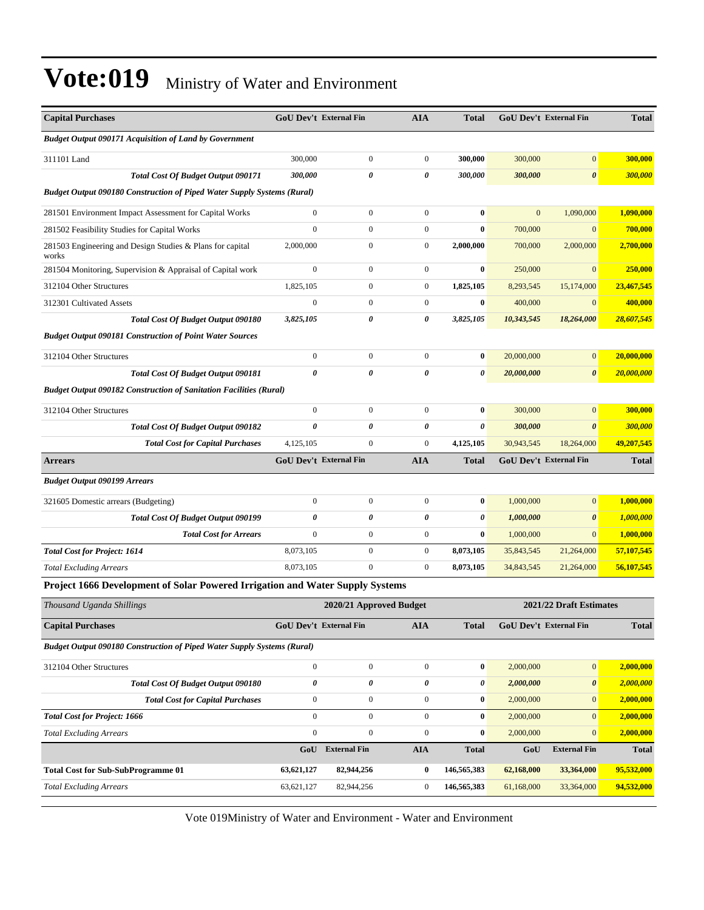| <b>Capital Purchases</b>                                                       |                  | <b>GoU Dev't External Fin</b> | <b>AIA</b>       | <b>Total</b> |              | <b>GoU Dev't External Fin</b> | <b>Total</b> |
|--------------------------------------------------------------------------------|------------------|-------------------------------|------------------|--------------|--------------|-------------------------------|--------------|
| <b>Budget Output 090171 Acquisition of Land by Government</b>                  |                  |                               |                  |              |              |                               |              |
| 311101 Land                                                                    | 300,000          | $\boldsymbol{0}$              | $\boldsymbol{0}$ | 300,000      | 300,000      | $\mathbf{0}$                  | 300,000      |
| <b>Total Cost Of Budget Output 090171</b>                                      | 300,000          | 0                             | 0                | 300,000      | 300,000      | $\pmb{\theta}$                | 300,000      |
| <b>Budget Output 090180 Construction of Piped Water Supply Systems (Rural)</b> |                  |                               |                  |              |              |                               |              |
| 281501 Environment Impact Assessment for Capital Works                         | $\boldsymbol{0}$ | $\boldsymbol{0}$              | $\boldsymbol{0}$ | $\bf{0}$     | $\mathbf{0}$ | 1,090,000                     | 1,090,000    |
| 281502 Feasibility Studies for Capital Works                                   | $\mathbf{0}$     | $\boldsymbol{0}$              | $\boldsymbol{0}$ | $\bf{0}$     | 700,000      | $\mathbf{0}$                  | 700,000      |
| 281503 Engineering and Design Studies & Plans for capital<br>works             | 2,000,000        | $\boldsymbol{0}$              | $\boldsymbol{0}$ | 2,000,000    | 700,000      | 2,000,000                     | 2,700,000    |
| 281504 Monitoring, Supervision & Appraisal of Capital work                     | $\boldsymbol{0}$ | $\boldsymbol{0}$              | $\boldsymbol{0}$ | $\bf{0}$     | 250,000      | $\mathbf{0}$                  | 250,000      |
| 312104 Other Structures                                                        | 1,825,105        | $\boldsymbol{0}$              | $\boldsymbol{0}$ | 1,825,105    | 8,293,545    | 15,174,000                    | 23,467,545   |
| 312301 Cultivated Assets                                                       | $\boldsymbol{0}$ | $\boldsymbol{0}$              | $\boldsymbol{0}$ | $\bf{0}$     | 400,000      | $\mathbf{0}$                  | 400,000      |
| <b>Total Cost Of Budget Output 090180</b>                                      | 3,825,105        | 0                             | 0                | 3,825,105    | 10,343,545   | 18,264,000                    | 28,607,545   |
| <b>Budget Output 090181 Construction of Point Water Sources</b>                |                  |                               |                  |              |              |                               |              |
| 312104 Other Structures                                                        | $\boldsymbol{0}$ | $\boldsymbol{0}$              | $\boldsymbol{0}$ | $\bf{0}$     | 20,000,000   | $\mathbf{0}$                  | 20,000,000   |
| Total Cost Of Budget Output 090181                                             | $\theta$         | 0                             | 0                | 0            | 20,000,000   | $\boldsymbol{\theta}$         | 20,000,000   |
| <b>Budget Output 090182 Construction of Sanitation Facilities (Rural)</b>      |                  |                               |                  |              |              |                               |              |
| 312104 Other Structures                                                        | $\mathbf{0}$     | $\boldsymbol{0}$              | $\boldsymbol{0}$ | $\bf{0}$     | 300,000      | $\mathbf{0}$                  | 300,000      |
| Total Cost Of Budget Output 090182                                             | 0                | 0                             | 0                | 0            | 300,000      | $\boldsymbol{\theta}$         | 300,000      |
| <b>Total Cost for Capital Purchases</b>                                        | 4,125,105        | $\mathbf{0}$                  | $\overline{0}$   | 4,125,105    | 30,943,545   | 18,264,000                    | 49,207,545   |
| <b>Arrears</b>                                                                 |                  | GoU Dev't External Fin        | <b>AIA</b>       | <b>Total</b> |              | GoU Dev't External Fin        | <b>Total</b> |
| <b>Budget Output 090199 Arrears</b>                                            |                  |                               |                  |              |              |                               |              |
| 321605 Domestic arrears (Budgeting)                                            | $\boldsymbol{0}$ | $\boldsymbol{0}$              | $\boldsymbol{0}$ | $\bf{0}$     | 1,000,000    | $\mathbf{0}$                  | 1,000,000    |
|                                                                                |                  |                               |                  |              |              |                               |              |
| <b>Total Cost Of Budget Output 090199</b>                                      | 0                | 0                             | 0                | 0            | 1,000,000    | 0                             | 1,000,000    |
| <b>Total Cost for Arrears</b>                                                  | $\boldsymbol{0}$ | $\boldsymbol{0}$              | $\boldsymbol{0}$ | $\bf{0}$     | 1,000,000    | $\mathbf{0}$                  | 1,000,000    |
| <b>Total Cost for Project: 1614</b>                                            | 8,073,105        | $\boldsymbol{0}$              | $\boldsymbol{0}$ | 8,073,105    | 35,843,545   | 21,264,000                    | 57,107,545   |
| <b>Total Excluding Arrears</b>                                                 | 8,073,105        | $\overline{0}$                | $\boldsymbol{0}$ | 8,073,105    | 34,843,545   | 21,264,000                    | 56,107,545   |
| Project 1666 Development of Solar Powered Irrigation and Water Supply Systems  |                  |                               |                  |              |              |                               |              |
| Thousand Uganda Shillings                                                      |                  | 2020/21 Approved Budget       |                  |              |              | 2021/22 Draft Estimates       |              |
| <b>Capital Purchases</b>                                                       |                  | GoU Dev't External Fin        | ${\bf A I A}$    | Total        |              | GoU Dev't External Fin        | <b>Total</b> |
| <b>Budget Output 090180 Construction of Piped Water Supply Systems (Rural)</b> |                  |                               |                  |              |              |                               |              |
| 312104 Other Structures                                                        | $\boldsymbol{0}$ | $\boldsymbol{0}$              | $\boldsymbol{0}$ | $\bf{0}$     | 2,000,000    | $\vert 0 \vert$               | 2,000,000    |
| Total Cost Of Budget Output 090180                                             | 0                | 0                             | $\pmb{\theta}$   | 0            | 2,000,000    | 0                             | 2,000,000    |
| <b>Total Cost for Capital Purchases</b>                                        | $\boldsymbol{0}$ | $\boldsymbol{0}$              | $\boldsymbol{0}$ | $\bf{0}$     | 2,000,000    | $\mathbf{0}$                  | 2,000,000    |
| <b>Total Cost for Project: 1666</b>                                            | $\overline{0}$   | $\boldsymbol{0}$              | $\mathbf{0}$     | $\bf{0}$     | 2,000,000    | $\overline{0}$                | 2,000,000    |
| <b>Total Excluding Arrears</b>                                                 | $\overline{0}$   | $\boldsymbol{0}$              | $\boldsymbol{0}$ | $\bf{0}$     | 2,000,000    | $\mathbf{0}$                  | 2,000,000    |
|                                                                                |                  | GoU External Fin              | <b>AIA</b>       | <b>Total</b> | GoU          | <b>External Fin</b>           | <b>Total</b> |
| <b>Total Cost for Sub-SubProgramme 01</b>                                      | 63,621,127       | 82,944,256                    | $\bf{0}$         | 146,565,383  | 62,168,000   | 33,364,000                    | 95,532,000   |
| <b>Total Excluding Arrears</b>                                                 | 63, 621, 127     | 82,944,256                    | $\boldsymbol{0}$ | 146,565,383  | 61,168,000   | 33,364,000                    | 94,532,000   |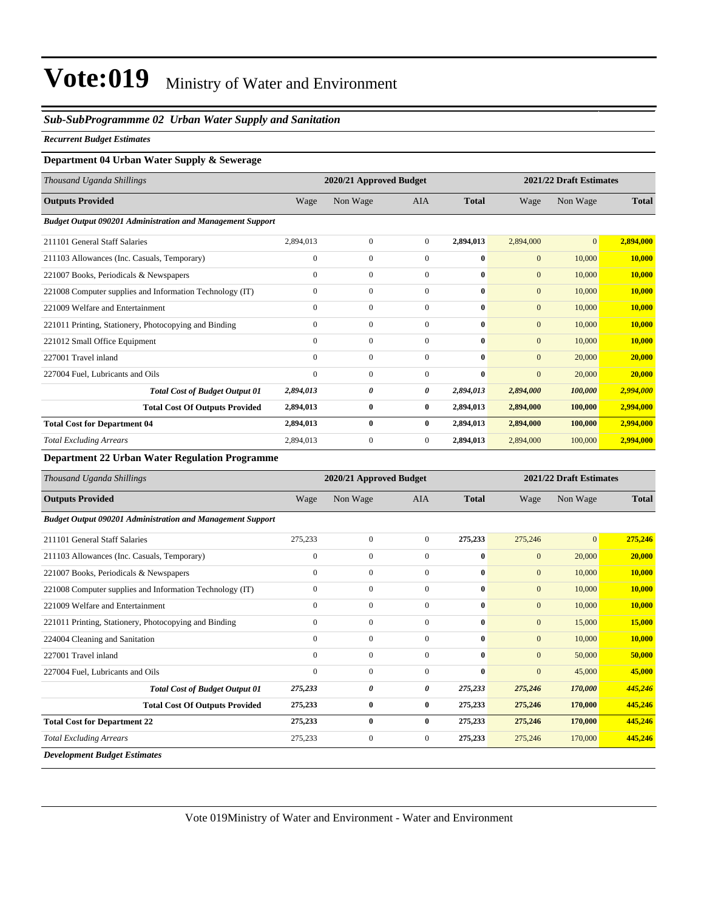#### *Sub-SubProgrammme 02 Urban Water Supply and Sanitation*

#### *Recurrent Budget Estimates*

#### **Department 04 Urban Water Supply & Sewerage**

| Thousand Uganda Shillings                                         |              | 2021/22 Draft Estimates<br>2020/21 Approved Budget |              |              |                |                |              |
|-------------------------------------------------------------------|--------------|----------------------------------------------------|--------------|--------------|----------------|----------------|--------------|
| <b>Outputs Provided</b>                                           | Wage         | Non Wage                                           | <b>AIA</b>   | <b>Total</b> | Wage           | Non Wage       | <b>Total</b> |
| <b>Budget Output 090201 Administration and Management Support</b> |              |                                                    |              |              |                |                |              |
| 211101 General Staff Salaries                                     | 2,894,013    | $\mathbf{0}$                                       | $\mathbf{0}$ | 2,894,013    | 2,894,000      | $\overline{0}$ | 2,894,000    |
| 211103 Allowances (Inc. Casuals, Temporary)                       | $\mathbf{0}$ | $\mathbf{0}$                                       | $\mathbf{0}$ | $\bf{0}$     | $\overline{0}$ | 10,000         | 10,000       |
| 221007 Books, Periodicals & Newspapers                            | $\mathbf{0}$ | $\mathbf{0}$                                       | $\Omega$     | $\mathbf{0}$ | $\mathbf{0}$   | 10,000         | 10,000       |
| 221008 Computer supplies and Information Technology (IT)          | $\mathbf{0}$ | $\mathbf{0}$                                       | $\mathbf{0}$ | $\mathbf{0}$ | $\mathbf{0}$   | 10,000         | 10,000       |
| 221009 Welfare and Entertainment                                  | $\mathbf{0}$ | $\mathbf{0}$                                       | $\mathbf{0}$ | $\mathbf{0}$ | $\overline{0}$ | 10,000         | 10,000       |
| 221011 Printing, Stationery, Photocopying and Binding             | $\Omega$     | $\mathbf{0}$                                       | $\Omega$     | $\mathbf{0}$ | $\overline{0}$ | 10,000         | 10.000       |
| 221012 Small Office Equipment                                     | $\Omega$     | $\mathbf{0}$                                       | $\Omega$     | $\mathbf{0}$ | $\overline{0}$ | 10,000         | 10,000       |
| 227001 Travel inland                                              | $\Omega$     | $\mathbf{0}$                                       | $\Omega$     | $\mathbf{0}$ | $\overline{0}$ | 20,000         | 20,000       |
| 227004 Fuel, Lubricants and Oils                                  | $\Omega$     | $\mathbf{0}$                                       | $\mathbf{0}$ | $\mathbf{0}$ | $\overline{0}$ | 20,000         | 20,000       |
| <b>Total Cost of Budget Output 01</b>                             | 2,894,013    | 0                                                  | 0            | 2,894,013    | 2,894,000      | 100,000        | 2,994,000    |
| <b>Total Cost Of Outputs Provided</b>                             | 2,894,013    | $\bf{0}$                                           | $\bf{0}$     | 2,894,013    | 2,894,000      | 100,000        | 2,994,000    |
| <b>Total Cost for Department 04</b>                               | 2,894,013    | $\bf{0}$                                           | $\bf{0}$     | 2,894,013    | 2,894,000      | 100,000        | 2,994,000    |
| <b>Total Excluding Arrears</b>                                    | 2,894,013    | $\overline{0}$                                     | $\mathbf{0}$ | 2,894,013    | 2,894,000      | 100,000        | 2,994,000    |
|                                                                   |              |                                                    |              |              |                |                |              |

#### **Department 22 Urban Water Regulation Programme**

| Thousand Uganda Shillings                                         |              | 2020/21 Approved Budget |                |              |              | 2021/22 Draft Estimates |              |  |  |
|-------------------------------------------------------------------|--------------|-------------------------|----------------|--------------|--------------|-------------------------|--------------|--|--|
| <b>Outputs Provided</b>                                           | Wage         | Non Wage                | <b>AIA</b>     | <b>Total</b> | Wage         | Non Wage                | <b>Total</b> |  |  |
| <b>Budget Output 090201 Administration and Management Support</b> |              |                         |                |              |              |                         |              |  |  |
| 211101 General Staff Salaries                                     | 275,233      | $\boldsymbol{0}$        | $\mathbf{0}$   | 275,233      | 275,246      | $\mathbf{0}$            | 275,246      |  |  |
| 211103 Allowances (Inc. Casuals, Temporary)                       | $\mathbf{0}$ | 0                       | 0              | $\bf{0}$     | $\mathbf{0}$ | 20,000                  | 20,000       |  |  |
| 221007 Books, Periodicals & Newspapers                            | $\mathbf{0}$ | $\mathbf{0}$            | $\overline{0}$ | $\bf{0}$     | $\mathbf{0}$ | 10,000                  | 10,000       |  |  |
| 221008 Computer supplies and Information Technology (IT)          | $\mathbf{0}$ | $\mathbf{0}$            | $\overline{0}$ | $\bf{0}$     | $\mathbf{0}$ | 10,000                  | 10,000       |  |  |
| 221009 Welfare and Entertainment                                  | $\mathbf{0}$ | $\mathbf{0}$            | $\Omega$       | 0            | $\mathbf{0}$ | 10,000                  | 10,000       |  |  |
| 221011 Printing, Stationery, Photocopying and Binding             | $\mathbf{0}$ | $\boldsymbol{0}$        | $\overline{0}$ | $\bf{0}$     | $\mathbf{0}$ | 15,000                  | 15,000       |  |  |
| 224004 Cleaning and Sanitation                                    | $\Omega$     | $\boldsymbol{0}$        | $\mathbf{0}$   | $\bf{0}$     | $\mathbf{0}$ | 10,000                  | 10,000       |  |  |
| 227001 Travel inland                                              | $\mathbf{0}$ | $\boldsymbol{0}$        | $\Omega$       | 0            | $\mathbf{0}$ | 50,000                  | 50,000       |  |  |
| 227004 Fuel, Lubricants and Oils                                  | $\mathbf{0}$ | $\mathbf{0}$            | $\mathbf{0}$   | $\bf{0}$     | $\mathbf{0}$ | 45,000                  | 45,000       |  |  |
| <b>Total Cost of Budget Output 01</b>                             | 275,233      | 0                       | 0              | 275,233      | 275,246      | 170,000                 | 445,246      |  |  |
| <b>Total Cost Of Outputs Provided</b>                             | 275,233      | 0                       | $\bf{0}$       | 275,233      | 275,246      | 170,000                 | 445,246      |  |  |
| <b>Total Cost for Department 22</b>                               | 275,233      | $\bf{0}$                | $\mathbf{0}$   | 275,233      | 275,246      | 170,000                 | 445,246      |  |  |
| <b>Total Excluding Arrears</b>                                    | 275,233      | $\boldsymbol{0}$        | $\overline{0}$ | 275,233      | 275,246      | 170,000                 | 445,246      |  |  |
| <b>Development Budget Estimates</b>                               |              |                         |                |              |              |                         |              |  |  |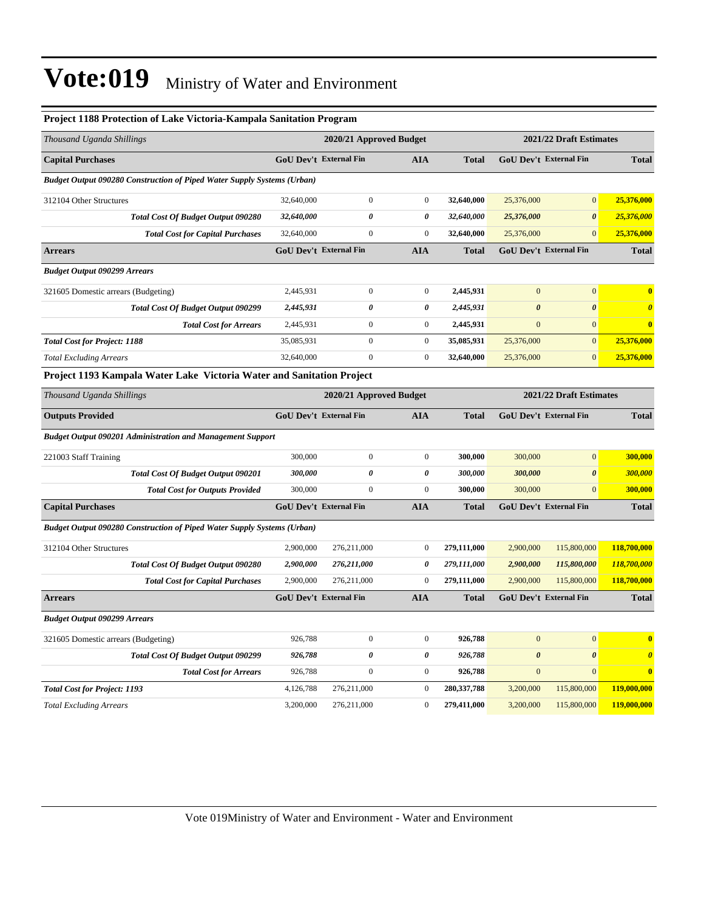| <b>Project 1188 Protection of Lake Victoria-Kampala Sanitation Program</b>     |                                                    |                               |                       |               |                       |                               |                       |
|--------------------------------------------------------------------------------|----------------------------------------------------|-------------------------------|-----------------------|---------------|-----------------------|-------------------------------|-----------------------|
| Thousand Uganda Shillings                                                      |                                                    | 2020/21 Approved Budget       |                       |               |                       | 2021/22 Draft Estimates       |                       |
| <b>Capital Purchases</b>                                                       |                                                    | <b>GoU Dev't External Fin</b> | <b>AIA</b>            | <b>Total</b>  |                       | <b>GoU Dev't External Fin</b> | <b>Total</b>          |
| <b>Budget Output 090280 Construction of Piped Water Supply Systems (Urban)</b> |                                                    |                               |                       |               |                       |                               |                       |
| 312104 Other Structures                                                        | 32,640,000                                         | $\boldsymbol{0}$              | $\boldsymbol{0}$      | 32,640,000    | 25,376,000            | $\mathbf{0}$                  | 25,376,000            |
| Total Cost Of Budget Output 090280                                             | 32,640,000                                         | $\boldsymbol{\theta}$         | 0                     | 32,640,000    | 25,376,000            | $\boldsymbol{\theta}$         | 25,376,000            |
| <b>Total Cost for Capital Purchases</b>                                        | 32,640,000                                         | $\mathbf{0}$                  | $\boldsymbol{0}$      | 32,640,000    | 25,376,000            | $\mathbf{0}$                  | 25,376,000            |
| <b>Arrears</b>                                                                 |                                                    | GoU Dev't External Fin        | <b>AIA</b>            | <b>Total</b>  |                       | GoU Dev't External Fin        | <b>Total</b>          |
| <b>Budget Output 090299 Arrears</b>                                            |                                                    |                               |                       |               |                       |                               |                       |
| 321605 Domestic arrears (Budgeting)                                            | 2,445,931                                          | $\boldsymbol{0}$              | $\boldsymbol{0}$      | 2,445,931     | $\mathbf{0}$          | $\mathbf{0}$                  | $\bf{0}$              |
| <b>Total Cost Of Budget Output 090299</b>                                      | 2,445,931                                          | 0                             | 0                     | 2,445,931     | $\boldsymbol{\theta}$ | $\boldsymbol{\theta}$         | $\boldsymbol{\theta}$ |
| <b>Total Cost for Arrears</b>                                                  | 2,445,931                                          | $\boldsymbol{0}$              | $\boldsymbol{0}$      | 2,445,931     | $\mathbf{0}$          | $\mathbf{0}$                  | $\bf{0}$              |
| <b>Total Cost for Project: 1188</b>                                            | 35,085,931                                         | $\boldsymbol{0}$              | $\boldsymbol{0}$      | 35,085,931    | 25,376,000            | $\mathbf{0}$                  | 25,376,000            |
| <b>Total Excluding Arrears</b>                                                 | 32,640,000                                         | $\boldsymbol{0}$              | $\boldsymbol{0}$      | 32,640,000    | 25,376,000            | $\mathbf{0}$                  | 25,376,000            |
| Project 1193 Kampala Water Lake Victoria Water and Sanitation Project          |                                                    |                               |                       |               |                       |                               |                       |
| Thousand Uganda Shillings                                                      | 2021/22 Draft Estimates<br>2020/21 Approved Budget |                               |                       |               |                       |                               |                       |
| <b>Outputs Provided</b>                                                        |                                                    | <b>GoU Dev't External Fin</b> | <b>AIA</b>            | <b>Total</b>  |                       | <b>GoU Dev't External Fin</b> | <b>Total</b>          |
| <b>Budget Output 090201 Administration and Management Support</b>              |                                                    |                               |                       |               |                       |                               |                       |
| 221003 Staff Training                                                          | 300,000                                            | $\boldsymbol{0}$              | $\boldsymbol{0}$      | 300,000       | 300,000               | $\mathbf{0}$                  | 300,000               |
| Total Cost Of Budget Output 090201                                             | 300,000                                            | $\pmb{\theta}$                | 0                     | 300,000       | 300,000               | $\pmb{\theta}$                | 300,000               |
| <b>Total Cost for Outputs Provided</b>                                         | 300,000                                            | $\mathbf{0}$                  | $\boldsymbol{0}$      | 300,000       | 300,000               | $\mathbf{0}$                  | 300,000               |
| <b>Capital Purchases</b>                                                       |                                                    | <b>GoU Dev't External Fin</b> | <b>AIA</b>            | <b>Total</b>  |                       | <b>GoU Dev't External Fin</b> | <b>Total</b>          |
| <b>Budget Output 090280 Construction of Piped Water Supply Systems (Urban)</b> |                                                    |                               |                       |               |                       |                               |                       |
| 312104 Other Structures                                                        | 2,900,000                                          | 276,211,000                   | $\boldsymbol{0}$      | 279,111,000   | 2,900,000             | 115,800,000                   | 118,700,000           |
| Total Cost Of Budget Output 090280                                             | 2,900,000                                          | 276,211,000                   | $\boldsymbol{\theta}$ | 279,111,000   | 2,900,000             | 115,800,000                   | 118,700,000           |
| <b>Total Cost for Capital Purchases</b>                                        | 2,900,000                                          | 276,211,000                   | $\boldsymbol{0}$      | 279,111,000   | 2,900,000             | 115,800,000                   | 118,700,000           |
| <b>Arrears</b>                                                                 |                                                    | GoU Dev't External Fin        | <b>AIA</b>            | <b>Total</b>  |                       | GoU Dev't External Fin        | <b>Total</b>          |
| <b>Budget Output 090299 Arrears</b>                                            |                                                    |                               |                       |               |                       |                               |                       |
| 321605 Domestic arrears (Budgeting)                                            | 926,788                                            | $\boldsymbol{0}$              | $\boldsymbol{0}$      | 926,788       | $\mathbf{0}$          | $\mathbf{0}$                  | $\bf{0}$              |
| <b>Total Cost Of Budget Output 090299</b>                                      | 926,788                                            | $\pmb{\theta}$                | 0                     | 926,788       | $\boldsymbol{\theta}$ | $\boldsymbol{\theta}$         | $\boldsymbol{\theta}$ |
| <b>Total Cost for Arrears</b>                                                  | 926,788                                            | $\boldsymbol{0}$              | $\boldsymbol{0}$      | 926,788       | $\mathbf{0}$          | $\mathbf{0}$                  | $\bf{0}$              |
| <b>Total Cost for Project: 1193</b>                                            | 4,126,788                                          | 276,211,000                   | $\boldsymbol{0}$      | 280, 337, 788 | 3,200,000             | 115,800,000                   | 119,000,000           |
| <b>Total Excluding Arrears</b>                                                 | 3,200,000                                          | 276,211,000                   | $\mathbf{0}$          | 279,411,000   | 3,200,000             | 115,800,000                   | 119,000,000           |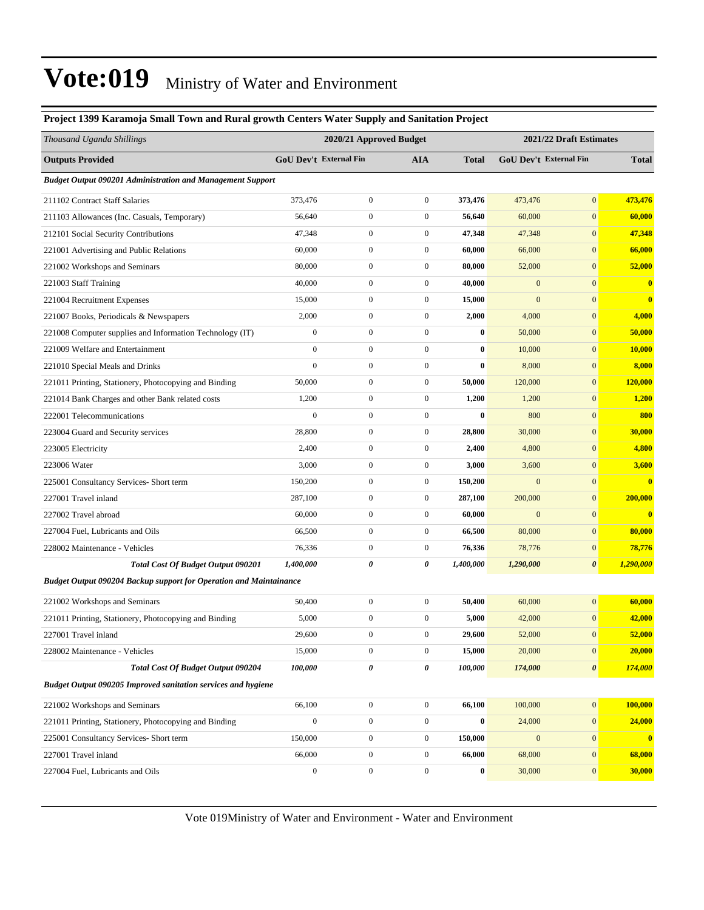#### **Project 1399 Karamoja Small Town and Rural growth Centers Water Supply and Sanitation Project**

| Thousand Uganda Shillings                                                 |                  | 2020/21 Approved Budget |                  |              |                  | 2021/22 Draft Estimates |               |  |
|---------------------------------------------------------------------------|------------------|-------------------------|------------------|--------------|------------------|-------------------------|---------------|--|
| <b>Outputs Provided</b>                                                   |                  | GoU Dev't External Fin  | <b>AIA</b>       | <b>Total</b> |                  | GoU Dev't External Fin  | <b>Total</b>  |  |
| <b>Budget Output 090201 Administration and Management Support</b>         |                  |                         |                  |              |                  |                         |               |  |
| 211102 Contract Staff Salaries                                            | 373,476          | $\boldsymbol{0}$        | $\boldsymbol{0}$ | 373,476      | 473,476          | $\mathbf{0}$            | 473,476       |  |
| 211103 Allowances (Inc. Casuals, Temporary)                               | 56,640           | $\boldsymbol{0}$        | $\boldsymbol{0}$ | 56,640       | 60,000           | $\mathbf{0}$            | 60,000        |  |
| 212101 Social Security Contributions                                      | 47,348           | $\boldsymbol{0}$        | $\boldsymbol{0}$ | 47,348       | 47,348           | $\boldsymbol{0}$        | 47,348        |  |
| 221001 Advertising and Public Relations                                   | 60,000           | $\boldsymbol{0}$        | $\boldsymbol{0}$ | 60,000       | 66,000           | $\mathbf{0}$            | 66,000        |  |
| 221002 Workshops and Seminars                                             | 80,000           | $\boldsymbol{0}$        | $\boldsymbol{0}$ | 80,000       | 52,000           | $\mathbf{0}$            | 52,000        |  |
| 221003 Staff Training                                                     | 40,000           | $\boldsymbol{0}$        | $\boldsymbol{0}$ | 40,000       | $\mathbf{0}$     | $\mathbf{0}$            | $\bf{0}$      |  |
| 221004 Recruitment Expenses                                               | 15,000           | $\boldsymbol{0}$        | $\boldsymbol{0}$ | 15,000       | $\mathbf{0}$     | $\mathbf{0}$            | $\bf{0}$      |  |
| 221007 Books, Periodicals & Newspapers                                    | 2,000            | $\boldsymbol{0}$        | $\boldsymbol{0}$ | 2,000        | 4,000            | $\mathbf{0}$            | 4,000         |  |
| 221008 Computer supplies and Information Technology (IT)                  | $\boldsymbol{0}$ | $\mathbf{0}$            | $\boldsymbol{0}$ | $\bf{0}$     | 50,000           | $\mathbf{0}$            | 50,000        |  |
| 221009 Welfare and Entertainment                                          | $\boldsymbol{0}$ | $\boldsymbol{0}$        | $\boldsymbol{0}$ | $\bf{0}$     | 10,000           | $\mathbf{0}$            | <b>10,000</b> |  |
| 221010 Special Meals and Drinks                                           | $\mathbf{0}$     | $\boldsymbol{0}$        | $\boldsymbol{0}$ | $\bf{0}$     | 8,000            | $\mathbf{0}$            | 8,000         |  |
| 221011 Printing, Stationery, Photocopying and Binding                     | 50,000           | $\boldsymbol{0}$        | $\boldsymbol{0}$ | 50,000       | 120,000          | $\mathbf{0}$            | 120,000       |  |
| 221014 Bank Charges and other Bank related costs                          | 1,200            | $\boldsymbol{0}$        | $\boldsymbol{0}$ | 1,200        | 1,200            | $\boldsymbol{0}$        | 1,200         |  |
| 222001 Telecommunications                                                 | $\boldsymbol{0}$ | $\mathbf{0}$            | $\boldsymbol{0}$ | $\bf{0}$     | 800              | $\mathbf{0}$            | 800           |  |
| 223004 Guard and Security services                                        | 28,800           | $\boldsymbol{0}$        | $\boldsymbol{0}$ | 28,800       | 30,000           | $\mathbf{0}$            | 30,000        |  |
| 223005 Electricity                                                        | 2,400            | $\boldsymbol{0}$        | $\boldsymbol{0}$ | 2,400        | 4,800            | $\mathbf{0}$            | 4,800         |  |
| 223006 Water                                                              | 3,000            | $\boldsymbol{0}$        | $\boldsymbol{0}$ | 3,000        | 3,600            | $\mathbf{0}$            | 3,600         |  |
| 225001 Consultancy Services- Short term                                   | 150,200          | $\boldsymbol{0}$        | $\boldsymbol{0}$ | 150,200      | $\boldsymbol{0}$ | $\boldsymbol{0}$        | $\bf{0}$      |  |
| 227001 Travel inland                                                      | 287,100          | $\boldsymbol{0}$        | $\boldsymbol{0}$ | 287,100      | 200,000          | $\mathbf{0}$            | 200,000       |  |
| 227002 Travel abroad                                                      | 60,000           | $\boldsymbol{0}$        | $\boldsymbol{0}$ | 60,000       | $\mathbf{0}$     | $\mathbf{0}$            | $\bf{0}$      |  |
| 227004 Fuel, Lubricants and Oils                                          | 66,500           | $\boldsymbol{0}$        | $\boldsymbol{0}$ | 66,500       | 80,000           | $\mathbf{0}$            | 80,000        |  |
| 228002 Maintenance - Vehicles                                             | 76,336           | $\mathbf{0}$            | $\boldsymbol{0}$ | 76,336       | 78,776           | $\mathbf{0}$            | 78,776        |  |
| <b>Total Cost Of Budget Output 090201</b>                                 | 1,400,000        | 0                       | 0                | 1,400,000    | 1,290,000        | $\boldsymbol{\theta}$   | 1,290,000     |  |
| <b>Budget Output 090204 Backup support for Operation and Maintainance</b> |                  |                         |                  |              |                  |                         |               |  |
| 221002 Workshops and Seminars                                             | 50,400           | $\boldsymbol{0}$        | $\boldsymbol{0}$ | 50,400       | 60,000           | $\mathbf{0}$            | 60,000        |  |
| 221011 Printing, Stationery, Photocopying and Binding                     | 5,000            | $\boldsymbol{0}$        | $\boldsymbol{0}$ | 5,000        | 42,000           | $\mathbf{0}$            | 42,000        |  |
| 227001 Travel inland                                                      | 29,600           | $\boldsymbol{0}$        | $\mathbf{0}$     | 29,600       | 52,000           | $\mathbf{0}$            | 52,000        |  |
| 228002 Maintenance - Vehicles                                             | 15,000           | $\boldsymbol{0}$        | $\boldsymbol{0}$ | 15,000       | 20,000           | $\mathbf{0}$            | 20,000        |  |
| <b>Total Cost Of Budget Output 090204</b>                                 | 100,000          | $\pmb{\theta}$          | 0                | 100,000      | 174,000          | $\boldsymbol{\theta}$   | 174,000       |  |
| <b>Budget Output 090205 Improved sanitation services and hygiene</b>      |                  |                         |                  |              |                  |                         |               |  |
| 221002 Workshops and Seminars                                             | 66,100           | $\boldsymbol{0}$        | $\boldsymbol{0}$ | 66,100       | 100,000          | $\mathbf{0}$            | 100,000       |  |
| 221011 Printing, Stationery, Photocopying and Binding                     | $\boldsymbol{0}$ | $\boldsymbol{0}$        | $\boldsymbol{0}$ | $\bf{0}$     | 24,000           | $\bf{0}$                | 24,000        |  |
| 225001 Consultancy Services- Short term                                   | 150,000          | $\boldsymbol{0}$        | $\boldsymbol{0}$ | 150,000      | $\mathbf{0}$     | $\boldsymbol{0}$        | $\bf{0}$      |  |
| 227001 Travel inland                                                      | 66,000           | $\boldsymbol{0}$        | $\boldsymbol{0}$ | 66,000       | 68,000           | $\boldsymbol{0}$        | 68,000        |  |
| 227004 Fuel, Lubricants and Oils                                          | $\boldsymbol{0}$ | $\boldsymbol{0}$        | $\boldsymbol{0}$ | $\bf{0}$     | 30,000           | $\mathbf{0}$            | 30,000        |  |
|                                                                           |                  |                         |                  |              |                  |                         |               |  |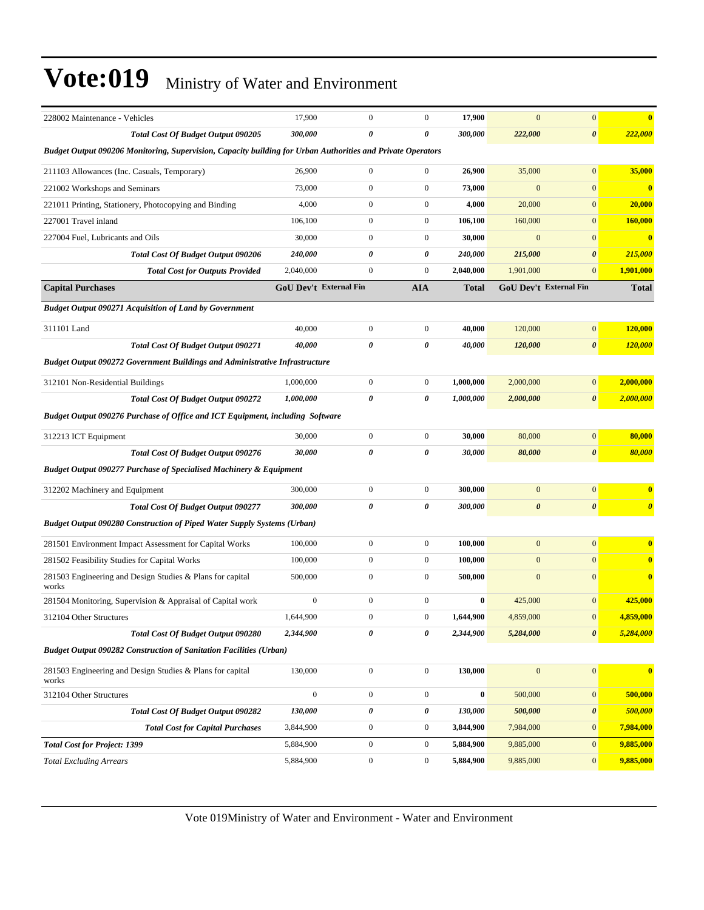| 228002 Maintenance - Vehicles                                                                               | 17,900           | $\mathbf{0}$                  | $\boldsymbol{0}$ | 17,900       | $\overline{0}$        | $\boldsymbol{0}$              | $\overline{\mathbf{0}}$ |
|-------------------------------------------------------------------------------------------------------------|------------------|-------------------------------|------------------|--------------|-----------------------|-------------------------------|-------------------------|
| <b>Total Cost Of Budget Output 090205</b>                                                                   | 300,000          | 0                             | 0                | 300,000      | 222,000               | $\pmb{\theta}$                | 222,000                 |
| Budget Output 090206 Monitoring, Supervision, Capacity building for Urban Authorities and Private Operators |                  |                               |                  |              |                       |                               |                         |
| 211103 Allowances (Inc. Casuals, Temporary)                                                                 | 26,900           | $\boldsymbol{0}$              | $\boldsymbol{0}$ | 26,900       | 35,000                | $\mathbf{0}$                  | 35,000                  |
| 221002 Workshops and Seminars                                                                               | 73,000           | $\mathbf{0}$                  | $\boldsymbol{0}$ | 73,000       | $\mathbf{0}$          | $\boldsymbol{0}$              | $\bf{0}$                |
| 221011 Printing, Stationery, Photocopying and Binding                                                       | 4,000            | $\mathbf{0}$                  | $\boldsymbol{0}$ | 4,000        | 20,000                | $\mathbf{0}$                  | 20,000                  |
| 227001 Travel inland                                                                                        | 106.100          | $\mathbf{0}$                  | $\boldsymbol{0}$ | 106,100      | 160,000               | $\mathbf{0}$                  | 160,000                 |
| 227004 Fuel, Lubricants and Oils                                                                            | 30,000           | $\mathbf{0}$                  | $\boldsymbol{0}$ | 30,000       | $\overline{0}$        | $\mathbf{0}$                  | $\overline{\mathbf{0}}$ |
| Total Cost Of Budget Output 090206                                                                          | 240,000          | 0                             | 0                | 240,000      | 215,000               | $\pmb{\theta}$                | 215,000                 |
| <b>Total Cost for Outputs Provided</b>                                                                      | 2,040,000        | $\mathbf{0}$                  | $\boldsymbol{0}$ | 2,040,000    | 1,901,000             | $\boldsymbol{0}$              | 1,901,000               |
| <b>Capital Purchases</b>                                                                                    |                  | <b>GoU Dev't External Fin</b> | <b>AIA</b>       | <b>Total</b> |                       | <b>GoU Dev't External Fin</b> | <b>Total</b>            |
| <b>Budget Output 090271 Acquisition of Land by Government</b>                                               |                  |                               |                  |              |                       |                               |                         |
| 311101 Land                                                                                                 | 40,000           | $\boldsymbol{0}$              | $\boldsymbol{0}$ | 40,000       | 120,000               | $\boldsymbol{0}$              | 120,000                 |
| <b>Total Cost Of Budget Output 090271</b>                                                                   | 40,000           | 0                             | 0                | 40,000       | 120,000               | $\boldsymbol{\theta}$         | <b>120,000</b>          |
| <b>Budget Output 090272 Government Buildings and Administrative Infrastructure</b>                          |                  |                               |                  |              |                       |                               |                         |
| 312101 Non-Residential Buildings                                                                            | 1,000,000        | $\boldsymbol{0}$              | $\boldsymbol{0}$ | 1,000,000    | 2,000,000             | $\boldsymbol{0}$              | 2,000,000               |
| <b>Total Cost Of Budget Output 090272</b>                                                                   | 1,000,000        | 0                             | 0                | 1,000,000    | 2,000,000             | $\boldsymbol{\theta}$         | 2,000,000               |
| Budget Output 090276 Purchase of Office and ICT Equipment, including Software                               |                  |                               |                  |              |                       |                               |                         |
| 312213 ICT Equipment                                                                                        | 30,000           | $\boldsymbol{0}$              | $\boldsymbol{0}$ | 30,000       | 80,000                | $\boldsymbol{0}$              | 80,000                  |
| <b>Total Cost Of Budget Output 090276</b>                                                                   | 30,000           | 0                             | 0                | 30,000       | 80,000                | $\boldsymbol{\theta}$         | 80,000                  |
| <b>Budget Output 090277 Purchase of Specialised Machinery &amp; Equipment</b>                               |                  |                               |                  |              |                       |                               |                         |
| 312202 Machinery and Equipment                                                                              | 300,000          | $\mathbf{0}$                  | $\boldsymbol{0}$ | 300,000      | $\overline{0}$        | $\mathbf{0}$                  | $\overline{\mathbf{0}}$ |
| <b>Total Cost Of Budget Output 090277</b>                                                                   | 300,000          | 0                             | 0                | 300,000      | $\boldsymbol{\theta}$ | $\boldsymbol{\theta}$         | $\boldsymbol{\theta}$   |
| <b>Budget Output 090280 Construction of Piped Water Supply Systems (Urban)</b>                              |                  |                               |                  |              |                       |                               |                         |
| 281501 Environment Impact Assessment for Capital Works                                                      | 100,000          | $\boldsymbol{0}$              | $\boldsymbol{0}$ | 100,000      | $\mathbf{0}$          | $\mathbf{0}$                  | $\bf{0}$                |
| 281502 Feasibility Studies for Capital Works                                                                | 100,000          | $\boldsymbol{0}$              | $\boldsymbol{0}$ | 100,000      | $\boldsymbol{0}$      | $\boldsymbol{0}$              | $\bf{0}$                |
| 281503 Engineering and Design Studies & Plans for capital<br>works                                          | 500,000          | $\mathbf{0}$                  | $\boldsymbol{0}$ | 500,000      | $\mathbf{0}$          | $\mathbf{0}$                  | $\mathbf{0}$            |
| 281504 Monitoring, Supervision & Appraisal of Capital work                                                  | $\boldsymbol{0}$ | $\boldsymbol{0}$              | $\boldsymbol{0}$ | 0            | 425,000               | $\boldsymbol{0}$              | 425,000                 |
| 312104 Other Structures                                                                                     | 1,644,900        | $\mathbf{0}$                  | $\mathbf{0}$     | 1,644,900    | 4,859,000             | $\mathbf{0}$                  | 4,859,000               |
| Total Cost Of Budget Output 090280                                                                          | 2,344,900        | 0                             | 0                | 2,344,900    | 5,284,000             | 0                             | 5,284,000               |
| <b>Budget Output 090282 Construction of Sanitation Facilities (Urban)</b>                                   |                  |                               |                  |              |                       |                               |                         |
| 281503 Engineering and Design Studies & Plans for capital<br>works                                          | 130,000          | $\boldsymbol{0}$              | $\boldsymbol{0}$ | 130,000      | $\mathbf{0}$          | $\boldsymbol{0}$              | $\overline{\mathbf{0}}$ |
| 312104 Other Structures                                                                                     | $\overline{0}$   | $\boldsymbol{0}$              | $\boldsymbol{0}$ | $\bf{0}$     | 500,000               | $\boldsymbol{0}$              | 500,000                 |
| <b>Total Cost Of Budget Output 090282</b>                                                                   | 130,000          | 0                             | 0                | 130,000      | 500,000               | 0                             | 500,000                 |
| <b>Total Cost for Capital Purchases</b>                                                                     | 3,844,900        | $\boldsymbol{0}$              | $\boldsymbol{0}$ | 3,844,900    | 7,984,000             | $\boldsymbol{0}$              | 7,984,000               |
| <b>Total Cost for Project: 1399</b>                                                                         | 5,884,900        | $\boldsymbol{0}$              | $\boldsymbol{0}$ | 5,884,900    | 9,885,000             | $\mathbf{0}$                  | 9,885,000               |
| <b>Total Excluding Arrears</b>                                                                              | 5,884,900        | $\boldsymbol{0}$              | $\bf{0}$         | 5,884,900    | 9,885,000             | $\mathbf{0}$                  | 9,885,000               |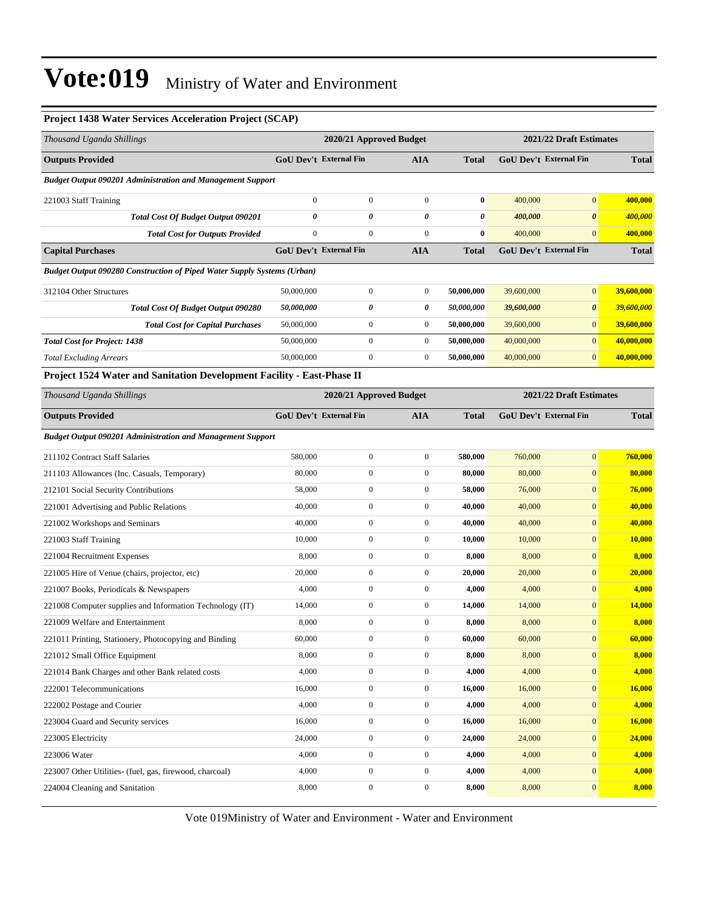#### **Project 1438 Water Services Acceleration Project (SCAP)**

| Thousand Uganda Shillings                                                      |                               | 2020/21 Approved Budget | 2021/22 Draft Estimates |              |                         |                               |               |  |
|--------------------------------------------------------------------------------|-------------------------------|-------------------------|-------------------------|--------------|-------------------------|-------------------------------|---------------|--|
| <b>Outputs Provided</b>                                                        | GoU Dev't External Fin        |                         | <b>AIA</b>              | <b>Total</b> |                         | <b>GoU Dev't External Fin</b> | <b>Total</b>  |  |
| <b>Budget Output 090201 Administration and Management Support</b>              |                               |                         |                         |              |                         |                               |               |  |
| 221003 Staff Training                                                          | $\mathbf{0}$                  | $\boldsymbol{0}$        | $\boldsymbol{0}$        | $\bf{0}$     | 400,000                 | $\mathbf{0}$                  | 400,000       |  |
| <b>Total Cost Of Budget Output 090201</b>                                      | 0                             | 0                       | 0                       | 0            | 400,000                 | $\boldsymbol{\theta}$         | 400,000       |  |
| <b>Total Cost for Outputs Provided</b>                                         | $\mathbf{0}$                  | $\boldsymbol{0}$        | $\mathbf{0}$            | $\bf{0}$     | 400,000                 | $\mathbf{0}$                  | 400,000       |  |
| <b>Capital Purchases</b>                                                       | <b>GoU Dev't External Fin</b> |                         | <b>AIA</b>              | <b>Total</b> |                         | <b>GoU Dev't External Fin</b> | <b>Total</b>  |  |
| <b>Budget Output 090280 Construction of Piped Water Supply Systems (Urban)</b> |                               |                         |                         |              |                         |                               |               |  |
| 312104 Other Structures                                                        | 50,000,000                    | $\boldsymbol{0}$        | $\boldsymbol{0}$        | 50,000,000   | 39,600,000              | $\mathbf{0}$                  | 39,600,000    |  |
| <b>Total Cost Of Budget Output 090280</b>                                      | 50,000,000                    | 0                       | 0                       | 50,000,000   | 39,600,000              | $\boldsymbol{\theta}$         | 39,600,000    |  |
| <b>Total Cost for Capital Purchases</b>                                        | 50,000,000                    | $\boldsymbol{0}$        | $\boldsymbol{0}$        | 50,000,000   | 39,600,000              | $\mathbf{0}$                  | 39,600,000    |  |
| <b>Total Cost for Project: 1438</b>                                            | 50,000,000                    | $\boldsymbol{0}$        | $\boldsymbol{0}$        | 50,000,000   | 40,000,000              | $\mathbf{0}$                  | 40,000,000    |  |
| <b>Total Excluding Arrears</b>                                                 | 50,000,000                    | $\boldsymbol{0}$        | $\boldsymbol{0}$        | 50,000,000   | 40,000,000              | $\mathbf{0}$                  | 40,000,000    |  |
| Project 1524 Water and Sanitation Development Facility - East-Phase II         |                               |                         |                         |              |                         |                               |               |  |
| Thousand Uganda Shillings                                                      | 2020/21 Approved Budget       |                         |                         |              | 2021/22 Draft Estimates |                               |               |  |
| <b>Outputs Provided</b>                                                        | <b>GoU Dev't External Fin</b> |                         | <b>AIA</b>              | <b>Total</b> |                         | <b>GoU Dev't External Fin</b> | <b>Total</b>  |  |
| <b>Budget Output 090201 Administration and Management Support</b>              |                               |                         |                         |              |                         |                               |               |  |
| 211102 Contract Staff Salaries                                                 | 580,000                       | $\boldsymbol{0}$        | $\boldsymbol{0}$        | 580,000      | 760,000                 | $\mathbf{0}$                  | 760,000       |  |
| 211103 Allowances (Inc. Casuals, Temporary)                                    | 80,000                        | $\boldsymbol{0}$        | $\boldsymbol{0}$        | 80,000       | 80,000                  | $\mathbf{0}$                  | 80,000        |  |
| 212101 Social Security Contributions                                           | 58,000                        | $\boldsymbol{0}$        | $\boldsymbol{0}$        | 58,000       | 76,000                  | $\boldsymbol{0}$              | 76,000        |  |
| 221001 Advertising and Public Relations                                        | 40,000                        | $\boldsymbol{0}$        | $\boldsymbol{0}$        | 40,000       | 40,000                  | $\mathbf{0}$                  | 40,000        |  |
| 221002 Workshops and Seminars                                                  | 40,000                        | $\boldsymbol{0}$        | $\boldsymbol{0}$        | 40,000       | 40,000                  | $\mathbf{0}$                  | 40,000        |  |
| 221003 Staff Training                                                          | 10,000                        | $\boldsymbol{0}$        | $\boldsymbol{0}$        | 10,000       | 10,000                  | $\boldsymbol{0}$              | <b>10,000</b> |  |
| 221004 Recruitment Expenses                                                    | 8,000                         | $\boldsymbol{0}$        | $\boldsymbol{0}$        | 8,000        | 8,000                   | $\boldsymbol{0}$              | 8,000         |  |
| 221005 Hire of Venue (chairs, projector, etc)                                  | 20,000                        | $\boldsymbol{0}$        | $\boldsymbol{0}$        | 20,000       | 20,000                  | $\boldsymbol{0}$              | 20,000        |  |
| 221007 Books, Periodicals & Newspapers                                         | 4,000                         | $\boldsymbol{0}$        | $\boldsymbol{0}$        | 4,000        | 4,000                   | $\mathbf{0}$                  | 4,000         |  |
| 221008 Computer supplies and Information Technology (IT)                       | 14,000                        | $\boldsymbol{0}$        | $\boldsymbol{0}$        | 14,000       | 14,000                  | $\mathbf{0}$                  | 14,000        |  |
| 221009 Welfare and Entertainment                                               | 8,000                         | $\boldsymbol{0}$        | $\boldsymbol{0}$        | 8,000        | 8,000                   | $\mathbf{0}$                  | 8,000         |  |
| 221011 Printing, Stationery, Photocopying and Binding                          | 60,000                        | $\boldsymbol{0}$        | 0                       | 60,000       | 60,000                  | $\boldsymbol{0}$              | 60,000        |  |
| 221012 Small Office Equipment                                                  | 8,000                         | $\boldsymbol{0}$        | $\boldsymbol{0}$        | 8,000        | 8,000                   | $\mathbf{0}$                  | 8,000         |  |
| 221014 Bank Charges and other Bank related costs                               | 4,000                         | $\boldsymbol{0}$        | $\boldsymbol{0}$        | 4,000        | 4,000                   | $\mathbf{0}$                  | 4,000         |  |
| 222001 Telecommunications                                                      | 16,000                        | $\boldsymbol{0}$        | $\boldsymbol{0}$        | 16,000       | 16,000                  | $\mathbf{0}$                  | 16,000        |  |
| 222002 Postage and Courier                                                     | 4,000                         | $\boldsymbol{0}$        | $\boldsymbol{0}$        | 4,000        | 4,000                   | $\boldsymbol{0}$              | 4,000         |  |
| 223004 Guard and Security services                                             | 16,000                        | $\boldsymbol{0}$        | $\boldsymbol{0}$        | 16,000       | 16,000                  | $\mathbf{0}$                  | 16,000        |  |
| 223005 Electricity                                                             | 24,000                        | $\boldsymbol{0}$        | $\boldsymbol{0}$        | 24,000       | 24,000                  | $\boldsymbol{0}$              | 24,000        |  |
| 223006 Water                                                                   | 4,000                         | $\boldsymbol{0}$        | $\boldsymbol{0}$        | 4,000        | 4,000                   | $\mathbf{0}$                  | 4,000         |  |
| 223007 Other Utilities- (fuel, gas, firewood, charcoal)                        | 4,000                         | $\boldsymbol{0}$        | $\boldsymbol{0}$        | 4,000        | 4,000                   | $\boldsymbol{0}$              | 4,000         |  |
| 224004 Cleaning and Sanitation                                                 | 8,000                         | $\boldsymbol{0}$        | $\boldsymbol{0}$        | 8,000        | 8,000                   | $\mathbf{0}$                  | 8,000         |  |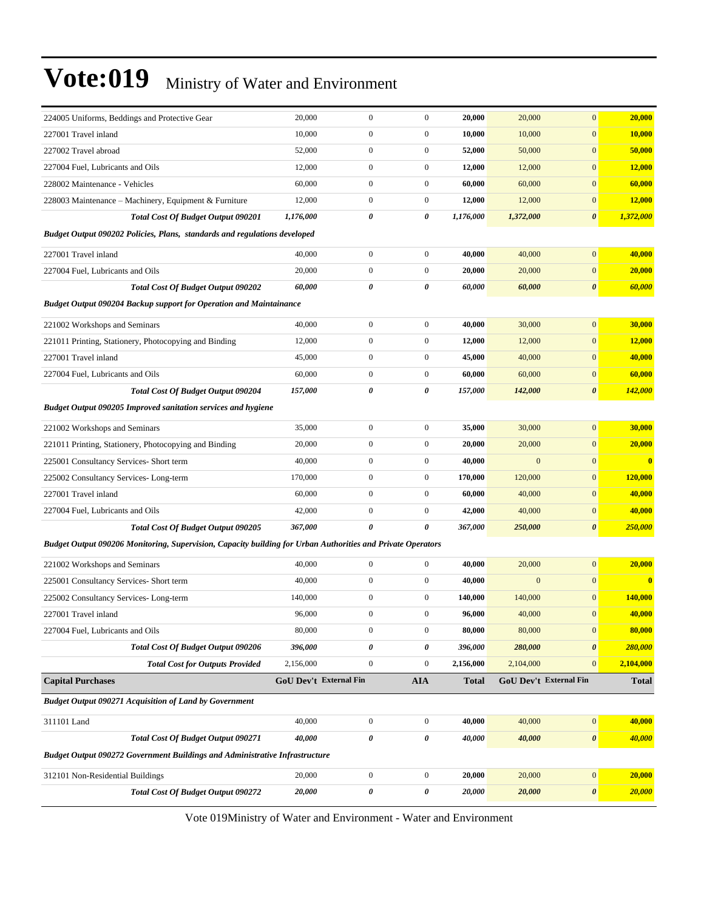| 224005 Uniforms, Beddings and Protective Gear                                                               | 20,000                 | $\mathbf{0}$          | $\boldsymbol{0}$ | 20,000       | 20,000       | $\mathbf{0}$           | 20,000                  |
|-------------------------------------------------------------------------------------------------------------|------------------------|-----------------------|------------------|--------------|--------------|------------------------|-------------------------|
| 227001 Travel inland                                                                                        | 10,000                 | $\mathbf{0}$          | $\boldsymbol{0}$ | 10,000       | 10,000       | $\mathbf{0}$           | 10,000                  |
| 227002 Travel abroad                                                                                        | 52,000                 | $\boldsymbol{0}$      | $\boldsymbol{0}$ | 52,000       | 50,000       | $\mathbf{0}$           | 50,000                  |
| 227004 Fuel, Lubricants and Oils                                                                            | 12,000                 | $\boldsymbol{0}$      | $\boldsymbol{0}$ | 12,000       | 12,000       | $\mathbf{0}$           | 12,000                  |
| 228002 Maintenance - Vehicles                                                                               | 60,000                 | $\boldsymbol{0}$      | $\boldsymbol{0}$ | 60,000       | 60,000       | $\mathbf{0}$           | 60,000                  |
| 228003 Maintenance – Machinery, Equipment & Furniture                                                       | 12,000                 | $\boldsymbol{0}$      | $\boldsymbol{0}$ | 12,000       | 12,000       | $\mathbf{0}$           | 12,000                  |
| Total Cost Of Budget Output 090201                                                                          | 1,176,000              | $\pmb{\theta}$        | 0                | 1,176,000    | 1,372,000    | $\boldsymbol{\theta}$  | 1,372,000               |
| Budget Output 090202 Policies, Plans, standards and regulations developed                                   |                        |                       |                  |              |              |                        |                         |
| 227001 Travel inland                                                                                        | 40,000                 | $\boldsymbol{0}$      | $\boldsymbol{0}$ | 40,000       | 40,000       | $\mathbf{0}$           | 40,000                  |
| 227004 Fuel, Lubricants and Oils                                                                            | 20,000                 | $\mathbf{0}$          | $\boldsymbol{0}$ | 20,000       | 20,000       | $\mathbf{0}$           | 20,000                  |
| <b>Total Cost Of Budget Output 090202</b>                                                                   | 60,000                 | $\pmb{\theta}$        | 0                | 60,000       | 60,000       | $\pmb{\theta}$         | 60,000                  |
| <b>Budget Output 090204 Backup support for Operation and Maintainance</b>                                   |                        |                       |                  |              |              |                        |                         |
| 221002 Workshops and Seminars                                                                               | 40,000                 | $\boldsymbol{0}$      | $\boldsymbol{0}$ | 40,000       | 30,000       | $\boldsymbol{0}$       | 30,000                  |
| 221011 Printing, Stationery, Photocopying and Binding                                                       | 12,000                 | $\boldsymbol{0}$      | $\boldsymbol{0}$ | 12,000       | 12,000       | $\boldsymbol{0}$       | 12,000                  |
| 227001 Travel inland                                                                                        | 45,000                 | $\boldsymbol{0}$      | $\boldsymbol{0}$ | 45,000       | 40,000       | $\mathbf{0}$           | 40,000                  |
| 227004 Fuel, Lubricants and Oils                                                                            | 60,000                 | $\boldsymbol{0}$      | $\boldsymbol{0}$ | 60,000       | 60,000       | $\boldsymbol{0}$       | 60,000                  |
| <b>Total Cost Of Budget Output 090204</b>                                                                   | 157,000                | 0                     | 0                | 157,000      | 142,000      | 0                      | 142,000                 |
| <b>Budget Output 090205 Improved sanitation services and hygiene</b>                                        |                        |                       |                  |              |              |                        |                         |
| 221002 Workshops and Seminars                                                                               | 35,000                 | $\boldsymbol{0}$      | $\boldsymbol{0}$ | 35,000       | 30,000       | $\boldsymbol{0}$       | 30,000                  |
| 221011 Printing, Stationery, Photocopying and Binding                                                       | 20,000                 | $\boldsymbol{0}$      | $\boldsymbol{0}$ | 20,000       | 20,000       | $\boldsymbol{0}$       | 20,000                  |
| 225001 Consultancy Services- Short term                                                                     | 40,000                 | $\boldsymbol{0}$      | $\boldsymbol{0}$ | 40,000       | $\mathbf{0}$ | $\mathbf{0}$           | $\overline{\mathbf{0}}$ |
| 225002 Consultancy Services-Long-term                                                                       | 170,000                | $\boldsymbol{0}$      | $\boldsymbol{0}$ | 170,000      | 120,000      | $\mathbf{0}$           | 120,000                 |
| 227001 Travel inland                                                                                        | 60,000                 | $\boldsymbol{0}$      | $\boldsymbol{0}$ | 60,000       | 40,000       | $\boldsymbol{0}$       | 40,000                  |
| 227004 Fuel, Lubricants and Oils                                                                            | 42,000                 | $\boldsymbol{0}$      | $\boldsymbol{0}$ | 42,000       | 40,000       | $\boldsymbol{0}$       | 40,000                  |
| <b>Total Cost Of Budget Output 090205</b>                                                                   | 367,000                | $\boldsymbol{\theta}$ | 0                | 367,000      | 250,000      | $\boldsymbol{\theta}$  | 250,000                 |
| Budget Output 090206 Monitoring, Supervision, Capacity building for Urban Authorities and Private Operators |                        |                       |                  |              |              |                        |                         |
| 221002 Workshops and Seminars                                                                               | 40,000                 | $\boldsymbol{0}$      | $\boldsymbol{0}$ | 40,000       | 20,000       | $\boldsymbol{0}$       | 20,000                  |
| 225001 Consultancy Services- Short term                                                                     | 40,000                 | $\boldsymbol{0}$      | $\boldsymbol{0}$ | 40,000       | $\mathbf{0}$ | $\boldsymbol{0}$       | $\overline{\mathbf{0}}$ |
| 225002 Consultancy Services-Long-term                                                                       | 140,000                | $\boldsymbol{0}$      | $\boldsymbol{0}$ | 140,000      | 140,000      | $\boldsymbol{0}$       | 140,000                 |
| 227001 Travel inland                                                                                        | 96,000                 | $\mathbf{0}$          | $\boldsymbol{0}$ | 96,000       | 40,000       | $\mathbf{0}$           | 40,000                  |
| 227004 Fuel, Lubricants and Oils                                                                            | 80,000                 | $\boldsymbol{0}$      | $\boldsymbol{0}$ | 80,000       | 80,000       | $\bf{0}$               | 80,000                  |
| <b>Total Cost Of Budget Output 090206</b>                                                                   | 396,000                | $\pmb{\theta}$        | 0                | 396,000      | 280,000      | 0                      | 280,000                 |
| <b>Total Cost for Outputs Provided</b>                                                                      | 2,156,000              | $\boldsymbol{0}$      | $\boldsymbol{0}$ | 2,156,000    | 2,104,000    | $\boldsymbol{0}$       | 2,104,000               |
| <b>Capital Purchases</b>                                                                                    | GoU Dev't External Fin |                       | <b>AIA</b>       | <b>Total</b> |              | GoU Dev't External Fin | <b>Total</b>            |
| <b>Budget Output 090271 Acquisition of Land by Government</b>                                               |                        |                       |                  |              |              |                        |                         |
| 311101 Land                                                                                                 | 40,000                 | $\boldsymbol{0}$      | $\boldsymbol{0}$ | 40,000       | 40,000       | $\boldsymbol{0}$       | 40,000                  |
| <b>Total Cost Of Budget Output 090271</b>                                                                   | 40,000                 | $\pmb{\theta}$        | 0                | 40,000       | 40,000       | $\pmb{\theta}$         | 40,000                  |
| <b>Budget Output 090272 Government Buildings and Administrative Infrastructure</b>                          |                        |                       |                  |              |              |                        |                         |
| 312101 Non-Residential Buildings                                                                            | 20,000                 | $\boldsymbol{0}$      | $\boldsymbol{0}$ | 20,000       | 20,000       | $\boldsymbol{0}$       | 20,000                  |
| Total Cost Of Budget Output 090272                                                                          | 20,000                 | 0                     | 0                | 20,000       | 20,000       | 0                      | 20,000                  |
|                                                                                                             |                        |                       |                  |              |              |                        |                         |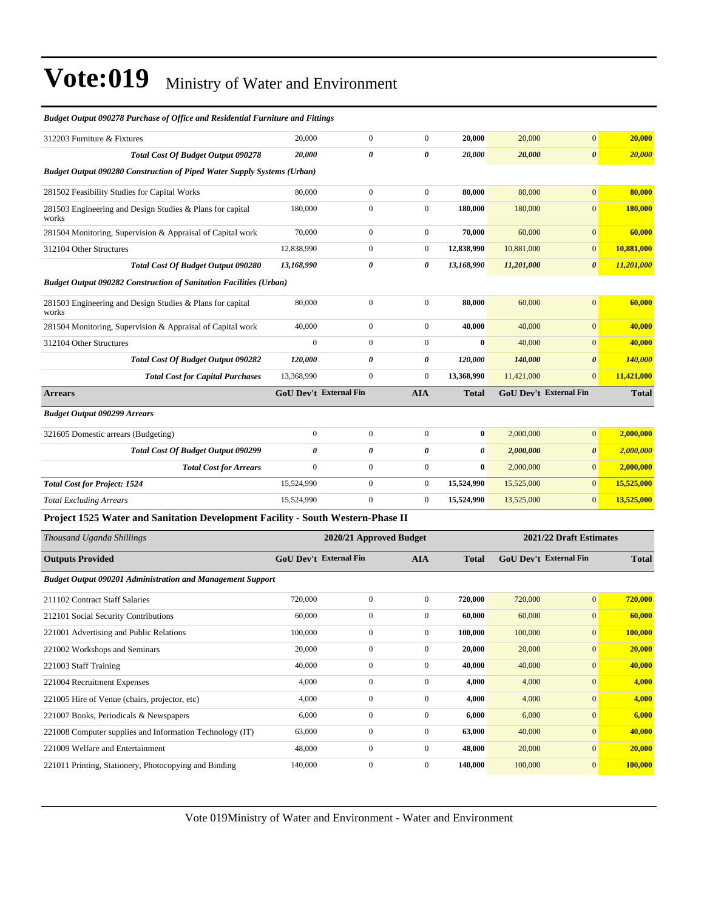#### *Budget Output 090278 Purchase of Office and Residential Furniture and Fittings* 312203 Furniture & Fixtures 20,000 0 0 **20,000** 20,000 0 **20,000** *Total Cost Of Budget Output 090278 20,000 0 0 20,000 20,000 0 20,000 Budget Output 090280 Construction of Piped Water Supply Systems (Urban)* 281502 Feasibility Studies for Capital Works 80,000 0 0 **80,000** 80,000 0 **80,000** 281503 Engineering and Design Studies & Plans for capital works 180,000 0 0 1**80,000 180,000** 0 180,000 281504 Monitoring, Supervision & Appraisal of Capital work 70,000 0 0 **70,000** 60,000 0 **60,000** 312104 Other Structures 12,838,990 0 0 **12,838,990** 10,881,000 0 **10,881,000** *Total Cost Of Budget Output 090280 13,168,990 0 0 13,168,990 11,201,000 0 11,201,000 Budget Output 090282 Construction of Sanitation Facilities (Urban)* 281503 Engineering and Design Studies & Plans for capital works 80,000 0 0 **80,000** 60,000 0 **60,000** 281504 Monitoring, Supervision & Appraisal of Capital work 40,000 0 0 **40,000** 40,000 0 **40,000** 312104 Other Structures 0 0 0 **0** 40,000 0 **40,000** *Total Cost Of Budget Output 090282 120,000 0 0 120,000 140,000 0 140,000 Total Cost for Capital Purchases* 13,368,990 0 0 0 13,368,990 11,421,000 0 11,421,000 **Arrears GoU Dev't External Fin AIA Total GoU Dev't External Fin Total** *Budget Output 090299 Arrears* 321605 Domestic arrears (Budgeting) 0 0 0 **0** 2,000,000 0 **2,000,000** *Total Cost Of Budget Output 090299 0 0 0 0 2,000,000 0 2,000,000 Total Cost for Arrears* 0 0 0 0 0 2,000,000 0 2,000,000 **Total Cost for Project: 1524** 15,524,990 15,524,990 0 0 15,524,990 15,525,000 0 15,525,000 0 15,525,000 **Total Excluding Arrears** 15,524,990 0 0 0 15,524,990 0 0 15,524,990 0 13,525,000 0 13,525,000 **Project 1525 Water and Sanitation Development Facility - South Western-Phase II**

| Thousand Uganda Shillings                                         | 2020/21 Approved Budget       |                |                |              | 2021/22 Draft Estimates       |                 |              |
|-------------------------------------------------------------------|-------------------------------|----------------|----------------|--------------|-------------------------------|-----------------|--------------|
| <b>Outputs Provided</b>                                           | <b>GoU Dev't External Fin</b> |                | <b>AIA</b>     | <b>Total</b> | <b>GoU</b> Dev't External Fin |                 | <b>Total</b> |
| <b>Budget Output 090201 Administration and Management Support</b> |                               |                |                |              |                               |                 |              |
| 211102 Contract Staff Salaries                                    | 720,000                       | $\mathbf{0}$   | $\mathbf{0}$   | 720,000      | 720,000                       | 0               | 720,000      |
| 212101 Social Security Contributions                              | 60,000                        | $\mathbf{0}$   | $\overline{0}$ | 60,000       | 60,000                        | $\mathbf{0}$    | 60,000       |
| 221001 Advertising and Public Relations                           | 100,000                       | $\mathbf{0}$   | $\mathbf{0}$   | 100,000      | 100,000                       | $\overline{0}$  | 100,000      |
| 221002 Workshops and Seminars                                     | 20,000                        | $\mathbf{0}$   | $\overline{0}$ | 20,000       | 20,000                        | $\overline{0}$  | 20,000       |
| 221003 Staff Training                                             | 40,000                        | $\mathbf{0}$   | $\overline{0}$ | 40,000       | 40,000                        | $\overline{0}$  | 40,000       |
| 221004 Recruitment Expenses                                       | 4,000                         | $\mathbf{0}$   | $\mathbf{0}$   | 4,000        | 4,000                         | $\overline{0}$  | 4,000        |
| 221005 Hire of Venue (chairs, projector, etc)                     | 4,000                         | $\overline{0}$ | $\overline{0}$ | 4,000        | 4,000                         | $\overline{0}$  | 4,000        |
| 221007 Books, Periodicals & Newspapers                            | 6,000                         | $\mathbf{0}$   | $\overline{0}$ | 6,000        | 6,000                         | $\overline{0}$  | 6,000        |
| 221008 Computer supplies and Information Technology (IT)          | 63,000                        | $\mathbf{0}$   | $\overline{0}$ | 63,000       | 40,000                        | $\vert 0 \vert$ | 40,000       |
| 221009 Welfare and Entertainment                                  | 48,000                        | $\mathbf{0}$   | $\overline{0}$ | 48,000       | 20,000                        | $\mathbf{0}$    | 20,000       |
| 221011 Printing, Stationery, Photocopying and Binding             | 140,000                       | $\mathbf{0}$   | $\overline{0}$ | 140,000      | 100,000                       | $\vert 0 \vert$ | 100,000      |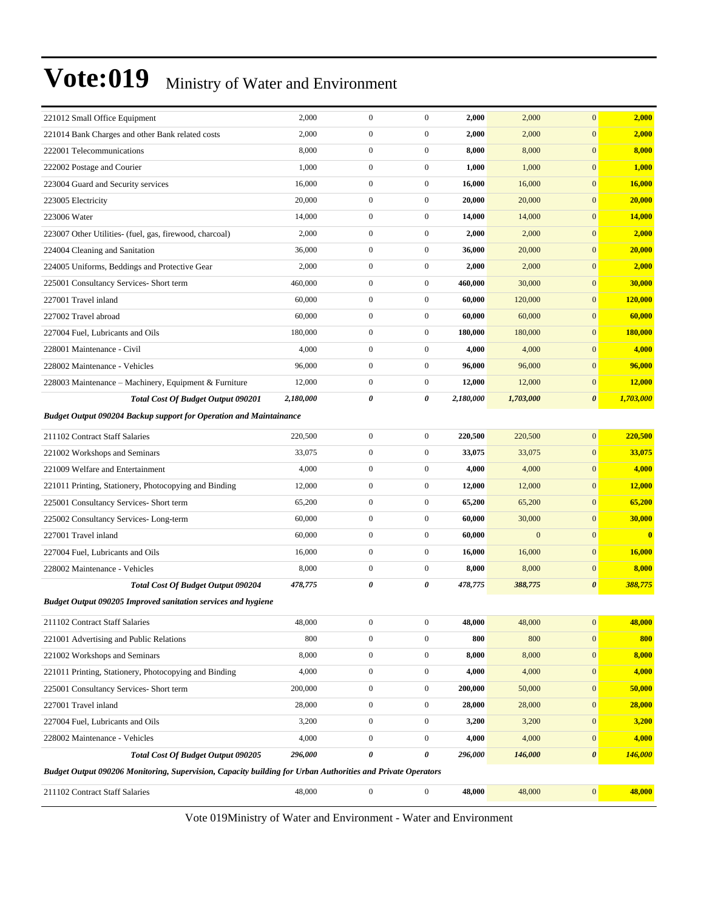| 221012 Small Office Equipment                                                                               | 2,000     | $\boldsymbol{0}$ | $\boldsymbol{0}$ | 2,000     | 2,000        | $\mathbf{0}$          | 2,000         |
|-------------------------------------------------------------------------------------------------------------|-----------|------------------|------------------|-----------|--------------|-----------------------|---------------|
| 221014 Bank Charges and other Bank related costs                                                            | 2,000     | $\boldsymbol{0}$ | $\boldsymbol{0}$ | 2,000     | 2,000        | $\mathbf{0}$          | 2,000         |
| 222001 Telecommunications                                                                                   | 8,000     | $\boldsymbol{0}$ | $\boldsymbol{0}$ | 8,000     | 8,000        | $\boldsymbol{0}$      | 8,000         |
| 222002 Postage and Courier                                                                                  | 1,000     | $\boldsymbol{0}$ | $\boldsymbol{0}$ | 1,000     | 1,000        | $\mathbf{0}$          | 1,000         |
| 223004 Guard and Security services                                                                          | 16,000    | $\boldsymbol{0}$ | $\boldsymbol{0}$ | 16,000    | 16,000       | $\mathbf{0}$          | 16,000        |
| 223005 Electricity                                                                                          | 20,000    | $\boldsymbol{0}$ | $\boldsymbol{0}$ | 20,000    | 20,000       | $\mathbf{0}$          | 20,000        |
| 223006 Water                                                                                                | 14,000    | $\boldsymbol{0}$ | $\boldsymbol{0}$ | 14,000    | 14,000       | $\mathbf{0}$          | 14,000        |
| 223007 Other Utilities- (fuel, gas, firewood, charcoal)                                                     | 2,000     | $\boldsymbol{0}$ | $\boldsymbol{0}$ | 2,000     | 2,000        | $\mathbf{0}$          | 2,000         |
| 224004 Cleaning and Sanitation                                                                              | 36,000    | $\boldsymbol{0}$ | $\boldsymbol{0}$ | 36,000    | 20,000       | $\mathbf{0}$          | 20,000        |
| 224005 Uniforms, Beddings and Protective Gear                                                               | 2,000     | $\boldsymbol{0}$ | $\boldsymbol{0}$ | 2,000     | 2,000        | $\mathbf{0}$          | 2,000         |
| 225001 Consultancy Services- Short term                                                                     | 460,000   | $\boldsymbol{0}$ | $\boldsymbol{0}$ | 460,000   | 30,000       | $\mathbf{0}$          | 30,000        |
| 227001 Travel inland                                                                                        | 60,000    | $\boldsymbol{0}$ | $\boldsymbol{0}$ | 60,000    | 120,000      | $\mathbf{0}$          | 120,000       |
| 227002 Travel abroad                                                                                        | 60,000    | $\boldsymbol{0}$ | $\boldsymbol{0}$ | 60,000    | 60,000       | $\mathbf{0}$          | 60,000        |
| 227004 Fuel, Lubricants and Oils                                                                            | 180,000   | $\boldsymbol{0}$ | $\boldsymbol{0}$ | 180,000   | 180,000      | $\mathbf{0}$          | 180,000       |
| 228001 Maintenance - Civil                                                                                  | 4,000     | $\boldsymbol{0}$ | $\boldsymbol{0}$ | 4,000     | 4,000        | $\mathbf{0}$          | 4,000         |
| 228002 Maintenance - Vehicles                                                                               | 96,000    | $\boldsymbol{0}$ | $\boldsymbol{0}$ | 96,000    | 96,000       | $\mathbf{0}$          | 96,000        |
| 228003 Maintenance - Machinery, Equipment & Furniture                                                       | 12,000    | $\boldsymbol{0}$ | $\boldsymbol{0}$ | 12,000    | 12,000       | $\mathbf{0}$          | <b>12,000</b> |
| <b>Total Cost Of Budget Output 090201</b>                                                                   | 2,180,000 | 0                | 0                | 2,180,000 | 1,703,000    | $\boldsymbol{\theta}$ | 1,703,000     |
| <b>Budget Output 090204 Backup support for Operation and Maintainance</b>                                   |           |                  |                  |           |              |                       |               |
| 211102 Contract Staff Salaries                                                                              | 220,500   | $\boldsymbol{0}$ | $\boldsymbol{0}$ | 220,500   | 220,500      | $\mathbf{0}$          | 220,500       |
| 221002 Workshops and Seminars                                                                               | 33,075    | $\boldsymbol{0}$ | $\boldsymbol{0}$ | 33,075    | 33,075       | $\mathbf{0}$          | 33,075        |
| 221009 Welfare and Entertainment                                                                            | 4,000     | $\boldsymbol{0}$ | $\boldsymbol{0}$ | 4,000     | 4,000        | $\mathbf{0}$          | 4,000         |
| 221011 Printing, Stationery, Photocopying and Binding                                                       | 12,000    | $\boldsymbol{0}$ | $\boldsymbol{0}$ | 12,000    | 12,000       | $\mathbf{0}$          | 12,000        |
| 225001 Consultancy Services- Short term                                                                     | 65,200    | $\boldsymbol{0}$ | $\boldsymbol{0}$ | 65,200    | 65,200       | $\mathbf{0}$          | 65,200        |
| 225002 Consultancy Services-Long-term                                                                       | 60,000    | $\boldsymbol{0}$ | $\boldsymbol{0}$ | 60,000    | 30,000       | $\mathbf{0}$          | 30,000        |
| 227001 Travel inland                                                                                        | 60,000    | $\boldsymbol{0}$ | $\boldsymbol{0}$ | 60,000    | $\mathbf{0}$ | $\mathbf{0}$          | $\bf{0}$      |
| 227004 Fuel, Lubricants and Oils                                                                            | 16,000    | $\boldsymbol{0}$ | $\boldsymbol{0}$ | 16,000    | 16,000       | $\mathbf{0}$          | 16,000        |
| 228002 Maintenance - Vehicles                                                                               | 8,000     | $\boldsymbol{0}$ | $\boldsymbol{0}$ | 8,000     | 8,000        | $\mathbf{0}$          | 8,000         |
| <b>Total Cost Of Budget Output 090204</b>                                                                   | 478,775   | $\pmb{\theta}$   | 0                | 478,775   | 388,775      | $\boldsymbol{\theta}$ | 388,775       |
| <b>Budget Output 090205 Improved sanitation services and hygiene</b>                                        |           |                  |                  |           |              |                       |               |
| 211102 Contract Staff Salaries                                                                              | 48,000    | $\mathbf{0}$     | $\boldsymbol{0}$ | 48,000    | 48,000       | $\mathbf{0}$          | 48,000        |
| 221001 Advertising and Public Relations                                                                     | 800       | $\boldsymbol{0}$ | $\boldsymbol{0}$ | 800       | 800          | $\boldsymbol{0}$      | 800           |
| 221002 Workshops and Seminars                                                                               | 8,000     | $\boldsymbol{0}$ | $\boldsymbol{0}$ | 8,000     | 8,000        | $\boldsymbol{0}$      | 8,000         |
| 221011 Printing, Stationery, Photocopying and Binding                                                       | 4,000     | $\boldsymbol{0}$ | $\boldsymbol{0}$ | 4,000     | 4,000        | $\mathbf{0}$          | 4,000         |
| 225001 Consultancy Services- Short term                                                                     | 200,000   | $\boldsymbol{0}$ | $\boldsymbol{0}$ | 200,000   | 50,000       | $\boldsymbol{0}$      | 50,000        |
| 227001 Travel inland                                                                                        | 28,000    | $\boldsymbol{0}$ | $\boldsymbol{0}$ | 28,000    | 28,000       | $\boldsymbol{0}$      | 28,000        |
| 227004 Fuel, Lubricants and Oils                                                                            | 3,200     | $\boldsymbol{0}$ | $\boldsymbol{0}$ | 3,200     | 3,200        | $\boldsymbol{0}$      | 3,200         |
| 228002 Maintenance - Vehicles                                                                               | 4,000     | $\boldsymbol{0}$ | $\boldsymbol{0}$ | 4,000     | 4,000        | $\boldsymbol{0}$      | 4,000         |
| Total Cost Of Budget Output 090205                                                                          | 296,000   | $\pmb{\theta}$   | $\pmb{\theta}$   | 296,000   | 146,000      | $\boldsymbol{\theta}$ | 146,000       |
| Budget Output 090206 Monitoring, Supervision, Capacity building for Urban Authorities and Private Operators |           |                  |                  |           |              |                       |               |
| 211102 Contract Staff Salaries                                                                              | 48,000    | $\boldsymbol{0}$ | $\boldsymbol{0}$ | 48,000    | 48,000       | $\boldsymbol{0}$      | 48,000        |
|                                                                                                             |           |                  |                  |           |              |                       |               |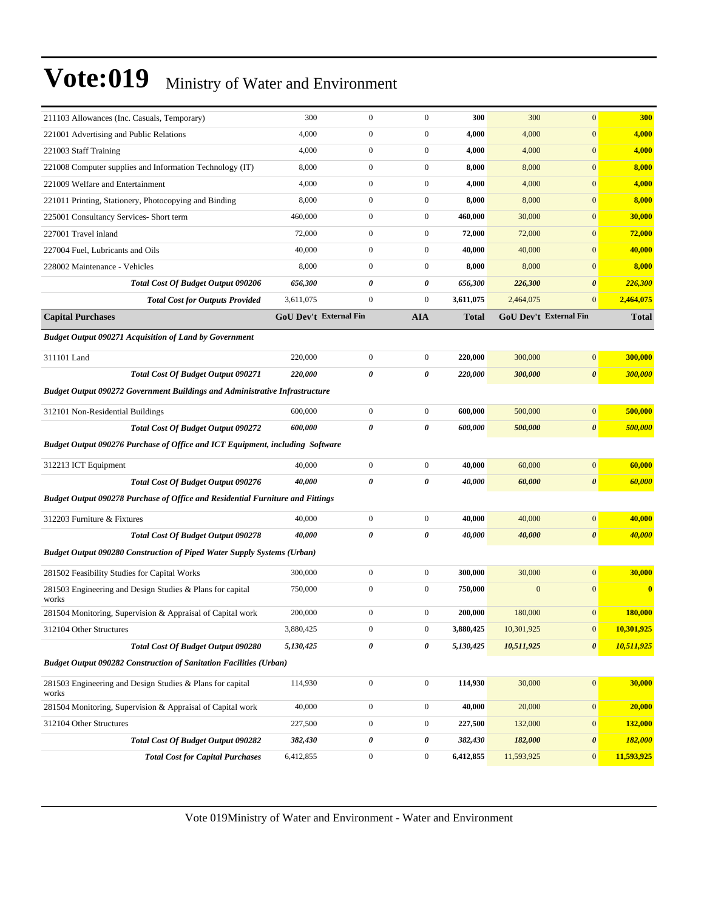| 211103 Allowances (Inc. Casuals, Temporary)                                           | 300       | $\mathbf{0}$           | $\mathbf{0}$          | 300          | 300          | $\mathbf{0}$                  | 300          |
|---------------------------------------------------------------------------------------|-----------|------------------------|-----------------------|--------------|--------------|-------------------------------|--------------|
| 221001 Advertising and Public Relations                                               | 4,000     | $\mathbf{0}$           | $\boldsymbol{0}$      | 4,000        | 4,000        | $\mathbf{0}$                  | 4,000        |
| 221003 Staff Training                                                                 | 4,000     | $\boldsymbol{0}$       | $\boldsymbol{0}$      | 4,000        | 4,000        | $\mathbf{0}$                  | 4,000        |
| 221008 Computer supplies and Information Technology (IT)                              | 8,000     | $\boldsymbol{0}$       | $\boldsymbol{0}$      | 8,000        | 8,000        | $\mathbf{0}$                  | 8,000        |
| 221009 Welfare and Entertainment                                                      | 4,000     | $\boldsymbol{0}$       | $\boldsymbol{0}$      | 4,000        | 4,000        | $\mathbf{0}$                  | 4,000        |
| 221011 Printing, Stationery, Photocopying and Binding                                 | 8,000     | $\boldsymbol{0}$       | $\boldsymbol{0}$      | 8,000        | 8,000        | $\mathbf{0}$                  | 8,000        |
| 225001 Consultancy Services- Short term                                               | 460,000   | $\mathbf{0}$           | $\boldsymbol{0}$      | 460,000      | 30,000       | $\mathbf{0}$                  | 30,000       |
| 227001 Travel inland                                                                  | 72,000    | $\boldsymbol{0}$       | $\boldsymbol{0}$      | 72,000       | 72,000       | $\boldsymbol{0}$              | 72,000       |
| 227004 Fuel, Lubricants and Oils                                                      | 40,000    | $\boldsymbol{0}$       | $\boldsymbol{0}$      | 40,000       | 40,000       | $\mathbf{0}$                  | 40,000       |
| 228002 Maintenance - Vehicles                                                         | 8,000     | $\boldsymbol{0}$       | $\boldsymbol{0}$      | 8,000        | 8,000        | $\mathbf{0}$                  | 8,000        |
| <b>Total Cost Of Budget Output 090206</b>                                             | 656,300   | 0                      | 0                     | 656,300      | 226,300      | $\boldsymbol{\theta}$         | 226,300      |
| <b>Total Cost for Outputs Provided</b>                                                | 3,611,075 | $\boldsymbol{0}$       | $\boldsymbol{0}$      | 3,611,075    | 2,464,075    | $\mathbf{0}$                  | 2,464,075    |
| <b>Capital Purchases</b>                                                              |           | GoU Dev't External Fin | <b>AIA</b>            | <b>Total</b> |              | <b>GoU Dev't External Fin</b> | <b>Total</b> |
| <b>Budget Output 090271 Acquisition of Land by Government</b>                         |           |                        |                       |              |              |                               |              |
| 311101 Land                                                                           | 220,000   | $\boldsymbol{0}$       | $\boldsymbol{0}$      | 220,000      | 300,000      | $\mathbf{0}$                  | 300,000      |
| <b>Total Cost Of Budget Output 090271</b>                                             | 220,000   | 0                      | 0                     | 220,000      | 300,000      | $\boldsymbol{\theta}$         | 300,000      |
| <b>Budget Output 090272 Government Buildings and Administrative Infrastructure</b>    |           |                        |                       |              |              |                               |              |
| 312101 Non-Residential Buildings                                                      | 600,000   | $\boldsymbol{0}$       | $\boldsymbol{0}$      | 600,000      | 500,000      | $\boldsymbol{0}$              | 500,000      |
| <b>Total Cost Of Budget Output 090272</b>                                             | 600,000   | 0                      | $\boldsymbol{\theta}$ | 600,000      | 500,000      | $\pmb{\theta}$                | 500,000      |
| Budget Output 090276 Purchase of Office and ICT Equipment, including Software         |           |                        |                       |              |              |                               |              |
| 312213 ICT Equipment                                                                  | 40,000    | $\boldsymbol{0}$       | $\boldsymbol{0}$      | 40,000       | 60,000       | $\boldsymbol{0}$              | 60,000       |
| <b>Total Cost Of Budget Output 090276</b>                                             | 40,000    | 0                      | 0                     | 40,000       | 60,000       | $\pmb{\theta}$                | 60,000       |
| <b>Budget Output 090278 Purchase of Office and Residential Furniture and Fittings</b> |           |                        |                       |              |              |                               |              |
| 312203 Furniture & Fixtures                                                           | 40,000    | $\boldsymbol{0}$       | $\boldsymbol{0}$      | 40,000       | 40,000       | $\boldsymbol{0}$              | 40,000       |
| <b>Total Cost Of Budget Output 090278</b>                                             | 40,000    | 0                      | 0                     | 40,000       | 40,000       | $\pmb{\theta}$                | 40,000       |
| <b>Budget Output 090280 Construction of Piped Water Supply Systems (Urban)</b>        |           |                        |                       |              |              |                               |              |
| 281502 Feasibility Studies for Capital Works                                          | 300,000   | $\boldsymbol{0}$       | $\boldsymbol{0}$      | 300,000      | 30,000       | $\mathbf{0}$                  | 30,000       |
| 281503 Engineering and Design Studies & Plans for capital<br>works                    | 750,000   | $\boldsymbol{0}$       | $\boldsymbol{0}$      | 750,000      | $\mathbf{0}$ | $\mathbf{0}$                  | $\bf{0}$     |
| 281504 Monitoring, Supervision & Appraisal of Capital work                            | 200,000   | $\mathbf{0}$           | $\boldsymbol{0}$      | 200,000      | 180,000      | $\mathbf{0}$                  | 180,000      |
| 312104 Other Structures                                                               | 3,880,425 | $\boldsymbol{0}$       | $\boldsymbol{0}$      | 3,880,425    | 10,301,925   | $\bf{0}$                      | 10,301,925   |
| <b>Total Cost Of Budget Output 090280</b>                                             | 5,130,425 | $\pmb{\theta}$         | 0                     | 5,130,425    | 10,511,925   | $\pmb{\theta}$                | 10,511,925   |
| <b>Budget Output 090282 Construction of Sanitation Facilities (Urban)</b>             |           |                        |                       |              |              |                               |              |
| 281503 Engineering and Design Studies & Plans for capital<br>works                    | 114,930   | $\boldsymbol{0}$       | $\boldsymbol{0}$      | 114,930      | 30,000       | $\boldsymbol{0}$              | 30,000       |
| 281504 Monitoring, Supervision & Appraisal of Capital work                            | 40,000    | $\boldsymbol{0}$       | $\boldsymbol{0}$      | 40,000       | 20,000       | $\boldsymbol{0}$              | 20,000       |
| 312104 Other Structures                                                               | 227,500   | $\boldsymbol{0}$       | $\boldsymbol{0}$      | 227,500      | 132,000      | $\boldsymbol{0}$              | 132,000      |
| <b>Total Cost Of Budget Output 090282</b>                                             | 382,430   | $\pmb{\theta}$         | 0                     | 382,430      | 182,000      | 0                             | 182,000      |
| <b>Total Cost for Capital Purchases</b>                                               | 6,412,855 | $\boldsymbol{0}$       | $\boldsymbol{0}$      | 6,412,855    | 11,593,925   | $\mathbf{0}$                  | 11,593,925   |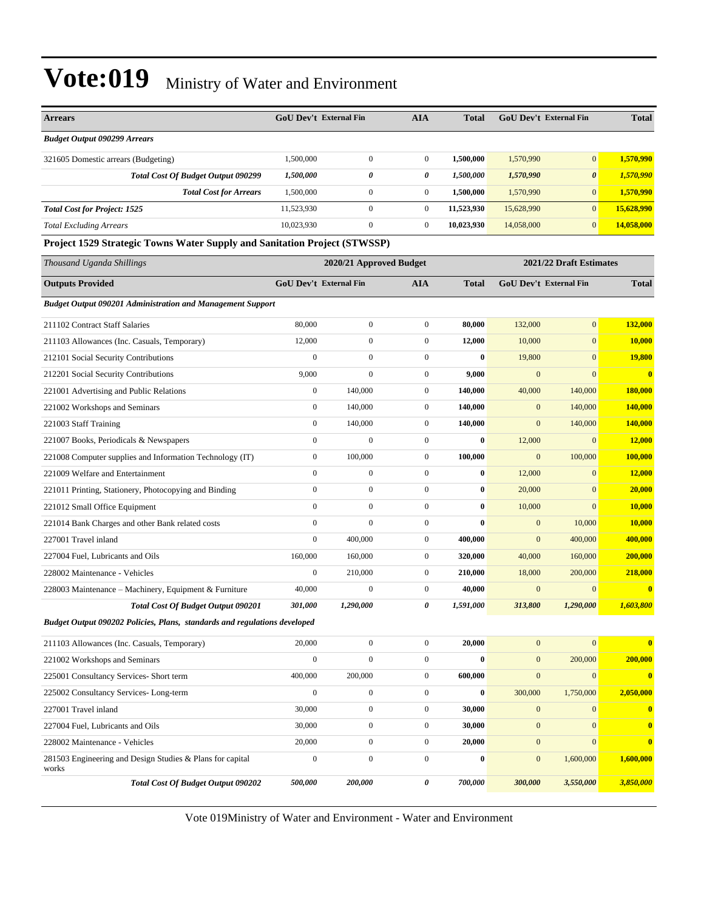| <b>Arrears</b>                                                            |                  | <b>GoU Dev't External Fin</b> | <b>AIA</b>       | <b>Total</b> |                  | <b>GoU Dev't External Fin</b> | <b>Total</b>            |
|---------------------------------------------------------------------------|------------------|-------------------------------|------------------|--------------|------------------|-------------------------------|-------------------------|
| <b>Budget Output 090299 Arrears</b>                                       |                  |                               |                  |              |                  |                               |                         |
| 321605 Domestic arrears (Budgeting)                                       | 1,500,000        | $\boldsymbol{0}$              | $\boldsymbol{0}$ | 1,500,000    | 1,570,990        | $\overline{0}$                | 1,570,990               |
| <b>Total Cost Of Budget Output 090299</b>                                 | 1,500,000        | 0                             | 0                | 1,500,000    | 1,570,990        | $\boldsymbol{\theta}$         | 1,570,990               |
| <b>Total Cost for Arrears</b>                                             | 1,500,000        | $\mathbf{0}$                  | $\boldsymbol{0}$ | 1,500,000    | 1,570,990        | $\mathbf{0}$                  | 1,570,990               |
| <b>Total Cost for Project: 1525</b>                                       | 11,523,930       | $\boldsymbol{0}$              | $\boldsymbol{0}$ | 11,523,930   | 15,628,990       | $\overline{0}$                | 15,628,990              |
| <b>Total Excluding Arrears</b>                                            | 10,023,930       | $\boldsymbol{0}$              | $\boldsymbol{0}$ | 10,023,930   | 14,058,000       | $\mathbf{0}$                  | 14,058,000              |
| Project 1529 Strategic Towns Water Supply and Sanitation Project (STWSSP) |                  |                               |                  |              |                  |                               |                         |
| Thousand Uganda Shillings                                                 |                  | 2020/21 Approved Budget       |                  |              |                  | 2021/22 Draft Estimates       |                         |
| <b>Outputs Provided</b>                                                   |                  | GoU Dev't External Fin        | <b>AIA</b>       | <b>Total</b> |                  | GoU Dev't External Fin        | <b>Total</b>            |
| <b>Budget Output 090201 Administration and Management Support</b>         |                  |                               |                  |              |                  |                               |                         |
| 211102 Contract Staff Salaries                                            | 80,000           | $\boldsymbol{0}$              | $\boldsymbol{0}$ | 80,000       | 132,000          | $\mathbf{0}$                  | 132,000                 |
| 211103 Allowances (Inc. Casuals, Temporary)                               | 12,000           | $\boldsymbol{0}$              | $\boldsymbol{0}$ | 12,000       | 10,000           | $\mathbf{0}$                  | 10,000                  |
| 212101 Social Security Contributions                                      | $\mathbf{0}$     | $\boldsymbol{0}$              | $\boldsymbol{0}$ | $\bf{0}$     | 19,800           | $\overline{0}$                | 19,800                  |
| 212201 Social Security Contributions                                      | 9,000            | $\mathbf{0}$                  | $\boldsymbol{0}$ | 9,000        | $\mathbf{0}$     | $\overline{0}$                | $\overline{\mathbf{0}}$ |
| 221001 Advertising and Public Relations                                   | $\boldsymbol{0}$ | 140,000                       | $\boldsymbol{0}$ | 140,000      | 40,000           | 140,000                       | 180,000                 |
| 221002 Workshops and Seminars                                             | $\boldsymbol{0}$ | 140,000                       | $\boldsymbol{0}$ | 140,000      | $\mathbf{0}$     | 140,000                       | 140,000                 |
| 221003 Staff Training                                                     | $\boldsymbol{0}$ | 140,000                       | $\boldsymbol{0}$ | 140,000      | $\mathbf{0}$     | 140,000                       | 140,000                 |
| 221007 Books, Periodicals & Newspapers                                    | $\boldsymbol{0}$ | $\boldsymbol{0}$              | $\boldsymbol{0}$ | $\bf{0}$     | 12,000           | $\overline{0}$                | 12,000                  |
| 221008 Computer supplies and Information Technology (IT)                  | $\boldsymbol{0}$ | 100,000                       | $\boldsymbol{0}$ | 100,000      | $\boldsymbol{0}$ | 100,000                       | 100,000                 |
| 221009 Welfare and Entertainment                                          | $\mathbf{0}$     | $\boldsymbol{0}$              | $\boldsymbol{0}$ | $\bf{0}$     | 12,000           | $\overline{0}$                | 12,000                  |
| 221011 Printing, Stationery, Photocopying and Binding                     | $\mathbf{0}$     | $\mathbf{0}$                  | $\boldsymbol{0}$ | $\bf{0}$     | 20,000           | $\mathbf{0}$                  | 20,000                  |
| 221012 Small Office Equipment                                             | $\mathbf{0}$     | $\boldsymbol{0}$              | $\boldsymbol{0}$ | $\bf{0}$     | 10,000           | $\mathbf{0}$                  | 10,000                  |
| 221014 Bank Charges and other Bank related costs                          | $\boldsymbol{0}$ | $\boldsymbol{0}$              | $\boldsymbol{0}$ | $\bf{0}$     | $\mathbf{0}$     | 10,000                        | 10,000                  |
| 227001 Travel inland                                                      | $\mathbf{0}$     | 400,000                       | $\boldsymbol{0}$ | 400,000      | $\boldsymbol{0}$ | 400,000                       | 400,000                 |
| 227004 Fuel, Lubricants and Oils                                          | 160,000          | 160,000                       | $\boldsymbol{0}$ | 320,000      | 40,000           | 160,000                       | 200,000                 |
| 228002 Maintenance - Vehicles                                             | $\boldsymbol{0}$ | 210,000                       | $\boldsymbol{0}$ | 210,000      | 18,000           | 200,000                       | 218,000                 |
| 228003 Maintenance – Machinery, Equipment & Furniture                     | 40,000           | $\boldsymbol{0}$              | $\boldsymbol{0}$ | 40,000       | $\boldsymbol{0}$ | $\boldsymbol{0}$              | $\mathbf{0}$            |
| <b>Total Cost Of Budget Output 090201</b>                                 | 301,000          | 1,290,000                     | 0                | 1,591,000    | 313,800          | 1,290,000                     | 1,603,800               |
| Budget Output 090202 Policies, Plans, standards and regulations developed |                  |                               |                  |              |                  |                               |                         |
| 211103 Allowances (Inc. Casuals, Temporary)                               | 20,000           | $\boldsymbol{0}$              | $\boldsymbol{0}$ | 20,000       | $\boldsymbol{0}$ | $\mathbf{0}$                  | $\mathbf{0}$            |
| 221002 Workshops and Seminars                                             | $\boldsymbol{0}$ | $\boldsymbol{0}$              | $\boldsymbol{0}$ | $\bf{0}$     | $\mathbf{0}$     | 200,000                       | 200,000                 |
| 225001 Consultancy Services- Short term                                   | 400,000          | 200,000                       | $\boldsymbol{0}$ | 600,000      | $\boldsymbol{0}$ | $\overline{0}$                | $\mathbf{0}$            |
| 225002 Consultancy Services-Long-term                                     | $\boldsymbol{0}$ | $\boldsymbol{0}$              | $\boldsymbol{0}$ | $\bf{0}$     | 300,000          | 1,750,000                     | 2,050,000               |
| 227001 Travel inland                                                      | 30,000           | $\boldsymbol{0}$              | $\boldsymbol{0}$ | 30,000       | $\boldsymbol{0}$ | $\mathbf{0}$                  | $\bf{0}$                |
| 227004 Fuel, Lubricants and Oils                                          | 30,000           | $\boldsymbol{0}$              | $\boldsymbol{0}$ | 30,000       | $\mathbf{0}$     | $\mathbf{0}$                  | $\bf{0}$                |
| 228002 Maintenance - Vehicles                                             | 20,000           | $\boldsymbol{0}$              | $\boldsymbol{0}$ | 20,000       | $\boldsymbol{0}$ | $\mathbf{0}$                  | $\overline{\mathbf{0}}$ |
| 281503 Engineering and Design Studies & Plans for capital<br>works        | $\boldsymbol{0}$ | $\boldsymbol{0}$              | $\boldsymbol{0}$ | $\bf{0}$     | $\mathbf{0}$     | 1,600,000                     | 1,600,000               |
| <b>Total Cost Of Budget Output 090202</b>                                 | 500,000          | 200,000                       | 0                | 700,000      | 300,000          | 3,550,000                     | 3,850,000               |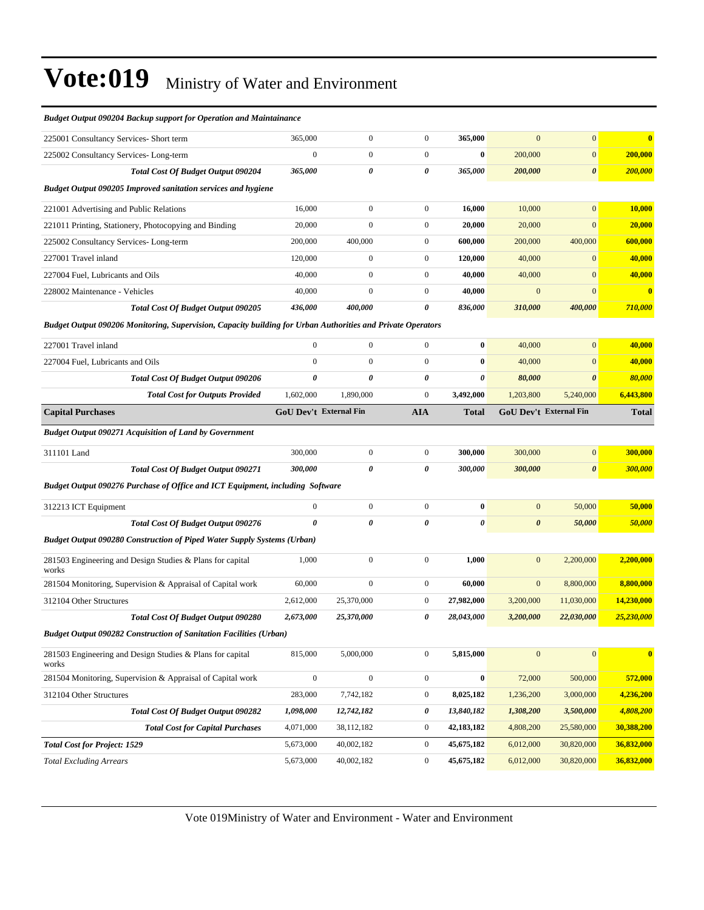| <b>Budget Output 090204 Backup support for Operation and Maintainance</b>                                   |                               |                  |                       |                       |                       |                               |                         |
|-------------------------------------------------------------------------------------------------------------|-------------------------------|------------------|-----------------------|-----------------------|-----------------------|-------------------------------|-------------------------|
| 225001 Consultancy Services- Short term                                                                     | 365,000                       | $\boldsymbol{0}$ | $\boldsymbol{0}$      | 365,000               | $\mathbf{0}$          | $\mathbf{0}$                  | $\overline{\mathbf{0}}$ |
| 225002 Consultancy Services-Long-term                                                                       | $\mathbf{0}$                  | $\boldsymbol{0}$ | $\boldsymbol{0}$      | $\bf{0}$              | 200,000               | $\mathbf{0}$                  | 200,000                 |
| <b>Total Cost Of Budget Output 090204</b>                                                                   | 365,000                       | 0                | 0                     | 365,000               | 200,000               | $\boldsymbol{\theta}$         | 200,000                 |
| <b>Budget Output 090205 Improved sanitation services and hygiene</b>                                        |                               |                  |                       |                       |                       |                               |                         |
| 221001 Advertising and Public Relations                                                                     | 16,000                        | $\boldsymbol{0}$ | $\boldsymbol{0}$      | 16,000                | 10,000                | $\overline{0}$                | 10,000                  |
| 221011 Printing, Stationery, Photocopying and Binding                                                       | 20,000                        | $\boldsymbol{0}$ | $\boldsymbol{0}$      | 20,000                | 20,000                | $\boldsymbol{0}$              | 20,000                  |
| 225002 Consultancy Services-Long-term                                                                       | 200,000                       | 400,000          | $\boldsymbol{0}$      | 600,000               | 200,000               | 400,000                       | 600,000                 |
| 227001 Travel inland                                                                                        | 120,000                       | $\boldsymbol{0}$ | $\boldsymbol{0}$      | 120.000               | 40,000                | $\mathbf{0}$                  | 40,000                  |
| 227004 Fuel, Lubricants and Oils                                                                            | 40,000                        | $\boldsymbol{0}$ | $\boldsymbol{0}$      | 40,000                | 40,000                | $\mathbf{0}$                  | 40,000                  |
| 228002 Maintenance - Vehicles                                                                               | 40,000                        | $\mathbf{0}$     | $\boldsymbol{0}$      | 40,000                | $\mathbf{0}$          | $\overline{0}$                | $\overline{\mathbf{0}}$ |
| <b>Total Cost Of Budget Output 090205</b>                                                                   | 436,000                       | 400,000          | 0                     | 836,000               | 310,000               | 400,000                       | 710,000                 |
| Budget Output 090206 Monitoring, Supervision, Capacity building for Urban Authorities and Private Operators |                               |                  |                       |                       |                       |                               |                         |
| 227001 Travel inland                                                                                        | $\mathbf{0}$                  | $\boldsymbol{0}$ | $\mathbf{0}$          | $\bf{0}$              | 40,000                | $\overline{0}$                | 40,000                  |
| 227004 Fuel, Lubricants and Oils                                                                            | $\mathbf{0}$                  | $\boldsymbol{0}$ | $\boldsymbol{0}$      | $\bf{0}$              | 40,000                | $\mathbf{0}$                  | 40,000                  |
| <b>Total Cost Of Budget Output 090206</b>                                                                   | $\pmb{\theta}$                | $\pmb{\theta}$   | 0                     | 0                     | 80,000                | $\boldsymbol{\theta}$         | 80,000                  |
| <b>Total Cost for Outputs Provided</b>                                                                      | 1,602,000                     | 1,890,000        | $\boldsymbol{0}$      | 3,492,000             | 1,203,800             | 5,240,000                     | 6,443,800               |
| <b>Capital Purchases</b>                                                                                    | <b>GoU Dev't External Fin</b> |                  | <b>AIA</b>            | <b>Total</b>          |                       | <b>GoU Dev't External Fin</b> | Total                   |
| <b>Budget Output 090271 Acquisition of Land by Government</b>                                               |                               |                  |                       |                       |                       |                               |                         |
| 311101 Land                                                                                                 | 300,000                       | $\boldsymbol{0}$ | $\boldsymbol{0}$      | 300,000               | 300,000               | $\mathbf{0}$                  | 300,000                 |
| <b>Total Cost Of Budget Output 090271</b>                                                                   | 300,000                       | 0                | 0                     | 300,000               | 300,000               | $\boldsymbol{\theta}$         | 300,000                 |
| Budget Output 090276 Purchase of Office and ICT Equipment, including Software                               |                               |                  |                       |                       |                       |                               |                         |
| 312213 ICT Equipment                                                                                        | $\boldsymbol{0}$              | $\boldsymbol{0}$ | $\boldsymbol{0}$      | $\bf{0}$              | $\mathbf{0}$          | 50,000                        | 50,000                  |
| <b>Total Cost Of Budget Output 090276</b>                                                                   | $\theta$                      | $\pmb{\theta}$   | $\boldsymbol{\theta}$ | $\boldsymbol{\theta}$ | $\boldsymbol{\theta}$ | 50,000                        | 50,000                  |
| <b>Budget Output 090280 Construction of Piped Water Supply Systems (Urban)</b>                              |                               |                  |                       |                       |                       |                               |                         |
| 281503 Engineering and Design Studies & Plans for capital<br>works                                          | 1,000                         | $\boldsymbol{0}$ | $\boldsymbol{0}$      | 1,000                 | $\mathbf{0}$          | 2,200,000                     | 2,200,000               |
| 281504 Monitoring, Supervision & Appraisal of Capital work                                                  | 60,000                        | $\boldsymbol{0}$ | $\boldsymbol{0}$      | 60,000                | $\mathbf{0}$          | 8,800,000                     | 8,800,000               |
| 312104 Other Structures                                                                                     | 2,612,000                     | 25,370,000       | $\mathbf{0}$          | 27,982,000            | 3,200,000             | 11,030,000                    | 14,230,000              |
| Total Cost Of Budget Output 090280                                                                          | 2,673,000                     | 25,370,000       | 0                     | 28,043,000            | 3,200,000             | 22,030,000                    | 25,230,000              |
| <b>Budget Output 090282 Construction of Sanitation Facilities (Urban)</b>                                   |                               |                  |                       |                       |                       |                               |                         |
| 281503 Engineering and Design Studies & Plans for capital<br>works                                          | 815,000                       | 5,000,000        | $\boldsymbol{0}$      | 5,815,000             | $\boldsymbol{0}$      | $\mathbf{0}$                  | $\bf{0}$                |
| 281504 Monitoring, Supervision & Appraisal of Capital work                                                  | $\boldsymbol{0}$              | $\boldsymbol{0}$ | $\boldsymbol{0}$      | $\boldsymbol{0}$      | 72,000                | 500,000                       | 572,000                 |
| 312104 Other Structures                                                                                     | 283,000                       | 7,742,182        | $\boldsymbol{0}$      | 8,025,182             | 1,236,200             | 3,000,000                     | 4,236,200               |
| Total Cost Of Budget Output 090282                                                                          | 1,098,000                     | 12,742,182       | 0                     | 13,840,182            | 1,308,200             | 3,500,000                     | 4,808,200               |
| <b>Total Cost for Capital Purchases</b>                                                                     | 4,071,000                     | 38,112,182       | $\boldsymbol{0}$      | 42, 183, 182          | 4,808,200             | 25,580,000                    | 30,388,200              |
|                                                                                                             |                               |                  |                       |                       |                       |                               |                         |
| <b>Total Cost for Project: 1529</b>                                                                         | 5,673,000                     | 40,002,182       | $\boldsymbol{0}$      | 45,675,182            | 6,012,000             | 30,820,000                    | 36,832,000              |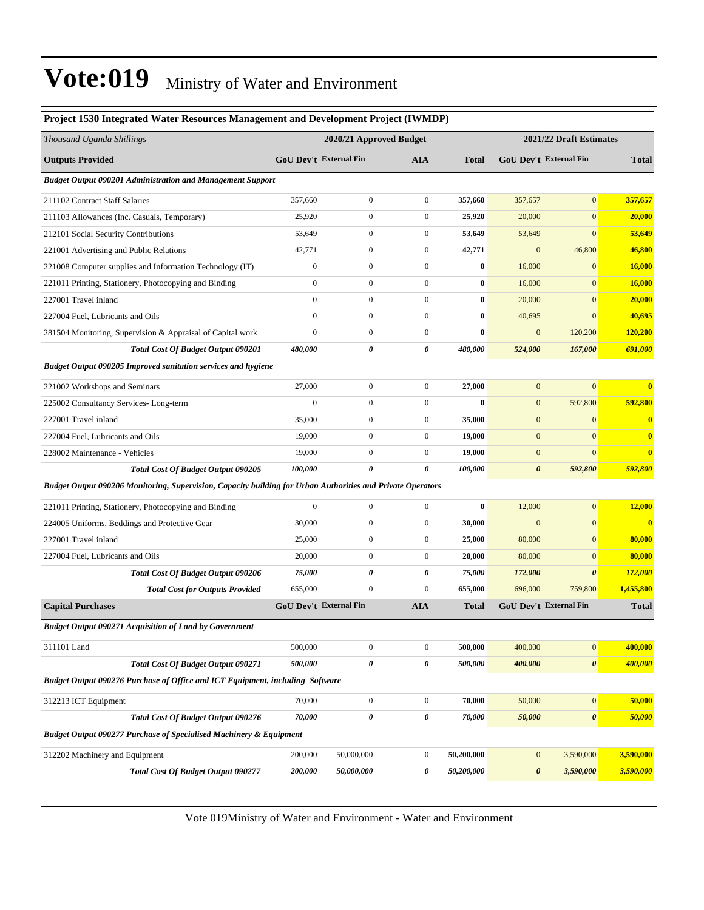| Project 1530 Integrated Water Resources Management and Development Project (IWMDP)                          |                               |                         |                       |              |                               |                         |              |  |
|-------------------------------------------------------------------------------------------------------------|-------------------------------|-------------------------|-----------------------|--------------|-------------------------------|-------------------------|--------------|--|
| Thousand Uganda Shillings                                                                                   |                               | 2020/21 Approved Budget |                       |              |                               | 2021/22 Draft Estimates |              |  |
| <b>Outputs Provided</b>                                                                                     | <b>GoU Dev't External Fin</b> |                         | <b>AIA</b>            | <b>Total</b> | <b>GoU Dev't External Fin</b> |                         | <b>Total</b> |  |
| <b>Budget Output 090201 Administration and Management Support</b>                                           |                               |                         |                       |              |                               |                         |              |  |
| 211102 Contract Staff Salaries                                                                              | 357,660                       | $\boldsymbol{0}$        | $\boldsymbol{0}$      | 357,660      | 357,657                       | $\boldsymbol{0}$        | 357,657      |  |
| 211103 Allowances (Inc. Casuals, Temporary)                                                                 | 25,920                        | $\boldsymbol{0}$        | $\boldsymbol{0}$      | 25,920       | 20,000                        | $\boldsymbol{0}$        | 20,000       |  |
| 212101 Social Security Contributions                                                                        | 53,649                        | $\boldsymbol{0}$        | $\boldsymbol{0}$      | 53,649       | 53,649                        | $\boldsymbol{0}$        | 53,649       |  |
| 221001 Advertising and Public Relations                                                                     | 42,771                        | $\boldsymbol{0}$        | $\boldsymbol{0}$      | 42,771       | $\mathbf{0}$                  | 46,800                  | 46,800       |  |
| 221008 Computer supplies and Information Technology (IT)                                                    | 0                             | $\boldsymbol{0}$        | $\boldsymbol{0}$      | $\bf{0}$     | 16,000                        | $\mathbf{0}$            | 16,000       |  |
| 221011 Printing, Stationery, Photocopying and Binding                                                       | $\boldsymbol{0}$              | $\boldsymbol{0}$        | $\boldsymbol{0}$      | $\bf{0}$     | 16,000                        | $\boldsymbol{0}$        | 16,000       |  |
| 227001 Travel inland                                                                                        | $\boldsymbol{0}$              | $\boldsymbol{0}$        | $\boldsymbol{0}$      | $\bf{0}$     | 20,000                        | $\boldsymbol{0}$        | 20,000       |  |
| 227004 Fuel, Lubricants and Oils                                                                            | $\overline{0}$                | $\boldsymbol{0}$        | $\boldsymbol{0}$      | $\bf{0}$     | 40,695                        | $\boldsymbol{0}$        | 40,695       |  |
| 281504 Monitoring, Supervision & Appraisal of Capital work                                                  | $\boldsymbol{0}$              | $\boldsymbol{0}$        | $\boldsymbol{0}$      | $\bf{0}$     | $\mathbf{0}$                  | 120,200                 | 120,200      |  |
| <b>Total Cost Of Budget Output 090201</b>                                                                   | 480,000                       | 0                       | 0                     | 480,000      | 524,000                       | 167,000                 | 691,000      |  |
| Budget Output 090205 Improved sanitation services and hygiene                                               |                               |                         |                       |              |                               |                         |              |  |
| 221002 Workshops and Seminars                                                                               | 27,000                        | $\boldsymbol{0}$        | $\boldsymbol{0}$      | 27,000       | $\mathbf{0}$                  | $\overline{0}$          | $\bf{0}$     |  |
| 225002 Consultancy Services-Long-term                                                                       | $\overline{0}$                | $\boldsymbol{0}$        | $\boldsymbol{0}$      | $\bf{0}$     | $\mathbf{0}$                  | 592,800                 | 592,800      |  |
| 227001 Travel inland                                                                                        | 35,000                        | $\boldsymbol{0}$        | $\boldsymbol{0}$      | 35,000       | $\mathbf{0}$                  | $\boldsymbol{0}$        | $\bf{0}$     |  |
| 227004 Fuel, Lubricants and Oils                                                                            | 19,000                        | $\boldsymbol{0}$        | $\boldsymbol{0}$      | 19,000       | $\mathbf{0}$                  | $\boldsymbol{0}$        | $\bf{0}$     |  |
| 228002 Maintenance - Vehicles                                                                               | 19,000                        | $\boldsymbol{0}$        | $\boldsymbol{0}$      | 19,000       | $\boldsymbol{0}$              | $\mathbf{0}$            | $\bf{0}$     |  |
| <b>Total Cost Of Budget Output 090205</b>                                                                   | 100,000                       | $\theta$                | $\boldsymbol{\theta}$ | 100,000      | $\pmb{\theta}$                | 592,800                 | 592,800      |  |
| Budget Output 090206 Monitoring, Supervision, Capacity building for Urban Authorities and Private Operators |                               |                         |                       |              |                               |                         |              |  |
| 221011 Printing, Stationery, Photocopying and Binding                                                       | $\boldsymbol{0}$              | $\boldsymbol{0}$        | $\boldsymbol{0}$      | $\bf{0}$     | 12,000                        | $\mathbf{0}$            | 12,000       |  |
| 224005 Uniforms, Beddings and Protective Gear                                                               | 30,000                        | $\boldsymbol{0}$        | $\boldsymbol{0}$      | 30,000       | $\mathbf{0}$                  | $\mathbf{0}$            | $\bf{0}$     |  |
| 227001 Travel inland                                                                                        | 25,000                        | $\boldsymbol{0}$        | $\boldsymbol{0}$      | 25,000       | 80,000                        | $\mathbf{0}$            | 80,000       |  |
| 227004 Fuel, Lubricants and Oils                                                                            | 20,000                        | $\boldsymbol{0}$        | $\boldsymbol{0}$      | 20,000       | 80,000                        | $\boldsymbol{0}$        | 80,000       |  |
| <b>Total Cost Of Budget Output 090206</b>                                                                   | 75,000                        | 0                       | 0                     | 75,000       | 172,000                       | $\boldsymbol{\theta}$   | 172,000      |  |
| <b>Total Cost for Outputs Provided</b>                                                                      | 655,000                       | $\boldsymbol{0}$        | $\boldsymbol{0}$      | 655,000      | 696,000                       | 759,800                 | 1,455,800    |  |
| <b>Capital Purchases</b>                                                                                    | <b>GoU Dev't External Fin</b> |                         | <b>AIA</b>            | <b>Total</b> | GoU Dev't External Fin        |                         | <b>Total</b> |  |
| <b>Budget Output 090271 Acquisition of Land by Government</b>                                               |                               |                         |                       |              |                               |                         |              |  |
| 311101 Land                                                                                                 | 500,000                       | $\boldsymbol{0}$        | $\boldsymbol{0}$      | 500,000      | 400,000                       | $\vert 0 \vert$         | 400,000      |  |
| <b>Total Cost Of Budget Output 090271</b>                                                                   | 500,000                       | 0                       | 0                     | 500,000      | 400,000                       | $\pmb{\theta}$          | 400,000      |  |
| Budget Output 090276 Purchase of Office and ICT Equipment, including Software                               |                               |                         |                       |              |                               |                         |              |  |
| 312213 ICT Equipment                                                                                        | 70,000                        | $\boldsymbol{0}$        | $\boldsymbol{0}$      | 70,000       | 50,000                        | $\boldsymbol{0}$        | 50,000       |  |
| <b>Total Cost Of Budget Output 090276</b>                                                                   | 70,000                        | 0                       | $\pmb{\theta}$        | 70,000       | 50,000                        | $\pmb{\theta}$          | 50,000       |  |
| <b>Budget Output 090277 Purchase of Specialised Machinery &amp; Equipment</b>                               |                               |                         |                       |              |                               |                         |              |  |
| 312202 Machinery and Equipment                                                                              | 200,000                       | 50,000,000              | $\boldsymbol{0}$      | 50,200,000   | $\mathbf{0}$                  | 3,590,000               | 3,590,000    |  |
| <b>Total Cost Of Budget Output 090277</b>                                                                   | 200,000                       | 50,000,000              | 0                     | 50,200,000   | $\boldsymbol{\theta}$         | 3,590,000               | 3,590,000    |  |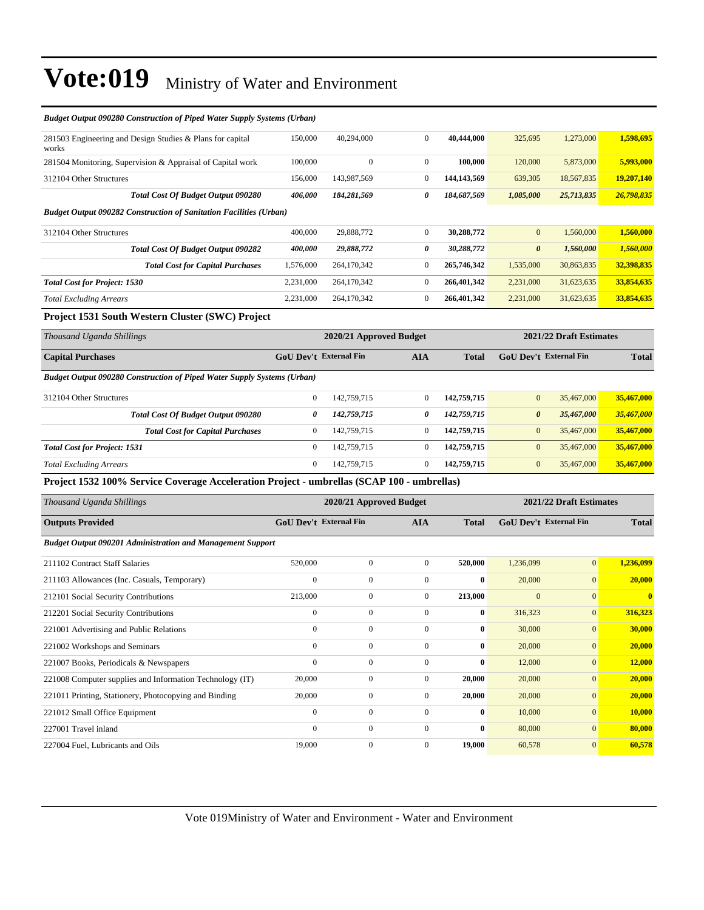| <b>Budget Output 090280 Construction of Piped Water Supply Systems (Urban)</b>             |                                                    |                         |                       |              |                               |                         |              |  |
|--------------------------------------------------------------------------------------------|----------------------------------------------------|-------------------------|-----------------------|--------------|-------------------------------|-------------------------|--------------|--|
| 281503 Engineering and Design Studies & Plans for capital<br>works                         | 150,000                                            | 40,294,000              | $\overline{0}$        | 40,444,000   | 325,695                       | 1,273,000               | 1,598,695    |  |
| 281504 Monitoring, Supervision & Appraisal of Capital work                                 | 100,000                                            | $\mathbf{0}$            | $\mathbf{0}$          | 100,000      | 120,000                       | 5,873,000               | 5,993,000    |  |
| 312104 Other Structures                                                                    | 156,000                                            | 143,987,569             | $\boldsymbol{0}$      | 144,143,569  | 639,305                       | 18,567,835              | 19,207,140   |  |
| Total Cost Of Budget Output 090280                                                         | 406,000                                            | 184,281,569             | $\boldsymbol{\theta}$ | 184,687,569  | 1,085,000                     | 25,713,835              | 26,798,835   |  |
| <b>Budget Output 090282 Construction of Sanitation Facilities (Urban)</b>                  |                                                    |                         |                       |              |                               |                         |              |  |
| 312104 Other Structures                                                                    | 400,000                                            | 29,888,772              | $\mathbf{0}$          | 30,288,772   | $\mathbf{0}$                  | 1,560,000               | 1,560,000    |  |
| <b>Total Cost Of Budget Output 090282</b>                                                  | 400,000                                            | 29,888,772              | 0                     | 30,288,772   | $\boldsymbol{\theta}$         | 1,560,000               | 1,560,000    |  |
| <b>Total Cost for Capital Purchases</b>                                                    | 1,576,000                                          | 264,170,342             | $\mathbf{0}$          | 265,746,342  | 1,535,000                     | 30,863,835              | 32,398,835   |  |
| <b>Total Cost for Project: 1530</b>                                                        | 2,231,000                                          | 264,170,342             | $\mathbf{0}$          | 266,401,342  | 2,231,000                     | 31,623,635              | 33,854,635   |  |
| <b>Total Excluding Arrears</b>                                                             | 2,231,000                                          | 264,170,342             | $\boldsymbol{0}$      | 266,401,342  | 2,231,000                     | 31,623,635              | 33,854,635   |  |
| Project 1531 South Western Cluster (SWC) Project                                           |                                                    |                         |                       |              |                               |                         |              |  |
| Thousand Uganda Shillings                                                                  | 2020/21 Approved Budget<br>2021/22 Draft Estimates |                         |                       |              |                               |                         |              |  |
| <b>Capital Purchases</b>                                                                   | <b>GoU Dev't External Fin</b>                      |                         | <b>AIA</b>            | <b>Total</b> | <b>GoU Dev't External Fin</b> |                         | <b>Total</b> |  |
| Budget Output 090280 Construction of Piped Water Supply Systems (Urban)                    |                                                    |                         |                       |              |                               |                         |              |  |
| 312104 Other Structures                                                                    | $\boldsymbol{0}$                                   | 142,759,715             | $\mathbf{0}$          | 142,759,715  | $\mathbf{0}$                  | 35,467,000              | 35,467,000   |  |
| Total Cost Of Budget Output 090280                                                         | 0                                                  | 142,759,715             | 0                     | 142,759,715  | $\boldsymbol{\theta}$         | 35,467,000              | 35,467,000   |  |
| <b>Total Cost for Capital Purchases</b>                                                    | $\mathbf{0}$                                       | 142,759,715             | $\mathbf{0}$          | 142,759,715  | $\mathbf{0}$                  | 35,467,000              | 35,467,000   |  |
| <b>Total Cost for Project: 1531</b>                                                        | $\mathbf{0}$                                       | 142,759,715             | $\boldsymbol{0}$      | 142,759,715  | $\mathbf{0}$                  | 35,467,000              | 35,467,000   |  |
| <b>Total Excluding Arrears</b>                                                             | $\mathbf{0}$                                       | 142,759,715             | $\mathbf{0}$          | 142,759,715  | $\mathbf{0}$                  | 35,467,000              | 35,467,000   |  |
| Project 1532 100% Service Coverage Acceleration Project - umbrellas (SCAP 100 - umbrellas) |                                                    |                         |                       |              |                               |                         |              |  |
| Thousand Uganda Shillings                                                                  |                                                    | 2020/21 Approved Budget |                       |              |                               | 2021/22 Draft Estimates |              |  |
| <b>Outputs Provided</b>                                                                    | GoU Dev't External Fin                             |                         | <b>AIA</b>            | <b>Total</b> | <b>GoU Dev't External Fin</b> |                         | <b>Total</b> |  |
| <b>Budget Output 090201 Administration and Management Support</b>                          |                                                    |                         |                       |              |                               |                         |              |  |
| 211102 Contract Staff Salaries                                                             | 520,000                                            | $\boldsymbol{0}$        | $\boldsymbol{0}$      | 520,000      | 1,236,099                     | $\overline{0}$          | 1,236,099    |  |
| 211103 Allowances (Inc. Casuals, Temporary)                                                | $\Omega$                                           | $\boldsymbol{0}$        | $\mathbf{0}$          | $\mathbf{0}$ | 20,000                        | $\overline{0}$          | 20,000       |  |
| 212101 Social Security Contributions                                                       | 213,000                                            | $\boldsymbol{0}$        | $\mathbf{0}$          | 213,000      | $\overline{0}$                | $\overline{0}$          | $\bf{0}$     |  |
| 212201 Social Security Contributions                                                       | $\boldsymbol{0}$                                   | $\boldsymbol{0}$        | $\mathbf{0}$          | $\bf{0}$     | 316,323                       | $\overline{0}$          | 316,323      |  |

221001 Advertising and Public Relations 0 0 0 **0** 30,000 0 **30,000** 221002 Workshops and Seminars 0 0 0 **0** 20,000 0 **20,000** 221007 Books, Periodicals & Newspapers 0 0 0 **0** 12,000 0 **12,000** 221008 Computer supplies and Information Technology (IT) 20,000 0 0 **20,000** 20,000 0 **20,000** 221011 Printing, Stationery, Photocopying and Binding 20,000 0 0 **20,000** 20,000 0 **20,000** 221012 Small Office Equipment 0 0 0 **0** 10,000 0 **10,000** 227001 Travel inland 0 0 0 **0** 80,000 0 **80,000** 227004 Fuel, Lubricants and Oils 19,000 0 0 **19,000** 60,578 0 **60,578**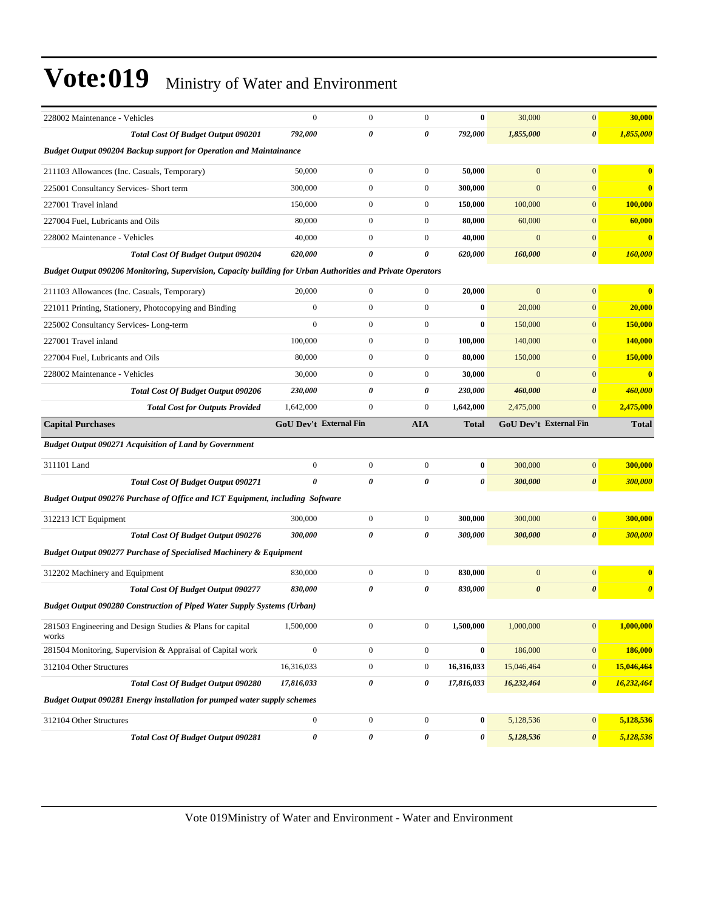| 228002 Maintenance - Vehicles                                                                               | $\mathbf{0}$           | $\mathbf{0}$     | $\mathbf{0}$          | $\bf{0}$     | 30,000                 | $\mathbf{0}$          | 30,000                   |
|-------------------------------------------------------------------------------------------------------------|------------------------|------------------|-----------------------|--------------|------------------------|-----------------------|--------------------------|
| <b>Total Cost Of Budget Output 090201</b>                                                                   | 792,000                | 0                | $\boldsymbol{\theta}$ | 792,000      | 1,855,000              | $\boldsymbol{\theta}$ | 1,855,000                |
| <b>Budget Output 090204 Backup support for Operation and Maintainance</b>                                   |                        |                  |                       |              |                        |                       |                          |
| 211103 Allowances (Inc. Casuals, Temporary)                                                                 | 50,000                 | $\mathbf{0}$     | $\boldsymbol{0}$      | 50,000       | $\overline{0}$         | $\mathbf{0}$          | $\overline{\mathbf{0}}$  |
| 225001 Consultancy Services- Short term                                                                     | 300,000                | $\mathbf{0}$     | $\boldsymbol{0}$      | 300,000      | $\overline{0}$         | $\mathbf{0}$          | $\overline{\mathbf{0}}$  |
| 227001 Travel inland                                                                                        | 150,000                | $\mathbf{0}$     | $\boldsymbol{0}$      | 150,000      | 100,000                | $\mathbf{0}$          | 100,000                  |
| 227004 Fuel, Lubricants and Oils                                                                            | 80,000                 | $\boldsymbol{0}$ | $\boldsymbol{0}$      | 80,000       | 60,000                 | $\mathbf{0}$          | 60,000                   |
| 228002 Maintenance - Vehicles                                                                               | 40,000                 | $\boldsymbol{0}$ | $\boldsymbol{0}$      | 40,000       | $\mathbf{0}$           | $\mathbf{0}$          | $\overline{\mathbf{0}}$  |
| <b>Total Cost Of Budget Output 090204</b>                                                                   | 620,000                | 0                | $\boldsymbol{\theta}$ | 620,000      | 160,000                | $\boldsymbol{\theta}$ | 160,000                  |
| Budget Output 090206 Monitoring, Supervision, Capacity building for Urban Authorities and Private Operators |                        |                  |                       |              |                        |                       |                          |
| 211103 Allowances (Inc. Casuals, Temporary)                                                                 | 20,000                 | $\mathbf{0}$     | $\mathbf{0}$          | 20,000       | $\overline{0}$         | $\mathbf{0}$          | $\overline{\mathbf{0}}$  |
| 221011 Printing, Stationery, Photocopying and Binding                                                       | $\mathbf{0}$           | $\mathbf{0}$     | $\boldsymbol{0}$      | $\bf{0}$     | 20,000                 | $\mathbf{0}$          | 20,000                   |
| 225002 Consultancy Services-Long-term                                                                       | $\overline{0}$         | $\mathbf{0}$     | $\boldsymbol{0}$      | $\bf{0}$     | 150,000                | $\mathbf{0}$          | 150,000                  |
| 227001 Travel inland                                                                                        | 100,000                | $\boldsymbol{0}$ | $\boldsymbol{0}$      | 100,000      | 140,000                | $\mathbf{0}$          | 140,000                  |
| 227004 Fuel, Lubricants and Oils                                                                            | 80,000                 | $\mathbf{0}$     | $\boldsymbol{0}$      | 80,000       | 150,000                | $\mathbf{0}$          | <b>150,000</b>           |
| 228002 Maintenance - Vehicles                                                                               | 30,000                 | $\mathbf{0}$     | $\boldsymbol{0}$      | 30,000       | $\overline{0}$         | $\mathbf{0}$          | $\overline{\mathbf{0}}$  |
| <b>Total Cost Of Budget Output 090206</b>                                                                   | 230,000                | 0                | 0                     | 230,000      | 460,000                | $\boldsymbol{\theta}$ | 460,000                  |
| <b>Total Cost for Outputs Provided</b>                                                                      | 1,642,000              | $\boldsymbol{0}$ | $\boldsymbol{0}$      | 1,642,000    | 2,475,000              | $\mathbf{0}$          | 2,475,000                |
| <b>Capital Purchases</b>                                                                                    | GoU Dev't External Fin |                  | <b>AIA</b>            | <b>Total</b> | GoU Dev't External Fin |                       | <b>Total</b>             |
| <b>Budget Output 090271 Acquisition of Land by Government</b>                                               |                        |                  |                       |              |                        |                       |                          |
| 311101 Land                                                                                                 | $\mathbf{0}$           | $\boldsymbol{0}$ | $\boldsymbol{0}$      | $\bf{0}$     | 300,000                | $\mathbf{0}$          | 300,000                  |
| <b>Total Cost Of Budget Output 090271</b>                                                                   | $\theta$               |                  |                       |              |                        |                       |                          |
|                                                                                                             |                        | 0                | $\boldsymbol{\theta}$ | 0            | 300,000                | $\boldsymbol{\theta}$ | <b>300,000</b>           |
| Budget Output 090276 Purchase of Office and ICT Equipment, including Software                               |                        |                  |                       |              |                        |                       |                          |
| 312213 ICT Equipment                                                                                        | 300,000                | $\boldsymbol{0}$ | $\boldsymbol{0}$      | 300,000      | 300,000                | $\mathbf{0}$          | 300,000                  |
| <b>Total Cost Of Budget Output 090276</b>                                                                   | 300,000                | 0                | 0                     | 300,000      | 300,000                | $\boldsymbol{\theta}$ |                          |
| <b>Budget Output 090277 Purchase of Specialised Machinery &amp; Equipment</b>                               |                        |                  |                       |              |                        |                       | 300,000                  |
| 312202 Machinery and Equipment                                                                              | 830,000                | $\boldsymbol{0}$ | $\boldsymbol{0}$      | 830,000      | $\mathbf{0}$           | $\mathbf{0}$          | $\mathbf{0}$             |
| <b>Total Cost Of Budget Output 090277</b>                                                                   | 830,000                | 0                | 0                     | 830,000      | $\boldsymbol{\theta}$  | $\boldsymbol{\theta}$ |                          |
| <b>Budget Output 090280 Construction of Piped Water Supply Systems (Urban)</b>                              |                        |                  |                       |              |                        |                       | $\boldsymbol{\theta}$    |
| 281503 Engineering and Design Studies & Plans for capital<br>works                                          | 1,500,000              | $\boldsymbol{0}$ | $\boldsymbol{0}$      | 1,500,000    | 1,000,000              | $\boldsymbol{0}$      |                          |
| 281504 Monitoring, Supervision & Appraisal of Capital work                                                  | $\boldsymbol{0}$       | $\boldsymbol{0}$ | $\boldsymbol{0}$      | $\bf{0}$     | 186,000                | $\boldsymbol{0}$      | 1,000,000<br>186,000     |
| 312104 Other Structures                                                                                     | 16,316,033             | $\boldsymbol{0}$ | $\boldsymbol{0}$      | 16,316,033   | 15,046,464             | $\bf{0}$              |                          |
| Total Cost Of Budget Output 090280                                                                          | 17,816,033             | $\pmb{\theta}$   | 0                     | 17,816,033   | 16,232,464             | $\pmb{\theta}$        | 15,046,464<br>16,232,464 |
| Budget Output 090281 Energy installation for pumped water supply schemes                                    |                        |                  |                       |              |                        |                       |                          |
| 312104 Other Structures                                                                                     | $\boldsymbol{0}$       | $\boldsymbol{0}$ | $\boldsymbol{0}$      | $\bf{0}$     | 5,128,536              | $\bf{0}$              | 5,128,536                |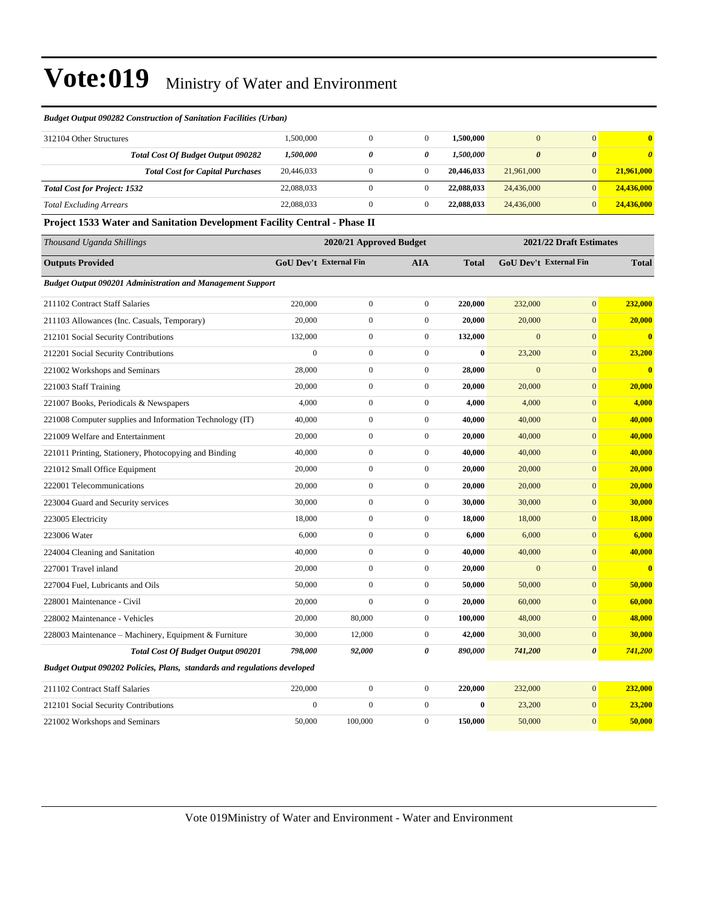*Budget Output 090202 Policies, Plans, standards and regulations developed*

| <b>Budget Output 090282 Construction of Sanitation Facilities (Urban)</b>        |                                                    |                  |                |              |                               |                       |                       |
|----------------------------------------------------------------------------------|----------------------------------------------------|------------------|----------------|--------------|-------------------------------|-----------------------|-----------------------|
| 312104 Other Structures                                                          | 1,500,000                                          | $\mathbf{0}$     | $\mathbf{0}$   | 1,500,000    | $\overline{0}$                | $\overline{0}$        | $\mathbf{0}$          |
| <b>Total Cost Of Budget Output 090282</b>                                        | 1,500,000                                          | 0                | 0              | 1,500,000    | $\boldsymbol{\theta}$         | $\boldsymbol{\theta}$ | $\boldsymbol{\theta}$ |
| <b>Total Cost for Capital Purchases</b>                                          | 20,446,033                                         | $\mathbf{0}$     | $\overline{0}$ | 20,446,033   | 21,961,000                    | $\mathbf{0}$          | 21,961,000            |
| <b>Total Cost for Project: 1532</b>                                              | 22,088,033                                         | $\mathbf{0}$     | $\overline{0}$ | 22,088,033   | 24,436,000                    | $\mathbf{0}$          | 24,436,000            |
| <b>Total Excluding Arrears</b>                                                   | 22,088,033                                         | $\boldsymbol{0}$ | $\mathbf{0}$   | 22,088,033   | 24,436,000                    | $\mathbf{0}$          | 24,436,000            |
| <b>Project 1533 Water and Sanitation Development Facility Central - Phase II</b> |                                                    |                  |                |              |                               |                       |                       |
| Thousand Uganda Shillings                                                        | 2021/22 Draft Estimates<br>2020/21 Approved Budget |                  |                |              |                               |                       |                       |
| <b>Outputs Provided</b>                                                          | <b>GoU Dev't External Fin</b>                      |                  | <b>AIA</b>     | <b>Total</b> | <b>GoU</b> Dev't External Fin |                       | <b>Total</b>          |
| <b>Budget Output 090201 Administration and Management Support</b>                |                                                    |                  |                |              |                               |                       |                       |
| 211102 Contract Staff Salaries                                                   | 220,000                                            | $\mathbf{0}$     | $\mathbf{0}$   | 220,000      | 232,000                       | $\mathbf{0}$          | 232,000               |
| 211103 Allowances (Inc. Casuals, Temporary)                                      | 20,000                                             | $\mathbf{0}$     | $\mathbf{0}$   | 20,000       | 20,000                        | $\mathbf{0}$          | 20,000                |
| 212101 Social Security Contributions                                             | 132,000                                            | $\mathbf{0}$     | $\overline{0}$ | 132,000      | $\mathbf{0}$                  | $\mathbf{0}$          | $\mathbf{0}$          |
| 212201 Social Security Contributions                                             | $\theta$                                           | $\mathbf{0}$     | $\Omega$       | $\bf{0}$     | 23,200                        | $\mathbf{0}$          | 23,200                |
| 221002 Workshops and Seminars                                                    | 28,000                                             | $\mathbf{0}$     | $\Omega$       | 28,000       | $\overline{0}$                | $\mathbf{0}$          | $\mathbf{0}$          |
| 221003 Staff Training                                                            | 20,000                                             | $\mathbf{0}$     | $\mathbf{0}$   | 20,000       | 20,000                        | $\mathbf{0}$          | 20,000                |
| 221007 Books, Periodicals & Newspapers                                           | 4.000                                              | $\mathbf{0}$     | 0              | 4.000        | 4.000                         | $\mathbf{0}$          | 4,000                 |

221008 Computer supplies and Information Technology (IT) 40,000 0 0 **40,000** 40,000 0 **40,000** 221009 Welfare and Entertainment 20,000 0 0 **20,000** 40,000 0 **40,000** 221011 Printing, Stationery, Photocopying and Binding 40,000 0 0 **40,000** 40,000 0 **40,000** 221012 Small Office Equipment 20,000 0 0 **20,000** 20,000 0 **20,000** 222001 Telecommunications 20,000 0 0 **20,000** 20,000 0 **20,000** 223004 Guard and Security services 30,000 0 0 **30,000** 30,000 0 **30,000** 223005 Electricity 18,000 0 0 **18,000** 18,000 0 **18,000** 223006 Water 6,000 0 0 **6,000** 6,000 0 **6,000** 224004 Cleaning and Sanitation 40,000 0 0 **40,000** 40,000 0 **40,000** 227001 Travel inland 20,000 0 0 **20,000** 0 0 **0** 227004 Fuel, Lubricants and Oils 50,000 0 0 **50,000** 50,000 0 **50,000** 228001 Maintenance - Civil 20,000 0 0 **20,000** 60,000 0 **60,000** 228002 Maintenance - Vehicles 20,000 80,000 0 **100,000** 48,000 0 **48,000** 228003 Maintenance ±Machinery, Equipment & Furniture 30,000 12,000 0 **42,000** 30,000 0 **30,000**

211102 Contract Staff Salaries 220,000 0 0 **220,000** 232,000 0 **232,000** 212101 Social Security Contributions 0 0 0 **0** 23,200 0 **23,200** 221002 Workshops and Seminars 50,000 100,000 0 **150,000** 50,000 0 **50,000**

*Total Cost Of Budget Output 090201 798,000 92,000 0 890,000 741,200 0 741,200*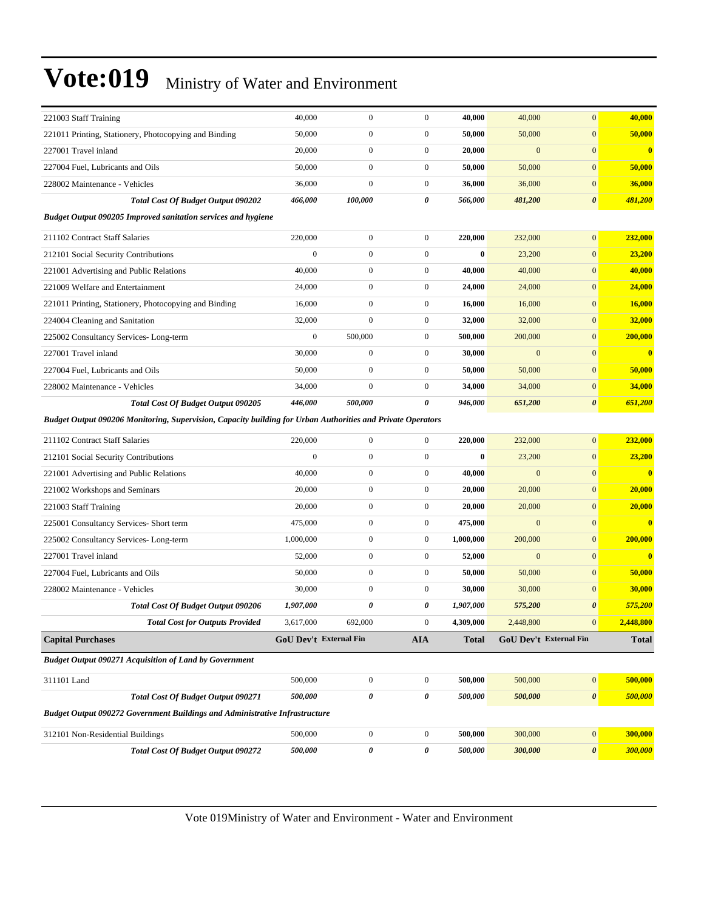| 312101 Non-Residential Buildings                                                                                                          | <b>Total Cost Of Budget Output 090206</b><br><b>Total Cost for Outputs Provided</b><br><b>Total Cost Of Budget Output 090271</b><br><b>Budget Output 090272 Government Buildings and Administrative Infrastructure</b> | 1,907,000<br>3,617,000<br><b>GoU Dev't External Fin</b><br>500,000<br>500,000<br>500,000 | 0<br>692,000<br>$\boldsymbol{0}$<br>0<br>$\boldsymbol{0}$ | 0<br>$\Omega$<br><b>AIA</b><br>$\boldsymbol{0}$<br>0<br>$\boldsymbol{0}$ | 1,907,000<br>4,309,000<br><b>Total</b><br>500,000<br>500,000<br>500,000 | 575,200<br>2,448,800<br>500,000<br>500,000<br>300,000 | $\boldsymbol{\theta}$<br>$\mathbf{0}$<br>GoU Dev't External Fin<br>$\boldsymbol{0}$<br>$\boldsymbol{\theta}$<br>$\boldsymbol{0}$ | 575,200<br>2,448,800<br><b>Total</b><br>500,000<br>500,000<br>300,000 |
|-------------------------------------------------------------------------------------------------------------------------------------------|------------------------------------------------------------------------------------------------------------------------------------------------------------------------------------------------------------------------|------------------------------------------------------------------------------------------|-----------------------------------------------------------|--------------------------------------------------------------------------|-------------------------------------------------------------------------|-------------------------------------------------------|----------------------------------------------------------------------------------------------------------------------------------|-----------------------------------------------------------------------|
| 228002 Maintenance - Vehicles<br><b>Capital Purchases</b><br><b>Budget Output 090271 Acquisition of Land by Government</b><br>311101 Land |                                                                                                                                                                                                                        |                                                                                          |                                                           |                                                                          |                                                                         |                                                       |                                                                                                                                  |                                                                       |
|                                                                                                                                           |                                                                                                                                                                                                                        |                                                                                          |                                                           |                                                                          |                                                                         |                                                       |                                                                                                                                  |                                                                       |
|                                                                                                                                           |                                                                                                                                                                                                                        |                                                                                          |                                                           |                                                                          |                                                                         |                                                       |                                                                                                                                  |                                                                       |
|                                                                                                                                           |                                                                                                                                                                                                                        |                                                                                          |                                                           |                                                                          |                                                                         |                                                       |                                                                                                                                  |                                                                       |
|                                                                                                                                           |                                                                                                                                                                                                                        |                                                                                          |                                                           |                                                                          |                                                                         |                                                       |                                                                                                                                  |                                                                       |
|                                                                                                                                           |                                                                                                                                                                                                                        |                                                                                          |                                                           |                                                                          |                                                                         |                                                       |                                                                                                                                  |                                                                       |
|                                                                                                                                           |                                                                                                                                                                                                                        |                                                                                          |                                                           |                                                                          |                                                                         |                                                       |                                                                                                                                  |                                                                       |
|                                                                                                                                           |                                                                                                                                                                                                                        |                                                                                          |                                                           |                                                                          |                                                                         |                                                       |                                                                                                                                  |                                                                       |
|                                                                                                                                           |                                                                                                                                                                                                                        | 30,000                                                                                   | $\boldsymbol{0}$                                          | $\boldsymbol{0}$                                                         | 30,000                                                                  | 30,000                                                | $\mathbf{0}$                                                                                                                     | 30,000                                                                |
| 227004 Fuel, Lubricants and Oils                                                                                                          |                                                                                                                                                                                                                        | 50,000                                                                                   | $\boldsymbol{0}$                                          | $\boldsymbol{0}$                                                         | 50,000                                                                  | 50,000                                                | $\mathbf{0}$                                                                                                                     | 50,000                                                                |
| 227001 Travel inland                                                                                                                      |                                                                                                                                                                                                                        | 52,000                                                                                   | $\boldsymbol{0}$                                          | $\boldsymbol{0}$                                                         | 52,000                                                                  | $\mathbf{0}$                                          | $\mathbf{0}$                                                                                                                     | $\bf{0}$                                                              |
| 225002 Consultancy Services-Long-term                                                                                                     |                                                                                                                                                                                                                        | 1,000,000                                                                                | $\boldsymbol{0}$                                          | $\boldsymbol{0}$                                                         | 1,000,000                                                               | 200,000                                               | $\mathbf{0}$                                                                                                                     | 200,000                                                               |
| 225001 Consultancy Services- Short term                                                                                                   |                                                                                                                                                                                                                        | 475,000                                                                                  | $\boldsymbol{0}$                                          | $\boldsymbol{0}$                                                         | 475,000                                                                 | $\mathbf{0}$                                          | $\mathbf{0}$                                                                                                                     | $\bf{0}$                                                              |
| 221003 Staff Training                                                                                                                     |                                                                                                                                                                                                                        | 20,000                                                                                   | $\boldsymbol{0}$                                          | $\boldsymbol{0}$                                                         | 20,000                                                                  | 20,000                                                | $\mathbf{0}$                                                                                                                     | 20,000                                                                |
| 221002 Workshops and Seminars                                                                                                             |                                                                                                                                                                                                                        | 20,000                                                                                   | $\boldsymbol{0}$                                          | $\boldsymbol{0}$                                                         | 20,000                                                                  | 20,000                                                | $\mathbf{0}$                                                                                                                     | 20,000                                                                |
| 221001 Advertising and Public Relations                                                                                                   |                                                                                                                                                                                                                        | 40,000                                                                                   | $\boldsymbol{0}$                                          | $\boldsymbol{0}$                                                         | 40,000                                                                  | $\mathbf{0}$                                          | $\mathbf{0}$                                                                                                                     | $\bf{0}$                                                              |
| 212101 Social Security Contributions                                                                                                      |                                                                                                                                                                                                                        | $\boldsymbol{0}$                                                                         | $\boldsymbol{0}$                                          | $\boldsymbol{0}$                                                         | $\bf{0}$                                                                | 23,200                                                | $\mathbf{0}$                                                                                                                     | 23,200                                                                |
| 211102 Contract Staff Salaries                                                                                                            |                                                                                                                                                                                                                        | 220,000                                                                                  | $\boldsymbol{0}$                                          | $\boldsymbol{0}$                                                         | 220,000                                                                 | 232,000                                               | $\boldsymbol{0}$                                                                                                                 | 232,000                                                               |
|                                                                                                                                           | Budget Output 090206 Monitoring, Supervision, Capacity building for Urban Authorities and Private Operators                                                                                                            |                                                                                          |                                                           |                                                                          |                                                                         |                                                       |                                                                                                                                  |                                                                       |
|                                                                                                                                           | Total Cost Of Budget Output 090205                                                                                                                                                                                     | 446,000                                                                                  | 500,000                                                   | 0                                                                        | 946,000                                                                 | 651,200                                               | $\boldsymbol{\theta}$                                                                                                            | 651,200                                                               |
| 228002 Maintenance - Vehicles                                                                                                             |                                                                                                                                                                                                                        | 34,000                                                                                   | $\boldsymbol{0}$                                          | $\boldsymbol{0}$                                                         | 34,000                                                                  | 34,000                                                | $\mathbf{0}$                                                                                                                     | 34,000                                                                |
| 227004 Fuel, Lubricants and Oils                                                                                                          |                                                                                                                                                                                                                        | 50,000                                                                                   | $\boldsymbol{0}$                                          | $\boldsymbol{0}$                                                         | 50,000                                                                  | 50,000                                                | $\mathbf{0}$                                                                                                                     | 50,000                                                                |
| 227001 Travel inland                                                                                                                      |                                                                                                                                                                                                                        | 30,000                                                                                   | $\boldsymbol{0}$                                          | $\boldsymbol{0}$                                                         | 30,000                                                                  | $\overline{0}$                                        | $\mathbf{0}$                                                                                                                     | $\bf{0}$                                                              |
| 225002 Consultancy Services-Long-term                                                                                                     |                                                                                                                                                                                                                        | $\boldsymbol{0}$                                                                         | 500,000                                                   | $\boldsymbol{0}$                                                         | 500,000                                                                 | 200,000                                               | $\mathbf{0}$                                                                                                                     | 200,000                                                               |
| 224004 Cleaning and Sanitation                                                                                                            |                                                                                                                                                                                                                        | 32,000                                                                                   | $\overline{0}$                                            | $\boldsymbol{0}$                                                         | 32,000                                                                  | 32,000                                                | $\mathbf{0}$                                                                                                                     | 32,000                                                                |
| 221011 Printing, Stationery, Photocopying and Binding                                                                                     |                                                                                                                                                                                                                        | 16,000                                                                                   | $\boldsymbol{0}$                                          | $\boldsymbol{0}$                                                         | 16,000                                                                  | 16,000                                                | $\mathbf{0}$                                                                                                                     | 16,000                                                                |
| 221009 Welfare and Entertainment                                                                                                          |                                                                                                                                                                                                                        | 24,000                                                                                   | $\boldsymbol{0}$                                          | $\boldsymbol{0}$                                                         | 24,000                                                                  | 24,000                                                | $\mathbf{0}$                                                                                                                     | 24,000                                                                |
| 221001 Advertising and Public Relations                                                                                                   |                                                                                                                                                                                                                        | 40,000                                                                                   | $\boldsymbol{0}$                                          | $\boldsymbol{0}$                                                         | 40,000                                                                  | 40,000                                                | $\mathbf{0}$                                                                                                                     | 40,000                                                                |
| 212101 Social Security Contributions                                                                                                      |                                                                                                                                                                                                                        | $\mathbf{0}$                                                                             | $\boldsymbol{0}$                                          | $\boldsymbol{0}$                                                         | $\bf{0}$                                                                | 23,200                                                | $\mathbf{0}$                                                                                                                     | 23,200                                                                |
| 211102 Contract Staff Salaries                                                                                                            |                                                                                                                                                                                                                        | 220,000                                                                                  | $\boldsymbol{0}$                                          | $\boldsymbol{0}$                                                         | 220,000                                                                 | 232,000                                               | $\mathbf{0}$                                                                                                                     | 232,000                                                               |
|                                                                                                                                           | Budget Output 090205 Improved sanitation services and hygiene                                                                                                                                                          |                                                                                          |                                                           |                                                                          |                                                                         |                                                       |                                                                                                                                  |                                                                       |
|                                                                                                                                           | <b>Total Cost Of Budget Output 090202</b>                                                                                                                                                                              | 466,000                                                                                  | 100,000                                                   | 0                                                                        | 566,000                                                                 | 481,200                                               | $\boldsymbol{\theta}$                                                                                                            | 481,200                                                               |
| 228002 Maintenance - Vehicles                                                                                                             |                                                                                                                                                                                                                        | 36,000                                                                                   | $\boldsymbol{0}$                                          | $\boldsymbol{0}$                                                         | 36,000                                                                  | 36,000                                                | $\mathbf{0}$                                                                                                                     | 36,000                                                                |
| 227004 Fuel, Lubricants and Oils                                                                                                          |                                                                                                                                                                                                                        | 50,000                                                                                   | $\boldsymbol{0}$                                          | $\boldsymbol{0}$                                                         | 50,000                                                                  | 50,000                                                | $\mathbf{0}$                                                                                                                     | 50,000                                                                |
| 227001 Travel inland                                                                                                                      |                                                                                                                                                                                                                        | 20,000                                                                                   | $\boldsymbol{0}$                                          | $\boldsymbol{0}$                                                         | 20,000                                                                  | $\mathbf{0}$                                          | $\mathbf{0}$                                                                                                                     | $\bf{0}$                                                              |
|                                                                                                                                           |                                                                                                                                                                                                                        | 50,000                                                                                   | $\boldsymbol{0}$                                          | $\boldsymbol{0}$                                                         | 50,000                                                                  | 50,000                                                | $\mathbf{0}$                                                                                                                     | 50,000                                                                |
| 221011 Printing, Stationery, Photocopying and Binding                                                                                     |                                                                                                                                                                                                                        | 40,000                                                                                   | $\boldsymbol{0}$                                          | $\boldsymbol{0}$                                                         | 40,000                                                                  | 40,000                                                | $\mathbf{0}$                                                                                                                     | 40,000                                                                |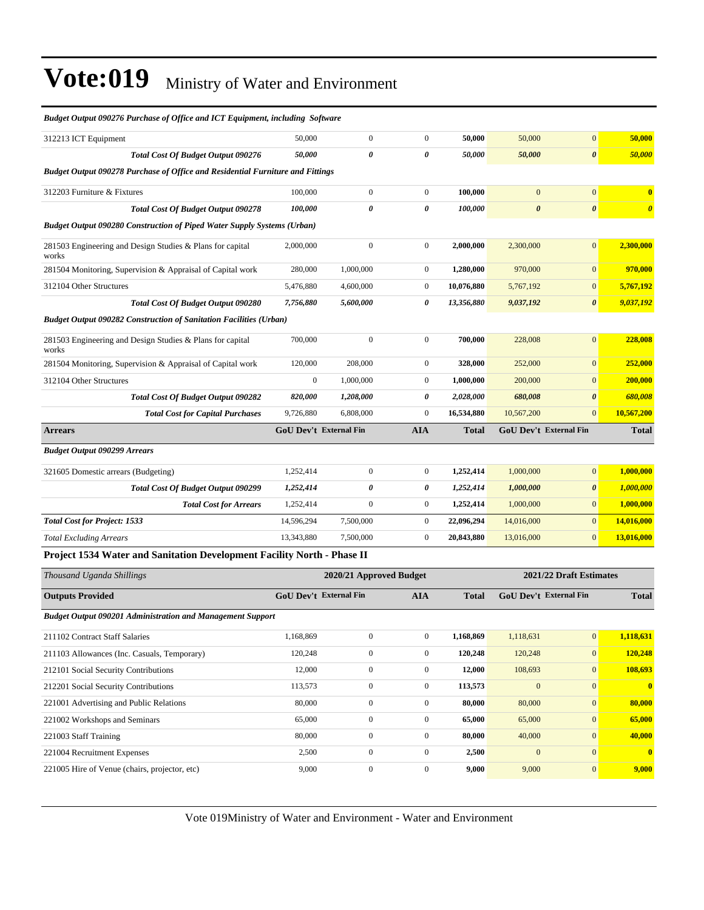| ошдег ошригоэлэг игснияс ор оррес ини тел-тартен, тешинд                              |                               |                         |                       |            |                       |                         |                       |
|---------------------------------------------------------------------------------------|-------------------------------|-------------------------|-----------------------|------------|-----------------------|-------------------------|-----------------------|
| 312213 ICT Equipment                                                                  | 50,000                        | $\boldsymbol{0}$        | $\mathbf{0}$          | 50,000     | 50,000                | $\mathbf{0}$            | 50,000                |
| <b>Total Cost Of Budget Output 090276</b>                                             | 50,000                        | 0                       | 0                     | 50,000     | 50,000                | $\boldsymbol{\theta}$   | 50,000                |
| <b>Budget Output 090278 Purchase of Office and Residential Furniture and Fittings</b> |                               |                         |                       |            |                       |                         |                       |
| 312203 Furniture & Fixtures                                                           | 100,000                       | $\mathbf{0}$            | $\mathbf{0}$          | 100,000    | $\mathbf{0}$          | $\mathbf{0}$            | $\bf{0}$              |
| <b>Total Cost Of Budget Output 090278</b>                                             | 100,000                       | 0                       | $\boldsymbol{\theta}$ | 100,000    | $\boldsymbol{\theta}$ | $\boldsymbol{\theta}$   | $\boldsymbol{\theta}$ |
| <b>Budget Output 090280 Construction of Piped Water Supply Systems (Urban)</b>        |                               |                         |                       |            |                       |                         |                       |
| 281503 Engineering and Design Studies & Plans for capital<br>works                    | 2,000,000                     | $\mathbf{0}$            | $\boldsymbol{0}$      | 2,000,000  | 2,300,000             | $\mathbf{0}$            | 2,300,000             |
| 281504 Monitoring, Supervision & Appraisal of Capital work                            | 280,000                       | 1,000,000               | $\boldsymbol{0}$      | 1,280,000  | 970,000               | $\mathbf{0}$            | 970,000               |
| 312104 Other Structures                                                               | 5,476,880                     | 4,600,000               | $\boldsymbol{0}$      | 10,076,880 | 5,767,192             | $\mathbf{0}$            | 5,767,192             |
| Total Cost Of Budget Output 090280                                                    | 7,756,880                     | 5,600,000               | 0                     | 13,356,880 | 9,037,192             | $\boldsymbol{\theta}$   | 9,037,192             |
| <b>Budget Output 090282 Construction of Sanitation Facilities (Urban)</b>             |                               |                         |                       |            |                       |                         |                       |
| 281503 Engineering and Design Studies & Plans for capital<br>works                    | 700,000                       | $\boldsymbol{0}$        | $\boldsymbol{0}$      | 700,000    | 228,008               | $\mathbf{0}$            | 228,008               |
| 281504 Monitoring, Supervision & Appraisal of Capital work                            | 120,000                       | 208,000                 | $\overline{0}$        | 328,000    | 252,000               | $\mathbf{0}$            | 252,000               |
| 312104 Other Structures                                                               | $\boldsymbol{0}$              | 1,000,000               | $\boldsymbol{0}$      | 1,000,000  | 200,000               | $\mathbf{0}$            | 200,000               |
| <b>Total Cost Of Budget Output 090282</b>                                             | 820,000                       | 1,208,000               | 0                     | 2,028,000  | 680,008               | $\boldsymbol{\theta}$   | 680,008               |
| <b>Total Cost for Capital Purchases</b>                                               | 9,726,880                     | 6,808,000               | $\boldsymbol{0}$      | 16,534,880 | 10,567,200            | $\mathbf{0}$            | 10,567,200            |
| <b>Arrears</b>                                                                        | <b>GoU Dev't External Fin</b> |                         | <b>AIA</b>            | Total      |                       | GoU Dev't External Fin  | <b>Total</b>          |
| <b>Budget Output 090299 Arrears</b>                                                   |                               |                         |                       |            |                       |                         |                       |
| 321605 Domestic arrears (Budgeting)                                                   | 1,252,414                     | $\boldsymbol{0}$        | $\boldsymbol{0}$      | 1,252,414  | 1,000,000             | $\mathbf{0}$            | 1,000,000             |
| <b>Total Cost Of Budget Output 090299</b>                                             | 1,252,414                     | 0                       | 0                     | 1,252,414  | 1,000,000             | $\boldsymbol{\theta}$   | 1,000,000             |
| <b>Total Cost for Arrears</b>                                                         | 1,252,414                     | $\boldsymbol{0}$        | $\boldsymbol{0}$      | 1,252,414  | 1,000,000             | $\mathbf{0}$            | 1,000,000             |
| <b>Total Cost for Project: 1533</b>                                                   | 14,596,294                    | 7,500,000               | $\boldsymbol{0}$      | 22,096,294 | 14,016,000            | $\mathbf{0}$            | 14,016,000            |
| <b>Total Excluding Arrears</b>                                                        | 13,343,880                    | 7,500,000               | $\boldsymbol{0}$      | 20,843,880 | 13,016,000            | $\mathbf{0}$            | 13,016,000            |
| Project 1534 Water and Sanitation Development Facility North - Phase II               |                               |                         |                       |            |                       |                         |                       |
| Thousand Uganda Shillings                                                             |                               | 2020/21 Approved Budget |                       |            |                       | 2021/22 Draft Estimates |                       |
| <b>Outputs Provided</b>                                                               | <b>GoU Dev't External Fin</b> |                         | <b>AIA</b>            | Total      |                       | GoU Dev't External Fin  | <b>Total</b>          |
| <b>Budget Output 090201 Administration and Management Support</b>                     |                               |                         |                       |            |                       |                         |                       |
| 211102 Contract Staff Salaries                                                        | 1,168,869                     | $\boldsymbol{0}$        | $\boldsymbol{0}$      | 1,168,869  | 1,118,631             | $\vert 0 \vert$         | 1,118,631             |
| 211103 Allowances (Inc. Casuals, Temporary)                                           | 120,248                       | $\boldsymbol{0}$        | $\boldsymbol{0}$      | 120,248    | 120,248               | $\mathbf{0}$            | 120,248               |
| 212101 Social Security Contributions                                                  | 12,000                        | $\boldsymbol{0}$        | $\boldsymbol{0}$      | 12,000     | 108,693               | $\boldsymbol{0}$        | 108,693               |
| 212201 Social Security Contributions                                                  | 113,573                       | $\boldsymbol{0}$        | $\boldsymbol{0}$      | 113,573    | $\mathbf{0}$          | $\mathbf{0}$            | $\bf{0}$              |
| 221001 Advertising and Public Relations                                               | 80,000                        | $\boldsymbol{0}$        | $\boldsymbol{0}$      | 80,000     | 80,000                | $\mathbf{0}$            | 80,000                |
| 221002 Workshops and Seminars                                                         | 65,000                        | $\boldsymbol{0}$        | $\boldsymbol{0}$      | 65,000     | 65,000                | $\boldsymbol{0}$        | 65,000                |
| 221003 Staff Training                                                                 | 80,000                        | $\boldsymbol{0}$        | $\boldsymbol{0}$      | 80,000     | 40,000                | $\mathbf{0}$            | 40,000                |
| 221004 Recruitment Expenses                                                           | 2,500                         | $\boldsymbol{0}$        | $\mathbf{0}$          | 2,500      | $\boldsymbol{0}$      | $\vert 0 \vert$         | $\bullet$             |

*Budget Output 090276 Purchase of Office and ICT Equipment, including Software*

Vote 019Ministry of Water and Environment - Water and Environment

221005 Hire of Venue (chairs, projector, etc) 9,000 0 0 9,000 9,000 9,000 9,000 9,000 9,000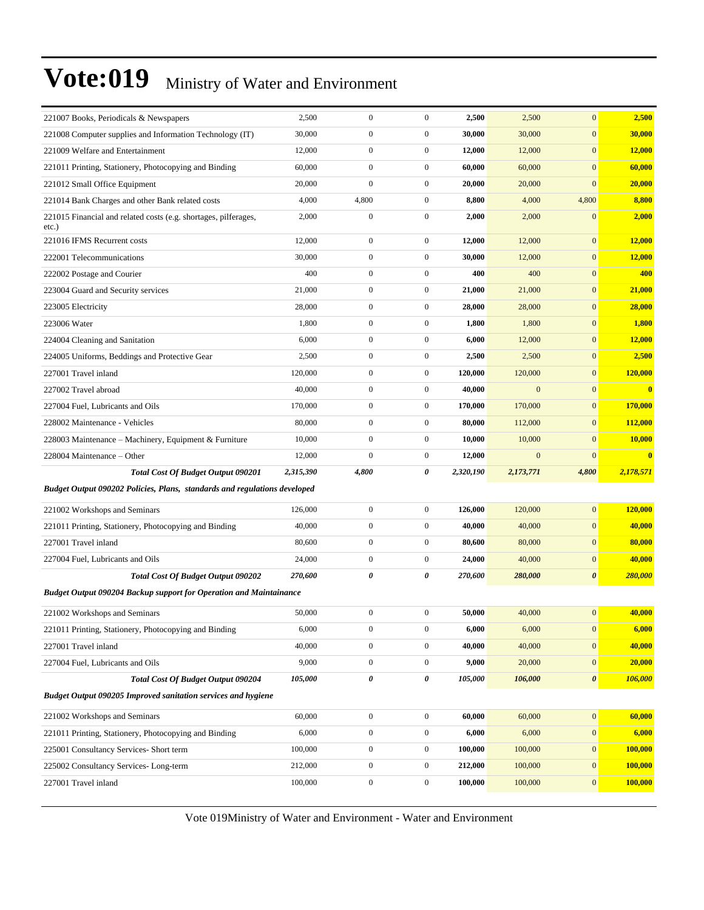| 221007 Books, Periodicals & Newspapers                                      | 2,500     | $\mathbf{0}$     | $\boldsymbol{0}$ | 2,500     | 2,500          | $\mathbf{0}$          | 2,500          |
|-----------------------------------------------------------------------------|-----------|------------------|------------------|-----------|----------------|-----------------------|----------------|
| 221008 Computer supplies and Information Technology (IT)                    | 30,000    | $\mathbf{0}$     | $\boldsymbol{0}$ | 30,000    | 30,000         | $\boldsymbol{0}$      | 30,000         |
| 221009 Welfare and Entertainment                                            | 12,000    | $\boldsymbol{0}$ | $\boldsymbol{0}$ | 12,000    | 12,000         | $\mathbf{0}$          | 12,000         |
| 221011 Printing, Stationery, Photocopying and Binding                       | 60,000    | $\boldsymbol{0}$ | $\boldsymbol{0}$ | 60,000    | 60,000         | $\mathbf{0}$          | 60,000         |
| 221012 Small Office Equipment                                               | 20,000    | $\mathbf{0}$     | $\boldsymbol{0}$ | 20,000    | 20,000         | $\mathbf{0}$          | 20,000         |
| 221014 Bank Charges and other Bank related costs                            | 4,000     | 4,800            | $\boldsymbol{0}$ | 8,800     | 4,000          | 4,800                 | 8,800          |
| 221015 Financial and related costs (e.g. shortages, pilferages,<br>$etc.$ ) | 2,000     | $\boldsymbol{0}$ | $\boldsymbol{0}$ | 2,000     | 2,000          | $\mathbf{0}$          | 2,000          |
| 221016 IFMS Recurrent costs                                                 | 12,000    | $\boldsymbol{0}$ | $\boldsymbol{0}$ | 12,000    | 12,000         | $\mathbf{0}$          | 12,000         |
| 222001 Telecommunications                                                   | 30,000    | $\boldsymbol{0}$ | $\boldsymbol{0}$ | 30,000    | 12,000         | $\mathbf{0}$          | 12,000         |
| 222002 Postage and Courier                                                  | 400       | $\boldsymbol{0}$ | $\boldsymbol{0}$ | 400       | 400            | $\mathbf{0}$          | 400            |
| 223004 Guard and Security services                                          | 21,000    | $\boldsymbol{0}$ | $\boldsymbol{0}$ | 21,000    | 21,000         | $\mathbf{0}$          | 21,000         |
| 223005 Electricity                                                          | 28,000    | $\boldsymbol{0}$ | $\boldsymbol{0}$ | 28,000    | 28,000         | $\mathbf{0}$          | 28,000         |
| 223006 Water                                                                | 1,800     | $\boldsymbol{0}$ | $\boldsymbol{0}$ | 1,800     | 1,800          | $\mathbf{0}$          | 1,800          |
| 224004 Cleaning and Sanitation                                              | 6,000     | $\boldsymbol{0}$ | $\boldsymbol{0}$ | 6,000     | 12,000         | $\mathbf{0}$          | 12,000         |
| 224005 Uniforms, Beddings and Protective Gear                               | 2,500     | $\boldsymbol{0}$ | $\boldsymbol{0}$ | 2,500     | 2,500          | $\mathbf{0}$          | 2,500          |
| 227001 Travel inland                                                        | 120,000   | $\boldsymbol{0}$ | $\boldsymbol{0}$ | 120,000   | 120,000        | $\mathbf{0}$          | 120,000        |
| 227002 Travel abroad                                                        | 40,000    | $\boldsymbol{0}$ | $\boldsymbol{0}$ | 40,000    | $\overline{0}$ | $\mathbf{0}$          | $\bf{0}$       |
| 227004 Fuel, Lubricants and Oils                                            | 170,000   | $\boldsymbol{0}$ | $\boldsymbol{0}$ | 170,000   | 170,000        | $\mathbf{0}$          | 170,000        |
| 228002 Maintenance - Vehicles                                               | 80,000    | $\boldsymbol{0}$ | $\boldsymbol{0}$ | 80,000    | 112,000        | $\mathbf{0}$          | 112,000        |
| 228003 Maintenance – Machinery, Equipment & Furniture                       | 10,000    | $\boldsymbol{0}$ | $\boldsymbol{0}$ | 10,000    | 10,000         | $\mathbf{0}$          | 10,000         |
| 228004 Maintenance - Other                                                  | 12,000    | $\boldsymbol{0}$ | $\boldsymbol{0}$ | 12,000    | $\mathbf{0}$   | $\mathbf{0}$          | $\bf{0}$       |
| <b>Total Cost Of Budget Output 090201</b>                                   | 2,315,390 | 4,800            | 0                | 2,320,190 | 2,173,771      | 4,800                 | 2,178,571      |
| Budget Output 090202 Policies, Plans, standards and regulations developed   |           |                  |                  |           |                |                       |                |
| 221002 Workshops and Seminars                                               | 126,000   | $\boldsymbol{0}$ | $\boldsymbol{0}$ | 126,000   | 120,000        | $\boldsymbol{0}$      | 120,000        |
| 221011 Printing, Stationery, Photocopying and Binding                       | 40,000    | $\boldsymbol{0}$ | $\boldsymbol{0}$ | 40,000    | 40,000         | $\mathbf{0}$          | 40,000         |
| 227001 Travel inland                                                        | 80,600    | $\boldsymbol{0}$ | $\boldsymbol{0}$ | 80,600    | 80,000         | $\mathbf{0}$          | 80,000         |
| 227004 Fuel, Lubricants and Oils                                            | 24,000    | $\boldsymbol{0}$ | $\boldsymbol{0}$ | 24,000    | 40,000         | $\mathbf{0}$          | 40,000         |
| <b>Total Cost Of Budget Output 090202</b>                                   | 270,600   | $\pmb{\theta}$   | 0                | 270,600   | 280,000        | $\boldsymbol{\theta}$ | <b>280,000</b> |
| <b>Budget Output 090204 Backup support for Operation and Maintainance</b>   |           |                  |                  |           |                |                       |                |
| 221002 Workshops and Seminars                                               | 50,000    | $\boldsymbol{0}$ | $\boldsymbol{0}$ | 50,000    | 40,000         | $\boldsymbol{0}$      | 40,000         |
| 221011 Printing, Stationery, Photocopying and Binding                       | 6,000     | $\boldsymbol{0}$ | $\boldsymbol{0}$ | 6,000     | 6,000          | $\mathbf{0}$          | 6,000          |
| 227001 Travel inland                                                        | 40,000    | $\boldsymbol{0}$ | $\boldsymbol{0}$ | 40,000    | 40,000         | $\boldsymbol{0}$      | 40,000         |
| 227004 Fuel, Lubricants and Oils                                            | 9,000     | $\boldsymbol{0}$ | $\boldsymbol{0}$ | 9,000     | 20,000         | $\mathbf{0}$          | 20,000         |
| <b>Total Cost Of Budget Output 090204</b>                                   | 105,000   | $\pmb{\theta}$   | 0                | 105,000   | 106,000        | $\pmb{\theta}$        | 106,000        |
| <b>Budget Output 090205 Improved sanitation services and hygiene</b>        |           |                  |                  |           |                |                       |                |
| 221002 Workshops and Seminars                                               | 60,000    | $\boldsymbol{0}$ | $\boldsymbol{0}$ | 60,000    | 60,000         | $\boldsymbol{0}$      | 60,000         |
| 221011 Printing, Stationery, Photocopying and Binding                       | 6,000     | $\boldsymbol{0}$ | $\boldsymbol{0}$ | 6,000     | 6,000          | $\boldsymbol{0}$      | 6,000          |
| 225001 Consultancy Services- Short term                                     | 100,000   | $\boldsymbol{0}$ | $\overline{0}$   | 100,000   | 100,000        | $\boldsymbol{0}$      | 100,000        |
|                                                                             |           |                  |                  |           |                |                       |                |
| 225002 Consultancy Services-Long-term                                       | 212,000   | $\boldsymbol{0}$ | $\boldsymbol{0}$ | 212,000   | 100,000        | $\mathbf{0}$          | 100,000        |
| 227001 Travel inland                                                        | 100,000   | $\boldsymbol{0}$ | $\boldsymbol{0}$ | 100,000   | 100,000        | $\mathbf{0}$          | 100,000        |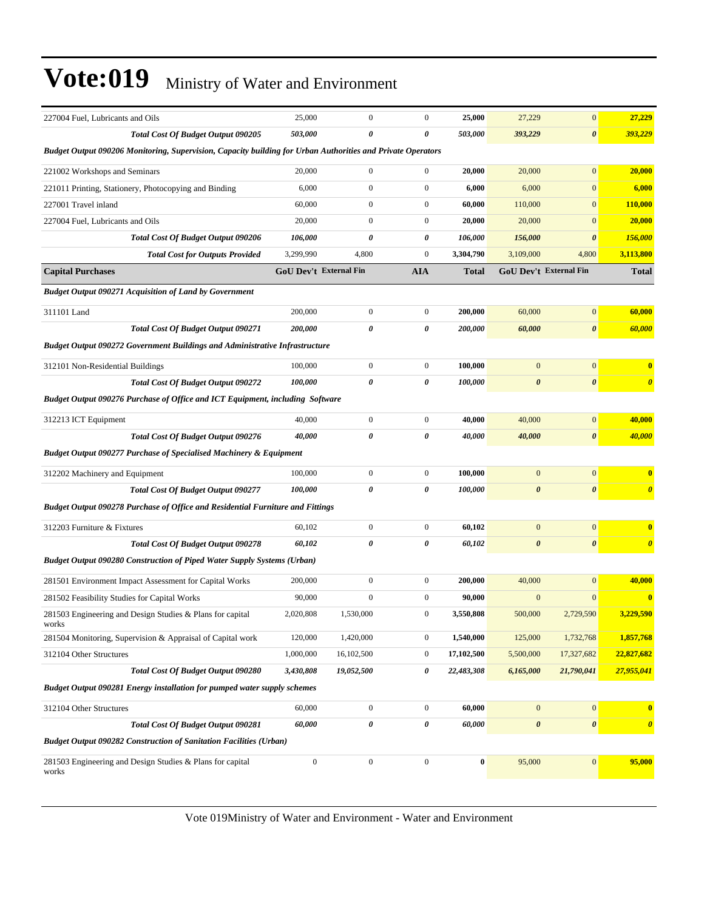| 227004 Fuel, Lubricants and Oils                                                                            | 25,000           | $\boldsymbol{0}$       | $\boldsymbol{0}$      | 25,000     | 27,229                | $\boldsymbol{0}$       | 27,229                  |  |  |
|-------------------------------------------------------------------------------------------------------------|------------------|------------------------|-----------------------|------------|-----------------------|------------------------|-------------------------|--|--|
| <b>Total Cost Of Budget Output 090205</b>                                                                   | 503,000          | 0                      | $\boldsymbol{\theta}$ | 503,000    | 393,229               | $\pmb{\theta}$         | 393,229                 |  |  |
| Budget Output 090206 Monitoring, Supervision, Capacity building for Urban Authorities and Private Operators |                  |                        |                       |            |                       |                        |                         |  |  |
| 221002 Workshops and Seminars                                                                               | 20,000           | $\boldsymbol{0}$       | $\boldsymbol{0}$      | 20,000     | 20,000                | $\mathbf{0}$           | 20,000                  |  |  |
| 221011 Printing, Stationery, Photocopying and Binding                                                       | 6,000            | $\boldsymbol{0}$       | $\boldsymbol{0}$      | 6,000      | 6,000                 | $\boldsymbol{0}$       | 6,000                   |  |  |
| 227001 Travel inland                                                                                        | 60,000           | $\boldsymbol{0}$       | $\boldsymbol{0}$      | 60,000     | 110,000               | $\mathbf{0}$           | 110,000                 |  |  |
| 227004 Fuel, Lubricants and Oils                                                                            | 20,000           | $\mathbf{0}$           | $\boldsymbol{0}$      | 20,000     | 20,000                | $\mathbf{0}$           | 20,000                  |  |  |
| <b>Total Cost Of Budget Output 090206</b>                                                                   | 106,000          | 0                      | 0                     | 106,000    | 156,000               | $\boldsymbol{\theta}$  | 156,000                 |  |  |
| <b>Total Cost for Outputs Provided</b>                                                                      | 3,299,990        | 4,800                  | $\boldsymbol{0}$      | 3,304,790  | 3,109,000             | 4,800                  | 3,113,800               |  |  |
| <b>Capital Purchases</b>                                                                                    |                  | GoU Dev't External Fin | <b>AIA</b>            | Total      |                       | GoU Dev't External Fin | <b>Total</b>            |  |  |
| <b>Budget Output 090271 Acquisition of Land by Government</b>                                               |                  |                        |                       |            |                       |                        |                         |  |  |
| 311101 Land                                                                                                 | 200,000          | $\boldsymbol{0}$       | $\boldsymbol{0}$      | 200,000    | 60,000                | $\boldsymbol{0}$       | 60,000                  |  |  |
| Total Cost Of Budget Output 090271                                                                          | 200,000          | 0                      | 0                     | 200,000    | 60,000                | $\boldsymbol{\theta}$  | 60,000                  |  |  |
| <b>Budget Output 090272 Government Buildings and Administrative Infrastructure</b>                          |                  |                        |                       |            |                       |                        |                         |  |  |
| 312101 Non-Residential Buildings                                                                            | 100,000          | $\boldsymbol{0}$       | $\boldsymbol{0}$      | 100,000    | $\boldsymbol{0}$      | $\boldsymbol{0}$       | $\overline{\mathbf{0}}$ |  |  |
| <b>Total Cost Of Budget Output 090272</b>                                                                   | 100,000          | 0                      | $\boldsymbol{\theta}$ | 100,000    | $\boldsymbol{\theta}$ | $\pmb{\theta}$         | $\boldsymbol{\theta}$   |  |  |
| Budget Output 090276 Purchase of Office and ICT Equipment, including Software                               |                  |                        |                       |            |                       |                        |                         |  |  |
| 312213 ICT Equipment                                                                                        | 40,000           | $\mathbf{0}$           | $\boldsymbol{0}$      | 40,000     | 40,000                | $\boldsymbol{0}$       | 40,000                  |  |  |
| <b>Total Cost Of Budget Output 090276</b>                                                                   | 40,000           | 0                      | 0                     | 40,000     | 40,000                | $\pmb{\theta}$         | 40,000                  |  |  |
| <b>Budget Output 090277 Purchase of Specialised Machinery &amp; Equipment</b>                               |                  |                        |                       |            |                       |                        |                         |  |  |
| 312202 Machinery and Equipment                                                                              | 100,000          | $\boldsymbol{0}$       | $\boldsymbol{0}$      | 100,000    | $\mathbf{0}$          | $\mathbf{0}$           | $\overline{\mathbf{0}}$ |  |  |
| <b>Total Cost Of Budget Output 090277</b>                                                                   | 100,000          | 0                      | 0                     | 100,000    | $\boldsymbol{\theta}$ | $\boldsymbol{\theta}$  | $\boldsymbol{\theta}$   |  |  |
| <b>Budget Output 090278 Purchase of Office and Residential Furniture and Fittings</b>                       |                  |                        |                       |            |                       |                        |                         |  |  |
| 312203 Furniture & Fixtures                                                                                 | 60,102           | $\boldsymbol{0}$       | $\boldsymbol{0}$      | 60,102     | $\mathbf{0}$          | $\mathbf{0}$           | $\bf{0}$                |  |  |
| <b>Total Cost Of Budget Output 090278</b>                                                                   | 60,102           | 0                      | 0                     | 60,102     | $\boldsymbol{\theta}$ | $\boldsymbol{\theta}$  | $\boldsymbol{\theta}$   |  |  |
| <b>Budget Output 090280 Construction of Piped Water Supply Systems (Urban)</b>                              |                  |                        |                       |            |                       |                        |                         |  |  |
| 281501 Environment Impact Assessment for Capital Works                                                      | 200,000          | $\boldsymbol{0}$       | $\boldsymbol{0}$      | 200,000    | 40,000                | $\mathbf{0}$           | 40,000                  |  |  |
| 281502 Feasibility Studies for Capital Works                                                                | 90,000           | $\boldsymbol{0}$       | $\boldsymbol{0}$      | 90,000     | $\overline{0}$        | $\mathbf{0}$           | $\overline{\mathbf{0}}$ |  |  |
| 281503 Engineering and Design Studies & Plans for capital<br>works                                          | 2,020,808        | 1,530,000              | $\boldsymbol{0}$      | 3,550,808  | 500,000               | 2,729,590              | 3,229,590               |  |  |
| 281504 Monitoring, Supervision & Appraisal of Capital work                                                  | 120,000          | 1,420,000              | $\boldsymbol{0}$      | 1,540,000  | 125,000               | 1,732,768              | 1,857,768               |  |  |
| 312104 Other Structures                                                                                     | 1,000,000        | 16,102,500             | $\boldsymbol{0}$      | 17,102,500 | 5,500,000             | 17,327,682             | 22,827,682              |  |  |
| <b>Total Cost Of Budget Output 090280</b>                                                                   | 3,430,808        | 19,052,500             | 0                     | 22,483,308 | 6,165,000             | 21,790,041             | 27,955,041              |  |  |
| <b>Budget Output 090281 Energy installation for pumped water supply schemes</b>                             |                  |                        |                       |            |                       |                        |                         |  |  |
| 312104 Other Structures                                                                                     | 60,000           | $\boldsymbol{0}$       | $\boldsymbol{0}$      | 60,000     | $\mathbf{0}$          | $\boldsymbol{0}$       | $\bf{0}$                |  |  |
| <b>Total Cost Of Budget Output 090281</b>                                                                   | 60,000           | 0                      | 0                     | 60,000     | $\pmb{\theta}$        | $\pmb{\theta}$         | $\boldsymbol{\theta}$   |  |  |
| <b>Budget Output 090282 Construction of Sanitation Facilities (Urban)</b>                                   |                  |                        |                       |            |                       |                        |                         |  |  |
| 281503 Engineering and Design Studies & Plans for capital<br>works                                          | $\boldsymbol{0}$ | $\boldsymbol{0}$       | $\boldsymbol{0}$      | $\bf{0}$   | 95,000                | $\boldsymbol{0}$       | 95,000                  |  |  |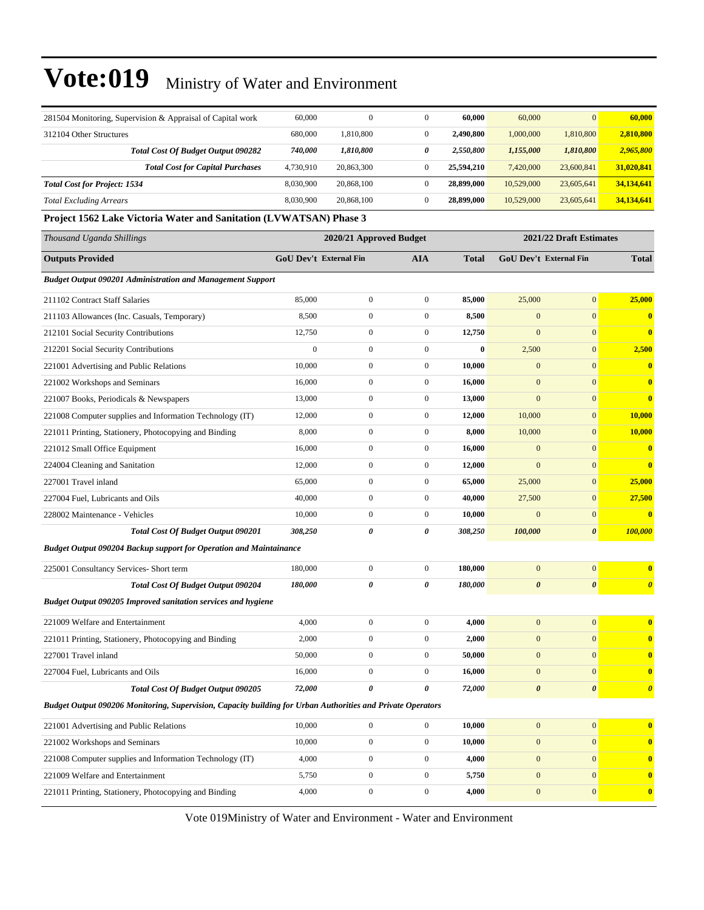| 281504 Monitoring, Supervision & Appraisal of Capital work                                                  | 60,000                        | $\mathbf{0}$     | $\boldsymbol{0}$ | 60,000       | 60,000                  | $\mathbf{0}$                  | 60,000                  |  |  |
|-------------------------------------------------------------------------------------------------------------|-------------------------------|------------------|------------------|--------------|-------------------------|-------------------------------|-------------------------|--|--|
| 312104 Other Structures                                                                                     | 680,000                       | 1,810,800        | $\boldsymbol{0}$ | 2,490,800    | 1,000,000               | 1,810,800                     | 2,810,800               |  |  |
| <b>Total Cost Of Budget Output 090282</b>                                                                   | 740,000                       | 1,810,800        | 0                | 2,550,800    | 1,155,000               | 1,810,800                     | 2,965,800               |  |  |
| <b>Total Cost for Capital Purchases</b>                                                                     | 4,730,910                     | 20,863,300       | $\boldsymbol{0}$ | 25,594,210   | 7,420,000               | 23,600,841                    | 31,020,841              |  |  |
| <b>Total Cost for Project: 1534</b>                                                                         | 8,030,900                     | 20,868,100       | $\boldsymbol{0}$ | 28,899,000   | 10,529,000              | 23,605,641                    | 34,134,641              |  |  |
| <b>Total Excluding Arrears</b>                                                                              | 8,030,900                     | 20,868,100       | $\boldsymbol{0}$ | 28,899,000   | 10,529,000              | 23,605,641                    | 34,134,641              |  |  |
| Project 1562 Lake Victoria Water and Sanitation (LVWATSAN) Phase 3                                          |                               |                  |                  |              |                         |                               |                         |  |  |
| Thousand Uganda Shillings                                                                                   | 2020/21 Approved Budget       |                  |                  |              | 2021/22 Draft Estimates |                               |                         |  |  |
| <b>Outputs Provided</b>                                                                                     | <b>GoU Dev't External Fin</b> |                  | <b>AIA</b>       | <b>Total</b> |                         | <b>GoU Dev't External Fin</b> | <b>Total</b>            |  |  |
| <b>Budget Output 090201 Administration and Management Support</b>                                           |                               |                  |                  |              |                         |                               |                         |  |  |
| 211102 Contract Staff Salaries                                                                              | 85,000                        | $\boldsymbol{0}$ | $\boldsymbol{0}$ | 85,000       | 25,000                  | $\mathbf{0}$                  | 25,000                  |  |  |
| 211103 Allowances (Inc. Casuals, Temporary)                                                                 | 8,500                         | $\boldsymbol{0}$ | $\mathbf{0}$     | 8,500        | $\boldsymbol{0}$        | $\mathbf{0}$                  | $\bf{0}$                |  |  |
| 212101 Social Security Contributions                                                                        | 12,750                        | $\mathbf{0}$     | $\boldsymbol{0}$ | 12,750       | $\mathbf{0}$            | $\mathbf{0}$                  | $\bf{0}$                |  |  |
| 212201 Social Security Contributions                                                                        | $\boldsymbol{0}$              | $\boldsymbol{0}$ | $\boldsymbol{0}$ | $\bf{0}$     | 2,500                   | $\mathbf{0}$                  | 2,500                   |  |  |
| 221001 Advertising and Public Relations                                                                     | 10,000                        | $\overline{0}$   | $\boldsymbol{0}$ | 10,000       | $\mathbf{0}$            | $\mathbf{0}$                  | $\bf{0}$                |  |  |
| 221002 Workshops and Seminars                                                                               | 16,000                        | $\overline{0}$   | $\boldsymbol{0}$ | 16,000       | $\mathbf{0}$            | $\mathbf{0}$                  | $\bf{0}$                |  |  |
| 221007 Books, Periodicals & Newspapers                                                                      | 13,000                        | $\boldsymbol{0}$ | $\mathbf{0}$     | 13,000       | $\mathbf{0}$            | $\mathbf{0}$                  | $\bf{0}$                |  |  |
| 221008 Computer supplies and Information Technology (IT)                                                    | 12,000                        | $\mathbf{0}$     | $\boldsymbol{0}$ | 12,000       | 10,000                  | $\mathbf{0}$                  | 10,000                  |  |  |
| 221011 Printing, Stationery, Photocopying and Binding                                                       | 8,000                         | $\boldsymbol{0}$ | $\boldsymbol{0}$ | 8,000        | 10,000                  | $\mathbf{0}$                  | 10,000                  |  |  |
| 221012 Small Office Equipment                                                                               | 16,000                        | $\boldsymbol{0}$ | $\boldsymbol{0}$ | 16,000       | $\mathbf{0}$            | $\mathbf{0}$                  | $\bf{0}$                |  |  |
| 224004 Cleaning and Sanitation                                                                              | 12,000                        | $\overline{0}$   | $\boldsymbol{0}$ | 12,000       | $\mathbf{0}$            | $\mathbf{0}$                  | $\bf{0}$                |  |  |
| 227001 Travel inland                                                                                        | 65,000                        | $\boldsymbol{0}$ | $\mathbf{0}$     | 65,000       | 25,000                  | $\mathbf{0}$                  | 25,000                  |  |  |
| 227004 Fuel, Lubricants and Oils                                                                            | 40,000                        | $\mathbf{0}$     | $\boldsymbol{0}$ | 40,000       | 27,500                  | $\mathbf{0}$                  | 27,500                  |  |  |
| 228002 Maintenance - Vehicles                                                                               | 10,000                        | $\boldsymbol{0}$ | $\boldsymbol{0}$ | 10,000       | $\mathbf{0}$            | $\mathbf{0}$                  | $\bf{0}$                |  |  |
| <b>Total Cost Of Budget Output 090201</b>                                                                   | 308,250                       | 0                | 0                | 308,250      | 100,000                 | $\boldsymbol{\theta}$         | 100,000                 |  |  |
| <b>Budget Output 090204 Backup support for Operation and Maintainance</b>                                   |                               |                  |                  |              |                         |                               |                         |  |  |
| 225001 Consultancy Services- Short term                                                                     | 180,000                       | $\boldsymbol{0}$ | $\boldsymbol{0}$ | 180,000      | $\mathbf{0}$            | $\mathbf{0}$                  | $\bf{0}$                |  |  |
| Total Cost Of Budget Output 090204                                                                          | 180,000                       | 0                | 0                | 180,000      | $\boldsymbol{\theta}$   | $\boldsymbol{\theta}$         | $\boldsymbol{\theta}$   |  |  |
| <b>Budget Output 090205 Improved sanitation services and hygiene</b>                                        |                               |                  |                  |              |                         |                               |                         |  |  |
| 221009 Welfare and Entertainment                                                                            | 4,000                         | $\overline{0}$   | $\mathbf{0}$     | 4,000        | $\overline{0}$          | $\overline{0}$                | $\overline{\mathbf{0}}$ |  |  |
| 221011 Printing, Stationery, Photocopying and Binding                                                       | 2,000                         | $\boldsymbol{0}$ | $\boldsymbol{0}$ | 2,000        | $\boldsymbol{0}$        | $\boldsymbol{0}$              | $\bf{0}$                |  |  |
| 227001 Travel inland                                                                                        | 50,000                        | $\boldsymbol{0}$ | $\boldsymbol{0}$ | 50,000       | $\boldsymbol{0}$        | $\mathbf{0}$                  | $\bf{0}$                |  |  |
| 227004 Fuel, Lubricants and Oils                                                                            | 16,000                        | $\boldsymbol{0}$ | $\boldsymbol{0}$ | 16,000       | $\boldsymbol{0}$        | $\mathbf{0}$                  | $\bf{0}$                |  |  |
| <b>Total Cost Of Budget Output 090205</b>                                                                   | 72,000                        | 0                | 0                | 72,000       | $\boldsymbol{\theta}$   | 0                             | $\boldsymbol{\theta}$   |  |  |
| Budget Output 090206 Monitoring, Supervision, Capacity building for Urban Authorities and Private Operators |                               |                  |                  |              |                         |                               |                         |  |  |
| 221001 Advertising and Public Relations                                                                     | 10,000                        | $\boldsymbol{0}$ | $\boldsymbol{0}$ | 10,000       | $\mathbf{0}$            | $\mathbf{0}$                  | $\bf{0}$                |  |  |
| 221002 Workshops and Seminars                                                                               | 10,000                        | $\boldsymbol{0}$ | $\boldsymbol{0}$ | 10,000       | $\bf{0}$                | $\mathbf{0}$                  | $\bf{0}$                |  |  |
| 221008 Computer supplies and Information Technology (IT)                                                    | 4,000                         | $\boldsymbol{0}$ | $\boldsymbol{0}$ | 4,000        | $\boldsymbol{0}$        | $\mathbf{0}$                  | $\bf{0}$                |  |  |
| 221009 Welfare and Entertainment                                                                            | 5,750                         | $\boldsymbol{0}$ | $\boldsymbol{0}$ | 5,750        | $\boldsymbol{0}$        | $\boldsymbol{0}$              | $\bf{0}$                |  |  |
| 221011 Printing, Stationery, Photocopying and Binding                                                       | 4,000                         | $\boldsymbol{0}$ | $\boldsymbol{0}$ | 4,000        | $\bf{0}$                | $\boldsymbol{0}$              | $\boldsymbol{0}$        |  |  |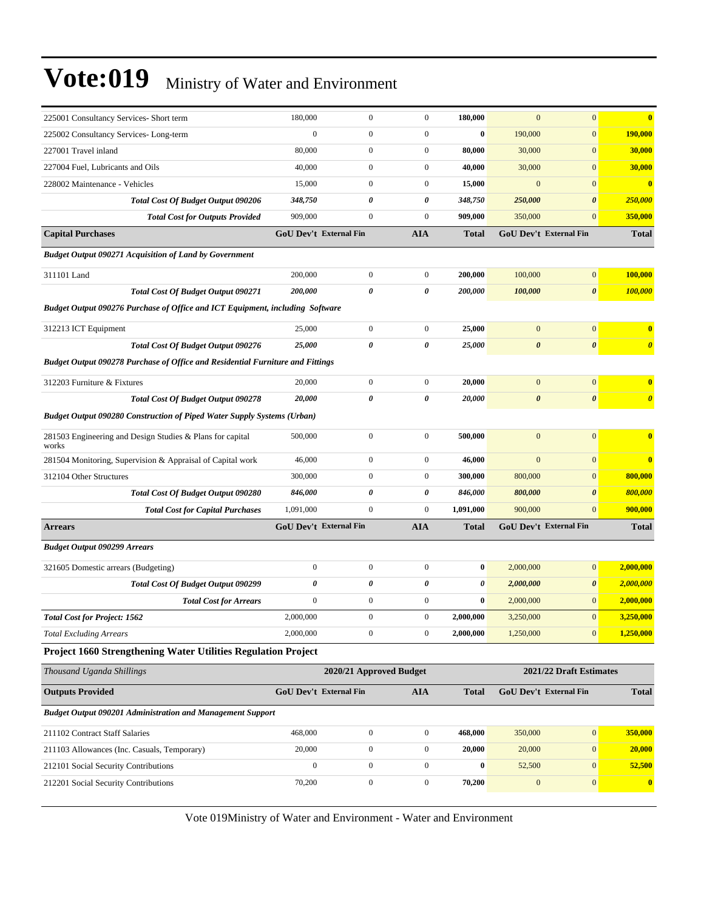| 225001 Consultancy Services- Short term                                               | 180,000                       | $\boldsymbol{0}$ | $\boldsymbol{0}$      | 180,000                 | $\mathbf{0}$          | $\boldsymbol{0}$              | $\bf{0}$              |  |  |
|---------------------------------------------------------------------------------------|-------------------------------|------------------|-----------------------|-------------------------|-----------------------|-------------------------------|-----------------------|--|--|
| 225002 Consultancy Services-Long-term                                                 | $\boldsymbol{0}$              | $\boldsymbol{0}$ | $\boldsymbol{0}$      | $\bf{0}$                | 190,000               | $\boldsymbol{0}$              | 190,000               |  |  |
| 227001 Travel inland                                                                  | 80,000                        | $\boldsymbol{0}$ | $\boldsymbol{0}$      | 80,000                  | 30,000                | $\boldsymbol{0}$              | 30,000                |  |  |
| 227004 Fuel, Lubricants and Oils                                                      | 40,000                        | $\boldsymbol{0}$ | $\boldsymbol{0}$      | 40,000                  | 30,000                | $\mathbf{0}$                  | 30,000                |  |  |
| 228002 Maintenance - Vehicles                                                         | 15,000                        | $\boldsymbol{0}$ | $\boldsymbol{0}$      | 15,000                  | $\overline{0}$        | $\mathbf{0}$                  | $\mathbf{0}$          |  |  |
| Total Cost Of Budget Output 090206                                                    | 348,750                       | 0                | 0                     | 348,750                 | 250,000               | $\pmb{\theta}$                | 250,000               |  |  |
| <b>Total Cost for Outputs Provided</b>                                                | 909,000                       | $\boldsymbol{0}$ | $\mathbf{0}$          | 909,000                 | 350,000               | $\mathbf{0}$                  | 350,000               |  |  |
| <b>Capital Purchases</b>                                                              | <b>GoU Dev't External Fin</b> |                  | <b>AIA</b>            | <b>Total</b>            |                       | <b>GoU Dev't External Fin</b> | <b>Total</b>          |  |  |
| <b>Budget Output 090271 Acquisition of Land by Government</b>                         |                               |                  |                       |                         |                       |                               |                       |  |  |
| 311101 Land                                                                           | 200,000                       | $\boldsymbol{0}$ | $\boldsymbol{0}$      | 200,000                 | 100,000               | $\boldsymbol{0}$              | 100,000               |  |  |
| <b>Total Cost Of Budget Output 090271</b>                                             | 200,000                       | 0                | $\boldsymbol{\theta}$ | 200,000                 | 100,000               | $\boldsymbol{\theta}$         | 100,000               |  |  |
| <b>Budget Output 090276 Purchase of Office and ICT Equipment, including Software</b>  |                               |                  |                       |                         |                       |                               |                       |  |  |
| 312213 ICT Equipment                                                                  | 25,000                        | $\boldsymbol{0}$ | $\boldsymbol{0}$      | 25,000                  | $\mathbf{0}$          | $\boldsymbol{0}$              | $\bf{0}$              |  |  |
| Total Cost Of Budget Output 090276                                                    | 25,000                        | 0                | $\boldsymbol{\theta}$ | 25,000                  | $\boldsymbol{\theta}$ | $\pmb{\theta}$                | $\boldsymbol{\theta}$ |  |  |
| <b>Budget Output 090278 Purchase of Office and Residential Furniture and Fittings</b> |                               |                  |                       |                         |                       |                               |                       |  |  |
| 312203 Furniture & Fixtures                                                           | 20,000                        | $\boldsymbol{0}$ | $\boldsymbol{0}$      | 20,000                  | $\mathbf{0}$          | $\boldsymbol{0}$              | $\bf{0}$              |  |  |
| <b>Total Cost Of Budget Output 090278</b>                                             | 20,000                        | 0                | 0                     | 20,000                  | $\boldsymbol{\theta}$ | $\pmb{\theta}$                | $\boldsymbol{\theta}$ |  |  |
| <b>Budget Output 090280 Construction of Piped Water Supply Systems (Urban)</b>        |                               |                  |                       |                         |                       |                               |                       |  |  |
| 281503 Engineering and Design Studies & Plans for capital<br>works                    | 500,000                       | $\boldsymbol{0}$ | $\boldsymbol{0}$      | 500,000                 | $\mathbf{0}$          | $\boldsymbol{0}$              | $\bf{0}$              |  |  |
| 281504 Monitoring, Supervision & Appraisal of Capital work                            | 46,000                        | $\mathbf{0}$     | $\boldsymbol{0}$      | 46,000                  | $\boldsymbol{0}$      | $\mathbf{0}$                  | $\mathbf{0}$          |  |  |
| 312104 Other Structures                                                               | 300,000                       | $\boldsymbol{0}$ | $\boldsymbol{0}$      | 300,000                 | 800,000               | $\mathbf{0}$                  | 800,000               |  |  |
| Total Cost Of Budget Output 090280                                                    | 846,000                       | 0                | 0                     | 846,000                 | 800,000               | $\pmb{\theta}$                | 800,000               |  |  |
| <b>Total Cost for Capital Purchases</b>                                               | 1,091,000                     | $\boldsymbol{0}$ | $\boldsymbol{0}$      | 1,091,000               | 900,000               | $\mathbf{0}$                  | 900,000               |  |  |
| <b>Arrears</b>                                                                        | <b>GoU Dev't External Fin</b> |                  | <b>AIA</b>            | Total                   |                       | GoU Dev't External Fin        | <b>Total</b>          |  |  |
| <b>Budget Output 090299 Arrears</b>                                                   |                               |                  |                       |                         |                       |                               |                       |  |  |
| 321605 Domestic arrears (Budgeting)                                                   | $\boldsymbol{0}$              | $\boldsymbol{0}$ | $\boldsymbol{0}$      | $\bf{0}$                | 2,000,000             | $\boldsymbol{0}$              | 2,000,000             |  |  |
| <b>Total Cost Of Budget Output 090299</b>                                             | 0                             | 0                | 0                     | 0                       | 2,000,000             | $\boldsymbol{\theta}$         | 2,000,000             |  |  |
| <b>Total Cost for Arrears</b>                                                         | $\boldsymbol{0}$              | $\boldsymbol{0}$ | $\boldsymbol{0}$      | $\bf{0}$                | 2,000,000             | $\mathbf{0}$                  | 2,000,000             |  |  |
| <b>Total Cost for Project: 1562</b>                                                   | 2,000,000                     | $\mathbf{0}$     | $\overline{0}$        | 2.000.000               | 3,250,000             | $\mathbf{0}$                  | 3,250,000             |  |  |
| <b>Total Excluding Arrears</b>                                                        | 2,000,000                     | $\boldsymbol{0}$ | $\boldsymbol{0}$      | 2,000,000               | 1,250,000             | $\mathbf{0}$                  | 1,250,000             |  |  |
| Project 1660 Strengthening Water Utilities Regulation Project                         |                               |                  |                       |                         |                       |                               |                       |  |  |
| Thousand Uganda Shillings                                                             | 2020/21 Approved Budget       |                  |                       | 2021/22 Draft Estimates |                       |                               |                       |  |  |
| <b>Outputs Provided</b>                                                               | <b>GoU Dev't External Fin</b> |                  | <b>AIA</b>            | <b>Total</b>            |                       | GoU Dev't External Fin        | <b>Total</b>          |  |  |
| Budget Output 090201 Administration and Management Support                            |                               |                  |                       |                         |                       |                               |                       |  |  |
| 211102 Contract Staff Salaries                                                        | 468,000                       | $\boldsymbol{0}$ | $\mathbf{0}$          | 468,000                 | 350,000               | $\boldsymbol{0}$              | 350,000               |  |  |
| 211103 Allowances (Inc. Casuals, Temporary)                                           | 20,000                        | $\boldsymbol{0}$ | $\boldsymbol{0}$      | 20,000                  | 20,000                | $\bf{0}$                      | 20,000                |  |  |
| 212101 Social Security Contributions                                                  | $\boldsymbol{0}$              | $\boldsymbol{0}$ | $\mathbf{0}$          | $\boldsymbol{0}$        | 52,500                | $\mathbf{0}$                  | 52,500                |  |  |

Vote 019Ministry of Water and Environment - Water and Environment

212201 Social Security Contributions 70,200 0 0 **70,200** 0 0 **0**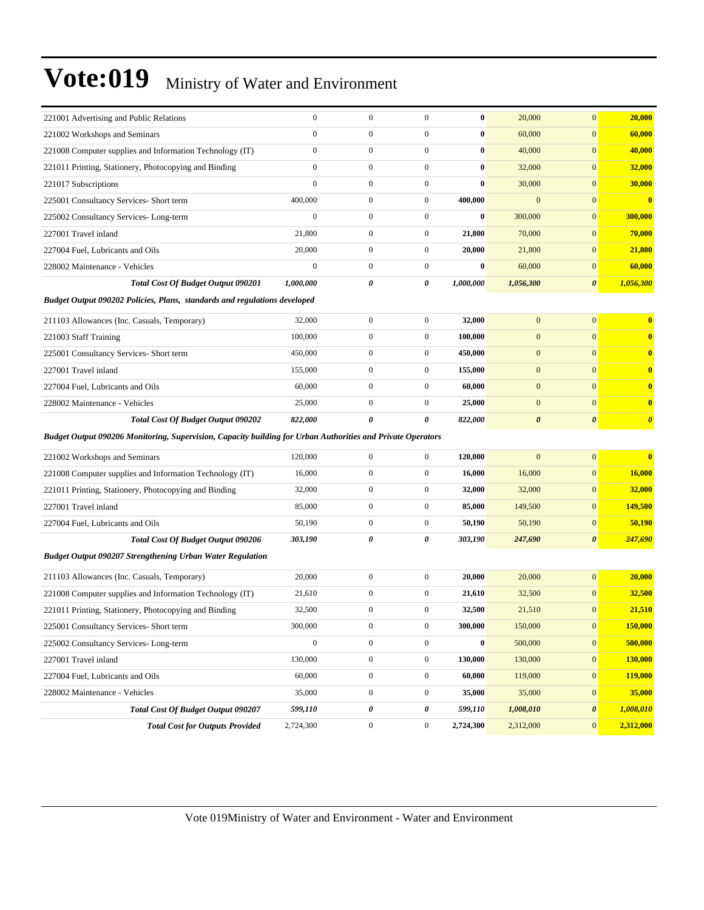| 221001 Advertising and Public Relations                                                                     | $\boldsymbol{0}$ | $\mathbf{0}$     | $\boldsymbol{0}$ | $\bf{0}$  | 20,000                | $\mathbf{0}$          | 20,000                  |
|-------------------------------------------------------------------------------------------------------------|------------------|------------------|------------------|-----------|-----------------------|-----------------------|-------------------------|
| 221002 Workshops and Seminars                                                                               | $\overline{0}$   | $\boldsymbol{0}$ | $\boldsymbol{0}$ | $\bf{0}$  | 60,000                | $\mathbf{0}$          | 60,000                  |
| 221008 Computer supplies and Information Technology (IT)                                                    | $\overline{0}$   | $\mathbf{0}$     | $\boldsymbol{0}$ | $\bf{0}$  | 40,000                | $\mathbf{0}$          | 40,000                  |
| 221011 Printing, Stationery, Photocopying and Binding                                                       | $\overline{0}$   | $\boldsymbol{0}$ | $\boldsymbol{0}$ | $\bf{0}$  | 32,000                | $\mathbf{0}$          | <b>32,000</b>           |
| 221017 Subscriptions                                                                                        | $\boldsymbol{0}$ | $\boldsymbol{0}$ | $\boldsymbol{0}$ | $\bf{0}$  | 30,000                | $\mathbf{0}$          | 30,000                  |
| 225001 Consultancy Services- Short term                                                                     | 400,000          | $\boldsymbol{0}$ | $\boldsymbol{0}$ | 400,000   | $\overline{0}$        | $\mathbf{0}$          | $\bf{0}$                |
| 225002 Consultancy Services-Long-term                                                                       | $\boldsymbol{0}$ | $\boldsymbol{0}$ | $\boldsymbol{0}$ | $\bf{0}$  | 300,000               | $\mathbf{0}$          | 300,000                 |
| 227001 Travel inland                                                                                        | 21,800           | $\boldsymbol{0}$ | $\boldsymbol{0}$ | 21,800    | 70,000                | $\mathbf{0}$          | 70,000                  |
| 227004 Fuel, Lubricants and Oils                                                                            | 20,000           | $\boldsymbol{0}$ | $\boldsymbol{0}$ | 20,000    | 21,800                | $\mathbf{0}$          | 21,800                  |
| 228002 Maintenance - Vehicles                                                                               | $\boldsymbol{0}$ | $\boldsymbol{0}$ | $\boldsymbol{0}$ | $\bf{0}$  | 60,000                | $\mathbf{0}$          | 60,000                  |
| <b>Total Cost Of Budget Output 090201</b>                                                                   | 1,000,000        | 0                | 0                | 1,000,000 | 1,056,300             | $\boldsymbol{\theta}$ | 1,056,300               |
| Budget Output 090202 Policies, Plans, standards and regulations developed                                   |                  |                  |                  |           |                       |                       |                         |
| 211103 Allowances (Inc. Casuals, Temporary)                                                                 | 32,000           | $\boldsymbol{0}$ | $\mathbf{0}$     | 32,000    | $\mathbf{0}$          | $\mathbf{0}$          | $\overline{\mathbf{0}}$ |
| 221003 Staff Training                                                                                       | 100,000          | $\boldsymbol{0}$ | $\boldsymbol{0}$ | 100,000   | $\mathbf{0}$          | $\mathbf{0}$          | $\mathbf{0}$            |
| 225001 Consultancy Services- Short term                                                                     | 450,000          | $\boldsymbol{0}$ | $\boldsymbol{0}$ | 450,000   | $\boldsymbol{0}$      | $\mathbf{0}$          | $\bf{0}$                |
| 227001 Travel inland                                                                                        | 155,000          | $\boldsymbol{0}$ | $\mathbf{0}$     | 155,000   | $\mathbf{0}$          | $\mathbf{0}$          | $\overline{\mathbf{0}}$ |
| 227004 Fuel, Lubricants and Oils                                                                            | 60,000           | $\boldsymbol{0}$ | $\boldsymbol{0}$ | 60,000    | $\mathbf{0}$          | $\mathbf{0}$          | $\mathbf{0}$            |
| 228002 Maintenance - Vehicles                                                                               | 25,000           | $\boldsymbol{0}$ | $\boldsymbol{0}$ | 25,000    | $\boldsymbol{0}$      | $\mathbf{0}$          | $\overline{\mathbf{0}}$ |
| <b>Total Cost Of Budget Output 090202</b>                                                                   | 822,000          | 0                | 0                | 822,000   | $\boldsymbol{\theta}$ | $\boldsymbol{\theta}$ | $\boldsymbol{\theta}$   |
| Budget Output 090206 Monitoring, Supervision, Capacity building for Urban Authorities and Private Operators |                  |                  |                  |           |                       |                       |                         |
| 221002 Workshops and Seminars                                                                               | 120,000          | $\boldsymbol{0}$ | $\boldsymbol{0}$ | 120,000   | $\overline{0}$        | $\mathbf{0}$          | $\bf{0}$                |
| 221008 Computer supplies and Information Technology (IT)                                                    | 16,000           | $\boldsymbol{0}$ | $\boldsymbol{0}$ | 16,000    | 16,000                | $\mathbf{0}$          | 16,000                  |
| 221011 Printing, Stationery, Photocopying and Binding                                                       | 32,000           | $\boldsymbol{0}$ | $\boldsymbol{0}$ | 32,000    | 32,000                | $\mathbf{0}$          | 32,000                  |
| 227001 Travel inland                                                                                        | 85,000           | $\boldsymbol{0}$ | $\mathbf{0}$     | 85,000    | 149,500               | $\mathbf{0}$          | 149,500                 |
| 227004 Fuel, Lubricants and Oils                                                                            | 50,190           | $\boldsymbol{0}$ | $\boldsymbol{0}$ | 50,190    | 50,190                | $\mathbf{0}$          | 50,190                  |
| <b>Total Cost Of Budget Output 090206</b>                                                                   | 303,190          | 0                | $\pmb{\theta}$   | 303,190   | 247,690               | $\boldsymbol{\theta}$ | 247,690                 |
| Budget Output 090207 Strengthening Urban Water Regulation                                                   |                  |                  |                  |           |                       |                       |                         |
| 211103 Allowances (Inc. Casuals, Temporary)                                                                 | 20,000           | $\boldsymbol{0}$ | $\mathbf{0}$     | 20,000    | 20,000                | $\boldsymbol{0}$      | 20,000                  |
| 221008 Computer supplies and Information Technology (IT)                                                    | 21,610           | $\boldsymbol{0}$ | $\boldsymbol{0}$ | 21,610    | 32,500                | $\mathbf{0}$          | 32,500                  |
| 221011 Printing, Stationery, Photocopying and Binding                                                       | 32,500           | $\boldsymbol{0}$ | $\boldsymbol{0}$ | 32,500    | 21,510                | $\mathbf{0}$          | 21,510                  |
| 225001 Consultancy Services- Short term                                                                     | 300,000          | $\boldsymbol{0}$ | $\boldsymbol{0}$ | 300,000   | 150,000               | $\bf{0}$              | 150,000                 |
| 225002 Consultancy Services-Long-term                                                                       | $\overline{0}$   | $\boldsymbol{0}$ | $\boldsymbol{0}$ | $\bf{0}$  | 500,000               | $\boldsymbol{0}$      | 500,000                 |
| 227001 Travel inland                                                                                        | 130,000          | $\boldsymbol{0}$ | $\boldsymbol{0}$ | 130,000   | 130,000               | $\boldsymbol{0}$      | 130,000                 |
| 227004 Fuel, Lubricants and Oils                                                                            | 60,000           | $\boldsymbol{0}$ | $\boldsymbol{0}$ | 60,000    | 119,000               | $\mathbf{0}$          | 119,000                 |
| 228002 Maintenance - Vehicles                                                                               | 35,000           | $\boldsymbol{0}$ | $\boldsymbol{0}$ | 35,000    | 35,000                | $\bf{0}$              | 35,000                  |
| Total Cost Of Budget Output 090207                                                                          | 599,110          | 0                | 0                | 599,110   | 1,008,010             | 0                     | 1,008,010               |
| <b>Total Cost for Outputs Provided</b>                                                                      | 2,724,300        | $\boldsymbol{0}$ | $\boldsymbol{0}$ | 2,724,300 | 2,312,000             | $\mathbf{0}$          | 2,312,000               |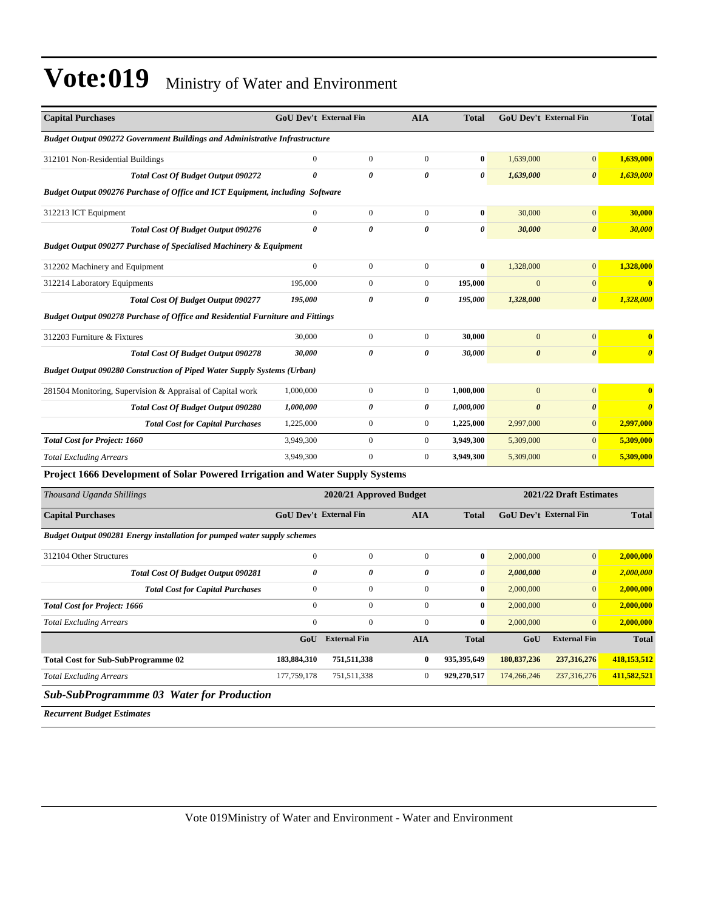| <b>Capital Purchases</b>                                                              |                       | <b>GoU Dev't External Fin</b> | <b>AIA</b>            | <b>Total</b>          | GoU Dev't External Fin        |                       | <b>Total</b>            |
|---------------------------------------------------------------------------------------|-----------------------|-------------------------------|-----------------------|-----------------------|-------------------------------|-----------------------|-------------------------|
| <b>Budget Output 090272 Government Buildings and Administrative Infrastructure</b>    |                       |                               |                       |                       |                               |                       |                         |
| 312101 Non-Residential Buildings                                                      | $\boldsymbol{0}$      | $\boldsymbol{0}$              | $\boldsymbol{0}$      | $\bf{0}$              | 1,639,000                     | $\mathbf{0}$          | 1,639,000               |
| <b>Total Cost Of Budget Output 090272</b>                                             | $\theta$              | $\theta$                      | 0                     | $\boldsymbol{\theta}$ | 1,639,000                     | $\boldsymbol{\theta}$ | 1,639,000               |
| Budget Output 090276 Purchase of Office and ICT Equipment, including Software         |                       |                               |                       |                       |                               |                       |                         |
| 312213 ICT Equipment                                                                  | $\theta$              | $\overline{0}$                | $\mathbf{0}$          | $\bf{0}$              | 30,000                        | $\overline{0}$        | 30,000                  |
| Total Cost Of Budget Output 090276                                                    | $\boldsymbol{\theta}$ | $\theta$                      | $\theta$              | $\boldsymbol{\theta}$ | 30,000                        | $\boldsymbol{\theta}$ | 30,000                  |
| <b>Budget Output 090277 Purchase of Specialised Machinery &amp; Equipment</b>         |                       |                               |                       |                       |                               |                       |                         |
| 312202 Machinery and Equipment                                                        | $\mathbf{0}$          | $\overline{0}$                | $\mathbf{0}$          | $\bf{0}$              | 1,328,000                     | $\mathbf{0}$          | 1,328,000               |
| 312214 Laboratory Equipments                                                          | 195,000               | $\overline{0}$                | $\mathbf{0}$          | 195,000               | $\overline{0}$                | $\mathbf{0}$          | $\overline{\mathbf{0}}$ |
| <b>Total Cost Of Budget Output 090277</b>                                             | 195,000               | 0                             | 0                     | 195,000               | 1,328,000                     | $\boldsymbol{\theta}$ | 1,328,000               |
| <b>Budget Output 090278 Purchase of Office and Residential Furniture and Fittings</b> |                       |                               |                       |                       |                               |                       |                         |
| 312203 Furniture & Fixtures                                                           | 30,000                | $\boldsymbol{0}$              | $\boldsymbol{0}$      | 30,000                | $\mathbf{0}$                  | $\mathbf{0}$          | $\bf{0}$                |
| Total Cost Of Budget Output 090278                                                    | 30,000                | $\theta$                      | 0                     | 30,000                | $\boldsymbol{\theta}$         | $\boldsymbol{\theta}$ | $\boldsymbol{\theta}$   |
| <b>Budget Output 090280 Construction of Piped Water Supply Systems (Urban)</b>        |                       |                               |                       |                       |                               |                       |                         |
| 281504 Monitoring, Supervision & Appraisal of Capital work                            | 1,000,000             | $\boldsymbol{0}$              | $\boldsymbol{0}$      | 1,000,000             | $\mathbf{0}$                  | $\boldsymbol{0}$      | $\bf{0}$                |
| Total Cost Of Budget Output 090280                                                    | 1,000,000             | $\theta$                      | 0                     | 1,000,000             | $\boldsymbol{\theta}$         | $\boldsymbol{\theta}$ | $\boldsymbol{\theta}$   |
| <b>Total Cost for Capital Purchases</b>                                               | 1,225,000             | $\boldsymbol{0}$              | $\boldsymbol{0}$      | 1,225,000             | 2,997,000                     | $\mathbf{0}$          | 2,997,000               |
| <b>Total Cost for Project: 1660</b>                                                   | 3,949,300             | $\overline{0}$                | $\boldsymbol{0}$      | 3,949,300             | 5,309,000                     | $\mathbf{0}$          | 5,309,000               |
| <b>Total Excluding Arrears</b>                                                        | 3,949,300             | $\overline{0}$                | $\boldsymbol{0}$      | 3,949,300             | 5,309,000                     | $\mathbf{0}$          | 5,309,000               |
| Project 1666 Development of Solar Powered Irrigation and Water Supply Systems         |                       |                               |                       |                       |                               |                       |                         |
| Thousand Uganda Shillings                                                             |                       | 2020/21 Approved Budget       |                       |                       | 2021/22 Draft Estimates       |                       |                         |
| <b>Capital Purchases</b>                                                              |                       | GoU Dev't External Fin        | <b>AIA</b>            | <b>Total</b>          | <b>GoU Dev't External Fin</b> |                       | <b>Total</b>            |
| Budget Output 090281 Energy installation for pumped water supply schemes              |                       |                               |                       |                       |                               |                       |                         |
| 312104 Other Structures                                                               | $\overline{0}$        | $\boldsymbol{0}$              | $\boldsymbol{0}$      | $\bf{0}$              | 2,000,000                     | $\mathbf{0}$          | 2,000,000               |
| <b>Total Cost Of Budget Output 090281</b>                                             | $\theta$              | $\theta$                      | $\boldsymbol{\theta}$ | $\boldsymbol{\theta}$ | 2,000,000                     | $\boldsymbol{\theta}$ | 2,000,000               |
| <b>Total Cost for Capital Purchases</b>                                               | $\mathbf{0}$          | $\boldsymbol{0}$              | $\boldsymbol{0}$      | $\bf{0}$              | 2,000,000                     | $\mathbf{0}$          | 2,000,000               |
| <b>Total Cost for Project: 1666</b>                                                   | $\overline{0}$        | $\overline{0}$                | $\boldsymbol{0}$      | $\bf{0}$              | 2,000,000                     | $\mathbf{0}$          | 2,000,000               |
| <b>Total Excluding Arrears</b>                                                        | $\mathbf{0}$          | $\overline{0}$                | $\boldsymbol{0}$      | $\bf{0}$              | 2,000,000                     | $\mathbf{0}$          | 2,000,000               |
|                                                                                       | GoU                   | <b>External Fin</b>           | <b>AIA</b>            | <b>Total</b>          | GoU                           | <b>External Fin</b>   | <b>Total</b>            |
| <b>Total Cost for Sub-SubProgramme 02</b>                                             | 183,884,310           | 751,511,338                   | $\bf{0}$              | 935,395,649           | 180,837,236                   | 237,316,276           | 418,153,512             |
| <b>Total Excluding Arrears</b>                                                        | 177,759,178           | 751,511,338                   | $\boldsymbol{0}$      | 929,270,517           | 174,266,246                   | 237,316,276           | 411,582,521             |
| <b>Sub-SubProgrammme 03 Water for Production</b>                                      |                       |                               |                       |                       |                               |                       |                         |

*Recurrent Budget Estimates*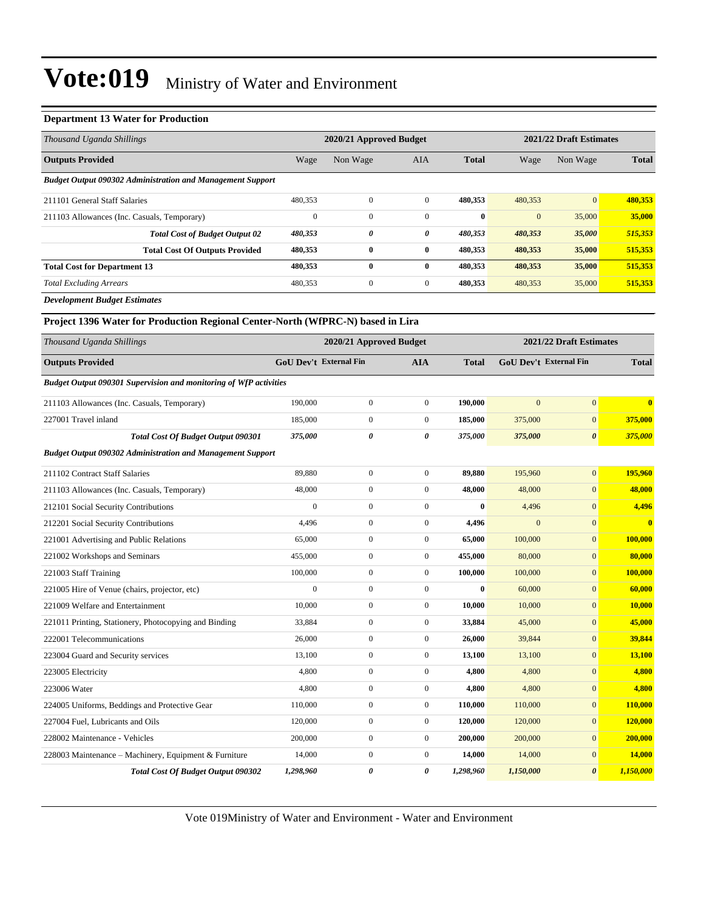#### **Department 13 Water for Production**

| Thousand Uganda Shillings                                                       |                        | 2020/21 Approved Budget |                  |              | 2021/22 Draft Estimates       |                         |                |  |
|---------------------------------------------------------------------------------|------------------------|-------------------------|------------------|--------------|-------------------------------|-------------------------|----------------|--|
| <b>Outputs Provided</b>                                                         | Wage                   | Non Wage                | AIA              | <b>Total</b> | Wage                          | Non Wage                | <b>Total</b>   |  |
| <b>Budget Output 090302 Administration and Management Support</b>               |                        |                         |                  |              |                               |                         |                |  |
| 211101 General Staff Salaries                                                   | 480,353                | $\overline{0}$          | $\overline{0}$   | 480,353      | 480,353                       | $\boldsymbol{0}$        | 480,353        |  |
| 211103 Allowances (Inc. Casuals, Temporary)                                     | $\overline{0}$         | $\boldsymbol{0}$        | $\mathbf{0}$     | $\mathbf{0}$ | $\mathbf{0}$                  | 35,000                  | 35,000         |  |
| <b>Total Cost of Budget Output 02</b>                                           | 480,353                | 0                       | 0                | 480,353      | 480,353                       | 35,000                  | 515,353        |  |
| <b>Total Cost Of Outputs Provided</b>                                           | 480,353                | $\bf{0}$                | $\bf{0}$         | 480,353      | 480,353                       | 35,000                  | 515,353        |  |
| <b>Total Cost for Department 13</b>                                             | 480,353                | $\bf{0}$                | $\bf{0}$         | 480,353      | 480,353                       | 35,000                  | 515,353        |  |
| <b>Total Excluding Arrears</b>                                                  | 480,353                | $\boldsymbol{0}$        | $\mathbf{0}$     | 480,353      | 480,353                       | 35,000                  | 515,353        |  |
| <b>Development Budget Estimates</b>                                             |                        |                         |                  |              |                               |                         |                |  |
| Project 1396 Water for Production Regional Center-North (WfPRC-N) based in Lira |                        |                         |                  |              |                               |                         |                |  |
| Thousand Uganda Shillings                                                       |                        | 2020/21 Approved Budget |                  |              |                               | 2021/22 Draft Estimates |                |  |
| <b>Outputs Provided</b>                                                         | GoU Dev't External Fin |                         | <b>AIA</b>       | <b>Total</b> | <b>GoU Dev't External Fin</b> |                         | <b>Total</b>   |  |
| <b>Budget Output 090301 Supervision and monitoring of WfP activities</b>        |                        |                         |                  |              |                               |                         |                |  |
| 211103 Allowances (Inc. Casuals, Temporary)                                     | 190,000                | $\boldsymbol{0}$        | $\mathbf{0}$     | 190,000      | $\mathbf{0}$                  | $\boldsymbol{0}$        | $\bf{0}$       |  |
| 227001 Travel inland                                                            | 185,000                | $\boldsymbol{0}$        | $\boldsymbol{0}$ | 185,000      | 375,000                       | $\mathbf{0}$            | 375,000        |  |
| <b>Total Cost Of Budget Output 090301</b>                                       | 375,000                | 0                       | 0                | 375,000      | 375,000                       | $\boldsymbol{\theta}$   | 375,000        |  |
| <b>Budget Output 090302 Administration and Management Support</b>               |                        |                         |                  |              |                               |                         |                |  |
| 211102 Contract Staff Salaries                                                  | 89,880                 | $\boldsymbol{0}$        | $\boldsymbol{0}$ | 89,880       | 195,960                       | $\boldsymbol{0}$        | 195,960        |  |
| 211103 Allowances (Inc. Casuals, Temporary)                                     | 48,000                 | $\boldsymbol{0}$        | $\boldsymbol{0}$ | 48,000       | 48,000                        | $\boldsymbol{0}$        | 48,000         |  |
| 212101 Social Security Contributions                                            | $\boldsymbol{0}$       | 0                       | $\boldsymbol{0}$ | $\bf{0}$     | 4,496                         | $\mathbf{0}$            | 4,496          |  |
| 212201 Social Security Contributions                                            | 4,496                  | $\boldsymbol{0}$        | $\boldsymbol{0}$ | 4,496        | $\mathbf{0}$                  | $\boldsymbol{0}$        | $\bf{0}$       |  |
| 221001 Advertising and Public Relations                                         | 65,000                 | $\boldsymbol{0}$        | $\boldsymbol{0}$ | 65,000       | 100,000                       | $\boldsymbol{0}$        | 100,000        |  |
| 221002 Workshops and Seminars                                                   | 455,000                | $\boldsymbol{0}$        | $\boldsymbol{0}$ | 455,000      | 80,000                        | $\boldsymbol{0}$        | 80,000         |  |
| 221003 Staff Training                                                           | 100,000                | $\mathbf{0}$            | $\boldsymbol{0}$ | 100,000      | 100,000                       | $\boldsymbol{0}$        | 100,000        |  |
| 221005 Hire of Venue (chairs, projector, etc)                                   | $\boldsymbol{0}$       | $\boldsymbol{0}$        | $\boldsymbol{0}$ | $\bf{0}$     | 60,000                        | $\mathbf{0}$            | 60,000         |  |
| 221009 Welfare and Entertainment                                                | 10,000                 | $\boldsymbol{0}$        | $\boldsymbol{0}$ | 10,000       | 10,000                        | $\mathbf{0}$            | <b>10,000</b>  |  |
| 221011 Printing, Stationery, Photocopying and Binding                           | 33,884                 | $\boldsymbol{0}$        | $\boldsymbol{0}$ | 33,884       | 45,000                        | $\boldsymbol{0}$        | 45,000         |  |
| 222001 Telecommunications                                                       | 26,000                 | $\boldsymbol{0}$        | 0                | 26,000       | 39,844                        | $\boldsymbol{0}$        | 39,844         |  |
| 223004 Guard and Security services                                              | 13,100                 | $\boldsymbol{0}$        | $\boldsymbol{0}$ | 13,100       | 13,100                        | $\mathbf{0}$            | 13,100         |  |
| 223005 Electricity                                                              | 4,800                  | $\boldsymbol{0}$        | $\boldsymbol{0}$ | 4,800        | 4,800                         | $\boldsymbol{0}$        | 4,800          |  |
| 223006 Water                                                                    | 4,800                  | $\boldsymbol{0}$        | $\boldsymbol{0}$ | 4,800        | 4,800                         | $\mathbf{0}$            | 4,800          |  |
| 224005 Uniforms, Beddings and Protective Gear                                   | 110,000                | $\boldsymbol{0}$        | $\boldsymbol{0}$ | 110,000      | 110,000                       | $\mathbf{0}$            | <b>110,000</b> |  |
| 227004 Fuel, Lubricants and Oils                                                | 120,000                | $\boldsymbol{0}$        | $\boldsymbol{0}$ | 120,000      | 120,000                       | $\mathbf{0}$            | 120,000        |  |
| 228002 Maintenance - Vehicles                                                   | 200,000                | $\boldsymbol{0}$        | $\boldsymbol{0}$ | 200,000      | 200,000                       | $\boldsymbol{0}$        | 200,000        |  |
| 228003 Maintenance – Machinery, Equipment & Furniture                           | 14,000                 | $\boldsymbol{0}$        | $\boldsymbol{0}$ | 14,000       | 14,000                        | $\boldsymbol{0}$        | 14,000         |  |
| Total Cost Of Budget Output 090302                                              | 1,298,960              | 0                       | 0                | 1,298,960    | 1,150,000                     | $\boldsymbol{\theta}$   | 1,150,000      |  |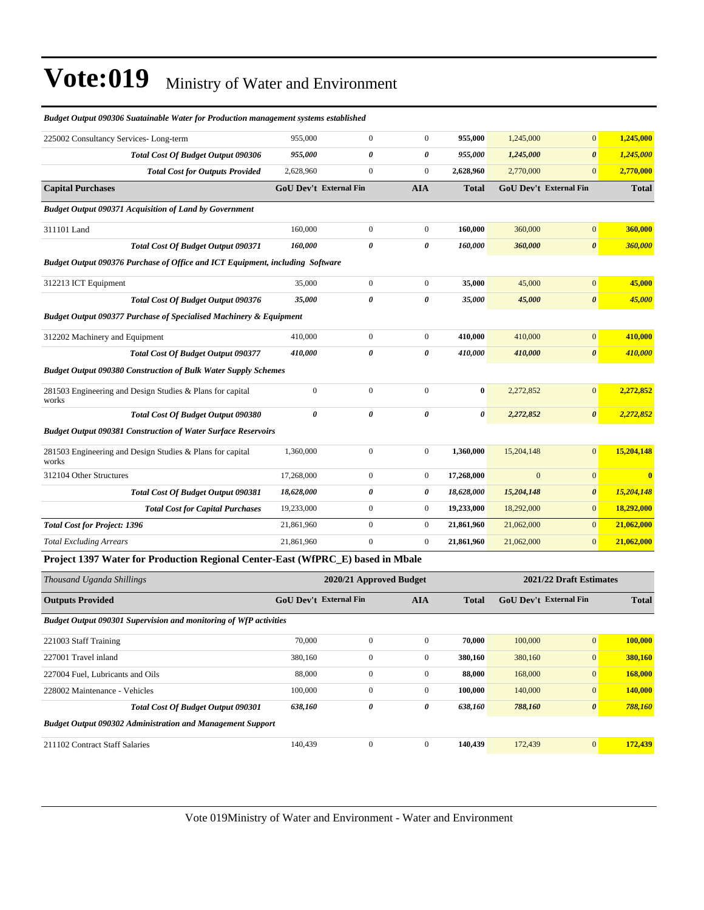| 225002 Consultancy Services-Long-term                                                            | 955,000          | $\mathbf{0}$                  | $\mathbf{0}$            | 955,000      | 1,245,000      | $\mathbf{0}$                  | 1,245,000               |
|--------------------------------------------------------------------------------------------------|------------------|-------------------------------|-------------------------|--------------|----------------|-------------------------------|-------------------------|
| <b>Total Cost Of Budget Output 090306</b>                                                        | 955,000          | 0                             | $\pmb{\theta}$          | 955,000      | 1,245,000      | $\boldsymbol{\theta}$         | 1,245,000               |
| <b>Total Cost for Outputs Provided</b>                                                           | 2,628,960        | $\boldsymbol{0}$              | $\mathbf{0}$            | 2,628,960    | 2,770,000      | $\overline{0}$                | 2,770,000               |
| <b>Capital Purchases</b>                                                                         |                  | <b>GoU Dev't External Fin</b> | <b>AIA</b>              | <b>Total</b> |                | <b>GoU Dev't External Fin</b> | <b>Total</b>            |
| <b>Budget Output 090371 Acquisition of Land by Government</b>                                    |                  |                               |                         |              |                |                               |                         |
| 311101 Land                                                                                      | 160,000          | $\overline{0}$                | $\overline{0}$          | 160,000      | 360,000        | $\mathbf{0}$                  | 360,000                 |
| <b>Total Cost Of Budget Output 090371</b>                                                        | 160,000          | 0                             | $\boldsymbol{\theta}$   | 160,000      | 360,000        | $\pmb{\theta}$                | 360,000                 |
| Budget Output 090376 Purchase of Office and ICT Equipment, including Software                    |                  |                               |                         |              |                |                               |                         |
| 312213 ICT Equipment                                                                             | 35,000           | $\boldsymbol{0}$              | $\mathbf{0}$            | 35,000       | 45,000         | $\mathbf{0}$                  | 45,000                  |
| Total Cost Of Budget Output 090376                                                               | 35,000           | 0                             | $\boldsymbol{\theta}$   | 35,000       | 45,000         | $\boldsymbol{\theta}$         | 45,000                  |
| <b>Budget Output 090377 Purchase of Specialised Machinery &amp; Equipment</b>                    |                  |                               |                         |              |                |                               |                         |
| 312202 Machinery and Equipment                                                                   | 410,000          | $\boldsymbol{0}$              | $\mathbf{0}$            | 410,000      | 410,000        | $\mathbf{0}$                  | 410,000                 |
| <b>Total Cost Of Budget Output 090377</b>                                                        | 410,000          | 0                             | $\pmb{\theta}$          | 410,000      | 410,000        | $\pmb{\theta}$                | 410,000                 |
| <b>Budget Output 090380 Construction of Bulk Water Supply Schemes</b>                            |                  |                               |                         |              |                |                               |                         |
| 281503 Engineering and Design Studies & Plans for capital<br>works                               | $\boldsymbol{0}$ | $\mathbf{0}$                  | $\boldsymbol{0}$        | $\bf{0}$     | 2,272,852      | $\mathbf{0}$                  | 2,272,852               |
| Total Cost Of Budget Output 090380                                                               | 0                | 0                             | $\theta$                | 0            | 2,272,852      | $\pmb{\theta}$                | 2,272,852               |
| <b>Budget Output 090381 Construction of Water Surface Reservoirs</b>                             |                  |                               |                         |              |                |                               |                         |
| 281503 Engineering and Design Studies & Plans for capital<br>works                               | 1,360,000        | $\boldsymbol{0}$              | $\boldsymbol{0}$        | 1,360,000    | 15,204,148     | $\mathbf{0}$                  | 15,204,148              |
| 312104 Other Structures                                                                          | 17,268,000       | $\overline{0}$                | $\overline{0}$          | 17,268,000   | $\overline{0}$ | $\mathbf{0}$                  | $\overline{\mathbf{0}}$ |
| Total Cost Of Budget Output 090381                                                               | 18,628,000       | 0                             | 0                       | 18,628,000   | 15,204,148     | $\boldsymbol{\theta}$         | 15,204,148              |
| <b>Total Cost for Capital Purchases</b>                                                          | 19,233,000       | $\overline{0}$                | $\boldsymbol{0}$        | 19,233,000   | 18,292,000     | $\mathbf{0}$                  | 18,292,000              |
| <b>Total Cost for Project: 1396</b>                                                              | 21,861,960       | $\overline{0}$                | $\mathbf{0}$            | 21,861,960   | 21,062,000     | $\mathbf{0}$                  | 21,062,000              |
| <b>Total Excluding Arrears</b>                                                                   | 21,861,960       | $\theta$                      | $\boldsymbol{0}$        | 21,861,960   | 21,062,000     | $\boldsymbol{0}$              | 21,062,000              |
| Project 1397 Water for Production Regional Center-East (WfPRC_E) based in Mbale                  |                  |                               |                         |              |                |                               |                         |
| Thousand Uganda Shillings                                                                        |                  |                               | 2020/21 Approved Budget |              |                | 2021/22 Draft Estimates       |                         |
| <b>Outputs Provided</b>                                                                          |                  | <b>GoU Dev't External Fin</b> | <b>AIA</b>              | <b>Total</b> |                | GoU Dev't External Fin        | <b>Total</b>            |
| <b>Budget Output 090301 Supervision and monitoring of WfP activities</b>                         |                  |                               |                         |              |                |                               |                         |
| 221003 Staff Training                                                                            | 70,000           | $\boldsymbol{0}$              | $\boldsymbol{0}$        | 70,000       | 100,000        | $\mathbf{0}$                  | 100,000                 |
| 227001 Travel inland                                                                             | 380,160          | $\boldsymbol{0}$              | $\mathbf{0}$            | 380,160      | 380,160        | $\mathbf{0}$                  | 380,160                 |
| 227004 Fuel, Lubricants and Oils                                                                 | 88,000           | $\boldsymbol{0}$              | $\mathbf{0}$            | 88,000       | 168,000        | $\mathbf{0}$                  | 168,000                 |
| 228002 Maintenance - Vehicles                                                                    | 100,000          | $\boldsymbol{0}$              | $\mathbf{0}$            | 100,000      | 140,000        | $\boldsymbol{0}$              | 140,000                 |
| $T_{\text{total}}$ $C_{\text{out}}$ Of $D_{\text{out}}$ $J_{\text{out}}$ $O_{\text{out}}$ 000201 | 620160           | $\theta$                      | $\mathbf{a}$            | 620160       | 700100         | $\sqrt{ }$                    | 700100                  |

*Budget Output 090306 Suatainable Water for Production management systems established*

| 221003 Stall Training            |                                                                   | 70.000  | v              |          | 70.000  | TUU.UUU | v                     | 100.000 |
|----------------------------------|-------------------------------------------------------------------|---------|----------------|----------|---------|---------|-----------------------|---------|
| 227001 Travel inland             |                                                                   | 380,160 | $\overline{0}$ | $\Omega$ | 380,160 | 380,160 | $\overline{0}$        | 380,160 |
| 227004 Fuel. Lubricants and Oils |                                                                   | 88,000  | $\mathbf{0}$   | 0        | 88,000  | 168,000 | $\overline{0}$        | 168,000 |
| 228002 Maintenance - Vehicles    |                                                                   | 100,000 | $\mathbf{0}$   | $\Omega$ | 100.000 | 140,000 | $\overline{0}$        | 140,000 |
|                                  | <b>Total Cost Of Budget Output 090301</b>                         | 638,160 | 0              | 0        | 638.160 | 788,160 | $\boldsymbol{\theta}$ | 788,160 |
|                                  | <b>Budget Output 090302 Administration and Management Support</b> |         |                |          |         |         |                       |         |
| 211102 Contract Staff Salaries   |                                                                   | 140,439 | $\mathbf{0}$   | 0        | 140.439 | 172,439 | $\overline{0}$        | 172,439 |
|                                  |                                                                   |         |                |          |         |         |                       |         |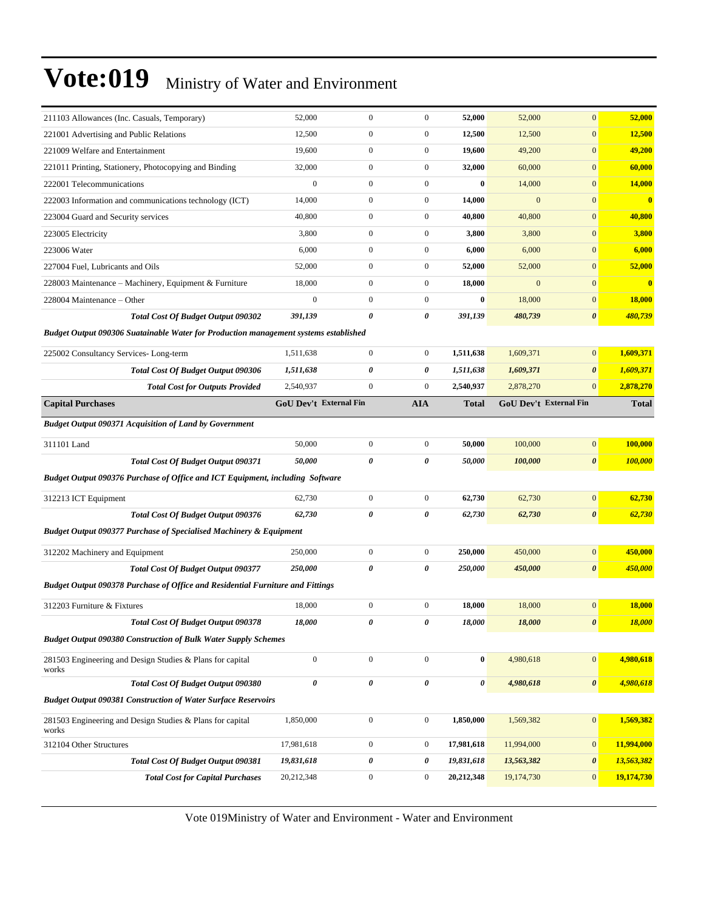| 211103 Allowances (Inc. Casuals, Temporary)                                           | 52,000                        | $\mathbf{0}$          | $\boldsymbol{0}$ | 52,000                | 52,000       | $\mathbf{0}$           | 52,000                  |
|---------------------------------------------------------------------------------------|-------------------------------|-----------------------|------------------|-----------------------|--------------|------------------------|-------------------------|
| 221001 Advertising and Public Relations                                               | 12,500                        | $\boldsymbol{0}$      | $\boldsymbol{0}$ | 12,500                | 12,500       | $\boldsymbol{0}$       | 12,500                  |
| 221009 Welfare and Entertainment                                                      | 19,600                        | $\boldsymbol{0}$      | $\boldsymbol{0}$ | 19,600                | 49,200       | $\mathbf{0}$           | 49,200                  |
| 221011 Printing, Stationery, Photocopying and Binding                                 | 32,000                        | $\mathbf{0}$          | $\boldsymbol{0}$ | 32,000                | 60,000       | $\mathbf{0}$           | 60,000                  |
| 222001 Telecommunications                                                             | $\boldsymbol{0}$              | $\boldsymbol{0}$      | $\boldsymbol{0}$ | $\bf{0}$              | 14,000       | $\mathbf{0}$           | 14,000                  |
| 222003 Information and communications technology (ICT)                                | 14,000                        | $\boldsymbol{0}$      | $\boldsymbol{0}$ | 14,000                | $\mathbf{0}$ | $\mathbf{0}$           | $\bf{0}$                |
| 223004 Guard and Security services                                                    | 40,800                        | $\boldsymbol{0}$      | $\boldsymbol{0}$ | 40,800                | 40,800       | $\boldsymbol{0}$       | 40,800                  |
| 223005 Electricity                                                                    | 3,800                         | $\boldsymbol{0}$      | $\boldsymbol{0}$ | 3,800                 | 3,800        | $\mathbf{0}$           | 3,800                   |
| 223006 Water                                                                          | 6,000                         | $\mathbf{0}$          | $\boldsymbol{0}$ | 6,000                 | 6,000        | $\mathbf{0}$           | 6,000                   |
| 227004 Fuel, Lubricants and Oils                                                      | 52,000                        | $\boldsymbol{0}$      | $\boldsymbol{0}$ | 52,000                | 52,000       | $\mathbf{0}$           | 52,000                  |
| 228003 Maintenance - Machinery, Equipment & Furniture                                 | 18,000                        | $\boldsymbol{0}$      | $\boldsymbol{0}$ | 18,000                | $\mathbf{0}$ | $\mathbf{0}$           | $\overline{\mathbf{0}}$ |
| 228004 Maintenance – Other                                                            | $\mathbf{0}$                  | $\boldsymbol{0}$      | $\boldsymbol{0}$ | $\bf{0}$              | 18,000       | $\boldsymbol{0}$       | 18,000                  |
| <b>Total Cost Of Budget Output 090302</b>                                             | 391,139                       | $\pmb{\theta}$        | 0                | 391,139               | 480,739      | $\pmb{\theta}$         | 480,739                 |
| Budget Output 090306 Suatainable Water for Production management systems established  |                               |                       |                  |                       |              |                        |                         |
| 225002 Consultancy Services-Long-term                                                 | 1,511,638                     | $\boldsymbol{0}$      | $\boldsymbol{0}$ | 1,511,638             | 1,609,371    | $\mathbf{0}$           | 1,609,371               |
| <b>Total Cost Of Budget Output 090306</b>                                             | 1,511,638                     | $\pmb{\theta}$        | 0                | 1,511,638             | 1,609,371    | $\boldsymbol{\theta}$  | 1,609,371               |
| <b>Total Cost for Outputs Provided</b>                                                | 2,540,937                     | $\boldsymbol{0}$      | $\boldsymbol{0}$ | 2,540,937             | 2,878,270    | $\mathbf{0}$           | 2,878,270               |
| <b>Capital Purchases</b>                                                              | <b>GoU Dev't External Fin</b> |                       | <b>AIA</b>       | Total                 |              | GoU Dev't External Fin | <b>Total</b>            |
| <b>Budget Output 090371 Acquisition of Land by Government</b>                         |                               |                       |                  |                       |              |                        |                         |
| 311101 Land                                                                           | 50,000                        | $\boldsymbol{0}$      | $\boldsymbol{0}$ | 50,000                | 100,000      | $\boldsymbol{0}$       | 100,000                 |
| <b>Total Cost Of Budget Output 090371</b>                                             | 50,000                        | $\pmb{\theta}$        | 0                | 50,000                | 100,000      | $\pmb{\theta}$         | 100,000                 |
| Budget Output 090376 Purchase of Office and ICT Equipment, including Software         |                               |                       |                  |                       |              |                        |                         |
| 312213 ICT Equipment                                                                  | 62,730                        | $\boldsymbol{0}$      | $\boldsymbol{0}$ | 62,730                | 62,730       | $\boldsymbol{0}$       | 62,730                  |
| Total Cost Of Budget Output 090376                                                    | 62,730                        | $\boldsymbol{\theta}$ | 0                | 62,730                | 62,730       | $\boldsymbol{\theta}$  | 62,730                  |
| <b>Budget Output 090377 Purchase of Specialised Machinery &amp; Equipment</b>         |                               |                       |                  |                       |              |                        |                         |
| 312202 Machinery and Equipment                                                        | 250,000                       | $\boldsymbol{0}$      | $\boldsymbol{0}$ | 250,000               | 450,000      | $\boldsymbol{0}$       | 450,000                 |
| Total Cost Of Budget Output 090377                                                    | 250,000                       | $\pmb{\theta}$        | 0                | 250,000               | 450,000      | $\boldsymbol{\theta}$  | 450,000                 |
| <b>Budget Output 090378 Purchase of Office and Residential Furniture and Fittings</b> |                               |                       |                  |                       |              |                        |                         |
| 312203 Furniture & Fixtures                                                           | 18,000                        | $\boldsymbol{0}$      | $\boldsymbol{0}$ | 18,000                | 18,000       | $\mathbf{0}$           | 18,000                  |
| Total Cost Of Budget Output 090378                                                    | 18,000                        | 0                     | 0                | 18,000                | 18,000       | $\pmb{\theta}$         | <b>18,000</b>           |
| <b>Budget Output 090380 Construction of Bulk Water Supply Schemes</b>                 |                               |                       |                  |                       |              |                        |                         |
| 281503 Engineering and Design Studies & Plans for capital<br>works                    | $\boldsymbol{0}$              | $\boldsymbol{0}$      | $\boldsymbol{0}$ | $\bf{0}$              | 4,980,618    | $\boldsymbol{0}$       | 4,980,618               |
| <b>Total Cost Of Budget Output 090380</b>                                             | $\pmb{\theta}$                | $\pmb{\theta}$        | 0                | $\boldsymbol{\theta}$ | 4,980,618    | $\pmb{\theta}$         | 4,980,618               |
| <b>Budget Output 090381 Construction of Water Surface Reservoirs</b>                  |                               |                       |                  |                       |              |                        |                         |
| 281503 Engineering and Design Studies & Plans for capital<br>works                    | 1,850,000                     | $\boldsymbol{0}$      | $\boldsymbol{0}$ | 1,850,000             | 1,569,382    | $\boldsymbol{0}$       | 1,569,382               |
| 312104 Other Structures                                                               | 17,981,618                    | $\boldsymbol{0}$      | $\boldsymbol{0}$ | 17,981,618            | 11,994,000   | $\boldsymbol{0}$       | 11,994,000              |
| <b>Total Cost Of Budget Output 090381</b>                                             | 19,831,618                    | 0                     | 0                | 19,831,618            | 13,563,382   | 0                      | 13,563,382              |
| <b>Total Cost for Capital Purchases</b>                                               | 20,212,348                    | $\boldsymbol{0}$      | $\boldsymbol{0}$ | 20,212,348            | 19,174,730   | $\boldsymbol{0}$       | 19,174,730              |
|                                                                                       |                               |                       |                  |                       |              |                        |                         |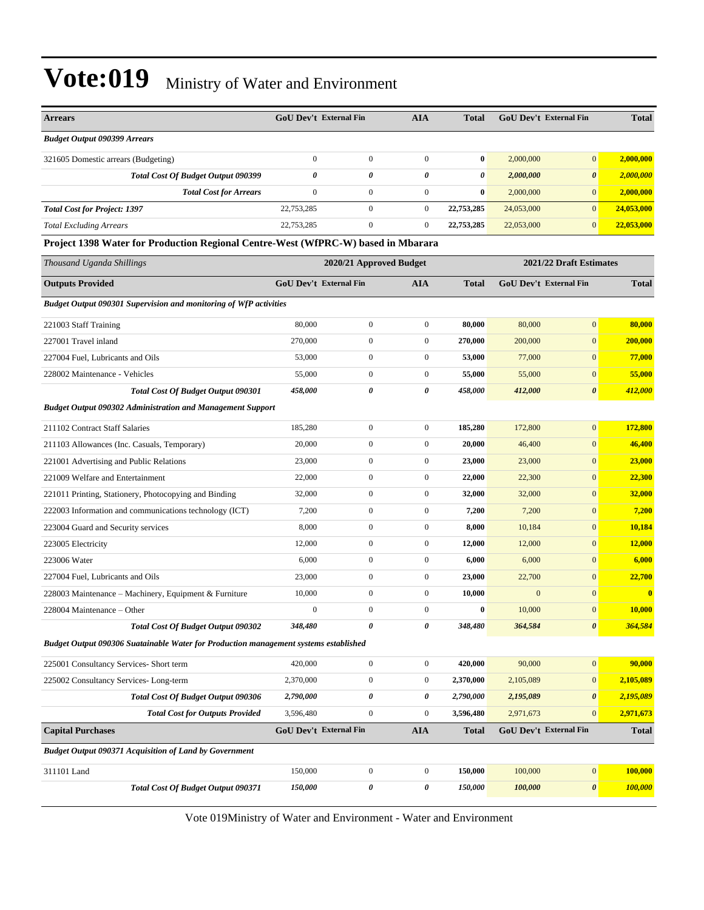| <b>Arrears</b>                                                                       |                  | <b>GoU Dev't External Fin</b> | <b>AIA</b>       | Total        |                | <b>GoU Dev't External Fin</b> | <b>Total</b>            |
|--------------------------------------------------------------------------------------|------------------|-------------------------------|------------------|--------------|----------------|-------------------------------|-------------------------|
| <b>Budget Output 090399 Arrears</b>                                                  |                  |                               |                  |              |                |                               |                         |
| 321605 Domestic arrears (Budgeting)                                                  | $\mathbf{0}$     | $\boldsymbol{0}$              | $\mathbf{0}$     | $\bf{0}$     | 2,000,000      | $\mathbf{0}$                  | 2,000,000               |
| Total Cost Of Budget Output 090399                                                   | 0                | 0                             | 0                | 0            | 2,000,000      | $\boldsymbol{\theta}$         | 2,000,000               |
| <b>Total Cost for Arrears</b>                                                        | $\mathbf{0}$     | $\boldsymbol{0}$              | $\boldsymbol{0}$ | $\bf{0}$     | 2,000,000      | $\mathbf{0}$                  | 2,000,000               |
| <b>Total Cost for Project: 1397</b>                                                  | 22,753,285       | $\boldsymbol{0}$              | $\overline{0}$   | 22,753,285   | 24,053,000     | $\mathbf{0}$                  | 24,053,000              |
| <b>Total Excluding Arrears</b>                                                       | 22,753,285       | $\mathbf{0}$                  | $\overline{0}$   | 22,753,285   | 22,053,000     | $\mathbf{0}$                  | 22,053,000              |
| Project 1398 Water for Production Regional Centre-West (WfPRC-W) based in Mbarara    |                  |                               |                  |              |                |                               |                         |
| Thousand Uganda Shillings                                                            |                  | 2020/21 Approved Budget       |                  |              |                | 2021/22 Draft Estimates       |                         |
| <b>Outputs Provided</b>                                                              |                  | GoU Dev't External Fin        | <b>AIA</b>       | <b>Total</b> |                | GoU Dev't External Fin        | <b>Total</b>            |
| <b>Budget Output 090301 Supervision and monitoring of WfP activities</b>             |                  |                               |                  |              |                |                               |                         |
| 221003 Staff Training                                                                | 80,000           | $\boldsymbol{0}$              | $\boldsymbol{0}$ | 80,000       | 80,000         | $\mathbf{0}$                  | 80,000                  |
| 227001 Travel inland                                                                 | 270,000          | $\boldsymbol{0}$              | $\boldsymbol{0}$ | 270,000      | 200,000        | $\mathbf{0}$                  | 200,000                 |
| 227004 Fuel, Lubricants and Oils                                                     | 53,000           | $\boldsymbol{0}$              | $\boldsymbol{0}$ | 53,000       | 77,000         | $\mathbf{0}$                  | 77,000                  |
| 228002 Maintenance - Vehicles                                                        | 55,000           | $\boldsymbol{0}$              | $\mathbf{0}$     | 55,000       | 55,000         | $\mathbf{0}$                  | 55,000                  |
| Total Cost Of Budget Output 090301                                                   | 458,000          | $\pmb{\theta}$                | 0                | 458,000      | 412,000        | $\boldsymbol{\theta}$         | 412,000                 |
| <b>Budget Output 090302 Administration and Management Support</b>                    |                  |                               |                  |              |                |                               |                         |
| 211102 Contract Staff Salaries                                                       | 185,280          | $\boldsymbol{0}$              | $\boldsymbol{0}$ | 185,280      | 172,800        | $\mathbf{0}$                  | 172,800                 |
| 211103 Allowances (Inc. Casuals, Temporary)                                          | 20,000           | $\boldsymbol{0}$              | $\overline{0}$   | 20,000       | 46,400         | $\overline{0}$                | 46,400                  |
| 221001 Advertising and Public Relations                                              | 23,000           | $\boldsymbol{0}$              | $\boldsymbol{0}$ | 23,000       | 23,000         | $\mathbf{0}$                  | 23,000                  |
| 221009 Welfare and Entertainment                                                     | 22,000           | $\boldsymbol{0}$              | $\mathbf{0}$     | 22,000       | 22,300         | $\mathbf{0}$                  | 22,300                  |
| 221011 Printing, Stationery, Photocopying and Binding                                | 32,000           | $\boldsymbol{0}$              | $\boldsymbol{0}$ | 32,000       | 32,000         | $\mathbf{0}$                  | 32,000                  |
| 222003 Information and communications technology (ICT)                               | 7,200            | $\boldsymbol{0}$              | $\overline{0}$   | 7,200        | 7,200          | $\mathbf{0}$                  | 7,200                   |
| 223004 Guard and Security services                                                   | 8,000            | $\boldsymbol{0}$              | $\overline{0}$   | 8,000        | 10,184         | $\overline{0}$                | 10,184                  |
| 223005 Electricity                                                                   | 12,000           | $\boldsymbol{0}$              | $\boldsymbol{0}$ | 12,000       | 12,000         | $\mathbf{0}$                  | 12,000                  |
| 223006 Water                                                                         | 6,000            | $\boldsymbol{0}$              | $\overline{0}$   | 6,000        | 6,000          | $\mathbf{0}$                  | 6,000                   |
| 227004 Fuel, Lubricants and Oils                                                     | 23,000           | $\boldsymbol{0}$              | $\boldsymbol{0}$ | 23,000       | 22,700         | $\mathbf{0}$                  | 22,700                  |
| 228003 Maintenance - Machinery, Equipment & Furniture                                | 10,000           | $\mathbf{0}$                  | $\boldsymbol{0}$ | 10,000       | $\overline{0}$ | $\mathbf{0}$                  | $\overline{\mathbf{0}}$ |
| 228004 Maintenance – Other                                                           | $\boldsymbol{0}$ | $\boldsymbol{0}$              | $\overline{0}$   | $\bf{0}$     | 10,000         | $\mathbf{0}$                  | 10,000                  |
| Total Cost Of Budget Output 090302                                                   | 348,480          | 0                             | 0                | 348,480      | 364,584        | $\boldsymbol{\theta}$         | 364,584                 |
| Budget Output 090306 Suatainable Water for Production management systems established |                  |                               |                  |              |                |                               |                         |
| 225001 Consultancy Services- Short term                                              | 420,000          | $\boldsymbol{0}$              | $\boldsymbol{0}$ | 420,000      | 90,000         | $\boldsymbol{0}$              | 90,000                  |
| 225002 Consultancy Services-Long-term                                                | 2,370,000        | $\boldsymbol{0}$              | $\boldsymbol{0}$ | 2,370,000    | 2,105,089      | $\boldsymbol{0}$              | 2,105,089               |
| Total Cost Of Budget Output 090306                                                   | 2,790,000        | $\pmb{\theta}$                | 0                | 2,790,000    | 2,195,089      | $\pmb{\theta}$                | 2,195,089               |
| <b>Total Cost for Outputs Provided</b>                                               | 3,596,480        | $\boldsymbol{0}$              | 0                | 3,596,480    | 2,971,673      | $\mathbf{0}$                  | 2,971,673               |
| <b>Capital Purchases</b>                                                             |                  | GoU Dev't External Fin        | <b>AIA</b>       | <b>Total</b> |                | GoU Dev't External Fin        | <b>Total</b>            |
| <b>Budget Output 090371 Acquisition of Land by Government</b>                        |                  |                               |                  |              |                |                               |                         |
| 311101 Land                                                                          | 150,000          | $\boldsymbol{0}$              | $\boldsymbol{0}$ | 150,000      | 100,000        | $\boldsymbol{0}$              | 100,000                 |
| Total Cost Of Budget Output 090371                                                   | 150,000          | $\pmb{\theta}$                | 0                | 150,000      | 100,000        | $\pmb{\theta}$                | 100,000                 |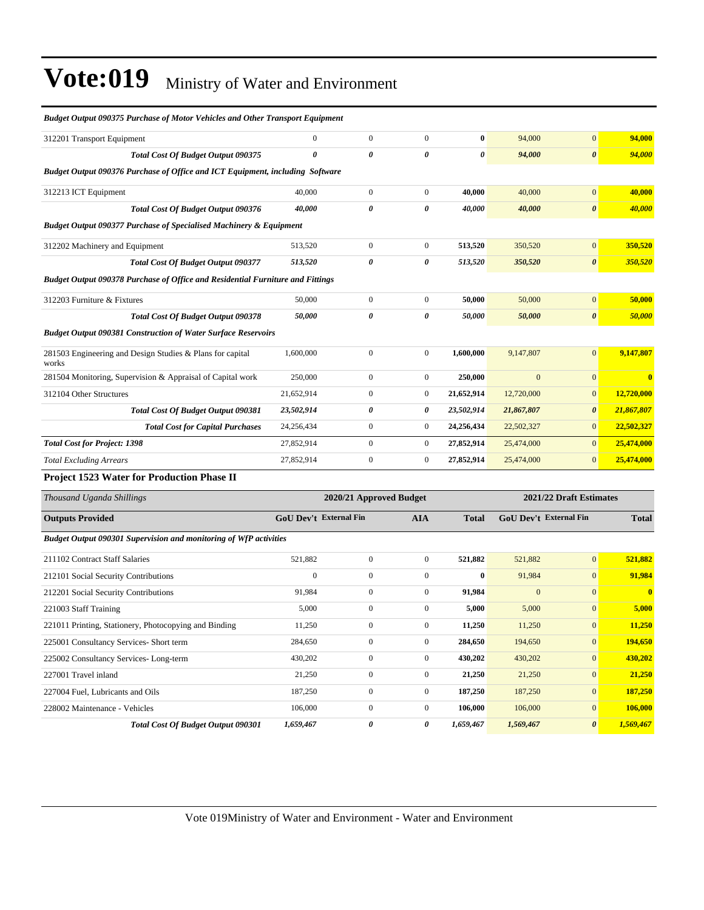| риазег Ойгриг 090373-1 игснизе ор тогон- Venicles ини Отен-Гтанзрон Едигртенг         |                        |                         |                       |              |              |                               |              |
|---------------------------------------------------------------------------------------|------------------------|-------------------------|-----------------------|--------------|--------------|-------------------------------|--------------|
| 312201 Transport Equipment                                                            | $\mathbf{0}$           | $\mathbf{0}$            | $\overline{0}$        | $\bf{0}$     | 94,000       | $\mathbf{0}$                  | 94,000       |
| <b>Total Cost Of Budget Output 090375</b>                                             | 0                      | 0                       | 0                     | 0            | 94,000       | $\boldsymbol{\theta}$         | 94,000       |
| <b>Budget Output 090376 Purchase of Office and ICT Equipment, including Software</b>  |                        |                         |                       |              |              |                               |              |
| 312213 ICT Equipment                                                                  | 40,000                 | $\boldsymbol{0}$        | $\mathbf{0}$          | 40,000       | 40,000       | $\mathbf{0}$                  | 40,000       |
| Total Cost Of Budget Output 090376                                                    | 40,000                 | 0                       | 0                     | 40,000       | 40,000       | $\boldsymbol{\theta}$         | 40,000       |
| <b>Budget Output 090377 Purchase of Specialised Machinery &amp; Equipment</b>         |                        |                         |                       |              |              |                               |              |
| 312202 Machinery and Equipment                                                        | 513,520                | $\boldsymbol{0}$        | $\boldsymbol{0}$      | 513,520      | 350,520      | $\mathbf{0}$                  | 350,520      |
| Total Cost Of Budget Output 090377                                                    | 513,520                | 0                       | $\boldsymbol{\theta}$ | 513,520      | 350,520      | $\boldsymbol{\theta}$         | 350,520      |
| <b>Budget Output 090378 Purchase of Office and Residential Furniture and Fittings</b> |                        |                         |                       |              |              |                               |              |
| 312203 Furniture & Fixtures                                                           | 50,000                 | $\boldsymbol{0}$        | $\boldsymbol{0}$      | 50,000       | 50,000       | $\mathbf{0}$                  | 50,000       |
| Total Cost Of Budget Output 090378                                                    | 50,000                 | 0                       | $\boldsymbol{\theta}$ | 50,000       | 50,000       | $\boldsymbol{\theta}$         | 50,000       |
| <b>Budget Output 090381 Construction of Water Surface Reservoirs</b>                  |                        |                         |                       |              |              |                               |              |
| 281503 Engineering and Design Studies & Plans for capital<br>works                    | 1,600,000              | $\boldsymbol{0}$        | $\boldsymbol{0}$      | 1,600,000    | 9,147,807    | $\mathbf{0}$                  | 9,147,807    |
| 281504 Monitoring, Supervision & Appraisal of Capital work                            | 250,000                | $\boldsymbol{0}$        | $\overline{0}$        | 250,000      | $\mathbf{0}$ | $\mathbf{0}$                  | $\mathbf{0}$ |
| 312104 Other Structures                                                               | 21,652,914             | $\boldsymbol{0}$        | $\boldsymbol{0}$      | 21,652,914   | 12,720,000   | $\mathbf{0}$                  | 12,720,000   |
| <b>Total Cost Of Budget Output 090381</b>                                             | 23,502,914             | 0                       | 0                     | 23,502,914   | 21,867,807   | $\boldsymbol{\theta}$         | 21,867,807   |
| <b>Total Cost for Capital Purchases</b>                                               | 24,256,434             | $\boldsymbol{0}$        | $\overline{0}$        | 24,256,434   | 22,502,327   | $\mathbf{0}$                  | 22,502,327   |
| <b>Total Cost for Project: 1398</b>                                                   | 27,852,914             | $\boldsymbol{0}$        | $\boldsymbol{0}$      | 27,852,914   | 25,474,000   | $\mathbf{0}$                  | 25,474,000   |
| <b>Total Excluding Arrears</b>                                                        | 27,852,914             | $\boldsymbol{0}$        | $\boldsymbol{0}$      | 27,852,914   | 25,474,000   | $\mathbf{0}$                  | 25,474,000   |
| <b>Project 1523 Water for Production Phase II</b>                                     |                        |                         |                       |              |              |                               |              |
| Thousand Uganda Shillings                                                             |                        | 2020/21 Approved Budget |                       |              |              | 2021/22 Draft Estimates       |              |
| <b>Outputs Provided</b>                                                               | GoU Dev't External Fin |                         | <b>AIA</b>            | <b>Total</b> |              | <b>GoU Dev't External Fin</b> | <b>Total</b> |
| Budget Output 090301 Supervision and monitoring of WfP activities                     |                        |                         |                       |              |              |                               |              |
| 211102 Contract Staff Salaries                                                        | 521,882                | $\boldsymbol{0}$        | $\mathbf{0}$          | 521,882      | 521,882      | $\mathbf{0}$                  | 521,882      |
| 212101 Social Security Contributions                                                  | $\boldsymbol{0}$       | $\boldsymbol{0}$        | $\boldsymbol{0}$      | $\bf{0}$     | 91,984       | $\mathbf{0}$                  | 91,984       |
| 212201 Social Security Contributions                                                  | 91,984                 | $\mathbf{0}$            | $\boldsymbol{0}$      | 91,984       | $\mathbf{0}$ | $\mathbf{0}$                  | $\bf{0}$     |
| 221003 Staff Training                                                                 | 5,000                  | $\mathbf{0}$            | $\boldsymbol{0}$      | 5,000        | 5,000        | $\mathbf{0}$                  | 5,000        |
| 221011 Printing, Stationery, Photocopying and Binding                                 | 11,250                 | $\boldsymbol{0}$        | 0                     | 11,250       | 11,250       | $\mathbf{0}$                  | 11,250       |
| 225001 Consultancy Services- Short term                                               | 284,650                | $\boldsymbol{0}$        | $\boldsymbol{0}$      | 284,650      | 194,650      | 0                             | 194,650      |
| 225002 Consultancy Services-Long-term                                                 | 430,202                | $\boldsymbol{0}$        | $\mathbf{0}$          | 430,202      | 430,202      | $\mathbf{0}$                  | 430,202      |
| 227001 Travel inland                                                                  | 21,250                 | $\boldsymbol{0}$        | $\boldsymbol{0}$      | 21,250       | 21,250       | $\mathbf{0}$                  | 21,250       |
| 227004 Fuel, Lubricants and Oils                                                      | 187,250                | $\boldsymbol{0}$        | $\boldsymbol{0}$      | 187,250      | 187,250      | $\mathbf{0}$                  | 187,250      |
| 228002 Maintenance - Vehicles                                                         | 106,000                | $\boldsymbol{0}$        | $\boldsymbol{0}$      | 106,000      | 106,000      | $\mathbf{0}$                  | 106,000      |
| Total Cost Of Budget Output 090301                                                    | 1,659,467              | 0                       | 0                     | 1,659,467    | 1,569,467    | $\boldsymbol{\theta}$         | 1,569,467    |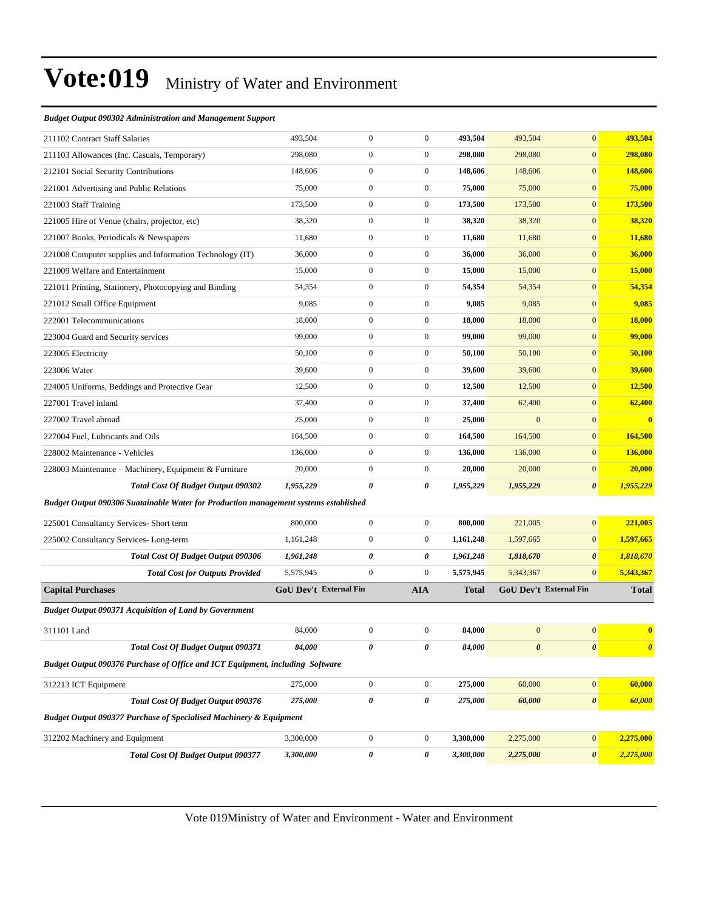#### *Budget Output 090302 Administration and Management Support*

| 211102 Contract Staff Salaries                                                       | 493,504                | $\boldsymbol{0}$ | $\boldsymbol{0}$ | 493,504   | 493,504          | $\mathbf{0}$           | 493,504               |
|--------------------------------------------------------------------------------------|------------------------|------------------|------------------|-----------|------------------|------------------------|-----------------------|
| 211103 Allowances (Inc. Casuals, Temporary)                                          | 298,080                | $\boldsymbol{0}$ | $\boldsymbol{0}$ | 298,080   | 298,080          | $\mathbf{0}$           | 298,080               |
| 212101 Social Security Contributions                                                 | 148,606                | $\boldsymbol{0}$ | $\boldsymbol{0}$ | 148,606   | 148,606          | $\mathbf{0}$           | 148,606               |
| 221001 Advertising and Public Relations                                              | 75,000                 | $\boldsymbol{0}$ | $\boldsymbol{0}$ | 75,000    | 75,000           | $\mathbf{0}$           | 75,000                |
| 221003 Staff Training                                                                | 173,500                | $\boldsymbol{0}$ | $\mathbf{0}$     | 173,500   | 173,500          | $\mathbf{0}$           | 173,500               |
| 221005 Hire of Venue (chairs, projector, etc)                                        | 38,320                 | $\boldsymbol{0}$ | $\boldsymbol{0}$ | 38,320    | 38,320           | $\mathbf{0}$           | 38,320                |
| 221007 Books, Periodicals & Newspapers                                               | 11,680                 | $\boldsymbol{0}$ | $\boldsymbol{0}$ | 11,680    | 11,680           | $\mathbf{0}$           | 11,680                |
| 221008 Computer supplies and Information Technology (IT)                             | 36,000                 | $\boldsymbol{0}$ | $\boldsymbol{0}$ | 36,000    | 36,000           | $\mathbf{0}$           | 36,000                |
| 221009 Welfare and Entertainment                                                     | 15,000                 | $\boldsymbol{0}$ | $\boldsymbol{0}$ | 15,000    | 15,000           | $\mathbf{0}$           | 15,000                |
| 221011 Printing, Stationery, Photocopying and Binding                                | 54,354                 | $\boldsymbol{0}$ | $\boldsymbol{0}$ | 54,354    | 54,354           | $\mathbf{0}$           | 54,354                |
| 221012 Small Office Equipment                                                        | 9,085                  | $\boldsymbol{0}$ | $\boldsymbol{0}$ | 9,085     | 9,085            | $\mathbf{0}$           | 9,085                 |
| 222001 Telecommunications                                                            | 18,000                 | $\boldsymbol{0}$ | $\boldsymbol{0}$ | 18,000    | 18,000           | $\mathbf{0}$           | 18,000                |
| 223004 Guard and Security services                                                   | 99,000                 | $\boldsymbol{0}$ | $\boldsymbol{0}$ | 99,000    | 99,000           | $\mathbf{0}$           | 99,000                |
| 223005 Electricity                                                                   | 50,100                 | $\boldsymbol{0}$ | $\boldsymbol{0}$ | 50,100    | 50,100           | $\mathbf{0}$           | 50,100                |
| 223006 Water                                                                         | 39,600                 | $\boldsymbol{0}$ | $\boldsymbol{0}$ | 39,600    | 39,600           | $\mathbf{0}$           | 39,600                |
| 224005 Uniforms, Beddings and Protective Gear                                        | 12,500                 | $\boldsymbol{0}$ | $\boldsymbol{0}$ | 12,500    | 12,500           | $\mathbf{0}$           | 12,500                |
| 227001 Travel inland                                                                 | 37,400                 | $\boldsymbol{0}$ | $\boldsymbol{0}$ | 37,400    | 62,400           | $\mathbf{0}$           | 62,400                |
| 227002 Travel abroad                                                                 | 25,000                 | $\boldsymbol{0}$ | $\boldsymbol{0}$ | 25,000    | $\mathbf{0}$     | $\mathbf{0}$           | $\bf{0}$              |
| 227004 Fuel, Lubricants and Oils                                                     | 164,500                | $\boldsymbol{0}$ | $\boldsymbol{0}$ | 164,500   | 164,500          | $\mathbf{0}$           | 164,500               |
| 228002 Maintenance - Vehicles                                                        | 136,000                | $\boldsymbol{0}$ | $\boldsymbol{0}$ | 136,000   | 136,000          | $\mathbf{0}$           | 136,000               |
| 228003 Maintenance – Machinery, Equipment & Furniture                                | 20,000                 | $\boldsymbol{0}$ | $\boldsymbol{0}$ | 20,000    | 20,000           | $\mathbf{0}$           | 20,000                |
| <b>Total Cost Of Budget Output 090302</b>                                            | 1,955,229              | 0                | 0                | 1,955,229 | 1,955,229        | $\boldsymbol{\theta}$  | 1,955,229             |
| Budget Output 090306 Suatainable Water for Production management systems established |                        |                  |                  |           |                  |                        |                       |
| 225001 Consultancy Services- Short term                                              | 800,000                | $\boldsymbol{0}$ | $\boldsymbol{0}$ | 800,000   | 221,005          | $\mathbf{0}$           | 221,005               |
| 225002 Consultancy Services-Long-term                                                | 1,161,248              | $\boldsymbol{0}$ | $\boldsymbol{0}$ | 1,161,248 | 1,597,665        | $\mathbf{0}$           | 1,597,665             |
| <b>Total Cost Of Budget Output 090306</b>                                            | 1,961,248              | $\pmb{\theta}$   | 0                | 1,961,248 | 1,818,670        | $\boldsymbol{\theta}$  | 1,818,670             |
| <b>Total Cost for Outputs Provided</b>                                               | 5,575,945              | $\boldsymbol{0}$ | $\mathbf{0}$     | 5,575,945 | 5,343,367        | $\mathbf{0}$           | 5,343,367             |
| <b>Capital Purchases</b>                                                             | GoU Dev't External Fin |                  | <b>AIA</b>       | Total     |                  | GoU Dev't External Fin | <b>Total</b>          |
| <b>Budget Output 090371 Acquisition of Land by Government</b>                        |                        |                  |                  |           |                  |                        |                       |
| 311101 Land                                                                          | 84,000                 | $\boldsymbol{0}$ | $\boldsymbol{0}$ | 84,000    | $\boldsymbol{0}$ | $\mathbf{0}$           | $\bf{0}$              |
| Total Cost Of Budget Output 090371                                                   | 84,000                 | $\pmb{\theta}$   | 0                | 84,000    | $\pmb{\theta}$   | $\pmb{\theta}$         | $\boldsymbol{\theta}$ |
| Budget Output 090376 Purchase of Office and ICT Equipment, including Software        |                        |                  |                  |           |                  |                        |                       |
| 312213 ICT Equipment                                                                 | 275,000                | $\boldsymbol{0}$ | $\boldsymbol{0}$ | 275,000   | 60,000           | $\boldsymbol{0}$       | 60,000                |
| <b>Total Cost Of Budget Output 090376</b>                                            | 275,000                | 0                | 0                | 275,000   | 60,000           | $\pmb{\theta}$         | 60,000                |
| Budget Output 090377 Purchase of Specialised Machinery & Equipment                   |                        |                  |                  |           |                  |                        |                       |
|                                                                                      |                        |                  |                  |           |                  |                        |                       |
| 312202 Machinery and Equipment                                                       | 3,300,000              | $\boldsymbol{0}$ | $\boldsymbol{0}$ | 3,300,000 | 2,275,000        | $\boldsymbol{0}$       | 2,275,000             |
| <b>Total Cost Of Budget Output 090377</b>                                            | 3,300,000              | 0                | 0                | 3,300,000 | 2,275,000        | $\pmb{\theta}$         | 2,275,000             |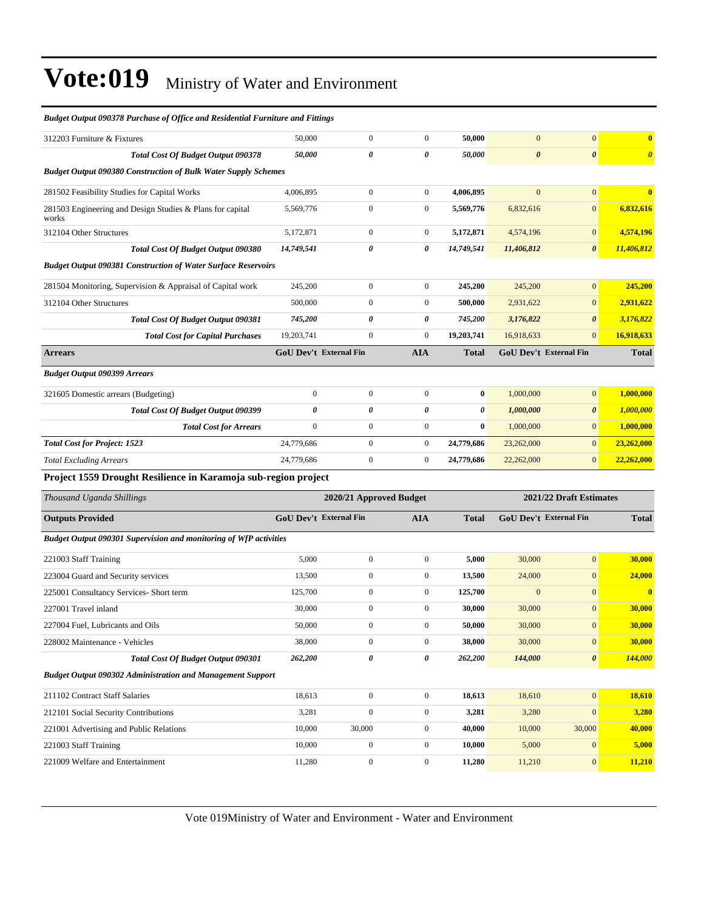| 312203 Furniture & Fixtures                                           | 50,000                        | $\overline{0}$          | $\mathbf{0}$     | 50,000       | $\overline{0}$        | $\overline{0}$                | $\bf{0}$                |
|-----------------------------------------------------------------------|-------------------------------|-------------------------|------------------|--------------|-----------------------|-------------------------------|-------------------------|
| <b>Total Cost Of Budget Output 090378</b>                             | 50,000                        | 0                       | 0                | 50,000       | $\boldsymbol{\theta}$ | 0                             | $\boldsymbol{\theta}$   |
| <b>Budget Output 090380 Construction of Bulk Water Supply Schemes</b> |                               |                         |                  |              |                       |                               |                         |
| 281502 Feasibility Studies for Capital Works                          | 4,006,895                     | $\boldsymbol{0}$        | $\boldsymbol{0}$ | 4,006,895    | $\overline{0}$        | $\mathbf{0}$                  | $\bf{0}$                |
| 281503 Engineering and Design Studies & Plans for capital<br>works    | 5,569,776                     | $\boldsymbol{0}$        | $\mathbf{0}$     | 5,569,776    | 6,832,616             | $\boldsymbol{0}$              | 6,832,616               |
| 312104 Other Structures                                               | 5,172,871                     | $\boldsymbol{0}$        | $\boldsymbol{0}$ | 5,172,871    | 4,574,196             | $\overline{0}$                | 4,574,196               |
| Total Cost Of Budget Output 090380                                    | 14,749,541                    | 0                       | 0                | 14,749,541   | 11,406,812            | $\boldsymbol{\theta}$         | 11,406,812              |
| <b>Budget Output 090381 Construction of Water Surface Reservoirs</b>  |                               |                         |                  |              |                       |                               |                         |
| 281504 Monitoring, Supervision & Appraisal of Capital work            | 245,200                       | $\boldsymbol{0}$        | $\boldsymbol{0}$ | 245,200      | 245,200               | $\mathbf{0}$                  | 245,200                 |
| 312104 Other Structures                                               | 500,000                       | $\mathbf{0}$            | $\boldsymbol{0}$ | 500,000      | 2,931,622             | $\overline{0}$                | 2,931,622               |
| <b>Total Cost Of Budget Output 090381</b>                             | 745,200                       | $\theta$                | 0                | 745,200      | 3,176,822             | $\boldsymbol{\theta}$         | 3,176,822               |
| <b>Total Cost for Capital Purchases</b>                               | 19,203,741                    | $\boldsymbol{0}$        | $\boldsymbol{0}$ | 19,203,741   | 16,918,633            | $\overline{0}$                | 16,918,633              |
| <b>Arrears</b>                                                        | <b>GoU Dev't External Fin</b> |                         | <b>AIA</b>       | <b>Total</b> |                       | GoU Dev't External Fin        | <b>Total</b>            |
| <b>Budget Output 090399 Arrears</b>                                   |                               |                         |                  |              |                       |                               |                         |
| 321605 Domestic arrears (Budgeting)                                   | $\mathbf{0}$                  | $\boldsymbol{0}$        | $\boldsymbol{0}$ | $\bf{0}$     | 1,000,000             | $\mathbf{0}$                  | 1,000,000               |
| Total Cost Of Budget Output 090399                                    | 0                             | 0                       | 0                | 0            | 1,000,000             | $\boldsymbol{\theta}$         | 1,000,000               |
| <b>Total Cost for Arrears</b>                                         | $\mathbf{0}$                  | $\mathbf{0}$            | $\boldsymbol{0}$ | $\bf{0}$     | 1,000,000             | $\overline{0}$                | 1,000,000               |
| <b>Total Cost for Project: 1523</b>                                   | 24,779,686                    | $\boldsymbol{0}$        | $\boldsymbol{0}$ | 24,779,686   | 23,262,000            | $\mathbf{0}$                  | 23,262,000              |
| <b>Total Excluding Arrears</b>                                        | 24,779,686                    | $\boldsymbol{0}$        | $\boldsymbol{0}$ | 24,779,686   | 22,262,000            | $\mathbf{0}$                  | 22,262,000              |
| Project 1559 Drought Resilience in Karamoja sub-region project        |                               |                         |                  |              |                       |                               |                         |
| Thousand Uganda Shillings                                             |                               | 2020/21 Approved Budget |                  |              |                       | 2021/22 Draft Estimates       |                         |
| <b>Outputs Provided</b>                                               | GoU Dev't External Fin        |                         | <b>AIA</b>       | <b>Total</b> |                       | <b>GoU Dev't External Fin</b> | <b>Total</b>            |
| Budget Output 090301 Supervision and monitoring of WfP activities     |                               |                         |                  |              |                       |                               |                         |
| 221003 Staff Training                                                 | 5,000                         | $\boldsymbol{0}$        | $\boldsymbol{0}$ | 5,000        | 30,000                | $\boldsymbol{0}$              | 30,000                  |
| 223004 Guard and Security services                                    | 13,500                        | $\boldsymbol{0}$        | $\boldsymbol{0}$ | 13,500       | 24,000                | $\boldsymbol{0}$              | 24,000                  |
| 225001 Consultancy Services- Short term                               | 125,700                       | $\mathbf{0}$            | $\boldsymbol{0}$ | 125,700      | $\boldsymbol{0}$      | $\mathbf{0}$                  | $\overline{\mathbf{0}}$ |
| 227001 Travel inland                                                  | 30,000                        | $\overline{0}$          | $\boldsymbol{0}$ | 30,000       | 30,000                | $\mathbf{0}$                  | 30,000                  |
| 227004 Fuel, Lubricants and Oils                                      | 50,000                        | $\boldsymbol{0}$        | $\boldsymbol{0}$ | 50,000       | 30,000                | $\mathbf{0}$                  | 30,000                  |
| 228002 Maintenance - Vehicles                                         | 38,000                        | $\boldsymbol{0}$        | $\boldsymbol{0}$ | 38,000       | 30,000                | 0                             | 30,000                  |
| <b>Total Cost Of Budget Output 090301</b>                             | 262,200                       | 0                       | 0                | 262,200      | 144,000               | $\pmb{\theta}$                | <b>144,000</b>          |
| <b>Budget Output 090302 Administration and Management Support</b>     |                               |                         |                  |              |                       |                               |                         |
| 211102 Contract Staff Salaries                                        | 18,613                        | $\boldsymbol{0}$        | $\boldsymbol{0}$ | 18,613       | 18,610                | $\boldsymbol{0}$              | 18,610                  |
| 212101 Social Security Contributions                                  | 3,281                         | $\boldsymbol{0}$        | $\boldsymbol{0}$ | 3,281        | 3,280                 | $\boldsymbol{0}$              | 3,280                   |
| 221001 Advertising and Public Relations                               | 10,000                        | 30,000                  | $\boldsymbol{0}$ | 40,000       | 10,000                | 30,000                        | 40,000                  |
| 221003 Staff Training                                                 | 10,000                        | $\boldsymbol{0}$        | $\boldsymbol{0}$ | 10,000       | 5,000                 | $\boldsymbol{0}$              | 5,000                   |
| 221009 Welfare and Entertainment                                      | 11,280                        | $\boldsymbol{0}$        | $\boldsymbol{0}$ | 11,280       | 11,210                | $\bf{0}$                      | 11,210                  |
|                                                                       |                               |                         |                  |              |                       |                               |                         |

*Budget Output 090378 Purchase of Office and Residential Furniture and Fittings*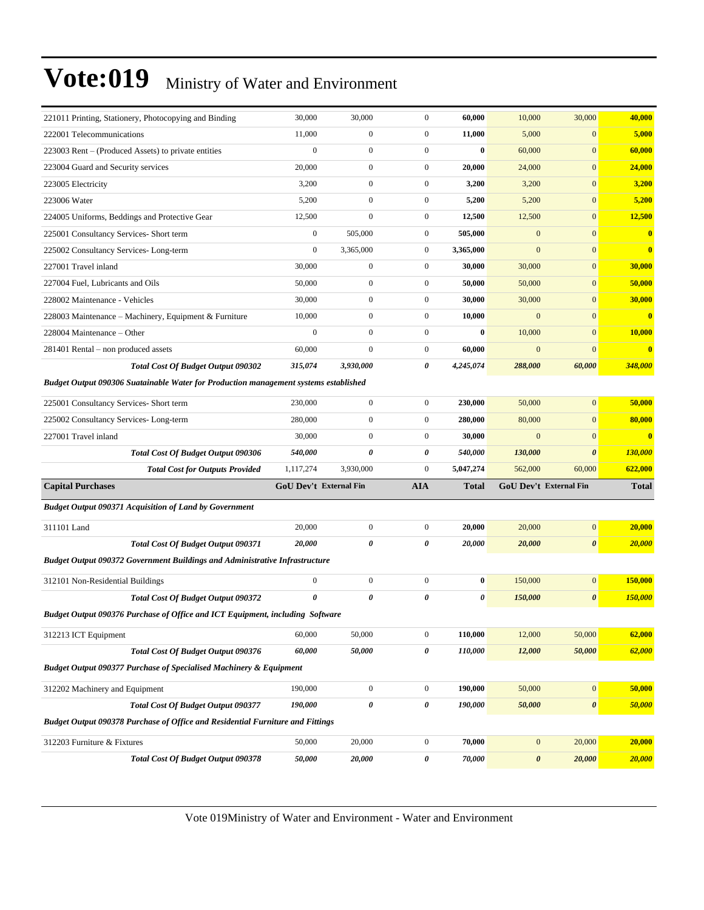| 221011 Printing, Stationery, Photocopying and Binding                                 | 30,000                        | 30,000                | $\mathbf{0}$          | 60,000    | 10,000           | 30,000                        | 40,000         |
|---------------------------------------------------------------------------------------|-------------------------------|-----------------------|-----------------------|-----------|------------------|-------------------------------|----------------|
| 222001 Telecommunications                                                             | 11,000                        | $\mathbf{0}$          | $\boldsymbol{0}$      | 11,000    | 5,000            | $\mathbf{0}$                  | 5,000          |
| 223003 Rent – (Produced Assets) to private entities                                   | $\overline{0}$                | $\boldsymbol{0}$      | $\boldsymbol{0}$      | $\bf{0}$  | 60,000           | $\mathbf{0}$                  | 60,000         |
| 223004 Guard and Security services                                                    | 20,000                        | $\mathbf{0}$          | $\boldsymbol{0}$      | 20,000    | 24,000           | $\mathbf{0}$                  | 24,000         |
| 223005 Electricity                                                                    | 3,200                         | $\mathbf{0}$          | $\boldsymbol{0}$      | 3,200     | 3,200            | $\mathbf{0}$                  | 3,200          |
| 223006 Water                                                                          | 5,200                         | $\mathbf{0}$          | $\boldsymbol{0}$      | 5,200     | 5,200            | $\mathbf{0}$                  | 5,200          |
| 224005 Uniforms, Beddings and Protective Gear                                         | 12,500                        | $\mathbf{0}$          | $\boldsymbol{0}$      | 12,500    | 12,500           | $\mathbf{0}$                  | 12,500         |
| 225001 Consultancy Services- Short term                                               | $\mathbf{0}$                  | 505,000               | $\boldsymbol{0}$      | 505,000   | $\mathbf{0}$     | $\boldsymbol{0}$              | $\bf{0}$       |
| 225002 Consultancy Services-Long-term                                                 | $\overline{0}$                | 3,365,000             | $\boldsymbol{0}$      | 3,365,000 | $\mathbf{0}$     | $\mathbf{0}$                  | $\bf{0}$       |
| 227001 Travel inland                                                                  | 30,000                        | $\boldsymbol{0}$      | $\boldsymbol{0}$      | 30,000    | 30,000           | $\mathbf{0}$                  | 30,000         |
| 227004 Fuel, Lubricants and Oils                                                      | 50,000                        | $\boldsymbol{0}$      | $\boldsymbol{0}$      | 50,000    | 50,000           | $\mathbf{0}$                  | 50,000         |
| 228002 Maintenance - Vehicles                                                         | 30,000                        | $\boldsymbol{0}$      | $\boldsymbol{0}$      | 30,000    | 30,000           | $\mathbf{0}$                  | 30,000         |
| 228003 Maintenance - Machinery, Equipment & Furniture                                 | 10,000                        | $\boldsymbol{0}$      | $\boldsymbol{0}$      | 10,000    | $\mathbf{0}$     | $\mathbf{0}$                  | $\bf{0}$       |
| 228004 Maintenance - Other                                                            | $\boldsymbol{0}$              | $\mathbf{0}$          | $\boldsymbol{0}$      | $\bf{0}$  | 10,000           | $\mathbf{0}$                  | 10,000         |
| 281401 Rental – non produced assets                                                   | 60,000                        | $\mathbf{0}$          | $\boldsymbol{0}$      | 60,000    | $\mathbf{0}$     | $\mathbf{0}$                  | $\bf{0}$       |
| <b>Total Cost Of Budget Output 090302</b>                                             | 315,074                       | 3,930,000             | $\boldsymbol{\theta}$ | 4,245,074 | 288,000          | 60,000                        | 348,000        |
| Budget Output 090306 Suatainable Water for Production management systems established  |                               |                       |                       |           |                  |                               |                |
| 225001 Consultancy Services- Short term                                               | 230,000                       | $\boldsymbol{0}$      | $\boldsymbol{0}$      | 230,000   | 50,000           | $\mathbf{0}$                  | 50,000         |
| 225002 Consultancy Services-Long-term                                                 | 280,000                       | $\boldsymbol{0}$      | $\boldsymbol{0}$      | 280,000   | 80,000           | $\mathbf{0}$                  | 80,000         |
| 227001 Travel inland                                                                  | 30,000                        | $\mathbf{0}$          | $\boldsymbol{0}$      | 30,000    | $\mathbf{0}$     | $\mathbf{0}$                  | $\bf{0}$       |
|                                                                                       |                               |                       |                       |           |                  |                               |                |
| <b>Total Cost Of Budget Output 090306</b>                                             | 540,000                       | 0                     | 0                     | 540,000   | 130,000          | $\boldsymbol{\theta}$         | <b>130,000</b> |
| <b>Total Cost for Outputs Provided</b>                                                | 1,117,274                     | 3,930,000             | $\boldsymbol{0}$      | 5,047,274 | 562,000          | 60,000                        | 622,000        |
| <b>Capital Purchases</b>                                                              | <b>GoU Dev't External Fin</b> |                       | <b>AIA</b>            | Total     |                  | <b>GoU Dev't External Fin</b> | <b>Total</b>   |
| <b>Budget Output 090371 Acquisition of Land by Government</b>                         |                               |                       |                       |           |                  |                               |                |
| 311101 Land                                                                           | 20,000                        | $\boldsymbol{0}$      | $\boldsymbol{0}$      | 20,000    | 20,000           | $\boldsymbol{0}$              | 20,000         |
| Total Cost Of Budget Output 090371                                                    | 20,000                        | 0                     | 0                     | 20,000    | 20,000           | $\boldsymbol{\theta}$         | 20,000         |
| <b>Budget Output 090372 Government Buildings and Administrative Infrastructure</b>    |                               |                       |                       |           |                  |                               |                |
| 312101 Non-Residential Buildings                                                      | $\overline{0}$                | $\boldsymbol{0}$      | $\boldsymbol{0}$      | $\bf{0}$  | 150,000          | $\mathbf{0}$                  | 150,000        |
| <b>Total Cost Of Budget Output 090372</b>                                             | 0                             | $\boldsymbol{\theta}$ | 0                     | 0         | 150,000          | $\boldsymbol{\theta}$         | 150,000        |
| Budget Output 090376 Purchase of Office and ICT Equipment, including Software         |                               |                       |                       |           |                  |                               |                |
| 312213 ICT Equipment                                                                  | 60,000                        | 50,000                | $\boldsymbol{0}$      | 110,000   | 12,000           | 50,000                        | 62,000         |
| <b>Total Cost Of Budget Output 090376</b>                                             | 60,000                        | 50,000                | 0                     | 110,000   | 12,000           | 50,000                        | 62,000         |
| <b>Budget Output 090377 Purchase of Specialised Machinery &amp; Equipment</b>         |                               |                       |                       |           |                  |                               |                |
| 312202 Machinery and Equipment                                                        | 190,000                       | $\boldsymbol{0}$      | $\boldsymbol{0}$      | 190,000   | 50,000           | $\boldsymbol{0}$              | 50,000         |
| <b>Total Cost Of Budget Output 090377</b>                                             | 190,000                       | $\pmb{\theta}$        | 0                     | 190,000   | 50,000           | $\pmb{\theta}$                | 50,000         |
| <b>Budget Output 090378 Purchase of Office and Residential Furniture and Fittings</b> |                               |                       |                       |           |                  |                               |                |
| 312203 Furniture & Fixtures                                                           | 50,000                        | 20,000                | $\boldsymbol{0}$      | 70,000    | $\boldsymbol{0}$ | 20,000                        | 20,000         |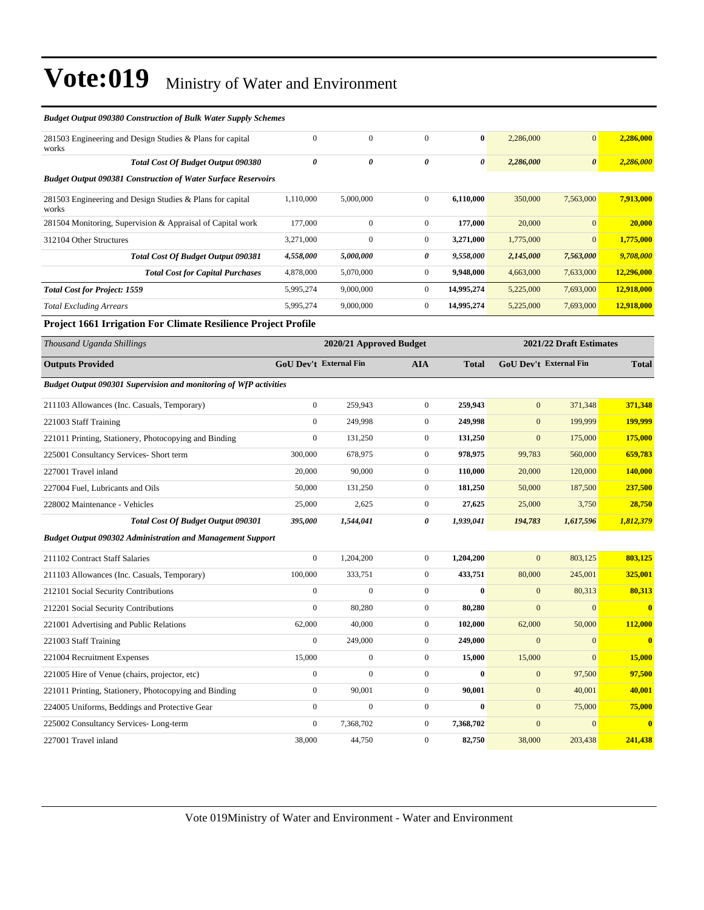| <b>Budget Output 090380 Construction of Bulk Water Supply Schemes</b>    |                  |                         |                  |              |                  |                               |                         |
|--------------------------------------------------------------------------|------------------|-------------------------|------------------|--------------|------------------|-------------------------------|-------------------------|
| 281503 Engineering and Design Studies & Plans for capital<br>works       | $\boldsymbol{0}$ | $\boldsymbol{0}$        | $\mathbf{0}$     | $\bf{0}$     | 2,286,000        | $\mathbf{0}$                  | 2,286,000               |
| <b>Total Cost Of Budget Output 090380</b>                                | 0                | 0                       | 0                | 0            | 2,286,000        | 0                             | 2,286,000               |
| <b>Budget Output 090381 Construction of Water Surface Reservoirs</b>     |                  |                         |                  |              |                  |                               |                         |
| 281503 Engineering and Design Studies & Plans for capital<br>works       | 1,110,000        | 5,000,000               | $\boldsymbol{0}$ | 6,110,000    | 350,000          | 7,563,000                     | 7,913,000               |
| 281504 Monitoring, Supervision & Appraisal of Capital work               | 177,000          | $\boldsymbol{0}$        | $\boldsymbol{0}$ | 177,000      | 20,000           | $\mathbf{0}$                  | 20,000                  |
| 312104 Other Structures                                                  | 3,271,000        | $\boldsymbol{0}$        | $\boldsymbol{0}$ | 3,271,000    | 1,775,000        | $\mathbf{0}$                  | 1,775,000               |
| <b>Total Cost Of Budget Output 090381</b>                                | 4,558,000        | 5,000,000               | 0                | 9,558,000    | 2,145,000        | 7,563,000                     | 9,708,000               |
| <b>Total Cost for Capital Purchases</b>                                  | 4,878,000        | 5,070,000               | $\boldsymbol{0}$ | 9,948,000    | 4,663,000        | 7,633,000                     | 12,296,000              |
| <b>Total Cost for Project: 1559</b>                                      | 5,995,274        | 9,000,000               | $\boldsymbol{0}$ | 14,995,274   | 5,225,000        | 7,693,000                     | 12,918,000              |
| <b>Total Excluding Arrears</b>                                           | 5,995,274        | 9,000,000               | $\boldsymbol{0}$ | 14,995,274   | 5,225,000        | 7,693,000                     | 12,918,000              |
| Project 1661 Irrigation For Climate Resilience Project Profile           |                  |                         |                  |              |                  |                               |                         |
| Thousand Uganda Shillings                                                |                  | 2020/21 Approved Budget |                  |              |                  | 2021/22 Draft Estimates       |                         |
| <b>Outputs Provided</b>                                                  |                  | GoU Dev't External Fin  | <b>AIA</b>       | <b>Total</b> |                  | <b>GoU Dev't External Fin</b> | <b>Total</b>            |
| <b>Budget Output 090301 Supervision and monitoring of WfP activities</b> |                  |                         |                  |              |                  |                               |                         |
| 211103 Allowances (Inc. Casuals, Temporary)                              | $\boldsymbol{0}$ | 259,943                 | $\boldsymbol{0}$ | 259,943      | $\mathbf{0}$     | 371,348                       | 371,348                 |
| 221003 Staff Training                                                    | $\boldsymbol{0}$ | 249,998                 | $\boldsymbol{0}$ | 249,998      | $\mathbf{0}$     | 199,999                       | 199,999                 |
| 221011 Printing, Stationery, Photocopying and Binding                    | $\boldsymbol{0}$ | 131,250                 | $\boldsymbol{0}$ | 131,250      | $\mathbf{0}$     | 175,000                       | 175,000                 |
| 225001 Consultancy Services- Short term                                  | 300,000          | 678,975                 | $\boldsymbol{0}$ | 978,975      | 99,783           | 560,000                       | 659,783                 |
| 227001 Travel inland                                                     | 20,000           | 90,000                  | $\boldsymbol{0}$ | 110,000      | 20,000           | 120,000                       | <b>140,000</b>          |
| 227004 Fuel, Lubricants and Oils                                         | 50,000           | 131,250                 | $\boldsymbol{0}$ | 181,250      | 50,000           | 187,500                       | 237,500                 |
| 228002 Maintenance - Vehicles                                            | 25,000           | 2,625                   | $\boldsymbol{0}$ | 27,625       | 25,000           | 3,750                         | 28,750                  |
| <b>Total Cost Of Budget Output 090301</b>                                | 395,000          | 1,544,041               | 0                | 1,939,041    | 194,783          | 1,617,596                     | 1,812,379               |
| <b>Budget Output 090302 Administration and Management Support</b>        |                  |                         |                  |              |                  |                               |                         |
| 211102 Contract Staff Salaries                                           | $\boldsymbol{0}$ | 1,204,200               | $\boldsymbol{0}$ | 1,204,200    | $\mathbf{0}$     | 803,125                       | 803,125                 |
| 211103 Allowances (Inc. Casuals, Temporary)                              | 100,000          | 333,751                 | $\boldsymbol{0}$ | 433,751      | 80,000           | 245,001                       | 325,001                 |
| 212101 Social Security Contributions                                     | $\boldsymbol{0}$ | $\mathbf{0}$            | $\boldsymbol{0}$ | $\bf{0}$     | $\mathbf{0}$     | 80,313                        | 80,313                  |
| 212201 Social Security Contributions                                     | $\boldsymbol{0}$ | 80,280                  | $\boldsymbol{0}$ | 80,280       | $\mathbf{0}$     | $\boldsymbol{0}$              | $\bf{0}$                |
| 221001 Advertising and Public Relations                                  | 62,000           | 40,000                  | $\mathbf{0}$     | 102,000      | 62,000           | 50,000                        | 112,000                 |
| 221003 Staff Training                                                    | $\boldsymbol{0}$ | 249,000                 | $\boldsymbol{0}$ | 249,000      | $\mathbf{0}$     | $\mathbf{0}$                  | $\overline{\mathbf{0}}$ |
| 221004 Recruitment Expenses                                              | 15,000           | $\boldsymbol{0}$        | $\boldsymbol{0}$ | 15,000       | 15,000           | $\boldsymbol{0}$              | 15,000                  |
| 221005 Hire of Venue (chairs, projector, etc)                            | $\boldsymbol{0}$ | $\boldsymbol{0}$        | $\boldsymbol{0}$ | $\bf{0}$     | $\boldsymbol{0}$ | 97,500                        | 97,500                  |
| 221011 Printing, Stationery, Photocopying and Binding                    | $\boldsymbol{0}$ | 90,001                  | $\boldsymbol{0}$ | 90,001       | $\boldsymbol{0}$ | 40,001                        | 40,001                  |
| 224005 Uniforms, Beddings and Protective Gear                            | $\boldsymbol{0}$ | $\boldsymbol{0}$        | $\boldsymbol{0}$ | $\bf{0}$     | $\boldsymbol{0}$ | 75,000                        | 75,000                  |
| 225002 Consultancy Services-Long-term                                    | $\boldsymbol{0}$ | 7,368,702               | $\boldsymbol{0}$ | 7,368,702    | $\boldsymbol{0}$ | $\overline{0}$                | $\bf{0}$                |
| 227001 Travel inland                                                     | 38,000           | 44,750                  | $\boldsymbol{0}$ | 82,750       | 38,000           | 203,438                       | 241,438                 |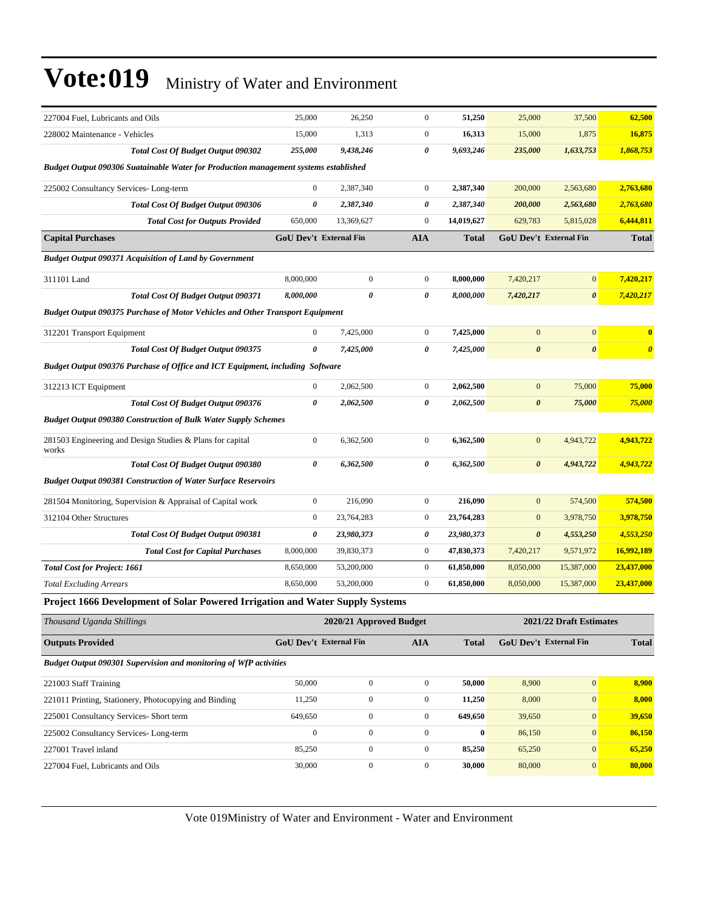| 227004 Fuel, Lubricants and Oils                                                     | 25,000           | 26,250                        | $\mathbf{0}$     | 51,250       | 25,000                | 37,500                 | 62,500                |
|--------------------------------------------------------------------------------------|------------------|-------------------------------|------------------|--------------|-----------------------|------------------------|-----------------------|
| 228002 Maintenance - Vehicles                                                        | 15,000           | 1,313                         | $\boldsymbol{0}$ | 16,313       | 15,000                | 1,875                  | 16,875                |
| <b>Total Cost Of Budget Output 090302</b>                                            | 255,000          | 9,438,246                     | 0                | 9,693,246    | 235,000               | 1,633,753              | 1,868,753             |
| Budget Output 090306 Suatainable Water for Production management systems established |                  |                               |                  |              |                       |                        |                       |
| 225002 Consultancy Services-Long-term                                                | $\boldsymbol{0}$ | 2,387,340                     | $\mathbf{0}$     | 2,387,340    | 200,000               | 2,563,680              | 2,763,680             |
| <b>Total Cost Of Budget Output 090306</b>                                            | 0                | 2,387,340                     | 0                | 2,387,340    | 200,000               | 2,563,680              | 2,763,680             |
| <b>Total Cost for Outputs Provided</b>                                               | 650,000          | 13,369,627                    | $\boldsymbol{0}$ | 14,019,627   | 629,783               | 5,815,028              | 6,444,811             |
| <b>Capital Purchases</b>                                                             |                  | <b>GoU Dev't External Fin</b> | <b>AIA</b>       | <b>Total</b> |                       | GoU Dev't External Fin | <b>Total</b>          |
| <b>Budget Output 090371 Acquisition of Land by Government</b>                        |                  |                               |                  |              |                       |                        |                       |
| 311101 Land                                                                          | 8,000,000        | $\boldsymbol{0}$              | $\mathbf{0}$     | 8,000,000    | 7,420,217             | $\boldsymbol{0}$       | 7,420,217             |
| Total Cost Of Budget Output 090371                                                   | 8,000,000        | $\pmb{\theta}$                | 0                | 8,000,000    | 7,420,217             | 0                      | 7,420,217             |
| <b>Budget Output 090375 Purchase of Motor Vehicles and Other Transport Equipment</b> |                  |                               |                  |              |                       |                        |                       |
| 312201 Transport Equipment                                                           | $\boldsymbol{0}$ | 7,425,000                     | $\mathbf{0}$     | 7,425,000    | $\overline{0}$        | $\overline{0}$         | $\bf{0}$              |
| <b>Total Cost Of Budget Output 090375</b>                                            | $\theta$         | 7,425,000                     | 0                | 7,425,000    | $\boldsymbol{\theta}$ | $\boldsymbol{\theta}$  | $\boldsymbol{\theta}$ |
| Budget Output 090376 Purchase of Office and ICT Equipment, including Software        |                  |                               |                  |              |                       |                        |                       |
| 312213 ICT Equipment                                                                 | $\boldsymbol{0}$ | 2,062,500                     | $\mathbf{0}$     | 2,062,500    | $\mathbf{0}$          | 75,000                 | 75,000                |
| <b>Total Cost Of Budget Output 090376</b>                                            | 0                | 2,062,500                     | 0                | 2,062,500    | $\boldsymbol{\theta}$ | 75,000                 | 75,000                |
| <b>Budget Output 090380 Construction of Bulk Water Supply Schemes</b>                |                  |                               |                  |              |                       |                        |                       |
| 281503 Engineering and Design Studies & Plans for capital<br>works                   | $\boldsymbol{0}$ | 6,362,500                     | $\mathbf{0}$     | 6,362,500    | $\overline{0}$        | 4,943,722              | 4,943,722             |
| <b>Total Cost Of Budget Output 090380</b>                                            | 0                | 6,362,500                     | 0                | 6,362,500    | $\boldsymbol{\theta}$ | 4,943,722              | 4,943,722             |
| <b>Budget Output 090381 Construction of Water Surface Reservoirs</b>                 |                  |                               |                  |              |                       |                        |                       |
| 281504 Monitoring, Supervision & Appraisal of Capital work                           | $\overline{0}$   | 216,090                       | $\overline{0}$   | 216,090      | $\mathbf{0}$          | 574,500                | 574,500               |
| 312104 Other Structures                                                              | $\mathbf{0}$     | 23,764,283                    | $\overline{0}$   | 23,764,283   | $\boldsymbol{0}$      | 3,978,750              | 3,978,750             |
| <b>Total Cost Of Budget Output 090381</b>                                            | 0                | 23,980,373                    | 0                | 23,980,373   | 0                     | 4,553,250              | 4,553,250             |
| <b>Total Cost for Capital Purchases</b>                                              | 8,000,000        | 39,830,373                    | $\mathbf{0}$     | 47,830,373   | 7,420,217             | 9,571,972              | 16,992,189            |
| <b>Total Cost for Project: 1661</b>                                                  | 8,650,000        | 53,200,000                    | $\mathbf{0}$     | 61,850,000   | 8,050,000             | 15,387,000             | 23,437,000            |
| <b>Total Excluding Arrears</b>                                                       | 8,650,000        | 53,200,000                    | $\mathbf{0}$     | 61,850,000   | 8,050,000             | 15,387,000             | 23,437,000            |
| <b>Project 1666 Development of Solar Powered Irrigation and Water Supply Systems</b> |                  |                               |                  |              |                       |                        |                       |

*Thousand Uganda Shillings* **2020/21 Approved Budget 2021/22 Draft Estimates Outputs Provided GoU Dev't External Fin AIA Total GoU Dev't External Fin Total** *Budget Output 090301 Supervision and monitoring of WfP activities* 221003 Staff Training 50,000 0 0 **50,000** 8,900 0 **8,900** 221011 Printing, Stationery, Photocopying and Binding 11,250 0 0 **11,250** 8,000 0 **8,000** 225001 Consultancy Services- Short term 649,650 0 0 **649,650** 39,650 0 **39,650** 225002 Consultancy Services- Long-term 0 0 0 **0** 86,150 0 **86,150** 227001 Travel inland 85,250 0 0 **85,250** 65,250 0 **65,250** 227004 Fuel, Lubricants and Oils 30,000 0 0 **30,000** 80,000 0 **80,000**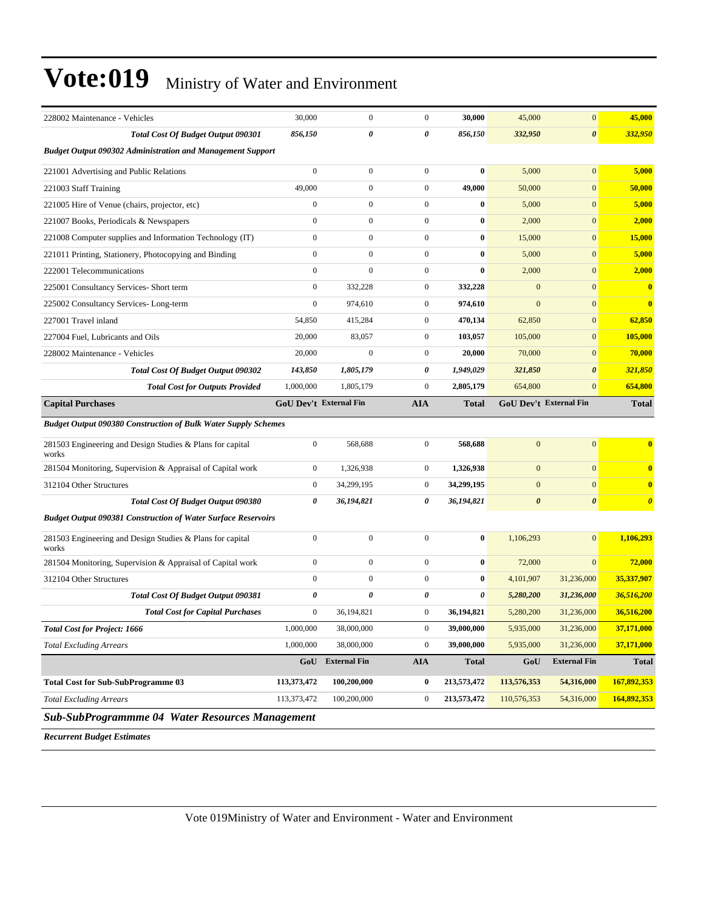|  | Vote:019 Ministry of Water and Environment |
|--|--------------------------------------------|
|--|--------------------------------------------|

| 228002 Maintenance - Vehicles                                         | 30,000                        | $\mathbf{0}$        | $\boldsymbol{0}$      | 30,000       | 45,000                        | $\mathbf{0}$          | 45,000                |
|-----------------------------------------------------------------------|-------------------------------|---------------------|-----------------------|--------------|-------------------------------|-----------------------|-----------------------|
| <b>Total Cost Of Budget Output 090301</b>                             | 856,150                       | 0                   | $\boldsymbol{\theta}$ | 856,150      | 332,950                       | $\boldsymbol{\theta}$ | 332,950               |
| <b>Budget Output 090302 Administration and Management Support</b>     |                               |                     |                       |              |                               |                       |                       |
| 221001 Advertising and Public Relations                               | $\boldsymbol{0}$              | $\mathbf{0}$        | $\boldsymbol{0}$      | $\bf{0}$     | 5,000                         | $\mathbf{0}$          | 5,000                 |
| 221003 Staff Training                                                 | 49,000                        | $\mathbf{0}$        | $\boldsymbol{0}$      | 49,000       | 50,000                        | $\mathbf{0}$          | 50,000                |
| 221005 Hire of Venue (chairs, projector, etc)                         | $\overline{0}$                | $\mathbf{0}$        | $\boldsymbol{0}$      | $\bf{0}$     | 5,000                         | $\mathbf{0}$          | 5,000                 |
| 221007 Books, Periodicals & Newspapers                                | $\boldsymbol{0}$              | $\mathbf{0}$        | $\boldsymbol{0}$      | $\bf{0}$     | 2,000                         | $\mathbf{0}$          | 2,000                 |
| 221008 Computer supplies and Information Technology (IT)              | $\boldsymbol{0}$              | $\mathbf{0}$        | $\mathbf{0}$          | $\bf{0}$     | 15,000                        | $\mathbf{0}$          | 15,000                |
| 221011 Printing, Stationery, Photocopying and Binding                 | $\overline{0}$                | $\mathbf{0}$        | $\boldsymbol{0}$      | $\bf{0}$     | 5,000                         | $\mathbf{0}$          | 5,000                 |
| 222001 Telecommunications                                             | $\mathbf{0}$                  | $\mathbf{0}$        | $\boldsymbol{0}$      | $\bf{0}$     | 2,000                         | $\mathbf{0}$          | 2,000                 |
| 225001 Consultancy Services- Short term                               | $\overline{0}$                | 332,228             | $\boldsymbol{0}$      | 332,228      | $\mathbf{0}$                  | $\mathbf{0}$          | $\bf{0}$              |
| 225002 Consultancy Services-Long-term                                 | $\boldsymbol{0}$              | 974,610             | $\boldsymbol{0}$      | 974,610      | $\mathbf{0}$                  | $\mathbf{0}$          | $\bf{0}$              |
| 227001 Travel inland                                                  | 54,850                        | 415,284             | $\mathbf{0}$          | 470,134      | 62,850                        | $\mathbf{0}$          | 62,850                |
| 227004 Fuel, Lubricants and Oils                                      | 20,000                        | 83,057              | $\boldsymbol{0}$      | 103,057      | 105,000                       | $\mathbf{0}$          | 105,000               |
| 228002 Maintenance - Vehicles                                         | 20,000                        | $\mathbf{0}$        | $\boldsymbol{0}$      | 20,000       | 70,000                        | $\mathbf{0}$          | 70,000                |
| <b>Total Cost Of Budget Output 090302</b>                             | 143,850                       | 1,805,179           | 0                     | 1,949,029    | 321,850                       | $\boldsymbol{\theta}$ | 321,850               |
| <b>Total Cost for Outputs Provided</b>                                | 1,000,000                     | 1,805,179           | $\boldsymbol{0}$      | 2,805,179    | 654,800                       | $\mathbf{0}$          | 654,800               |
| <b>Capital Purchases</b>                                              | <b>GoU Dev't External Fin</b> |                     | <b>AIA</b>            | <b>Total</b> | <b>GoU Dev't External Fin</b> |                       | <b>Total</b>          |
| <b>Budget Output 090380 Construction of Bulk Water Supply Schemes</b> |                               |                     |                       |              |                               |                       |                       |
|                                                                       |                               |                     |                       |              |                               |                       |                       |
| 281503 Engineering and Design Studies & Plans for capital<br>works    | $\overline{0}$                | 568,688             | $\boldsymbol{0}$      | 568,688      | $\mathbf{0}$                  | $\mathbf{0}$          | $\bf{0}$              |
| 281504 Monitoring, Supervision & Appraisal of Capital work            | $\mathbf{0}$                  | 1,326,938           | $\boldsymbol{0}$      | 1,326,938    | $\mathbf{0}$                  | $\mathbf{0}$          | $\mathbf{0}$          |
| 312104 Other Structures                                               | $\mathbf{0}$                  | 34,299,195          | $\boldsymbol{0}$      | 34,299,195   | $\mathbf{0}$                  | $\mathbf{0}$          | $\bf{0}$              |
| Total Cost Of Budget Output 090380                                    | 0                             | 36,194,821          | 0                     | 36,194,821   | $\boldsymbol{\theta}$         | $\boldsymbol{\theta}$ | $\boldsymbol{\theta}$ |
| <b>Budget Output 090381 Construction of Water Surface Reservoirs</b>  |                               |                     |                       |              |                               |                       |                       |
| 281503 Engineering and Design Studies & Plans for capital<br>works    | $\overline{0}$                | $\mathbf{0}$        | $\boldsymbol{0}$      | $\bf{0}$     | 1,106,293                     | $\mathbf{0}$          | 1,106,293             |
| 281504 Monitoring, Supervision & Appraisal of Capital work            | $\boldsymbol{0}$              | $\mathbf{0}$        | $\mathbf{0}$          | $\bf{0}$     | 72,000                        | $\mathbf{0}$          | 72,000                |
| 312104 Other Structures                                               | $\boldsymbol{0}$              | $\mathbf{0}$        | $\boldsymbol{0}$      | $\bf{0}$     | 4,101,907                     | 31,236,000            | 35,337,907            |
| Total Cost Of Budget Output 090381                                    | 0                             | 0                   | 0                     | 0            | 5,280,200                     | 31,236,000            | 36,516,200            |
| <b>Total Cost for Capital Purchases</b>                               | $\mathbf{0}$                  | 36.194.821          | $\boldsymbol{0}$      | 36.194.821   | 5,280,200                     | 31,236,000            | 36,516,200            |
| <b>Total Cost for Project: 1666</b>                                   | 1,000,000                     | 38,000,000          | $\boldsymbol{0}$      | 39,000,000   | 5,935,000                     | 31,236,000            | 37,171,000            |
| <b>Total Excluding Arrears</b>                                        | 1,000,000                     | 38,000,000          | $\boldsymbol{0}$      | 39,000,000   | 5,935,000                     | 31,236,000            | 37,171,000            |
|                                                                       | GoU                           | <b>External Fin</b> | <b>AIA</b>            | <b>Total</b> | GoU                           | <b>External Fin</b>   | <b>Total</b>          |
| <b>Total Cost for Sub-SubProgramme 03</b>                             | 113,373,472                   | 100,200,000         | $\bf{0}$              | 213,573,472  | 113,576,353                   | 54,316,000            | 167,892,353           |
| <b>Total Excluding Arrears</b>                                        | 113,373,472                   | 100,200,000         | $\boldsymbol{0}$      | 213,573,472  | 110,576,353                   | 54,316,000            | 164,892,353           |

*Recurrent Budget Estimates*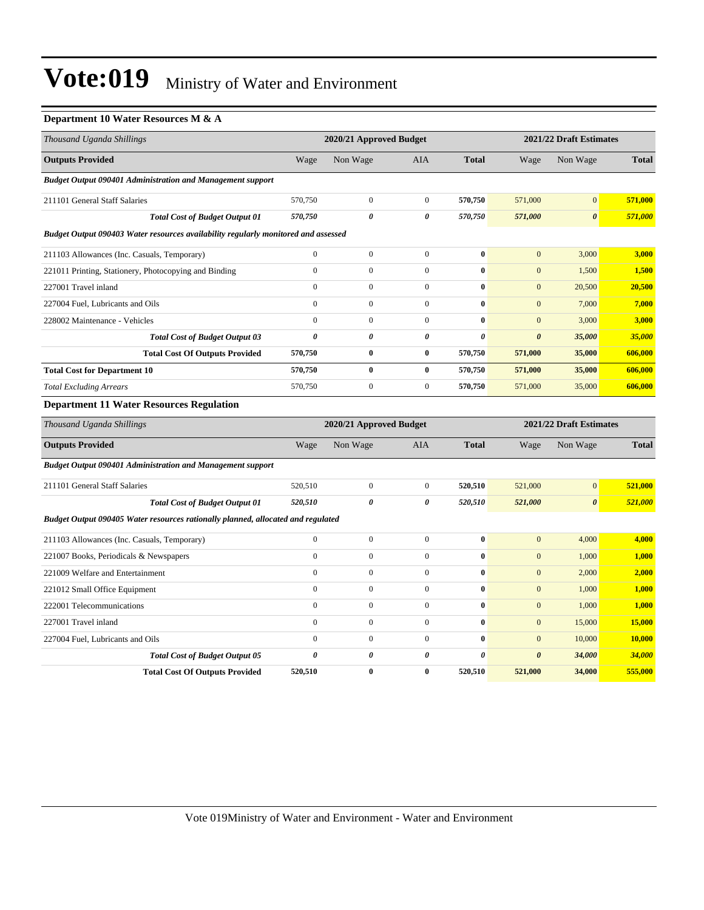#### **Department 10 Water Resources M & A**

| Thousand Uganda Shillings                                                          |                       | 2020/21 Approved Budget |                  |                       | 2021/22 Draft Estimates |                         |              |  |
|------------------------------------------------------------------------------------|-----------------------|-------------------------|------------------|-----------------------|-------------------------|-------------------------|--------------|--|
| <b>Outputs Provided</b>                                                            | Wage                  | Non Wage                | <b>AIA</b>       | <b>Total</b>          | Wage                    | Non Wage                | <b>Total</b> |  |
| <b>Budget Output 090401 Administration and Management support</b>                  |                       |                         |                  |                       |                         |                         |              |  |
| 211101 General Staff Salaries                                                      | 570,750               | $\boldsymbol{0}$        | $\overline{0}$   | 570,750               | 571,000                 | $\mathbf{0}$            | 571,000      |  |
| <b>Total Cost of Budget Output 01</b>                                              | 570,750               | 0                       | 0                | 570,750               | 571,000                 | $\boldsymbol{\theta}$   | 571,000      |  |
| Budget Output 090403 Water resources availability regularly monitored and assessed |                       |                         |                  |                       |                         |                         |              |  |
| 211103 Allowances (Inc. Casuals, Temporary)                                        | $\boldsymbol{0}$      | $\overline{0}$          | $\overline{0}$   | $\bf{0}$              | $\mathbf{0}$            | 3,000                   | 3,000        |  |
| 221011 Printing, Stationery, Photocopying and Binding                              | $\boldsymbol{0}$      | $\boldsymbol{0}$        | $\boldsymbol{0}$ | $\bf{0}$              | $\mathbf{0}$            | 1,500                   | 1,500        |  |
| 227001 Travel inland                                                               | $\mathbf{0}$          | $\boldsymbol{0}$        | $\overline{0}$   | $\bf{0}$              | $\mathbf{0}$            | 20,500                  | 20,500       |  |
| 227004 Fuel, Lubricants and Oils                                                   | $\mathbf{0}$          | $\boldsymbol{0}$        | $\overline{0}$   | $\bf{0}$              | $\mathbf{0}$            | 7,000                   | 7,000        |  |
| 228002 Maintenance - Vehicles                                                      | $\mathbf{0}$          | $\boldsymbol{0}$        | $\overline{0}$   | $\bf{0}$              | $\mathbf{0}$            | 3,000                   | 3,000        |  |
| <b>Total Cost of Budget Output 03</b>                                              | $\boldsymbol{\theta}$ | 0                       | 0                | $\boldsymbol{\theta}$ | $\pmb{\theta}$          | 35,000                  | 35,000       |  |
| <b>Total Cost Of Outputs Provided</b>                                              | 570,750               | $\bf{0}$                | $\bf{0}$         | 570,750               | 571,000                 | 35,000                  | 606,000      |  |
| <b>Total Cost for Department 10</b>                                                | 570,750               | $\bf{0}$                | $\bf{0}$         | 570,750               | 571,000                 | 35,000                  | 606,000      |  |
| <b>Total Excluding Arrears</b>                                                     | 570,750               | $\boldsymbol{0}$        | $\overline{0}$   | 570,750               | 571,000                 | 35,000                  | 606,000      |  |
| <b>Department 11 Water Resources Regulation</b>                                    |                       |                         |                  |                       |                         |                         |              |  |
| Thousand Uganda Shillings                                                          |                       | 2020/21 Approved Budget |                  |                       |                         | 2021/22 Draft Estimates |              |  |
| <b>Outputs Provided</b>                                                            | Wage                  | Non Wage                | AIA              | <b>Total</b>          | Wage                    | Non Wage                | <b>Total</b> |  |
| <b>Budget Output 090401 Administration and Management support</b>                  |                       |                         |                  |                       |                         |                         |              |  |
| 211101 General Staff Salaries                                                      | 520,510               | $\boldsymbol{0}$        | $\mathbf 0$      | 520,510               | 521,000                 | $\boldsymbol{0}$        | 521,000      |  |
| <b>Total Cost of Budget Output 01</b>                                              | 520,510               | 0                       | 0                | 520,510               | 521,000                 | $\boldsymbol{\theta}$   | 521,000      |  |
| Budget Output 090405 Water resources rationally planned, allocated and regulated   |                       |                         |                  |                       |                         |                         |              |  |
| 211103 Allowances (Inc. Casuals, Temporary)                                        | $\mathbf{0}$          | $\overline{0}$          | $\overline{0}$   | $\bf{0}$              | $\boldsymbol{0}$        | 4,000                   | 4,000        |  |
| 221007 Books, Periodicals & Newspapers                                             | $\mathbf{0}$          | $\boldsymbol{0}$        | $\overline{0}$   | $\bf{0}$              | $\boldsymbol{0}$        | 1,000                   | 1,000        |  |
| 221009 Welfare and Entertainment                                                   | $\mathbf{0}$          | $\boldsymbol{0}$        | $\overline{0}$   | $\bf{0}$              | $\mathbf{0}$            | 2,000                   | 2,000        |  |
| 221012 Small Office Equipment                                                      | $\mathbf{0}$          | $\boldsymbol{0}$        | $\overline{0}$   | $\bf{0}$              | $\boldsymbol{0}$        | 1,000                   | 1,000        |  |
| 222001 Telecommunications                                                          | $\boldsymbol{0}$      | $\boldsymbol{0}$        | $\boldsymbol{0}$ | $\bf{0}$              | $\boldsymbol{0}$        | 1,000                   | 1,000        |  |
| 227001 Travel inland                                                               | $\mathbf{0}$          | $\overline{0}$          | $\overline{0}$   | $\bf{0}$              | $\mathbf{0}$            | 15,000                  | 15,000       |  |
| 227004 Fuel, Lubricants and Oils                                                   | $\mathbf{0}$          | $\boldsymbol{0}$        | $\overline{0}$   | $\bf{0}$              | $\mathbf{0}$            | 10,000                  | 10,000       |  |
| <b>Total Cost of Budget Output 05</b>                                              | 0                     | 0                       | 0                | $\theta$              | $\boldsymbol{\theta}$   | 34,000                  | 34,000       |  |
| <b>Total Cost Of Outputs Provided</b>                                              | 520,510               | $\bf{0}$                | $\bf{0}$         | 520,510               | 521,000                 | 34,000                  | 555,000      |  |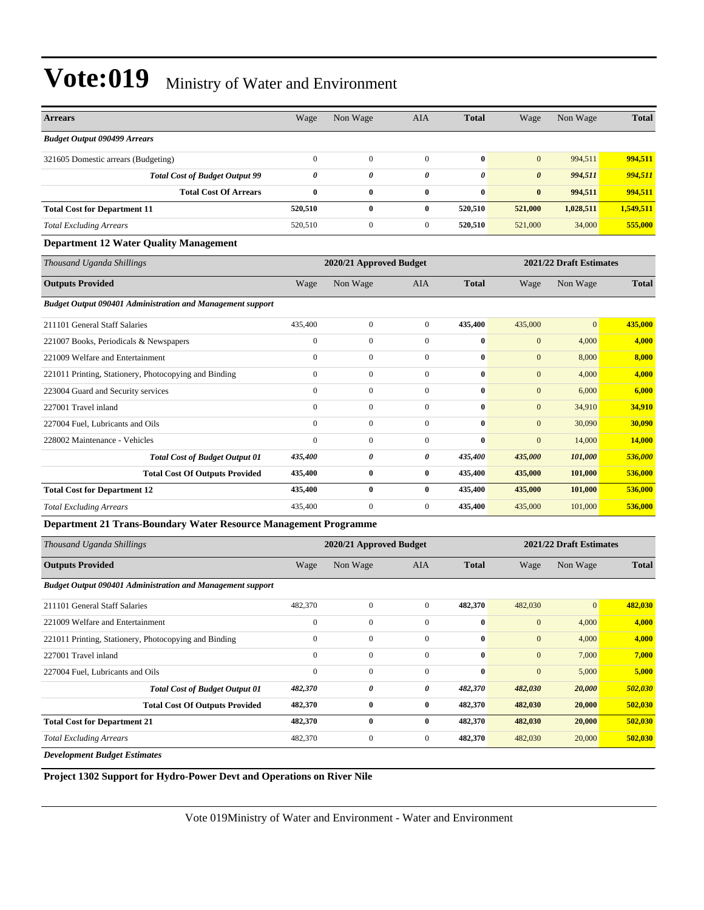| <b>Arrears</b>                                                    | Wage                  | Non Wage                | AIA              | <b>Total</b> | Wage                  | Non Wage                | <b>Total</b> |
|-------------------------------------------------------------------|-----------------------|-------------------------|------------------|--------------|-----------------------|-------------------------|--------------|
| <b>Budget Output 090499 Arrears</b>                               |                       |                         |                  |              |                       |                         |              |
| 321605 Domestic arrears (Budgeting)                               | $\mathbf{0}$          | $\boldsymbol{0}$        | $\overline{0}$   | $\bf{0}$     | $\mathbf{0}$          | 994,511                 | 994,511      |
| <b>Total Cost of Budget Output 99</b>                             | $\boldsymbol{\theta}$ | 0                       | 0                | 0            | $\boldsymbol{\theta}$ | 994,511                 | 994,511      |
| <b>Total Cost Of Arrears</b>                                      | $\bf{0}$              | $\bf{0}$                | $\bf{0}$         | $\bf{0}$     | $\bf{0}$              | 994,511                 | 994,511      |
| <b>Total Cost for Department 11</b>                               | 520,510               | $\bf{0}$                | $\bf{0}$         | 520,510      | 521,000               | 1,028,511               | 1,549,511    |
| <b>Total Excluding Arrears</b>                                    | 520,510               | $\boldsymbol{0}$        | $\mathbf{0}$     | 520,510      | 521,000               | 34,000                  | 555,000      |
| <b>Department 12 Water Quality Management</b>                     |                       |                         |                  |              |                       |                         |              |
| Thousand Uganda Shillings                                         |                       | 2020/21 Approved Budget |                  |              |                       | 2021/22 Draft Estimates |              |
| <b>Outputs Provided</b>                                           | Wage                  | Non Wage                | AIA              | <b>Total</b> | Wage                  | Non Wage                | <b>Total</b> |
| <b>Budget Output 090401 Administration and Management support</b> |                       |                         |                  |              |                       |                         |              |
| 211101 General Staff Salaries                                     | 435,400               | $\boldsymbol{0}$        | $\mathbf{0}$     | 435,400      | 435,000               | $\bf{0}$                | 435,000      |
| 221007 Books, Periodicals & Newspapers                            | $\boldsymbol{0}$      | $\overline{0}$          | $\overline{0}$   | $\bf{0}$     | $\boldsymbol{0}$      | 4,000                   | 4,000        |
| 221009 Welfare and Entertainment                                  | $\boldsymbol{0}$      | $\mathbf{0}$            | $\mathbf{0}$     | $\bf{0}$     | $\mathbf{0}$          | 8,000                   | 8,000        |
| 221011 Printing, Stationery, Photocopying and Binding             | $\mathbf{0}$          | $\overline{0}$          | $\overline{0}$   | $\bf{0}$     | $\mathbf{0}$          | 4,000                   | 4,000        |
| 223004 Guard and Security services                                | $\mathbf{0}$          | $\overline{0}$          | $\mathbf{0}$     | $\bf{0}$     | $\mathbf{0}$          | 6,000                   | 6,000        |
| 227001 Travel inland                                              | $\mathbf{0}$          | $\boldsymbol{0}$        | $\overline{0}$   | $\bf{0}$     | $\mathbf{0}$          | 34,910                  | 34,910       |
| 227004 Fuel, Lubricants and Oils                                  | $\mathbf{0}$          | $\overline{0}$          | $\overline{0}$   | $\bf{0}$     | $\mathbf{0}$          | 30,090                  | 30,090       |
| 228002 Maintenance - Vehicles                                     | $\mathbf{0}$          | $\boldsymbol{0}$        | $\mathbf{0}$     | $\bf{0}$     | $\mathbf{0}$          | 14,000                  | 14,000       |
| <b>Total Cost of Budget Output 01</b>                             | 435,400               | 0                       | 0                | 435,400      | 435,000               | 101,000                 | 536,000      |
| <b>Total Cost Of Outputs Provided</b>                             | 435,400               | $\bf{0}$                | $\bf{0}$         | 435,400      | 435,000               | 101,000                 | 536,000      |
| <b>Total Cost for Department 12</b>                               | 435,400               | $\bf{0}$                | $\bf{0}$         | 435,400      | 435,000               | 101,000                 | 536,000      |
| <b>Total Excluding Arrears</b>                                    | 435,400               | $\boldsymbol{0}$        | $\mathbf{0}$     | 435,400      | 435,000               | 101,000                 | 536,000      |
| Department 21 Trans-Boundary Water Resource Management Programme  |                       |                         |                  |              |                       |                         |              |
| Thousand Uganda Shillings                                         |                       | 2020/21 Approved Budget |                  |              |                       | 2021/22 Draft Estimates |              |
| <b>Outputs Provided</b>                                           | Wage                  | Non Wage                | <b>AIA</b>       | <b>Total</b> | Wage                  | Non Wage                | <b>Total</b> |
| <b>Budget Output 090401 Administration and Management support</b> |                       |                         |                  |              |                       |                         |              |
| 211101 General Staff Salaries                                     | 482,370               | $\boldsymbol{0}$        | $\mathbf{0}$     | 482,370      | 482,030               | $\mathbf{0}$            | 482,030      |
| 221009 Welfare and Entertainment                                  | $\boldsymbol{0}$      | $\boldsymbol{0}$        | $\overline{0}$   | $\bf{0}$     | $\mathbf{0}$          | 4,000                   | 4,000        |
| 221011 Printing, Stationery, Photocopying and Binding             | $\boldsymbol{0}$      | $\boldsymbol{0}$        | $\boldsymbol{0}$ | $\bf{0}$     | $\mathbf{0}$          | 4,000                   | 4,000        |
| 227001 Travel inland                                              | $\boldsymbol{0}$      | $\boldsymbol{0}$        | $\boldsymbol{0}$ | $\bf{0}$     | $\mathbf{0}$          | 7,000                   | 7,000        |
| 227004 Fuel, Lubricants and Oils                                  | $\boldsymbol{0}$      | $\boldsymbol{0}$        | $\boldsymbol{0}$ | $\bf{0}$     | $\boldsymbol{0}$      | 5,000                   | 5,000        |
| <b>Total Cost of Budget Output 01</b>                             | 482,370               | 0                       | 0                | 482,370      | 482,030               | 20,000                  | 502,030      |
| <b>Total Cost Of Outputs Provided</b>                             | 482,370               | $\bf{0}$                | $\bf{0}$         | 482,370      | 482,030               | 20,000                  | 502,030      |
| <b>Total Cost for Department 21</b>                               | 482,370               | $\bf{0}$                | $\bf{0}$         | 482,370      | 482,030               | 20,000                  | 502,030      |
| <b>Total Excluding Arrears</b>                                    | 482,370               | $\boldsymbol{0}$        | $\boldsymbol{0}$ | 482,370      | 482,030               | 20,000                  | 502,030      |
| <b>Development Budget Estimates</b>                               |                       |                         |                  |              |                       |                         |              |

**Project 1302 Support for Hydro-Power Devt and Operations on River Nile**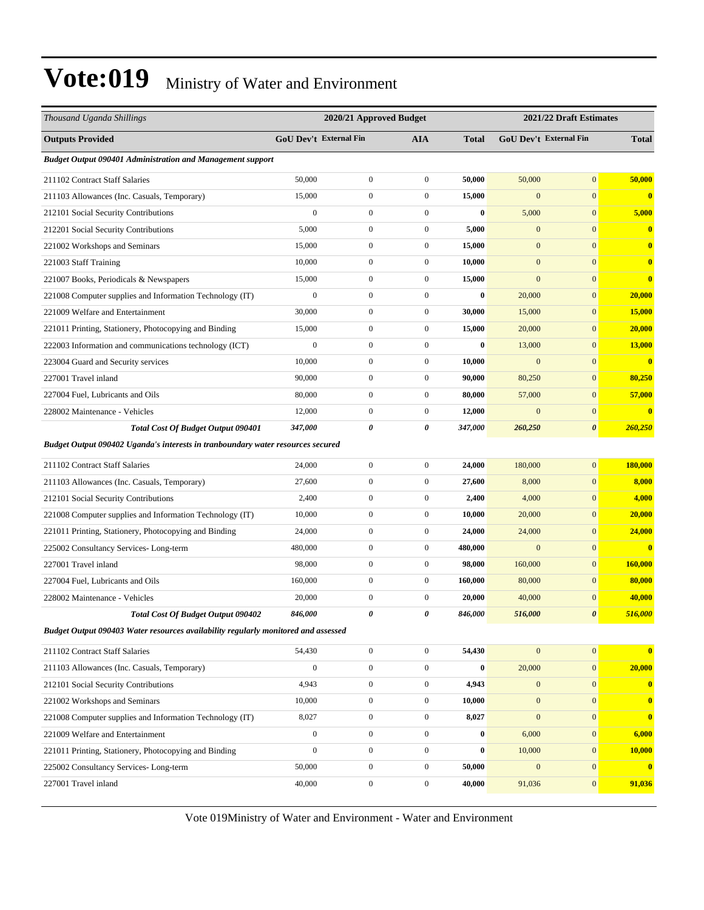| Thousand Uganda Shillings                                                          |                  | 2020/21 Approved Budget       |                  |              |                  | 2021/22 Draft Estimates       |              |  |
|------------------------------------------------------------------------------------|------------------|-------------------------------|------------------|--------------|------------------|-------------------------------|--------------|--|
| <b>Outputs Provided</b>                                                            |                  | <b>GoU Dev't External Fin</b> | <b>AIA</b>       | <b>Total</b> |                  | <b>GoU Dev't External Fin</b> | <b>Total</b> |  |
| <b>Budget Output 090401 Administration and Management support</b>                  |                  |                               |                  |              |                  |                               |              |  |
| 211102 Contract Staff Salaries                                                     | 50,000           | $\mathbf{0}$                  | $\boldsymbol{0}$ | 50,000       | 50,000           | $\mathbf{0}$                  | 50,000       |  |
| 211103 Allowances (Inc. Casuals, Temporary)                                        | 15,000           | $\mathbf{0}$                  | $\boldsymbol{0}$ | 15,000       | $\mathbf{0}$     | $\boldsymbol{0}$              | $\bf{0}$     |  |
| 212101 Social Security Contributions                                               | $\mathbf{0}$     | $\mathbf{0}$                  | $\boldsymbol{0}$ | $\bf{0}$     | 5,000            | $\mathbf{0}$                  | 5,000        |  |
| 212201 Social Security Contributions                                               | 5,000            | $\mathbf{0}$                  | $\boldsymbol{0}$ | 5,000        | $\overline{0}$   | $\mathbf{0}$                  | $\bf{0}$     |  |
| 221002 Workshops and Seminars                                                      | 15,000           | $\boldsymbol{0}$              | $\boldsymbol{0}$ | 15,000       | $\mathbf{0}$     | $\mathbf{0}$                  | $\bf{0}$     |  |
| 221003 Staff Training                                                              | 10,000           | $\mathbf{0}$                  | $\boldsymbol{0}$ | 10,000       | $\mathbf{0}$     | $\mathbf{0}$                  | $\bf{0}$     |  |
| 221007 Books, Periodicals & Newspapers                                             | 15,000           | $\mathbf{0}$                  | $\boldsymbol{0}$ | 15,000       | $\mathbf{0}$     | $\mathbf{0}$                  | $\bf{0}$     |  |
| 221008 Computer supplies and Information Technology (IT)                           | $\boldsymbol{0}$ | $\mathbf{0}$                  | $\boldsymbol{0}$ | $\bf{0}$     | 20,000           | $\mathbf{0}$                  | 20,000       |  |
| 221009 Welfare and Entertainment                                                   | 30,000           | $\boldsymbol{0}$              | $\boldsymbol{0}$ | 30,000       | 15,000           | $\mathbf{0}$                  | 15,000       |  |
| 221011 Printing, Stationery, Photocopying and Binding                              | 15,000           | $\boldsymbol{0}$              | $\boldsymbol{0}$ | 15,000       | 20,000           | $\boldsymbol{0}$              | 20,000       |  |
| 222003 Information and communications technology (ICT)                             | $\boldsymbol{0}$ | $\boldsymbol{0}$              | $\boldsymbol{0}$ | $\bf{0}$     | 13,000           | $\mathbf{0}$                  | 13,000       |  |
| 223004 Guard and Security services                                                 | 10,000           | $\mathbf{0}$                  | $\boldsymbol{0}$ | 10,000       | $\mathbf{0}$     | $\mathbf{0}$                  | $\bf{0}$     |  |
| 227001 Travel inland                                                               | 90,000           | $\mathbf{0}$                  | $\boldsymbol{0}$ | 90,000       | 80,250           | $\mathbf{0}$                  | 80,250       |  |
| 227004 Fuel, Lubricants and Oils                                                   | 80,000           | $\boldsymbol{0}$              | $\boldsymbol{0}$ | 80,000       | 57,000           | $\mathbf{0}$                  | 57,000       |  |
| 228002 Maintenance - Vehicles                                                      | 12,000           | $\boldsymbol{0}$              | $\mathbf{0}$     | 12,000       | $\mathbf{0}$     | $\boldsymbol{0}$              | $\bf{0}$     |  |
| <b>Total Cost Of Budget Output 090401</b>                                          | 347,000          | 0                             | 0                | 347,000      | 260,250          | $\boldsymbol{\theta}$         | 260,250      |  |
| Budget Output 090402 Uganda's interests in tranboundary water resources secured    |                  |                               |                  |              |                  |                               |              |  |
| 211102 Contract Staff Salaries                                                     | 24,000           | $\boldsymbol{0}$              | $\boldsymbol{0}$ | 24,000       | 180,000          | $\boldsymbol{0}$              | 180,000      |  |
| 211103 Allowances (Inc. Casuals, Temporary)                                        | 27,600           | $\boldsymbol{0}$              | $\boldsymbol{0}$ | 27,600       | 8,000            | $\mathbf{0}$                  | 8,000        |  |
| 212101 Social Security Contributions                                               | 2,400            | $\boldsymbol{0}$              | $\boldsymbol{0}$ | 2,400        | 4,000            | $\mathbf{0}$                  | 4,000        |  |
| 221008 Computer supplies and Information Technology (IT)                           | 10,000           | $\boldsymbol{0}$              | $\boldsymbol{0}$ | 10,000       | 20,000           | $\mathbf{0}$                  | 20,000       |  |
| 221011 Printing, Stationery, Photocopying and Binding                              | 24,000           | $\boldsymbol{0}$              | $\boldsymbol{0}$ | 24,000       | 24,000           | $\mathbf{0}$                  | 24,000       |  |
| 225002 Consultancy Services-Long-term                                              | 480,000          | $\boldsymbol{0}$              | $\boldsymbol{0}$ | 480,000      | $\mathbf{0}$     | $\boldsymbol{0}$              | $\bf{0}$     |  |
| 227001 Travel inland                                                               | 98,000           | $\mathbf{0}$                  | $\boldsymbol{0}$ | 98,000       | 160,000          | $\mathbf{0}$                  | 160,000      |  |
| 227004 Fuel, Lubricants and Oils                                                   | 160,000          | $\boldsymbol{0}$              | $\boldsymbol{0}$ | 160,000      | 80,000           | $\mathbf{0}$                  | 80,000       |  |
| 228002 Maintenance - Vehicles                                                      | 20,000           | $\boldsymbol{0}$              | $\boldsymbol{0}$ | 20,000       | 40,000           | $\mathbf{0}$                  | 40,000       |  |
| Total Cost Of Budget Output 090402                                                 | 846,000          | 0                             | 0                | 846,000      | 516,000          | $\boldsymbol{\theta}$         | 516,000      |  |
| Budget Output 090403 Water resources availability regularly monitored and assessed |                  |                               |                  |              |                  |                               |              |  |
| 211102 Contract Staff Salaries                                                     | 54,430           | $\boldsymbol{0}$              | $\overline{0}$   | 54,430       | $\mathbf{0}$     | $\boldsymbol{0}$              | $\bf{0}$     |  |
| 211103 Allowances (Inc. Casuals, Temporary)                                        | $\boldsymbol{0}$ | $\boldsymbol{0}$              | $\mathbf{0}$     | $\pmb{0}$    | 20,000           | $\boldsymbol{0}$              | 20,000       |  |
| 212101 Social Security Contributions                                               | 4,943            | $\boldsymbol{0}$              | $\boldsymbol{0}$ | 4,943        | $\mathbf{0}$     | $\mathbf{0}$                  | $\bf{0}$     |  |
| 221002 Workshops and Seminars                                                      | 10,000           | $\boldsymbol{0}$              | $\boldsymbol{0}$ | 10,000       | $\boldsymbol{0}$ | $\boldsymbol{0}$              | $\bf{0}$     |  |
| 221008 Computer supplies and Information Technology (IT)                           | 8,027            | $\boldsymbol{0}$              | $\boldsymbol{0}$ | 8,027        | $\mathbf{0}$     | $\mathbf{0}$                  | $\bf{0}$     |  |
| 221009 Welfare and Entertainment                                                   | $\overline{0}$   | $\boldsymbol{0}$              | $\overline{0}$   | 0            | 6,000            | $\boldsymbol{0}$              | 6,000        |  |
| 221011 Printing, Stationery, Photocopying and Binding                              | $\overline{0}$   | $\boldsymbol{0}$              | $\mathbf{0}$     | $\bf{0}$     | 10,000           | $\mathbf{0}$                  | 10,000       |  |
| 225002 Consultancy Services-Long-term                                              | 50,000           | $\boldsymbol{0}$              | $\mathbf{0}$     | 50,000       | $\mathbf{0}$     | $\boldsymbol{0}$              | $\bf{0}$     |  |
| 227001 Travel inland                                                               | 40,000           | $\boldsymbol{0}$              | $\boldsymbol{0}$ | 40,000       | 91,036           | $\boldsymbol{0}$              | 91,036       |  |
|                                                                                    |                  |                               |                  |              |                  |                               |              |  |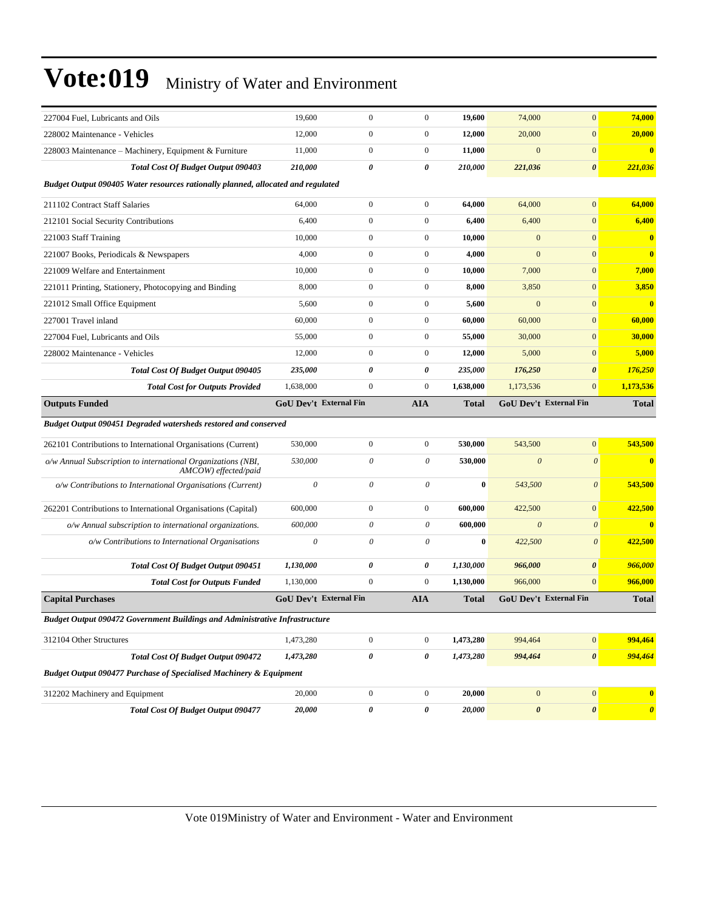| 227004 Fuel, Lubricants and Oils                                                     | 19,600                        | $\boldsymbol{0}$ | $\boldsymbol{0}$ | 19,600       | 74,000                  | $\mathbf{0}$                  | 74,000       |
|--------------------------------------------------------------------------------------|-------------------------------|------------------|------------------|--------------|-------------------------|-------------------------------|--------------|
| 228002 Maintenance - Vehicles                                                        | 12,000                        | $\boldsymbol{0}$ | $\boldsymbol{0}$ | 12,000       | 20,000                  | $\mathbf{0}$                  | 20,000       |
| 228003 Maintenance – Machinery, Equipment & Furniture                                | 11,000                        | $\boldsymbol{0}$ | $\boldsymbol{0}$ | 11,000       | $\mathbf{0}$            | $\boldsymbol{0}$              | $\bf{0}$     |
| <b>Total Cost Of Budget Output 090403</b>                                            | 210,000                       | 0                | 0                | 210,000      | 221,036                 | $\boldsymbol{\theta}$         | 221,036      |
| Budget Output 090405 Water resources rationally planned, allocated and regulated     |                               |                  |                  |              |                         |                               |              |
| 211102 Contract Staff Salaries                                                       | 64,000                        | $\boldsymbol{0}$ | $\boldsymbol{0}$ | 64,000       | 64,000                  | $\boldsymbol{0}$              | 64,000       |
| 212101 Social Security Contributions                                                 | 6,400                         | $\boldsymbol{0}$ | $\boldsymbol{0}$ | 6,400        | 6,400                   | $\mathbf{0}$                  | 6,400        |
| 221003 Staff Training                                                                | 10,000                        | $\boldsymbol{0}$ | $\boldsymbol{0}$ | 10,000       | $\mathbf{0}$            | $\mathbf{0}$                  | $\mathbf{0}$ |
| 221007 Books, Periodicals & Newspapers                                               | 4,000                         | $\boldsymbol{0}$ | $\boldsymbol{0}$ | 4,000        | $\mathbf{0}$            | $\mathbf{0}$                  | $\bf{0}$     |
| 221009 Welfare and Entertainment                                                     | 10,000                        | $\boldsymbol{0}$ | $\boldsymbol{0}$ | 10,000       | 7,000                   | $\boldsymbol{0}$              | 7,000        |
| 221011 Printing, Stationery, Photocopying and Binding                                | 8,000                         | $\boldsymbol{0}$ | $\boldsymbol{0}$ | 8,000        | 3,850                   | $\mathbf{0}$                  | 3,850        |
| 221012 Small Office Equipment                                                        | 5,600                         | $\boldsymbol{0}$ | $\boldsymbol{0}$ | 5,600        | $\mathbf{0}$            | $\mathbf{0}$                  | $\bf{0}$     |
| 227001 Travel inland                                                                 | 60,000                        | $\boldsymbol{0}$ | $\boldsymbol{0}$ | 60,000       | 60,000                  | $\mathbf{0}$                  | 60,000       |
| 227004 Fuel, Lubricants and Oils                                                     | 55,000                        | $\boldsymbol{0}$ | $\boldsymbol{0}$ | 55,000       | 30,000                  | $\mathbf{0}$                  | 30,000       |
| 228002 Maintenance - Vehicles                                                        | 12,000                        | $\boldsymbol{0}$ | $\boldsymbol{0}$ | 12,000       | 5,000                   | $\boldsymbol{0}$              | 5,000        |
| <b>Total Cost Of Budget Output 090405</b>                                            | 235,000                       | 0                | 0                | 235,000      | 176,250                 | $\boldsymbol{\theta}$         | 176,250      |
| <b>Total Cost for Outputs Provided</b>                                               | 1,638,000                     | $\boldsymbol{0}$ | $\boldsymbol{0}$ | 1,638,000    | 1,173,536               | $\mathbf{0}$                  | 1,173,536    |
| <b>Outputs Funded</b>                                                                | <b>GoU Dev't External Fin</b> |                  | AIA              | <b>Total</b> |                         | <b>GoU Dev't External Fin</b> | <b>Total</b> |
|                                                                                      |                               |                  |                  |              |                         |                               |              |
| <b>Budget Output 090451 Degraded watersheds restored and conserved</b>               |                               |                  |                  |              |                         |                               |              |
| 262101 Contributions to International Organisations (Current)                        | 530,000                       | $\boldsymbol{0}$ | $\boldsymbol{0}$ | 530,000      | 543,500                 | $\boldsymbol{0}$              | 543,500      |
| o/w Annual Subscription to international Organizations (NBI,<br>AMCOW) effected/paid | 530,000                       | 0                | $\theta$         | 530,000      | $\boldsymbol{\theta}$   | $\boldsymbol{\theta}$         | $\bf{0}$     |
| o/w Contributions to International Organisations (Current)                           | $\theta$                      | 0                | $\theta$         | $\bf{0}$     | 543,500                 | $\boldsymbol{\theta}$         | 543,500      |
| 262201 Contributions to International Organisations (Capital)                        | 600,000                       | $\boldsymbol{0}$ | $\boldsymbol{0}$ | 600,000      | 422,500                 | $\mathbf{0}$                  | 422,500      |
| o/w Annual subscription to international organizations.                              | 600,000                       | 0                | 0                | 600,000      | $\overline{\mathbf{0}}$ | $\boldsymbol{\theta}$         | $\bf{0}$     |
| o/w Contributions to International Organisations                                     | $\theta$                      | $\theta$         | $\theta$         | $\bf{0}$     | 422,500                 | $\boldsymbol{\theta}$         | 422,500      |
| Total Cost Of Budget Output 090451                                                   | 1,130,000                     | 0                | 0                | 1,130,000    | 966,000                 | $\boldsymbol{\theta}$         | 966,000      |
| <b>Total Cost for Outputs Funded</b>                                                 | 1,130,000                     | $\boldsymbol{0}$ | $\boldsymbol{0}$ | 1,130,000    | 966,000                 | $\mathbf{0}$                  | 966,000      |
| <b>Capital Purchases</b>                                                             | GoU Dev't External Fin        |                  | <b>AIA</b>       | <b>Total</b> |                         | GoU Dev't External Fin        | <b>Total</b> |
| <b>Budget Output 090472 Government Buildings and Administrative Infrastructure</b>   |                               |                  |                  |              |                         |                               |              |
| 312104 Other Structures                                                              | 1,473,280                     | $\mathbf{0}$     | $\boldsymbol{0}$ | 1,473,280    | 994,464                 | $\mathbf{0}$                  | 994,464      |
| <b>Total Cost Of Budget Output 090472</b>                                            | 1,473,280                     | 0                | 0                | 1,473,280    | 994,464                 | $\boldsymbol{\theta}$         | 994,464      |
| Budget Output 090477 Purchase of Specialised Machinery & Equipment                   |                               |                  |                  |              |                         |                               |              |
| 312202 Machinery and Equipment                                                       | 20,000                        | $\boldsymbol{0}$ | $\boldsymbol{0}$ | 20,000       | $\boldsymbol{0}$        | $\boldsymbol{0}$              | $\mathbf{0}$ |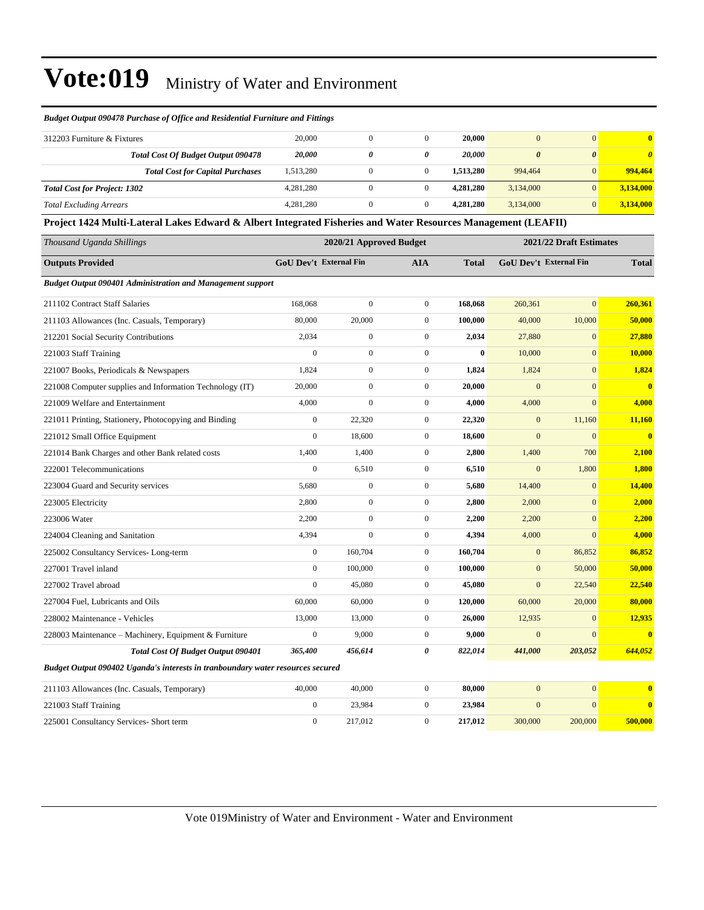#### *Budget Output 090478 Purchase of Office and Residential Furniture and Fittings*

| 312203 Furniture & Fixtures         |                                         | 20,000    |   | 20,000    |           | $\mathbf{0}$          | $\mathbf{0}$          |
|-------------------------------------|-----------------------------------------|-----------|---|-----------|-----------|-----------------------|-----------------------|
|                                     | Total Cost Of Budget Output 090478      | 20,000    | 0 | 20,000    | 0         | $\boldsymbol{\theta}$ | $\boldsymbol{\theta}$ |
|                                     | <b>Total Cost for Capital Purchases</b> | 1,513,280 |   | 1.513.280 | 994,464   | $\overline{0}$        | 994,464               |
| <b>Total Cost for Project: 1302</b> |                                         | 4.281.280 |   | 4,281,280 | 3.134,000 | $\overline{0}$        | 3,134,000             |
| <b>Total Excluding Arrears</b>      |                                         | 4,281,280 |   | 4,281,280 | 3,134,000 | $\overline{0}$        | 3,134,000             |

**Project 1424 Multi-Lateral Lakes Edward & Albert Integrated Fisheries and Water Resources Management (LEAFII)**

| Thousand Uganda Shillings                                                       |                  | 2020/21 Approved Budget       |                  | 2021/22 Draft Estimates |                |                               |                         |
|---------------------------------------------------------------------------------|------------------|-------------------------------|------------------|-------------------------|----------------|-------------------------------|-------------------------|
| <b>Outputs Provided</b>                                                         |                  | <b>GoU Dev't External Fin</b> | <b>AIA</b>       | Total                   |                | <b>GoU Dev't External Fin</b> | <b>Total</b>            |
| Budget Output 090401 Administration and Management support                      |                  |                               |                  |                         |                |                               |                         |
| 211102 Contract Staff Salaries                                                  | 168,068          | $\boldsymbol{0}$              | $\boldsymbol{0}$ | 168,068                 | 260,361        | $\mathbf{0}$                  | 260,361                 |
| 211103 Allowances (Inc. Casuals, Temporary)                                     | 80,000           | 20,000                        | $\mathbf{0}$     | 100,000                 | 40,000         | 10,000                        | 50,000                  |
| 212201 Social Security Contributions                                            | 2,034            | $\boldsymbol{0}$              | $\boldsymbol{0}$ | 2,034                   | 27,880         | $\mathbf{0}$                  | 27,880                  |
| 221003 Staff Training                                                           | $\overline{0}$   | $\boldsymbol{0}$              | $\overline{0}$   | $\bf{0}$                | 10,000         | $\mathbf{0}$                  | 10,000                  |
| 221007 Books, Periodicals & Newspapers                                          | 1,824            | $\boldsymbol{0}$              | $\boldsymbol{0}$ | 1,824                   | 1,824          | $\mathbf{0}$                  | 1,824                   |
| 221008 Computer supplies and Information Technology (IT)                        | 20,000           | $\boldsymbol{0}$              | $\mathbf{0}$     | 20,000                  | $\overline{0}$ | $\mathbf{0}$                  | $\bf{0}$                |
| 221009 Welfare and Entertainment                                                | 4,000            | $\boldsymbol{0}$              | $\boldsymbol{0}$ | 4,000                   | 4,000          | $\mathbf{0}$                  | 4,000                   |
| 221011 Printing, Stationery, Photocopying and Binding                           | $\boldsymbol{0}$ | 22,320                        | $\boldsymbol{0}$ | 22,320                  | $\mathbf{0}$   | 11,160                        | 11,160                  |
| 221012 Small Office Equipment                                                   | $\overline{0}$   | 18,600                        | $\boldsymbol{0}$ | 18,600                  | $\mathbf{0}$   | $\mathbf{0}$                  | $\mathbf{0}$            |
| 221014 Bank Charges and other Bank related costs                                | 1,400            | 1,400                         | $\boldsymbol{0}$ | 2,800                   | 1,400          | 700                           | 2,100                   |
| 222001 Telecommunications                                                       | $\overline{0}$   | 6,510                         | $\boldsymbol{0}$ | 6,510                   | $\mathbf{0}$   | 1,800                         | 1,800                   |
| 223004 Guard and Security services                                              | 5,680            | $\boldsymbol{0}$              | $\mathbf{0}$     | 5,680                   | 14,400         | $\mathbf{0}$                  | 14,400                  |
| 223005 Electricity                                                              | 2,800            | $\boldsymbol{0}$              | $\boldsymbol{0}$ | 2,800                   | 2,000          | $\mathbf{0}$                  | 2,000                   |
| 223006 Water                                                                    | 2,200            | $\boldsymbol{0}$              | $\mathbf{0}$     | 2,200                   | 2,200          | $\mathbf{0}$                  | 2,200                   |
| 224004 Cleaning and Sanitation                                                  | 4,394            | $\boldsymbol{0}$              | $\boldsymbol{0}$ | 4,394                   | 4,000          | $\mathbf{0}$                  | 4,000                   |
| 225002 Consultancy Services-Long-term                                           | $\boldsymbol{0}$ | 160,704                       | $\mathbf{0}$     | 160,704                 | $\mathbf{0}$   | 86,852                        | 86,852                  |
| 227001 Travel inland                                                            | $\overline{0}$   | 100,000                       | $\mathbf{0}$     | 100,000                 | $\mathbf{0}$   | 50,000                        | 50,000                  |
| 227002 Travel abroad                                                            | $\overline{0}$   | 45,080                        | $\mathbf{0}$     | 45,080                  | $\overline{0}$ | 22,540                        | 22,540                  |
| 227004 Fuel, Lubricants and Oils                                                | 60,000           | 60,000                        | $\mathbf{0}$     | 120,000                 | 60,000         | 20,000                        | 80,000                  |
| 228002 Maintenance - Vehicles                                                   | 13,000           | 13,000                        | $\mathbf{0}$     | 26,000                  | 12,935         | $\mathbf{0}$                  | 12,935                  |
| 228003 Maintenance - Machinery, Equipment & Furniture                           | $\overline{0}$   | 9,000                         | $\mathbf{0}$     | 9,000                   | $\overline{0}$ | $\Omega$                      | $\overline{\mathbf{0}}$ |
| <b>Total Cost Of Budget Output 090401</b>                                       | 365,400          | 456,614                       | 0                | 822,014                 | 441,000        | 203,052                       | 644,052                 |
| Budget Output 090402 Uganda's interests in tranboundary water resources secured |                  |                               |                  |                         |                |                               |                         |
| 211103 Allowances (Inc. Casuals, Temporary)                                     | 40,000           | 40,000                        | $\overline{0}$   | 80,000                  | $\mathbf{0}$   | $\mathbf{0}$                  | $\overline{\mathbf{0}}$ |
| 221003 Staff Training                                                           | $\overline{0}$   | 23,984                        | $\mathbf{0}$     | 23,984                  | $\overline{0}$ | $\mathbf{0}$                  | $\bf{0}$                |
| 225001 Consultancy Services- Short term                                         | $\mathbf{0}$     | 217,012                       | $\mathbf{0}$     | 217.012                 | 300,000        | 200,000                       | 500,000                 |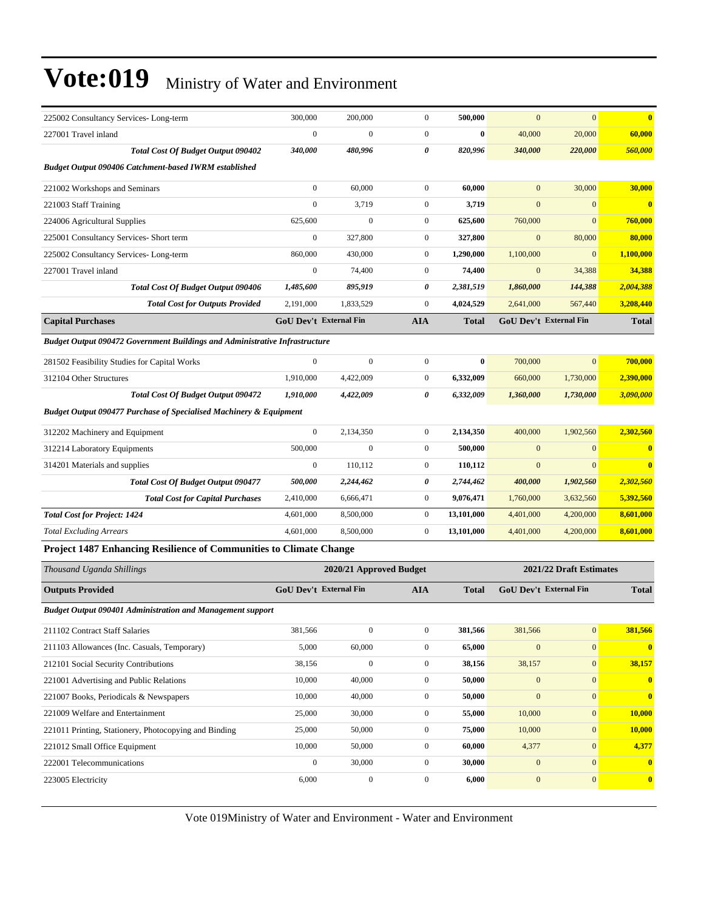| $\boldsymbol{0}$<br>$\boldsymbol{0}$<br>$\boldsymbol{0}$<br>$\bf{0}$<br>40,000<br>20,000<br>60,000<br>227001 Travel inland<br>Total Cost Of Budget Output 090402<br>340,000<br>480,996<br>0<br>820,996<br>340,000<br>220,000<br>560,000<br><b>Budget Output 090406 Catchment-based IWRM established</b><br>$\overline{0}$<br>60,000<br>$\boldsymbol{0}$<br>60,000<br>$\mathbf{0}$<br>30,000<br>30,000<br>221002 Workshops and Seminars<br>$\boldsymbol{0}$<br>$\boldsymbol{0}$<br>221003 Staff Training<br>3,719<br>3,719<br>$\boldsymbol{0}$<br>$\mathbf{0}$<br>$\overline{\mathbf{0}}$<br>$\overline{0}$<br>$\overline{0}$<br>625,600<br>$\boldsymbol{0}$<br>625,600<br>760,000<br>224006 Agricultural Supplies<br>760,000<br>$\boldsymbol{0}$<br>327,800<br>$\boldsymbol{0}$<br>327,800<br>$\mathbf{0}$<br>80,000<br>80,000<br>225001 Consultancy Services- Short term<br>225002 Consultancy Services-Long-term<br>860,000<br>430,000<br>$\boldsymbol{0}$<br>1,290,000<br>1,100,000<br>$\overline{0}$<br>1,100,000<br>$\overline{0}$<br>$\boldsymbol{0}$<br>74,400<br>$\boldsymbol{0}$<br>34,388<br>74,400<br>34,388<br>227001 Travel inland<br>Total Cost Of Budget Output 090406<br>895,919<br>0<br>2,381,519<br>1,860,000<br>144,388<br>2,004,388<br>1,485,600<br>1,833,529<br>$\boldsymbol{0}$<br>4,024,529<br>3,208,440<br><b>Total Cost for Outputs Provided</b><br>2,191,000<br>2,641,000<br>567,440<br><b>GoU Dev't External Fin</b><br>GoU Dev't External Fin<br><b>Capital Purchases</b><br><b>AIA</b><br><b>Total</b><br><b>Total</b><br><b>Budget Output 090472 Government Buildings and Administrative Infrastructure</b><br>$\overline{0}$<br>$\mathbf{0}$<br>$\overline{0}$<br>$\boldsymbol{0}$<br>$\bf{0}$<br>700,000<br>700,000<br>281502 Feasibility Studies for Capital Works<br>312104 Other Structures<br>1,910,000<br>4,422,009<br>$\boldsymbol{0}$<br>6,332,009<br>660,000<br>1,730,000<br>2,390,000<br>0<br>3,090,000<br>1,910,000<br>4,422,009<br>6,332,009<br>1,360,000<br>1,730,000<br><b>Total Cost Of Budget Output 090472</b><br><b>Budget Output 090477 Purchase of Specialised Machinery &amp; Equipment</b><br>2,302,560<br>$\boldsymbol{0}$<br>2,134,350<br>$\boldsymbol{0}$<br>2,134,350<br>400,000<br>1,902,560<br>312202 Machinery and Equipment<br>500,000<br>$\mathbf{0}$<br>$\boldsymbol{0}$<br>500,000<br>$\boldsymbol{0}$<br>$\mathbf{0}$<br>$\bf{0}$<br>312214 Laboratory Equipments<br>$\boldsymbol{0}$<br>110,112<br>$\boldsymbol{0}$<br>110,112<br>$\boldsymbol{0}$<br>$\mathbf{0}$<br>$\overline{\mathbf{0}}$<br>314201 Materials and supplies<br><b>Total Cost Of Budget Output 090477</b><br>2,244,462<br>0<br>2,744,462<br>1,902,560<br>2,302,560<br>500,000<br>400,000<br>$\boldsymbol{0}$<br>9,076,471<br>5,392,560<br>2,410,000<br>6,666,471<br>1,760,000<br>3,632,560<br><b>Total Cost for Capital Purchases</b><br>8,601,000<br><b>Total Cost for Project: 1424</b><br>4,601,000<br>8,500,000<br>$\boldsymbol{0}$<br>13,101,000<br>4,401,000<br>4,200,000<br>8,601,000<br>4,601,000<br>8,500,000<br>$\boldsymbol{0}$<br>13,101,000<br>4,401,000<br><b>Total Excluding Arrears</b><br>4,200,000<br>Project 1487 Enhancing Resilience of Communities to Climate Change<br>Thousand Uganda Shillings<br>2020/21 Approved Budget<br>2021/22 Draft Estimates<br>GoU Dev't External Fin<br>GoU Dev't External Fin<br><b>Outputs Provided</b><br><b>AIA</b><br><b>Total</b><br><b>Total</b><br><b>Budget Output 090401 Administration and Management support</b><br>$\boldsymbol{0}$<br>$\mathbf{0}$<br>381,566<br>211102 Contract Staff Salaries<br>381,566<br>$\boldsymbol{0}$<br>381,566<br>381,566<br>211103 Allowances (Inc. Casuals, Temporary)<br>5,000<br>60,000<br>$\boldsymbol{0}$<br>65,000<br>$\boldsymbol{0}$<br>$\boldsymbol{0}$<br>$\bf{0}$<br>$\boldsymbol{0}$<br>$\boldsymbol{0}$<br>38,156<br>$\boldsymbol{0}$<br>38,157<br>38,156<br>38,157<br>212101 Social Security Contributions<br>221001 Advertising and Public Relations<br>10,000<br>40,000<br>$\boldsymbol{0}$<br>50,000<br>$\boldsymbol{0}$<br>$\boldsymbol{0}$<br>$\overline{\mathbf{0}}$<br>$\mathbf{0}$<br>10,000<br>40,000<br>$\boldsymbol{0}$<br>50,000<br>$\boldsymbol{0}$<br>$\bf{0}$<br>221007 Books, Periodicals & Newspapers<br>10,000<br>221009 Welfare and Entertainment<br>25,000<br>30,000<br>$\boldsymbol{0}$<br>55,000<br>10,000<br>$\boldsymbol{0}$<br>221011 Printing, Stationery, Photocopying and Binding<br>25,000<br>50,000<br>$\boldsymbol{0}$<br>75,000<br>10,000<br>$\boldsymbol{0}$<br>10,000<br>10,000<br>50,000<br>$\boldsymbol{0}$<br>60,000<br>$\boldsymbol{0}$<br>4,377<br>4,377<br>221012 Small Office Equipment<br>$\boldsymbol{0}$<br>30,000<br>222001 Telecommunications<br>30,000<br>$\boldsymbol{0}$<br>$\boldsymbol{0}$<br>$\boldsymbol{0}$<br>$\overline{\mathbf{0}}$<br>$\boldsymbol{0}$<br>$\boldsymbol{0}$<br>$\mathbf{0}$<br>$\boldsymbol{0}$<br>223005 Electricity<br>6,000<br>6,000<br>$\bf{0}$ | 225002 Consultancy Services-Long-term | 300,000 | 200,000 | $\boldsymbol{0}$ | 500,000 | $\mathbf{0}$ | $\mathbf{0}$ | $\bf{0}$ |
|-----------------------------------------------------------------------------------------------------------------------------------------------------------------------------------------------------------------------------------------------------------------------------------------------------------------------------------------------------------------------------------------------------------------------------------------------------------------------------------------------------------------------------------------------------------------------------------------------------------------------------------------------------------------------------------------------------------------------------------------------------------------------------------------------------------------------------------------------------------------------------------------------------------------------------------------------------------------------------------------------------------------------------------------------------------------------------------------------------------------------------------------------------------------------------------------------------------------------------------------------------------------------------------------------------------------------------------------------------------------------------------------------------------------------------------------------------------------------------------------------------------------------------------------------------------------------------------------------------------------------------------------------------------------------------------------------------------------------------------------------------------------------------------------------------------------------------------------------------------------------------------------------------------------------------------------------------------------------------------------------------------------------------------------------------------------------------------------------------------------------------------------------------------------------------------------------------------------------------------------------------------------------------------------------------------------------------------------------------------------------------------------------------------------------------------------------------------------------------------------------------------------------------------------------------------------------------------------------------------------------------------------------------------------------------------------------------------------------------------------------------------------------------------------------------------------------------------------------------------------------------------------------------------------------------------------------------------------------------------------------------------------------------------------------------------------------------------------------------------------------------------------------------------------------------------------------------------------------------------------------------------------------------------------------------------------------------------------------------------------------------------------------------------------------------------------------------------------------------------------------------------------------------------------------------------------------------------------------------------------------------------------------------------------------------------------------------------------------------------------------------------------------------------------------------------------------------------------------------------------------------------------------------------------------------------------------------------------------------------------------------------------------------------------------------------------------------------------------------------------------------------------------------------------------------------------------------------------------------------------------------------------------------------------------------------------------------------------------------------------------------------------------------------------------------------------------------------------------------------------------------------------------------------------------------------------------------------------------------------------------------------------------------------------------------------------------------------------------------------------------------------------------------------------------------------------------------------------------------------------------------------------------------------------------------------------------------------------------------|---------------------------------------|---------|---------|------------------|---------|--------------|--------------|----------|
|                                                                                                                                                                                                                                                                                                                                                                                                                                                                                                                                                                                                                                                                                                                                                                                                                                                                                                                                                                                                                                                                                                                                                                                                                                                                                                                                                                                                                                                                                                                                                                                                                                                                                                                                                                                                                                                                                                                                                                                                                                                                                                                                                                                                                                                                                                                                                                                                                                                                                                                                                                                                                                                                                                                                                                                                                                                                                                                                                                                                                                                                                                                                                                                                                                                                                                                                                                                                                                                                                                                                                                                                                                                                                                                                                                                                                                                                                                                                                                                                                                                                                                                                                                                                                                                                                                                                                                                                                                                                                                                                                                                                                                                                                                                                                                                                                                                                                                                                                                             |                                       |         |         |                  |         |              |              |          |
|                                                                                                                                                                                                                                                                                                                                                                                                                                                                                                                                                                                                                                                                                                                                                                                                                                                                                                                                                                                                                                                                                                                                                                                                                                                                                                                                                                                                                                                                                                                                                                                                                                                                                                                                                                                                                                                                                                                                                                                                                                                                                                                                                                                                                                                                                                                                                                                                                                                                                                                                                                                                                                                                                                                                                                                                                                                                                                                                                                                                                                                                                                                                                                                                                                                                                                                                                                                                                                                                                                                                                                                                                                                                                                                                                                                                                                                                                                                                                                                                                                                                                                                                                                                                                                                                                                                                                                                                                                                                                                                                                                                                                                                                                                                                                                                                                                                                                                                                                                             |                                       |         |         |                  |         |              |              |          |
|                                                                                                                                                                                                                                                                                                                                                                                                                                                                                                                                                                                                                                                                                                                                                                                                                                                                                                                                                                                                                                                                                                                                                                                                                                                                                                                                                                                                                                                                                                                                                                                                                                                                                                                                                                                                                                                                                                                                                                                                                                                                                                                                                                                                                                                                                                                                                                                                                                                                                                                                                                                                                                                                                                                                                                                                                                                                                                                                                                                                                                                                                                                                                                                                                                                                                                                                                                                                                                                                                                                                                                                                                                                                                                                                                                                                                                                                                                                                                                                                                                                                                                                                                                                                                                                                                                                                                                                                                                                                                                                                                                                                                                                                                                                                                                                                                                                                                                                                                                             |                                       |         |         |                  |         |              |              |          |
|                                                                                                                                                                                                                                                                                                                                                                                                                                                                                                                                                                                                                                                                                                                                                                                                                                                                                                                                                                                                                                                                                                                                                                                                                                                                                                                                                                                                                                                                                                                                                                                                                                                                                                                                                                                                                                                                                                                                                                                                                                                                                                                                                                                                                                                                                                                                                                                                                                                                                                                                                                                                                                                                                                                                                                                                                                                                                                                                                                                                                                                                                                                                                                                                                                                                                                                                                                                                                                                                                                                                                                                                                                                                                                                                                                                                                                                                                                                                                                                                                                                                                                                                                                                                                                                                                                                                                                                                                                                                                                                                                                                                                                                                                                                                                                                                                                                                                                                                                                             |                                       |         |         |                  |         |              |              |          |
|                                                                                                                                                                                                                                                                                                                                                                                                                                                                                                                                                                                                                                                                                                                                                                                                                                                                                                                                                                                                                                                                                                                                                                                                                                                                                                                                                                                                                                                                                                                                                                                                                                                                                                                                                                                                                                                                                                                                                                                                                                                                                                                                                                                                                                                                                                                                                                                                                                                                                                                                                                                                                                                                                                                                                                                                                                                                                                                                                                                                                                                                                                                                                                                                                                                                                                                                                                                                                                                                                                                                                                                                                                                                                                                                                                                                                                                                                                                                                                                                                                                                                                                                                                                                                                                                                                                                                                                                                                                                                                                                                                                                                                                                                                                                                                                                                                                                                                                                                                             |                                       |         |         |                  |         |              |              |          |
|                                                                                                                                                                                                                                                                                                                                                                                                                                                                                                                                                                                                                                                                                                                                                                                                                                                                                                                                                                                                                                                                                                                                                                                                                                                                                                                                                                                                                                                                                                                                                                                                                                                                                                                                                                                                                                                                                                                                                                                                                                                                                                                                                                                                                                                                                                                                                                                                                                                                                                                                                                                                                                                                                                                                                                                                                                                                                                                                                                                                                                                                                                                                                                                                                                                                                                                                                                                                                                                                                                                                                                                                                                                                                                                                                                                                                                                                                                                                                                                                                                                                                                                                                                                                                                                                                                                                                                                                                                                                                                                                                                                                                                                                                                                                                                                                                                                                                                                                                                             |                                       |         |         |                  |         |              |              |          |
|                                                                                                                                                                                                                                                                                                                                                                                                                                                                                                                                                                                                                                                                                                                                                                                                                                                                                                                                                                                                                                                                                                                                                                                                                                                                                                                                                                                                                                                                                                                                                                                                                                                                                                                                                                                                                                                                                                                                                                                                                                                                                                                                                                                                                                                                                                                                                                                                                                                                                                                                                                                                                                                                                                                                                                                                                                                                                                                                                                                                                                                                                                                                                                                                                                                                                                                                                                                                                                                                                                                                                                                                                                                                                                                                                                                                                                                                                                                                                                                                                                                                                                                                                                                                                                                                                                                                                                                                                                                                                                                                                                                                                                                                                                                                                                                                                                                                                                                                                                             |                                       |         |         |                  |         |              |              |          |
|                                                                                                                                                                                                                                                                                                                                                                                                                                                                                                                                                                                                                                                                                                                                                                                                                                                                                                                                                                                                                                                                                                                                                                                                                                                                                                                                                                                                                                                                                                                                                                                                                                                                                                                                                                                                                                                                                                                                                                                                                                                                                                                                                                                                                                                                                                                                                                                                                                                                                                                                                                                                                                                                                                                                                                                                                                                                                                                                                                                                                                                                                                                                                                                                                                                                                                                                                                                                                                                                                                                                                                                                                                                                                                                                                                                                                                                                                                                                                                                                                                                                                                                                                                                                                                                                                                                                                                                                                                                                                                                                                                                                                                                                                                                                                                                                                                                                                                                                                                             |                                       |         |         |                  |         |              |              |          |
|                                                                                                                                                                                                                                                                                                                                                                                                                                                                                                                                                                                                                                                                                                                                                                                                                                                                                                                                                                                                                                                                                                                                                                                                                                                                                                                                                                                                                                                                                                                                                                                                                                                                                                                                                                                                                                                                                                                                                                                                                                                                                                                                                                                                                                                                                                                                                                                                                                                                                                                                                                                                                                                                                                                                                                                                                                                                                                                                                                                                                                                                                                                                                                                                                                                                                                                                                                                                                                                                                                                                                                                                                                                                                                                                                                                                                                                                                                                                                                                                                                                                                                                                                                                                                                                                                                                                                                                                                                                                                                                                                                                                                                                                                                                                                                                                                                                                                                                                                                             |                                       |         |         |                  |         |              |              |          |
|                                                                                                                                                                                                                                                                                                                                                                                                                                                                                                                                                                                                                                                                                                                                                                                                                                                                                                                                                                                                                                                                                                                                                                                                                                                                                                                                                                                                                                                                                                                                                                                                                                                                                                                                                                                                                                                                                                                                                                                                                                                                                                                                                                                                                                                                                                                                                                                                                                                                                                                                                                                                                                                                                                                                                                                                                                                                                                                                                                                                                                                                                                                                                                                                                                                                                                                                                                                                                                                                                                                                                                                                                                                                                                                                                                                                                                                                                                                                                                                                                                                                                                                                                                                                                                                                                                                                                                                                                                                                                                                                                                                                                                                                                                                                                                                                                                                                                                                                                                             |                                       |         |         |                  |         |              |              |          |
|                                                                                                                                                                                                                                                                                                                                                                                                                                                                                                                                                                                                                                                                                                                                                                                                                                                                                                                                                                                                                                                                                                                                                                                                                                                                                                                                                                                                                                                                                                                                                                                                                                                                                                                                                                                                                                                                                                                                                                                                                                                                                                                                                                                                                                                                                                                                                                                                                                                                                                                                                                                                                                                                                                                                                                                                                                                                                                                                                                                                                                                                                                                                                                                                                                                                                                                                                                                                                                                                                                                                                                                                                                                                                                                                                                                                                                                                                                                                                                                                                                                                                                                                                                                                                                                                                                                                                                                                                                                                                                                                                                                                                                                                                                                                                                                                                                                                                                                                                                             |                                       |         |         |                  |         |              |              |          |
|                                                                                                                                                                                                                                                                                                                                                                                                                                                                                                                                                                                                                                                                                                                                                                                                                                                                                                                                                                                                                                                                                                                                                                                                                                                                                                                                                                                                                                                                                                                                                                                                                                                                                                                                                                                                                                                                                                                                                                                                                                                                                                                                                                                                                                                                                                                                                                                                                                                                                                                                                                                                                                                                                                                                                                                                                                                                                                                                                                                                                                                                                                                                                                                                                                                                                                                                                                                                                                                                                                                                                                                                                                                                                                                                                                                                                                                                                                                                                                                                                                                                                                                                                                                                                                                                                                                                                                                                                                                                                                                                                                                                                                                                                                                                                                                                                                                                                                                                                                             |                                       |         |         |                  |         |              |              |          |
|                                                                                                                                                                                                                                                                                                                                                                                                                                                                                                                                                                                                                                                                                                                                                                                                                                                                                                                                                                                                                                                                                                                                                                                                                                                                                                                                                                                                                                                                                                                                                                                                                                                                                                                                                                                                                                                                                                                                                                                                                                                                                                                                                                                                                                                                                                                                                                                                                                                                                                                                                                                                                                                                                                                                                                                                                                                                                                                                                                                                                                                                                                                                                                                                                                                                                                                                                                                                                                                                                                                                                                                                                                                                                                                                                                                                                                                                                                                                                                                                                                                                                                                                                                                                                                                                                                                                                                                                                                                                                                                                                                                                                                                                                                                                                                                                                                                                                                                                                                             |                                       |         |         |                  |         |              |              |          |
|                                                                                                                                                                                                                                                                                                                                                                                                                                                                                                                                                                                                                                                                                                                                                                                                                                                                                                                                                                                                                                                                                                                                                                                                                                                                                                                                                                                                                                                                                                                                                                                                                                                                                                                                                                                                                                                                                                                                                                                                                                                                                                                                                                                                                                                                                                                                                                                                                                                                                                                                                                                                                                                                                                                                                                                                                                                                                                                                                                                                                                                                                                                                                                                                                                                                                                                                                                                                                                                                                                                                                                                                                                                                                                                                                                                                                                                                                                                                                                                                                                                                                                                                                                                                                                                                                                                                                                                                                                                                                                                                                                                                                                                                                                                                                                                                                                                                                                                                                                             |                                       |         |         |                  |         |              |              |          |
|                                                                                                                                                                                                                                                                                                                                                                                                                                                                                                                                                                                                                                                                                                                                                                                                                                                                                                                                                                                                                                                                                                                                                                                                                                                                                                                                                                                                                                                                                                                                                                                                                                                                                                                                                                                                                                                                                                                                                                                                                                                                                                                                                                                                                                                                                                                                                                                                                                                                                                                                                                                                                                                                                                                                                                                                                                                                                                                                                                                                                                                                                                                                                                                                                                                                                                                                                                                                                                                                                                                                                                                                                                                                                                                                                                                                                                                                                                                                                                                                                                                                                                                                                                                                                                                                                                                                                                                                                                                                                                                                                                                                                                                                                                                                                                                                                                                                                                                                                                             |                                       |         |         |                  |         |              |              |          |
|                                                                                                                                                                                                                                                                                                                                                                                                                                                                                                                                                                                                                                                                                                                                                                                                                                                                                                                                                                                                                                                                                                                                                                                                                                                                                                                                                                                                                                                                                                                                                                                                                                                                                                                                                                                                                                                                                                                                                                                                                                                                                                                                                                                                                                                                                                                                                                                                                                                                                                                                                                                                                                                                                                                                                                                                                                                                                                                                                                                                                                                                                                                                                                                                                                                                                                                                                                                                                                                                                                                                                                                                                                                                                                                                                                                                                                                                                                                                                                                                                                                                                                                                                                                                                                                                                                                                                                                                                                                                                                                                                                                                                                                                                                                                                                                                                                                                                                                                                                             |                                       |         |         |                  |         |              |              |          |
|                                                                                                                                                                                                                                                                                                                                                                                                                                                                                                                                                                                                                                                                                                                                                                                                                                                                                                                                                                                                                                                                                                                                                                                                                                                                                                                                                                                                                                                                                                                                                                                                                                                                                                                                                                                                                                                                                                                                                                                                                                                                                                                                                                                                                                                                                                                                                                                                                                                                                                                                                                                                                                                                                                                                                                                                                                                                                                                                                                                                                                                                                                                                                                                                                                                                                                                                                                                                                                                                                                                                                                                                                                                                                                                                                                                                                                                                                                                                                                                                                                                                                                                                                                                                                                                                                                                                                                                                                                                                                                                                                                                                                                                                                                                                                                                                                                                                                                                                                                             |                                       |         |         |                  |         |              |              |          |
|                                                                                                                                                                                                                                                                                                                                                                                                                                                                                                                                                                                                                                                                                                                                                                                                                                                                                                                                                                                                                                                                                                                                                                                                                                                                                                                                                                                                                                                                                                                                                                                                                                                                                                                                                                                                                                                                                                                                                                                                                                                                                                                                                                                                                                                                                                                                                                                                                                                                                                                                                                                                                                                                                                                                                                                                                                                                                                                                                                                                                                                                                                                                                                                                                                                                                                                                                                                                                                                                                                                                                                                                                                                                                                                                                                                                                                                                                                                                                                                                                                                                                                                                                                                                                                                                                                                                                                                                                                                                                                                                                                                                                                                                                                                                                                                                                                                                                                                                                                             |                                       |         |         |                  |         |              |              |          |
|                                                                                                                                                                                                                                                                                                                                                                                                                                                                                                                                                                                                                                                                                                                                                                                                                                                                                                                                                                                                                                                                                                                                                                                                                                                                                                                                                                                                                                                                                                                                                                                                                                                                                                                                                                                                                                                                                                                                                                                                                                                                                                                                                                                                                                                                                                                                                                                                                                                                                                                                                                                                                                                                                                                                                                                                                                                                                                                                                                                                                                                                                                                                                                                                                                                                                                                                                                                                                                                                                                                                                                                                                                                                                                                                                                                                                                                                                                                                                                                                                                                                                                                                                                                                                                                                                                                                                                                                                                                                                                                                                                                                                                                                                                                                                                                                                                                                                                                                                                             |                                       |         |         |                  |         |              |              |          |
|                                                                                                                                                                                                                                                                                                                                                                                                                                                                                                                                                                                                                                                                                                                                                                                                                                                                                                                                                                                                                                                                                                                                                                                                                                                                                                                                                                                                                                                                                                                                                                                                                                                                                                                                                                                                                                                                                                                                                                                                                                                                                                                                                                                                                                                                                                                                                                                                                                                                                                                                                                                                                                                                                                                                                                                                                                                                                                                                                                                                                                                                                                                                                                                                                                                                                                                                                                                                                                                                                                                                                                                                                                                                                                                                                                                                                                                                                                                                                                                                                                                                                                                                                                                                                                                                                                                                                                                                                                                                                                                                                                                                                                                                                                                                                                                                                                                                                                                                                                             |                                       |         |         |                  |         |              |              |          |
|                                                                                                                                                                                                                                                                                                                                                                                                                                                                                                                                                                                                                                                                                                                                                                                                                                                                                                                                                                                                                                                                                                                                                                                                                                                                                                                                                                                                                                                                                                                                                                                                                                                                                                                                                                                                                                                                                                                                                                                                                                                                                                                                                                                                                                                                                                                                                                                                                                                                                                                                                                                                                                                                                                                                                                                                                                                                                                                                                                                                                                                                                                                                                                                                                                                                                                                                                                                                                                                                                                                                                                                                                                                                                                                                                                                                                                                                                                                                                                                                                                                                                                                                                                                                                                                                                                                                                                                                                                                                                                                                                                                                                                                                                                                                                                                                                                                                                                                                                                             |                                       |         |         |                  |         |              |              |          |
|                                                                                                                                                                                                                                                                                                                                                                                                                                                                                                                                                                                                                                                                                                                                                                                                                                                                                                                                                                                                                                                                                                                                                                                                                                                                                                                                                                                                                                                                                                                                                                                                                                                                                                                                                                                                                                                                                                                                                                                                                                                                                                                                                                                                                                                                                                                                                                                                                                                                                                                                                                                                                                                                                                                                                                                                                                                                                                                                                                                                                                                                                                                                                                                                                                                                                                                                                                                                                                                                                                                                                                                                                                                                                                                                                                                                                                                                                                                                                                                                                                                                                                                                                                                                                                                                                                                                                                                                                                                                                                                                                                                                                                                                                                                                                                                                                                                                                                                                                                             |                                       |         |         |                  |         |              |              |          |
|                                                                                                                                                                                                                                                                                                                                                                                                                                                                                                                                                                                                                                                                                                                                                                                                                                                                                                                                                                                                                                                                                                                                                                                                                                                                                                                                                                                                                                                                                                                                                                                                                                                                                                                                                                                                                                                                                                                                                                                                                                                                                                                                                                                                                                                                                                                                                                                                                                                                                                                                                                                                                                                                                                                                                                                                                                                                                                                                                                                                                                                                                                                                                                                                                                                                                                                                                                                                                                                                                                                                                                                                                                                                                                                                                                                                                                                                                                                                                                                                                                                                                                                                                                                                                                                                                                                                                                                                                                                                                                                                                                                                                                                                                                                                                                                                                                                                                                                                                                             |                                       |         |         |                  |         |              |              |          |
|                                                                                                                                                                                                                                                                                                                                                                                                                                                                                                                                                                                                                                                                                                                                                                                                                                                                                                                                                                                                                                                                                                                                                                                                                                                                                                                                                                                                                                                                                                                                                                                                                                                                                                                                                                                                                                                                                                                                                                                                                                                                                                                                                                                                                                                                                                                                                                                                                                                                                                                                                                                                                                                                                                                                                                                                                                                                                                                                                                                                                                                                                                                                                                                                                                                                                                                                                                                                                                                                                                                                                                                                                                                                                                                                                                                                                                                                                                                                                                                                                                                                                                                                                                                                                                                                                                                                                                                                                                                                                                                                                                                                                                                                                                                                                                                                                                                                                                                                                                             |                                       |         |         |                  |         |              |              |          |
|                                                                                                                                                                                                                                                                                                                                                                                                                                                                                                                                                                                                                                                                                                                                                                                                                                                                                                                                                                                                                                                                                                                                                                                                                                                                                                                                                                                                                                                                                                                                                                                                                                                                                                                                                                                                                                                                                                                                                                                                                                                                                                                                                                                                                                                                                                                                                                                                                                                                                                                                                                                                                                                                                                                                                                                                                                                                                                                                                                                                                                                                                                                                                                                                                                                                                                                                                                                                                                                                                                                                                                                                                                                                                                                                                                                                                                                                                                                                                                                                                                                                                                                                                                                                                                                                                                                                                                                                                                                                                                                                                                                                                                                                                                                                                                                                                                                                                                                                                                             |                                       |         |         |                  |         |              |              |          |
|                                                                                                                                                                                                                                                                                                                                                                                                                                                                                                                                                                                                                                                                                                                                                                                                                                                                                                                                                                                                                                                                                                                                                                                                                                                                                                                                                                                                                                                                                                                                                                                                                                                                                                                                                                                                                                                                                                                                                                                                                                                                                                                                                                                                                                                                                                                                                                                                                                                                                                                                                                                                                                                                                                                                                                                                                                                                                                                                                                                                                                                                                                                                                                                                                                                                                                                                                                                                                                                                                                                                                                                                                                                                                                                                                                                                                                                                                                                                                                                                                                                                                                                                                                                                                                                                                                                                                                                                                                                                                                                                                                                                                                                                                                                                                                                                                                                                                                                                                                             |                                       |         |         |                  |         |              |              |          |
|                                                                                                                                                                                                                                                                                                                                                                                                                                                                                                                                                                                                                                                                                                                                                                                                                                                                                                                                                                                                                                                                                                                                                                                                                                                                                                                                                                                                                                                                                                                                                                                                                                                                                                                                                                                                                                                                                                                                                                                                                                                                                                                                                                                                                                                                                                                                                                                                                                                                                                                                                                                                                                                                                                                                                                                                                                                                                                                                                                                                                                                                                                                                                                                                                                                                                                                                                                                                                                                                                                                                                                                                                                                                                                                                                                                                                                                                                                                                                                                                                                                                                                                                                                                                                                                                                                                                                                                                                                                                                                                                                                                                                                                                                                                                                                                                                                                                                                                                                                             |                                       |         |         |                  |         |              |              |          |
|                                                                                                                                                                                                                                                                                                                                                                                                                                                                                                                                                                                                                                                                                                                                                                                                                                                                                                                                                                                                                                                                                                                                                                                                                                                                                                                                                                                                                                                                                                                                                                                                                                                                                                                                                                                                                                                                                                                                                                                                                                                                                                                                                                                                                                                                                                                                                                                                                                                                                                                                                                                                                                                                                                                                                                                                                                                                                                                                                                                                                                                                                                                                                                                                                                                                                                                                                                                                                                                                                                                                                                                                                                                                                                                                                                                                                                                                                                                                                                                                                                                                                                                                                                                                                                                                                                                                                                                                                                                                                                                                                                                                                                                                                                                                                                                                                                                                                                                                                                             |                                       |         |         |                  |         |              |              |          |
|                                                                                                                                                                                                                                                                                                                                                                                                                                                                                                                                                                                                                                                                                                                                                                                                                                                                                                                                                                                                                                                                                                                                                                                                                                                                                                                                                                                                                                                                                                                                                                                                                                                                                                                                                                                                                                                                                                                                                                                                                                                                                                                                                                                                                                                                                                                                                                                                                                                                                                                                                                                                                                                                                                                                                                                                                                                                                                                                                                                                                                                                                                                                                                                                                                                                                                                                                                                                                                                                                                                                                                                                                                                                                                                                                                                                                                                                                                                                                                                                                                                                                                                                                                                                                                                                                                                                                                                                                                                                                                                                                                                                                                                                                                                                                                                                                                                                                                                                                                             |                                       |         |         |                  |         |              |              |          |
|                                                                                                                                                                                                                                                                                                                                                                                                                                                                                                                                                                                                                                                                                                                                                                                                                                                                                                                                                                                                                                                                                                                                                                                                                                                                                                                                                                                                                                                                                                                                                                                                                                                                                                                                                                                                                                                                                                                                                                                                                                                                                                                                                                                                                                                                                                                                                                                                                                                                                                                                                                                                                                                                                                                                                                                                                                                                                                                                                                                                                                                                                                                                                                                                                                                                                                                                                                                                                                                                                                                                                                                                                                                                                                                                                                                                                                                                                                                                                                                                                                                                                                                                                                                                                                                                                                                                                                                                                                                                                                                                                                                                                                                                                                                                                                                                                                                                                                                                                                             |                                       |         |         |                  |         |              |              |          |
|                                                                                                                                                                                                                                                                                                                                                                                                                                                                                                                                                                                                                                                                                                                                                                                                                                                                                                                                                                                                                                                                                                                                                                                                                                                                                                                                                                                                                                                                                                                                                                                                                                                                                                                                                                                                                                                                                                                                                                                                                                                                                                                                                                                                                                                                                                                                                                                                                                                                                                                                                                                                                                                                                                                                                                                                                                                                                                                                                                                                                                                                                                                                                                                                                                                                                                                                                                                                                                                                                                                                                                                                                                                                                                                                                                                                                                                                                                                                                                                                                                                                                                                                                                                                                                                                                                                                                                                                                                                                                                                                                                                                                                                                                                                                                                                                                                                                                                                                                                             |                                       |         |         |                  |         |              |              |          |
|                                                                                                                                                                                                                                                                                                                                                                                                                                                                                                                                                                                                                                                                                                                                                                                                                                                                                                                                                                                                                                                                                                                                                                                                                                                                                                                                                                                                                                                                                                                                                                                                                                                                                                                                                                                                                                                                                                                                                                                                                                                                                                                                                                                                                                                                                                                                                                                                                                                                                                                                                                                                                                                                                                                                                                                                                                                                                                                                                                                                                                                                                                                                                                                                                                                                                                                                                                                                                                                                                                                                                                                                                                                                                                                                                                                                                                                                                                                                                                                                                                                                                                                                                                                                                                                                                                                                                                                                                                                                                                                                                                                                                                                                                                                                                                                                                                                                                                                                                                             |                                       |         |         |                  |         |              |              |          |
|                                                                                                                                                                                                                                                                                                                                                                                                                                                                                                                                                                                                                                                                                                                                                                                                                                                                                                                                                                                                                                                                                                                                                                                                                                                                                                                                                                                                                                                                                                                                                                                                                                                                                                                                                                                                                                                                                                                                                                                                                                                                                                                                                                                                                                                                                                                                                                                                                                                                                                                                                                                                                                                                                                                                                                                                                                                                                                                                                                                                                                                                                                                                                                                                                                                                                                                                                                                                                                                                                                                                                                                                                                                                                                                                                                                                                                                                                                                                                                                                                                                                                                                                                                                                                                                                                                                                                                                                                                                                                                                                                                                                                                                                                                                                                                                                                                                                                                                                                                             |                                       |         |         |                  |         |              |              |          |
|                                                                                                                                                                                                                                                                                                                                                                                                                                                                                                                                                                                                                                                                                                                                                                                                                                                                                                                                                                                                                                                                                                                                                                                                                                                                                                                                                                                                                                                                                                                                                                                                                                                                                                                                                                                                                                                                                                                                                                                                                                                                                                                                                                                                                                                                                                                                                                                                                                                                                                                                                                                                                                                                                                                                                                                                                                                                                                                                                                                                                                                                                                                                                                                                                                                                                                                                                                                                                                                                                                                                                                                                                                                                                                                                                                                                                                                                                                                                                                                                                                                                                                                                                                                                                                                                                                                                                                                                                                                                                                                                                                                                                                                                                                                                                                                                                                                                                                                                                                             |                                       |         |         |                  |         |              |              |          |
|                                                                                                                                                                                                                                                                                                                                                                                                                                                                                                                                                                                                                                                                                                                                                                                                                                                                                                                                                                                                                                                                                                                                                                                                                                                                                                                                                                                                                                                                                                                                                                                                                                                                                                                                                                                                                                                                                                                                                                                                                                                                                                                                                                                                                                                                                                                                                                                                                                                                                                                                                                                                                                                                                                                                                                                                                                                                                                                                                                                                                                                                                                                                                                                                                                                                                                                                                                                                                                                                                                                                                                                                                                                                                                                                                                                                                                                                                                                                                                                                                                                                                                                                                                                                                                                                                                                                                                                                                                                                                                                                                                                                                                                                                                                                                                                                                                                                                                                                                                             |                                       |         |         |                  |         |              |              |          |
|                                                                                                                                                                                                                                                                                                                                                                                                                                                                                                                                                                                                                                                                                                                                                                                                                                                                                                                                                                                                                                                                                                                                                                                                                                                                                                                                                                                                                                                                                                                                                                                                                                                                                                                                                                                                                                                                                                                                                                                                                                                                                                                                                                                                                                                                                                                                                                                                                                                                                                                                                                                                                                                                                                                                                                                                                                                                                                                                                                                                                                                                                                                                                                                                                                                                                                                                                                                                                                                                                                                                                                                                                                                                                                                                                                                                                                                                                                                                                                                                                                                                                                                                                                                                                                                                                                                                                                                                                                                                                                                                                                                                                                                                                                                                                                                                                                                                                                                                                                             |                                       |         |         |                  |         |              |              |          |
|                                                                                                                                                                                                                                                                                                                                                                                                                                                                                                                                                                                                                                                                                                                                                                                                                                                                                                                                                                                                                                                                                                                                                                                                                                                                                                                                                                                                                                                                                                                                                                                                                                                                                                                                                                                                                                                                                                                                                                                                                                                                                                                                                                                                                                                                                                                                                                                                                                                                                                                                                                                                                                                                                                                                                                                                                                                                                                                                                                                                                                                                                                                                                                                                                                                                                                                                                                                                                                                                                                                                                                                                                                                                                                                                                                                                                                                                                                                                                                                                                                                                                                                                                                                                                                                                                                                                                                                                                                                                                                                                                                                                                                                                                                                                                                                                                                                                                                                                                                             |                                       |         |         |                  |         |              |              |          |
|                                                                                                                                                                                                                                                                                                                                                                                                                                                                                                                                                                                                                                                                                                                                                                                                                                                                                                                                                                                                                                                                                                                                                                                                                                                                                                                                                                                                                                                                                                                                                                                                                                                                                                                                                                                                                                                                                                                                                                                                                                                                                                                                                                                                                                                                                                                                                                                                                                                                                                                                                                                                                                                                                                                                                                                                                                                                                                                                                                                                                                                                                                                                                                                                                                                                                                                                                                                                                                                                                                                                                                                                                                                                                                                                                                                                                                                                                                                                                                                                                                                                                                                                                                                                                                                                                                                                                                                                                                                                                                                                                                                                                                                                                                                                                                                                                                                                                                                                                                             |                                       |         |         |                  |         |              |              |          |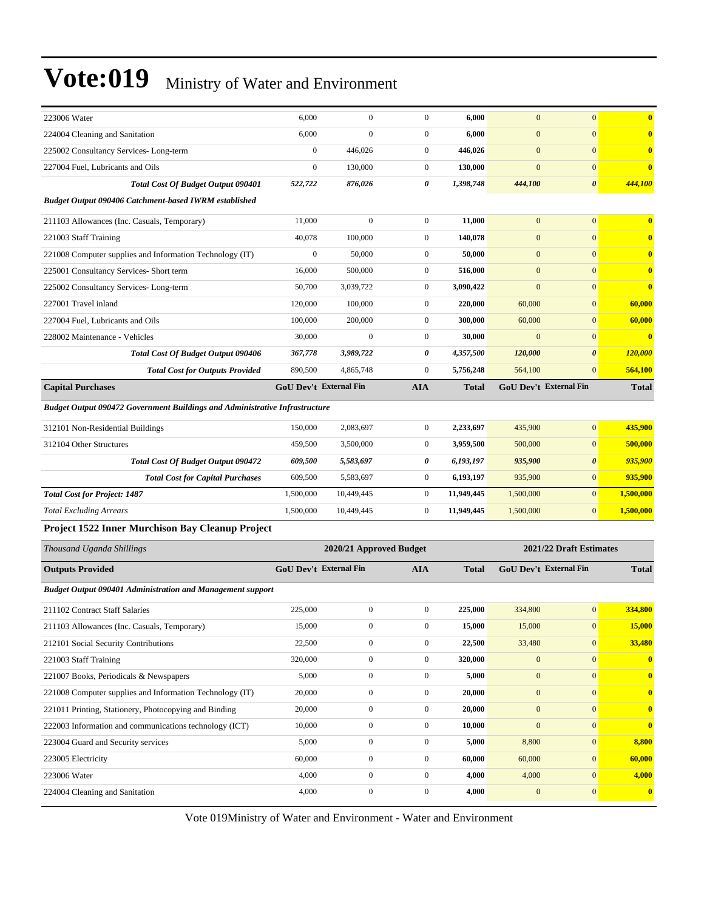| 223006 Water                                                                       | 6,000                         | $\boldsymbol{0}$        | $\boldsymbol{0}$ | 6,000        | $\boldsymbol{0}$ | $\mathbf{0}$            | $\overline{\mathbf{0}}$ |
|------------------------------------------------------------------------------------|-------------------------------|-------------------------|------------------|--------------|------------------|-------------------------|-------------------------|
| 224004 Cleaning and Sanitation                                                     | 6,000                         | $\boldsymbol{0}$        | $\boldsymbol{0}$ | 6,000        | $\boldsymbol{0}$ | $\mathbf{0}$            | $\mathbf{0}$            |
| 225002 Consultancy Services-Long-term                                              | $\boldsymbol{0}$              | 446,026                 | $\boldsymbol{0}$ | 446,026      | $\boldsymbol{0}$ | $\mathbf{0}$            | $\mathbf{0}$            |
| 227004 Fuel, Lubricants and Oils                                                   | $\mathbf{0}$                  | 130,000                 | $\boldsymbol{0}$ | 130,000      | $\mathbf{0}$     | $\mathbf{0}$            | $\mathbf{0}$            |
| <b>Total Cost Of Budget Output 090401</b>                                          | 522,722                       | 876,026                 | 0                | 1,398,748    | 444,100          | $\pmb{\theta}$          | 444,100                 |
| <b>Budget Output 090406 Catchment-based IWRM established</b>                       |                               |                         |                  |              |                  |                         |                         |
| 211103 Allowances (Inc. Casuals, Temporary)                                        | 11,000                        | $\boldsymbol{0}$        | $\boldsymbol{0}$ | 11,000       | $\mathbf{0}$     | $\mathbf{0}$            | $\bf{0}$                |
| 221003 Staff Training                                                              | 40,078                        | 100,000                 | $\boldsymbol{0}$ | 140,078      | $\boldsymbol{0}$ | $\mathbf{0}$            | $\mathbf{0}$            |
| 221008 Computer supplies and Information Technology (IT)                           | $\boldsymbol{0}$              | 50,000                  | $\boldsymbol{0}$ | 50,000       | $\boldsymbol{0}$ | $\mathbf{0}$            | $\mathbf{0}$            |
| 225001 Consultancy Services- Short term                                            | 16,000                        | 500,000                 | $\boldsymbol{0}$ | 516,000      | $\boldsymbol{0}$ | $\mathbf{0}$            | $\bf{0}$                |
| 225002 Consultancy Services-Long-term                                              | 50,700                        | 3,039,722               | $\boldsymbol{0}$ | 3,090,422    | $\boldsymbol{0}$ | $\mathbf{0}$            | $\overline{\mathbf{0}}$ |
| 227001 Travel inland                                                               | 120,000                       | 100,000                 | $\boldsymbol{0}$ | 220,000      | 60,000           | $\mathbf{0}$            | 60,000                  |
| 227004 Fuel, Lubricants and Oils                                                   | 100,000                       | 200,000                 | $\boldsymbol{0}$ | 300,000      | 60,000           | $\mathbf{0}$            | 60,000                  |
| 228002 Maintenance - Vehicles                                                      | 30,000                        | $\overline{0}$          | $\boldsymbol{0}$ | 30,000       | $\overline{0}$   | $\mathbf{0}$            | $\overline{\mathbf{0}}$ |
| <b>Total Cost Of Budget Output 090406</b>                                          | 367,778                       | 3,989,722               | 0                | 4,357,500    | 120,000          | $\boldsymbol{\theta}$   | 120,000                 |
| <b>Total Cost for Outputs Provided</b>                                             | 890,500                       | 4,865,748               | $\boldsymbol{0}$ | 5,756,248    | 564,100          | $\mathbf{0}$            | 564,100                 |
| <b>Capital Purchases</b>                                                           | <b>GoU Dev't External Fin</b> |                         | <b>AIA</b>       | <b>Total</b> |                  | GoU Dev't External Fin  | <b>Total</b>            |
| <b>Budget Output 090472 Government Buildings and Administrative Infrastructure</b> |                               |                         |                  |              |                  |                         |                         |
| 312101 Non-Residential Buildings                                                   | 150,000                       | 2,083,697               | $\boldsymbol{0}$ | 2,233,697    | 435,900          | $\mathbf{0}$            | 435,900                 |
| 312104 Other Structures                                                            | 459,500                       | 3,500,000               | $\boldsymbol{0}$ | 3,959,500    | 500,000          | $\mathbf{0}$            | 500,000                 |
| <b>Total Cost Of Budget Output 090472</b>                                          | 609,500                       | 5,583,697               | 0                | 6,193,197    | 935,900          | $\boldsymbol{\theta}$   | 935,900                 |
| <b>Total Cost for Capital Purchases</b>                                            | 609,500                       | 5,583,697               | $\boldsymbol{0}$ | 6,193,197    | 935,900          | $\boldsymbol{0}$        | 935,900                 |
| <b>Total Cost for Project: 1487</b>                                                | 1,500,000                     | 10,449,445              | $\boldsymbol{0}$ | 11,949,445   | 1,500,000        | $\overline{0}$          | 1,500,000               |
| <b>Total Excluding Arrears</b>                                                     | 1,500,000                     | 10,449,445              | $\boldsymbol{0}$ | 11,949,445   | 1,500,000        | $\mathbf{0}$            | 1,500,000               |
| Project 1522 Inner Murchison Bay Cleanup Project                                   |                               |                         |                  |              |                  |                         |                         |
|                                                                                    |                               |                         |                  |              |                  |                         |                         |
| Thousand Uganda Shillings                                                          |                               | 2020/21 Approved Budget |                  |              |                  | 2021/22 Draft Estimates |                         |
| <b>Outputs Provided</b>                                                            | GoU Dev't External Fin        |                         | <b>AIA</b>       | <b>Total</b> |                  | GoU Dev't External Fin  | <b>Total</b>            |
| <b>Budget Output 090401 Administration and Management support</b>                  |                               |                         |                  |              |                  |                         |                         |
| 211102 Contract Staff Salaries                                                     | 225,000                       | $\boldsymbol{0}$        | $\boldsymbol{0}$ | 225,000      | 334,800          | $\mathbf{0}$            | 334,800                 |
| 211103 Allowances (Inc. Casuals, Temporary)                                        | 15,000                        | $\boldsymbol{0}$        | $\boldsymbol{0}$ | 15,000       | 15,000           | $\bf{0}$                | 15,000                  |
| 212101 Social Security Contributions                                               | 22,500                        | $\boldsymbol{0}$        | $\boldsymbol{0}$ | 22,500       | 33,480           | $\mathbf{0}$            | 33,480                  |
| 221003 Staff Training                                                              | 320,000                       | $\boldsymbol{0}$        | $\boldsymbol{0}$ | 320,000      | $\boldsymbol{0}$ | $\mathbf{0}$            | $\bf{0}$                |
| 221007 Books, Periodicals & Newspapers                                             | 5,000                         | $\boldsymbol{0}$        | $\boldsymbol{0}$ | 5,000        | $\mathbf{0}$     | $\mathbf{0}$            | $\bf{0}$                |
| 221008 Computer supplies and Information Technology (IT)                           | 20,000                        | $\boldsymbol{0}$        | $\boldsymbol{0}$ | 20,000       | $\boldsymbol{0}$ | $\mathbf{0}$            | $\bf{0}$                |
| 221011 Printing, Stationery, Photocopying and Binding                              | 20,000                        | $\boldsymbol{0}$        | $\boldsymbol{0}$ | 20,000       | $\boldsymbol{0}$ | $\overline{0}$          | $\bf{0}$                |
| 222003 Information and communications technology (ICT)                             | 10,000                        | $\boldsymbol{0}$        | $\boldsymbol{0}$ | 10,000       | $\boldsymbol{0}$ | $\mathbf{0}$            | $\bf{0}$                |
| 223004 Guard and Security services                                                 |                               |                         |                  |              |                  | $\mathbf{0}$            | 8,800                   |
| 223005 Electricity                                                                 | 5,000                         | $\boldsymbol{0}$        | $\boldsymbol{0}$ | 5,000        | 8,800            |                         |                         |
|                                                                                    | 60,000                        | $\boldsymbol{0}$        | $\boldsymbol{0}$ | 60,000       | 60,000           | $\mathbf{0}$            | 60,000                  |
| 223006 Water                                                                       | 4,000                         | $\boldsymbol{0}$        | $\boldsymbol{0}$ | 4,000        | 4,000            | $\mathbf{0}$            | 4,000                   |
| 224004 Cleaning and Sanitation                                                     | 4,000                         | $\boldsymbol{0}$        | $\boldsymbol{0}$ | 4,000        | $\boldsymbol{0}$ | $\boldsymbol{0}$        | $\boldsymbol{0}$        |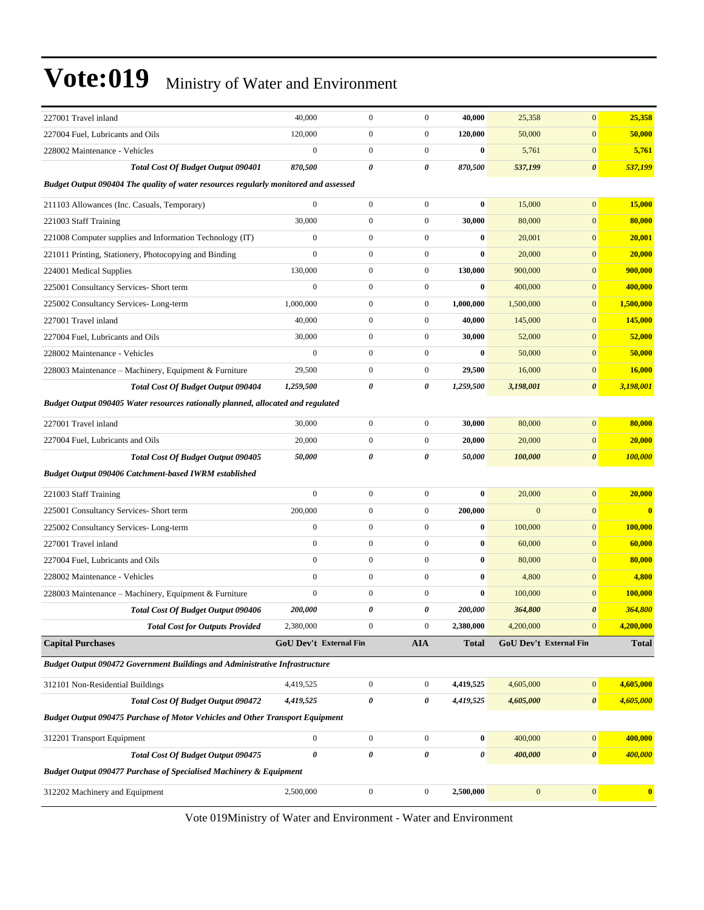| 227001 Travel inland                                                                 | 40,000                        | $\boldsymbol{0}$ | $\boldsymbol{0}$      | 40,000                | 25,358         | $\mathbf{0}$           | 25,358       |
|--------------------------------------------------------------------------------------|-------------------------------|------------------|-----------------------|-----------------------|----------------|------------------------|--------------|
| 227004 Fuel, Lubricants and Oils                                                     | 120,000                       | $\boldsymbol{0}$ | $\boldsymbol{0}$      | 120,000               | 50,000         | $\mathbf{0}$           | 50,000       |
| 228002 Maintenance - Vehicles                                                        | $\boldsymbol{0}$              | $\boldsymbol{0}$ | $\boldsymbol{0}$      | $\bf{0}$              | 5,761          | $\mathbf{0}$           | 5,761        |
| <b>Total Cost Of Budget Output 090401</b>                                            | 870,500                       | 0                | 0                     | 870,500               | 537,199        | $\boldsymbol{\theta}$  | 537,199      |
| Budget Output 090404 The quality of water resources regularly monitored and assessed |                               |                  |                       |                       |                |                        |              |
| 211103 Allowances (Inc. Casuals, Temporary)                                          | $\boldsymbol{0}$              | $\boldsymbol{0}$ | $\boldsymbol{0}$      | $\bf{0}$              | 15,000         | $\mathbf{0}$           | 15,000       |
| 221003 Staff Training                                                                | 30,000                        | $\boldsymbol{0}$ | $\boldsymbol{0}$      | 30,000                | 80,000         | $\mathbf{0}$           | 80,000       |
| 221008 Computer supplies and Information Technology (IT)                             | $\mathbf{0}$                  | $\boldsymbol{0}$ | $\boldsymbol{0}$      | $\bf{0}$              | 20,001         | $\mathbf{0}$           | 20,001       |
| 221011 Printing, Stationery, Photocopying and Binding                                | $\overline{0}$                | $\boldsymbol{0}$ | $\boldsymbol{0}$      | $\bf{0}$              | 20,000         | $\mathbf{0}$           | 20,000       |
| 224001 Medical Supplies                                                              | 130,000                       | $\boldsymbol{0}$ | $\boldsymbol{0}$      | 130,000               | 900,000        | $\mathbf{0}$           | 900,000      |
| 225001 Consultancy Services- Short term                                              | $\boldsymbol{0}$              | $\boldsymbol{0}$ | $\boldsymbol{0}$      | $\bf{0}$              | 400,000        | $\mathbf{0}$           | 400,000      |
| 225002 Consultancy Services-Long-term                                                | 1,000,000                     | $\boldsymbol{0}$ | $\boldsymbol{0}$      | 1,000,000             | 1,500,000      | $\mathbf{0}$           | 1,500,000    |
| 227001 Travel inland                                                                 | 40,000                        | $\boldsymbol{0}$ | $\boldsymbol{0}$      | 40,000                | 145,000        | $\mathbf{0}$           | 145,000      |
| 227004 Fuel, Lubricants and Oils                                                     | 30,000                        | $\boldsymbol{0}$ | $\boldsymbol{0}$      | 30,000                | 52,000         | $\mathbf{0}$           | 52,000       |
| 228002 Maintenance - Vehicles                                                        | $\overline{0}$                | $\boldsymbol{0}$ | $\boldsymbol{0}$      | $\bf{0}$              | 50,000         | $\mathbf{0}$           | 50,000       |
| 228003 Maintenance – Machinery, Equipment & Furniture                                | 29,500                        | $\boldsymbol{0}$ | $\boldsymbol{0}$      | 29,500                | 16,000         | $\mathbf{0}$           | 16,000       |
| <b>Total Cost Of Budget Output 090404</b>                                            | 1,259,500                     | 0                | 0                     | 1,259,500             | 3,198,001      | $\boldsymbol{\theta}$  | 3,198,001    |
| Budget Output 090405 Water resources rationally planned, allocated and regulated     |                               |                  |                       |                       |                |                        |              |
| 227001 Travel inland                                                                 | 30,000                        | $\boldsymbol{0}$ | $\boldsymbol{0}$      | 30,000                | 80,000         | $\boldsymbol{0}$       | 80,000       |
| 227004 Fuel, Lubricants and Oils                                                     | 20,000                        | $\boldsymbol{0}$ | $\boldsymbol{0}$      | 20,000                | 20,000         | $\mathbf{0}$           | 20,000       |
| Total Cost Of Budget Output 090405                                                   | 50,000                        | 0                | 0                     | 50,000                | 100,000        | $\boldsymbol{\theta}$  | 100,000      |
| <b>Budget Output 090406 Catchment-based IWRM established</b>                         |                               |                  |                       |                       |                |                        |              |
| 221003 Staff Training                                                                | $\boldsymbol{0}$              | $\boldsymbol{0}$ | $\boldsymbol{0}$      | $\bf{0}$              | 20,000         | $\mathbf{0}$           | 20,000       |
| 225001 Consultancy Services- Short term                                              | 200,000                       | $\boldsymbol{0}$ | $\boldsymbol{0}$      | 200,000               | $\overline{0}$ | $\mathbf{0}$           | $\bf{0}$     |
| 225002 Consultancy Services-Long-term                                                | $\boldsymbol{0}$              | $\boldsymbol{0}$ | $\boldsymbol{0}$      | $\bf{0}$              | 100,000        | $\mathbf{0}$           | 100,000      |
| 227001 Travel inland                                                                 | $\boldsymbol{0}$              | $\boldsymbol{0}$ | $\boldsymbol{0}$      | $\bf{0}$              | 60,000         | $\mathbf{0}$           | 60,000       |
| 227004 Fuel, Lubricants and Oils                                                     | $\overline{0}$                | $\boldsymbol{0}$ | $\boldsymbol{0}$      | $\bf{0}$              | 80,000         | $\mathbf{0}$           | 80,000       |
| 228002 Maintenance - Vehicles                                                        | $\overline{0}$                | $\boldsymbol{0}$ | $\boldsymbol{0}$      | $\bf{0}$              | 4,800          | $\mathbf{0}$           | 4,800        |
| 228003 Maintenance - Machinery, Equipment & Furniture                                | $\overline{0}$                | $\boldsymbol{0}$ | $\boldsymbol{0}$      | $\bf{0}$              | 100,000        | $\mathbf{0}$           | 100,000      |
| <b>Total Cost Of Budget Output 090406</b>                                            | 200,000                       | 0                | 0                     | 200,000               | 364,800        | $\boldsymbol{\theta}$  | 364,800      |
| <b>Total Cost for Outputs Provided</b>                                               | 2,380,000                     | $\boldsymbol{0}$ | $\boldsymbol{0}$      | 2,380,000             | 4,200,000      | $\boldsymbol{0}$       | 4,200,000    |
| <b>Capital Purchases</b>                                                             | <b>GoU Dev't External Fin</b> |                  | <b>AIA</b>            | Total                 |                | GoU Dev't External Fin | <b>Total</b> |
| Budget Output 090472 Government Buildings and Administrative Infrastructure          |                               |                  |                       |                       |                |                        |              |
| 312101 Non-Residential Buildings                                                     | 4,419,525                     | $\boldsymbol{0}$ | $\boldsymbol{0}$      | 4,419,525             | 4,605,000      | $\mathbf{0}$           | 4,605,000    |
| <b>Total Cost Of Budget Output 090472</b>                                            | 4,419,525                     | $\pmb{\theta}$   | 0                     | 4,419,525             | 4,605,000      | $\boldsymbol{\theta}$  | 4,605,000    |
| <b>Budget Output 090475 Purchase of Motor Vehicles and Other Transport Equipment</b> |                               |                  |                       |                       |                |                        |              |
| 312201 Transport Equipment                                                           | $\boldsymbol{0}$              | $\boldsymbol{0}$ | $\boldsymbol{0}$      | $\mathbf{0}$          | 400,000        | $\boldsymbol{0}$       | 400,000      |
| Total Cost Of Budget Output 090475                                                   | 0                             | $\pmb{\theta}$   | $\boldsymbol{\theta}$ | $\boldsymbol{\theta}$ | 400,000        | $\pmb{\theta}$         | 400,000      |
| <b>Budget Output 090477 Purchase of Specialised Machinery &amp; Equipment</b>        |                               |                  |                       |                       |                |                        |              |
| 312202 Machinery and Equipment                                                       | 2,500,000                     | $\boldsymbol{0}$ | $\boldsymbol{0}$      | 2,500,000             | $\mathbf{0}$   | $\mathbf{0}$           | $\bf{0}$     |
|                                                                                      |                               |                  |                       |                       |                |                        |              |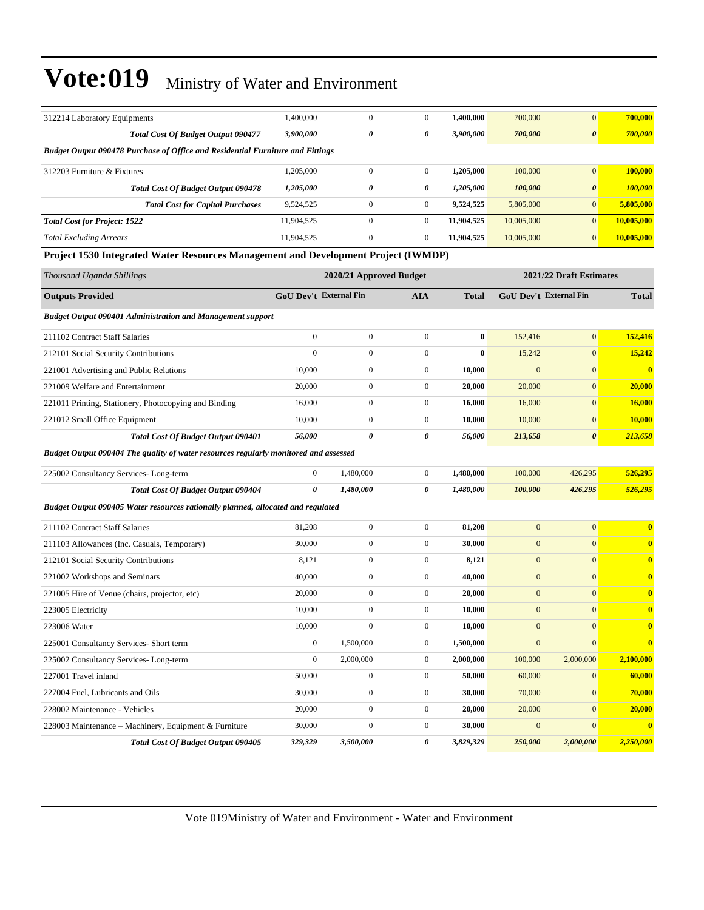| 312214 Laboratory Equipments                                                         | 1,400,000              | $\boldsymbol{0}$        | $\boldsymbol{0}$ | 1,400,000    | 700,000          | $\mathbf{0}$            | 700,000                 |
|--------------------------------------------------------------------------------------|------------------------|-------------------------|------------------|--------------|------------------|-------------------------|-------------------------|
| Total Cost Of Budget Output 090477                                                   | 3,900,000              | 0                       | 0                | 3,900,000    | 700,000          | $\boldsymbol{\theta}$   | 700,000                 |
| Budget Output 090478 Purchase of Office and Residential Furniture and Fittings       |                        |                         |                  |              |                  |                         |                         |
| 312203 Furniture & Fixtures                                                          | 1,205,000              | $\boldsymbol{0}$        | $\boldsymbol{0}$ | 1,205,000    | 100,000          | $\mathbf{0}$            | 100,000                 |
| <b>Total Cost Of Budget Output 090478</b>                                            | 1,205,000              | 0                       | 0                | 1,205,000    | 100,000          | $\pmb{\theta}$          | 100,000                 |
| <b>Total Cost for Capital Purchases</b>                                              | 9,524,525              | $\boldsymbol{0}$        | $\mathbf{0}$     | 9,524,525    | 5,805,000        | $\mathbf{0}$            | 5,805,000               |
| <b>Total Cost for Project: 1522</b>                                                  | 11,904,525             | $\boldsymbol{0}$        | $\mathbf{0}$     | 11,904,525   | 10,005,000       | $\overline{0}$          | 10,005,000              |
| <b>Total Excluding Arrears</b>                                                       | 11,904,525             | $\mathbf{0}$            | $\boldsymbol{0}$ | 11,904,525   | 10,005,000       | $\mathbf{0}$            | 10,005,000              |
| Project 1530 Integrated Water Resources Management and Development Project (IWMDP)   |                        |                         |                  |              |                  |                         |                         |
| Thousand Uganda Shillings                                                            |                        | 2020/21 Approved Budget |                  |              |                  | 2021/22 Draft Estimates |                         |
| <b>Outputs Provided</b>                                                              | GoU Dev't External Fin |                         | <b>AIA</b>       | <b>Total</b> |                  | GoU Dev't External Fin  | <b>Total</b>            |
| <b>Budget Output 090401 Administration and Management support</b>                    |                        |                         |                  |              |                  |                         |                         |
| 211102 Contract Staff Salaries                                                       | $\overline{0}$         | $\boldsymbol{0}$        | $\boldsymbol{0}$ | $\bf{0}$     | 152,416          | $\boldsymbol{0}$        | 152,416                 |
| 212101 Social Security Contributions                                                 | $\mathbf{0}$           | $\mathbf{0}$            | $\boldsymbol{0}$ | $\bf{0}$     | 15,242           | $\boldsymbol{0}$        | 15,242                  |
| 221001 Advertising and Public Relations                                              | 10,000                 | $\boldsymbol{0}$        | $\boldsymbol{0}$ | 10,000       | $\mathbf{0}$     | $\mathbf{0}$            | $\bf{0}$                |
| 221009 Welfare and Entertainment                                                     | 20,000                 | $\mathbf{0}$            | $\boldsymbol{0}$ | 20,000       | 20,000           | $\mathbf{0}$            | 20,000                  |
| 221011 Printing, Stationery, Photocopying and Binding                                | 16,000                 | $\mathbf{0}$            | $\boldsymbol{0}$ | 16,000       | 16,000           | $\mathbf{0}$            | 16,000                  |
| 221012 Small Office Equipment                                                        | 10,000                 | $\boldsymbol{0}$        | $\boldsymbol{0}$ | 10,000       | 10,000           | $\mathbf{0}$            | 10,000                  |
| <b>Total Cost Of Budget Output 090401</b>                                            | 56,000                 | 0                       | 0                | 56,000       | 213,658          | $\boldsymbol{\theta}$   | 213,658                 |
| Budget Output 090404 The quality of water resources regularly monitored and assessed |                        |                         |                  |              |                  |                         |                         |
| 225002 Consultancy Services-Long-term                                                | $\overline{0}$         | 1,480,000               | $\boldsymbol{0}$ | 1,480,000    | 100,000          | 426,295                 | 526,295                 |
| Total Cost Of Budget Output 090404                                                   | 0                      | 1,480,000               | 0                | 1,480,000    | 100,000          | 426,295                 | 526,295                 |
| Budget Output 090405 Water resources rationally planned, allocated and regulated     |                        |                         |                  |              |                  |                         |                         |
| 211102 Contract Staff Salaries                                                       | 81,208                 | $\mathbf{0}$            | $\boldsymbol{0}$ | 81,208       | $\mathbf{0}$     | $\mathbf{0}$            | $\overline{\mathbf{0}}$ |
| 211103 Allowances (Inc. Casuals, Temporary)                                          | 30,000                 | $\boldsymbol{0}$        | $\boldsymbol{0}$ | 30,000       | $\mathbf{0}$     | $\mathbf{0}$            | $\bf{0}$                |
| 212101 Social Security Contributions                                                 | 8,121                  | $\mathbf{0}$            | $\boldsymbol{0}$ | 8,121        | $\mathbf{0}$     | $\mathbf{0}$            | $\overline{\mathbf{0}}$ |
| 221002 Workshops and Seminars                                                        | 40,000                 | $\boldsymbol{0}$        | $\boldsymbol{0}$ | 40,000       | $\mathbf{0}$     | $\mathbf{0}$            | $\mathbf{0}$            |
| 221005 Hire of Venue (chairs, projector, etc)                                        | 20,000                 | $\boldsymbol{0}$        | $\boldsymbol{0}$ | 20,000       | $\mathbf{0}$     | $\mathbf{0}$            | $\mathbf{0}$            |
| 223005 Electricity                                                                   | 10,000                 | $\mathbf{0}$            | $\mathbf{0}$     | 10,000       | $\mathbf{0}$     | $\mathbf{0}$            | $\bf{0}$                |
| 223006 Water                                                                         | 10,000                 | $\boldsymbol{0}$        | $\boldsymbol{0}$ | 10,000       | $\mathbf{0}$     | $\boldsymbol{0}$        | $\bf{0}$                |
| 225001 Consultancy Services- Short term                                              | $\mathbf{0}$           | 1,500,000               | $\boldsymbol{0}$ | 1,500,000    | $\mathbf{0}$     | $\mathbf{0}$            | $\bf{0}$                |
| 225002 Consultancy Services-Long-term                                                | $\boldsymbol{0}$       | 2,000,000               | $\boldsymbol{0}$ | 2,000,000    | 100,000          | 2,000,000               | 2,100,000               |
| 227001 Travel inland                                                                 | 50,000                 | $\boldsymbol{0}$        | $\mathbf{0}$     | 50,000       | 60,000           | $\mathbf{0}$            | 60,000                  |
| 227004 Fuel, Lubricants and Oils                                                     | 30,000                 | $\boldsymbol{0}$        | $\boldsymbol{0}$ | 30,000       | 70,000           | $\boldsymbol{0}$        | 70,000                  |
| 228002 Maintenance - Vehicles                                                        | 20,000                 | $\boldsymbol{0}$        | $\boldsymbol{0}$ | 20,000       | 20,000           | $\boldsymbol{0}$        | 20,000                  |
| 228003 Maintenance – Machinery, Equipment & Furniture                                | 30,000                 | $\boldsymbol{0}$        | $\boldsymbol{0}$ | 30,000       | $\boldsymbol{0}$ | $\boldsymbol{0}$        | $\mathbf{0}$            |
| Total Cost Of Budget Output 090405                                                   | 329,329                | 3,500,000               | 0                | 3,829,329    | 250,000          | 2,000,000               | 2,250,000               |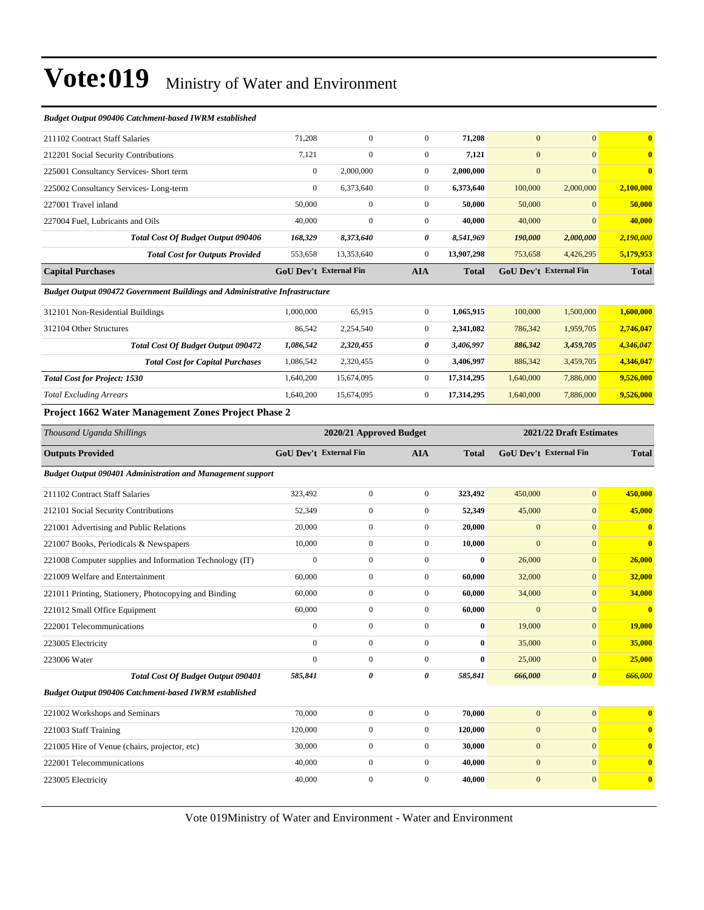| <b>Budget Output 090406 Catchment-based IWRM established</b>                       |                        |                         |                  |              |                        |                         |                         |  |  |
|------------------------------------------------------------------------------------|------------------------|-------------------------|------------------|--------------|------------------------|-------------------------|-------------------------|--|--|
| 211102 Contract Staff Salaries                                                     | 71,208                 | $\boldsymbol{0}$        | $\mathbf{0}$     | 71,208       | $\overline{0}$         | $\mathbf{0}$            | $\bf{0}$                |  |  |
| 212201 Social Security Contributions                                               | 7,121                  | $\mathbf{0}$            | $\boldsymbol{0}$ | 7,121        | $\mathbf{0}$           | $\mathbf{0}$            | $\overline{\mathbf{0}}$ |  |  |
| 225001 Consultancy Services- Short term                                            | $\boldsymbol{0}$       | 2,000,000               | $\boldsymbol{0}$ | 2,000,000    | $\mathbf{0}$           | $\overline{0}$          | $\overline{\mathbf{0}}$ |  |  |
| 225002 Consultancy Services-Long-term                                              | $\boldsymbol{0}$       | 6,373,640               | $\boldsymbol{0}$ | 6,373,640    | 100,000                | 2,000,000               | 2,100,000               |  |  |
| 227001 Travel inland                                                               | 50,000                 | $\mathbf{0}$            | $\boldsymbol{0}$ | 50,000       | 50,000                 | $\mathbf{0}$            | 50,000                  |  |  |
| 227004 Fuel, Lubricants and Oils                                                   | 40,000                 | $\mathbf{0}$            | $\boldsymbol{0}$ | 40,000       | 40,000                 | $\overline{0}$          | 40,000                  |  |  |
| <b>Total Cost Of Budget Output 090406</b>                                          | 168,329                | 8,373,640               | 0                | 8,541,969    | 190,000                | 2,000,000               | 2,190,000               |  |  |
| <b>Total Cost for Outputs Provided</b>                                             | 553,658                | 13,353,640              | $\boldsymbol{0}$ | 13,907,298   | 753,658                | 4,426,295               | 5,179,953               |  |  |
| <b>Capital Purchases</b>                                                           | GoU Dev't External Fin |                         | <b>AIA</b>       | <b>Total</b> | GoU Dev't External Fin |                         | <b>Total</b>            |  |  |
| <b>Budget Output 090472 Government Buildings and Administrative Infrastructure</b> |                        |                         |                  |              |                        |                         |                         |  |  |
| 312101 Non-Residential Buildings                                                   | 1,000,000              | 65,915                  | $\boldsymbol{0}$ | 1,065,915    | 100,000                | 1,500,000               | 1,600,000               |  |  |
| 312104 Other Structures                                                            | 86,542                 | 2,254,540               | $\boldsymbol{0}$ | 2,341,082    | 786,342                | 1,959,705               | 2,746,047               |  |  |
| <b>Total Cost Of Budget Output 090472</b>                                          | 1,086,542              | 2,320,455               | 0                | 3,406,997    | 886,342                | 3,459,705               | 4,346,047               |  |  |
| <b>Total Cost for Capital Purchases</b>                                            | 1,086,542              | 2,320,455               | $\boldsymbol{0}$ | 3,406,997    | 886,342                | 3,459,705               | 4,346,047               |  |  |
| <b>Total Cost for Project: 1530</b>                                                | 1,640,200              | 15,674,095              | $\boldsymbol{0}$ | 17,314,295   | 1,640,000              | 7,886,000               | 9,526,000               |  |  |
| <b>Total Excluding Arrears</b>                                                     | 1,640,200              | 15,674,095              | $\boldsymbol{0}$ | 17,314,295   | 1,640,000              | 7,886,000               | 9,526,000               |  |  |
| Project 1662 Water Management Zones Project Phase 2                                |                        |                         |                  |              |                        |                         |                         |  |  |
| Thousand Uganda Shillings                                                          |                        | 2020/21 Approved Budget |                  |              |                        | 2021/22 Draft Estimates |                         |  |  |
| <b>Outputs Provided</b>                                                            | GoU Dev't External Fin |                         | <b>AIA</b>       | <b>Total</b> | GoU Dev't External Fin |                         | <b>Total</b>            |  |  |
| Budget Output 090401 Administration and Management support                         |                        |                         |                  |              |                        |                         |                         |  |  |
| 211102 Contract Staff Salaries                                                     | 323,492                | $\boldsymbol{0}$        | $\boldsymbol{0}$ | 323,492      | 450,000                | $\mathbf{0}$            | 450,000                 |  |  |
| 212101 Social Security Contributions                                               | 52,349                 | $\mathbf{0}$            | $\boldsymbol{0}$ | 52,349       |                        |                         | 45,000                  |  |  |
|                                                                                    |                        |                         |                  |              | 45,000                 | $\mathbf{0}$            |                         |  |  |
| 221001 Advertising and Public Relations                                            | 20,000                 | $\boldsymbol{0}$        | $\mathbf{0}$     | 20,000       | $\mathbf{0}$           | $\mathbf{0}$            | $\bf{0}$                |  |  |
| 221007 Books, Periodicals & Newspapers                                             | 10,000                 | $\boldsymbol{0}$        | $\mathbf{0}$     | 10,000       | $\mathbf{0}$           | $\mathbf{0}$            | $\overline{\mathbf{0}}$ |  |  |
| 221008 Computer supplies and Information Technology (IT)                           | $\boldsymbol{0}$       | $\boldsymbol{0}$        | $\boldsymbol{0}$ | $\bf{0}$     | 26,000                 | $\mathbf{0}$            | 26,000                  |  |  |
| 221009 Welfare and Entertainment                                                   | 60,000                 | $\boldsymbol{0}$        | $\boldsymbol{0}$ | 60,000       | 32,000                 | $\mathbf{0}$            | 32,000                  |  |  |
| 221011 Printing, Stationery, Photocopying and Binding                              | 60,000                 | $\boldsymbol{0}$        | $\boldsymbol{0}$ | 60,000       | 34,000                 | $\mathbf{0}$            | 34,000                  |  |  |
| 221012 Small Office Equipment                                                      | 60,000                 | $\boldsymbol{0}$        | $\boldsymbol{0}$ | 60,000       | $\mathbf{0}$           | $\mathbf{0}$            | $\bf{0}$                |  |  |
| 222001 Telecommunications                                                          | $\mathbf{0}$           | $\mathbf{0}$            | $\overline{0}$   | $\bf{0}$     | 19,000                 | $\overline{0}$          | 19,000                  |  |  |
| 223005 Electricity                                                                 | $\boldsymbol{0}$       | $\boldsymbol{0}$        | $\boldsymbol{0}$ | $\bf{0}$     | 35,000                 | $\mathbf{0}$            | 35,000                  |  |  |
| 223006 Water                                                                       | $\boldsymbol{0}$       | $\boldsymbol{0}$        | $\boldsymbol{0}$ | $\bf{0}$     | 25,000                 | $\boldsymbol{0}$        | 25,000                  |  |  |
| <b>Total Cost Of Budget Output 090401</b>                                          | 585,841                | $\pmb{\theta}$          | 0                | 585,841      | 666,000                | $\boldsymbol{\theta}$   | 666,000                 |  |  |
| Budget Output 090406 Catchment-based IWRM established                              |                        |                         |                  |              |                        |                         |                         |  |  |
| 221002 Workshops and Seminars                                                      | 70,000                 | $\boldsymbol{0}$        | $\boldsymbol{0}$ | 70,000       | $\mathbf{0}$           | $\boldsymbol{0}$        | $\bf{0}$                |  |  |
| 221003 Staff Training                                                              | 120,000                | $\boldsymbol{0}$        | $\boldsymbol{0}$ | 120,000      | $\boldsymbol{0}$       | $\boldsymbol{0}$        | $\bf{0}$                |  |  |
| 221005 Hire of Venue (chairs, projector, etc)                                      | 30,000                 | $\boldsymbol{0}$        | $\boldsymbol{0}$ | 30,000       | $\mathbf{0}$           | $\mathbf{0}$            | $\mathbf{0}$            |  |  |
| 222001 Telecommunications                                                          | 40,000                 | $\boldsymbol{0}$        | $\boldsymbol{0}$ | 40,000       | $\boldsymbol{0}$       | $\mathbf{0}$            | $\bf{0}$                |  |  |
| 223005 Electricity                                                                 | 40,000                 | $\boldsymbol{0}$        | $\boldsymbol{0}$ | 40,000       | $\boldsymbol{0}$       | $\boldsymbol{0}$        | $\bf{0}$                |  |  |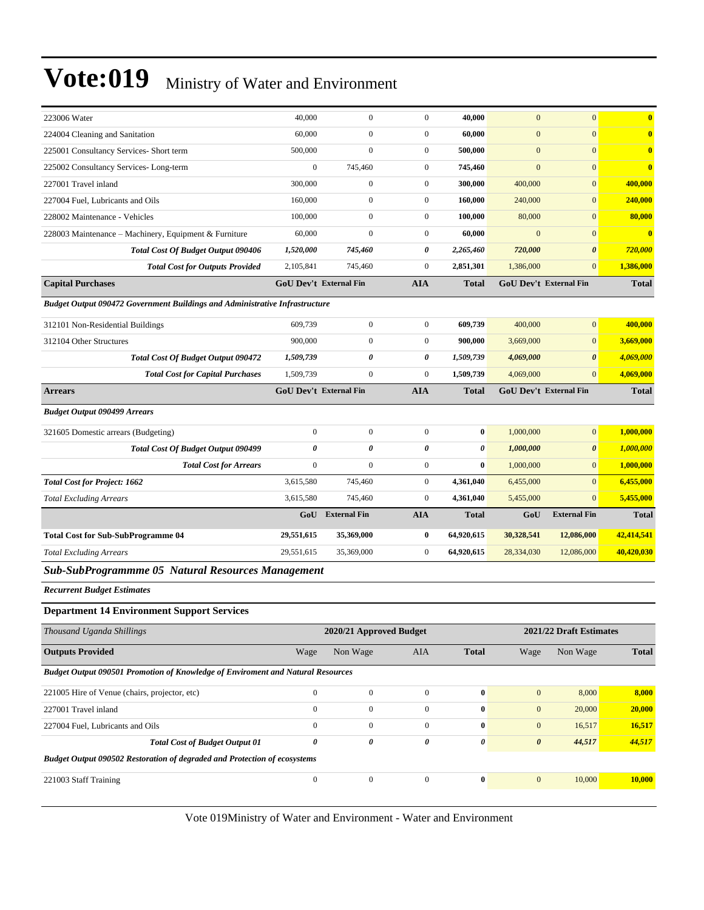| 223006 Water                                                                           | 40,000                        | $\mathbf{0}$                  | $\mathbf{0}$     | 40,000                | $\mathbf{0}$          | $\overline{0}$                | $\bf{0}$     |
|----------------------------------------------------------------------------------------|-------------------------------|-------------------------------|------------------|-----------------------|-----------------------|-------------------------------|--------------|
| 224004 Cleaning and Sanitation                                                         | 60,000                        | $\boldsymbol{0}$              | $\boldsymbol{0}$ | 60,000                | $\mathbf{0}$          | $\overline{0}$                | $\bf{0}$     |
| 225001 Consultancy Services- Short term                                                | 500,000                       | $\boldsymbol{0}$              | $\boldsymbol{0}$ | 500,000               | $\boldsymbol{0}$      | $\overline{0}$                | $\bf{0}$     |
| 225002 Consultancy Services-Long-term                                                  | $\mathbf{0}$                  | 745,460                       | $\boldsymbol{0}$ | 745,460               | $\mathbf{0}$          | $\mathbf{0}$                  | $\bf{0}$     |
| 227001 Travel inland                                                                   | 300,000                       | $\overline{0}$                | $\boldsymbol{0}$ | 300,000               | 400,000               | $\mathbf{0}$                  | 400,000      |
| 227004 Fuel, Lubricants and Oils                                                       | 160,000                       | $\boldsymbol{0}$              | $\boldsymbol{0}$ | 160,000               | 240,000               | $\mathbf{0}$                  | 240,000      |
| 228002 Maintenance - Vehicles                                                          | 100,000                       | $\boldsymbol{0}$              | $\boldsymbol{0}$ | 100,000               | 80,000                | $\overline{0}$                | 80,000       |
| 228003 Maintenance - Machinery, Equipment & Furniture                                  | 60,000                        | $\boldsymbol{0}$              | $\boldsymbol{0}$ | 60,000                | $\mathbf{0}$          | $\overline{0}$                | $\bf{0}$     |
| Total Cost Of Budget Output 090406                                                     | 1,520,000                     | 745,460                       | 0                | 2,265,460             | 720,000               | $\boldsymbol{\theta}$         | 720,000      |
| <b>Total Cost for Outputs Provided</b>                                                 | 2,105,841                     | 745,460                       | $\boldsymbol{0}$ | 2,851,301             | 1,386,000             | $\overline{0}$                | 1,386,000    |
| <b>Capital Purchases</b>                                                               |                               | <b>GoU Dev't External Fin</b> | <b>AIA</b>       | <b>Total</b>          |                       | <b>GoU Dev't External Fin</b> | <b>Total</b> |
| Budget Output 090472 Government Buildings and Administrative Infrastructure            |                               |                               |                  |                       |                       |                               |              |
| 312101 Non-Residential Buildings                                                       | 609,739                       | $\boldsymbol{0}$              | $\boldsymbol{0}$ | 609,739               | 400,000               | $\overline{0}$                | 400,000      |
| 312104 Other Structures                                                                | 900,000                       | $\boldsymbol{0}$              | $\boldsymbol{0}$ | 900,000               | 3,669,000             | $\overline{0}$                | 3,669,000    |
| Total Cost Of Budget Output 090472                                                     | 1,509,739                     | 0                             | 0                | 1,509,739             | 4,069,000             | $\boldsymbol{\theta}$         | 4,069,000    |
| <b>Total Cost for Capital Purchases</b>                                                | 1,509,739                     | $\boldsymbol{0}$              | $\boldsymbol{0}$ | 1,509,739             | 4,069,000             | $\overline{0}$                | 4,069,000    |
| <b>Arrears</b>                                                                         | <b>GoU Dev't External Fin</b> |                               | <b>AIA</b>       | <b>Total</b>          |                       | <b>GoU Dev't External Fin</b> | <b>Total</b> |
| <b>Budget Output 090499 Arrears</b>                                                    |                               |                               |                  |                       |                       |                               |              |
| 321605 Domestic arrears (Budgeting)                                                    | $\mathbf{0}$                  | $\boldsymbol{0}$              | $\overline{0}$   | $\bf{0}$              | 1,000,000             | $\overline{0}$                | 1,000,000    |
| <b>Total Cost Of Budget Output 090499</b>                                              | $\boldsymbol{\theta}$         | $\boldsymbol{\theta}$         | 0                | $\boldsymbol{\theta}$ | 1,000,000             | 0                             | 1,000,000    |
| <b>Total Cost for Arrears</b>                                                          | $\mathbf{0}$                  | $\boldsymbol{0}$              | $\boldsymbol{0}$ | $\bf{0}$              | 1,000,000             | $\mathbf{0}$                  | 1,000,000    |
| <b>Total Cost for Project: 1662</b>                                                    | 3,615,580                     | 745,460                       | $\boldsymbol{0}$ | 4,361,040             | 6,455,000             | $\mathbf{0}$                  | 6,455,000    |
| <b>Total Excluding Arrears</b>                                                         | 3,615,580                     | 745,460                       | $\boldsymbol{0}$ | 4,361,040             | 5,455,000             | $\overline{0}$                | 5,455,000    |
|                                                                                        | GoU                           | <b>External Fin</b>           | <b>AIA</b>       | <b>Total</b>          | GoU                   | <b>External Fin</b>           | <b>Total</b> |
| <b>Total Cost for Sub-SubProgramme 04</b>                                              | 29,551,615                    | 35,369,000                    | 0                | 64,920,615            | 30,328,541            | 12,086,000                    | 42,414,541   |
| <b>Total Excluding Arrears</b>                                                         | 29,551,615                    | 35,369,000                    | $\boldsymbol{0}$ | 64,920,615            | 28,334,030            | 12,086,000                    | 40,420,030   |
| Sub-SubProgrammme 05 Natural Resources Management                                      |                               |                               |                  |                       |                       |                               |              |
| <b>Recurrent Budget Estimates</b>                                                      |                               |                               |                  |                       |                       |                               |              |
| <b>Department 14 Environment Support Services</b>                                      |                               |                               |                  |                       |                       |                               |              |
| Thousand Uganda Shillings                                                              |                               | 2020/21 Approved Budget       |                  |                       |                       | 2021/22 Draft Estimates       |              |
| <b>Outputs Provided</b>                                                                | Wage                          | Non Wage                      | AIA              | <b>Total</b>          | Wage                  | Non Wage                      | <b>Total</b> |
| <b>Budget Output 090501 Promotion of Knowledge of Enviroment and Natural Resources</b> |                               |                               |                  |                       |                       |                               |              |
| 221005 Hire of Venue (chairs, projector, etc)                                          | $\boldsymbol{0}$              | $\boldsymbol{0}$              | $\boldsymbol{0}$ | $\bf{0}$              | $\mathbf{0}$          | 8,000                         | 8,000        |
| 227001 Travel inland                                                                   | $\mathbf{0}$                  | $\boldsymbol{0}$              | $\boldsymbol{0}$ | $\boldsymbol{0}$      | $\mathbf{0}$          | 20,000                        | 20,000       |
| 227004 Fuel, Lubricants and Oils                                                       | $\boldsymbol{0}$              | $\boldsymbol{0}$              | $\overline{0}$   | $\bf{0}$              | $\mathbf{0}$          | 16,517                        | 16,517       |
| <b>Total Cost of Budget Output 01</b>                                                  | $\boldsymbol{\theta}$         | 0                             | 0                | 0                     | $\boldsymbol{\theta}$ | 44,517                        | 44,517       |
| Budget Output 090502 Restoration of degraded and Protection of ecosystems              |                               |                               |                  |                       |                       |                               |              |
| 221003 Staff Training                                                                  | $\boldsymbol{0}$              | $\boldsymbol{0}$              | $\boldsymbol{0}$ | $\mathbf{0}$          | $\boldsymbol{0}$      | 10,000                        | 10,000       |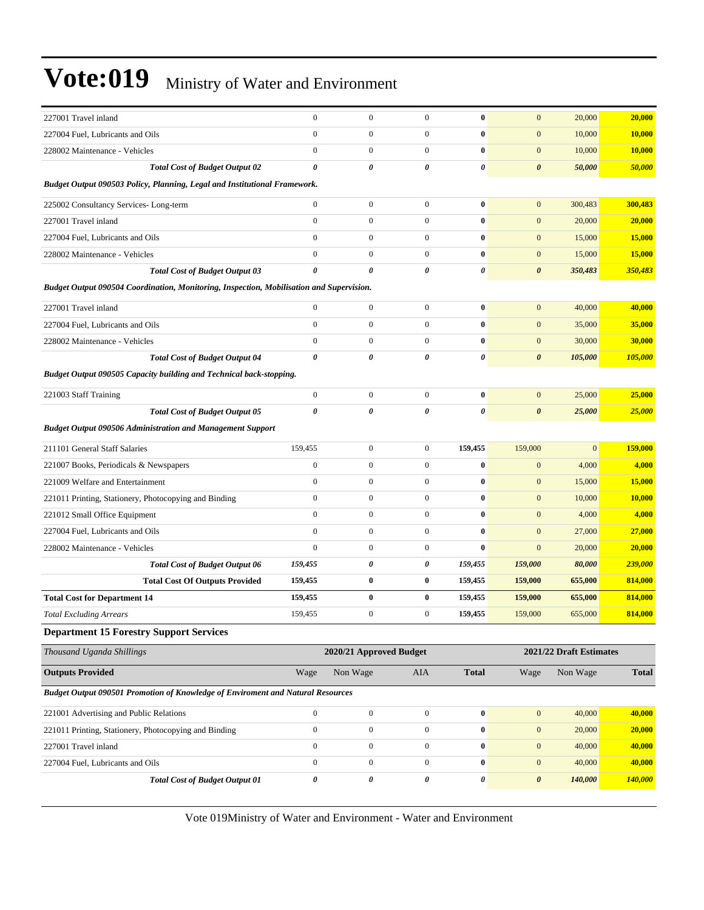| 227001 Travel inland                                                                     | $\mathbf{0}$          | $\boldsymbol{0}$        | $\mathbf{0}$     | $\bf{0}$              | $\mathbf{0}$          | 20,000                  | 20,000        |
|------------------------------------------------------------------------------------------|-----------------------|-------------------------|------------------|-----------------------|-----------------------|-------------------------|---------------|
| 227004 Fuel, Lubricants and Oils                                                         | $\boldsymbol{0}$      | $\boldsymbol{0}$        | $\boldsymbol{0}$ | $\bf{0}$              | $\mathbf{0}$          | 10,000                  | 10,000        |
| 228002 Maintenance - Vehicles                                                            | $\mathbf{0}$          | $\boldsymbol{0}$        | $\boldsymbol{0}$ | $\bf{0}$              | $\mathbf{0}$          | 10,000                  | 10,000        |
| <b>Total Cost of Budget Output 02</b>                                                    | $\boldsymbol{\theta}$ | 0                       | 0                | $\pmb{\theta}$        | $\boldsymbol{\theta}$ | 50,000                  | 50,000        |
| Budget Output 090503 Policy, Planning, Legal and Institutional Framework.                |                       |                         |                  |                       |                       |                         |               |
| 225002 Consultancy Services-Long-term                                                    | $\boldsymbol{0}$      | $\boldsymbol{0}$        | $\mathbf{0}$     | $\bf{0}$              | $\mathbf{0}$          | 300,483                 | 300,483       |
| 227001 Travel inland                                                                     | $\mathbf{0}$          | $\boldsymbol{0}$        | $\overline{0}$   | $\bf{0}$              | $\mathbf{0}$          | 20,000                  | 20,000        |
| 227004 Fuel. Lubricants and Oils                                                         | $\mathbf{0}$          | $\boldsymbol{0}$        | $\boldsymbol{0}$ | $\bf{0}$              | $\mathbf{0}$          | 15,000                  | 15,000        |
| 228002 Maintenance - Vehicles                                                            | $\mathbf{0}$          | $\boldsymbol{0}$        | $\boldsymbol{0}$ | $\bf{0}$              | $\mathbf{0}$          | 15,000                  | 15,000        |
| <b>Total Cost of Budget Output 03</b>                                                    | $\boldsymbol{\theta}$ | 0                       | 0                | 0                     | $\boldsymbol{\theta}$ | 350,483                 | 350,483       |
| Budget Output 090504 Coordination, Monitoring, Inspection, Mobilisation and Supervision. |                       |                         |                  |                       |                       |                         |               |
| 227001 Travel inland                                                                     | $\boldsymbol{0}$      | $\boldsymbol{0}$        | $\boldsymbol{0}$ | $\bf{0}$              | $\mathbf{0}$          | 40,000                  | 40,000        |
| 227004 Fuel, Lubricants and Oils                                                         | $\mathbf{0}$          | $\boldsymbol{0}$        | $\boldsymbol{0}$ | $\bf{0}$              | $\mathbf{0}$          | 35,000                  | 35,000        |
| 228002 Maintenance - Vehicles                                                            | $\boldsymbol{0}$      | $\boldsymbol{0}$        | $\mathbf{0}$     | $\bf{0}$              | $\mathbf{0}$          | 30,000                  | 30,000        |
| <b>Total Cost of Budget Output 04</b>                                                    | $\boldsymbol{\theta}$ | 0                       | 0                | $\pmb{\theta}$        | $\boldsymbol{\theta}$ | 105,000                 | 105,000       |
| Budget Output 090505 Capacity building and Technical back-stopping.                      |                       |                         |                  |                       |                       |                         |               |
| 221003 Staff Training                                                                    | $\boldsymbol{0}$      | $\boldsymbol{0}$        | $\mathbf{0}$     | $\bf{0}$              | $\mathbf{0}$          | 25,000                  | 25,000        |
| <b>Total Cost of Budget Output 05</b>                                                    | $\boldsymbol{\theta}$ | 0                       | 0                | $\boldsymbol{\theta}$ | $\boldsymbol{\theta}$ | 25,000                  | 25,000        |
| <b>Budget Output 090506 Administration and Management Support</b>                        |                       |                         |                  |                       |                       |                         |               |
| 211101 General Staff Salaries                                                            | 159,455               | $\boldsymbol{0}$        | $\boldsymbol{0}$ | 159,455               | 159,000               | $\mathbf{0}$            | 159,000       |
| 221007 Books, Periodicals & Newspapers                                                   | $\boldsymbol{0}$      | $\boldsymbol{0}$        | $\boldsymbol{0}$ | $\bf{0}$              | $\mathbf{0}$          | 4,000                   | 4,000         |
| 221009 Welfare and Entertainment                                                         | $\boldsymbol{0}$      | $\boldsymbol{0}$        | $\boldsymbol{0}$ | $\bf{0}$              | $\boldsymbol{0}$      | 15,000                  | 15,000        |
| 221011 Printing, Stationery, Photocopying and Binding                                    | $\mathbf{0}$          | $\boldsymbol{0}$        | $\boldsymbol{0}$ | $\bf{0}$              | $\mathbf{0}$          | 10,000                  | <b>10,000</b> |
| 221012 Small Office Equipment                                                            | $\boldsymbol{0}$      | $\boldsymbol{0}$        | $\boldsymbol{0}$ | $\bf{0}$              | $\mathbf{0}$          | 4,000                   | 4,000         |
| 227004 Fuel, Lubricants and Oils                                                         | $\mathbf{0}$          | $\boldsymbol{0}$        | $\boldsymbol{0}$ | $\bf{0}$              | $\mathbf{0}$          | 27,000                  | 27,000        |
| 228002 Maintenance - Vehicles                                                            | $\mathbf{0}$          | $\boldsymbol{0}$        | $\boldsymbol{0}$ | $\bf{0}$              | $\mathbf{0}$          | 20,000                  | 20,000        |
| <b>Total Cost of Budget Output 06</b>                                                    | 159,455               | 0                       | 0                | 159,455               | 159,000               | 80,000                  | 239,000       |
| <b>Total Cost Of Outputs Provided</b>                                                    | 159,455               | $\bf{0}$                | $\bf{0}$         | 159,455               | 159,000               | 655,000                 | 814,000       |
| <b>Total Cost for Department 14</b>                                                      | 159,455               | $\bf{0}$                | 0                | 159,455               | 159,000               | 655,000                 | 814,000       |
| <b>Total Excluding Arrears</b>                                                           | 159.455               | $\boldsymbol{0}$        | $\boldsymbol{0}$ | 159,455               | 159,000               | 655,000                 | 814,000       |
| <b>Department 15 Forestry Support Services</b>                                           |                       |                         |                  |                       |                       |                         |               |
| Thousand Uganda Shillings                                                                |                       | 2020/21 Approved Budget |                  |                       |                       | 2021/22 Draft Estimates |               |
| <b>Outputs Provided</b>                                                                  | Wage                  | Non Wage                | <b>AIA</b>       | <b>Total</b>          | Wage                  | Non Wage                | <b>Total</b>  |
| <b>Budget Output 090501 Promotion of Knowledge of Enviroment and Natural Resources</b>   |                       |                         |                  |                       |                       |                         |               |
| 221001 Advertising and Public Relations                                                  | $\boldsymbol{0}$      | $\boldsymbol{0}$        | $\boldsymbol{0}$ | $\boldsymbol{0}$      | $\boldsymbol{0}$      | 40,000                  | 40,000        |
| 221011 Printing, Stationery, Photocopying and Binding                                    | $\boldsymbol{0}$      | $\boldsymbol{0}$        | $\boldsymbol{0}$ | $\pmb{0}$             | $\boldsymbol{0}$      | 20,000                  | 20,000        |
| 227001 Travel inland                                                                     | $\boldsymbol{0}$      | $\overline{0}$          | $\boldsymbol{0}$ | $\boldsymbol{0}$      | $\boldsymbol{0}$      | 40,000                  | 40,000        |
| 227004 Fuel, Lubricants and Oils                                                         | $\boldsymbol{0}$      | $\boldsymbol{0}$        | $\mathbf{0}$     | $\bf{0}$              | $\boldsymbol{0}$      | 40,000                  | 40,000        |
| <b>Total Cost of Budget Output 01</b>                                                    | $\boldsymbol{\theta}$ | 0                       | $\pmb{\theta}$   | $\pmb{\theta}$        | $\boldsymbol{\theta}$ | 140,000                 | 140,000       |
|                                                                                          |                       |                         |                  |                       |                       |                         |               |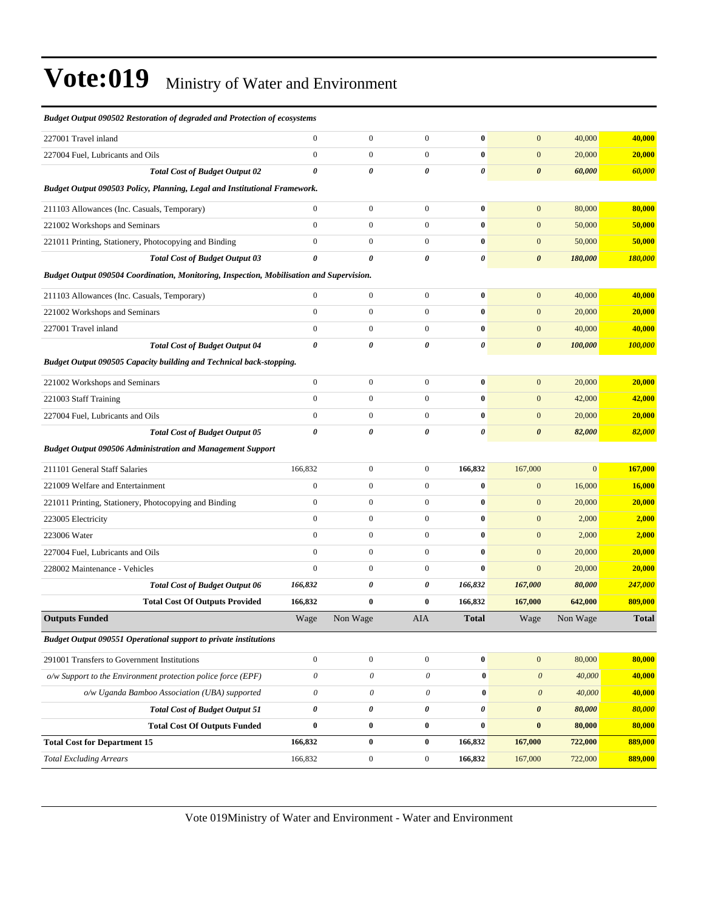| <b>Budget Output 090502 Restoration of degraded and Protection of ecosystems</b>         |                           |                       |                       |              |                       |              |              |
|------------------------------------------------------------------------------------------|---------------------------|-----------------------|-----------------------|--------------|-----------------------|--------------|--------------|
| 227001 Travel inland                                                                     | $\mathbf{0}$              | $\boldsymbol{0}$      | $\boldsymbol{0}$      | $\bf{0}$     | $\mathbf{0}$          | 40,000       | 40,000       |
| 227004 Fuel, Lubricants and Oils                                                         | $\mathbf{0}$              | $\mathbf{0}$          | $\overline{0}$        | $\bf{0}$     | $\mathbf{0}$          | 20,000       | 20,000       |
| <b>Total Cost of Budget Output 02</b>                                                    | $\boldsymbol{\theta}$     | 0                     | $\boldsymbol{\theta}$ | 0            | $\boldsymbol{\theta}$ | 60,000       | 60,000       |
| Budget Output 090503 Policy, Planning, Legal and Institutional Framework.                |                           |                       |                       |              |                       |              |              |
| 211103 Allowances (Inc. Casuals, Temporary)                                              | $\mathbf{0}$              | $\boldsymbol{0}$      | $\boldsymbol{0}$      | $\bf{0}$     | $\mathbf{0}$          | 80,000       | 80,000       |
| 221002 Workshops and Seminars                                                            | $\mathbf{0}$              | $\boldsymbol{0}$      | $\boldsymbol{0}$      | $\bf{0}$     | $\mathbf{0}$          | 50,000       | 50,000       |
| 221011 Printing, Stationery, Photocopying and Binding                                    | $\boldsymbol{0}$          | $\boldsymbol{0}$      | $\boldsymbol{0}$      | $\bf{0}$     | $\boldsymbol{0}$      | 50,000       | 50,000       |
| <b>Total Cost of Budget Output 03</b>                                                    | $\boldsymbol{\theta}$     | 0                     | $\boldsymbol{\theta}$ | 0            | $\boldsymbol{\theta}$ | 180,000      | 180,000      |
| Budget Output 090504 Coordination, Monitoring, Inspection, Mobilisation and Supervision. |                           |                       |                       |              |                       |              |              |
| 211103 Allowances (Inc. Casuals, Temporary)                                              | $\mathbf{0}$              | $\boldsymbol{0}$      | $\boldsymbol{0}$      | $\bf{0}$     | $\mathbf{0}$          | 40,000       | 40,000       |
| 221002 Workshops and Seminars                                                            | $\boldsymbol{0}$          | $\boldsymbol{0}$      | $\boldsymbol{0}$      | $\bf{0}$     | $\mathbf{0}$          | 20,000       | 20,000       |
| 227001 Travel inland                                                                     | $\boldsymbol{0}$          | $\boldsymbol{0}$      | $\boldsymbol{0}$      | $\bf{0}$     | $\mathbf{0}$          | 40,000       | 40,000       |
| <b>Total Cost of Budget Output 04</b>                                                    | $\boldsymbol{\theta}$     | 0                     | 0                     | 0            | $\boldsymbol{\theta}$ | 100,000      | 100,000      |
| Budget Output 090505 Capacity building and Technical back-stopping.                      |                           |                       |                       |              |                       |              |              |
| 221002 Workshops and Seminars                                                            | $\boldsymbol{0}$          | $\boldsymbol{0}$      | $\boldsymbol{0}$      | $\bf{0}$     | $\mathbf{0}$          | 20,000       | 20,000       |
| 221003 Staff Training                                                                    | $\mathbf{0}$              | $\boldsymbol{0}$      | $\boldsymbol{0}$      | $\bf{0}$     | $\mathbf{0}$          | 42,000       | 42,000       |
| 227004 Fuel, Lubricants and Oils                                                         | $\mathbf{0}$              | $\mathbf{0}$          | $\overline{0}$        | $\bf{0}$     | $\mathbf{0}$          | 20,000       | 20,000       |
| <b>Total Cost of Budget Output 05</b>                                                    | $\boldsymbol{\theta}$     | 0                     | 0                     | 0            | $\boldsymbol{\theta}$ | 82,000       | 82,000       |
| <b>Budget Output 090506 Administration and Management Support</b>                        |                           |                       |                       |              |                       |              |              |
| 211101 General Staff Salaries                                                            | 166,832                   | $\boldsymbol{0}$      | $\mathbf{0}$          | 166,832      | 167,000               | $\mathbf{0}$ | 167,000      |
| 221009 Welfare and Entertainment                                                         | $\boldsymbol{0}$          | $\boldsymbol{0}$      | $\overline{0}$        | $\bf{0}$     | $\boldsymbol{0}$      | 16,000       | 16,000       |
| 221011 Printing, Stationery, Photocopying and Binding                                    | $\boldsymbol{0}$          | $\boldsymbol{0}$      | $\boldsymbol{0}$      | $\bf{0}$     | $\boldsymbol{0}$      | 20,000       | 20,000       |
| 223005 Electricity                                                                       | $\boldsymbol{0}$          | $\boldsymbol{0}$      | $\boldsymbol{0}$      | $\bf{0}$     | $\mathbf{0}$          | 2,000        | 2,000        |
| 223006 Water                                                                             | $\mathbf{0}$              | $\boldsymbol{0}$      | $\boldsymbol{0}$      | $\bf{0}$     | $\mathbf{0}$          | 2,000        | 2,000        |
| 227004 Fuel, Lubricants and Oils                                                         | $\mathbf{0}$              | $\mathbf{0}$          | $\overline{0}$        | $\bf{0}$     | $\mathbf{0}$          | 20,000       | 20,000       |
| 228002 Maintenance - Vehicles                                                            | $\mathbf{0}$              | $\boldsymbol{0}$      | $\mathbf{0}$          | $\bf{0}$     | $\mathbf{0}$          | 20,000       | 20,000       |
| <b>Total Cost of Budget Output 06</b>                                                    | 166,832                   | 0                     | 0                     | 166,832      | 167,000               | 80,000       | 247,000      |
| <b>Total Cost Of Outputs Provided</b>                                                    | 166,832                   | $\bf{0}$              | $\bf{0}$              | 166,832      | 167,000               | 642,000      | 809,000      |
| <b>Outputs Funded</b>                                                                    | Wage                      | Non Wage              | AIA                   | <b>Total</b> | Wage                  | Non Wage     | <b>Total</b> |
| Budget Output 090551 Operational support to private institutions                         |                           |                       |                       |              |                       |              |              |
| 291001 Transfers to Government Institutions                                              | $\boldsymbol{0}$          | $\boldsymbol{0}$      | $\boldsymbol{0}$      | $\bf{0}$     | $\mathbf{0}$          | 80,000       | 80,000       |
| $o/w$ Support to the Environment protection police force (EPF)                           | $\boldsymbol{\mathit{0}}$ | $\mathcal O$          | 0                     | $\bf{0}$     | $\boldsymbol{\theta}$ | 40,000       | 40,000       |
| o/w Uganda Bamboo Association (UBA) supported                                            | $\boldsymbol{\theta}$     | $\boldsymbol{\theta}$ | $\mathcal O$          | $\pmb{0}$    | $\boldsymbol{\theta}$ | 40,000       | 40,000       |
| <b>Total Cost of Budget Output 51</b>                                                    | $\boldsymbol{\theta}$     | $\pmb{\theta}$        | 0                     | 0            | $\pmb{\theta}$        | 80,000       | 80,000       |
| <b>Total Cost Of Outputs Funded</b>                                                      | $\bf{0}$                  | $\bf{0}$              | $\bf{0}$              | $\bf{0}$     | $\bf{0}$              | 80,000       | 80,000       |
| <b>Total Cost for Department 15</b>                                                      | 166,832                   | $\pmb{0}$             | $\bf{0}$              | 166,832      | 167,000               | 722,000      | 889,000      |
| <b>Total Excluding Arrears</b>                                                           | 166,832                   | $\boldsymbol{0}$      | $\boldsymbol{0}$      | 166,832      | 167,000               | 722,000      | 889,000      |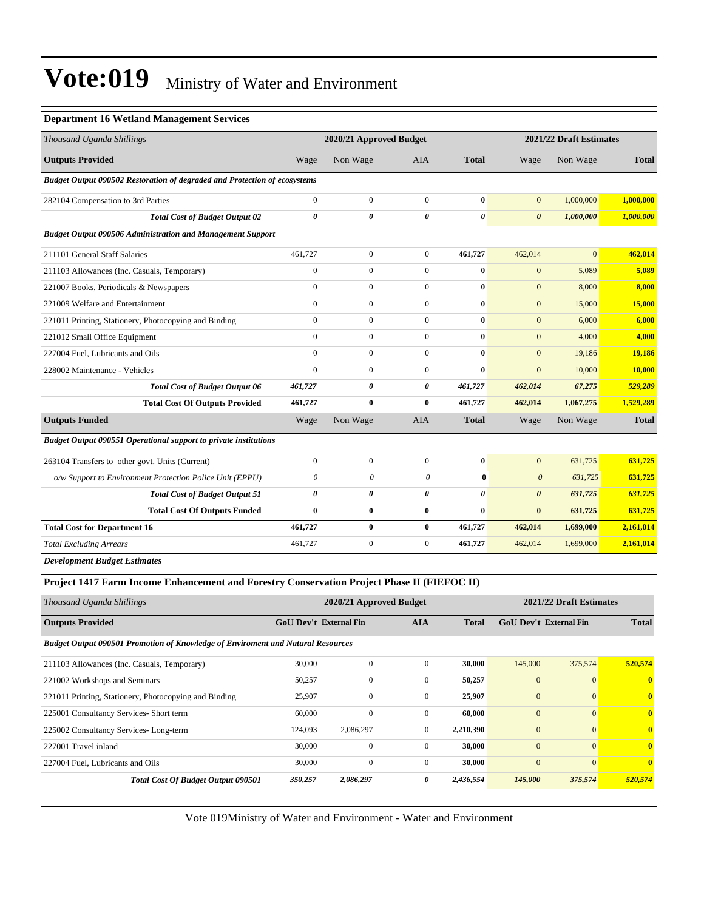#### **Department 16 Wetland Management Services**

| Thousand Uganda Shillings                                                 |                       | 2020/21 Approved Budget |                       |                       |                       | 2021/22 Draft Estimates |              |
|---------------------------------------------------------------------------|-----------------------|-------------------------|-----------------------|-----------------------|-----------------------|-------------------------|--------------|
| <b>Outputs Provided</b>                                                   | Wage                  | Non Wage                | <b>AIA</b>            | <b>Total</b>          | Wage                  | Non Wage                | <b>Total</b> |
| Budget Output 090502 Restoration of degraded and Protection of ecosystems |                       |                         |                       |                       |                       |                         |              |
| 282104 Compensation to 3rd Parties                                        | $\mathbf{0}$          | $\mathbf{0}$            | $\mathbf{0}$          | $\bf{0}$              | $\overline{0}$        | 1,000,000               | 1,000,000    |
| <b>Total Cost of Budget Output 02</b>                                     | $\boldsymbol{\theta}$ | 0                       | $\boldsymbol{\theta}$ | $\boldsymbol{\theta}$ | $\boldsymbol{\theta}$ | 1,000,000               | 1,000,000    |
| <b>Budget Output 090506 Administration and Management Support</b>         |                       |                         |                       |                       |                       |                         |              |
| 211101 General Staff Salaries                                             | 461,727               | $\mathbf{0}$            | $\mathbf{0}$          | 461,727               | 462,014               | $\overline{0}$          | 462,014      |
| 211103 Allowances (Inc. Casuals, Temporary)                               | $\mathbf{0}$          | $\mathbf{0}$            | $\mathbf{0}$          | $\bf{0}$              | $\mathbf{0}$          | 5,089                   | 5,089        |
| 221007 Books, Periodicals & Newspapers                                    | $\mathbf{0}$          | $\mathbf{0}$            | $\mathbf{0}$          | $\bf{0}$              | $\overline{0}$        | 8,000                   | 8,000        |
| 221009 Welfare and Entertainment                                          | $\overline{0}$        | $\mathbf{0}$            | $\mathbf{0}$          | $\bf{0}$              | $\overline{0}$        | 15,000                  | 15,000       |
| 221011 Printing, Stationery, Photocopying and Binding                     | $\mathbf{0}$          | $\mathbf{0}$            | $\mathbf{0}$          | $\bf{0}$              | $\overline{0}$        | 6,000                   | 6,000        |
| 221012 Small Office Equipment                                             | $\Omega$              | $\mathbf{0}$            | $\Omega$              | $\bf{0}$              | $\overline{0}$        | 4,000                   | 4,000        |
| 227004 Fuel, Lubricants and Oils                                          | $\overline{0}$        | $\mathbf{0}$            | $\mathbf{0}$          | $\bf{0}$              | $\mathbf{0}$          | 19,186                  | 19,186       |
| 228002 Maintenance - Vehicles                                             | $\theta$              | $\Omega$                | $\Omega$              | $\bf{0}$              | $\overline{0}$        | 10,000                  | 10,000       |
| <b>Total Cost of Budget Output 06</b>                                     | 461,727               | 0                       | $\boldsymbol{\theta}$ | 461,727               | 462,014               | 67,275                  | 529,289      |
| <b>Total Cost Of Outputs Provided</b>                                     | 461,727               | $\bf{0}$                | $\bf{0}$              | 461.727               | 462,014               | 1,067,275               | 1,529,289    |
| <b>Outputs Funded</b>                                                     | Wage                  | Non Wage                | <b>AIA</b>            | <b>Total</b>          | Wage                  | Non Wage                | <b>Total</b> |
| <b>Budget Output 090551 Operational support to private institutions</b>   |                       |                         |                       |                       |                       |                         |              |
| 263104 Transfers to other govt. Units (Current)                           | $\boldsymbol{0}$      | $\mathbf{0}$            | $\mathbf{0}$          | $\bf{0}$              | $\overline{0}$        | 631,725                 | 631,725      |
| o/w Support to Environment Protection Police Unit (EPPU)                  | $\theta$              | 0                       | $\theta$              | $\bf{0}$              | $\mathcal{O}$         | 631,725                 | 631,725      |
| <b>Total Cost of Budget Output 51</b>                                     | $\boldsymbol{\theta}$ | 0                       | $\boldsymbol{\theta}$ | $\boldsymbol{\theta}$ | $\boldsymbol{\theta}$ | 631,725                 | 631,725      |
| <b>Total Cost Of Outputs Funded</b>                                       | $\bf{0}$              | $\bf{0}$                | $\bf{0}$              | $\bf{0}$              | $\bf{0}$              | 631,725                 | 631,725      |
| <b>Total Cost for Department 16</b>                                       | 461,727               | $\bf{0}$                | $\bf{0}$              | 461,727               | 462,014               | 1,699,000               | 2,161,014    |
| <b>Total Excluding Arrears</b>                                            | 461,727               | $\mathbf{0}$            | $\mathbf{0}$          | 461,727               | 462,014               | 1,699,000               | 2,161,014    |
| <b>Development Budget Estimates</b>                                       |                       |                         |                       |                       |                       |                         |              |

#### **Project 1417 Farm Income Enhancement and Forestry Conservation Project Phase II (FIEFOC II)**

| Thousand Uganda Shillings                                                              |                               | 2020/21 Approved Budget |                |              | 2021/22 Draft Estimates |                               |              |
|----------------------------------------------------------------------------------------|-------------------------------|-------------------------|----------------|--------------|-------------------------|-------------------------------|--------------|
| <b>Outputs Provided</b>                                                                | <b>GoU Dev't External Fin</b> |                         | <b>AIA</b>     | <b>Total</b> |                         | <b>GoU</b> Dev't External Fin |              |
| <b>Budget Output 090501 Promotion of Knowledge of Enviroment and Natural Resources</b> |                               |                         |                |              |                         |                               |              |
| 211103 Allowances (Inc. Casuals, Temporary)                                            | 30,000                        | $\mathbf{0}$            | $\mathbf{0}$   | 30,000       | 145,000                 | 375,574                       | 520,574      |
| 221002 Workshops and Seminars                                                          | 50,257                        | $\mathbf{0}$            | $\overline{0}$ | 50,257       | $\mathbf{0}$            | $\mathbf{0}$                  | $\mathbf{0}$ |
| 221011 Printing, Stationery, Photocopying and Binding                                  | 25,907                        | $\Omega$                | $\overline{0}$ | 25,907       | $\mathbf{0}$            | $\mathbf{0}$                  | $\mathbf{0}$ |
| 225001 Consultancy Services- Short term                                                | 60,000                        | $\mathbf{0}$            | $\mathbf{0}$   | 60,000       | $\mathbf{0}$            | $\mathbf{0}$                  | $\mathbf{0}$ |
| 225002 Consultancy Services-Long-term                                                  | 124,093                       | 2,086,297               | $\mathbf{0}$   | 2,210,390    | $\mathbf{0}$            | $\mathbf{0}$                  | $\bf{0}$     |
| 227001 Travel inland                                                                   | 30,000                        | $\mathbf{0}$            | $\mathbf{0}$   | 30,000       | $\mathbf{0}$            | $\mathbf{0}$                  | $\mathbf{0}$ |
| 227004 Fuel, Lubricants and Oils                                                       | 30,000                        | $\mathbf{0}$            | $\mathbf{0}$   | 30,000       | $\mathbf{0}$            | $\mathbf{0}$                  | $\mathbf{0}$ |
| <b>Total Cost Of Budget Output 090501</b>                                              | 350,257                       | 2,086,297               | 0              | 2,436,554    | 145,000                 | 375,574                       | 520,574      |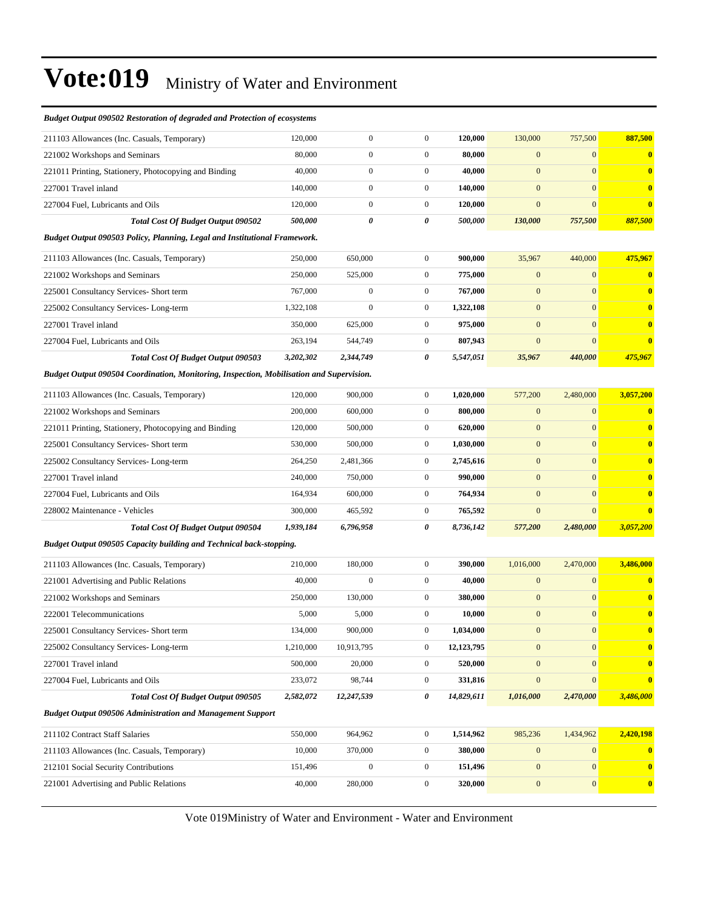| <b>Budget Output 090502 Restoration of degraded and Protection of ecosystems</b>         |           |                  |                  |            |                  |                  |                  |
|------------------------------------------------------------------------------------------|-----------|------------------|------------------|------------|------------------|------------------|------------------|
| 211103 Allowances (Inc. Casuals, Temporary)                                              | 120,000   | $\boldsymbol{0}$ | $\boldsymbol{0}$ | 120,000    | 130,000          | 757,500          | 887,500          |
| 221002 Workshops and Seminars                                                            | 80,000    | $\boldsymbol{0}$ | $\boldsymbol{0}$ | 80,000     | $\mathbf{0}$     | $\overline{0}$   | $\bf{0}$         |
| 221011 Printing, Stationery, Photocopying and Binding                                    | 40,000    | $\boldsymbol{0}$ | $\boldsymbol{0}$ | 40,000     | $\mathbf{0}$     | $\overline{0}$   | $\bf{0}$         |
| 227001 Travel inland                                                                     | 140,000   | $\boldsymbol{0}$ | $\boldsymbol{0}$ | 140,000    | $\mathbf{0}$     | $\overline{0}$   | $\bf{0}$         |
| 227004 Fuel, Lubricants and Oils                                                         | 120,000   | $\boldsymbol{0}$ | $\boldsymbol{0}$ | 120,000    | $\mathbf{0}$     | $\overline{0}$   | $\bf{0}$         |
| <b>Total Cost Of Budget Output 090502</b>                                                | 500,000   | 0                | 0                | 500,000    | 130,000          | 757,500          | 887,500          |
| Budget Output 090503 Policy, Planning, Legal and Institutional Framework.                |           |                  |                  |            |                  |                  |                  |
| 211103 Allowances (Inc. Casuals, Temporary)                                              | 250,000   | 650,000          | $\boldsymbol{0}$ | 900,000    | 35,967           | 440,000          | 475,967          |
| 221002 Workshops and Seminars                                                            | 250,000   | 525,000          | $\boldsymbol{0}$ | 775,000    | $\mathbf{0}$     | $\mathbf{0}$     | $\bf{0}$         |
| 225001 Consultancy Services- Short term                                                  | 767,000   | $\boldsymbol{0}$ | $\boldsymbol{0}$ | 767,000    | $\mathbf{0}$     | $\overline{0}$   | $\bf{0}$         |
| 225002 Consultancy Services-Long-term                                                    | 1,322,108 | $\mathbf{0}$     | $\boldsymbol{0}$ | 1,322,108  | $\mathbf{0}$     | $\overline{0}$   | $\bf{0}$         |
| 227001 Travel inland                                                                     | 350,000   | 625,000          | $\boldsymbol{0}$ | 975,000    | $\mathbf{0}$     | $\overline{0}$   | $\bf{0}$         |
| 227004 Fuel, Lubricants and Oils                                                         | 263,194   | 544,749          | $\boldsymbol{0}$ | 807,943    | $\mathbf{0}$     | $\overline{0}$   | $\bf{0}$         |
| <b>Total Cost Of Budget Output 090503</b>                                                | 3,202,302 | 2,344,749        | 0                | 5,547,051  | 35,967           | 440,000          | 475,967          |
| Budget Output 090504 Coordination, Monitoring, Inspection, Mobilisation and Supervision. |           |                  |                  |            |                  |                  |                  |
| 211103 Allowances (Inc. Casuals, Temporary)                                              | 120,000   | 900,000          | $\boldsymbol{0}$ | 1,020,000  | 577,200          | 2,480,000        | 3,057,200        |
| 221002 Workshops and Seminars                                                            | 200,000   | 600,000          | $\boldsymbol{0}$ | 800,000    | $\mathbf{0}$     | $\mathbf{0}$     | $\bf{0}$         |
| 221011 Printing, Stationery, Photocopying and Binding                                    | 120,000   | 500,000          | $\boldsymbol{0}$ | 620,000    | $\boldsymbol{0}$ | $\mathbf{0}$     | $\bf{0}$         |
| 225001 Consultancy Services- Short term                                                  | 530,000   | 500,000          | $\boldsymbol{0}$ | 1,030,000  | $\boldsymbol{0}$ | $\overline{0}$   | $\bf{0}$         |
| 225002 Consultancy Services-Long-term                                                    | 264,250   | 2,481,366        | $\boldsymbol{0}$ | 2,745,616  | $\boldsymbol{0}$ | $\mathbf{0}$     | $\bf{0}$         |
| 227001 Travel inland                                                                     | 240,000   | 750,000          | $\boldsymbol{0}$ | 990,000    | $\mathbf{0}$     | $\overline{0}$   | $\bf{0}$         |
| 227004 Fuel, Lubricants and Oils                                                         | 164,934   | 600,000          | $\boldsymbol{0}$ | 764,934    | $\mathbf{0}$     | $\mathbf{0}$     | $\bf{0}$         |
| 228002 Maintenance - Vehicles                                                            | 300,000   | 465,592          | $\boldsymbol{0}$ | 765,592    | $\boldsymbol{0}$ | $\overline{0}$   | $\bf{0}$         |
| <b>Total Cost Of Budget Output 090504</b>                                                | 1,939,184 | 6,796,958        | 0                | 8,736,142  | 577,200          | 2,480,000        | 3,057,200        |
| <b>Budget Output 090505 Capacity building and Technical back-stopping.</b>               |           |                  |                  |            |                  |                  |                  |
| 211103 Allowances (Inc. Casuals, Temporary)                                              | 210,000   | 180,000          | $\boldsymbol{0}$ | 390,000    | 1,016,000        | 2,470,000        | 3,486,000        |
| 221001 Advertising and Public Relations                                                  | 40,000    | $\boldsymbol{0}$ | $\boldsymbol{0}$ | 40,000     | $\mathbf{0}$     | $\overline{0}$   | $\bf{0}$         |
| 221002 Workshops and Seminars                                                            | 250,000   | 130,000          | $\boldsymbol{0}$ | 380,000    | $\mathbf{0}$     | $\mathbf{0}$     | $\bf{0}$         |
| 222001 Telecommunications                                                                | 5,000     | 5,000            | $\overline{0}$   | 10,000     | $\boldsymbol{0}$ | $\mathbf{0}$     | $\bf{0}$         |
| 225001 Consultancy Services- Short term                                                  | 134,000   | 900,000          | $\boldsymbol{0}$ | 1,034,000  | $\boldsymbol{0}$ | $\boldsymbol{0}$ | $\bf{0}$         |
| 225002 Consultancy Services-Long-term                                                    | 1,210,000 | 10,913,795       | $\boldsymbol{0}$ | 12,123,795 | $\boldsymbol{0}$ | $\overline{0}$   | $\bf{0}$         |
| 227001 Travel inland                                                                     | 500,000   | 20,000           | $\boldsymbol{0}$ | 520,000    | $\mathbf{0}$     | $\overline{0}$   | $\bf{0}$         |
| 227004 Fuel, Lubricants and Oils                                                         | 233,072   | 98,744           | $\boldsymbol{0}$ | 331,816    | $\boldsymbol{0}$ | $\overline{0}$   | $\bf{0}$         |
| Total Cost Of Budget Output 090505                                                       | 2,582,072 | 12,247,539       | 0                | 14,829,611 | 1,016,000        | 2,470,000        | 3,486,000        |
| <b>Budget Output 090506 Administration and Management Support</b>                        |           |                  |                  |            |                  |                  |                  |
| 211102 Contract Staff Salaries                                                           | 550,000   | 964,962          | $\boldsymbol{0}$ | 1,514,962  | 985,236          | 1,434,962        | 2,420,198        |
| 211103 Allowances (Inc. Casuals, Temporary)                                              | 10,000    | 370,000          | $\boldsymbol{0}$ | 380,000    | $\bf{0}$         | $\mathbf{0}$     | $\mathbf{0}$     |
| 212101 Social Security Contributions                                                     | 151,496   | $\boldsymbol{0}$ | $\boldsymbol{0}$ | 151,496    | $\bf{0}$         | $\boldsymbol{0}$ | $\bf{0}$         |
| 221001 Advertising and Public Relations                                                  | 40,000    | 280,000          | $\boldsymbol{0}$ | 320,000    | $\boldsymbol{0}$ | $\boldsymbol{0}$ | $\boldsymbol{0}$ |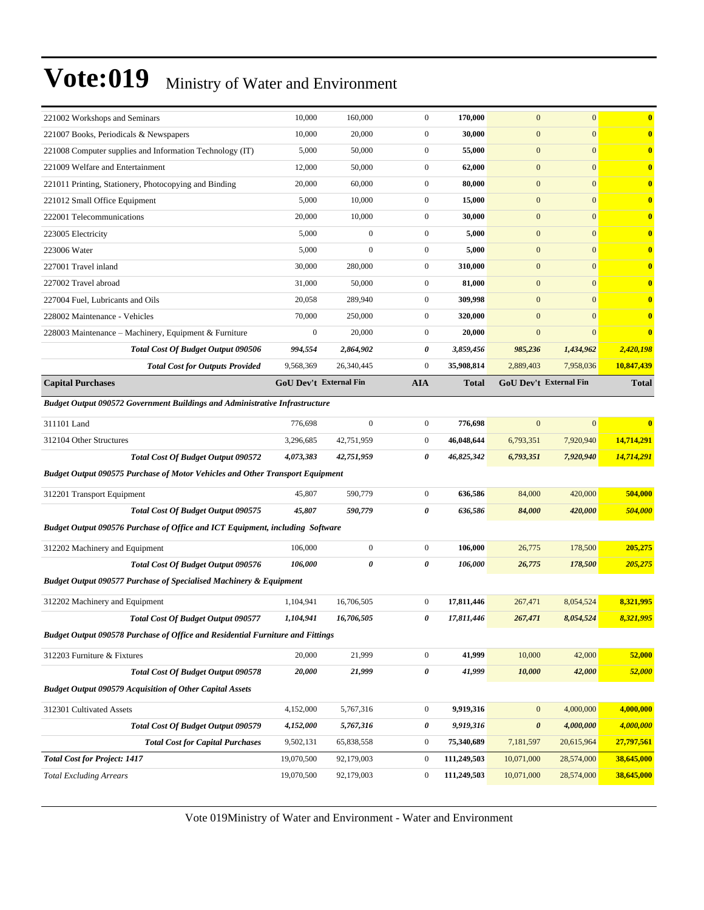| 221002 Workshops and Seminars                                                        | 10,000           | 160,000                       | $\boldsymbol{0}$ | 170,000      | $\mathbf{0}$     | $\mathbf{0}$                  | $\overline{\mathbf{0}}$ |
|--------------------------------------------------------------------------------------|------------------|-------------------------------|------------------|--------------|------------------|-------------------------------|-------------------------|
| 221007 Books, Periodicals & Newspapers                                               | 10,000           | 20,000                        | $\boldsymbol{0}$ | 30,000       | $\mathbf{0}$     | $\mathbf{0}$                  | $\bf{0}$                |
| 221008 Computer supplies and Information Technology (IT)                             | 5,000            | 50,000                        | $\boldsymbol{0}$ | 55,000       | $\mathbf{0}$     | $\mathbf{0}$                  | $\overline{\mathbf{0}}$ |
| 221009 Welfare and Entertainment                                                     | 12,000           | 50,000                        | $\boldsymbol{0}$ | 62,000       | $\mathbf{0}$     | $\overline{0}$                | $\bf{0}$                |
| 221011 Printing, Stationery, Photocopying and Binding                                | 20,000           | 60,000                        | $\boldsymbol{0}$ | 80,000       | $\boldsymbol{0}$ | $\mathbf{0}$                  | $\mathbf{0}$            |
| 221012 Small Office Equipment                                                        | 5,000            | 10,000                        | $\boldsymbol{0}$ | 15,000       | $\mathbf{0}$     | $\mathbf{0}$                  | $\mathbf{0}$            |
| 222001 Telecommunications                                                            | 20,000           | 10,000                        | $\boldsymbol{0}$ | 30,000       | $\mathbf{0}$     | $\mathbf{0}$                  | $\bf{0}$                |
| 223005 Electricity                                                                   | 5,000            | $\boldsymbol{0}$              | $\boldsymbol{0}$ | 5,000        | $\mathbf{0}$     | $\mathbf{0}$                  | $\overline{\mathbf{0}}$ |
| 223006 Water                                                                         | 5,000            | $\mathbf{0}$                  | $\boldsymbol{0}$ | 5,000        | $\mathbf{0}$     | $\mathbf{0}$                  | $\mathbf{0}$            |
| 227001 Travel inland                                                                 | 30,000           | 280,000                       | $\boldsymbol{0}$ | 310,000      | $\boldsymbol{0}$ | $\mathbf{0}$                  | $\mathbf{0}$            |
| 227002 Travel abroad                                                                 | 31,000           | 50,000                        | $\boldsymbol{0}$ | 81,000       | $\mathbf{0}$     | $\mathbf{0}$                  | $\mathbf{0}$            |
| 227004 Fuel, Lubricants and Oils                                                     | 20,058           | 289,940                       | $\boldsymbol{0}$ | 309,998      | $\mathbf{0}$     | $\mathbf{0}$                  | $\bf{0}$                |
| 228002 Maintenance - Vehicles                                                        | 70,000           | 250,000                       | $\boldsymbol{0}$ | 320,000      | $\mathbf{0}$     | $\mathbf{0}$                  | $\overline{\mathbf{0}}$ |
| 228003 Maintenance – Machinery, Equipment & Furniture                                | $\boldsymbol{0}$ | 20,000                        | $\boldsymbol{0}$ | 20,000       | $\mathbf{0}$     | $\mathbf{0}$                  | $\overline{\mathbf{0}}$ |
| <b>Total Cost Of Budget Output 090506</b>                                            | 994,554          | 2,864,902                     | 0                | 3,859,456    | 985,236          | 1,434,962                     | 2,420,198               |
| <b>Total Cost for Outputs Provided</b>                                               | 9,568,369        | 26,340,445                    | $\mathbf{0}$     | 35,908,814   | 2,889,403        | 7,958,036                     | 10,847,439              |
| <b>Capital Purchases</b>                                                             |                  | <b>GoU Dev't External Fin</b> | <b>AIA</b>       | <b>Total</b> |                  | <b>GoU Dev't External Fin</b> | <b>Total</b>            |
| <b>Budget Output 090572 Government Buildings and Administrative Infrastructure</b>   |                  |                               |                  |              |                  |                               |                         |
| 311101 Land                                                                          | 776,698          | $\boldsymbol{0}$              | $\boldsymbol{0}$ | 776,698      | $\mathbf{0}$     | $\mathbf{0}$                  | $\overline{\mathbf{0}}$ |
| 312104 Other Structures                                                              | 3,296,685        | 42,751,959                    | $\boldsymbol{0}$ | 46,048,644   | 6,793,351        | 7,920,940                     | 14,714,291              |
| <b>Total Cost Of Budget Output 090572</b>                                            | 4,073,383        | 42,751,959                    | 0                | 46,825,342   | 6,793,351        | 7,920,940                     | 14,714,291              |
| <b>Budget Output 090575 Purchase of Motor Vehicles and Other Transport Equipment</b> |                  |                               |                  |              |                  |                               |                         |
| 312201 Transport Equipment                                                           | 45,807           | 590,779                       | $\mathbf{0}$     | 636,586      | 84,000           | 420,000                       | 504,000                 |
| <b>Total Cost Of Budget Output 090575</b>                                            | 45,807           | 590,779                       | 0                | 636,586      | 84,000           | 420,000                       | 504,000                 |
| Budget Output 090576 Purchase of Office and ICT Equipment, including Software        |                  |                               |                  |              |                  |                               |                         |
| 312202 Machinery and Equipment                                                       | 106,000          | $\boldsymbol{0}$              | $\boldsymbol{0}$ | 106,000      | 26,775           | 178,500                       | 205,275                 |
| Total Cost Of Budget Output 090576                                                   | 106,000          | 0                             | 0                | 106,000      | 26,775           | 178,500                       | 205,275                 |
| <b>Budget Output 090577 Purchase of Specialised Machinery &amp; Equipment</b>        |                  |                               |                  |              |                  |                               |                         |
| 312202 Machinery and Equipment                                                       | 1,104,941        | 16,706,505                    | $\mathbf{0}$     | 17,811,446   | 267,471          | 8,054,524                     | 8,321,995               |
| <b>Total Cost Of Budget Output 090577</b>                                            | 1,104,941        | 16,706,505                    | 0                | 17,811,446   | 267,471          | 8,054,524                     | 8,321,995               |
| Budget Output 090578 Purchase of Office and Residential Furniture and Fittings       |                  |                               |                  |              |                  |                               |                         |
| 312203 Furniture & Fixtures                                                          | 20,000           | 21,999                        | $\boldsymbol{0}$ | 41,999       | 10,000           | 42,000                        | 52,000                  |
| Total Cost Of Budget Output 090578                                                   | 20,000           | 21,999                        | $\pmb{\theta}$   | 41,999       | 10,000           | 42,000                        | 52,000                  |
| <b>Budget Output 090579 Acquisition of Other Capital Assets</b>                      |                  |                               |                  |              |                  |                               |                         |
| 312301 Cultivated Assets                                                             | 4,152,000        | 5,767,316                     | $\boldsymbol{0}$ | 9,919,316    | $\boldsymbol{0}$ | 4,000,000                     | 4,000,000               |
| Total Cost Of Budget Output 090579                                                   | 4,152,000        | 5,767,316                     | 0                | 9,919,316    | $\pmb{\theta}$   | 4,000,000                     | 4,000,000               |
| <b>Total Cost for Capital Purchases</b>                                              | 9,502,131        | 65,838,558                    | $\bf{0}$         | 75,340,689   | 7,181,597        | 20,615,964                    | 27,797,561              |
| <b>Total Cost for Project: 1417</b>                                                  | 19,070,500       | 92,179,003                    | $\bf{0}$         | 111,249,503  | 10,071,000       | 28,574,000                    | 38,645,000              |
| <b>Total Excluding Arrears</b>                                                       | 19,070,500       | 92,179,003                    | $\bf{0}$         | 111,249,503  | 10,071,000       | 28,574,000                    | 38,645,000              |
|                                                                                      |                  |                               |                  |              |                  |                               |                         |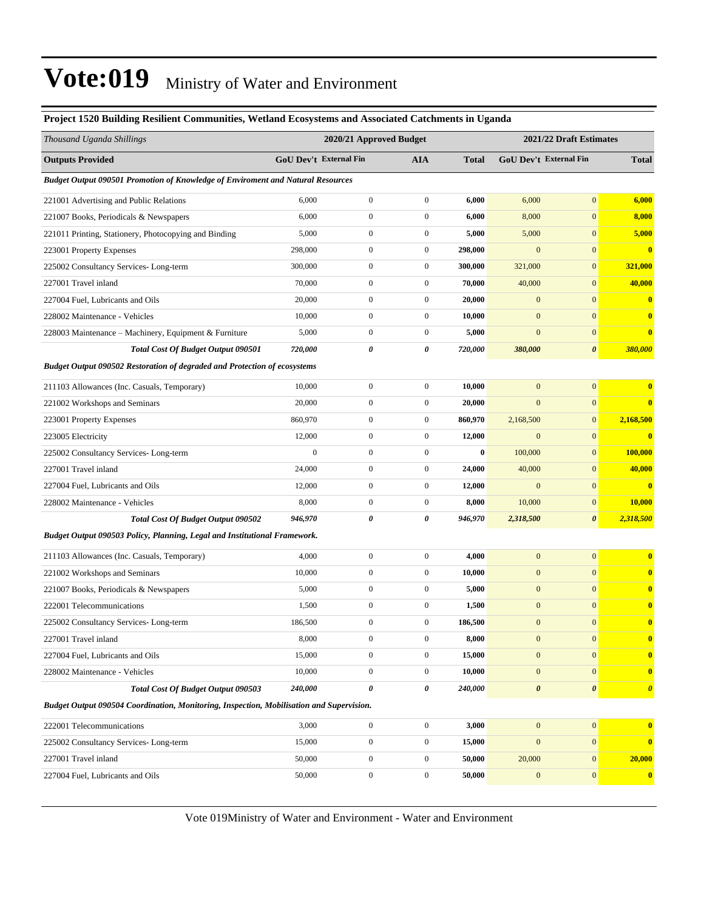#### **Project 1520 Building Resilient Communities, Wetland Ecosystems and Associated Catchments in Uganda**

| Thousand Uganda Shillings                                                                |                | 2020/21 Approved Budget |                  |              |                       | 2021/22 Draft Estimates |                       |
|------------------------------------------------------------------------------------------|----------------|-------------------------|------------------|--------------|-----------------------|-------------------------|-----------------------|
| <b>Outputs Provided</b>                                                                  |                | GoU Dev't External Fin  | <b>AIA</b>       | <b>Total</b> |                       | GoU Dev't External Fin  | <b>Total</b>          |
| <b>Budget Output 090501 Promotion of Knowledge of Enviroment and Natural Resources</b>   |                |                         |                  |              |                       |                         |                       |
| 221001 Advertising and Public Relations                                                  | 6,000          | $\boldsymbol{0}$        | $\mathbf{0}$     | 6,000        | 6,000                 | $\overline{0}$          | 6,000                 |
| 221007 Books, Periodicals & Newspapers                                                   | 6,000          | $\boldsymbol{0}$        | $\boldsymbol{0}$ | 6,000        | 8,000                 | $\overline{0}$          | 8,000                 |
| 221011 Printing, Stationery, Photocopying and Binding                                    | 5,000          | $\boldsymbol{0}$        | $\boldsymbol{0}$ | 5,000        | 5,000                 | $\mathbf{0}$            | 5,000                 |
| 223001 Property Expenses                                                                 | 298,000        | $\boldsymbol{0}$        | $\boldsymbol{0}$ | 298,000      | $\mathbf{0}$          | $\mathbf{0}$            | $\bf{0}$              |
| 225002 Consultancy Services-Long-term                                                    | 300,000        | $\boldsymbol{0}$        | $\boldsymbol{0}$ | 300,000      | 321,000               | $\mathbf{0}$            | 321,000               |
| 227001 Travel inland                                                                     | 70,000         | $\boldsymbol{0}$        | $\boldsymbol{0}$ | 70,000       | 40,000                | $\mathbf{0}$            | 40,000                |
| 227004 Fuel, Lubricants and Oils                                                         | 20,000         | $\boldsymbol{0}$        | $\boldsymbol{0}$ | 20,000       | $\boldsymbol{0}$      | $\overline{0}$          | $\bf{0}$              |
| 228002 Maintenance - Vehicles                                                            | 10,000         | $\boldsymbol{0}$        | $\boldsymbol{0}$ | 10,000       | $\boldsymbol{0}$      | $\mathbf{0}$            | $\bf{0}$              |
| 228003 Maintenance – Machinery, Equipment & Furniture                                    | 5,000          | $\boldsymbol{0}$        | $\boldsymbol{0}$ | 5,000        | $\boldsymbol{0}$      | $\mathbf{0}$            | $\bf{0}$              |
| <b>Total Cost Of Budget Output 090501</b>                                                | 720,000        | 0                       | 0                | 720,000      | 380,000               | 0                       | 380,000               |
| <b>Budget Output 090502 Restoration of degraded and Protection of ecosystems</b>         |                |                         |                  |              |                       |                         |                       |
| 211103 Allowances (Inc. Casuals, Temporary)                                              | 10,000         | $\boldsymbol{0}$        | $\boldsymbol{0}$ | 10,000       | $\boldsymbol{0}$      | $\boldsymbol{0}$        | $\bf{0}$              |
| 221002 Workshops and Seminars                                                            | 20,000         | $\boldsymbol{0}$        | $\boldsymbol{0}$ | 20,000       | $\boldsymbol{0}$      | $\overline{0}$          | $\bf{0}$              |
| 223001 Property Expenses                                                                 | 860,970        | $\boldsymbol{0}$        | $\boldsymbol{0}$ | 860,970      | 2,168,500             | $\mathbf{0}$            | 2,168,500             |
| 223005 Electricity                                                                       | 12,000         | $\mathbf{0}$            | $\boldsymbol{0}$ | 12,000       | $\mathbf{0}$          | $\overline{0}$          | $\bf{0}$              |
| 225002 Consultancy Services-Long-term                                                    | $\overline{0}$ | $\boldsymbol{0}$        | $\boldsymbol{0}$ | $\bf{0}$     | 100,000               | $\overline{0}$          | 100,000               |
| 227001 Travel inland                                                                     | 24,000         | $\boldsymbol{0}$        | $\boldsymbol{0}$ | 24,000       | 40,000                | $\mathbf{0}$            | 40,000                |
| 227004 Fuel, Lubricants and Oils                                                         | 12,000         | $\mathbf{0}$            | $\boldsymbol{0}$ | 12,000       | $\mathbf{0}$          | $\overline{0}$          | $\bf{0}$              |
| 228002 Maintenance - Vehicles                                                            | 8,000          | $\boldsymbol{0}$        | $\boldsymbol{0}$ | 8,000        | 10,000                | $\mathbf{0}$            | 10,000                |
| <b>Total Cost Of Budget Output 090502</b>                                                | 946,970        | $\pmb{\theta}$          | 0                | 946,970      | 2,318,500             | 0                       | 2,318,500             |
| Budget Output 090503 Policy, Planning, Legal and Institutional Framework.                |                |                         |                  |              |                       |                         |                       |
| 211103 Allowances (Inc. Casuals, Temporary)                                              | 4,000          | $\boldsymbol{0}$        | $\mathbf{0}$     | 4,000        | $\mathbf{0}$          | $\overline{0}$          | $\bf{0}$              |
| 221002 Workshops and Seminars                                                            | 10,000         | $\boldsymbol{0}$        | $\boldsymbol{0}$ | 10,000       | $\boldsymbol{0}$      | $\overline{0}$          | $\mathbf{0}$          |
| 221007 Books, Periodicals & Newspapers                                                   | 5,000          | $\mathbf{0}$            | $\boldsymbol{0}$ | 5,000        | $\boldsymbol{0}$      | $\overline{0}$          | $\bf{0}$              |
| 222001 Telecommunications                                                                | 1,500          | $\boldsymbol{0}$        | $\boldsymbol{0}$ | 1,500        | $\boldsymbol{0}$      | $\mathbf{0}$            | $\bf{0}$              |
| 225002 Consultancy Services-Long-term                                                    | 186,500        | $\mathbf{0}$            | $\boldsymbol{0}$ | 186,500      | $\boldsymbol{0}$      | $\overline{0}$          | $\bf{0}$              |
| 227001 Travel inland                                                                     | 8,000          | $\boldsymbol{0}$        | $\boldsymbol{0}$ | 8,000        | $\boldsymbol{0}$      | $\boldsymbol{0}$        |                       |
| 227004 Fuel, Lubricants and Oils                                                         | 15,000         | $\boldsymbol{0}$        | $\boldsymbol{0}$ | 15,000       | $\boldsymbol{0}$      | $\boldsymbol{0}$        | $\bf{0}$              |
| 228002 Maintenance - Vehicles                                                            | 10,000         | $\boldsymbol{0}$        | $\mathbf{0}$     | 10,000       | $\mathbf{0}$          | $\boldsymbol{0}$        | $\bf{0}$              |
| Total Cost Of Budget Output 090503                                                       | 240,000        | $\pmb{\theta}$          | 0                | 240,000      | $\boldsymbol{\theta}$ | $\boldsymbol{\theta}$   | $\boldsymbol{\theta}$ |
| Budget Output 090504 Coordination, Monitoring, Inspection, Mobilisation and Supervision. |                |                         |                  |              |                       |                         |                       |
| 222001 Telecommunications                                                                | 3,000          | $\boldsymbol{0}$        | $\boldsymbol{0}$ | 3,000        | $\boldsymbol{0}$      | $\vert 0 \vert$         | $\bf{0}$              |
| 225002 Consultancy Services-Long-term                                                    | 15,000         | $\boldsymbol{0}$        | $\boldsymbol{0}$ | 15,000       | $\mathbf{0}$          | $\boldsymbol{0}$        | $\bf{0}$              |
| 227001 Travel inland                                                                     | 50,000         | $\boldsymbol{0}$        | $\boldsymbol{0}$ | 50,000       | 20,000                | $\boldsymbol{0}$        | 20,000                |
| 227004 Fuel, Lubricants and Oils                                                         | 50,000         | $\boldsymbol{0}$        | $\boldsymbol{0}$ | 50,000       | $\mathbf{0}$          | 0                       | $\mathbf{0}$          |
|                                                                                          |                |                         |                  |              |                       |                         |                       |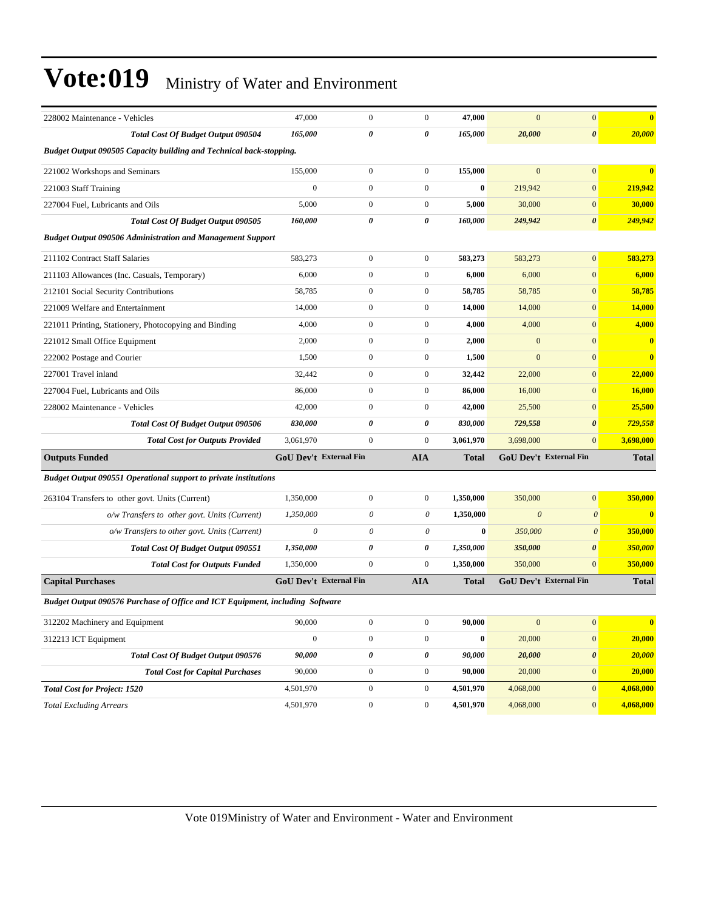| 228002 Maintenance - Vehicles                                                 | 47,000                        | $\mathbf{0}$     | $\overline{0}$        | 47,000       | $\mathbf{0}$ | $\boldsymbol{0}$              | $\bf{0}$     |
|-------------------------------------------------------------------------------|-------------------------------|------------------|-----------------------|--------------|--------------|-------------------------------|--------------|
| Total Cost Of Budget Output 090504                                            | 165,000                       | 0                | 0                     | 165,000      | 20,000       | $\boldsymbol{\theta}$         | 20,000       |
| <b>Budget Output 090505 Capacity building and Technical back-stopping.</b>    |                               |                  |                       |              |              |                               |              |
| 221002 Workshops and Seminars                                                 | 155,000                       | $\boldsymbol{0}$ | $\mathbf{0}$          | 155,000      | $\mathbf{0}$ | $\mathbf{0}$                  | $\mathbf{0}$ |
| 221003 Staff Training                                                         | $\mathbf{0}$                  | $\mathbf{0}$     | $\mathbf{0}$          | $\bf{0}$     | 219,942      | $\mathbf{0}$                  | 219,942      |
| 227004 Fuel, Lubricants and Oils                                              | 5,000                         | $\mathbf{0}$     | $\mathbf{0}$          | 5,000        | 30,000       | $\mathbf{0}$                  | 30,000       |
| <b>Total Cost Of Budget Output 090505</b>                                     | 160,000                       | 0                | $\boldsymbol{\theta}$ | 160,000      | 249,942      | $\boldsymbol{\theta}$         | 249,942      |
| <b>Budget Output 090506 Administration and Management Support</b>             |                               |                  |                       |              |              |                               |              |
| 211102 Contract Staff Salaries                                                | 583,273                       | $\mathbf{0}$     | $\mathbf{0}$          | 583,273      | 583,273      | $\overline{0}$                | 583,273      |
| 211103 Allowances (Inc. Casuals, Temporary)                                   | 6,000                         | $\boldsymbol{0}$ | $\mathbf{0}$          | 6,000        | 6,000        | $\overline{0}$                | 6,000        |
| 212101 Social Security Contributions                                          | 58,785                        | $\mathbf{0}$     | $\mathbf{0}$          | 58,785       | 58,785       | $\mathbf{0}$                  | 58,785       |
| 221009 Welfare and Entertainment                                              | 14,000                        | $\mathbf{0}$     | $\mathbf{0}$          | 14,000       | 14,000       | $\mathbf{0}$                  | 14,000       |
| 221011 Printing, Stationery, Photocopying and Binding                         | 4,000                         | $\mathbf{0}$     | $\mathbf{0}$          | 4,000        | 4,000        | $\mathbf{0}$                  | 4,000        |
| 221012 Small Office Equipment                                                 | 2,000                         | $\mathbf{0}$     | $\mathbf{0}$          | 2,000        | $\mathbf{0}$ | $\overline{0}$                | $\bf{0}$     |
| 222002 Postage and Courier                                                    | 1,500                         | $\boldsymbol{0}$ | $\mathbf{0}$          | 1,500        | $\mathbf{0}$ | $\overline{0}$                | $\bf{0}$     |
| 227001 Travel inland                                                          | 32,442                        | $\mathbf{0}$     | $\mathbf{0}$          | 32,442       | 22,000       | $\mathbf{0}$                  | 22,000       |
| 227004 Fuel, Lubricants and Oils                                              | 86,000                        | $\mathbf{0}$     | $\mathbf{0}$          | 86,000       | 16,000       | $\mathbf{0}$                  | 16,000       |
| 228002 Maintenance - Vehicles                                                 | 42,000                        | $\boldsymbol{0}$ | $\mathbf{0}$          | 42,000       | 25,500       | $\mathbf{0}$                  | 25,500       |
| Total Cost Of Budget Output 090506                                            | 830,000                       | 0                | 0                     | 830,000      | 729,558      | $\boldsymbol{\theta}$         | 729,558      |
| <b>Total Cost for Outputs Provided</b>                                        | 3,061,970                     | $\mathbf{0}$     | $\mathbf{0}$          | 3,061,970    | 3,698,000    | $\mathbf{0}$                  | 3,698,000    |
| <b>Outputs Funded</b>                                                         | <b>GoU Dev't External Fin</b> |                  | AIA                   | <b>Total</b> |              | <b>GoU Dev't External Fin</b> | <b>Total</b> |
| <b>Budget Output 090551 Operational support to private institutions</b>       |                               |                  |                       |              |              |                               |              |
| 263104 Transfers to other govt. Units (Current)                               | 1,350,000                     | $\boldsymbol{0}$ | $\mathbf{0}$          | 1,350,000    | 350,000      | $\mathbf{0}$                  | 350,000      |
| o/w Transfers to other govt. Units (Current)                                  | 1,350,000                     | 0                | 0                     | 1,350,000    | $\theta$     | $\boldsymbol{0}$              | $\mathbf{0}$ |
| o/w Transfers to other govt. Units (Current)                                  | $\theta$                      | $\theta$         | 0                     | $\bf{0}$     | 350,000      | $\boldsymbol{\theta}$         | 350,000      |
| Total Cost Of Budget Output 090551                                            | 1,350,000                     | 0                | 0                     | 1,350,000    | 350,000      | $\boldsymbol{\theta}$         | 350,000      |
| <b>Total Cost for Outputs Funded</b>                                          | 1,350,000                     | $\mathbf{0}$     | $\mathbf{0}$          | 1,350,000    | 350,000      | $\overline{0}$                | 350,000      |
| <b>Capital Purchases</b>                                                      | <b>GoU Dev't External Fin</b> |                  | <b>AIA</b>            | <b>Total</b> |              | <b>GoU Dev't External Fin</b> | <b>Total</b> |
| Budget Output 090576 Purchase of Office and ICT Equipment, including Software |                               |                  |                       |              |              |                               |              |
| 312202 Machinery and Equipment                                                | 90,000                        | $\boldsymbol{0}$ | $\boldsymbol{0}$      | 90,000       | $\bf{0}$     | 0                             | $\mathbf{0}$ |
| 312213 ICT Equipment                                                          | $\boldsymbol{0}$              | $\boldsymbol{0}$ | $\mathbf{0}$          | $\bf{0}$     | 20,000       | $\mathbf{0}$                  | 20,000       |
| Total Cost Of Budget Output 090576                                            | 90,000                        | $\pmb{\theta}$   | $\boldsymbol{\theta}$ | 90,000       | 20,000       | $\pmb{\theta}$                | 20,000       |
| <b>Total Cost for Capital Purchases</b>                                       | 90,000                        | $\boldsymbol{0}$ | $\boldsymbol{0}$      | 90,000       | 20,000       | $\mathbf{0}$                  | 20,000       |
| <b>Total Cost for Project: 1520</b>                                           | 4,501,970                     | $\boldsymbol{0}$ | $\boldsymbol{0}$      | 4,501,970    | 4,068,000    | $\vert 0 \vert$               | 4,068,000    |
| <b>Total Excluding Arrears</b>                                                | 4,501,970                     | $\boldsymbol{0}$ | $\boldsymbol{0}$      | 4,501,970    | 4,068,000    | 0                             | 4,068,000    |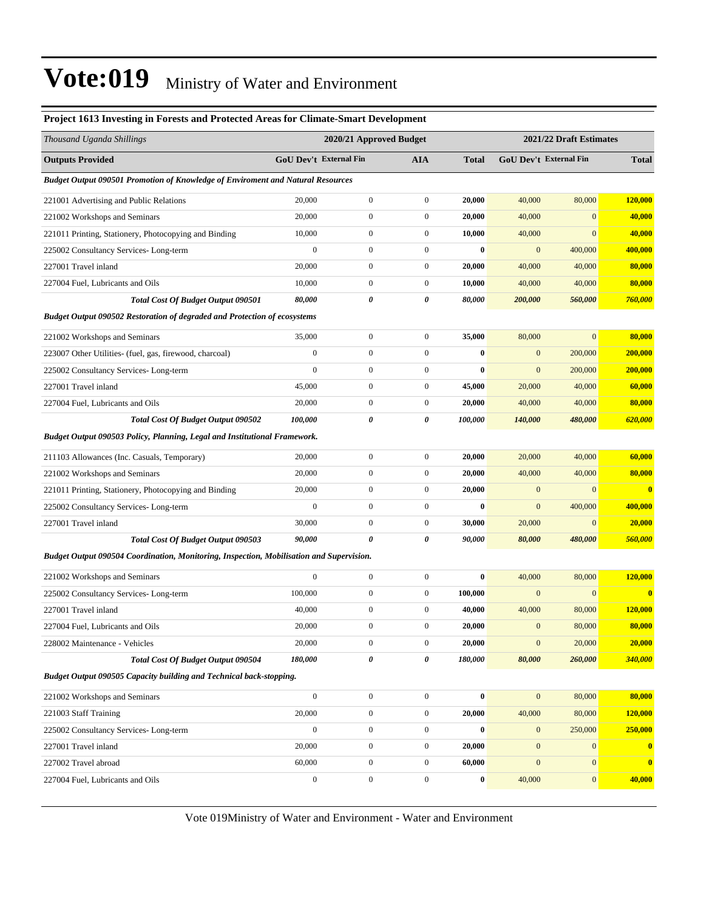| Project 1613 Investing in Forests and Protected Areas for Climate-Smart Development             |                        |                         |                       |              |                         |                        |              |  |
|-------------------------------------------------------------------------------------------------|------------------------|-------------------------|-----------------------|--------------|-------------------------|------------------------|--------------|--|
| Thousand Uganda Shillings                                                                       |                        | 2020/21 Approved Budget |                       |              | 2021/22 Draft Estimates |                        |              |  |
| <b>Outputs Provided</b>                                                                         | GoU Dev't External Fin |                         | <b>AIA</b>            | <b>Total</b> |                         | GoU Dev't External Fin | <b>Total</b> |  |
| <b>Budget Output 090501 Promotion of Knowledge of Enviroment and Natural Resources</b>          |                        |                         |                       |              |                         |                        |              |  |
| 221001 Advertising and Public Relations                                                         | 20,000                 | $\boldsymbol{0}$        | $\boldsymbol{0}$      | 20,000       | 40,000                  | 80,000                 | 120,000      |  |
| 221002 Workshops and Seminars                                                                   | 20,000                 | $\boldsymbol{0}$        | $\boldsymbol{0}$      | 20,000       | 40,000                  | $\mathbf{0}$           | 40,000       |  |
| 221011 Printing, Stationery, Photocopying and Binding                                           | 10,000                 | $\boldsymbol{0}$        | $\boldsymbol{0}$      | 10,000       | 40,000                  | $\mathbf{0}$           | 40,000       |  |
| 225002 Consultancy Services-Long-term                                                           | $\boldsymbol{0}$       | $\boldsymbol{0}$        | $\boldsymbol{0}$      | $\bf{0}$     | $\mathbf{0}$            | 400,000                | 400,000      |  |
| 227001 Travel inland                                                                            | 20,000                 | $\boldsymbol{0}$        | $\boldsymbol{0}$      | 20,000       | 40,000                  | 40,000                 | 80,000       |  |
| 227004 Fuel, Lubricants and Oils                                                                | 10,000                 | $\boldsymbol{0}$        | $\boldsymbol{0}$      | 10,000       | 40,000                  | 40,000                 | 80,000       |  |
| <b>Total Cost Of Budget Output 090501</b>                                                       | 80,000                 | 0                       | 0                     | 80,000       | 200,000                 | 560,000                | 760,000      |  |
| <b>Budget Output 090502 Restoration of degraded and Protection of ecosystems</b>                |                        |                         |                       |              |                         |                        |              |  |
| 221002 Workshops and Seminars                                                                   | 35,000                 | $\boldsymbol{0}$        | $\boldsymbol{0}$      | 35,000       | 80,000                  | $\boldsymbol{0}$       | 80,000       |  |
| 223007 Other Utilities- (fuel, gas, firewood, charcoal)                                         | $\boldsymbol{0}$       | $\boldsymbol{0}$        | $\boldsymbol{0}$      | $\bf{0}$     | $\mathbf{0}$            | 200,000                | 200,000      |  |
| 225002 Consultancy Services-Long-term                                                           | $\overline{0}$         | $\boldsymbol{0}$        | $\boldsymbol{0}$      | $\bf{0}$     | $\mathbf{0}$            | 200,000                | 200,000      |  |
| 227001 Travel inland                                                                            | 45,000                 | $\boldsymbol{0}$        | $\boldsymbol{0}$      | 45,000       | 20,000                  | 40,000                 | 60,000       |  |
| 227004 Fuel, Lubricants and Oils                                                                | 20,000                 | $\boldsymbol{0}$        | $\boldsymbol{0}$      | 20,000       | 40,000                  | 40,000                 | 80,000       |  |
| Total Cost Of Budget Output 090502                                                              | 100,000                | 0                       | $\boldsymbol{\theta}$ | 100,000      | 140,000                 | 480,000                | 620,000      |  |
| Budget Output 090503 Policy, Planning, Legal and Institutional Framework.                       |                        |                         |                       |              |                         |                        |              |  |
| 211103 Allowances (Inc. Casuals, Temporary)                                                     | 20,000                 | $\boldsymbol{0}$        | $\boldsymbol{0}$      | 20,000       | 20,000                  | 40,000                 | 60,000       |  |
| 221002 Workshops and Seminars                                                                   | 20,000                 | $\boldsymbol{0}$        | $\boldsymbol{0}$      | 20,000       | 40,000                  | 40,000                 | 80,000       |  |
| 221011 Printing, Stationery, Photocopying and Binding                                           | 20,000                 | $\boldsymbol{0}$        | $\boldsymbol{0}$      | 20,000       | $\mathbf{0}$            | $\mathbf{0}$           | $\bf{0}$     |  |
| 225002 Consultancy Services-Long-term                                                           | $\overline{0}$         | $\boldsymbol{0}$        | $\boldsymbol{0}$      | $\bf{0}$     | $\mathbf{0}$            | 400,000                | 400,000      |  |
| 227001 Travel inland                                                                            | 30,000                 | $\boldsymbol{0}$        | $\boldsymbol{0}$      | 30,000       | 20,000                  | $\mathbf{0}$           | 20,000       |  |
| Total Cost Of Budget Output 090503                                                              | 90,000                 | $\boldsymbol{\theta}$   | 0                     | 90,000       | 80,000                  | 480,000                | 560,000      |  |
| <b>Budget Output 090504 Coordination, Monitoring, Inspection, Mobilisation and Supervision.</b> |                        |                         |                       |              |                         |                        |              |  |
| 221002 Workshops and Seminars                                                                   | $\boldsymbol{0}$       | $\boldsymbol{0}$        | $\boldsymbol{0}$      | $\bf{0}$     | 40,000                  | 80,000                 | 120,000      |  |
| 225002 Consultancy Services-Long-term                                                           | 100,000                | $\boldsymbol{0}$        | $\boldsymbol{0}$      | 100,000      | $\mathbf{0}$            | $\mathbf{0}$           | $\bf{0}$     |  |
| 227001 Travel inland                                                                            | 40,000                 | $\boldsymbol{0}$        | $\boldsymbol{0}$      | 40,000       | 40,000                  | 80,000                 | 120,000      |  |
| 227004 Fuel, Lubricants and Oils                                                                | 20,000                 | $\mathbf{0}$            | $\mathbf{0}$          | 20,000       | $\overline{0}$          | 80,000                 | 80,000       |  |
| 228002 Maintenance - Vehicles                                                                   | 20,000                 | $\boldsymbol{0}$        | $\boldsymbol{0}$      | 20,000       | $\mathbf{0}$            | 20,000                 | 20,000       |  |
| Total Cost Of Budget Output 090504                                                              | 180,000                | 0                       | 0                     | 180,000      | 80,000                  | 260,000                | 340,000      |  |
| Budget Output 090505 Capacity building and Technical back-stopping.                             |                        |                         |                       |              |                         |                        |              |  |
| 221002 Workshops and Seminars                                                                   | $\mathbf{0}$           | $\boldsymbol{0}$        | $\boldsymbol{0}$      | $\bf{0}$     | $\mathbf{0}$            | 80,000                 | 80,000       |  |
| 221003 Staff Training                                                                           | 20,000                 | $\boldsymbol{0}$        | $\boldsymbol{0}$      | 20,000       | 40,000                  | 80,000                 | 120,000      |  |
| 225002 Consultancy Services-Long-term                                                           | $\boldsymbol{0}$       | $\boldsymbol{0}$        | $\boldsymbol{0}$      | $\bf{0}$     | $\mathbf{0}$            | 250,000                | 250,000      |  |
| 227001 Travel inland                                                                            | 20,000                 | $\boldsymbol{0}$        | $\boldsymbol{0}$      | 20,000       | $\mathbf{0}$            | $\mathbf{0}$           | $\bf{0}$     |  |
| 227002 Travel abroad                                                                            | 60,000                 | $\boldsymbol{0}$        | $\boldsymbol{0}$      | 60,000       | $\mathbf{0}$            | $\mathbf{0}$           | $\bf{0}$     |  |
| 227004 Fuel, Lubricants and Oils                                                                | $\boldsymbol{0}$       | $\boldsymbol{0}$        | $\boldsymbol{0}$      | $\bf{0}$     | 40,000                  | $\mathbf{0}$           | 40,000       |  |
|                                                                                                 |                        |                         |                       |              |                         |                        |              |  |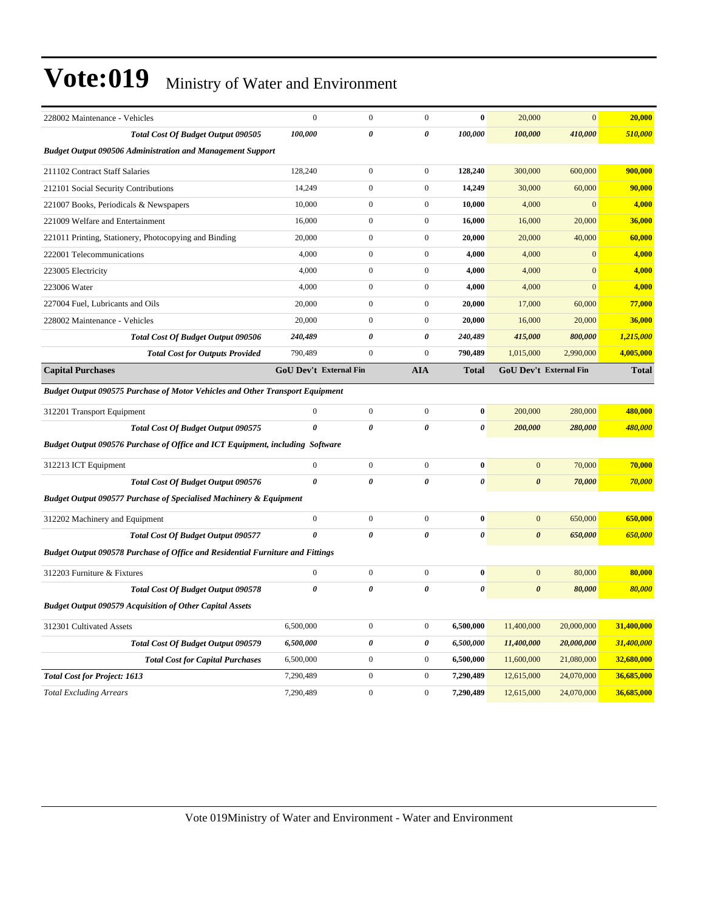| 228002 Maintenance - Vehicles                                                         | $\boldsymbol{0}$              | $\boldsymbol{0}$ | $\boldsymbol{0}$ | $\bf{0}$              | 20,000                | $\mathbf{0}$           | 20,000       |  |  |
|---------------------------------------------------------------------------------------|-------------------------------|------------------|------------------|-----------------------|-----------------------|------------------------|--------------|--|--|
| Total Cost Of Budget Output 090505                                                    | 100,000                       | 0                | 0                | 100,000               | 100,000               | 410,000                | 510,000      |  |  |
| <b>Budget Output 090506 Administration and Management Support</b>                     |                               |                  |                  |                       |                       |                        |              |  |  |
| 211102 Contract Staff Salaries                                                        | 128,240                       | $\overline{0}$   | $\mathbf{0}$     | 128,240               | 300,000               | 600,000                | 900,000      |  |  |
| 212101 Social Security Contributions                                                  | 14,249                        | $\boldsymbol{0}$ | $\mathbf{0}$     | 14,249                | 30,000                | 60,000                 | 90,000       |  |  |
| 221007 Books, Periodicals & Newspapers                                                | 10,000                        | $\boldsymbol{0}$ | $\boldsymbol{0}$ | 10,000                | 4,000                 | $\mathbf{0}$           | 4,000        |  |  |
| 221009 Welfare and Entertainment                                                      | 16,000                        | $\boldsymbol{0}$ | $\mathbf{0}$     | 16,000                | 16,000                | 20,000                 | 36,000       |  |  |
| 221011 Printing, Stationery, Photocopying and Binding                                 | 20,000                        | $\boldsymbol{0}$ | $\mathbf{0}$     | 20,000                | 20,000                | 40,000                 | 60,000       |  |  |
| 222001 Telecommunications                                                             | 4,000                         | $\boldsymbol{0}$ | $\boldsymbol{0}$ | 4,000                 | 4,000                 | $\overline{0}$         | 4,000        |  |  |
| 223005 Electricity                                                                    | 4,000                         | $\boldsymbol{0}$ | $\boldsymbol{0}$ | 4,000                 | 4,000                 | $\overline{0}$         | 4,000        |  |  |
| 223006 Water                                                                          | 4,000                         | $\overline{0}$   | $\mathbf{0}$     | 4,000                 | 4,000                 | $\overline{0}$         | 4,000        |  |  |
| 227004 Fuel, Lubricants and Oils                                                      | 20,000                        | $\boldsymbol{0}$ | $\boldsymbol{0}$ | 20,000                | 17,000                | 60,000                 | 77,000       |  |  |
| 228002 Maintenance - Vehicles                                                         | 20,000                        | $\boldsymbol{0}$ | $\mathbf{0}$     | 20,000                | 16,000                | 20,000                 | 36,000       |  |  |
| <b>Total Cost Of Budget Output 090506</b>                                             | 240,489                       | 0                | 0                | 240,489               | 415,000               | 800,000                | 1,215,000    |  |  |
| <b>Total Cost for Outputs Provided</b>                                                | 790,489                       | $\mathbf{0}$     | $\mathbf{0}$     | 790,489               | 1,015,000             | 2,990,000              | 4,005,000    |  |  |
| <b>Capital Purchases</b>                                                              | <b>GoU Dev't External Fin</b> |                  | <b>AIA</b>       | <b>Total</b>          |                       | GoU Dev't External Fin | <b>Total</b> |  |  |
| <b>Budget Output 090575 Purchase of Motor Vehicles and Other Transport Equipment</b>  |                               |                  |                  |                       |                       |                        |              |  |  |
| 312201 Transport Equipment                                                            | $\mathbf{0}$                  | $\boldsymbol{0}$ | $\boldsymbol{0}$ | $\bf{0}$              | 200,000               | 280,000                | 480,000      |  |  |
| Total Cost Of Budget Output 090575                                                    | $\theta$                      | 0                | $\theta$         | 0                     | 200,000               | 280,000                | 480,000      |  |  |
| Budget Output 090576 Purchase of Office and ICT Equipment, including Software         |                               |                  |                  |                       |                       |                        |              |  |  |
| 312213 ICT Equipment                                                                  | $\boldsymbol{0}$              | $\boldsymbol{0}$ | $\boldsymbol{0}$ | $\bf{0}$              | $\mathbf{0}$          | 70,000                 | 70,000       |  |  |
| <b>Total Cost Of Budget Output 090576</b>                                             | 0                             | 0                | $\theta$         | $\boldsymbol{\theta}$ | $\boldsymbol{\theta}$ | 70,000                 | 70,000       |  |  |
| <b>Budget Output 090577 Purchase of Specialised Machinery &amp; Equipment</b>         |                               |                  |                  |                       |                       |                        |              |  |  |
| 312202 Machinery and Equipment                                                        | $\boldsymbol{0}$              | $\boldsymbol{0}$ | $\boldsymbol{0}$ | $\bf{0}$              | $\mathbf{0}$          | 650,000                | 650,000      |  |  |
| <b>Total Cost Of Budget Output 090577</b>                                             | $\theta$                      | 0                | 0                | $\pmb{\theta}$        | $\boldsymbol{\theta}$ | 650,000                | 650,000      |  |  |
| <b>Budget Output 090578 Purchase of Office and Residential Furniture and Fittings</b> |                               |                  |                  |                       |                       |                        |              |  |  |
| 312203 Furniture & Fixtures                                                           | $\boldsymbol{0}$              | $\boldsymbol{0}$ | $\boldsymbol{0}$ | $\bf{0}$              | $\mathbf{0}$          | 80,000                 | 80,000       |  |  |
| <b>Total Cost Of Budget Output 090578</b>                                             | $\pmb{\theta}$                | $\pmb{\theta}$   | 0                | $\pmb{\theta}$        | $\boldsymbol{\theta}$ | 80,000                 | 80,000       |  |  |
| <b>Budget Output 090579 Acquisition of Other Capital Assets</b>                       |                               |                  |                  |                       |                       |                        |              |  |  |
| 312301 Cultivated Assets                                                              | 6,500,000                     | $\boldsymbol{0}$ | $\boldsymbol{0}$ | 6,500,000             | 11,400,000            | 20,000,000             | 31,400,000   |  |  |
| Total Cost Of Budget Output 090579                                                    | 6,500,000                     | 0                | 0                | 6,500,000             | 11,400,000            | 20,000,000             | 31,400,000   |  |  |
| <b>Total Cost for Capital Purchases</b>                                               | 6,500,000                     | $\boldsymbol{0}$ | $\boldsymbol{0}$ | 6,500,000             | 11,600,000            | 21,080,000             | 32,680,000   |  |  |
| <b>Total Cost for Project: 1613</b>                                                   | 7,290,489                     | $\boldsymbol{0}$ | $\boldsymbol{0}$ | 7,290,489             | 12,615,000            | 24,070,000             | 36,685,000   |  |  |
| <b>Total Excluding Arrears</b>                                                        | 7,290,489                     | $\boldsymbol{0}$ | $\boldsymbol{0}$ | 7,290,489             | 12,615,000            | 24,070,000             | 36,685,000   |  |  |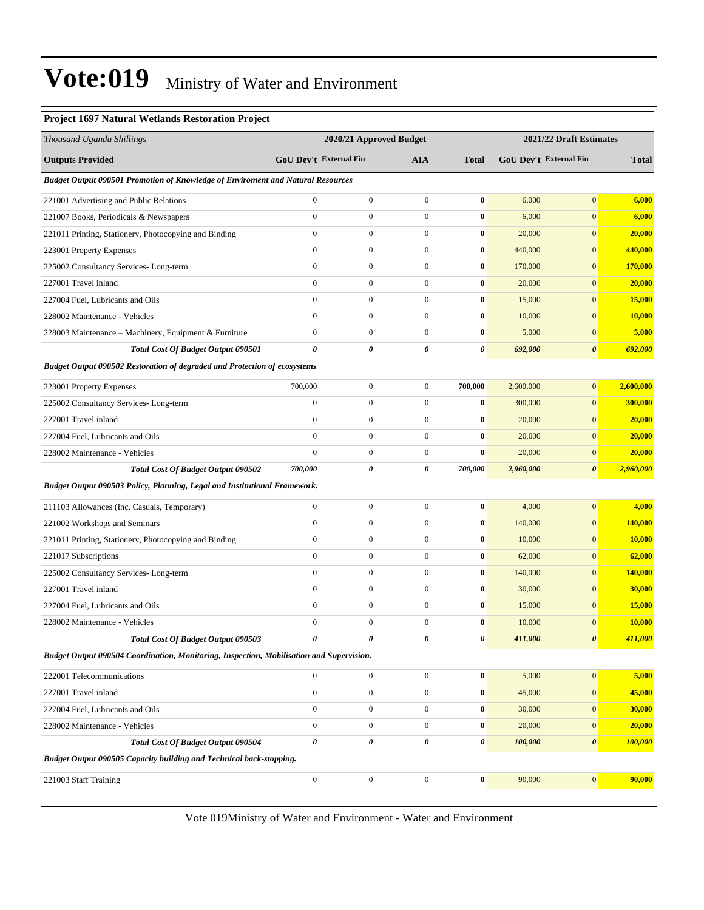#### **Project 1697 Natural Wetlands Restoration Project**

| Thousand Uganda Shillings                                                                       | 2020/21 Approved Budget       |                  |                       | 2021/22 Draft Estimates |           |                        |               |  |  |  |
|-------------------------------------------------------------------------------------------------|-------------------------------|------------------|-----------------------|-------------------------|-----------|------------------------|---------------|--|--|--|
| <b>Outputs Provided</b>                                                                         | <b>GoU Dev't External Fin</b> |                  | AIA                   | <b>Total</b>            |           | GoU Dev't External Fin | <b>Total</b>  |  |  |  |
| Budget Output 090501 Promotion of Knowledge of Enviroment and Natural Resources                 |                               |                  |                       |                         |           |                        |               |  |  |  |
| 221001 Advertising and Public Relations                                                         | $\mathbf{0}$                  | $\boldsymbol{0}$ | $\boldsymbol{0}$      | $\bf{0}$                | 6,000     | $\mathbf{0}$           | 6,000         |  |  |  |
| 221007 Books, Periodicals & Newspapers                                                          | $\boldsymbol{0}$              | $\boldsymbol{0}$ | $\boldsymbol{0}$      | $\bf{0}$                | 6,000     | $\mathbf{0}$           | 6,000         |  |  |  |
| 221011 Printing, Stationery, Photocopying and Binding                                           | $\overline{0}$                | $\boldsymbol{0}$ | $\boldsymbol{0}$      | $\bf{0}$                | 20,000    | $\boldsymbol{0}$       | 20,000        |  |  |  |
| 223001 Property Expenses                                                                        | $\boldsymbol{0}$              | $\mathbf{0}$     | $\boldsymbol{0}$      | $\bf{0}$                | 440,000   | $\mathbf{0}$           | 440,000       |  |  |  |
| 225002 Consultancy Services-Long-term                                                           | $\overline{0}$                | $\boldsymbol{0}$ | $\boldsymbol{0}$      | $\bf{0}$                | 170,000   | $\mathbf{0}$           | 170,000       |  |  |  |
| 227001 Travel inland                                                                            | $\mathbf{0}$                  | $\mathbf{0}$     | $\boldsymbol{0}$      | $\bf{0}$                | 20,000    | $\mathbf{0}$           | 20,000        |  |  |  |
| 227004 Fuel, Lubricants and Oils                                                                | $\boldsymbol{0}$              | $\mathbf{0}$     | $\boldsymbol{0}$      | $\bf{0}$                | 15,000    | $\mathbf{0}$           | 15,000        |  |  |  |
| 228002 Maintenance - Vehicles                                                                   | $\overline{0}$                | $\boldsymbol{0}$ | $\boldsymbol{0}$      | $\bf{0}$                | 10,000    | $\boldsymbol{0}$       | <b>10,000</b> |  |  |  |
| 228003 Maintenance - Machinery, Equipment & Furniture                                           | $\boldsymbol{0}$              | $\mathbf{0}$     | $\boldsymbol{0}$      | $\bf{0}$                | 5,000     | $\mathbf{0}$           | 5,000         |  |  |  |
| Total Cost Of Budget Output 090501                                                              | 0                             | 0                | $\boldsymbol{\theta}$ | $\pmb{\theta}$          | 692,000   | $\boldsymbol{\theta}$  | 692,000       |  |  |  |
| <b>Budget Output 090502 Restoration of degraded and Protection of ecosystems</b>                |                               |                  |                       |                         |           |                        |               |  |  |  |
| 223001 Property Expenses                                                                        | 700,000                       | $\boldsymbol{0}$ | $\boldsymbol{0}$      | 700,000                 | 2,600,000 | $\mathbf{0}$           | 2,600,000     |  |  |  |
| 225002 Consultancy Services-Long-term                                                           | $\boldsymbol{0}$              | $\mathbf{0}$     | $\boldsymbol{0}$      | $\bf{0}$                | 300,000   | $\mathbf{0}$           | 300,000       |  |  |  |
| 227001 Travel inland                                                                            | $\overline{0}$                | $\boldsymbol{0}$ | $\boldsymbol{0}$      | $\bf{0}$                | 20,000    | $\mathbf{0}$           | 20,000        |  |  |  |
| 227004 Fuel, Lubricants and Oils                                                                | $\overline{0}$                | $\mathbf{0}$     | $\boldsymbol{0}$      | $\bf{0}$                | 20,000    | $\mathbf{0}$           | 20,000        |  |  |  |
| 228002 Maintenance - Vehicles                                                                   | $\overline{0}$                | $\boldsymbol{0}$ | $\boldsymbol{0}$      | $\bf{0}$                | 20,000    | $\mathbf{0}$           | 20,000        |  |  |  |
| Total Cost Of Budget Output 090502                                                              | 700,000                       | 0                | 0                     | 700,000                 | 2,960,000 | $\boldsymbol{\theta}$  | 2,960,000     |  |  |  |
| Budget Output 090503 Policy, Planning, Legal and Institutional Framework.                       |                               |                  |                       |                         |           |                        |               |  |  |  |
| 211103 Allowances (Inc. Casuals, Temporary)                                                     | $\boldsymbol{0}$              | $\boldsymbol{0}$ | $\boldsymbol{0}$      | $\bf{0}$                | 4,000     | $\mathbf{0}$           | 4,000         |  |  |  |
| 221002 Workshops and Seminars                                                                   | $\overline{0}$                | $\boldsymbol{0}$ | $\boldsymbol{0}$      | $\bf{0}$                | 140,000   | $\boldsymbol{0}$       | 140,000       |  |  |  |
| 221011 Printing, Stationery, Photocopying and Binding                                           | $\boldsymbol{0}$              | $\mathbf{0}$     | $\boldsymbol{0}$      | $\bf{0}$                | 10,000    | $\mathbf{0}$           | 10,000        |  |  |  |
| 221017 Subscriptions                                                                            | $\overline{0}$                | $\boldsymbol{0}$ | $\boldsymbol{0}$      | $\bf{0}$                | 62,000    | $\mathbf{0}$           | 62,000        |  |  |  |
| 225002 Consultancy Services-Long-term                                                           | $\overline{0}$                | $\boldsymbol{0}$ | $\boldsymbol{0}$      | $\bf{0}$                | 140,000   | $\mathbf{0}$           | 140,000       |  |  |  |
| 227001 Travel inland                                                                            | $\overline{0}$                | $\mathbf{0}$     | $\boldsymbol{0}$      | $\bf{0}$                | 30,000    | $\mathbf{0}$           | 30,000        |  |  |  |
| 227004 Fuel, Lubricants and Oils                                                                | $\overline{0}$                | $\boldsymbol{0}$ | $\boldsymbol{0}$      | $\bf{0}$                | 15,000    | $\mathbf{0}$           | <b>15,000</b> |  |  |  |
| 228002 Maintenance - Vehicles                                                                   | $\boldsymbol{0}$              | $\boldsymbol{0}$ | $\boldsymbol{0}$      | $\bf{0}$                | 10,000    | $\mathbf{0}$           | 10,000        |  |  |  |
| Total Cost Of Budget Output 090503                                                              | ĥ                             | 0                | 0                     | 0                       | 411,000   | 0                      | 411,000       |  |  |  |
| <b>Budget Output 090504 Coordination, Monitoring, Inspection, Mobilisation and Supervision.</b> |                               |                  |                       |                         |           |                        |               |  |  |  |
| 222001 Telecommunications                                                                       | $\mathbf{0}$                  | $\boldsymbol{0}$ | $\boldsymbol{0}$      | $\pmb{0}$               | 5,000     | $\mathbf{0}$           | 5,000         |  |  |  |
| 227001 Travel inland                                                                            | $\boldsymbol{0}$              | $\boldsymbol{0}$ | $\boldsymbol{0}$      | $\bf{0}$                | 45,000    | $\mathbf{0}$           | 45,000        |  |  |  |
| 227004 Fuel, Lubricants and Oils                                                                | $\boldsymbol{0}$              | $\boldsymbol{0}$ | $\boldsymbol{0}$      | $\bf{0}$                | 30,000    | $\boldsymbol{0}$       | 30,000        |  |  |  |
| 228002 Maintenance - Vehicles                                                                   | $\mathbf{0}$                  | $\boldsymbol{0}$ | $\boldsymbol{0}$      | $\bf{0}$                | 20,000    | $\mathbf{0}$           | 20,000        |  |  |  |
| Total Cost Of Budget Output 090504                                                              | 0                             | $\pmb{\theta}$   | 0                     | 0                       | 100,000   | $\boldsymbol{\theta}$  | 100,000       |  |  |  |
| Budget Output 090505 Capacity building and Technical back-stopping.                             |                               |                  |                       |                         |           |                        |               |  |  |  |
| 221003 Staff Training                                                                           | $\boldsymbol{0}$              | $\boldsymbol{0}$ | $\boldsymbol{0}$      | $\boldsymbol{0}$        | 90,000    | 0                      | 90,000        |  |  |  |
|                                                                                                 |                               |                  |                       |                         |           |                        |               |  |  |  |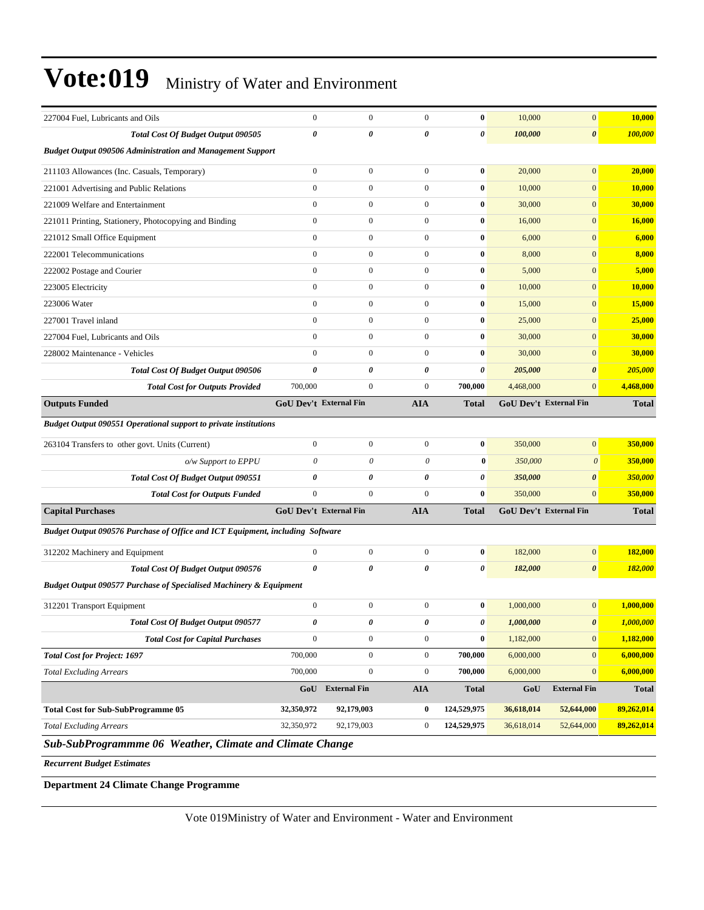| 227004 Fuel, Lubricants and Oils                                              | $\mathbf{0}$                  | $\boldsymbol{0}$                                                                             | $\mathbf{0}$     | $\bf{0}$              | 10,000     | $\boldsymbol{0}$              | 10,000           |  |  |  |
|-------------------------------------------------------------------------------|-------------------------------|----------------------------------------------------------------------------------------------|------------------|-----------------------|------------|-------------------------------|------------------|--|--|--|
| Total Cost Of Budget Output 090505                                            | $\pmb{\theta}$                | 0                                                                                            | 0                | 0                     | 100,000    | $\boldsymbol{\theta}$         | 100,000          |  |  |  |
| <b>Budget Output 090506 Administration and Management Support</b>             |                               |                                                                                              |                  |                       |            |                               |                  |  |  |  |
| 211103 Allowances (Inc. Casuals, Temporary)                                   | $\mathbf{0}$                  | $\boldsymbol{0}$                                                                             | $\boldsymbol{0}$ | $\bf{0}$              | 20,000     | $\mathbf{0}$                  | 20,000           |  |  |  |
| 221001 Advertising and Public Relations                                       | $\mathbf{0}$                  | $\boldsymbol{0}$                                                                             | $\boldsymbol{0}$ | $\bf{0}$              | 10,000     | $\mathbf{0}$                  | 10,000           |  |  |  |
| 221009 Welfare and Entertainment                                              | $\mathbf{0}$                  | $\boldsymbol{0}$                                                                             | $\overline{0}$   | $\bf{0}$              | 30,000     | $\overline{0}$                | 30,000           |  |  |  |
| 221011 Printing, Stationery, Photocopying and Binding                         | $\mathbf{0}$                  | $\overline{0}$                                                                               | $\overline{0}$   | $\bf{0}$              | 16,000     | $\mathbf{0}$                  | 16,000           |  |  |  |
| 221012 Small Office Equipment                                                 | $\mathbf{0}$                  | $\boldsymbol{0}$                                                                             | $\boldsymbol{0}$ | $\bf{0}$              | 6,000      | $\mathbf{0}$                  | 6,000            |  |  |  |
| 222001 Telecommunications                                                     | $\mathbf{0}$                  | $\boldsymbol{0}$                                                                             | $\overline{0}$   | $\bf{0}$              | 8,000      | $\mathbf{0}$                  | 8,000            |  |  |  |
| 222002 Postage and Courier                                                    | $\mathbf{0}$                  | $\boldsymbol{0}$                                                                             | $\boldsymbol{0}$ | $\bf{0}$              | 5,000      | $\mathbf{0}$                  | 5,000            |  |  |  |
| 223005 Electricity                                                            | $\mathbf{0}$                  | $\boldsymbol{0}$                                                                             | $\overline{0}$   | $\bf{0}$              | 10,000     | $\overline{0}$                | 10,000           |  |  |  |
| 223006 Water                                                                  | $\mathbf{0}$                  | $\overline{0}$                                                                               | $\overline{0}$   | $\bf{0}$              | 15,000     | $\mathbf{0}$                  | 15,000           |  |  |  |
| 227001 Travel inland                                                          | $\mathbf{0}$                  | $\boldsymbol{0}$                                                                             | $\overline{0}$   | $\bf{0}$              | 25,000     | $\mathbf{0}$                  | 25,000           |  |  |  |
| 227004 Fuel, Lubricants and Oils                                              | $\mathbf{0}$                  | $\boldsymbol{0}$                                                                             | $\boldsymbol{0}$ | $\bf{0}$              | 30,000     | $\mathbf{0}$                  | 30,000           |  |  |  |
| 228002 Maintenance - Vehicles                                                 | $\mathbf{0}$                  | $\boldsymbol{0}$                                                                             | $\boldsymbol{0}$ | $\bf{0}$              | 30,000     | $\mathbf{0}$                  | 30,000           |  |  |  |
| Total Cost Of Budget Output 090506                                            | $\boldsymbol{\theta}$         | 0                                                                                            | 0                | 0                     | 205,000    | $\boldsymbol{\theta}$         | 205,000          |  |  |  |
| <b>Total Cost for Outputs Provided</b>                                        | 700,000                       | $\mathbf{0}$                                                                                 | $\overline{0}$   | 700,000               | 4,468,000  | $\mathbf{0}$                  | 4,468,000        |  |  |  |
| <b>Outputs Funded</b>                                                         | <b>GoU Dev't External Fin</b> |                                                                                              | <b>AIA</b>       | <b>Total</b>          |            | <b>GoU Dev't External Fin</b> | <b>Total</b>     |  |  |  |
| <b>Budget Output 090551 Operational support to private institutions</b>       |                               |                                                                                              |                  |                       |            |                               |                  |  |  |  |
| 263104 Transfers to other govt. Units (Current)                               | $\mathbf{0}$                  | $\boldsymbol{0}$                                                                             | $\boldsymbol{0}$ | $\bf{0}$              | 350,000    | $\mathbf{0}$                  | 350,000          |  |  |  |
| o/w Support to EPPU                                                           | $\theta$                      | 0                                                                                            | $\theta$         | $\bf{0}$              | 350,000    | $\theta$                      | 350,000          |  |  |  |
| Total Cost Of Budget Output 090551                                            | 0                             | 0                                                                                            | 0                | 0                     | 350,000    | $\boldsymbol{\theta}$         | 350,000          |  |  |  |
| <b>Total Cost for Outputs Funded</b>                                          | $\mathbf{0}$                  | $\mathbf{0}$                                                                                 | $\overline{0}$   | $\bf{0}$              | 350,000    | $\overline{0}$                | 350,000          |  |  |  |
| <b>Capital Purchases</b>                                                      |                               | <b>GoU Dev't External Fin</b><br><b>AIA</b><br><b>GoU Dev't External Fin</b><br><b>Total</b> |                  |                       |            |                               | <b>Total</b>     |  |  |  |
| Budget Output 090576 Purchase of Office and ICT Equipment, including Software |                               |                                                                                              |                  |                       |            |                               |                  |  |  |  |
| 312202 Machinery and Equipment                                                | $\mathbf{0}$                  | $\boldsymbol{0}$                                                                             | $\boldsymbol{0}$ | $\bf{0}$              | 182,000    | $\mathbf{0}$                  | 182,000          |  |  |  |
| Total Cost Of Budget Output 090576                                            | $\boldsymbol{\theta}$         | 0                                                                                            | 0                | 0                     | 182,000    | $\boldsymbol{\theta}$         | 182,000          |  |  |  |
| <b>Budget Output 090577 Purchase of Specialised Machinery &amp; Equipment</b> |                               |                                                                                              |                  |                       |            |                               |                  |  |  |  |
| 312201 Transport Equipment                                                    | $\boldsymbol{0}$              | $\boldsymbol{0}$                                                                             | $\boldsymbol{0}$ | $\bf{0}$              | 1,000,000  | $\mathbf{0}$                  | 1,000,000        |  |  |  |
| Total Cost Of Budget Output 090577                                            | 0                             | 0                                                                                            | 0                | $\boldsymbol{\theta}$ | 1,000,000  | 0                             | <u>1,000,000</u> |  |  |  |
| <b>Total Cost for Capital Purchases</b>                                       | $\mathbf{0}$                  | $\boldsymbol{0}$                                                                             | $\boldsymbol{0}$ | $\bf{0}$              | 1,182,000  | $\boldsymbol{0}$              | 1,182,000        |  |  |  |
| <b>Total Cost for Project: 1697</b>                                           | 700,000                       | $\boldsymbol{0}$                                                                             | $\boldsymbol{0}$ | 700,000               | 6,000,000  | $\mathbf{0}$                  | 6,000,000        |  |  |  |
| <b>Total Excluding Arrears</b>                                                | 700,000                       | $\boldsymbol{0}$                                                                             | $\boldsymbol{0}$ | 700,000               | 6,000,000  | $\overline{0}$                | 6,000,000        |  |  |  |
|                                                                               | GoU                           | <b>External Fin</b>                                                                          | <b>AIA</b>       | <b>Total</b>          | GoU        | <b>External Fin</b>           | <b>Total</b>     |  |  |  |
| <b>Total Cost for Sub-SubProgramme 05</b>                                     | 32,350,972                    | 92,179,003                                                                                   | $\bf{0}$         | 124,529,975           | 36,618,014 | 52,644,000                    | 89,262,014       |  |  |  |
| <b>Total Excluding Arrears</b>                                                | 32,350,972                    | 92,179,003                                                                                   | $\boldsymbol{0}$ | 124,529,975           | 36,618,014 | 52,644,000                    | 89,262,014       |  |  |  |
| Sub-SubProgrammme 06 Weather, Climate and Climate Change                      |                               |                                                                                              |                  |                       |            |                               |                  |  |  |  |

*Recurrent Budget Estimates*

**Department 24 Climate Change Programme**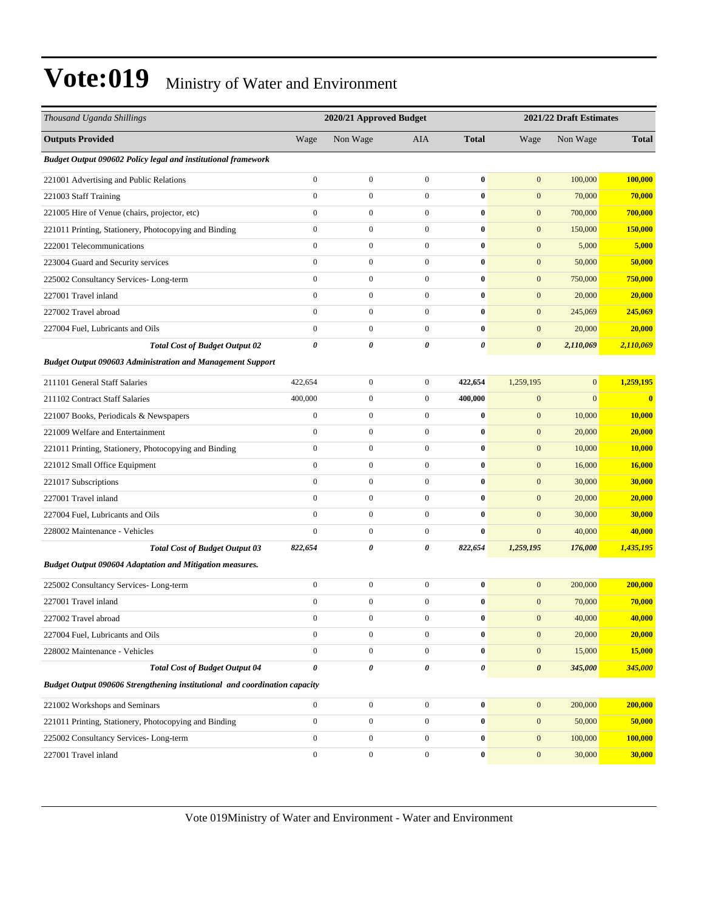| Thousand Uganda Shillings                                                  | 2020/21 Approved Budget |                  |                  | 2021/22 Draft Estimates |                       |                |               |  |
|----------------------------------------------------------------------------|-------------------------|------------------|------------------|-------------------------|-----------------------|----------------|---------------|--|
| <b>Outputs Provided</b>                                                    | Wage                    | Non Wage         | AIA              | <b>Total</b>            | Wage                  | Non Wage       | <b>Total</b>  |  |
| Budget Output 090602 Policy legal and institutional framework              |                         |                  |                  |                         |                       |                |               |  |
| 221001 Advertising and Public Relations                                    | $\boldsymbol{0}$        | $\overline{0}$   | $\boldsymbol{0}$ | $\bf{0}$                | $\mathbf{0}$          | 100,000        | 100,000       |  |
| 221003 Staff Training                                                      | $\boldsymbol{0}$        | $\overline{0}$   | $\boldsymbol{0}$ | $\bf{0}$                | $\mathbf{0}$          | 70,000         | 70,000        |  |
| 221005 Hire of Venue (chairs, projector, etc)                              | $\boldsymbol{0}$        | $\boldsymbol{0}$ | $\mathbf{0}$     | $\bf{0}$                | $\mathbf{0}$          | 700,000        | 700,000       |  |
| 221011 Printing, Stationery, Photocopying and Binding                      | $\boldsymbol{0}$        | $\boldsymbol{0}$ | $\mathbf{0}$     | $\bf{0}$                | $\boldsymbol{0}$      | 150,000        | 150,000       |  |
| 222001 Telecommunications                                                  | $\boldsymbol{0}$        | $\overline{0}$   | $\mathbf{0}$     | $\bf{0}$                | $\boldsymbol{0}$      | 5,000          | 5,000         |  |
| 223004 Guard and Security services                                         | $\mathbf{0}$            | $\overline{0}$   | $\boldsymbol{0}$ | $\bf{0}$                | $\mathbf{0}$          | 50,000         | 50,000        |  |
| 225002 Consultancy Services-Long-term                                      | $\boldsymbol{0}$        | $\overline{0}$   | $\boldsymbol{0}$ | $\bf{0}$                | $\mathbf{0}$          | 750,000        | 750,000       |  |
| 227001 Travel inland                                                       | $\boldsymbol{0}$        | $\boldsymbol{0}$ | $\mathbf{0}$     | $\bf{0}$                | $\mathbf{0}$          | 20,000         | 20,000        |  |
| 227002 Travel abroad                                                       | $\boldsymbol{0}$        | $\boldsymbol{0}$ | $\mathbf{0}$     | $\bf{0}$                | $\boldsymbol{0}$      | 245,069        | 245,069       |  |
| 227004 Fuel, Lubricants and Oils                                           | $\mathbf{0}$            | $\overline{0}$   | $\mathbf{0}$     | $\bf{0}$                | $\mathbf{0}$          | 20,000         | 20,000        |  |
| <b>Total Cost of Budget Output 02</b>                                      | $\boldsymbol{\theta}$   | 0                | 0                | 0                       | $\boldsymbol{\theta}$ | 2,110,069      | 2,110,069     |  |
| <b>Budget Output 090603 Administration and Management Support</b>          |                         |                  |                  |                         |                       |                |               |  |
| 211101 General Staff Salaries                                              | 422,654                 | $\boldsymbol{0}$ | $\mathbf{0}$     | 422,654                 | 1,259,195             | $\overline{0}$ | 1,259,195     |  |
| 211102 Contract Staff Salaries                                             | 400,000                 | $\boldsymbol{0}$ | $\mathbf{0}$     | 400,000                 | $\boldsymbol{0}$      | $\overline{0}$ | $\bf{0}$      |  |
| 221007 Books, Periodicals & Newspapers                                     | $\boldsymbol{0}$        | $\mathbf{0}$     | $\mathbf{0}$     | $\bf{0}$                | $\boldsymbol{0}$      | 10,000         | 10,000        |  |
| 221009 Welfare and Entertainment                                           | $\boldsymbol{0}$        | $\mathbf{0}$     | $\mathbf{0}$     | $\bf{0}$                | $\boldsymbol{0}$      | 20,000         | 20,000        |  |
| 221011 Printing, Stationery, Photocopying and Binding                      | $\mathbf{0}$            | $\overline{0}$   | $\boldsymbol{0}$ | $\bf{0}$                | $\mathbf{0}$          | 10,000         | <b>10,000</b> |  |
| 221012 Small Office Equipment                                              | $\boldsymbol{0}$        | $\overline{0}$   | $\boldsymbol{0}$ | $\bf{0}$                | $\mathbf{0}$          | 16,000         | 16,000        |  |
| 221017 Subscriptions                                                       | $\boldsymbol{0}$        | $\boldsymbol{0}$ | $\mathbf{0}$     | $\bf{0}$                | $\boldsymbol{0}$      | 30,000         | 30,000        |  |
| 227001 Travel inland                                                       | $\mathbf{0}$            | $\overline{0}$   | $\mathbf{0}$     | $\bf{0}$                | $\mathbf{0}$          | 20,000         | 20,000        |  |
| 227004 Fuel, Lubricants and Oils                                           | $\boldsymbol{0}$        | $\mathbf{0}$     | $\mathbf{0}$     | $\bf{0}$                | $\mathbf{0}$          | 30,000         | 30,000        |  |
| 228002 Maintenance - Vehicles                                              | $\overline{0}$          | $\overline{0}$   | $\mathbf{0}$     | $\bf{0}$                | $\mathbf{0}$          | 40,000         | 40,000        |  |
| <b>Total Cost of Budget Output 03</b>                                      | 822,654                 | 0                | 0                | 822,654                 | 1,259,195             | 176,000        | 1,435,195     |  |
| <b>Budget Output 090604 Adaptation and Mitigation measures.</b>            |                         |                  |                  |                         |                       |                |               |  |
| 225002 Consultancy Services-Long-term                                      | $\boldsymbol{0}$        | $\boldsymbol{0}$ | $\boldsymbol{0}$ | $\bf{0}$                | $\mathbf{0}$          | 200,000        | 200,000       |  |
| 227001 Travel inland                                                       | $\boldsymbol{0}$        | $\mathbf{0}$     | $\mathbf{0}$     | $\bf{0}$                | $\mathbf{0}$          | 70,000         | 70,000        |  |
| 227002 Travel abroad                                                       | $\Omega$                | $\Omega$         | $\Omega$         | 0                       | $\boldsymbol{0}$      | 40,000         | 40,000        |  |
| 227004 Fuel, Lubricants and Oils                                           | $\boldsymbol{0}$        | $\boldsymbol{0}$ | $\mathbf{0}$     | $\bf{0}$                | $\mathbf{0}$          | 20,000         | 20,000        |  |
| 228002 Maintenance - Vehicles                                              | $\boldsymbol{0}$        | $\boldsymbol{0}$ | $\boldsymbol{0}$ | $\bf{0}$                | $\mathbf{0}$          | 15,000         | 15,000        |  |
| <b>Total Cost of Budget Output 04</b>                                      | 0                       | 0                | 0                | $\pmb{\theta}$          | $\boldsymbol{\theta}$ | 345,000        | 345,000       |  |
| Budget Output 090606 Strengthening institutional and coordination capacity |                         |                  |                  |                         |                       |                |               |  |
| 221002 Workshops and Seminars                                              | $\mathbf{0}$            | $\boldsymbol{0}$ | $\boldsymbol{0}$ | $\bf{0}$                | $\mathbf{0}$          | 200,000        | 200,000       |  |
| 221011 Printing, Stationery, Photocopying and Binding                      | $\boldsymbol{0}$        | $\boldsymbol{0}$ | $\boldsymbol{0}$ | $\bf{0}$                | $\mathbf{0}$          | 50,000         | 50,000        |  |
| 225002 Consultancy Services-Long-term                                      | $\boldsymbol{0}$        | $\boldsymbol{0}$ | $\boldsymbol{0}$ | $\bf{0}$                | $\boldsymbol{0}$      | 100,000        | 100,000       |  |
| 227001 Travel inland                                                       | $\boldsymbol{0}$        | $\boldsymbol{0}$ | $\boldsymbol{0}$ | $\bf{0}$                | $\boldsymbol{0}$      | 30,000         | 30,000        |  |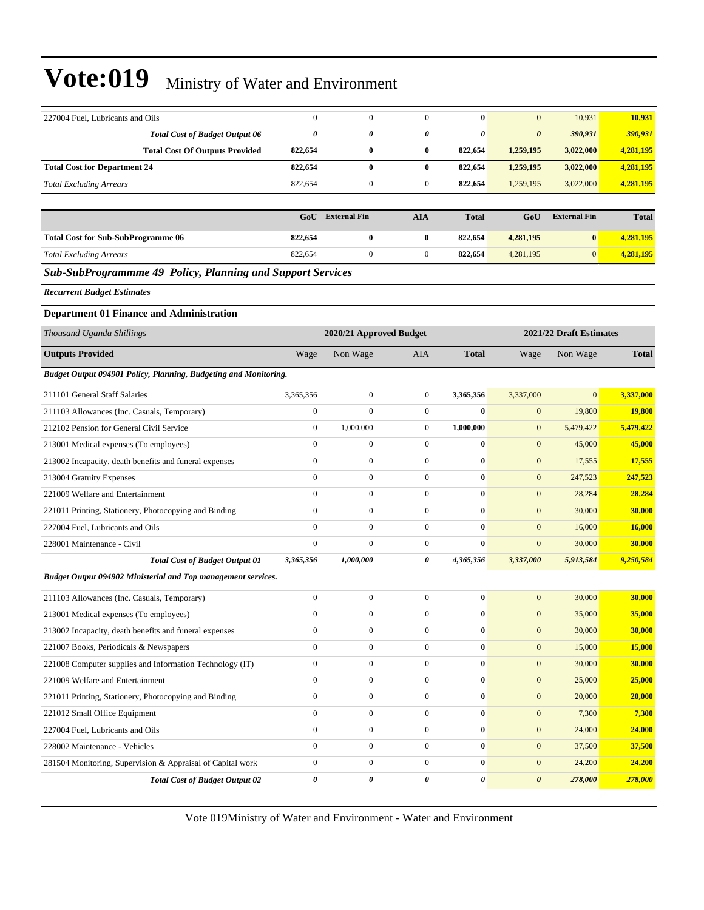| 227004 Fuel, Lubricants and Oils                                  | $\mathbf{0}$            | $\boldsymbol{0}$    | $\mathbf{0}$     | $\bf{0}$       | $\mathbf{0}$          | 10,931                  | 10,931         |
|-------------------------------------------------------------------|-------------------------|---------------------|------------------|----------------|-----------------------|-------------------------|----------------|
| <b>Total Cost of Budget Output 06</b>                             | $\boldsymbol{\theta}$   | 0                   | 0                | 0              | $\boldsymbol{\theta}$ | 390,931                 | <u>390,931</u> |
| <b>Total Cost Of Outputs Provided</b>                             | 822,654                 | $\bf{0}$            | $\bf{0}$         | 822,654        | 1,259,195             | 3,022,000               | 4,281,195      |
| <b>Total Cost for Department 24</b>                               | 822,654                 | $\bf{0}$            | $\bf{0}$         | 822,654        | 1,259,195             | 3,022,000               | 4,281,195      |
| <b>Total Excluding Arrears</b>                                    | 822,654                 | $\boldsymbol{0}$    | $\mathbf{0}$     | 822,654        | 1,259,195             | 3,022,000               | 4,281,195      |
|                                                                   |                         |                     |                  |                |                       |                         |                |
|                                                                   | GoU                     | <b>External Fin</b> | <b>AIA</b>       | <b>Total</b>   | GoU                   | <b>External Fin</b>     | <b>Total</b>   |
| <b>Total Cost for Sub-SubProgramme 06</b>                         | 822,654                 | $\bf{0}$            | $\bf{0}$         | 822,654        | 4,281,195             | $\bf{0}$                | 4,281,195      |
| <b>Total Excluding Arrears</b>                                    | 822,654                 | $\mathbf{0}$        | $\boldsymbol{0}$ | 822,654        | 4,281,195             | $\mathbf{0}$            | 4,281,195      |
| <b>Sub-SubProgrammme 49 Policy, Planning and Support Services</b> |                         |                     |                  |                |                       |                         |                |
| <b>Recurrent Budget Estimates</b>                                 |                         |                     |                  |                |                       |                         |                |
| <b>Department 01 Finance and Administration</b>                   |                         |                     |                  |                |                       |                         |                |
| Thousand Uganda Shillings                                         | 2020/21 Approved Budget |                     |                  |                |                       | 2021/22 Draft Estimates |                |
| <b>Outputs Provided</b>                                           | Wage                    | Non Wage            | AIA              | <b>Total</b>   | Wage                  | Non Wage                | <b>Total</b>   |
| Budget Output 094901 Policy, Planning, Budgeting and Monitoring.  |                         |                     |                  |                |                       |                         |                |
| 211101 General Staff Salaries                                     | 3,365,356               | $\boldsymbol{0}$    | $\boldsymbol{0}$ | 3,365,356      | 3,337,000             | $\mathbf{0}$            | 3,337,000      |
| 211103 Allowances (Inc. Casuals, Temporary)                       | $\boldsymbol{0}$        | $\overline{0}$      | $\mathbf{0}$     | $\bf{0}$       | $\boldsymbol{0}$      | 19,800                  | <b>19,800</b>  |
| 212102 Pension for General Civil Service                          | $\boldsymbol{0}$        | 1,000,000           | $\boldsymbol{0}$ | 1,000,000      | $\mathbf{0}$          | 5,479,422               | 5,479,422      |
| 213001 Medical expenses (To employees)                            | $\mathbf{0}$            | $\boldsymbol{0}$    | $\boldsymbol{0}$ | $\bf{0}$       | $\mathbf{0}$          | 45,000                  | 45,000         |
| 213002 Incapacity, death benefits and funeral expenses            | $\boldsymbol{0}$        | $\boldsymbol{0}$    | $\boldsymbol{0}$ | $\bf{0}$       | $\boldsymbol{0}$      | 17,555                  | 17,555         |
| 213004 Gratuity Expenses                                          | $\mathbf{0}$            | $\boldsymbol{0}$    | $\boldsymbol{0}$ | $\bf{0}$       | $\boldsymbol{0}$      | 247,523                 | 247,523        |
| 221009 Welfare and Entertainment                                  | $\mathbf{0}$            | $\boldsymbol{0}$    | $\mathbf{0}$     | $\bf{0}$       | $\mathbf{0}$          | 28,284                  | 28,284         |
| 221011 Printing, Stationery, Photocopying and Binding             | $\mathbf{0}$            | $\mathbf{0}$        | $\mathbf{0}$     | $\bf{0}$       | $\mathbf{0}$          | 30,000                  | 30,000         |
| 227004 Fuel, Lubricants and Oils                                  | $\mathbf{0}$            | $\boldsymbol{0}$    | $\boldsymbol{0}$ | $\bf{0}$       | $\mathbf{0}$          | 16,000                  | 16,000         |
| 228001 Maintenance - Civil                                        | $\boldsymbol{0}$        | $\mathbf{0}$        | $\mathbf{0}$     | $\bf{0}$       | $\mathbf{0}$          | 30,000                  | 30,000         |
| <b>Total Cost of Budget Output 01</b>                             | 3,365,356               | 1,000,000           | 0                | 4,365,356      | 3,337,000             | 5,913,584               | 9,250,584      |
| Budget Output 094902 Ministerial and Top management services.     |                         |                     |                  |                |                       |                         |                |
| 211103 Allowances (Inc. Casuals, Temporary)                       | $\boldsymbol{0}$        | $\boldsymbol{0}$    | $\boldsymbol{0}$ | $\bf{0}$       | $\mathbf{0}$          | 30,000                  | 30,000         |
| 213001 Medical expenses (To employees)                            | $\mathbf{0}$            | $\mathbf{0}$        | $\mathbf{0}$     | $\bf{0}$       | $\mathbf{0}$          | 35,000                  | 35,000         |
| 213002 Incapacity, death benefits and funeral expenses            | $\boldsymbol{0}$        | $\boldsymbol{0}$    | $\boldsymbol{0}$ | $\bf{0}$       | $\boldsymbol{0}$      | 30,000                  | 30,000         |
| 221007 Books, Periodicals & Newspapers                            | $\boldsymbol{0}$        | $\boldsymbol{0}$    | $\overline{0}$   | $\bf{0}$       | $\boldsymbol{0}$      | 15,000                  | 15,000         |
| 221008 Computer supplies and Information Technology (IT)          | $\boldsymbol{0}$        | $\boldsymbol{0}$    | $\boldsymbol{0}$ | $\bf{0}$       | $\boldsymbol{0}$      | 30,000                  | 30,000         |
| 221009 Welfare and Entertainment                                  | $\boldsymbol{0}$        | $\boldsymbol{0}$    | $\overline{0}$   | $\bf{0}$       | $\mathbf{0}$          | 25,000                  | 25,000         |
| 221011 Printing, Stationery, Photocopying and Binding             | $\boldsymbol{0}$        | $\boldsymbol{0}$    | $\overline{0}$   | $\bf{0}$       | $\boldsymbol{0}$      | 20,000                  | 20,000         |
| 221012 Small Office Equipment                                     | $\boldsymbol{0}$        | $\boldsymbol{0}$    | $\overline{0}$   | $\bf{0}$       | $\boldsymbol{0}$      | 7,300                   | 7,300          |
| 227004 Fuel, Lubricants and Oils                                  | $\boldsymbol{0}$        | $\boldsymbol{0}$    | $\boldsymbol{0}$ | $\bf{0}$       | $\boldsymbol{0}$      | 24,000                  | 24,000         |
| 228002 Maintenance - Vehicles                                     | $\boldsymbol{0}$        | $\mathbf{0}$        | $\boldsymbol{0}$ | $\bf{0}$       | $\boldsymbol{0}$      | 37,500                  | 37,500         |
| 281504 Monitoring, Supervision & Appraisal of Capital work        | $\boldsymbol{0}$        | $\boldsymbol{0}$    | $\overline{0}$   | $\bf{0}$       | $\boldsymbol{0}$      | 24,200                  | 24,200         |
| <b>Total Cost of Budget Output 02</b>                             | $\boldsymbol{\theta}$   | 0                   | 0                | $\pmb{\theta}$ | $\pmb{\theta}$        | 278,000                 | 278,000        |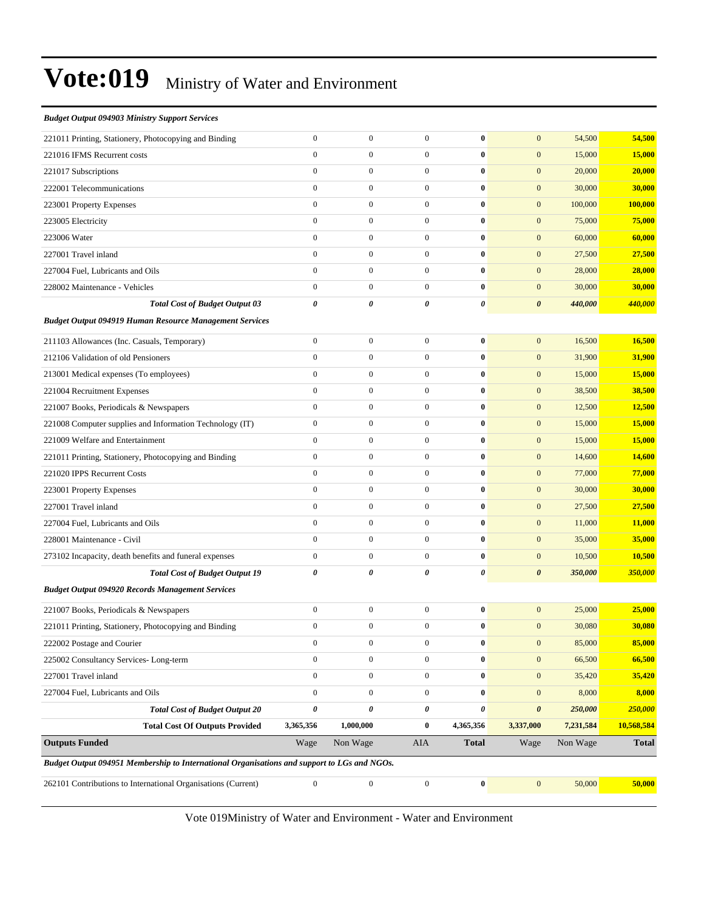#### *Budget Output 094903 Ministry Support Services*

| 262101 Contributions to International Organisations (Current)                               | $\boldsymbol{0}$                     | $\boldsymbol{0}$      | $\boldsymbol{0}$                      | $\pmb{0}$     | $\mathbf{0}$                              | 50,000           | 50,000           |
|---------------------------------------------------------------------------------------------|--------------------------------------|-----------------------|---------------------------------------|---------------|-------------------------------------------|------------------|------------------|
| Budget Output 094951 Membership to International Organisations and support to LGs and NGOs. |                                      |                       |                                       |               |                                           |                  |                  |
| <b>Outputs Funded</b>                                                                       | Wage                                 | Non Wage              | AIA                                   | <b>Total</b>  | Wage                                      | Non Wage         | <b>Total</b>     |
| <b>Total Cost Of Outputs Provided</b>                                                       | 3,365,356                            | 1,000,000             | $\bf{0}$                              | 4,365,356     | 3,337,000                                 | 7,231,584        | 10,568,584       |
| 227004 Fuel, Lubricants and Oils<br><b>Total Cost of Budget Output 20</b>                   | $\pmb{\theta}$                       | $\boldsymbol{0}$<br>0 | $\mathbf{0}$<br>$\boldsymbol{\theta}$ | $\bf{0}$<br>0 | $\boldsymbol{0}$<br>$\boldsymbol{\theta}$ | 8,000<br>250,000 | 8,000<br>250,000 |
| 227001 Travel inland                                                                        | $\boldsymbol{0}$<br>$\boldsymbol{0}$ | $\boldsymbol{0}$      | $\mathbf{0}$                          | $\bf{0}$      | $\mathbf{0}$                              | 35,420           | 35,420           |
| 225002 Consultancy Services-Long-term                                                       | $\boldsymbol{0}$                     | $\mathbf{0}$          | $\mathbf{0}$                          | $\bf{0}$      | $\boldsymbol{0}$                          | 66,500           | 66,500           |
| 222002 Postage and Courier                                                                  | $\boldsymbol{0}$                     | $\boldsymbol{0}$      | $\boldsymbol{0}$                      | $\bf{0}$      | $\bf{0}$                                  | 85,000           | 85,000           |
| 221011 Printing, Stationery, Photocopying and Binding                                       | $\boldsymbol{0}$                     | $\boldsymbol{0}$      | $\mathbf{0}$                          | $\bf{0}$      | $\mathbf{0}$                              | 30,080           | 30,080           |
| 221007 Books, Periodicals & Newspapers                                                      | $\boldsymbol{0}$                     | $\mathbf{0}$          | $\mathbf{0}$                          | $\bf{0}$      | $\mathbf{0}$                              | 25,000           | 25,000           |
| <b>Budget Output 094920 Records Management Services</b>                                     |                                      |                       |                                       |               |                                           |                  |                  |
| <b>Total Cost of Budget Output 19</b>                                                       | $\boldsymbol{\theta}$                | 0                     | 0                                     | 0             | $\boldsymbol{\theta}$                     | 350,000          | 350,000          |
| 273102 Incapacity, death benefits and funeral expenses                                      | $\boldsymbol{0}$                     | $\mathbf{0}$          | $\mathbf{0}$                          | $\bf{0}$      | $\mathbf{0}$                              | 10,500           | 10,500           |
| 228001 Maintenance - Civil                                                                  | $\mathbf{0}$                         | $\mathbf{0}$          | $\mathbf{0}$                          | $\bf{0}$      | $\mathbf{0}$                              | 35,000           | 35,000           |
| 227004 Fuel, Lubricants and Oils                                                            | $\boldsymbol{0}$                     | $\boldsymbol{0}$      | $\mathbf{0}$                          | $\bf{0}$      | $\mathbf{0}$                              | 11,000           | 11,000           |
| 227001 Travel inland                                                                        | $\mathbf{0}$                         | $\boldsymbol{0}$      | $\mathbf{0}$                          | $\bf{0}$      | $\mathbf{0}$                              | 27,500           | 27,500           |
| 223001 Property Expenses                                                                    | $\mathbf{0}$                         | $\boldsymbol{0}$      | $\mathbf{0}$                          | $\bf{0}$      | $\mathbf{0}$                              | 30,000           | 30,000           |
| 221020 IPPS Recurrent Costs                                                                 | $\boldsymbol{0}$                     | $\mathbf{0}$          | $\mathbf{0}$                          | $\bf{0}$      | $\boldsymbol{0}$                          | 77,000           | 77,000           |
| 221011 Printing, Stationery, Photocopying and Binding                                       | $\boldsymbol{0}$                     | $\mathbf{0}$          | $\mathbf{0}$                          | $\bf{0}$      | $\mathbf{0}$                              | 14,600           | 14,600           |
| 221009 Welfare and Entertainment                                                            | $\boldsymbol{0}$                     | $\boldsymbol{0}$      | $\mathbf{0}$                          | $\bf{0}$      | $\mathbf{0}$                              | 15,000           | 15,000           |
| 221008 Computer supplies and Information Technology (IT)                                    | $\boldsymbol{0}$                     | $\boldsymbol{0}$      | $\mathbf{0}$                          | $\bf{0}$      | $\mathbf{0}$                              | 15,000           | 15,000           |
| 221007 Books, Periodicals & Newspapers                                                      | $\mathbf{0}$                         | $\boldsymbol{0}$      | $\mathbf{0}$                          | $\bf{0}$      | $\mathbf{0}$                              | 12,500           | 12,500           |
| 221004 Recruitment Expenses                                                                 | $\boldsymbol{0}$                     | $\mathbf{0}$          | $\mathbf{0}$                          | $\bf{0}$      | $\mathbf{0}$                              | 38,500           | 38,500           |
| 213001 Medical expenses (To employees)                                                      | $\boldsymbol{0}$                     | $\mathbf{0}$          | $\mathbf{0}$                          | $\bf{0}$      | $\mathbf{0}$                              | 15,000           | 15,000           |
| 212106 Validation of old Pensioners                                                         | $\boldsymbol{0}$                     | $\boldsymbol{0}$      | $\mathbf{0}$                          | $\bf{0}$      | $\mathbf{0}$                              | 31,900           | 31,900           |
| 211103 Allowances (Inc. Casuals, Temporary)                                                 | $\boldsymbol{0}$                     | $\boldsymbol{0}$      | $\mathbf{0}$                          | $\bf{0}$      | $\mathbf{0}$                              | 16,500           | 16,500           |
| <b>Budget Output 094919 Human Resource Management Services</b>                              |                                      |                       |                                       |               |                                           |                  |                  |
| <b>Total Cost of Budget Output 03</b>                                                       | $\pmb{\theta}$                       | 0                     | 0                                     | 0             | $\boldsymbol{\theta}$                     | 440,000          | 440,000          |
| 228002 Maintenance - Vehicles                                                               | $\mathbf{0}$                         | $\overline{0}$        | $\mathbf{0}$                          | $\bf{0}$      | $\mathbf{0}$                              | 30,000           | 30,000           |
| 227004 Fuel, Lubricants and Oils                                                            | $\mathbf{0}$                         | $\boldsymbol{0}$      | $\mathbf{0}$                          | $\bf{0}$      | $\mathbf{0}$                              | 28,000           | 28,000           |
| 227001 Travel inland                                                                        | $\boldsymbol{0}$                     | $\boldsymbol{0}$      | $\mathbf{0}$                          | $\bf{0}$      | $\boldsymbol{0}$                          | 27,500           | 27,500           |
| 223006 Water                                                                                | $\boldsymbol{0}$                     | $\mathbf{0}$          | $\mathbf{0}$                          | $\bf{0}$      | $\mathbf{0}$                              | 60,000           | 60,000           |
| 223005 Electricity                                                                          | $\mathbf{0}$                         | $\mathbf{0}$          | $\mathbf{0}$                          | $\bf{0}$      | $\mathbf{0}$                              | 75,000           | 75,000           |
| 223001 Property Expenses                                                                    | $\boldsymbol{0}$                     | $\mathbf{0}$          | $\mathbf{0}$                          | $\bf{0}$      | $\mathbf{0}$                              | 100,000          | 100,000          |
| 222001 Telecommunications                                                                   | $\mathbf{0}$                         | $\mathbf{0}$          | $\mathbf{0}$                          | $\bf{0}$      | $\mathbf{0}$                              | 30,000           | 30,000           |
| 221017 Subscriptions                                                                        | $\boldsymbol{0}$                     | $\boldsymbol{0}$      | $\mathbf{0}$                          | $\bf{0}$      | $\mathbf{0}$                              | 20,000           | 20,000           |
| 221016 IFMS Recurrent costs                                                                 | $\boldsymbol{0}$                     | $\boldsymbol{0}$      | $\mathbf{0}$                          | $\bf{0}$      | $\mathbf{0}$                              | 15,000           | 15,000           |
| 221011 Printing, Stationery, Photocopying and Binding                                       | $\mathbf{0}$                         | $\boldsymbol{0}$      | $\mathbf{0}$                          | $\bf{0}$      | $\mathbf{0}$                              | 54,500           | 54,500           |
|                                                                                             |                                      |                       |                                       |               |                                           |                  |                  |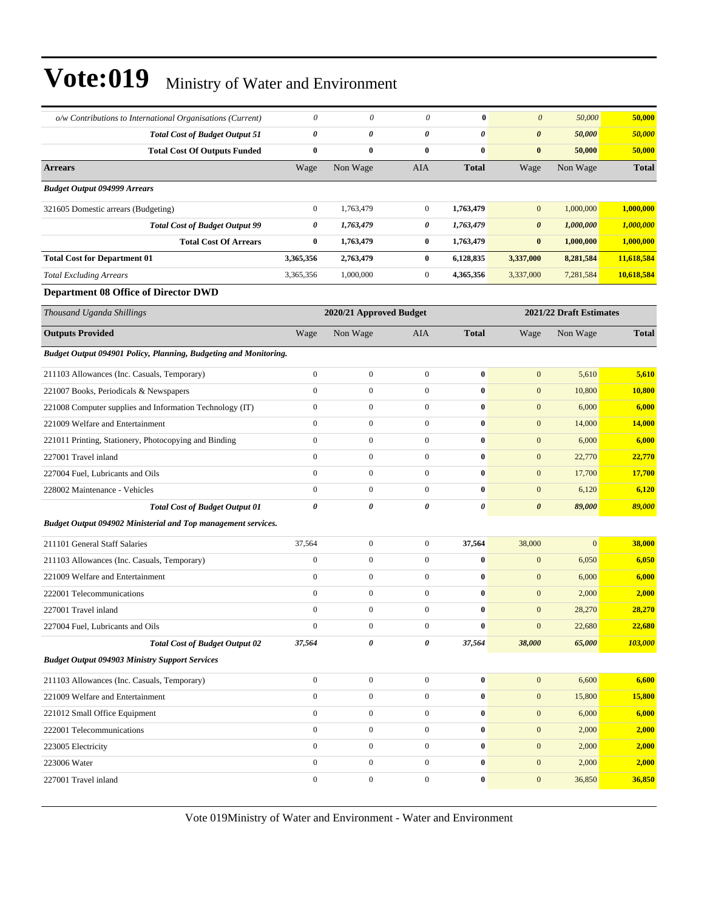| o/w Contributions to International Organisations (Current)       | 0                     | 0                       | 0                | $\bf{0}$     | $\boldsymbol{\theta}$ | 50,000                  | 50,000       |
|------------------------------------------------------------------|-----------------------|-------------------------|------------------|--------------|-----------------------|-------------------------|--------------|
| <b>Total Cost of Budget Output 51</b>                            | $\boldsymbol{\theta}$ | 0                       | $\theta$         | 0            | $\boldsymbol{\theta}$ | 50,000                  | 50,000       |
| <b>Total Cost Of Outputs Funded</b>                              | $\bf{0}$              | $\bf{0}$                | $\bf{0}$         | $\bf{0}$     | $\bf{0}$              | 50,000                  | 50,000       |
| <b>Arrears</b>                                                   | Wage                  | Non Wage                | AIA              | <b>Total</b> | Wage                  | Non Wage                | <b>Total</b> |
| <b>Budget Output 094999 Arrears</b>                              |                       |                         |                  |              |                       |                         |              |
| 321605 Domestic arrears (Budgeting)                              | $\boldsymbol{0}$      | 1,763,479               | $\overline{0}$   | 1,763,479    | $\mathbf{0}$          | 1,000,000               | 1,000,000    |
| <b>Total Cost of Budget Output 99</b>                            | 0                     | 1,763,479               | 0                | 1,763,479    | $\boldsymbol{\theta}$ | 1,000,000               | 1,000,000    |
| <b>Total Cost Of Arrears</b>                                     | $\bf{0}$              | 1,763,479               | $\bf{0}$         | 1,763,479    | $\bf{0}$              | 1,000,000               | 1,000,000    |
| <b>Total Cost for Department 01</b>                              | 3,365,356             | 2,763,479               | $\bf{0}$         | 6,128,835    | 3,337,000             | 8,281,584               | 11,618,584   |
| <b>Total Excluding Arrears</b>                                   | 3,365,356             | 1,000,000               | $\mathbf{0}$     | 4,365,356    | 3,337,000             | 7,281,584               | 10,618,584   |
| <b>Department 08 Office of Director DWD</b>                      |                       |                         |                  |              |                       |                         |              |
| Thousand Uganda Shillings                                        |                       | 2020/21 Approved Budget |                  |              |                       | 2021/22 Draft Estimates |              |
| <b>Outputs Provided</b>                                          | Wage                  | Non Wage                | AIA              | <b>Total</b> | Wage                  | Non Wage                | Total        |
| Budget Output 094901 Policy, Planning, Budgeting and Monitoring. |                       |                         |                  |              |                       |                         |              |
| 211103 Allowances (Inc. Casuals, Temporary)                      | $\mathbf{0}$          | $\boldsymbol{0}$        | $\mathbf{0}$     | $\bf{0}$     | $\mathbf{0}$          | 5,610                   | 5,610        |
| 221007 Books, Periodicals & Newspapers                           | $\mathbf{0}$          | $\mathbf{0}$            | $\mathbf{0}$     | $\bf{0}$     | $\mathbf{0}$          | 10,800                  | 10,800       |
| 221008 Computer supplies and Information Technology (IT)         | $\mathbf{0}$          | $\mathbf{0}$            | $\mathbf{0}$     | $\bf{0}$     | $\mathbf{0}$          | 6,000                   | 6,000        |
| 221009 Welfare and Entertainment                                 | $\mathbf{0}$          | $\mathbf{0}$            | $\boldsymbol{0}$ | $\bf{0}$     | $\mathbf{0}$          | 14,000                  | 14,000       |
| 221011 Printing, Stationery, Photocopying and Binding            | $\mathbf{0}$          | $\boldsymbol{0}$        | $\mathbf{0}$     | $\bf{0}$     | $\boldsymbol{0}$      | 6,000                   | 6,000        |
| 227001 Travel inland                                             | $\mathbf{0}$          | $\mathbf{0}$            | $\mathbf{0}$     | $\bf{0}$     | $\mathbf{0}$          | 22,770                  | 22,770       |
| 227004 Fuel, Lubricants and Oils                                 | $\mathbf{0}$          | $\mathbf{0}$            | $\mathbf{0}$     | $\bf{0}$     | $\mathbf{0}$          | 17,700                  | 17,700       |
| 228002 Maintenance - Vehicles                                    | $\mathbf{0}$          | $\mathbf{0}$            | $\mathbf{0}$     | $\bf{0}$     | $\mathbf{0}$          | 6,120                   | 6,120        |
| <b>Total Cost of Budget Output 01</b>                            | 0                     | 0                       | 0                | 0            | $\boldsymbol{\theta}$ | 89,000                  | 89,000       |
| Budget Output 094902 Ministerial and Top management services.    |                       |                         |                  |              |                       |                         |              |
| 211101 General Staff Salaries                                    | 37,564                | $\mathbf{0}$            | $\boldsymbol{0}$ | 37,564       | 38,000                | $\boldsymbol{0}$        | 38,000       |
| 211103 Allowances (Inc. Casuals, Temporary)                      | $\mathbf{0}$          | $\mathbf{0}$            | $\mathbf{0}$     | $\bf{0}$     | $\boldsymbol{0}$      | 6,050                   | 6,050        |
| 221009 Welfare and Entertainment                                 | $\mathbf{0}$          | $\mathbf{0}$            | $\mathbf{0}$     | $\bf{0}$     | $\mathbf{0}$          | 6,000                   | 6,000        |
| 222001 Telecommunications                                        | $\mathbf{0}$          | $\mathbf{0}$            | $\mathbf{0}$     | $\bf{0}$     | $\mathbf{0}$          | 2,000                   | 2,000        |
| 227001 Travel inland                                             | $\boldsymbol{0}$      | $\mathbf{0}$            | $\mathbf{0}$     | $\bf{0}$     | $\mathbf{0}$          | 28,270                  | 28,270       |
| 227004 Fuel, Lubricants and Oils                                 | $\boldsymbol{0}$      | $\boldsymbol{0}$        | $\boldsymbol{0}$ | $\bf{0}$     | $\boldsymbol{0}$      | 22,680                  | 22,680       |
| <b>Total Cost of Budget Output 02</b>                            | 37,564                | 0                       | 0                | 37,564       | 38,000                | 65,000                  | 103,000      |
| <b>Budget Output 094903 Ministry Support Services</b>            |                       |                         |                  |              |                       |                         |              |
| 211103 Allowances (Inc. Casuals, Temporary)                      | $\boldsymbol{0}$      | $\mathbf{0}$            | $\mathbf{0}$     | $\bf{0}$     | $\mathbf{0}$          | 6,600                   | 6,600        |
| 221009 Welfare and Entertainment                                 | $\mathbf{0}$          | $\boldsymbol{0}$        | $\boldsymbol{0}$ | $\bf{0}$     | $\mathbf{0}$          | 15,800                  | 15,800       |
| 221012 Small Office Equipment                                    | $\mathbf{0}$          | $\mathbf{0}$            | $\mathbf{0}$     | $\bf{0}$     | $\mathbf{0}$          | 6,000                   | 6,000        |
| 222001 Telecommunications                                        | $\mathbf{0}$          | $\boldsymbol{0}$        | $\overline{0}$   | $\bf{0}$     | $\mathbf{0}$          | 2,000                   | 2,000        |
| 223005 Electricity                                               | $\mathbf{0}$          | $\mathbf{0}$            | $\mathbf{0}$     | $\bf{0}$     | $\mathbf{0}$          | 2,000                   | 2,000        |
| 223006 Water                                                     | $\boldsymbol{0}$      | $\mathbf{0}$            | $\overline{0}$   | $\bf{0}$     | $\mathbf{0}$          | 2,000                   | 2,000        |
| 227001 Travel inland                                             | $\boldsymbol{0}$      | $\boldsymbol{0}$        | $\overline{0}$   | $\bf{0}$     | $\mathbf{0}$          | 36,850                  | 36,850       |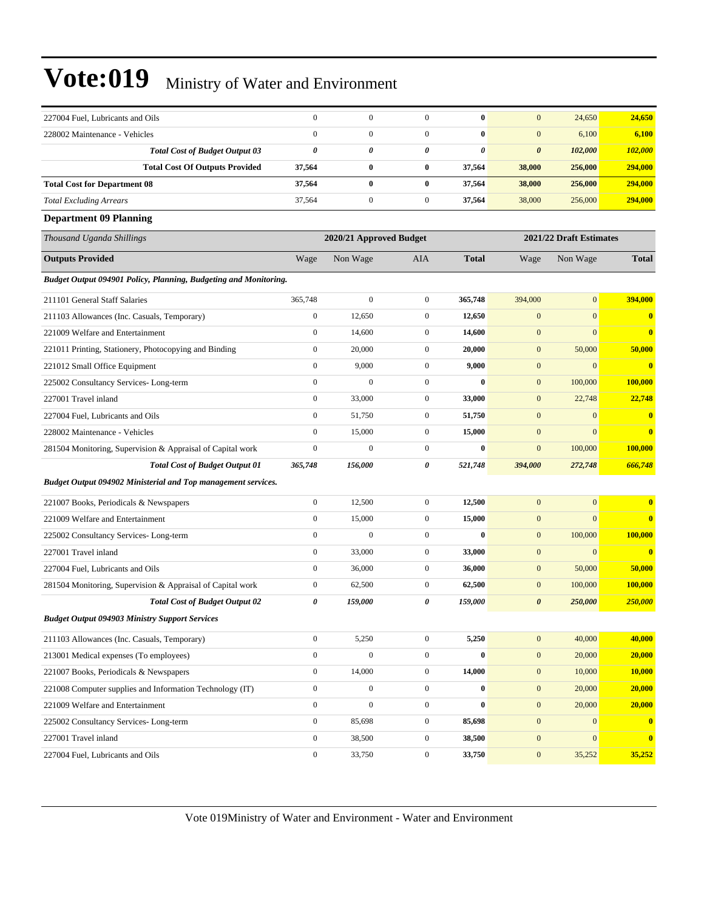| 227004 Fuel, Lubricants and Oils                                        | $\boldsymbol{0}$      | $\boldsymbol{0}$        | $\overline{0}$   | $\bf{0}$              | $\mathbf{0}$          | 24,650                  | 24,650                  |
|-------------------------------------------------------------------------|-----------------------|-------------------------|------------------|-----------------------|-----------------------|-------------------------|-------------------------|
| 228002 Maintenance - Vehicles                                           | $\mathbf{0}$          | 0                       | $\overline{0}$   | $\bf{0}$              | $\boldsymbol{0}$      | 6,100                   | 6,100                   |
| <b>Total Cost of Budget Output 03</b>                                   | $\boldsymbol{\theta}$ | 0                       | 0                | $\boldsymbol{\theta}$ | $\boldsymbol{\theta}$ | 102,000                 | 102,000                 |
| <b>Total Cost Of Outputs Provided</b>                                   | 37,564                | $\bf{0}$                | $\bf{0}$         | 37,564                | 38,000                | 256,000                 | 294,000                 |
| <b>Total Cost for Department 08</b>                                     | 37,564                | $\bf{0}$                | $\bf{0}$         | 37,564                | 38,000                | 256,000                 | 294,000                 |
| <b>Total Excluding Arrears</b>                                          | 37,564                | $\mathbf{0}$            | $\mathbf{0}$     | 37,564                | 38,000                | 256,000                 | 294,000                 |
| <b>Department 09 Planning</b>                                           |                       |                         |                  |                       |                       |                         |                         |
| Thousand Uganda Shillings                                               |                       | 2020/21 Approved Budget |                  |                       |                       | 2021/22 Draft Estimates |                         |
| <b>Outputs Provided</b>                                                 | Wage                  | Non Wage                | AIA              | <b>Total</b>          | Wage                  | Non Wage                | <b>Total</b>            |
| <b>Budget Output 094901 Policy, Planning, Budgeting and Monitoring.</b> |                       |                         |                  |                       |                       |                         |                         |
| 211101 General Staff Salaries                                           | 365,748               | $\boldsymbol{0}$        | $\mathbf{0}$     | 365,748               | 394,000               | $\overline{0}$          | 394,000                 |
| 211103 Allowances (Inc. Casuals, Temporary)                             | $\boldsymbol{0}$      | 12,650                  | $\mathbf{0}$     | 12,650                | $\boldsymbol{0}$      | $\mathbf{0}$            | $\bf{0}$                |
| 221009 Welfare and Entertainment                                        | $\boldsymbol{0}$      | 14,600                  | $\overline{0}$   | 14,600                | $\mathbf{0}$          | $\overline{0}$          | $\bf{0}$                |
| 221011 Printing, Stationery, Photocopying and Binding                   | $\mathbf{0}$          | 20,000                  | $\mathbf{0}$     | 20,000                | $\mathbf{0}$          | 50,000                  | 50,000                  |
| 221012 Small Office Equipment                                           | $\boldsymbol{0}$      | 9,000                   | $\mathbf{0}$     | 9,000                 | $\mathbf{0}$          | $\mathbf{0}$            | $\overline{\mathbf{0}}$ |
| 225002 Consultancy Services-Long-term                                   | $\mathbf{0}$          | 0                       | $\overline{0}$   | $\bf{0}$              | $\mathbf{0}$          | 100,000                 | <b>100,000</b>          |
| 227001 Travel inland                                                    | $\mathbf{0}$          | 33,000                  | $\mathbf{0}$     | 33,000                | $\mathbf{0}$          | 22,748                  | 22,748                  |
| 227004 Fuel, Lubricants and Oils                                        | $\boldsymbol{0}$      | 51,750                  | $\mathbf{0}$     | 51,750                | $\mathbf{0}$          | $\mathbf{0}$            | $\bf{0}$                |
| 228002 Maintenance - Vehicles                                           | $\mathbf{0}$          | 15,000                  | $\mathbf{0}$     | 15,000                | $\mathbf{0}$          | $\mathbf{0}$            | $\bf{0}$                |
| 281504 Monitoring, Supervision & Appraisal of Capital work              | $\boldsymbol{0}$      | $\mathbf{0}$            | $\mathbf{0}$     | $\bf{0}$              | $\mathbf{0}$          | 100,000                 | 100,000                 |
| <b>Total Cost of Budget Output 01</b>                                   | 365,748               | 156,000                 | 0                | 521,748               | 394,000               | 272,748                 | 666,748                 |
| <b>Budget Output 094902 Ministerial and Top management services.</b>    |                       |                         |                  |                       |                       |                         |                         |
| 221007 Books, Periodicals & Newspapers                                  | $\boldsymbol{0}$      | 12,500                  | $\mathbf{0}$     | 12,500                | $\mathbf{0}$          | $\mathbf{0}$            | $\bf{0}$                |
| 221009 Welfare and Entertainment                                        | $\boldsymbol{0}$      | 15,000                  | $\overline{0}$   | 15,000                | $\mathbf{0}$          | $\mathbf{0}$            | $\bf{0}$                |
| 225002 Consultancy Services-Long-term                                   | $\boldsymbol{0}$      | $\boldsymbol{0}$        | $\overline{0}$   | $\bf{0}$              | $\mathbf{0}$          | 100,000                 | 100,000                 |
| 227001 Travel inland                                                    | $\boldsymbol{0}$      | 33,000                  | $\mathbf{0}$     | 33,000                | $\mathbf{0}$          | $\mathbf{0}$            | $\overline{\mathbf{0}}$ |
| 227004 Fuel, Lubricants and Oils                                        | $\mathbf{0}$          | 36,000                  | $\mathbf{0}$     | 36,000                | $\mathbf{0}$          | 50,000                  | 50,000                  |
| 281504 Monitoring, Supervision & Appraisal of Capital work              | $\boldsymbol{0}$      | 62,500                  | $\mathbf{0}$     | 62,500                | $\mathbf{0}$          | 100,000                 | 100,000                 |
| <b>Total Cost of Budget Output 02</b>                                   | $\pmb{\theta}$        | 159,000                 | 0                | 159,000               | $\boldsymbol{\theta}$ | 250,000                 | 250,000                 |
| <b>Budget Output 094903 Ministry Support Services</b>                   |                       |                         |                  |                       |                       |                         |                         |
| 211103 Allowances (Inc. Casuals, Temporary)                             | $\mathbf{0}$          | 5,250                   | $\boldsymbol{0}$ | 5,250                 | $\mathbf{0}$          | 40,000                  | 40,000                  |
| 213001 Medical expenses (To employees)                                  | $\mathbf{0}$          | $\boldsymbol{0}$        | $\boldsymbol{0}$ | $\bf{0}$              | $\mathbf{0}$          | 20,000                  | 20,000                  |
| 221007 Books, Periodicals & Newspapers                                  | $\boldsymbol{0}$      | 14,000                  | $\boldsymbol{0}$ | 14,000                | $\boldsymbol{0}$      | 10,000                  | 10,000                  |
| 221008 Computer supplies and Information Technology (IT)                | $\boldsymbol{0}$      | $\overline{0}$          | $\boldsymbol{0}$ | $\bf{0}$              | $\mathbf{0}$          | 20,000                  | 20,000                  |
| 221009 Welfare and Entertainment                                        | $\boldsymbol{0}$      | $\boldsymbol{0}$        | $\overline{0}$   | $\bf{0}$              | $\boldsymbol{0}$      | 20,000                  | 20,000                  |
| 225002 Consultancy Services-Long-term                                   | $\boldsymbol{0}$      | 85,698                  | $\mathbf{0}$     | 85,698                | $\boldsymbol{0}$      | $\mathbf{0}$            | $\mathbf{0}$            |
| 227001 Travel inland                                                    | $\boldsymbol{0}$      | 38,500                  | $\boldsymbol{0}$ | 38,500                | $\mathbf{0}$          | $\mathbf{0}$            | $\mathbf{0}$            |
| 227004 Fuel, Lubricants and Oils                                        | $\boldsymbol{0}$      | 33,750                  | $\mathbf{0}$     | 33,750                | $\boldsymbol{0}$      | 35,252                  | 35,252                  |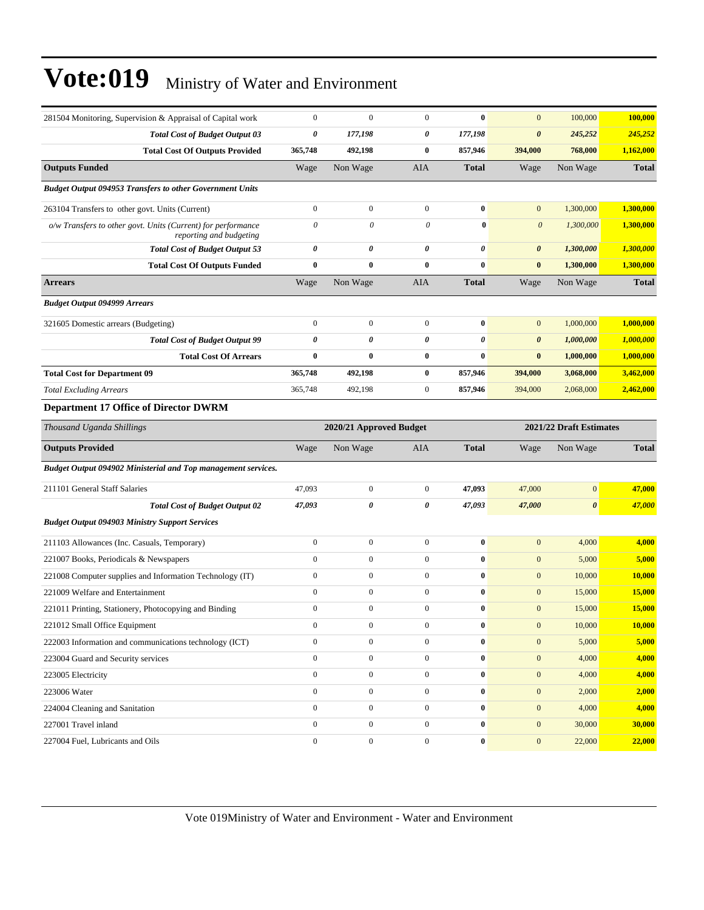| 281504 Monitoring, Supervision & Appraisal of Capital work                              | $\boldsymbol{0}$      | $\mathbf{0}$            | $\mathbf{0}$     | $\bf{0}$              | $\mathbf{0}$          | 100,000                 | 100,000       |
|-----------------------------------------------------------------------------------------|-----------------------|-------------------------|------------------|-----------------------|-----------------------|-------------------------|---------------|
| <b>Total Cost of Budget Output 03</b>                                                   | 0                     | 177,198                 | 0                | 177,198               | $\boldsymbol{\theta}$ | 245,252                 | 245,252       |
| <b>Total Cost Of Outputs Provided</b>                                                   | 365,748               | 492,198                 | $\bf{0}$         | 857,946               | 394,000               | 768,000                 | 1,162,000     |
| <b>Outputs Funded</b>                                                                   | Wage                  | Non Wage                | AIA              | <b>Total</b>          | Wage                  | Non Wage                | <b>Total</b>  |
| <b>Budget Output 094953 Transfers to other Government Units</b>                         |                       |                         |                  |                       |                       |                         |               |
| 263104 Transfers to other govt. Units (Current)                                         | $\boldsymbol{0}$      | $\boldsymbol{0}$        | $\mathbf{0}$     | $\bf{0}$              | $\mathbf{0}$          | 1,300,000               | 1,300,000     |
| o/w Transfers to other govt. Units (Current) for performance<br>reporting and budgeting | $\theta$              | $\boldsymbol{\theta}$   | $\theta$         | $\bf{0}$              | $\boldsymbol{\theta}$ | 1,300,000               | 1,300,000     |
| <b>Total Cost of Budget Output 53</b>                                                   | $\boldsymbol{\theta}$ | 0                       | 0                | $\boldsymbol{\theta}$ | $\pmb{\theta}$        | 1,300,000               | 1,300,000     |
| <b>Total Cost Of Outputs Funded</b>                                                     | $\bf{0}$              | $\bf{0}$                | $\bf{0}$         | $\bf{0}$              | $\bf{0}$              | 1,300,000               | 1,300,000     |
| <b>Arrears</b>                                                                          | Wage                  | Non Wage                | AIA              | <b>Total</b>          | Wage                  | Non Wage                | <b>Total</b>  |
| <b>Budget Output 094999 Arrears</b>                                                     |                       |                         |                  |                       |                       |                         |               |
| 321605 Domestic arrears (Budgeting)                                                     | $\boldsymbol{0}$      | $\mathbf{0}$            | $\mathbf{0}$     | $\bf{0}$              | $\mathbf{0}$          | 1,000,000               | 1,000,000     |
| <b>Total Cost of Budget Output 99</b>                                                   | $\boldsymbol{\theta}$ | $\theta$                | 0                | $\boldsymbol{\theta}$ | $\boldsymbol{\theta}$ | 1,000,000               | 1,000,000     |
| <b>Total Cost Of Arrears</b>                                                            | $\bf{0}$              | $\bf{0}$                | $\bf{0}$         | $\bf{0}$              | $\bf{0}$              | 1,000,000               | 1,000,000     |
| <b>Total Cost for Department 09</b>                                                     | 365,748               | 492,198                 | $\bf{0}$         | 857,946               | 394,000               | 3,068,000               | 3,462,000     |
| <b>Total Excluding Arrears</b>                                                          | 365,748               | 492,198                 | $\mathbf{0}$     | 857,946               | 394,000               | 2,068,000               | 2,462,000     |
| <b>Department 17 Office of Director DWRM</b>                                            |                       |                         |                  |                       |                       |                         |               |
| Thousand Uganda Shillings                                                               |                       | 2020/21 Approved Budget |                  |                       |                       | 2021/22 Draft Estimates |               |
| <b>Outputs Provided</b>                                                                 | Wage                  | Non Wage                | AIA              | <b>Total</b>          | Wage                  | Non Wage                | <b>Total</b>  |
| Budget Output 094902 Ministerial and Top management services.                           |                       |                         |                  |                       |                       |                         |               |
| 211101 General Staff Salaries                                                           | 47,093                | $\mathbf{0}$            | $\mathbf{0}$     | 47,093                | 47,000                | $\mathbf{0}$            | 47,000        |
| <b>Total Cost of Budget Output 02</b>                                                   | 47,093                | 0                       | 0                | 47,093                | 47,000                | $\boldsymbol{\theta}$   | 47,000        |
| <b>Budget Output 094903 Ministry Support Services</b>                                   |                       |                         |                  |                       |                       |                         |               |
| 211103 Allowances (Inc. Casuals, Temporary)                                             | $\boldsymbol{0}$      | $\mathbf{0}$            | $\mathbf{0}$     | $\bf{0}$              | $\mathbf{0}$          | 4,000                   | 4,000         |
| 221007 Books, Periodicals & Newspapers                                                  | $\boldsymbol{0}$      | $\boldsymbol{0}$        | $\mathbf{0}$     | $\bf{0}$              | $\mathbf{0}$          | 5,000                   | 5,000         |
| 221008 Computer supplies and Information Technology (IT)                                | $\boldsymbol{0}$      | $\boldsymbol{0}$        | $\boldsymbol{0}$ | $\bf{0}$              | $\boldsymbol{0}$      | 10,000                  | 10,000        |
| 221009 Welfare and Entertainment                                                        | $\boldsymbol{0}$      | $\boldsymbol{0}$        | $\boldsymbol{0}$ | $\bf{0}$              | $\mathbf{0}$          | 15,000                  | 15,000        |
| 221011 Printing, Stationery, Photocopying and Binding                                   | $\mathbf{0}$          | $\mathbf{0}$            | $\mathbf{0}$     | $\bf{0}$              | $\mathbf{0}$          | 15,000                  | 15,000        |
| 221012 Small Office Equipment                                                           | $\bf{0}$              | $\boldsymbol{0}$        | 0                | $\bf{0}$              | $\mathbf{0}$          | 10,000                  | <b>10,000</b> |
| 222003 Information and communications technology (ICT)                                  | $\boldsymbol{0}$      | $\boldsymbol{0}$        | $\boldsymbol{0}$ | $\bf{0}$              | $\mathbf{0}$          | 5,000                   | 5,000         |
| 223004 Guard and Security services                                                      | $\boldsymbol{0}$      | $\boldsymbol{0}$        | $\mathbf{0}$     | $\pmb{0}$             | $\mathbf{0}$          | 4,000                   | 4,000         |
| 223005 Electricity                                                                      | $\boldsymbol{0}$      | $\boldsymbol{0}$        | $\mathbf{0}$     | $\bf{0}$              | $\mathbf{0}$          | 4,000                   | 4,000         |
| 223006 Water                                                                            | $\mathbf{0}$          | $\boldsymbol{0}$        | $\boldsymbol{0}$ | $\bf{0}$              | $\mathbf{0}$          | 2,000                   | 2,000         |
| 224004 Cleaning and Sanitation                                                          | $\boldsymbol{0}$      | $\boldsymbol{0}$        | $\boldsymbol{0}$ | $\pmb{0}$             | $\boldsymbol{0}$      | 4,000                   | 4,000         |
| 227001 Travel inland                                                                    | $\boldsymbol{0}$      | $\boldsymbol{0}$        | $\mathbf{0}$     | $\pmb{0}$             | $\boldsymbol{0}$      | 30,000                  | 30,000        |
| 227004 Fuel, Lubricants and Oils                                                        | $\mathbf{0}$          | $\boldsymbol{0}$        | $\mathbf{0}$     | $\pmb{0}$             | $\mathbf{0}$          | 22,000                  | 22,000        |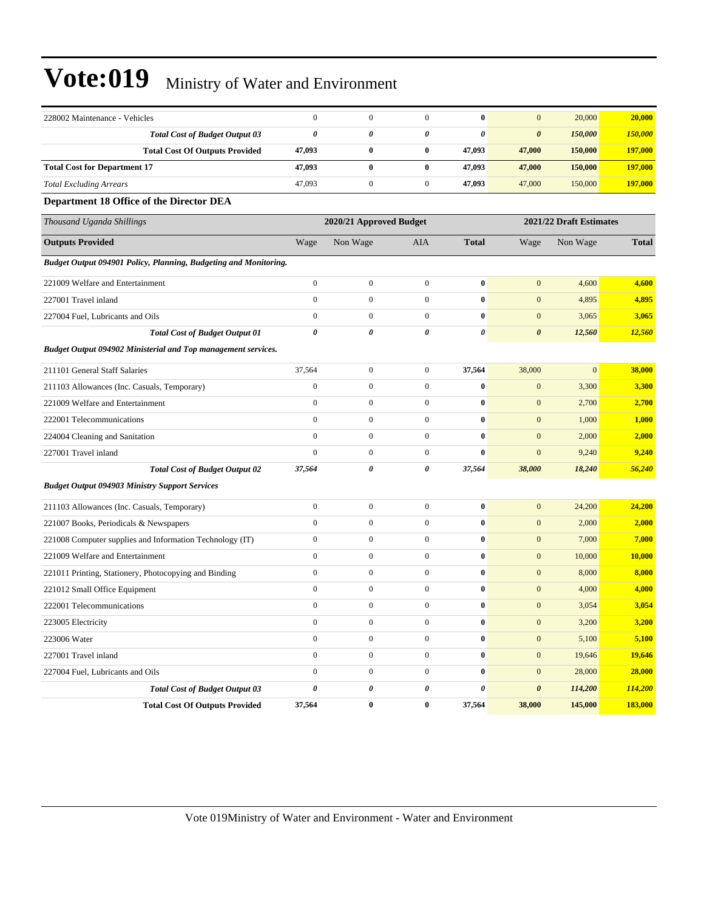| 228002 Maintenance - Vehicles                                        | $\boldsymbol{0}$      | $\boldsymbol{0}$        | $\boldsymbol{0}$ | $\bf{0}$     | $\mathbf{0}$            | 20,000           | 20,000         |
|----------------------------------------------------------------------|-----------------------|-------------------------|------------------|--------------|-------------------------|------------------|----------------|
| <b>Total Cost of Budget Output 03</b>                                | $\boldsymbol{\theta}$ | 0                       | 0                | 0            | $\boldsymbol{\theta}$   | 150,000          | <b>150,000</b> |
| <b>Total Cost Of Outputs Provided</b>                                | 47,093                | $\bf{0}$                | $\bf{0}$         | 47,093       | 47,000                  | 150,000          | 197,000        |
| <b>Total Cost for Department 17</b>                                  | 47,093                | $\bf{0}$                | $\bf{0}$         | 47,093       | 47,000                  | 150,000          | 197,000        |
| <b>Total Excluding Arrears</b>                                       | 47,093                | $\boldsymbol{0}$        | $\boldsymbol{0}$ | 47,093       | 47,000                  | 150,000          | 197,000        |
| Department 18 Office of the Director DEA                             |                       |                         |                  |              |                         |                  |                |
| Thousand Uganda Shillings                                            |                       | 2020/21 Approved Budget |                  |              | 2021/22 Draft Estimates |                  |                |
| <b>Outputs Provided</b>                                              | Wage                  | Non Wage                | AIA              | <b>Total</b> | Wage                    | Non Wage         | <b>Total</b>   |
| Budget Output 094901 Policy, Planning, Budgeting and Monitoring.     |                       |                         |                  |              |                         |                  |                |
| 221009 Welfare and Entertainment                                     | $\boldsymbol{0}$      | $\boldsymbol{0}$        | $\boldsymbol{0}$ | $\bf{0}$     | $\mathbf{0}$            | 4,600            | 4,600          |
| 227001 Travel inland                                                 | $\mathbf{0}$          | $\boldsymbol{0}$        | $\overline{0}$   | $\bf{0}$     | $\boldsymbol{0}$        | 4,895            | 4,895          |
| 227004 Fuel, Lubricants and Oils                                     | $\mathbf{0}$          | $\mathbf{0}$            | $\overline{0}$   | $\bf{0}$     | $\boldsymbol{0}$        | 3,065            | 3,065          |
| <b>Total Cost of Budget Output 01</b>                                | $\boldsymbol{\theta}$ | 0                       | $\theta$         | 0            | $\boldsymbol{\theta}$   | 12,560           | 12,560         |
| <b>Budget Output 094902 Ministerial and Top management services.</b> |                       |                         |                  |              |                         |                  |                |
| 211101 General Staff Salaries                                        | 37,564                | $\mathbf{0}$            | $\boldsymbol{0}$ | 37,564       | 38,000                  | $\boldsymbol{0}$ | 38,000         |
| 211103 Allowances (Inc. Casuals, Temporary)                          | $\boldsymbol{0}$      | $\boldsymbol{0}$        | $\boldsymbol{0}$ | $\bf{0}$     | $\mathbf{0}$            | 3,300            | 3,300          |
| 221009 Welfare and Entertainment                                     | $\mathbf{0}$          | $\boldsymbol{0}$        | $\overline{0}$   | $\bf{0}$     | $\boldsymbol{0}$        | 2,700            | 2,700          |
| 222001 Telecommunications                                            | $\mathbf{0}$          | $\mathbf{0}$            | $\mathbf{0}$     | $\bf{0}$     | $\mathbf{0}$            | 1,000            | 1,000          |
| 224004 Cleaning and Sanitation                                       | $\mathbf{0}$          | $\boldsymbol{0}$        | $\boldsymbol{0}$ | $\bf{0}$     | $\mathbf{0}$            | 2,000            | 2,000          |
| 227001 Travel inland                                                 | $\mathbf{0}$          | $\boldsymbol{0}$        | $\overline{0}$   | $\bf{0}$     | $\mathbf{0}$            | 9,240            | 9,240          |
| <b>Total Cost of Budget Output 02</b>                                | 37,564                | 0                       | 0                | 37,564       | 38,000                  | 18,240           | 56,240         |
| <b>Budget Output 094903 Ministry Support Services</b>                |                       |                         |                  |              |                         |                  |                |
| 211103 Allowances (Inc. Casuals, Temporary)                          | $\boldsymbol{0}$      | $\boldsymbol{0}$        | $\boldsymbol{0}$ | $\bf{0}$     | $\boldsymbol{0}$        | 24,200           | 24,200         |
| 221007 Books, Periodicals & Newspapers                               | $\boldsymbol{0}$      | $\boldsymbol{0}$        | $\boldsymbol{0}$ | $\bf{0}$     | $\boldsymbol{0}$        | 2,000            | 2,000          |
| 221008 Computer supplies and Information Technology (IT)             | $\boldsymbol{0}$      | $\boldsymbol{0}$        | $\boldsymbol{0}$ | $\bf{0}$     | $\boldsymbol{0}$        | 7,000            | 7,000          |
| 221009 Welfare and Entertainment                                     | $\mathbf{0}$          | $\boldsymbol{0}$        | $\overline{0}$   | $\bf{0}$     | $\boldsymbol{0}$        | 10,000           | 10,000         |
| 221011 Printing, Stationery, Photocopying and Binding                | $\mathbf{0}$          | $\boldsymbol{0}$        | $\boldsymbol{0}$ | $\bf{0}$     | $\mathbf{0}$            | 8,000            | 8,000          |
| 221012 Small Office Equipment                                        | $\mathbf{0}$          | $\boldsymbol{0}$        | $\mathbf{0}$     | $\bf{0}$     | $\boldsymbol{0}$        | 4,000            | 4,000          |
| 222001 Telecommunications                                            | $\boldsymbol{0}$      | $\boldsymbol{0}$        | $\boldsymbol{0}$ | $\bf{0}$     | $\mathbf{0}$            | 3,054            | 3,054          |
| 223005 Electricity                                                   | $\boldsymbol{0}$      | $\boldsymbol{0}$        | $\boldsymbol{0}$ | 0            | $\mathbf{0}$            | 3,200            | 3,200          |
| 223006 Water                                                         | $\boldsymbol{0}$      | $\boldsymbol{0}$        | $\mathbf{0}$     | $\bf{0}$     | $\mathbf{0}$            | 5,100            | 5,100          |
| 227001 Travel inland                                                 | $\mathbf{0}$          | $\boldsymbol{0}$        | $\boldsymbol{0}$ | $\bf{0}$     | $\mathbf{0}$            | 19,646           | 19,646         |
| 227004 Fuel, Lubricants and Oils                                     | $\boldsymbol{0}$      | $\boldsymbol{0}$        | $\boldsymbol{0}$ | $\bf{0}$     | $\boldsymbol{0}$        | 28,000           | 28,000         |
| <b>Total Cost of Budget Output 03</b>                                | 0                     | $\pmb{\theta}$          | 0                | 0            | $\pmb{\theta}$          | 114,200          | 114,200        |
| <b>Total Cost Of Outputs Provided</b>                                | 37,564                | $\bf{0}$                | $\bf{0}$         | 37,564       | 38,000                  | 145,000          | 183,000        |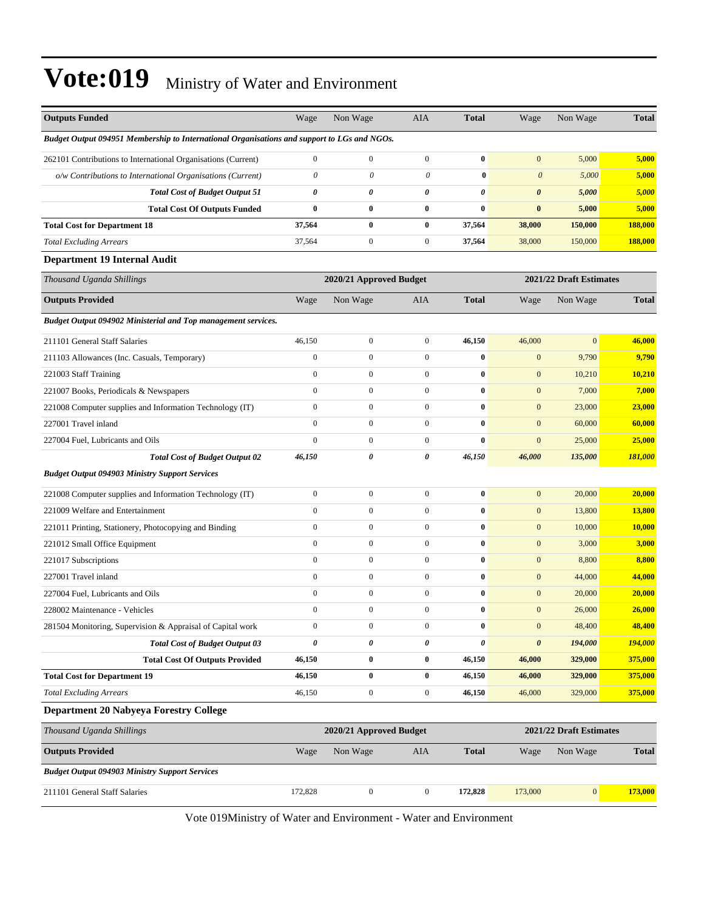| <b>Outputs Funded</b>                                                                       | Wage             | Non Wage                  | <b>AIA</b>            | <b>Total</b>   | Wage                  | Non Wage                | <b>Total</b>  |
|---------------------------------------------------------------------------------------------|------------------|---------------------------|-----------------------|----------------|-----------------------|-------------------------|---------------|
| Budget Output 094951 Membership to International Organisations and support to LGs and NGOs. |                  |                           |                       |                |                       |                         |               |
| 262101 Contributions to International Organisations (Current)                               | $\boldsymbol{0}$ | $\boldsymbol{0}$          | $\mathbf{0}$          | $\bf{0}$       | $\mathbf{0}$          | 5,000                   | 5,000         |
| o/w Contributions to International Organisations (Current)                                  | $\theta$         | $\boldsymbol{\mathit{0}}$ | $\boldsymbol{\theta}$ | $\bf{0}$       | $\boldsymbol{0}$      | 5,000                   | 5,000         |
| <b>Total Cost of Budget Output 51</b>                                                       | 0                | 0                         | 0                     | 0              | $\boldsymbol{\theta}$ | 5,000                   | 5,000         |
| <b>Total Cost Of Outputs Funded</b>                                                         | $\bf{0}$         | $\bf{0}$                  | $\bf{0}$              | $\bf{0}$       | $\bf{0}$              | 5,000                   | 5,000         |
| <b>Total Cost for Department 18</b>                                                         | 37,564           | $\bf{0}$                  | $\bf{0}$              | 37,564         | 38,000                | 150,000                 | 188,000       |
| <b>Total Excluding Arrears</b>                                                              | 37,564           | $\boldsymbol{0}$          | $\mathbf{0}$          | 37,564         | 38,000                | 150,000                 | 188,000       |
| <b>Department 19 Internal Audit</b>                                                         |                  |                           |                       |                |                       |                         |               |
| Thousand Uganda Shillings                                                                   |                  | 2020/21 Approved Budget   |                       |                |                       | 2021/22 Draft Estimates |               |
| <b>Outputs Provided</b>                                                                     | Wage             | Non Wage                  | AIA                   | <b>Total</b>   | Wage                  | Non Wage                | <b>Total</b>  |
| <b>Budget Output 094902 Ministerial and Top management services.</b>                        |                  |                           |                       |                |                       |                         |               |
| 211101 General Staff Salaries                                                               | 46,150           | $\boldsymbol{0}$          | $\mathbf{0}$          | 46,150         | 46,000                | $\boldsymbol{0}$        | 46,000        |
| 211103 Allowances (Inc. Casuals, Temporary)                                                 | $\boldsymbol{0}$ | $\boldsymbol{0}$          | $\mathbf{0}$          | $\bf{0}$       | $\mathbf{0}$          | 9,790                   | 9,790         |
| 221003 Staff Training                                                                       | $\mathbf{0}$     | $\mathbf{0}$              | $\mathbf{0}$          | $\bf{0}$       | $\mathbf{0}$          | 10,210                  | <b>10,210</b> |
| 221007 Books, Periodicals & Newspapers                                                      | $\mathbf{0}$     | $\mathbf{0}$              | $\mathbf{0}$          | $\bf{0}$       | $\mathbf{0}$          | 7,000                   | 7,000         |
| 221008 Computer supplies and Information Technology (IT)                                    | $\mathbf{0}$     | $\boldsymbol{0}$          | $\mathbf{0}$          | $\bf{0}$       | $\mathbf{0}$          | 23,000                  | 23,000        |
| 227001 Travel inland                                                                        | $\mathbf{0}$     | $\boldsymbol{0}$          | $\mathbf{0}$          | $\bf{0}$       | $\mathbf{0}$          | 60,000                  | 60,000        |
| 227004 Fuel, Lubricants and Oils                                                            | $\boldsymbol{0}$ | $\mathbf{0}$              | $\mathbf{0}$          | $\bf{0}$       | $\mathbf{0}$          | 25,000                  | 25,000        |
| <b>Total Cost of Budget Output 02</b>                                                       | 46,150           | 0                         | $\boldsymbol{\theta}$ | 46,150         | 46,000                | 135,000                 | 181,000       |
| <b>Budget Output 094903 Ministry Support Services</b>                                       |                  |                           |                       |                |                       |                         |               |
| 221008 Computer supplies and Information Technology (IT)                                    | $\boldsymbol{0}$ | $\boldsymbol{0}$          | $\mathbf{0}$          | $\bf{0}$       | $\overline{0}$        | 20,000                  | 20,000        |
| 221009 Welfare and Entertainment                                                            | $\mathbf{0}$     | $\boldsymbol{0}$          | $\mathbf{0}$          | $\bf{0}$       | $\mathbf{0}$          | 13,800                  | 13,800        |
| 221011 Printing, Stationery, Photocopying and Binding                                       | $\mathbf{0}$     | $\boldsymbol{0}$          | $\mathbf{0}$          | $\bf{0}$       | $\mathbf{0}$          | 10,000                  | 10,000        |
| 221012 Small Office Equipment                                                               | $\boldsymbol{0}$ | $\mathbf{0}$              | $\mathbf{0}$          | $\bf{0}$       | $\mathbf{0}$          | 3,000                   | 3,000         |
| 221017 Subscriptions                                                                        | $\mathbf{0}$     | $\boldsymbol{0}$          | $\mathbf{0}$          | $\bf{0}$       | $\boldsymbol{0}$      | 8,800                   | 8,800         |
| 227001 Travel inland                                                                        | $\boldsymbol{0}$ | $\boldsymbol{0}$          | $\mathbf{0}$          | $\bf{0}$       | $\mathbf{0}$          | 44,000                  | 44,000        |
| 227004 Fuel, Lubricants and Oils                                                            | $\boldsymbol{0}$ | $\mathbf{0}$              | $\mathbf{0}$          | $\bf{0}$       | $\mathbf{0}$          | 20,000                  | 20,000        |
| 228002 Maintenance - Vehicles                                                               | $\boldsymbol{0}$ | $\boldsymbol{0}$          | $\mathbf{0}$          | $\bf{0}$       | $\mathbf{0}$          | 26,000                  | 26,000        |
| 281504 Monitoring, Supervision & Appraisal of Capital work                                  | $\boldsymbol{0}$ | $\boldsymbol{0}$          | $\boldsymbol{0}$      | $\bf{0}$       | $\boldsymbol{0}$      | 48,400                  | 48,400        |
| <b>Total Cost of Budget Output 03</b>                                                       | $\pmb{\theta}$   | $\pmb{\theta}$            | $\boldsymbol{\theta}$ | $\pmb{\theta}$ | $\pmb{\theta}$        | 194,000                 | 194,000       |
| <b>Total Cost Of Outputs Provided</b>                                                       | 46,150           | $\bf{0}$                  | $\bf{0}$              | 46,150         | 46,000                | 329,000                 | 375,000       |
| <b>Total Cost for Department 19</b>                                                         | 46,150           | $\bf{0}$                  | $\bf{0}$              | 46,150         | 46,000                | 329,000                 | 375,000       |
| <b>Total Excluding Arrears</b>                                                              | 46,150           | $\boldsymbol{0}$          | $\boldsymbol{0}$      | 46,150         | 46,000                | 329,000                 | 375,000       |
| Department 20 Nabyeya Forestry College                                                      |                  |                           |                       |                |                       |                         |               |
| Thousand Uganda Shillings                                                                   |                  | 2020/21 Approved Budget   |                       |                |                       | 2021/22 Draft Estimates |               |
| <b>Outputs Provided</b>                                                                     | Wage             | Non Wage                  | AIA                   | <b>Total</b>   | Wage                  | Non Wage                | <b>Total</b>  |
| <b>Budget Output 094903 Ministry Support Services</b>                                       |                  |                           |                       |                |                       |                         |               |
| 211101 General Staff Salaries                                                               | 172,828          | $\boldsymbol{0}$          | $\boldsymbol{0}$      | 172,828        | 173,000               | $\vert 0 \vert$         | 173,000       |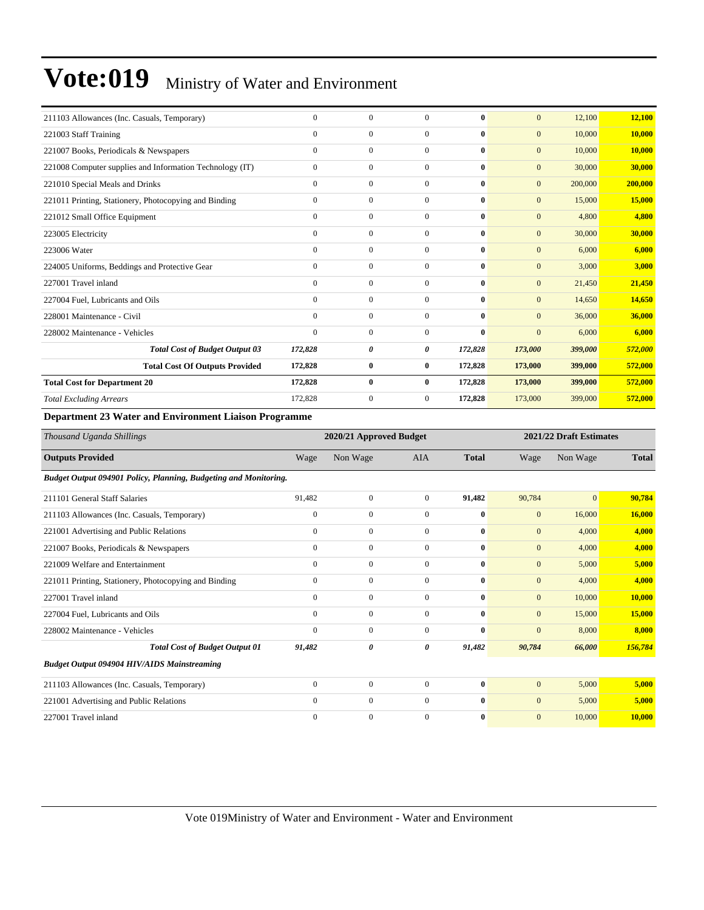| 211103 Allowances (Inc. Casuals, Temporary)              | $\Omega$     | $\mathbf{0}$ | $\Omega$       | $\mathbf{0}$ | $\mathbf{0}$   | 12,100  | 12,100  |
|----------------------------------------------------------|--------------|--------------|----------------|--------------|----------------|---------|---------|
| 221003 Staff Training                                    | $\Omega$     | $\mathbf{0}$ | $\Omega$       | $\mathbf{0}$ | $\mathbf{0}$   | 10,000  | 10.000  |
| 221007 Books, Periodicals & Newspapers                   | $\Omega$     | $\mathbf{0}$ | $\Omega$       | $\mathbf{0}$ | $\mathbf{0}$   | 10,000  | 10.000  |
| 221008 Computer supplies and Information Technology (IT) | $\Omega$     | $\mathbf{0}$ | $\Omega$       | $\mathbf{0}$ | $\mathbf{0}$   | 30,000  | 30,000  |
| 221010 Special Meals and Drinks                          | $\Omega$     | $\mathbf{0}$ | $\Omega$       | $\mathbf{0}$ | $\mathbf{0}$   | 200,000 | 200,000 |
| 221011 Printing, Stationery, Photocopying and Binding    | $\mathbf{0}$ | $\mathbf{0}$ | $\Omega$       | $\bf{0}$     | $\mathbf{0}$   | 15,000  | 15,000  |
| 221012 Small Office Equipment                            | $\Omega$     | $\mathbf{0}$ | $\Omega$       | $\mathbf{0}$ | $\mathbf{0}$   | 4,800   | 4,800   |
| 223005 Electricity                                       | $\Omega$     | $\mathbf{0}$ | $\Omega$       | $\mathbf{0}$ | $\mathbf{0}$   | 30,000  | 30,000  |
| 223006 Water                                             | $\Omega$     | $\mathbf{0}$ | $\Omega$       | $\mathbf{0}$ | $\mathbf{0}$   | 6,000   | 6,000   |
| 224005 Uniforms, Beddings and Protective Gear            | $\Omega$     | $\mathbf{0}$ | $\Omega$       | $\mathbf{0}$ | $\mathbf{0}$   | 3,000   | 3,000   |
| 227001 Travel inland                                     | $\Omega$     | $\mathbf{0}$ | $\Omega$       | $\mathbf{0}$ | $\mathbf{0}$   | 21,450  | 21,450  |
| 227004 Fuel, Lubricants and Oils                         | $\mathbf{0}$ | $\mathbf{0}$ | $\Omega$       | $\mathbf{0}$ | $\mathbf{0}$   | 14,650  | 14,650  |
| 228001 Maintenance - Civil                               | $\mathbf{0}$ | $\mathbf{0}$ | $\Omega$       | $\mathbf{0}$ | $\mathbf{0}$   | 36,000  | 36,000  |
| 228002 Maintenance - Vehicles                            | $\mathbf{0}$ | $\mathbf{0}$ | $\mathbf{0}$   | $\mathbf{0}$ | $\overline{0}$ | 6,000   | 6,000   |
| <b>Total Cost of Budget Output 03</b>                    | 172,828      | 0            | 0              | 172,828      | 173,000        | 399,000 | 572,000 |
| <b>Total Cost Of Outputs Provided</b>                    | 172,828      | $\bf{0}$     | $\mathbf{0}$   | 172,828      | 173,000        | 399,000 | 572,000 |
| <b>Total Cost for Department 20</b>                      | 172,828      | $\bf{0}$     | $\bf{0}$       | 172,828      | 173,000        | 399,000 | 572,000 |
| <b>Total Excluding Arrears</b>                           | 172,828      | 0            | $\overline{0}$ | 172,828      | 173,000        | 399,000 | 572,000 |
|                                                          |              |              |                |              |                |         |         |

#### **Department 23 Water and Environment Liaison Programme**

| Thousand Uganda Shillings                                        |              | 2020/21 Approved Budget |                |              |                  | 2021/22 Draft Estimates |              |  |  |
|------------------------------------------------------------------|--------------|-------------------------|----------------|--------------|------------------|-------------------------|--------------|--|--|
| <b>Outputs Provided</b>                                          | Wage         | Non Wage                | <b>AIA</b>     | <b>Total</b> | Wage             | Non Wage                | <b>Total</b> |  |  |
| Budget Output 094901 Policy, Planning, Budgeting and Monitoring. |              |                         |                |              |                  |                         |              |  |  |
| 211101 General Staff Salaries                                    | 91,482       | $\mathbf{0}$            | $\mathbf{0}$   | 91,482       | 90,784           | $\overline{0}$          | 90,784       |  |  |
| 211103 Allowances (Inc. Casuals, Temporary)                      | $\mathbf{0}$ | $\overline{0}$          | $\mathbf{0}$   | $\bf{0}$     | $\boldsymbol{0}$ | 16,000                  | 16,000       |  |  |
| 221001 Advertising and Public Relations                          | $\mathbf{0}$ | $\mathbf{0}$            | $\overline{0}$ | $\bf{0}$     | $\mathbf{0}$     | 4,000                   | 4,000        |  |  |
| 221007 Books, Periodicals & Newspapers                           | $\mathbf{0}$ | $\overline{0}$          | $\mathbf{0}$   | $\mathbf{0}$ | $\mathbf{0}$     | 4,000                   | 4,000        |  |  |
| 221009 Welfare and Entertainment                                 | $\mathbf{0}$ | $\overline{0}$          | $\overline{0}$ | $\mathbf{0}$ | $\boldsymbol{0}$ | 5,000                   | 5,000        |  |  |
| 221011 Printing, Stationery, Photocopying and Binding            | $\mathbf{0}$ | $\mathbf{0}$            | $\mathbf{0}$   | $\bf{0}$     | $\mathbf{0}$     | 4,000                   | 4,000        |  |  |
| 227001 Travel inland                                             | $\mathbf{0}$ | $\boldsymbol{0}$        | $\mathbf{0}$   | $\bf{0}$     | $\boldsymbol{0}$ | 10,000                  | 10,000       |  |  |
| 227004 Fuel, Lubricants and Oils                                 | $\mathbf{0}$ | $\overline{0}$          | $\mathbf{0}$   | $\bf{0}$     | $\mathbf{0}$     | 15,000                  | 15,000       |  |  |
| 228002 Maintenance - Vehicles                                    | $\Omega$     | $\mathbf{0}$            | $\Omega$       | $\mathbf{0}$ | $\overline{0}$   | 8,000                   | 8.000        |  |  |
| <b>Total Cost of Budget Output 01</b>                            | 91,482       | 0                       | 0              | 91,482       | 90,784           | 66,000                  | 156,784      |  |  |
| <b>Budget Output 094904 HIV/AIDS Mainstreaming</b>               |              |                         |                |              |                  |                         |              |  |  |
| 211103 Allowances (Inc. Casuals, Temporary)                      | $\mathbf{0}$ | $\boldsymbol{0}$        | $\mathbf{0}$   | $\bf{0}$     | $\overline{0}$   | 5,000                   | 5,000        |  |  |
| 221001 Advertising and Public Relations                          | $\mathbf{0}$ | $\overline{0}$          | $\Omega$       | $\mathbf{0}$ | $\overline{0}$   | 5,000                   | 5,000        |  |  |
| 227001 Travel inland                                             | $\Omega$     | $\mathbf{0}$            | $\Omega$       | $\mathbf{0}$ | $\overline{0}$   | 10,000                  | 10.000       |  |  |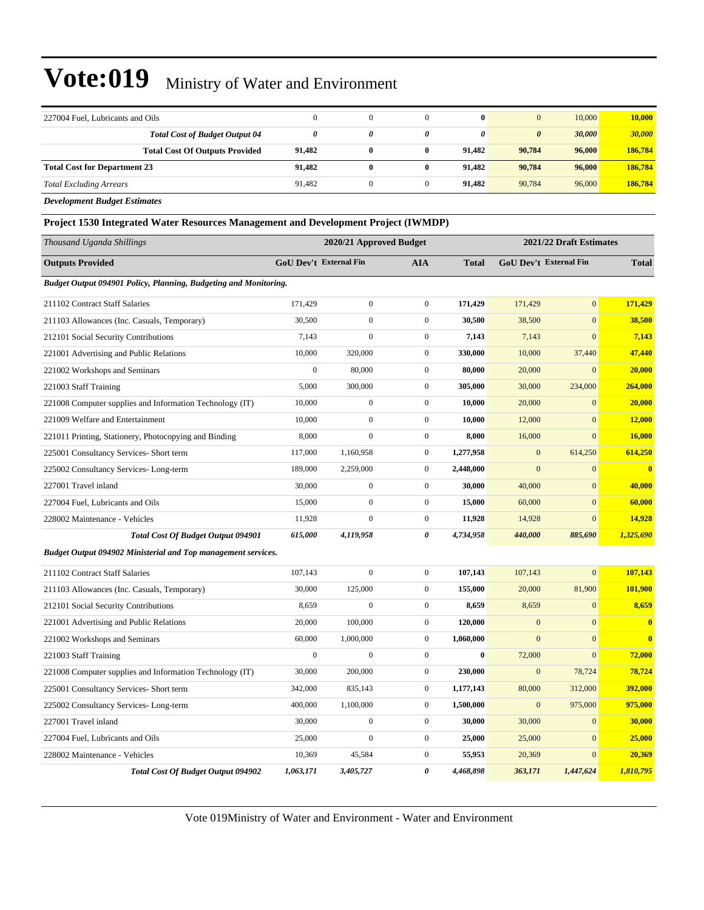| 227004 Fuel, Lubricants and Oils                                  | 0      |   |   | $\mathbf{0}$ |                       | 10,000 | 10,000  |
|-------------------------------------------------------------------|--------|---|---|--------------|-----------------------|--------|---------|
| <b>Total Cost of Budget Output 04</b>                             |        | 0 | 0 | 0            | $\boldsymbol{\theta}$ | 30.000 | 30,000  |
| <b>Total Cost Of Outputs Provided</b>                             | 91.482 |   | 0 | 91.482       | 90.784                | 96,000 | 186,784 |
| <b>Total Cost for Department 23</b>                               | 91.482 |   | 0 | 91.482       | 90.784                | 96,000 | 186,784 |
| <b>Total Excluding Arrears</b>                                    | 91.482 |   |   | 91.482       | 90.784                | 96,000 | 186,784 |
| $\sim$ $\sim$ $\sim$ $\sim$ $\sim$ $\sim$ $\sim$<br>$\sim$ $\sim$ |        |   |   |              |                       |        |         |

*Development Budget Estimates*

**Project 1530 Integrated Water Resources Management and Development Project (IWMDP)**

| Thousand Uganda Shillings                                            |                  | 2020/21 Approved Budget       |                       |              |                | 2021/22 Draft Estimates       |              |
|----------------------------------------------------------------------|------------------|-------------------------------|-----------------------|--------------|----------------|-------------------------------|--------------|
| <b>Outputs Provided</b>                                              |                  | <b>GoU Dev't External Fin</b> | <b>AIA</b>            | <b>Total</b> |                | <b>GoU Dev't External Fin</b> | <b>Total</b> |
| Budget Output 094901 Policy, Planning, Budgeting and Monitoring.     |                  |                               |                       |              |                |                               |              |
| 211102 Contract Staff Salaries                                       | 171,429          | $\mathbf{0}$                  | $\mathbf{0}$          | 171,429      | 171,429        | $\overline{0}$                | 171,429      |
| 211103 Allowances (Inc. Casuals, Temporary)                          | 30,500           | $\boldsymbol{0}$              | $\boldsymbol{0}$      | 30,500       | 38,500         | $\boldsymbol{0}$              | 38,500       |
| 212101 Social Security Contributions                                 | 7,143            | $\boldsymbol{0}$              | $\boldsymbol{0}$      | 7,143        | 7,143          | $\mathbf{0}$                  | 7,143        |
| 221001 Advertising and Public Relations                              | 10,000           | 320,000                       | $\boldsymbol{0}$      | 330,000      | 10,000         | 37,440                        | 47,440       |
| 221002 Workshops and Seminars                                        | $\overline{0}$   | 80,000                        | $\mathbf{0}$          | 80,000       | 20,000         | $\mathbf{0}$                  | 20,000       |
| 221003 Staff Training                                                | 5,000            | 300,000                       | $\mathbf{0}$          | 305,000      | 30,000         | 234,000                       | 264,000      |
| 221008 Computer supplies and Information Technology (IT)             | 10,000           | $\mathbf{0}$                  | $\mathbf{0}$          | 10,000       | 20,000         | $\Omega$                      | 20,000       |
| 221009 Welfare and Entertainment                                     | 10,000           | $\overline{0}$                | $\overline{0}$        | 10,000       | 12,000         | $\mathbf{0}$                  | 12,000       |
| 221011 Printing, Stationery, Photocopying and Binding                | 8,000            | $\mathbf{0}$                  | $\mathbf{0}$          | 8,000        | 16,000         | $\overline{0}$                | 16,000       |
| 225001 Consultancy Services- Short term                              | 117,000          | 1,160,958                     | $\boldsymbol{0}$      | 1,277,958    | $\mathbf{0}$   | 614,250                       | 614,250      |
| 225002 Consultancy Services-Long-term                                | 189,000          | 2,259,000                     | $\boldsymbol{0}$      | 2,448,000    | $\mathbf{0}$   | $\mathbf{0}$                  | $\bf{0}$     |
| 227001 Travel inland                                                 | 30,000           | $\boldsymbol{0}$              | $\mathbf{0}$          | 30,000       | 40,000         | $\mathbf{0}$                  | 40,000       |
| 227004 Fuel, Lubricants and Oils                                     | 15,000           | $\boldsymbol{0}$              | $\mathbf{0}$          | 15,000       | 60,000         | $\mathbf{0}$                  | 60,000       |
| 228002 Maintenance - Vehicles                                        | 11,928           | $\mathbf{0}$                  | $\mathbf{0}$          | 11,928       | 14,928         | $\mathbf{0}$                  | 14,928       |
| <b>Total Cost Of Budget Output 094901</b>                            | 615,000          | 4,119,958                     | $\boldsymbol{\theta}$ | 4,734,958    | 440,000        | 885,690                       | 1,325,690    |
| <b>Budget Output 094902 Ministerial and Top management services.</b> |                  |                               |                       |              |                |                               |              |
| 211102 Contract Staff Salaries                                       | 107,143          | $\overline{0}$                | $\boldsymbol{0}$      | 107,143      | 107,143        | $\overline{0}$                | 107,143      |
| 211103 Allowances (Inc. Casuals, Temporary)                          | 30,000           | 125,000                       | $\mathbf{0}$          | 155,000      | 20,000         | 81,900                        | 101,900      |
| 212101 Social Security Contributions                                 | 8,659            | $\mathbf{0}$                  | $\mathbf{0}$          | 8,659        | 8,659          | $\mathbf{0}$                  | 8,659        |
| 221001 Advertising and Public Relations                              | 20,000           | 100,000                       | $\boldsymbol{0}$      | 120,000      | $\mathbf{0}$   | $\mathbf{0}$                  | $\bf{0}$     |
| 221002 Workshops and Seminars                                        | 60,000           | 1,000,000                     | $\boldsymbol{0}$      | 1,060,000    | $\overline{0}$ | $\mathbf{0}$                  | $\bf{0}$     |
| 221003 Staff Training                                                | $\boldsymbol{0}$ | $\boldsymbol{0}$              | $\boldsymbol{0}$      | $\bf{0}$     | 72,000         | $\mathbf{0}$                  | 72,000       |
| 221008 Computer supplies and Information Technology (IT)             | 30,000           | 200,000                       | $\mathbf{0}$          | 230,000      | $\overline{0}$ | 78,724                        | 78,724       |
| 225001 Consultancy Services- Short term                              | 342,000          | 835,143                       | $\mathbf{0}$          | 1,177,143    | 80,000         | 312,000                       | 392,000      |
| 225002 Consultancy Services-Long-term                                | 400,000          | 1,100,000                     | $\overline{0}$        | 1,500,000    | $\mathbf{0}$   | 975,000                       | 975,000      |
| 227001 Travel inland                                                 | 30,000           | $\boldsymbol{0}$              | $\mathbf{0}$          | 30,000       | 30,000         | $\mathbf{0}$                  | 30,000       |
| 227004 Fuel, Lubricants and Oils                                     | 25,000           | $\mathbf{0}$                  | $\mathbf{0}$          | 25,000       | 25,000         | $\mathbf{0}$                  | 25,000       |
| 228002 Maintenance - Vehicles                                        | 10,369           | 45,584                        | $\boldsymbol{0}$      | 55,953       | 20,369         | $\mathbf{0}$                  | 20,369       |
| <b>Total Cost Of Budget Output 094902</b>                            | 1,063,171        | 3,405,727                     | 0                     | 4,468,898    | 363,171        | 1,447,624                     | 1,810,795    |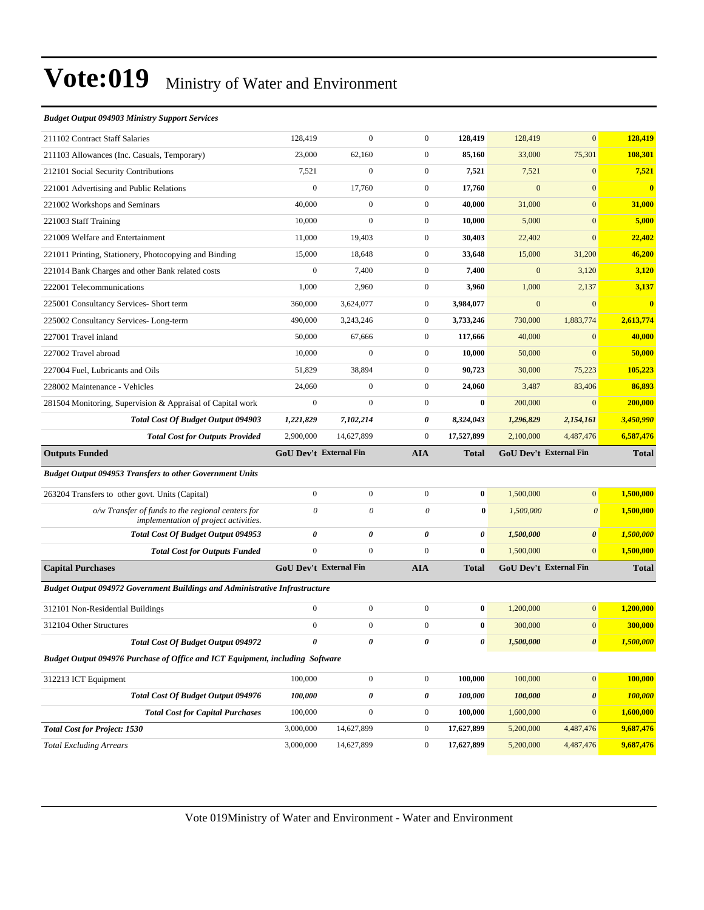#### *Budget Output 094903 Ministry Support Services*

| 128,419                                                                       | $\overline{0}$   | $\mathbf{0}$          | 128,419      | 128,419                       | $\overline{0}$        | 128,419                 |
|-------------------------------------------------------------------------------|------------------|-----------------------|--------------|-------------------------------|-----------------------|-------------------------|
| 23,000                                                                        | 62,160           | $\mathbf{0}$          | 85,160       | 33,000                        | 75,301                | 108,301                 |
| 7,521                                                                         | $\boldsymbol{0}$ | $\mathbf{0}$          | 7,521        | 7,521                         | $\mathbf{0}$          | 7,521                   |
| $\boldsymbol{0}$                                                              | 17,760           | $\mathbf{0}$          | 17,760       | $\mathbf{0}$                  | $\overline{0}$        | $\bf{0}$                |
| 40,000                                                                        | $\overline{0}$   | $\mathbf{0}$          | 40,000       | 31,000                        | $\mathbf{0}$          | 31,000                  |
| 10,000                                                                        | $\overline{0}$   | $\mathbf{0}$          | 10,000       | 5,000                         | $\mathbf{0}$          | 5,000                   |
| 11,000                                                                        | 19,403           | $\mathbf{0}$          | 30,403       | 22,402                        | $\mathbf{0}$          | 22,402                  |
| 15,000                                                                        | 18,648           | $\mathbf{0}$          | 33,648       | 15,000                        | 31,200                | 46,200                  |
| $\boldsymbol{0}$                                                              | 7,400            | $\theta$              | 7,400        | $\mathbf{0}$                  | 3,120                 | 3,120                   |
| 1,000                                                                         | 2,960            | $\mathbf{0}$          | 3,960        | 1,000                         | 2,137                 | 3,137                   |
| 360,000                                                                       | 3,624,077        | $\boldsymbol{0}$      | 3,984,077    | $\mathbf{0}$                  | $\mathbf{0}$          | $\overline{\mathbf{0}}$ |
| 490,000                                                                       | 3,243,246        | $\mathbf{0}$          | 3,733,246    | 730,000                       | 1,883,774             | 2,613,774               |
| 50,000                                                                        | 67,666           | $\mathbf{0}$          | 117,666      | 40,000                        | $\mathbf{0}$          | 40,000                  |
| 10,000                                                                        | $\overline{0}$   | $\mathbf{0}$          | 10,000       | 50,000                        | $\overline{0}$        | 50,000                  |
| 51,829                                                                        | 38,894           | $\theta$              | 90,723       | 30,000                        | 75,223                | 105,223                 |
| 24,060                                                                        | $\overline{0}$   | $\boldsymbol{0}$      | 24,060       | 3,487                         | 83,406                | 86,893                  |
| $\boldsymbol{0}$                                                              | $\mathbf{0}$     | $\mathbf{0}$          | $\bf{0}$     | 200,000                       | $\mathbf{0}$          | 200,000                 |
|                                                                               |                  |                       |              |                               | 2,154,161             | 3,450,990               |
| 1,221,829                                                                     | 7,102,214        | 0                     | 8,324,043    | 1,296,829                     |                       |                         |
| 2,900,000                                                                     | 14.627.899       | $\mathbf{0}$          | 17,527,899   | 2,100,000                     | 4,487,476             | 6,587,476               |
| <b>GoU Dev't External Fin</b>                                                 |                  | <b>AIA</b>            | Total        | <b>GoU Dev't External Fin</b> |                       | <b>Total</b>            |
|                                                                               |                  |                       |              |                               |                       |                         |
| $\mathbf{0}$                                                                  | $\mathbf{0}$     | $\theta$              | $\bf{0}$     | 1,500,000                     | $\mathbf{0}$          | 1,500,000               |
| $\theta$                                                                      | $\theta$         | $\theta$              | $\bf{0}$     | 1,500,000                     | $\boldsymbol{\theta}$ | 1,500,000               |
| 0                                                                             | 0                | $\boldsymbol{\theta}$ | 0            | 1,500,000                     | $\boldsymbol{\theta}$ | 1,500,000               |
| $\mathbf{0}$                                                                  | $\mathbf{0}$     | $\mathbf{0}$          | $\bf{0}$     | 1,500,000                     | $\overline{0}$        | 1,500,000               |
| <b>GoU Dev't External Fin</b>                                                 |                  | <b>AIA</b>            | <b>Total</b> | <b>GoU Dev't External Fin</b> |                       | <b>Total</b>            |
| Budget Output 094972 Government Buildings and Administrative Infrastructure   |                  |                       |              |                               |                       |                         |
| $\boldsymbol{0}$                                                              | $\mathbf{0}$     | $\overline{0}$        | $\bf{0}$     | 1,200,000                     | $\mathbf{0}$          | 1,200,000               |
| $\boldsymbol{0}$                                                              | $\mathbf{0}$     | $\mathbf{0}$          | $\bf{0}$     | 300,000                       | $\mathbf{0}$          | 300,000                 |
| $\theta$                                                                      | 0                | 0                     | 0            | 1,500,000                     | $\pmb{\theta}$        | 1,500,000               |
| Budget Output 094976 Purchase of Office and ICT Equipment, including Software |                  |                       |              |                               |                       |                         |
| 100,000                                                                       | $\boldsymbol{0}$ | $\boldsymbol{0}$      | 100,000      | 100,000                       | $\mathbf{0}$          | 100,000                 |
| 100,000                                                                       | 0                | 0                     | 100,000      | 100,000                       | 0                     | 100,000                 |
| 100,000                                                                       | $\boldsymbol{0}$ | $\boldsymbol{0}$      | 100,000      | 1,600,000                     | $\boldsymbol{0}$      | 1,600,000               |
| 3,000,000                                                                     | 14,627,899       | $\boldsymbol{0}$      | 17,627,899   | 5,200,000                     | 4,487,476             | 9,687,476               |
|                                                                               |                  |                       |              |                               |                       |                         |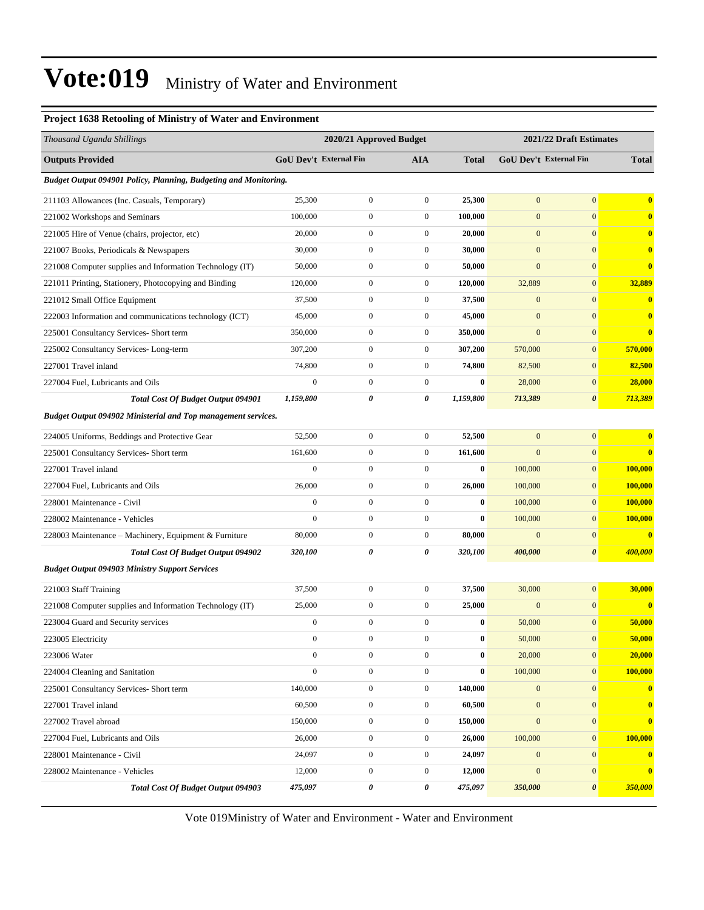#### **Project 1638 Retooling of Ministry of Water and Environment**

| Thousand Uganda Shillings                                               | 2020/21 Approved Budget |                        |                  | 2021/22 Draft Estimates |                  |                        |                         |
|-------------------------------------------------------------------------|-------------------------|------------------------|------------------|-------------------------|------------------|------------------------|-------------------------|
| <b>Outputs Provided</b>                                                 |                         | GoU Dev't External Fin | <b>AIA</b>       | <b>Total</b>            |                  | GoU Dev't External Fin | <b>Total</b>            |
| <b>Budget Output 094901 Policy, Planning, Budgeting and Monitoring.</b> |                         |                        |                  |                         |                  |                        |                         |
| 211103 Allowances (Inc. Casuals, Temporary)                             | 25,300                  | $\boldsymbol{0}$       | $\boldsymbol{0}$ | 25,300                  | $\mathbf{0}$     | $\overline{0}$         | $\mathbf{0}$            |
| 221002 Workshops and Seminars                                           | 100,000                 | $\boldsymbol{0}$       | $\boldsymbol{0}$ | 100,000                 | $\boldsymbol{0}$ | $\boldsymbol{0}$       | $\bf{0}$                |
| 221005 Hire of Venue (chairs, projector, etc)                           | 20,000                  | $\boldsymbol{0}$       | $\boldsymbol{0}$ | 20,000                  | $\boldsymbol{0}$ | $\overline{0}$         | $\bf{0}$                |
| 221007 Books, Periodicals & Newspapers                                  | 30,000                  | $\mathbf{0}$           | $\boldsymbol{0}$ | 30,000                  | $\boldsymbol{0}$ | $\overline{0}$         | $\mathbf{0}$            |
| 221008 Computer supplies and Information Technology (IT)                | 50,000                  | $\boldsymbol{0}$       | $\boldsymbol{0}$ | 50,000                  | $\mathbf{0}$     | $\boldsymbol{0}$       | $\bf{0}$                |
| 221011 Printing, Stationery, Photocopying and Binding                   | 120,000                 | $\mathbf{0}$           | $\boldsymbol{0}$ | 120,000                 | 32,889           | $\overline{0}$         | 32,889                  |
| 221012 Small Office Equipment                                           | 37,500                  | $\mathbf{0}$           | $\boldsymbol{0}$ | 37,500                  | $\boldsymbol{0}$ | $\overline{0}$         | $\bf{0}$                |
| 222003 Information and communications technology (ICT)                  | 45,000                  | $\boldsymbol{0}$       | $\boldsymbol{0}$ | 45,000                  | $\boldsymbol{0}$ | $\boldsymbol{0}$       | $\bf{0}$                |
| 225001 Consultancy Services- Short term                                 | 350,000                 | $\mathbf{0}$           | $\boldsymbol{0}$ | 350,000                 | $\mathbf{0}$     | $\overline{0}$         | $\bf{0}$                |
| 225002 Consultancy Services-Long-term                                   | 307,200                 | $\boldsymbol{0}$       | $\boldsymbol{0}$ | 307,200                 | 570,000          | $\boldsymbol{0}$       | 570,000                 |
| 227001 Travel inland                                                    | 74,800                  | $\mathbf{0}$           | $\boldsymbol{0}$ | 74,800                  | 82,500           | $\overline{0}$         | 82,500                  |
| 227004 Fuel, Lubricants and Oils                                        | $\overline{0}$          | $\boldsymbol{0}$       | $\boldsymbol{0}$ | $\bf{0}$                | 28,000           | $\overline{0}$         | 28,000                  |
| Total Cost Of Budget Output 094901                                      | 1,159,800               | 0                      | 0                | 1,159,800               | 713,389          | 0                      | 713,389                 |
| <b>Budget Output 094902 Ministerial and Top management services.</b>    |                         |                        |                  |                         |                  |                        |                         |
| 224005 Uniforms, Beddings and Protective Gear                           | 52,500                  | $\boldsymbol{0}$       | $\boldsymbol{0}$ | 52,500                  | $\mathbf{0}$     | $\boldsymbol{0}$       | $\bf{0}$                |
| 225001 Consultancy Services- Short term                                 | 161,600                 | $\boldsymbol{0}$       | $\boldsymbol{0}$ | 161,600                 | $\mathbf{0}$     | $\overline{0}$         | $\bf{0}$                |
| 227001 Travel inland                                                    | $\mathbf{0}$            | $\boldsymbol{0}$       | $\boldsymbol{0}$ | $\bf{0}$                | 100,000          | $\overline{0}$         | 100,000                 |
| 227004 Fuel, Lubricants and Oils                                        | 26,000                  | $\boldsymbol{0}$       | $\boldsymbol{0}$ | 26,000                  | 100,000          | $\mathbf{0}$           | 100,000                 |
| 228001 Maintenance - Civil                                              | $\boldsymbol{0}$        | $\boldsymbol{0}$       | $\boldsymbol{0}$ | $\bf{0}$                | 100,000          | $\mathbf{0}$           | <b>100,000</b>          |
| 228002 Maintenance - Vehicles                                           | $\mathbf{0}$            | $\boldsymbol{0}$       | $\boldsymbol{0}$ | $\bf{0}$                | 100,000          | $\overline{0}$         | 100,000                 |
| 228003 Maintenance – Machinery, Equipment & Furniture                   | 80,000                  | $\boldsymbol{0}$       | $\boldsymbol{0}$ | 80,000                  | $\mathbf{0}$     | $\mathbf{0}$           | $\bf{0}$                |
| <b>Total Cost Of Budget Output 094902</b>                               | 320,100                 | 0                      | 0                | 320,100                 | 400,000          | 0                      | 400,000                 |
| <b>Budget Output 094903 Ministry Support Services</b>                   |                         |                        |                  |                         |                  |                        |                         |
| 221003 Staff Training                                                   | 37,500                  | $\boldsymbol{0}$       | $\boldsymbol{0}$ | 37,500                  | 30,000           | $\overline{0}$         | 30,000                  |
| 221008 Computer supplies and Information Technology (IT)                | 25,000                  | $\boldsymbol{0}$       | $\boldsymbol{0}$ | 25,000                  | $\boldsymbol{0}$ | $\mathbf{0}$           | $\bf{0}$                |
| 223004 Guard and Security services                                      | $\boldsymbol{0}$        | $\boldsymbol{0}$       | $\boldsymbol{0}$ | $\bf{0}$                | 50,000           | $\boldsymbol{0}$       | 50,000                  |
| 223005 Electricity                                                      | $\boldsymbol{0}$        | $\boldsymbol{0}$       | $\boldsymbol{0}$ | $\bf{0}$                | 50,000           | $\boldsymbol{0}$       | 50,000                  |
| 223006 Water                                                            | $\boldsymbol{0}$        | $\boldsymbol{0}$       | $\boldsymbol{0}$ | $\bf{0}$                | 20,000           | 0                      | 20,000                  |
| 224004 Cleaning and Sanitation                                          | $\boldsymbol{0}$        | $\boldsymbol{0}$       | $\boldsymbol{0}$ | $\bf{0}$                | 100,000          | $\boldsymbol{0}$       | 100,000                 |
| 225001 Consultancy Services- Short term                                 | 140,000                 | $\boldsymbol{0}$       | $\boldsymbol{0}$ | 140,000                 | $\boldsymbol{0}$ | $\overline{0}$         | $\bf{0}$                |
| 227001 Travel inland                                                    | 60,500                  | $\boldsymbol{0}$       | $\boldsymbol{0}$ | 60,500                  | $\mathbf{0}$     | $\overline{0}$         | $\mathbf{0}$            |
| 227002 Travel abroad                                                    | 150,000                 | $\boldsymbol{0}$       | $\boldsymbol{0}$ | 150,000                 | $\boldsymbol{0}$ | $\boldsymbol{0}$       | $\bf{0}$                |
| 227004 Fuel, Lubricants and Oils                                        | 26,000                  | $\boldsymbol{0}$       | $\boldsymbol{0}$ | 26,000                  | 100,000          | $\boldsymbol{0}$       | 100,000                 |
| 228001 Maintenance - Civil                                              | 24,097                  | $\boldsymbol{0}$       | $\boldsymbol{0}$ | 24,097                  | $\boldsymbol{0}$ | $\boldsymbol{0}$       | $\overline{\mathbf{0}}$ |
| 228002 Maintenance - Vehicles                                           | 12,000                  | $\boldsymbol{0}$       | $\boldsymbol{0}$ | 12,000                  | $\boldsymbol{0}$ | $\boldsymbol{0}$       | $\bf{0}$                |
| Total Cost Of Budget Output 094903                                      | 475,097                 | 0                      | 0                | 475,097                 | 350,000          | 0                      | 350,000                 |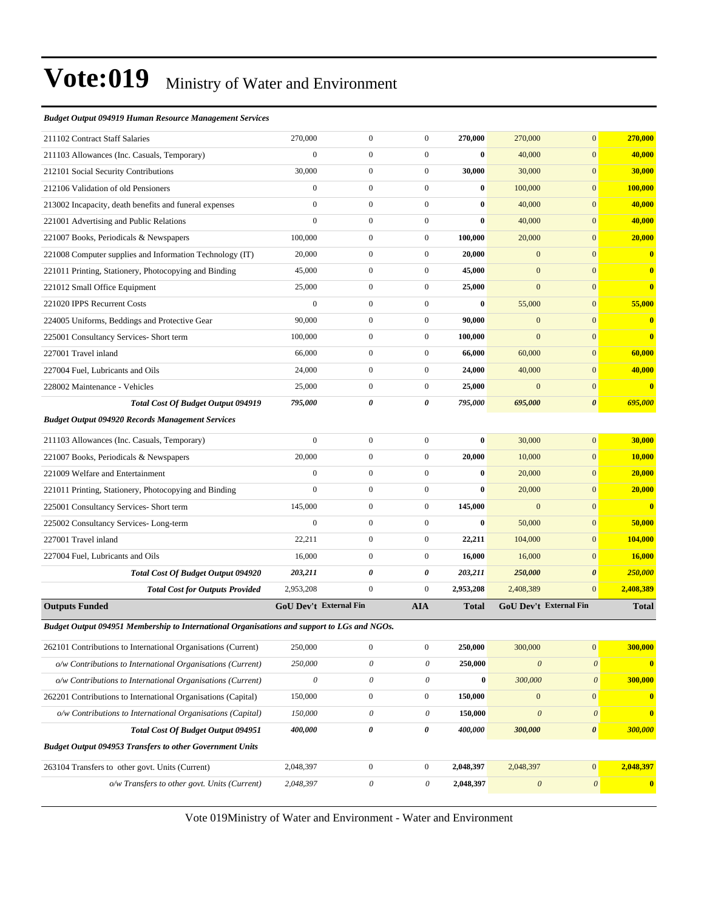#### *Budget Output 094919 Human Resource Management Services*

| 211102 Contract Staff Salaries                                                              | 270,000                       | $\overline{0}$            | $\boldsymbol{0}$ | 270,000   | 270,000               | $\mathbf{0}$              | 270,000                 |
|---------------------------------------------------------------------------------------------|-------------------------------|---------------------------|------------------|-----------|-----------------------|---------------------------|-------------------------|
| 211103 Allowances (Inc. Casuals, Temporary)                                                 | $\mathbf{0}$                  | 0                         | $\boldsymbol{0}$ | $\bf{0}$  | 40,000                | $\boldsymbol{0}$          | 40,000                  |
| 212101 Social Security Contributions                                                        | 30,000                        | $\boldsymbol{0}$          | $\boldsymbol{0}$ | 30,000    | 30,000                | $\mathbf{0}$              | 30,000                  |
| 212106 Validation of old Pensioners                                                         | $\mathbf{0}$                  | $\boldsymbol{0}$          | $\boldsymbol{0}$ | $\bf{0}$  | 100,000               | $\mathbf{0}$              | 100,000                 |
| 213002 Incapacity, death benefits and funeral expenses                                      | $\mathbf{0}$                  | $\boldsymbol{0}$          | $\boldsymbol{0}$ | $\bf{0}$  | 40,000                | $\mathbf{0}$              | 40,000                  |
| 221001 Advertising and Public Relations                                                     | $\mathbf{0}$                  | $\boldsymbol{0}$          | $\boldsymbol{0}$ | $\bf{0}$  | 40,000                | $\mathbf{0}$              | 40,000                  |
| 221007 Books, Periodicals & Newspapers                                                      | 100,000                       | $\boldsymbol{0}$          | $\boldsymbol{0}$ | 100,000   | 20,000                | $\boldsymbol{0}$          | 20,000                  |
| 221008 Computer supplies and Information Technology (IT)                                    | 20,000                        | $\boldsymbol{0}$          | $\boldsymbol{0}$ | 20,000    | $\mathbf{0}$          | $\mathbf{0}$              | $\bf{0}$                |
| 221011 Printing, Stationery, Photocopying and Binding                                       | 45,000                        | $\boldsymbol{0}$          | $\boldsymbol{0}$ | 45,000    | $\mathbf{0}$          | $\mathbf{0}$              | $\bf{0}$                |
| 221012 Small Office Equipment                                                               | 25,000                        | $\boldsymbol{0}$          | $\boldsymbol{0}$ | 25,000    | $\mathbf{0}$          | $\mathbf{0}$              | $\mathbf{0}$            |
| 221020 IPPS Recurrent Costs                                                                 | $\mathbf{0}$                  | $\boldsymbol{0}$          | $\boldsymbol{0}$ | $\bf{0}$  | 55,000                | $\mathbf{0}$              | 55,000                  |
| 224005 Uniforms, Beddings and Protective Gear                                               | 90,000                        | $\boldsymbol{0}$          | $\boldsymbol{0}$ | 90,000    | $\mathbf{0}$          | $\boldsymbol{0}$          | $\bf{0}$                |
| 225001 Consultancy Services- Short term                                                     | 100,000                       | $\boldsymbol{0}$          | $\boldsymbol{0}$ | 100,000   | $\mathbf{0}$          | $\mathbf{0}$              | $\bf{0}$                |
| 227001 Travel inland                                                                        | 66,000                        | $\boldsymbol{0}$          | $\boldsymbol{0}$ | 66,000    | 60,000                | $\mathbf{0}$              | 60,000                  |
| 227004 Fuel, Lubricants and Oils                                                            | 24,000                        | $\boldsymbol{0}$          | $\boldsymbol{0}$ | 24,000    | 40,000                | $\mathbf{0}$              | 40,000                  |
| 228002 Maintenance - Vehicles                                                               | 25,000                        | $\boldsymbol{0}$          | $\boldsymbol{0}$ | 25,000    | $\overline{0}$        | $\mathbf{0}$              | $\overline{\mathbf{0}}$ |
| Total Cost Of Budget Output 094919                                                          | 795,000                       | 0                         | 0                | 795,000   | 695,000               | $\boldsymbol{\theta}$     | 695,000                 |
| <b>Budget Output 094920 Records Management Services</b>                                     |                               |                           |                  |           |                       |                           |                         |
| 211103 Allowances (Inc. Casuals, Temporary)                                                 | $\mathbf{0}$                  | $\boldsymbol{0}$          | $\boldsymbol{0}$ | $\bf{0}$  | 30,000                | $\mathbf{0}$              | 30,000                  |
| 221007 Books, Periodicals & Newspapers                                                      | 20,000                        | $\boldsymbol{0}$          | $\boldsymbol{0}$ | 20,000    | 10,000                | $\mathbf{0}$              | 10,000                  |
| 221009 Welfare and Entertainment                                                            | $\mathbf{0}$                  | $\boldsymbol{0}$          | $\boldsymbol{0}$ | $\bf{0}$  | 20,000                | $\mathbf{0}$              | 20,000                  |
| 221011 Printing, Stationery, Photocopying and Binding                                       | $\mathbf{0}$                  | $\boldsymbol{0}$          | $\boldsymbol{0}$ | $\bf{0}$  | 20,000                | $\mathbf{0}$              | 20,000                  |
| 225001 Consultancy Services- Short term                                                     | 145,000                       | $\boldsymbol{0}$          | $\boldsymbol{0}$ | 145,000   | $\overline{0}$        | $\boldsymbol{0}$          | $\bf{0}$                |
| 225002 Consultancy Services-Long-term                                                       | $\mathbf{0}$                  | $\overline{0}$            | $\boldsymbol{0}$ | $\bf{0}$  | 50,000                | $\mathbf{0}$              | 50,000                  |
| 227001 Travel inland                                                                        | 22,211                        | $\boldsymbol{0}$          | $\boldsymbol{0}$ | 22,211    | 104,000               | $\mathbf{0}$              | 104,000                 |
| 227004 Fuel, Lubricants and Oils                                                            | 16,000                        | $\boldsymbol{0}$          | $\boldsymbol{0}$ | 16,000    | 16,000                | $\mathbf{0}$              | <b>16,000</b>           |
| Total Cost Of Budget Output 094920                                                          | 203,211                       | 0                         | 0                | 203,211   | 250,000               | $\boldsymbol{\theta}$     | 250,000                 |
| <b>Total Cost for Outputs Provided</b>                                                      | 2,953,208                     | $\mathbf{0}$              | $\boldsymbol{0}$ | 2,953,208 | 2,408,389             | $\mathbf{0}$              | 2,408,389               |
| <b>Outputs Funded</b>                                                                       | <b>GoU Dev't External Fin</b> |                           | <b>AIA</b>       | Total     |                       | GoU Dev't External Fin    | <b>Total</b>            |
| Budget Output 094951 Membership to International Organisations and support to LGs and NGOs. |                               |                           |                  |           |                       |                           |                         |
| 262101 Contributions to International Organisations (Current)                               | 250,000                       | $\boldsymbol{0}$          | $\boldsymbol{0}$ | 250,000   | 300,000               | $\boldsymbol{0}$          | 300,000                 |
| o/w Contributions to International Organisations (Current)                                  | 250,000                       | $\boldsymbol{\mathit{0}}$ | 0                | 250,000   | $\boldsymbol{\theta}$ | $\boldsymbol{\theta}$     | $\bf{0}$                |
| o/w Contributions to International Organisations (Current)                                  | $\boldsymbol{\mathit{0}}$     | 0                         | $\mathcal O$     | $\pmb{0}$ | 300,000               | $\boldsymbol{\mathit{0}}$ | 300,000                 |
| 262201 Contributions to International Organisations (Capital)                               | 150,000                       | $\boldsymbol{0}$          | $\boldsymbol{0}$ | 150,000   | $\mathbf{0}$          | $\boldsymbol{0}$          | $\mathbf{0}$            |
| o/w Contributions to International Organisations (Capital)                                  | 150,000                       | 0                         | 0                | 150,000   | $\boldsymbol{\theta}$ | $\boldsymbol{\theta}$     | $\mathbf{0}$            |
| Total Cost Of Budget Output 094951                                                          | 400,000                       | 0                         | 0                | 400,000   | 300,000               | $\pmb{\theta}$            | 300,000                 |
| <b>Budget Output 094953 Transfers to other Government Units</b>                             |                               |                           |                  |           |                       |                           |                         |
| 263104 Transfers to other govt. Units (Current)                                             | 2,048,397                     | $\boldsymbol{0}$          | $\boldsymbol{0}$ | 2,048,397 | 2,048,397             | $\boldsymbol{0}$          | 2,048,397               |
| o/w Transfers to other govt. Units (Current)                                                | 2,048,397                     | 0                         | 0                | 2,048,397 | $\boldsymbol{\theta}$ | $\boldsymbol{\theta}$     | $\mathbf{0}$            |
|                                                                                             |                               |                           |                  |           |                       |                           |                         |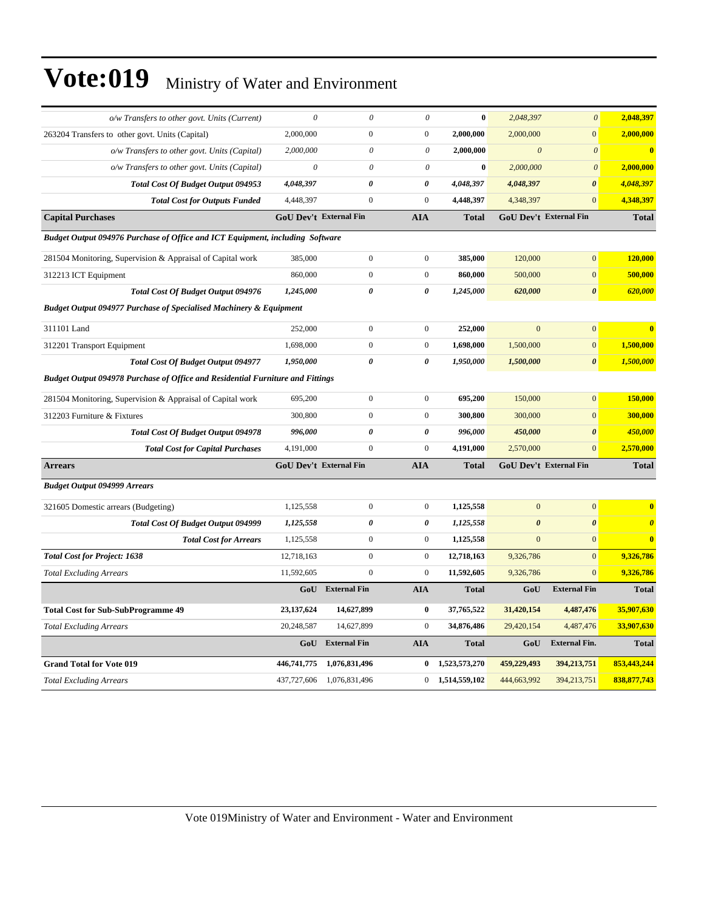| o/w Transfers to other govt. Units (Current)                                          | $\theta$                      | $\theta$            | $\theta$              | $\bf{0}$          | 2,048,397             | $\boldsymbol{\theta}$         | 2,048,397               |  |
|---------------------------------------------------------------------------------------|-------------------------------|---------------------|-----------------------|-------------------|-----------------------|-------------------------------|-------------------------|--|
| 263204 Transfers to other govt. Units (Capital)                                       | 2,000,000                     | $\boldsymbol{0}$    | $\mathbf{0}$          | 2,000,000         | 2,000,000             | $\overline{0}$                | 2,000,000               |  |
| o/w Transfers to other govt. Units (Capital)                                          | 2,000,000                     | $\theta$            | $\theta$              | 2,000,000         | $\boldsymbol{\theta}$ | $\boldsymbol{\theta}$         | $\overline{\mathbf{0}}$ |  |
| o/w Transfers to other govt. Units (Capital)                                          | $\theta$                      | $\theta$            | $\theta$              | $\bf{0}$          | 2,000,000             | $\boldsymbol{\theta}$         | 2,000,000               |  |
| Total Cost Of Budget Output 094953                                                    | 4,048,397                     | $\pmb{\theta}$      | 0                     | 4,048,397         | 4,048,397             | $\boldsymbol{\theta}$         | 4,048,397               |  |
| <b>Total Cost for Outputs Funded</b>                                                  | 4,448,397                     | $\mathbf{0}$        | $\mathbf{0}$          | 4,448,397         | 4,348,397             | $\overline{0}$                | 4,348,397               |  |
| <b>Capital Purchases</b>                                                              | GoU Dev't External Fin        |                     | <b>AIA</b>            | <b>Total</b>      |                       | GoU Dev't External Fin        | <b>Total</b>            |  |
| Budget Output 094976 Purchase of Office and ICT Equipment, including Software         |                               |                     |                       |                   |                       |                               |                         |  |
| 281504 Monitoring, Supervision & Appraisal of Capital work                            | 385,000                       | $\overline{0}$      | $\mathbf{0}$          | 385,000           | 120,000               | $\overline{0}$                | 120,000                 |  |
| 312213 ICT Equipment                                                                  | 860,000                       | $\boldsymbol{0}$    | $\mathbf{0}$          | 860,000           | 500,000               | $\mathbf{0}$                  | 500,000                 |  |
| Total Cost Of Budget Output 094976                                                    | 1,245,000                     | 0                   | $\boldsymbol{\theta}$ | 1,245,000         | 620,000               | $\boldsymbol{\theta}$         | 620,000                 |  |
| <b>Budget Output 094977 Purchase of Specialised Machinery &amp; Equipment</b>         |                               |                     |                       |                   |                       |                               |                         |  |
| 311101 Land                                                                           | 252,000                       | $\boldsymbol{0}$    | $\boldsymbol{0}$      | 252,000           | $\mathbf{0}$          | $\overline{0}$                | $\overline{\mathbf{0}}$ |  |
| 312201 Transport Equipment                                                            | 1,698,000                     | $\boldsymbol{0}$    | $\boldsymbol{0}$      | 1,698,000         | 1,500,000             | $\overline{0}$                | 1,500,000               |  |
| <b>Total Cost Of Budget Output 094977</b>                                             | 1,950,000                     | 0                   | $\boldsymbol{\theta}$ | 1,950,000         | 1,500,000             | $\boldsymbol{\theta}$         | 1,500,000               |  |
| <b>Budget Output 094978 Purchase of Office and Residential Furniture and Fittings</b> |                               |                     |                       |                   |                       |                               |                         |  |
| 281504 Monitoring, Supervision & Appraisal of Capital work                            | 695,200                       | $\boldsymbol{0}$    | $\mathbf{0}$          | 695,200           | 150,000               | $\overline{0}$                | 150,000                 |  |
| 312203 Furniture & Fixtures                                                           | 300,800                       | $\boldsymbol{0}$    | $\boldsymbol{0}$      | 300,800           | 300,000               | $\overline{0}$                | 300,000                 |  |
| Total Cost Of Budget Output 094978                                                    | 996,000                       | 0                   | $\pmb{\theta}$        | 996,000           | 450,000               | $\boldsymbol{\theta}$         | 450,000                 |  |
| <b>Total Cost for Capital Purchases</b>                                               | 4,191,000                     | $\overline{0}$      | $\mathbf{0}$          | 4,191,000         | 2,570,000             | $\overline{0}$                | 2.570.000               |  |
| <b>Arrears</b>                                                                        | <b>GoU Dev't External Fin</b> |                     | <b>AIA</b>            | <b>Total</b>      |                       | <b>GoU Dev't External Fin</b> | <b>Total</b>            |  |
| <b>Budget Output 094999 Arrears</b>                                                   |                               |                     |                       |                   |                       |                               |                         |  |
| 321605 Domestic arrears (Budgeting)                                                   | 1,125,558                     | $\boldsymbol{0}$    | $\mathbf{0}$          | 1,125,558         | $\overline{0}$        | $\overline{0}$                | $\bf{0}$                |  |
| <b>Total Cost Of Budget Output 094999</b>                                             | 1,125,558                     | $\pmb{\theta}$      | 0                     | 1,125,558         | $\boldsymbol{\theta}$ | 0                             | $\boldsymbol{\theta}$   |  |
| <b>Total Cost for Arrears</b>                                                         | 1,125,558                     | $\mathbf{0}$        | $\mathbf{0}$          | 1,125,558         | $\overline{0}$        | $\overline{0}$                | $\bf{0}$                |  |
| <b>Total Cost for Project: 1638</b>                                                   | 12,718,163                    | $\boldsymbol{0}$    | $\boldsymbol{0}$      | 12,718,163        | 9,326,786             | $\overline{0}$                | 9,326,786               |  |
| <b>Total Excluding Arrears</b>                                                        | 11,592,605                    | $\boldsymbol{0}$    | $\boldsymbol{0}$      | 11,592,605        | 9,326,786             | $\overline{0}$                | 9,326,786               |  |
|                                                                                       | GoU                           | <b>External Fin</b> | <b>AIA</b>            | <b>Total</b>      | GoU                   | <b>External Fin</b>           | <b>Total</b>            |  |
| <b>Total Cost for Sub-SubProgramme 49</b>                                             | 23,137,624                    | 14,627,899          | $\bf{0}$              | 37,765,522        | 31,420,154            | 4,487,476                     | 35,907,630              |  |
| <b>Total Excluding Arrears</b>                                                        | 20,248,587                    | 14,627,899          | $\boldsymbol{0}$      | 34,876,486        | 29,420,154            | 4,487,476                     | 33,907,630              |  |
|                                                                                       | GoU                           | <b>External Fin</b> | <b>AIA</b>            | <b>Total</b>      | GoU                   | <b>External Fin.</b>          | <b>Total</b>            |  |
| <b>Grand Total for Vote 019</b>                                                       | 446,741,775                   | 1,076,831,496       | $\bf{0}$              | 1,523,573,270     | 459,229,493           | 394,213,751                   | 853,443,244             |  |
| <b>Total Excluding Arrears</b>                                                        | 437,727,606                   | 1,076,831,496       |                       | $0$ 1,514,559,102 | 444,663,992           | 394,213,751                   | 838, 877, 743           |  |
|                                                                                       |                               |                     |                       |                   |                       |                               |                         |  |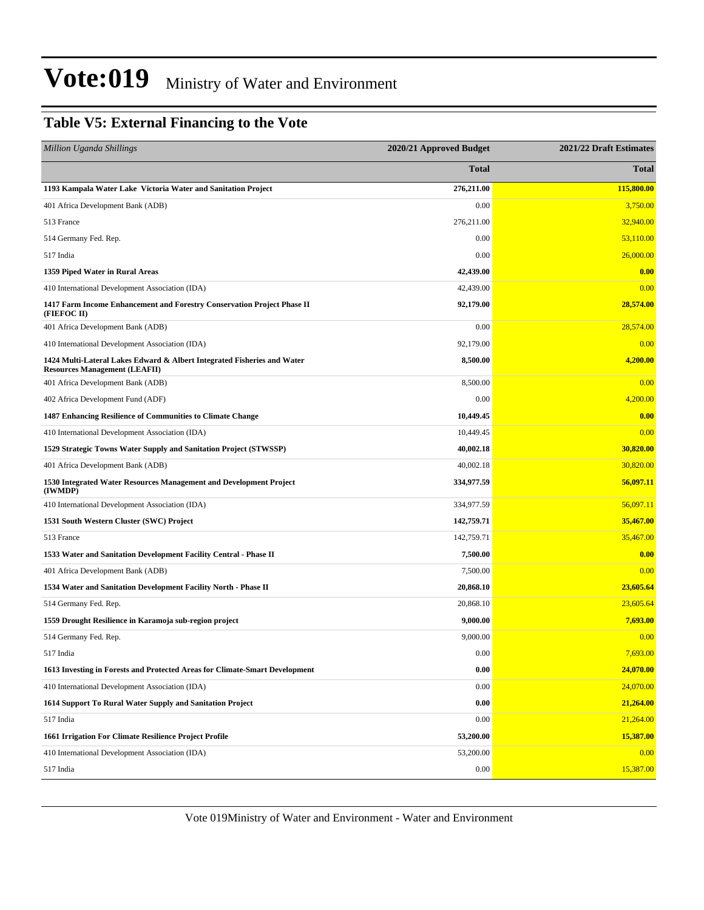#### **Table V5: External Financing to the Vote**

| <b>Million Uganda Shillings</b>                                                                                 | 2020/21 Approved Budget | 2021/22 Draft Estimates |  |
|-----------------------------------------------------------------------------------------------------------------|-------------------------|-------------------------|--|
|                                                                                                                 | Total                   | <b>Total</b>            |  |
| 1193 Kampala Water Lake Victoria Water and Sanitation Project                                                   | 276,211.00              | 115,800.00              |  |
| 401 Africa Development Bank (ADB)                                                                               | 0.00                    | 3,750.00                |  |
| 513 France                                                                                                      | 276,211.00              | 32,940.00               |  |
| 514 Germany Fed. Rep.                                                                                           | 0.00                    | 53,110.00               |  |
| 517 India                                                                                                       | 0.00                    | 26,000.00               |  |
| 1359 Piped Water in Rural Areas                                                                                 | 42,439.00               | 0.00                    |  |
| 410 International Development Association (IDA)                                                                 | 42,439.00               | 0.00                    |  |
| 1417 Farm Income Enhancement and Forestry Conservation Project Phase II<br>(FIEFOC II)                          | 92,179.00               | 28,574.00               |  |
| 401 Africa Development Bank (ADB)                                                                               | 0.00                    | 28,574.00               |  |
| 410 International Development Association (IDA)                                                                 | 92,179.00               | 0.00                    |  |
| 1424 Multi-Lateral Lakes Edward & Albert Integrated Fisheries and Water<br><b>Resources Management (LEAFII)</b> | 8,500.00                | 4,200.00                |  |
| 401 Africa Development Bank (ADB)                                                                               | 8,500.00                | 0.00                    |  |
| 402 Africa Development Fund (ADF)                                                                               | 0.00                    | 4,200.00                |  |
| 1487 Enhancing Resilience of Communities to Climate Change                                                      | 10,449.45               | 0.00                    |  |
| 410 International Development Association (IDA)                                                                 | 10,449.45               | 0.00                    |  |
| 1529 Strategic Towns Water Supply and Sanitation Project (STWSSP)                                               | 40,002.18               | 30,820.00               |  |
| 401 Africa Development Bank (ADB)                                                                               | 40,002.18               | 30,820.00               |  |
| 1530 Integrated Water Resources Management and Development Project<br>(IWMDP)                                   | 334,977.59              | 56,097.11               |  |
| 410 International Development Association (IDA)                                                                 | 334,977.59              | 56,097.11               |  |
| 1531 South Western Cluster (SWC) Project                                                                        | 142,759.71              | 35,467.00               |  |
| 513 France                                                                                                      | 142,759.71              | 35,467.00               |  |
| 1533 Water and Sanitation Development Facility Central - Phase II                                               | 7,500.00                | 0.00                    |  |
| 401 Africa Development Bank (ADB)                                                                               | 7,500.00                | 0.00                    |  |
| 1534 Water and Sanitation Development Facility North - Phase II                                                 | 20,868.10               | 23,605.64               |  |
| 514 Germany Fed. Rep.                                                                                           | 20,868.10               | 23,605.64               |  |
| 1559 Drought Resilience in Karamoja sub-region project                                                          | 9,000.00                | 7,693.00                |  |
| 514 Germany Fed. Rep.                                                                                           | 9,000.00                | 0.00                    |  |
| 517 India                                                                                                       | 0.00                    | 7,693.00                |  |
| 1613 Investing in Forests and Protected Areas for Climate-Smart Development                                     | 0.00                    | 24,070.00               |  |
| 410 International Development Association (IDA)                                                                 | 0.00                    | 24,070.00               |  |
| 1614 Support To Rural Water Supply and Sanitation Project                                                       | 0.00                    | 21,264.00               |  |
| 517 India                                                                                                       | 0.00                    | 21,264.00               |  |
| 1661 Irrigation For Climate Resilience Project Profile                                                          | 53,200.00               | 15,387.00               |  |
| 410 International Development Association (IDA)                                                                 | 53,200.00               | 0.00                    |  |
| 517 India                                                                                                       | 0.00                    | 15,387.00               |  |